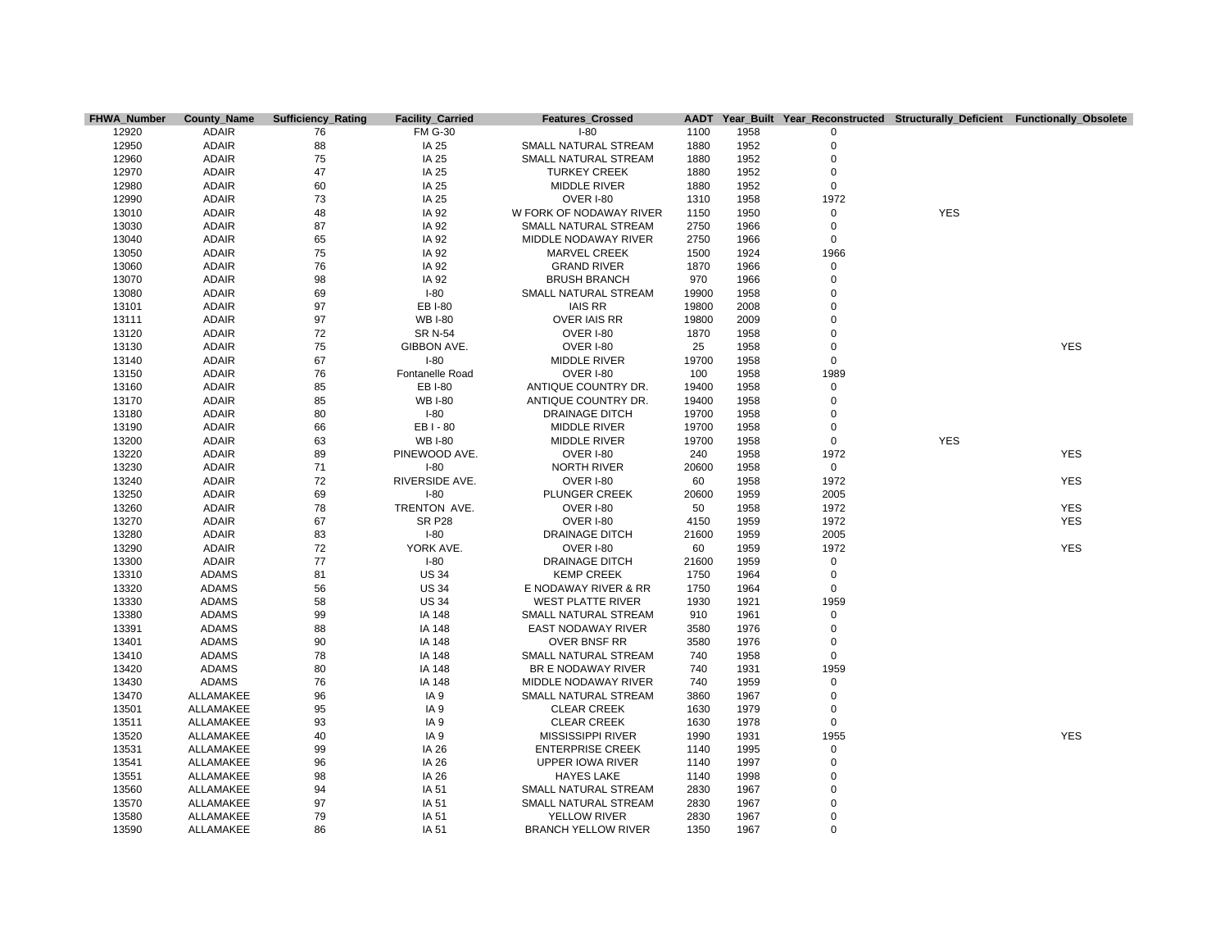| <b>FHWA Number</b> | County_Name  | <b>Sufficiency_Rating</b> | <b>Facility_Carried</b> | <b>Features Crossed</b>    | <b>AADT</b> |      |             | Year Built Year Reconstructed Structurally Deficient Functionally Obsolete |            |
|--------------------|--------------|---------------------------|-------------------------|----------------------------|-------------|------|-------------|----------------------------------------------------------------------------|------------|
| 12920              | <b>ADAIR</b> | 76                        | <b>FM G-30</b>          | $I-80$                     | 1100        | 1958 | 0           |                                                                            |            |
| 12950              | <b>ADAIR</b> | 88                        | IA 25                   | SMALL NATURAL STREAM       | 1880        | 1952 | $\mathbf 0$ |                                                                            |            |
| 12960              | <b>ADAIR</b> | 75                        | IA 25                   | SMALL NATURAL STREAM       | 1880        | 1952 | $\mathbf 0$ |                                                                            |            |
| 12970              | <b>ADAIR</b> | 47                        | IA 25                   | <b>TURKEY CREEK</b>        | 1880        | 1952 | $\mathbf 0$ |                                                                            |            |
| 12980              | <b>ADAIR</b> | 60                        | IA 25                   | <b>MIDDLE RIVER</b>        | 1880        | 1952 | $\mathbf 0$ |                                                                            |            |
| 12990              | <b>ADAIR</b> | 73                        | IA 25                   | OVER I-80                  | 1310        | 1958 | 1972        |                                                                            |            |
| 13010              | <b>ADAIR</b> | 48                        | IA 92                   | W FORK OF NODAWAY RIVER    | 1150        | 1950 | $\mathbf 0$ | <b>YES</b>                                                                 |            |
| 13030              | <b>ADAIR</b> | 87                        | IA 92                   | SMALL NATURAL STREAM       | 2750        | 1966 | $\mathbf 0$ |                                                                            |            |
| 13040              | <b>ADAIR</b> | 65                        | IA 92                   | MIDDLE NODAWAY RIVER       | 2750        | 1966 | $\mathbf 0$ |                                                                            |            |
| 13050              | <b>ADAIR</b> | 75                        | IA 92                   | <b>MARVEL CREEK</b>        | 1500        | 1924 | 1966        |                                                                            |            |
| 13060              | <b>ADAIR</b> | 76                        | IA 92                   | <b>GRAND RIVER</b>         | 1870        | 1966 | $\mathsf 0$ |                                                                            |            |
| 13070              | <b>ADAIR</b> | 98                        | IA 92                   | <b>BRUSH BRANCH</b>        | 970         | 1966 | $\mathbf 0$ |                                                                            |            |
| 13080              | <b>ADAIR</b> | 69                        | $I-80$                  | SMALL NATURAL STREAM       | 19900       | 1958 | $\mathbf 0$ |                                                                            |            |
| 13101              | <b>ADAIR</b> | 97                        | <b>EBI-80</b>           | <b>IAIS RR</b>             | 19800       | 2008 | $\mathbf 0$ |                                                                            |            |
| 13111              | ADAIR        | 97                        | <b>WB I-80</b>          | <b>OVER IAIS RR</b>        | 19800       | 2009 | $\mathbf 0$ |                                                                            |            |
| 13120              | <b>ADAIR</b> | 72                        | <b>SR N-54</b>          | OVER I-80                  | 1870        | 1958 | $\mathbf 0$ |                                                                            |            |
| 13130              | <b>ADAIR</b> | 75                        | GIBBON AVE.             | OVER I-80                  | 25          | 1958 | $\pmb{0}$   |                                                                            | <b>YES</b> |
| 13140              | <b>ADAIR</b> | 67                        | $I-80$                  | <b>MIDDLE RIVER</b>        | 19700       | 1958 | $\mathbf 0$ |                                                                            |            |
| 13150              | <b>ADAIR</b> | 76                        | Fontanelle Road         | OVER I-80                  | 100         | 1958 | 1989        |                                                                            |            |
| 13160              | <b>ADAIR</b> | 85                        | <b>EBI-80</b>           | ANTIQUE COUNTRY DR.        | 19400       | 1958 | $\mathbf 0$ |                                                                            |            |
| 13170              | <b>ADAIR</b> | 85                        | <b>WB I-80</b>          | ANTIQUE COUNTRY DR.        | 19400       | 1958 | $\mathbf 0$ |                                                                            |            |
| 13180              | <b>ADAIR</b> | 80                        | $I-80$                  | <b>DRAINAGE DITCH</b>      | 19700       | 1958 | $\mathbf 0$ |                                                                            |            |
| 13190              | <b>ADAIR</b> | 66                        | EB I - 80               | <b>MIDDLE RIVER</b>        | 19700       | 1958 | $\mathbf 0$ |                                                                            |            |
| 13200              | <b>ADAIR</b> | 63                        | <b>WB I-80</b>          | <b>MIDDLE RIVER</b>        | 19700       | 1958 | $\mathbf 0$ | <b>YES</b>                                                                 |            |
| 13220              | <b>ADAIR</b> | 89                        | PINEWOOD AVE.           | OVER I-80                  | 240         | 1958 | 1972        |                                                                            | <b>YES</b> |
| 13230              | <b>ADAIR</b> | 71                        | $I-80$                  | <b>NORTH RIVER</b>         | 20600       | 1958 | $\mathbf 0$ |                                                                            |            |
| 13240              | <b>ADAIR</b> | 72                        | RIVERSIDE AVE.          | OVER I-80                  | 60          | 1958 | 1972        |                                                                            | <b>YES</b> |
| 13250              | <b>ADAIR</b> | 69                        | $I-80$                  | PLUNGER CREEK              | 20600       | 1959 | 2005        |                                                                            |            |
| 13260              | ADAIR        | 78                        | TRENTON AVE.            | OVER I-80                  | 50          | 1958 | 1972        |                                                                            | <b>YES</b> |
| 13270              | <b>ADAIR</b> | 67                        | <b>SR P28</b>           | OVER I-80                  | 4150        | 1959 | 1972        |                                                                            | <b>YES</b> |
| 13280              | <b>ADAIR</b> | 83                        | $I-80$                  | <b>DRAINAGE DITCH</b>      | 21600       | 1959 | 2005        |                                                                            |            |
| 13290              | <b>ADAIR</b> | 72                        | YORK AVE.               | OVER I-80                  | 60          | 1959 | 1972        |                                                                            | <b>YES</b> |
| 13300              | <b>ADAIR</b> | 77                        | $I-80$                  | <b>DRAINAGE DITCH</b>      | 21600       | 1959 | $\mathbf 0$ |                                                                            |            |
| 13310              | <b>ADAMS</b> | 81                        | <b>US 34</b>            | <b>KEMP CREEK</b>          | 1750        | 1964 | $\mathsf 0$ |                                                                            |            |
| 13320              | <b>ADAMS</b> | 56                        | <b>US 34</b>            | E NODAWAY RIVER & RR       | 1750        | 1964 | $\mathbf 0$ |                                                                            |            |
| 13330              | <b>ADAMS</b> | 58                        | <b>US 34</b>            | <b>WEST PLATTE RIVER</b>   | 1930        | 1921 | 1959        |                                                                            |            |
| 13380              | <b>ADAMS</b> | 99                        | IA 148                  | SMALL NATURAL STREAM       | 910         | 1961 | $\mathsf 0$ |                                                                            |            |
| 13391              | <b>ADAMS</b> | 88                        | IA 148                  | <b>EAST NODAWAY RIVER</b>  | 3580        | 1976 | $\mathbf 0$ |                                                                            |            |
| 13401              | <b>ADAMS</b> | 90                        | IA 148                  | <b>OVER BNSF RR</b>        | 3580        | 1976 | $\mathbf 0$ |                                                                            |            |
| 13410              | ADAMS        | 78                        | IA 148                  | SMALL NATURAL STREAM       | 740         | 1958 | $\mathbf 0$ |                                                                            |            |
| 13420              | <b>ADAMS</b> | 80                        | IA 148                  | BR E NODAWAY RIVER         | 740         | 1931 | 1959        |                                                                            |            |
| 13430              | <b>ADAMS</b> | 76                        | IA 148                  | MIDDLE NODAWAY RIVER       | 740         | 1959 | $\mathsf 0$ |                                                                            |            |
| 13470              | ALLAMAKEE    | 96                        | IA <sub>9</sub>         | SMALL NATURAL STREAM       | 3860        | 1967 | $\mathbf 0$ |                                                                            |            |
| 13501              | ALLAMAKEE    | 95                        | IA <sub>9</sub>         | <b>CLEAR CREEK</b>         | 1630        | 1979 | $\mathbf 0$ |                                                                            |            |
| 13511              | ALLAMAKEE    | 93                        | IA <sub>9</sub>         | <b>CLEAR CREEK</b>         | 1630        | 1978 | $\mathsf 0$ |                                                                            |            |
| 13520              | ALLAMAKEE    | 40                        | IA <sub>9</sub>         | <b>MISSISSIPPI RIVER</b>   | 1990        | 1931 | 1955        |                                                                            | <b>YES</b> |
| 13531              | ALLAMAKEE    | 99                        | IA 26                   | <b>ENTERPRISE CREEK</b>    | 1140        | 1995 | $\mathsf 0$ |                                                                            |            |
| 13541              | ALLAMAKEE    | 96                        | IA 26                   | UPPER IOWA RIVER           | 1140        | 1997 | $\mathbf 0$ |                                                                            |            |
| 13551              | ALLAMAKEE    | 98                        | IA 26                   | <b>HAYES LAKE</b>          | 1140        | 1998 | $\mathbf 0$ |                                                                            |            |
| 13560              | ALLAMAKEE    | 94                        | IA 51                   | SMALL NATURAL STREAM       | 2830        | 1967 | $\mathbf 0$ |                                                                            |            |
| 13570              | ALLAMAKEE    | 97                        | IA 51                   | SMALL NATURAL STREAM       | 2830        | 1967 | $\mathbf 0$ |                                                                            |            |
| 13580              | ALLAMAKEE    | 79                        | IA 51                   | <b>YELLOW RIVER</b>        | 2830        | 1967 | $\mathbf 0$ |                                                                            |            |
| 13590              | ALLAMAKEE    | 86                        | IA 51                   | <b>BRANCH YELLOW RIVER</b> | 1350        | 1967 | $\Omega$    |                                                                            |            |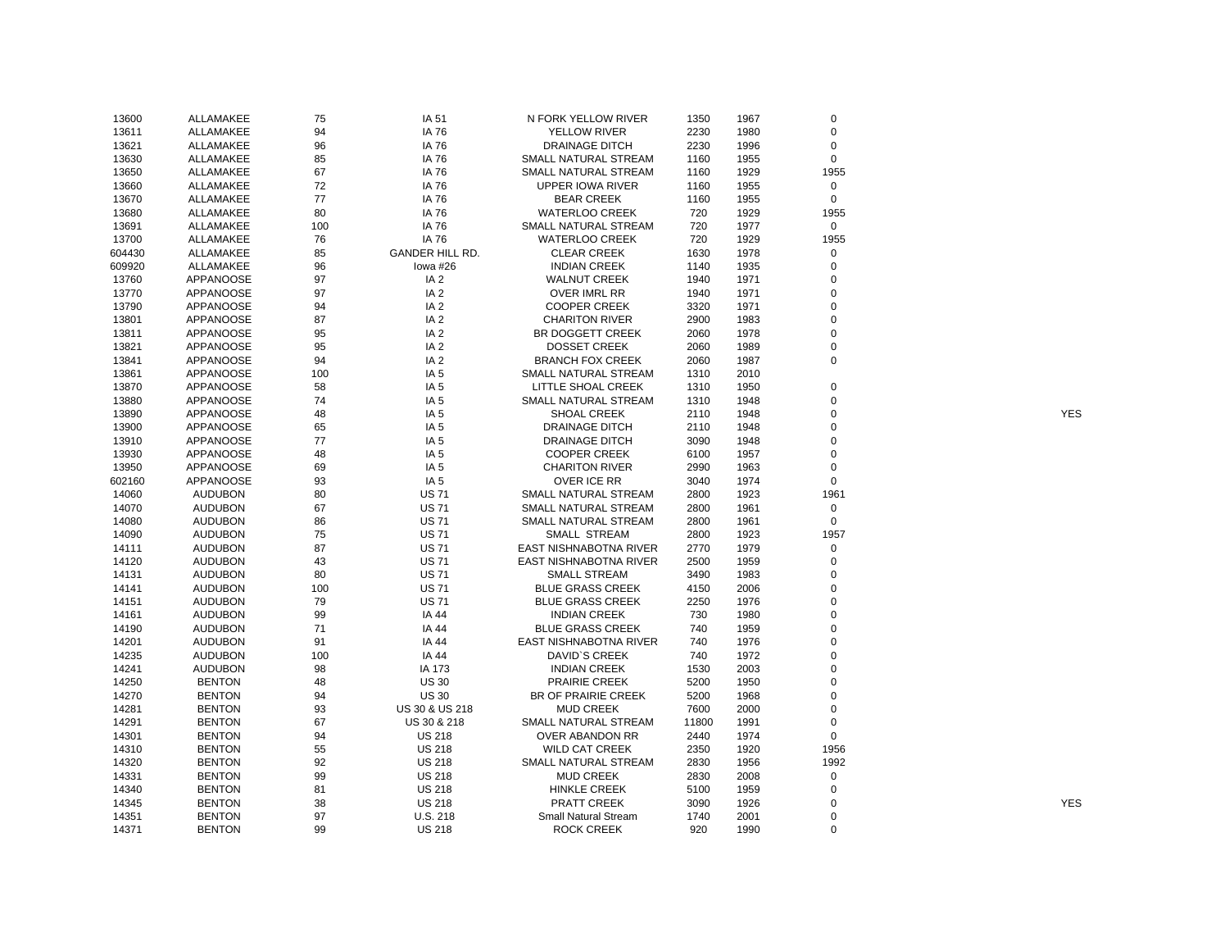| 13600  | ALLAMAKEE        | 75  | IA 51                  | N FORK YELLOW RIVER         | 1350  | 1967 | $\mathbf 0$ |            |
|--------|------------------|-----|------------------------|-----------------------------|-------|------|-------------|------------|
| 13611  | ALLAMAKEE        | 94  | IA 76                  | <b>YELLOW RIVER</b>         | 2230  | 1980 | $\mathbf 0$ |            |
| 13621  | ALLAMAKEE        | 96  | IA 76                  | <b>DRAINAGE DITCH</b>       | 2230  | 1996 | $\mathbf 0$ |            |
| 13630  | ALLAMAKEE        | 85  | IA 76                  | SMALL NATURAL STREAM        | 1160  | 1955 | $\mathbf 0$ |            |
| 13650  | ALLAMAKEE        | 67  | IA 76                  | SMALL NATURAL STREAM        | 1160  | 1929 | 1955        |            |
| 13660  | ALLAMAKEE        | 72  | IA 76                  | <b>UPPER IOWA RIVER</b>     | 1160  | 1955 | 0           |            |
| 13670  | ALLAMAKEE        | 77  | IA 76                  | <b>BEAR CREEK</b>           | 1160  | 1955 | $\mathbf 0$ |            |
| 13680  | ALLAMAKEE        | 80  | IA 76                  | <b>WATERLOO CREEK</b>       | 720   | 1929 | 1955        |            |
| 13691  | ALLAMAKEE        | 100 | IA 76                  | SMALL NATURAL STREAM        | 720   | 1977 | $\mathbf 0$ |            |
|        |                  |     | IA 76                  | <b>WATERLOO CREEK</b>       |       | 1929 | 1955        |            |
| 13700  | ALLAMAKEE        | 76  |                        |                             | 720   |      |             |            |
| 604430 | ALLAMAKEE        | 85  | <b>GANDER HILL RD.</b> | <b>CLEAR CREEK</b>          | 1630  | 1978 | 0           |            |
| 609920 | ALLAMAKEE        | 96  | lowa #26               | <b>INDIAN CREEK</b>         | 1140  | 1935 | 0           |            |
| 13760  | <b>APPANOOSE</b> | 97  | IA <sub>2</sub>        | <b>WALNUT CREEK</b>         | 1940  | 1971 | $\mathbf 0$ |            |
| 13770  | APPANOOSE        | 97  | IA <sub>2</sub>        | OVER IMRL RR                | 1940  | 1971 | 0           |            |
| 13790  | APPANOOSE        | 94  | IA <sub>2</sub>        | <b>COOPER CREEK</b>         | 3320  | 1971 | $\Omega$    |            |
| 13801  | <b>APPANOOSE</b> | 87  | IA <sub>2</sub>        | <b>CHARITON RIVER</b>       | 2900  | 1983 | $\mathbf 0$ |            |
| 13811  | <b>APPANOOSE</b> | 95  | IA <sub>2</sub>        | BR DOGGETT CREEK            | 2060  | 1978 | $\mathbf 0$ |            |
| 13821  | APPANOOSE        | 95  | IA <sub>2</sub>        | <b>DOSSET CREEK</b>         | 2060  | 1989 | 0           |            |
| 13841  | <b>APPANOOSE</b> | 94  | IA <sub>2</sub>        | <b>BRANCH FOX CREEK</b>     | 2060  | 1987 | $\mathbf 0$ |            |
| 13861  | <b>APPANOOSE</b> | 100 | IA <sub>5</sub>        | SMALL NATURAL STREAM        | 1310  | 2010 |             |            |
| 13870  | <b>APPANOOSE</b> | 58  | IA <sub>5</sub>        | LITTLE SHOAL CREEK          | 1310  | 1950 | $\mathbf 0$ |            |
| 13880  | APPANOOSE        | 74  | IA <sub>5</sub>        | SMALL NATURAL STREAM        | 1310  | 1948 | 0           |            |
| 13890  | <b>APPANOOSE</b> | 48  | IA <sub>5</sub>        | <b>SHOAL CREEK</b>          | 2110  | 1948 | $\mathbf 0$ | <b>YES</b> |
| 13900  | APPANOOSE        | 65  | IA <sub>5</sub>        | <b>DRAINAGE DITCH</b>       | 2110  | 1948 | 0           |            |
| 13910  | <b>APPANOOSE</b> | 77  | IA <sub>5</sub>        | <b>DRAINAGE DITCH</b>       | 3090  | 1948 | $\mathbf 0$ |            |
| 13930  | <b>APPANOOSE</b> | 48  | IA <sub>5</sub>        | <b>COOPER CREEK</b>         | 6100  | 1957 | 0           |            |
| 13950  | APPANOOSE        | 69  | IA <sub>5</sub>        | <b>CHARITON RIVER</b>       | 2990  | 1963 | 0           |            |
| 602160 | <b>APPANOOSE</b> | 93  | IA <sub>5</sub>        | <b>OVER ICE RR</b>          | 3040  | 1974 | $\mathbf 0$ |            |
| 14060  | <b>AUDUBON</b>   | 80  | <b>US71</b>            | SMALL NATURAL STREAM        | 2800  | 1923 | 1961        |            |
| 14070  | <b>AUDUBON</b>   | 67  | <b>US71</b>            | SMALL NATURAL STREAM        | 2800  | 1961 | $\mathsf 0$ |            |
| 14080  | <b>AUDUBON</b>   | 86  | <b>US71</b>            | SMALL NATURAL STREAM        | 2800  | 1961 | $\mathbf 0$ |            |
| 14090  | <b>AUDUBON</b>   | 75  | <b>US71</b>            | SMALL STREAM                | 2800  | 1923 | 1957        |            |
| 14111  | <b>AUDUBON</b>   | 87  | <b>US71</b>            | EAST NISHNABOTNA RIVER      | 2770  | 1979 | 0           |            |
| 14120  | <b>AUDUBON</b>   | 43  | <b>US71</b>            | EAST NISHNABOTNA RIVER      | 2500  | 1959 | $\mathsf 0$ |            |
| 14131  | <b>AUDUBON</b>   | 80  | <b>US71</b>            | <b>SMALL STREAM</b>         | 3490  | 1983 | $\mathbf 0$ |            |
| 14141  | <b>AUDUBON</b>   | 100 | <b>US71</b>            | <b>BLUE GRASS CREEK</b>     | 4150  | 2006 | $\mathbf 0$ |            |
| 14151  | <b>AUDUBON</b>   | 79  | <b>US71</b>            | <b>BLUE GRASS CREEK</b>     | 2250  | 1976 | $\Omega$    |            |
| 14161  | <b>AUDUBON</b>   | 99  | IA 44                  | <b>INDIAN CREEK</b>         | 730   | 1980 | $\Omega$    |            |
| 14190  | <b>AUDUBON</b>   | 71  | IA 44                  | <b>BLUE GRASS CREEK</b>     | 740   | 1959 | $\mathbf 0$ |            |
| 14201  | <b>AUDUBON</b>   | 91  | IA 44                  | EAST NISHNABOTNA RIVER      | 740   | 1976 | $\Omega$    |            |
| 14235  | <b>AUDUBON</b>   | 100 | IA 44                  | <b>DAVID'S CREEK</b>        | 740   | 1972 | $\Omega$    |            |
| 14241  | <b>AUDUBON</b>   | 98  | IA 173                 | <b>INDIAN CREEK</b>         | 1530  | 2003 | $\Omega$    |            |
| 14250  | <b>BENTON</b>    | 48  | <b>US 30</b>           | <b>PRAIRIE CREEK</b>        | 5200  | 1950 | $\mathbf 0$ |            |
| 14270  | <b>BENTON</b>    | 94  | <b>US 30</b>           | BR OF PRAIRIE CREEK         | 5200  | 1968 | $\Omega$    |            |
| 14281  | <b>BENTON</b>    | 93  | US 30 & US 218         | <b>MUD CREEK</b>            | 7600  | 2000 | 0           |            |
| 14291  | <b>BENTON</b>    | 67  | US 30 & 218            | SMALL NATURAL STREAM        | 11800 | 1991 | $\mathbf 0$ |            |
| 14301  | <b>BENTON</b>    | 94  | <b>US 218</b>          | OVER ABANDON RR             | 2440  | 1974 | $\mathbf 0$ |            |
| 14310  | <b>BENTON</b>    | 55  | <b>US 218</b>          | <b>WILD CAT CREEK</b>       | 2350  | 1920 | 1956        |            |
| 14320  | <b>BENTON</b>    | 92  | <b>US 218</b>          | SMALL NATURAL STREAM        | 2830  | 1956 | 1992        |            |
|        | <b>BENTON</b>    | 99  |                        |                             |       |      | 0           |            |
| 14331  |                  |     | <b>US 218</b>          | <b>MUD CREEK</b>            | 2830  | 2008 |             |            |
| 14340  | <b>BENTON</b>    | 81  | <b>US 218</b>          | <b>HINKLE CREEK</b>         | 5100  | 1959 | 0           | <b>YES</b> |
| 14345  | <b>BENTON</b>    | 38  | <b>US 218</b>          | <b>PRATT CREEK</b>          | 3090  | 1926 | 0           |            |
| 14351  | <b>BENTON</b>    | 97  | U.S. 218               | <b>Small Natural Stream</b> | 1740  | 2001 | $\mathbf 0$ |            |
| 14371  | <b>BENTON</b>    | 99  | <b>US 218</b>          | ROCK CREEK                  | 920   | 1990 | 0           |            |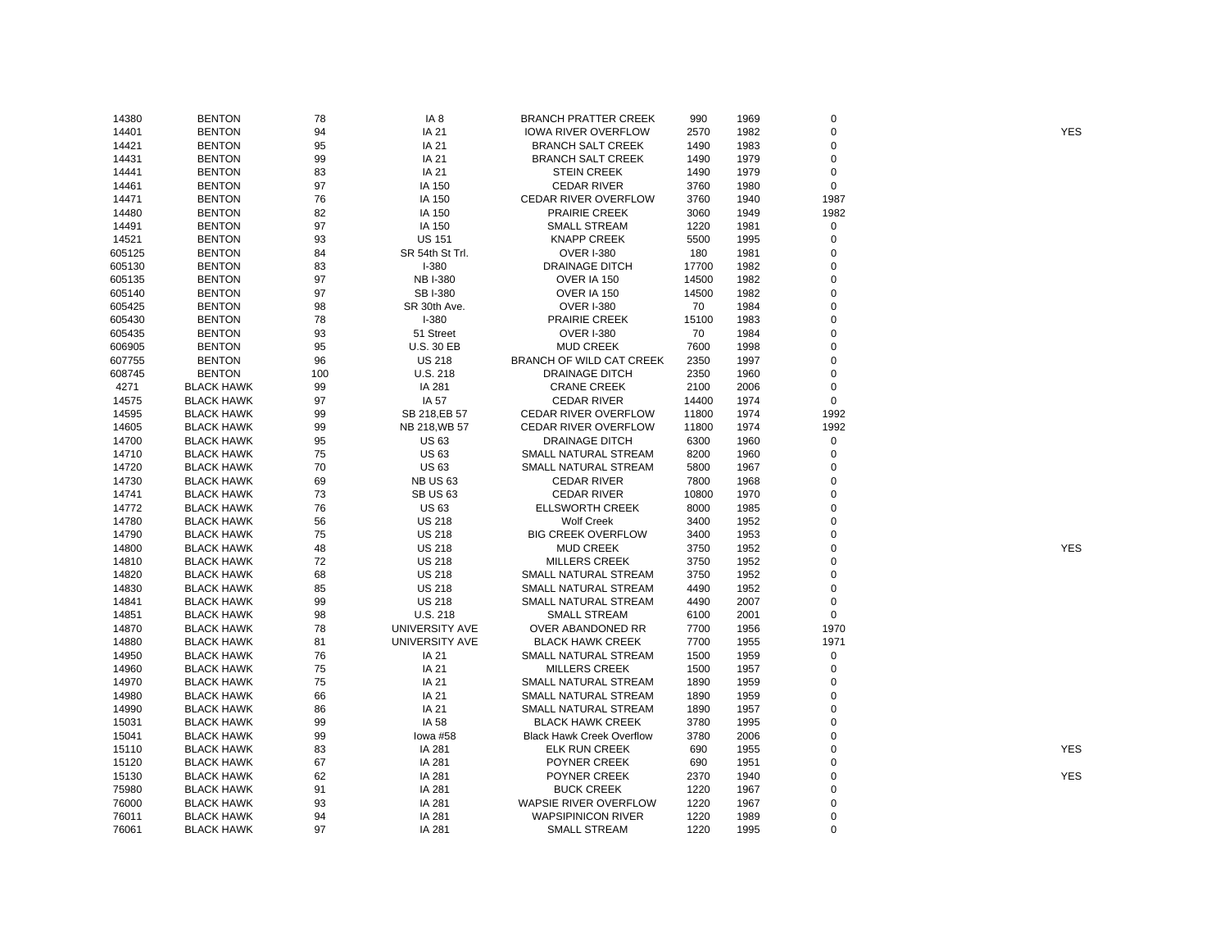| 14380  | <b>BENTON</b>     | 78  | IA 8                  | <b>BRANCH PRATTER CREEK</b>      | 990   | 1969 | $\mathsf 0$ |            |
|--------|-------------------|-----|-----------------------|----------------------------------|-------|------|-------------|------------|
| 14401  | <b>BENTON</b>     | 94  | IA 21                 | <b>IOWA RIVER OVERFLOW</b>       | 2570  | 1982 | $\mathsf 0$ | <b>YES</b> |
| 14421  | <b>BENTON</b>     | 95  | IA 21                 | <b>BRANCH SALT CREEK</b>         | 1490  | 1983 | 0           |            |
| 14431  | <b>BENTON</b>     | 99  | IA 21                 | <b>BRANCH SALT CREEK</b>         | 1490  | 1979 | 0           |            |
| 14441  | <b>BENTON</b>     | 83  | IA 21                 | <b>STEIN CREEK</b>               | 1490  | 1979 | 0           |            |
| 14461  | <b>BENTON</b>     | 97  | IA 150                | <b>CEDAR RIVER</b>               | 3760  | 1980 | $\mathbf 0$ |            |
| 14471  | <b>BENTON</b>     | 76  | IA 150                | <b>CEDAR RIVER OVERFLOW</b>      | 3760  | 1940 | 1987        |            |
| 14480  | <b>BENTON</b>     | 82  | IA 150                | <b>PRAIRIE CREEK</b>             | 3060  | 1949 | 1982        |            |
| 14491  | <b>BENTON</b>     | 97  | IA 150                | <b>SMALL STREAM</b>              | 1220  | 1981 | 0           |            |
| 14521  | <b>BENTON</b>     | 93  | <b>US 151</b>         | <b>KNAPP CREEK</b>               | 5500  | 1995 | 0           |            |
| 605125 | <b>BENTON</b>     | 84  | SR 54th St Trl.       | <b>OVER I-380</b>                | 180   | 1981 | 0           |            |
| 605130 | <b>BENTON</b>     | 83  | $I - 380$             | <b>DRAINAGE DITCH</b>            | 17700 | 1982 | 0           |            |
| 605135 | <b>BENTON</b>     | 97  | <b>NB I-380</b>       | OVER IA 150                      | 14500 | 1982 | $\mathbf 0$ |            |
| 605140 | <b>BENTON</b>     | 97  | <b>SBI-380</b>        | OVER IA 150                      | 14500 | 1982 | $\mathbf 0$ |            |
| 605425 | <b>BENTON</b>     | 98  | SR 30th Ave.          | <b>OVER I-380</b>                | 70    | 1984 | $\mathbf 0$ |            |
|        |                   | 78  | $I - 380$             |                                  | 15100 | 1983 | $\mathbf 0$ |            |
| 605430 | <b>BENTON</b>     |     |                       | <b>PRAIRIE CREEK</b>             |       |      | $\Omega$    |            |
| 605435 | <b>BENTON</b>     | 93  | 51 Street             | <b>OVER I-380</b>                | 70    | 1984 |             |            |
| 606905 | <b>BENTON</b>     | 95  | U.S. 30 EB            | <b>MUD CREEK</b>                 | 7600  | 1998 | $\mathbf 0$ |            |
| 607755 | <b>BENTON</b>     | 96  | <b>US 218</b>         | BRANCH OF WILD CAT CREEK         | 2350  | 1997 | 0           |            |
| 608745 | <b>BENTON</b>     | 100 | U.S. 218              | <b>DRAINAGE DITCH</b>            | 2350  | 1960 | 0           |            |
| 4271   | <b>BLACK HAWK</b> | 99  | IA 281                | <b>CRANE CREEK</b>               | 2100  | 2006 | 0           |            |
| 14575  | <b>BLACK HAWK</b> | 97  | IA 57                 | <b>CEDAR RIVER</b>               | 14400 | 1974 | $\mathbf 0$ |            |
| 14595  | <b>BLACK HAWK</b> | 99  | SB 218, EB 57         | <b>CEDAR RIVER OVERFLOW</b>      | 11800 | 1974 | 1992        |            |
| 14605  | <b>BLACK HAWK</b> | 99  | NB 218, WB 57         | <b>CEDAR RIVER OVERFLOW</b>      | 11800 | 1974 | 1992        |            |
| 14700  | <b>BLACK HAWK</b> | 95  | <b>US 63</b>          | <b>DRAINAGE DITCH</b>            | 6300  | 1960 | 0           |            |
| 14710  | <b>BLACK HAWK</b> | 75  | <b>US63</b>           | SMALL NATURAL STREAM             | 8200  | 1960 | 0           |            |
| 14720  | <b>BLACK HAWK</b> | 70  | <b>US63</b>           | SMALL NATURAL STREAM             | 5800  | 1967 | 0           |            |
| 14730  | <b>BLACK HAWK</b> | 69  | <b>NB US 63</b>       | <b>CEDAR RIVER</b>               | 7800  | 1968 | $\mathbf 0$ |            |
| 14741  | <b>BLACK HAWK</b> | 73  | <b>SB US 63</b>       | <b>CEDAR RIVER</b>               | 10800 | 1970 | 0           |            |
| 14772  | <b>BLACK HAWK</b> | 76  | <b>US 63</b>          | <b>ELLSWORTH CREEK</b>           | 8000  | 1985 | $\mathbf 0$ |            |
| 14780  | <b>BLACK HAWK</b> | 56  | <b>US 218</b>         | <b>Wolf Creek</b>                | 3400  | 1952 | 0           |            |
| 14790  | <b>BLACK HAWK</b> | 75  | <b>US 218</b>         | <b>BIG CREEK OVERFLOW</b>        | 3400  | 1953 | $\Omega$    |            |
| 14800  | <b>BLACK HAWK</b> | 48  | <b>US 218</b>         | <b>MUD CREEK</b>                 | 3750  | 1952 | 0           | <b>YES</b> |
| 14810  | <b>BLACK HAWK</b> | 72  | <b>US 218</b>         | <b>MILLERS CREEK</b>             | 3750  | 1952 | $\mathbf 0$ |            |
| 14820  | <b>BLACK HAWK</b> | 68  | <b>US 218</b>         | SMALL NATURAL STREAM             | 3750  | 1952 | 0           |            |
| 14830  | <b>BLACK HAWK</b> | 85  | <b>US 218</b>         | SMALL NATURAL STREAM             | 4490  | 1952 | 0           |            |
| 14841  | <b>BLACK HAWK</b> | 99  | <b>US 218</b>         | SMALL NATURAL STREAM             | 4490  | 2007 | 0           |            |
| 14851  | <b>BLACK HAWK</b> | 98  | U.S. 218              | <b>SMALL STREAM</b>              | 6100  | 2001 | $\mathbf 0$ |            |
| 14870  | <b>BLACK HAWK</b> | 78  | <b>UNIVERSITY AVE</b> | OVER ABANDONED RR                | 7700  | 1956 | 1970        |            |
| 14880  | <b>BLACK HAWK</b> | 81  | UNIVERSITY AVE        | <b>BLACK HAWK CREEK</b>          | 7700  | 1955 | 1971        |            |
| 14950  | <b>BLACK HAWK</b> | 76  | IA 21                 | SMALL NATURAL STREAM             | 1500  | 1959 | 0           |            |
| 14960  | <b>BLACK HAWK</b> | 75  | IA 21                 | <b>MILLERS CREEK</b>             | 1500  | 1957 | $\mathsf 0$ |            |
| 14970  | <b>BLACK HAWK</b> | 75  | IA 21                 | SMALL NATURAL STREAM             | 1890  | 1959 | 0           |            |
| 14980  | <b>BLACK HAWK</b> | 66  | IA 21                 | SMALL NATURAL STREAM             | 1890  | 1959 | $\mathbf 0$ |            |
| 14990  | <b>BLACK HAWK</b> | 86  | IA 21                 | SMALL NATURAL STREAM             | 1890  | 1957 | 0           |            |
|        |                   |     |                       |                                  |       |      | $\mathbf 0$ |            |
| 15031  | <b>BLACK HAWK</b> | 99  | IA 58                 | <b>BLACK HAWK CREEK</b>          | 3780  | 1995 |             |            |
| 15041  | <b>BLACK HAWK</b> | 99  | lowa #58              | <b>Black Hawk Creek Overflow</b> | 3780  | 2006 | 0           |            |
| 15110  | <b>BLACK HAWK</b> | 83  | IA 281                | <b>ELK RUN CREEK</b>             | 690   | 1955 | $\mathbf 0$ | <b>YES</b> |
| 15120  | <b>BLACK HAWK</b> | 67  | IA 281                | POYNER CREEK                     | 690   | 1951 | 0           |            |
| 15130  | <b>BLACK HAWK</b> | 62  | IA 281                | POYNER CREEK                     | 2370  | 1940 | $\mathbf 0$ | <b>YES</b> |
| 75980  | <b>BLACK HAWK</b> | 91  | IA 281                | <b>BUCK CREEK</b>                | 1220  | 1967 | $\mathbf 0$ |            |
| 76000  | <b>BLACK HAWK</b> | 93  | IA 281                | WAPSIE RIVER OVERFLOW            | 1220  | 1967 | 0           |            |
| 76011  | <b>BLACK HAWK</b> | 94  | IA 281                | <b>WAPSIPINICON RIVER</b>        | 1220  | 1989 | 0           |            |
| 76061  | <b>BLACK HAWK</b> | 97  | IA 281                | <b>SMALL STREAM</b>              | 1220  | 1995 | $\mathbf 0$ |            |
|        |                   |     |                       |                                  |       |      |             |            |

YES

YES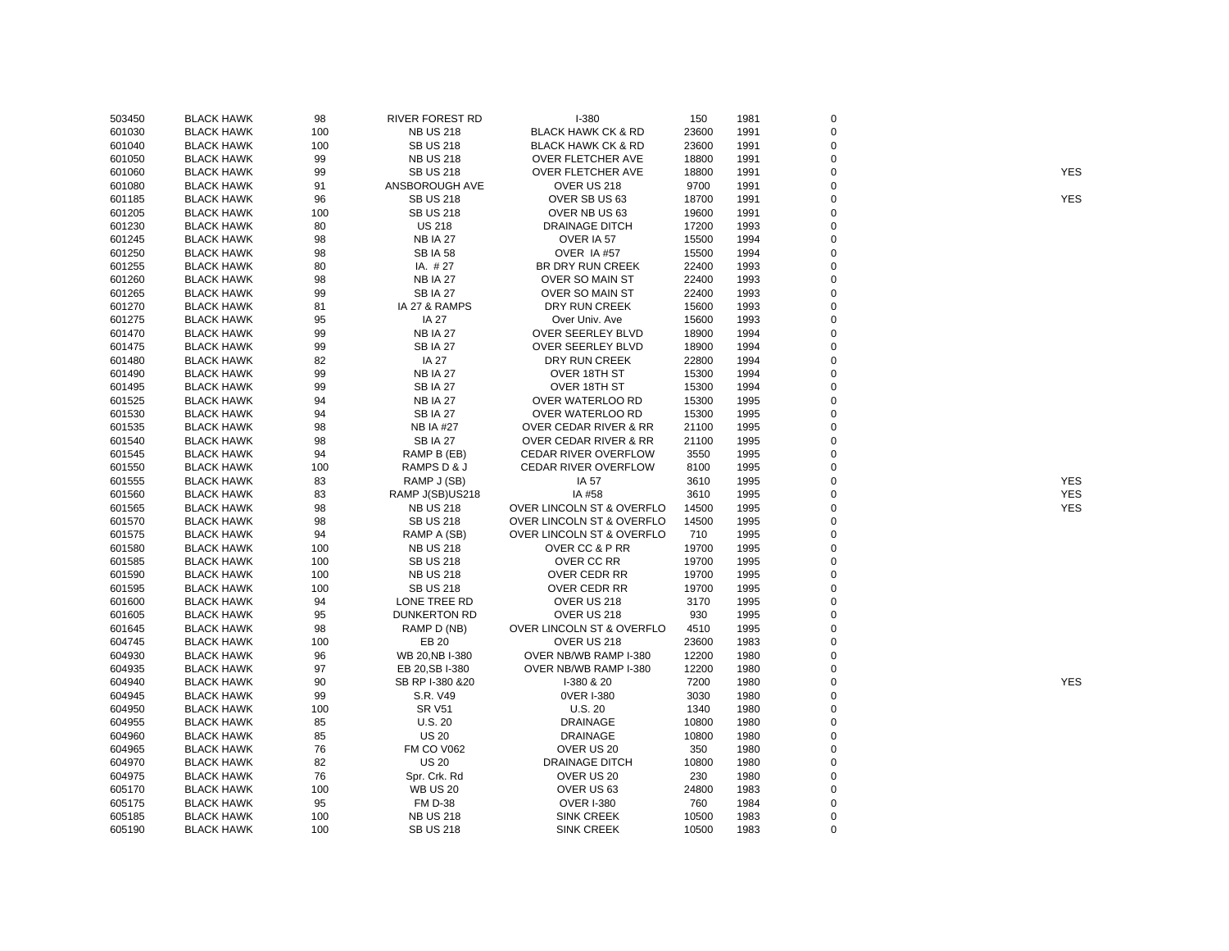| 503450 | <b>BLACK HAWK</b> | 98  | RIVER FOREST RD     | $I-380$                          | 150   | 1981 | 0           |            |
|--------|-------------------|-----|---------------------|----------------------------------|-------|------|-------------|------------|
| 601030 | <b>BLACK HAWK</b> | 100 | <b>NB US 218</b>    | <b>BLACK HAWK CK &amp; RD</b>    | 23600 | 1991 | $\pmb{0}$   |            |
| 601040 | <b>BLACK HAWK</b> | 100 | <b>SB US 218</b>    | <b>BLACK HAWK CK &amp; RD</b>    | 23600 | 1991 | $\pmb{0}$   |            |
| 601050 | <b>BLACK HAWK</b> | 99  | <b>NB US 218</b>    | <b>OVER FLETCHER AVE</b>         | 18800 | 1991 | 0           |            |
| 601060 | <b>BLACK HAWK</b> | 99  | <b>SB US 218</b>    | <b>OVER FLETCHER AVE</b>         | 18800 | 1991 | 0           | <b>YES</b> |
| 601080 | <b>BLACK HAWK</b> | 91  | ANSBOROUGH AVE      | OVER US 218                      | 9700  | 1991 | 0           |            |
| 601185 | <b>BLACK HAWK</b> | 96  | <b>SB US 218</b>    | OVER SB US 63                    | 18700 | 1991 | 0           | <b>YES</b> |
| 601205 | <b>BLACK HAWK</b> | 100 | <b>SB US 218</b>    | OVER NB US 63                    | 19600 | 1991 | 0           |            |
| 601230 | <b>BLACK HAWK</b> | 80  | <b>US 218</b>       | DRAINAGE DITCH                   | 17200 | 1993 | 0           |            |
| 601245 | <b>BLACK HAWK</b> | 98  | <b>NB IA 27</b>     | OVER IA 57                       | 15500 | 1994 | $\mathbf 0$ |            |
| 601250 | <b>BLACK HAWK</b> | 98  | <b>SB IA 58</b>     | OVER IA #57                      | 15500 | 1994 | 0           |            |
| 601255 | <b>BLACK HAWK</b> | 80  | IA. #27             | <b>BR DRY RUN CREEK</b>          | 22400 | 1993 | $\mathbf 0$ |            |
| 601260 | <b>BLACK HAWK</b> | 98  | <b>NB IA 27</b>     | <b>OVER SO MAIN ST</b>           | 22400 | 1993 | 0           |            |
| 601265 | <b>BLACK HAWK</b> | 99  | <b>SB IA 27</b>     | OVER SO MAIN ST                  | 22400 | 1993 | 0           |            |
| 601270 | <b>BLACK HAWK</b> | 81  | IA 27 & RAMPS       | DRY RUN CREEK                    | 15600 | 1993 | $\mathbf 0$ |            |
| 601275 | <b>BLACK HAWK</b> | 95  | <b>IA 27</b>        | Over Univ. Ave                   | 15600 | 1993 | 0           |            |
| 601470 | <b>BLACK HAWK</b> | 99  | <b>NB IA 27</b>     | <b>OVER SEERLEY BLVD</b>         | 18900 | 1994 | 0           |            |
| 601475 | <b>BLACK HAWK</b> | 99  | <b>SBIA 27</b>      | OVER SEERLEY BLVD                | 18900 | 1994 | $\mathbf 0$ |            |
| 601480 | <b>BLACK HAWK</b> | 82  | <b>IA 27</b>        | DRY RUN CREEK                    | 22800 | 1994 | $\mathbf 0$ |            |
| 601490 | <b>BLACK HAWK</b> | 99  | <b>NB IA 27</b>     | OVER 18TH ST                     | 15300 | 1994 | $\mathbf 0$ |            |
| 601495 | <b>BLACK HAWK</b> | 99  | <b>SB IA 27</b>     | OVER 18TH ST                     | 15300 | 1994 | 0           |            |
| 601525 | <b>BLACK HAWK</b> | 94  | <b>NB IA 27</b>     | OVER WATERLOO RD                 | 15300 | 1995 | $\mathbf 0$ |            |
| 601530 | <b>BLACK HAWK</b> | 94  | <b>SB IA 27</b>     | OVER WATERLOO RD                 | 15300 | 1995 | 0           |            |
| 601535 | <b>BLACK HAWK</b> | 98  | <b>NB IA #27</b>    | OVER CEDAR RIVER & RR            | 21100 | 1995 | $\mathbf 0$ |            |
|        | <b>BLACK HAWK</b> |     | <b>SBIA 27</b>      | <b>OVER CEDAR RIVER &amp; RR</b> |       | 1995 | 0           |            |
| 601540 |                   | 98  |                     |                                  | 21100 |      |             |            |
| 601545 | <b>BLACK HAWK</b> | 94  | RAMP B (EB)         | <b>CEDAR RIVER OVERFLOW</b>      | 3550  | 1995 | 0           |            |
| 601550 | <b>BLACK HAWK</b> | 100 | RAMPS D & J         | CEDAR RIVER OVERFLOW             | 8100  | 1995 | $\mathbf 0$ |            |
| 601555 | <b>BLACK HAWK</b> | 83  | RAMP J (SB)         | IA 57                            | 3610  | 1995 | 0           | <b>YES</b> |
| 601560 | <b>BLACK HAWK</b> | 83  | RAMP J(SB)US218     | IA #58                           | 3610  | 1995 | $\mathbf 0$ | <b>YES</b> |
| 601565 | <b>BLACK HAWK</b> | 98  | <b>NB US 218</b>    | OVER LINCOLN ST & OVERFLO        | 14500 | 1995 | 0           | <b>YES</b> |
| 601570 | <b>BLACK HAWK</b> | 98  | <b>SB US 218</b>    | OVER LINCOLN ST & OVERFLO        | 14500 | 1995 | $\mathbf 0$ |            |
| 601575 | <b>BLACK HAWK</b> | 94  | RAMP A (SB)         | OVER LINCOLN ST & OVERFLO        | 710   | 1995 | 0           |            |
| 601580 | <b>BLACK HAWK</b> | 100 | <b>NB US 218</b>    | OVER CC & P RR                   | 19700 | 1995 | 0           |            |
| 601585 | <b>BLACK HAWK</b> | 100 | <b>SB US 218</b>    | OVER CC RR                       | 19700 | 1995 | 0           |            |
| 601590 | <b>BLACK HAWK</b> | 100 | <b>NB US 218</b>    | OVER CEDR RR                     | 19700 | 1995 | 0           |            |
| 601595 | <b>BLACK HAWK</b> | 100 | <b>SB US 218</b>    | OVER CEDR RR                     | 19700 | 1995 | 0           |            |
| 601600 | <b>BLACK HAWK</b> | 94  | LONE TREE RD        | OVER US 218                      | 3170  | 1995 | $\mathbf 0$ |            |
| 601605 | <b>BLACK HAWK</b> | 95  | <b>DUNKERTON RD</b> | OVER US 218                      | 930   | 1995 | 0           |            |
| 601645 | <b>BLACK HAWK</b> | 98  | RAMP D (NB)         | OVER LINCOLN ST & OVERFLO        | 4510  | 1995 | 0           |            |
| 604745 | <b>BLACK HAWK</b> | 100 | EB 20               | OVER US 218                      | 23600 | 1983 | $\mathbf 0$ |            |
| 604930 | <b>BLACK HAWK</b> | 96  | WB 20, NB I-380     | OVER NB/WB RAMP I-380            | 12200 | 1980 | 0           |            |
| 604935 | <b>BLACK HAWK</b> | 97  | EB 20, SB I-380     | OVER NB/WB RAMP I-380            | 12200 | 1980 | 0           |            |
| 604940 | <b>BLACK HAWK</b> | 90  | SB RP I-380 &20     | I-380 & 20                       | 7200  | 1980 | $\mathbf 0$ | <b>YES</b> |
| 604945 | <b>BLACK HAWK</b> | 99  | S.R. V49            | 0VER I-380                       | 3030  | 1980 | 0           |            |
| 604950 | <b>BLACK HAWK</b> | 100 | <b>SR V51</b>       | U.S.20                           | 1340  | 1980 | $\mathbf 0$ |            |
| 604955 | <b>BLACK HAWK</b> | 85  | <b>U.S. 20</b>      | <b>DRAINAGE</b>                  | 10800 | 1980 | 0           |            |
| 604960 | <b>BLACK HAWK</b> | 85  | <b>US 20</b>        | <b>DRAINAGE</b>                  | 10800 | 1980 | $\mathbf 0$ |            |
| 604965 | <b>BLACK HAWK</b> | 76  | <b>FM CO V062</b>   | OVER US 20                       | 350   | 1980 | 0           |            |
| 604970 | <b>BLACK HAWK</b> | 82  | <b>US 20</b>        | DRAINAGE DITCH                   | 10800 | 1980 | $\pmb{0}$   |            |
| 604975 | <b>BLACK HAWK</b> | 76  | Spr. Crk. Rd        | OVER US 20                       | 230   | 1980 | 0           |            |
| 605170 | <b>BLACK HAWK</b> | 100 | <b>WB US 20</b>     | OVER US 63                       | 24800 | 1983 | 0           |            |
| 605175 | <b>BLACK HAWK</b> | 95  | <b>FM D-38</b>      | <b>OVER I-380</b>                | 760   | 1984 | $\mathbf 0$ |            |
| 605185 | <b>BLACK HAWK</b> | 100 | <b>NB US 218</b>    | <b>SINK CREEK</b>                | 10500 | 1983 | 0           |            |
| 605190 | <b>BLACK HAWK</b> | 100 | <b>SB US 218</b>    | <b>SINK CREEK</b>                | 10500 | 1983 | $\Omega$    |            |
|        |                   |     |                     |                                  |       |      |             |            |

YES YES

YES<br>YES<br>YES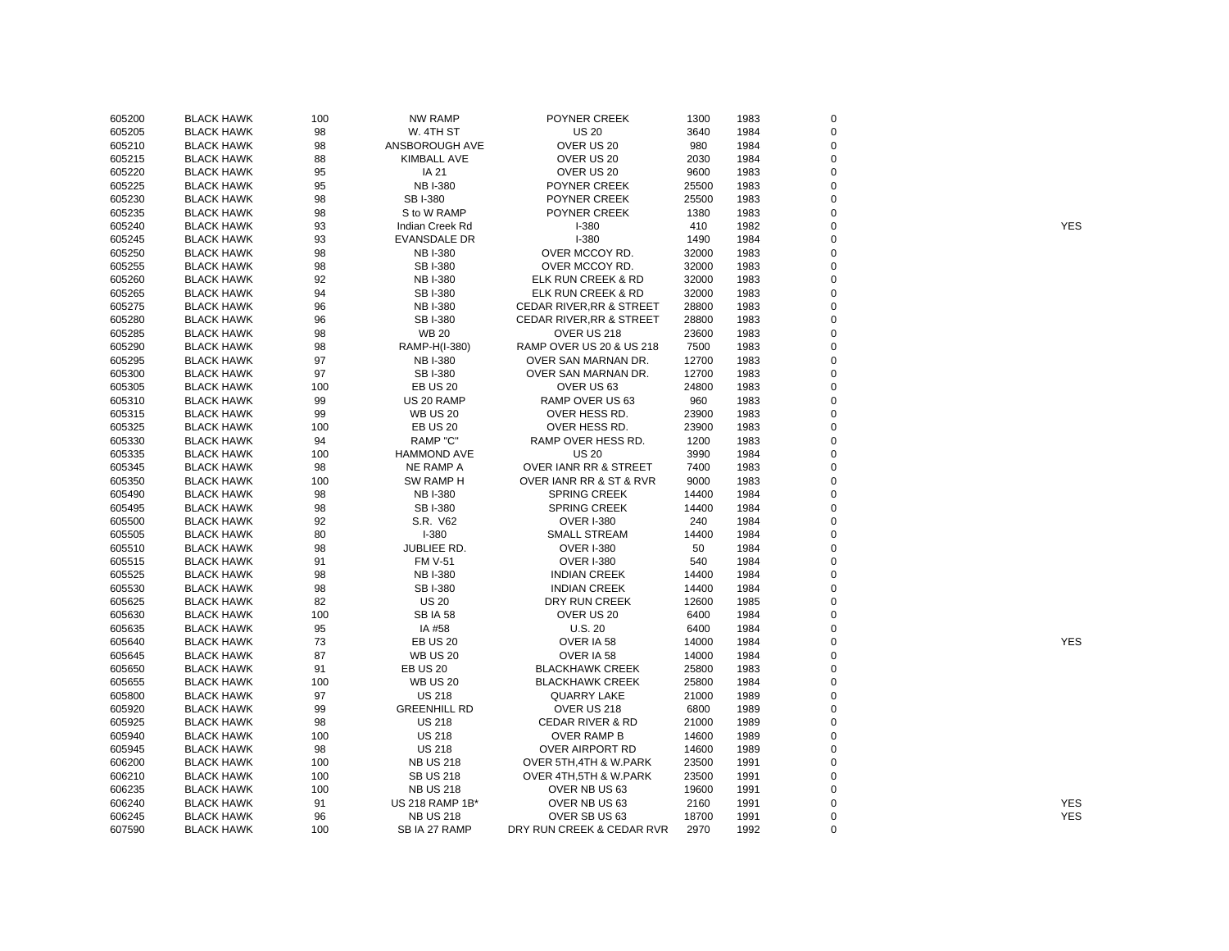| 605200 | <b>BLACK HAWK</b> | 100 | NW RAMP             | POYNER CREEK                        | 1300  | 1983 | 0           |            |
|--------|-------------------|-----|---------------------|-------------------------------------|-------|------|-------------|------------|
| 605205 | <b>BLACK HAWK</b> | 98  | W. 4TH ST           | <b>US 20</b>                        | 3640  | 1984 | $\mathbf 0$ |            |
| 605210 | <b>BLACK HAWK</b> | 98  | ANSBOROUGH AVE      | OVER US 20                          | 980   | 1984 | $\pmb{0}$   |            |
| 605215 | <b>BLACK HAWK</b> | 88  | <b>KIMBALL AVE</b>  | OVER US 20                          | 2030  | 1984 | 0           |            |
| 605220 | <b>BLACK HAWK</b> | 95  | IA 21               | OVER US 20                          | 9600  | 1983 | $\mathbf 0$ |            |
| 605225 | <b>BLACK HAWK</b> | 95  | <b>NB I-380</b>     | POYNER CREEK                        | 25500 | 1983 | 0           |            |
| 605230 | <b>BLACK HAWK</b> | 98  | <b>SBI-380</b>      | POYNER CREEK                        | 25500 | 1983 | 0           |            |
| 605235 | <b>BLACK HAWK</b> | 98  | S to W RAMP         | POYNER CREEK                        | 1380  | 1983 | $\mathbf 0$ |            |
| 605240 | <b>BLACK HAWK</b> | 93  | Indian Creek Rd     | $I-380$                             | 410   | 1982 | 0           | <b>YES</b> |
| 605245 | <b>BLACK HAWK</b> | 93  | EVANSDALE DR        | $I-380$                             | 1490  | 1984 | 0           |            |
| 605250 | <b>BLACK HAWK</b> | 98  | <b>NB I-380</b>     | OVER MCCOY RD.                      | 32000 | 1983 | 0           |            |
| 605255 | <b>BLACK HAWK</b> | 98  | SB I-380            | OVER MCCOY RD.                      | 32000 | 1983 | $\mathbf 0$ |            |
| 605260 | <b>BLACK HAWK</b> | 92  | <b>NB I-380</b>     | ELK RUN CREEK & RD                  | 32000 | 1983 | $\mathbf 0$ |            |
| 605265 | <b>BLACK HAWK</b> | 94  | SB I-380            | ELK RUN CREEK & RD                  | 32000 | 1983 | $\mathbf 0$ |            |
| 605275 | <b>BLACK HAWK</b> | 96  | <b>NB I-380</b>     | <b>CEDAR RIVER, RR &amp; STREET</b> | 28800 | 1983 | 0           |            |
| 605280 | <b>BLACK HAWK</b> | 96  | SB I-380            | <b>CEDAR RIVER, RR &amp; STREET</b> | 28800 | 1983 | 0           |            |
| 605285 | <b>BLACK HAWK</b> | 98  | <b>WB 20</b>        | OVER US 218                         | 23600 | 1983 | $\mathbf 0$ |            |
| 605290 | <b>BLACK HAWK</b> | 98  | RAMP-H(I-380)       | RAMP OVER US 20 & US 218            | 7500  | 1983 | 0           |            |
| 605295 | <b>BLACK HAWK</b> | 97  | <b>NB I-380</b>     | OVER SAN MARNAN DR.                 | 12700 | 1983 | $\mathbf 0$ |            |
| 605300 | <b>BLACK HAWK</b> | 97  | SB I-380            | OVER SAN MARNAN DR.                 | 12700 | 1983 | 0           |            |
| 605305 | <b>BLACK HAWK</b> | 100 | <b>EB US 20</b>     | OVER US 63                          | 24800 | 1983 | $\mathbf 0$ |            |
| 605310 | <b>BLACK HAWK</b> | 99  | US 20 RAMP          | RAMP OVER US 63                     | 960   | 1983 | 0           |            |
| 605315 | <b>BLACK HAWK</b> | 99  | <b>WB US 20</b>     | OVER HESS RD.                       | 23900 | 1983 | $\mathbf 0$ |            |
|        |                   |     | <b>EB US 20</b>     | OVER HESS RD.                       |       |      | 0           |            |
| 605325 | <b>BLACK HAWK</b> | 100 | RAMP "C"            |                                     | 23900 | 1983 | $\pmb{0}$   |            |
| 605330 | <b>BLACK HAWK</b> | 94  |                     | RAMP OVER HESS RD.                  | 1200  | 1983 |             |            |
| 605335 | <b>BLACK HAWK</b> | 100 | <b>HAMMOND AVE</b>  | <b>US 20</b>                        | 3990  | 1984 | $\pmb{0}$   |            |
| 605345 | <b>BLACK HAWK</b> | 98  | NE RAMP A           | OVER IANR RR & STREET               | 7400  | 1983 | 0           |            |
| 605350 | <b>BLACK HAWK</b> | 100 | SW RAMP H           | OVER IANR RR & ST & RVR             | 9000  | 1983 | $\pmb{0}$   |            |
| 605490 | <b>BLACK HAWK</b> | 98  | <b>NB I-380</b>     | <b>SPRING CREEK</b>                 | 14400 | 1984 | 0           |            |
| 605495 | <b>BLACK HAWK</b> | 98  | SB I-380            | <b>SPRING CREEK</b>                 | 14400 | 1984 | $\mathbf 0$ |            |
| 605500 | <b>BLACK HAWK</b> | 92  | S.R. V62            | <b>OVER I-380</b>                   | 240   | 1984 | $\pmb{0}$   |            |
| 605505 | <b>BLACK HAWK</b> | 80  | $I-380$             | <b>SMALL STREAM</b>                 | 14400 | 1984 | $\pmb{0}$   |            |
| 605510 | <b>BLACK HAWK</b> | 98  | JUBLIEE RD.         | <b>OVER I-380</b>                   | 50    | 1984 | 0           |            |
| 605515 | <b>BLACK HAWK</b> | 91  | <b>FM V-51</b>      | <b>OVER I-380</b>                   | 540   | 1984 | 0           |            |
| 605525 | <b>BLACK HAWK</b> | 98  | <b>NB I-380</b>     | <b>INDIAN CREEK</b>                 | 14400 | 1984 | $\mathbf 0$ |            |
| 605530 | <b>BLACK HAWK</b> | 98  | SB I-380            | <b>INDIAN CREEK</b>                 | 14400 | 1984 | 0           |            |
| 605625 | <b>BLACK HAWK</b> | 82  | <b>US 20</b>        | DRY RUN CREEK                       | 12600 | 1985 | $\pmb{0}$   |            |
| 605630 | <b>BLACK HAWK</b> | 100 | <b>SB IA 58</b>     | OVER US 20                          | 6400  | 1984 | 0           |            |
| 605635 | <b>BLACK HAWK</b> | 95  | IA #58              | U.S.20                              | 6400  | 1984 | 0           |            |
| 605640 | <b>BLACK HAWK</b> | 73  | <b>EB US 20</b>     | OVER IA 58                          | 14000 | 1984 | 0           | <b>YES</b> |
| 605645 | <b>BLACK HAWK</b> | 87  | <b>WB US 20</b>     | OVER IA 58                          | 14000 | 1984 | $\mathbf 0$ |            |
| 605650 | <b>BLACK HAWK</b> | 91  | <b>EB US 20</b>     | <b>BLACKHAWK CREEK</b>              | 25800 | 1983 | 0           |            |
| 605655 | <b>BLACK HAWK</b> | 100 | <b>WB US 20</b>     | <b>BLACKHAWK CREEK</b>              | 25800 | 1984 | $\pmb{0}$   |            |
| 605800 | <b>BLACK HAWK</b> | 97  | <b>US 218</b>       | <b>QUARRY LAKE</b>                  | 21000 | 1989 | $\pmb{0}$   |            |
| 605920 | <b>BLACK HAWK</b> | 99  | <b>GREENHILL RD</b> | OVER US 218                         | 6800  | 1989 | $\pmb{0}$   |            |
| 605925 | <b>BLACK HAWK</b> | 98  | <b>US 218</b>       | <b>CEDAR RIVER &amp; RD</b>         | 21000 | 1989 | $\mathbf 0$ |            |
| 605940 | <b>BLACK HAWK</b> | 100 | <b>US 218</b>       | OVER RAMP B                         | 14600 | 1989 | 0           |            |
| 605945 | <b>BLACK HAWK</b> | 98  | <b>US 218</b>       | OVER AIRPORT RD                     | 14600 | 1989 | 0           |            |
| 606200 | <b>BLACK HAWK</b> | 100 | <b>NB US 218</b>    | OVER 5TH, 4TH & W.PARK              | 23500 | 1991 | 0           |            |
| 606210 | <b>BLACK HAWK</b> | 100 | <b>SB US 218</b>    | OVER 4TH, 5TH & W.PARK              | 23500 | 1991 | $\pmb{0}$   |            |
| 606235 | <b>BLACK HAWK</b> | 100 | <b>NB US 218</b>    | OVER NB US 63                       | 19600 | 1991 | 0           |            |
| 606240 | <b>BLACK HAWK</b> | 91  | US 218 RAMP 1B*     | OVER NB US 63                       | 2160  | 1991 | 0           | <b>YES</b> |
| 606245 | <b>BLACK HAWK</b> | 96  | <b>NB US 218</b>    | OVER SB US 63                       | 18700 | 1991 | $\mathbf 0$ | <b>YES</b> |
| 607590 | <b>BLACK HAWK</b> | 100 | SB IA 27 RAMP       | DRY RUN CREEK & CEDAR RVR           | 2970  | 1992 | $\mathbf 0$ |            |
|        |                   |     |                     |                                     |       |      |             |            |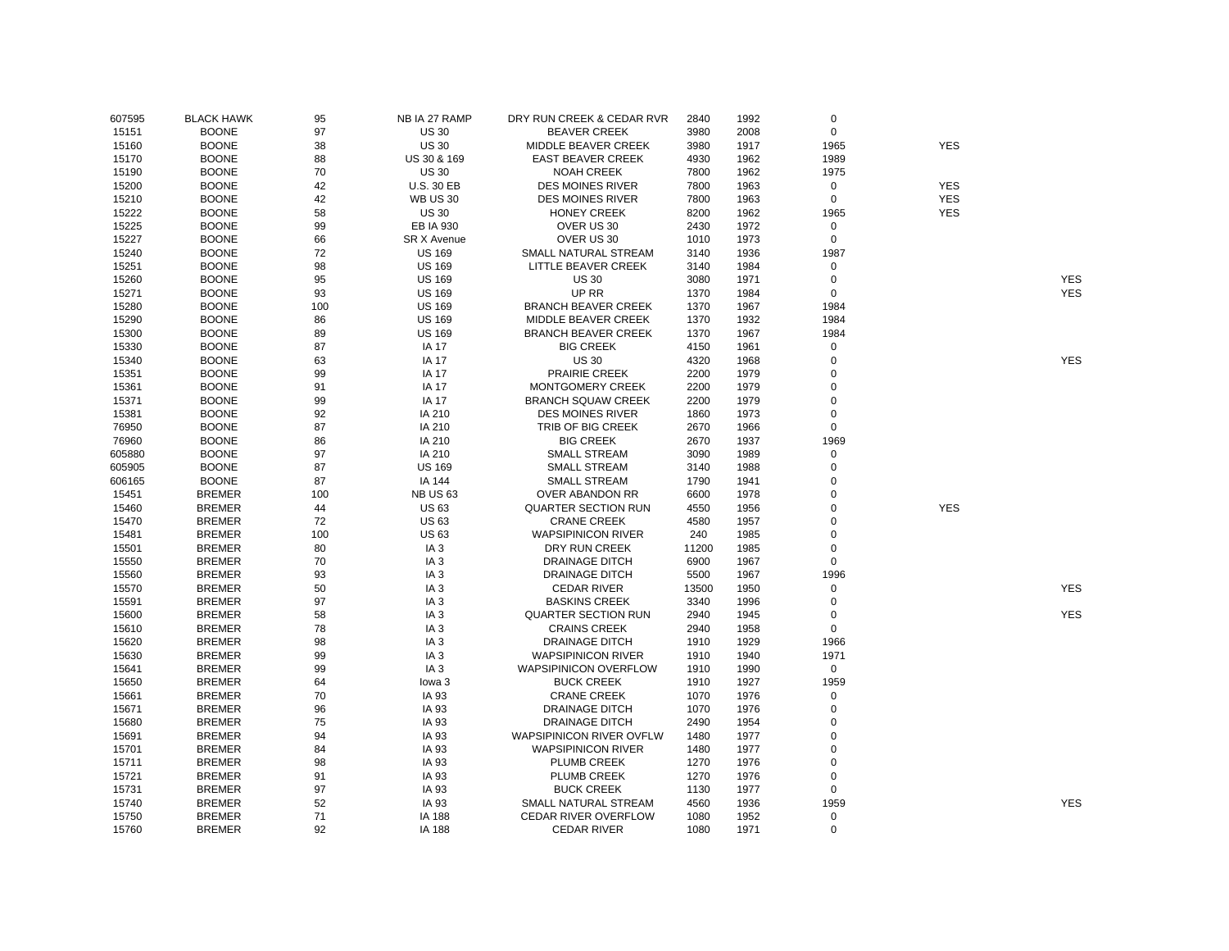| 607595 | <b>BLACK HAWK</b> | 95  | NB IA 27 RAMP      | DRY RUN CREEK & CEDAR RVR    | 2840  | 1992 | 0              |            |            |
|--------|-------------------|-----|--------------------|------------------------------|-------|------|----------------|------------|------------|
| 15151  | <b>BOONE</b>      | 97  | <b>US30</b>        | <b>BEAVER CREEK</b>          | 3980  | 2008 | $\mathbf 0$    |            |            |
| 15160  | <b>BOONE</b>      | 38  | <b>US 30</b>       | MIDDLE BEAVER CREEK          | 3980  | 1917 | 1965           | <b>YES</b> |            |
| 15170  | <b>BOONE</b>      | 88  | US 30 & 169        | <b>EAST BEAVER CREEK</b>     | 4930  | 1962 | 1989           |            |            |
| 15190  | <b>BOONE</b>      | 70  | <b>US 30</b>       | <b>NOAH CREEK</b>            | 7800  | 1962 | 1975           |            |            |
| 15200  | <b>BOONE</b>      | 42  | <b>U.S. 30 EB</b>  | <b>DES MOINES RIVER</b>      | 7800  | 1963 | $\mathsf 0$    | <b>YES</b> |            |
| 15210  | <b>BOONE</b>      | 42  | <b>WB US 30</b>    | <b>DES MOINES RIVER</b>      | 7800  | 1963 | 0              | <b>YES</b> |            |
| 15222  | <b>BOONE</b>      | 58  | <b>US 30</b>       | <b>HONEY CREEK</b>           | 8200  | 1962 | 1965           | <b>YES</b> |            |
| 15225  | <b>BOONE</b>      | 99  | EB IA 930          | OVER US 30                   | 2430  | 1972 | 0              |            |            |
| 15227  | <b>BOONE</b>      | 66  | <b>SR X Avenue</b> | OVER US 30                   | 1010  | 1973 | $\mathbf 0$    |            |            |
| 15240  | <b>BOONE</b>      | 72  | <b>US 169</b>      | SMALL NATURAL STREAM         | 3140  | 1936 | 1987           |            |            |
| 15251  | <b>BOONE</b>      | 98  | <b>US 169</b>      | LITTLE BEAVER CREEK          | 3140  | 1984 | 0              |            |            |
| 15260  | <b>BOONE</b>      | 95  | <b>US 169</b>      | <b>US 30</b>                 | 3080  | 1971 | 0              |            | <b>YES</b> |
| 15271  | <b>BOONE</b>      | 93  | <b>US 169</b>      | UP RR                        | 1370  | 1984 | $\mathsf 0$    |            | <b>YES</b> |
| 15280  | <b>BOONE</b>      | 100 | <b>US 169</b>      | <b>BRANCH BEAVER CREEK</b>   | 1370  | 1967 | 1984           |            |            |
| 15290  | <b>BOONE</b>      | 86  | <b>US 169</b>      | MIDDLE BEAVER CREEK          | 1370  | 1932 | 1984           |            |            |
| 15300  | <b>BOONE</b>      | 89  | <b>US 169</b>      | <b>BRANCH BEAVER CREEK</b>   | 1370  | 1967 | 1984           |            |            |
| 15330  | <b>BOONE</b>      | 87  | <b>IA 17</b>       | <b>BIG CREEK</b>             | 4150  | 1961 | 0              |            |            |
| 15340  | <b>BOONE</b>      | 63  | <b>IA 17</b>       | <b>US 30</b>                 | 4320  | 1968 | $\mathbf 0$    |            | <b>YES</b> |
| 15351  | <b>BOONE</b>      | 99  | <b>IA 17</b>       | <b>PRAIRIE CREEK</b>         | 2200  | 1979 | $\mathbf 0$    |            |            |
| 15361  | <b>BOONE</b>      | 91  | <b>IA 17</b>       | MONTGOMERY CREEK             | 2200  | 1979 | $\mathbf 0$    |            |            |
| 15371  | <b>BOONE</b>      | 99  | <b>IA 17</b>       | <b>BRANCH SQUAW CREEK</b>    | 2200  | 1979 | 0              |            |            |
|        | <b>BOONE</b>      | 92  |                    | <b>DES MOINES RIVER</b>      | 1860  | 1973 | $\mathsf 0$    |            |            |
| 15381  |                   | 87  | IA 210             |                              |       |      | 0              |            |            |
| 76950  | <b>BOONE</b>      |     | IA 210             | TRIB OF BIG CREEK            | 2670  | 1966 |                |            |            |
| 76960  | <b>BOONE</b>      | 86  | IA 210             | <b>BIG CREEK</b>             | 2670  | 1937 | 1969           |            |            |
| 605880 | <b>BOONE</b>      | 97  | IA 210             | <b>SMALL STREAM</b>          | 3090  | 1989 | $\mathsf 0$    |            |            |
| 605905 | <b>BOONE</b>      | 87  | <b>US 169</b>      | <b>SMALL STREAM</b>          | 3140  | 1988 | 0              |            |            |
| 606165 | <b>BOONE</b>      | 87  | IA 144             | <b>SMALL STREAM</b>          | 1790  | 1941 | 0              |            |            |
| 15451  | <b>BREMER</b>     | 100 | <b>NB US 63</b>    | OVER ABANDON RR              | 6600  | 1978 | 0              |            |            |
| 15460  | <b>BREMER</b>     | 44  | <b>US63</b>        | <b>QUARTER SECTION RUN</b>   | 4550  | 1956 | $\overline{0}$ | <b>YES</b> |            |
| 15470  | <b>BREMER</b>     | 72  | <b>US63</b>        | <b>CRANE CREEK</b>           | 4580  | 1957 | $\mathbf 0$    |            |            |
| 15481  | <b>BREMER</b>     | 100 | <b>US63</b>        | <b>WAPSIPINICON RIVER</b>    | 240   | 1985 | 0              |            |            |
| 15501  | <b>BREMER</b>     | 80  | IA <sub>3</sub>    | DRY RUN CREEK                | 11200 | 1985 | 0              |            |            |
| 15550  | <b>BREMER</b>     | 70  | IA <sub>3</sub>    | <b>DRAINAGE DITCH</b>        | 6900  | 1967 | 0              |            |            |
| 15560  | <b>BREMER</b>     | 93  | IA <sub>3</sub>    | <b>DRAINAGE DITCH</b>        | 5500  | 1967 | 1996           |            |            |
| 15570  | <b>BREMER</b>     | 50  | IA <sub>3</sub>    | <b>CEDAR RIVER</b>           | 13500 | 1950 | 0              |            | <b>YES</b> |
| 15591  | <b>BREMER</b>     | 97  | IA <sub>3</sub>    | <b>BASKINS CREEK</b>         | 3340  | 1996 | 0              |            |            |
| 15600  | <b>BREMER</b>     | 58  | IA <sub>3</sub>    | <b>QUARTER SECTION RUN</b>   | 2940  | 1945 | 0              |            | <b>YES</b> |
| 15610  | <b>BREMER</b>     | 78  | IA <sub>3</sub>    | <b>CRAINS CREEK</b>          | 2940  | 1958 | 0              |            |            |
| 15620  | <b>BREMER</b>     | 98  | IA <sub>3</sub>    | <b>DRAINAGE DITCH</b>        | 1910  | 1929 | 1966           |            |            |
| 15630  | <b>BREMER</b>     | 99  | IA <sub>3</sub>    | <b>WAPSIPINICON RIVER</b>    | 1910  | 1940 | 1971           |            |            |
| 15641  | <b>BREMER</b>     | 99  | IA <sub>3</sub>    | <b>WAPSIPINICON OVERFLOW</b> | 1910  | 1990 | $\mathsf 0$    |            |            |
| 15650  | <b>BREMER</b>     | 64  | lowa <sub>3</sub>  | <b>BUCK CREEK</b>            | 1910  | 1927 | 1959           |            |            |
| 15661  | <b>BREMER</b>     | 70  | IA 93              | <b>CRANE CREEK</b>           | 1070  | 1976 | 0              |            |            |
| 15671  | <b>BREMER</b>     | 96  | IA 93              | <b>DRAINAGE DITCH</b>        | 1070  | 1976 | $\mathbf 0$    |            |            |
| 15680  | <b>BREMER</b>     | 75  | IA 93              | <b>DRAINAGE DITCH</b>        | 2490  | 1954 | 0              |            |            |
| 15691  | <b>BREMER</b>     | 94  | IA 93              | WAPSIPINICON RIVER OVFLW     | 1480  | 1977 | $\mathbf 0$    |            |            |
| 15701  | <b>BREMER</b>     | 84  | IA 93              | <b>WAPSIPINICON RIVER</b>    | 1480  | 1977 | 0              |            |            |
| 15711  | <b>BREMER</b>     | 98  | IA 93              | PLUMB CREEK                  | 1270  | 1976 | 0              |            |            |
| 15721  | <b>BREMER</b>     | 91  | IA 93              | PLUMB CREEK                  | 1270  | 1976 | 0              |            |            |
| 15731  | <b>BREMER</b>     | 97  | IA 93              | <b>BUCK CREEK</b>            | 1130  | 1977 | 0              |            |            |
| 15740  | <b>BREMER</b>     | 52  | IA 93              | SMALL NATURAL STREAM         | 4560  | 1936 | 1959           |            | <b>YES</b> |
| 15750  | <b>BREMER</b>     | 71  | IA 188             | <b>CEDAR RIVER OVERFLOW</b>  | 1080  | 1952 | 0              |            |            |
| 15760  | <b>BREMER</b>     | 92  | IA 188             | <b>CEDAR RIVER</b>           | 1080  | 1971 | $\mathbf 0$    |            |            |
|        |                   |     |                    |                              |       |      |                |            |            |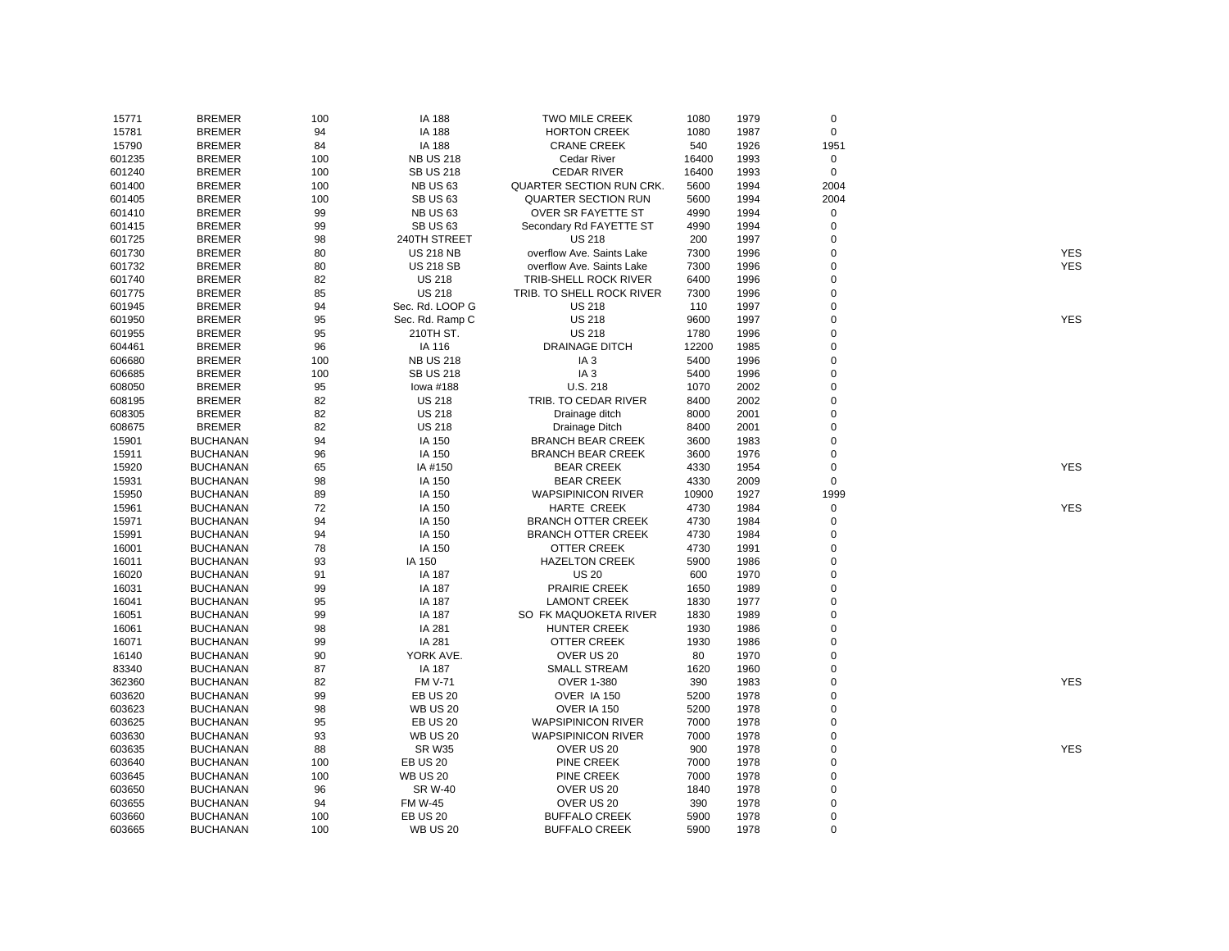| 15771  | <b>BREMER</b>   | 100 | IA 188           | <b>TWO MILE CREEK</b>           | 1080  | 1979 | $\mathbf 0$    |            |
|--------|-----------------|-----|------------------|---------------------------------|-------|------|----------------|------------|
| 15781  | <b>BREMER</b>   | 94  | IA 188           | <b>HORTON CREEK</b>             | 1080  | 1987 | $\mathsf 0$    |            |
| 15790  | <b>BREMER</b>   | 84  | IA 188           | <b>CRANE CREEK</b>              | 540   | 1926 | 1951           |            |
| 601235 | <b>BREMER</b>   | 100 | <b>NB US 218</b> | <b>Cedar River</b>              | 16400 | 1993 | $\pmb{0}$      |            |
| 601240 | <b>BREMER</b>   | 100 | <b>SB US 218</b> | <b>CEDAR RIVER</b>              | 16400 | 1993 | $\mathsf 0$    |            |
| 601400 | <b>BREMER</b>   | 100 | <b>NB US 63</b>  | <b>QUARTER SECTION RUN CRK.</b> | 5600  | 1994 | 2004           |            |
| 601405 | <b>BREMER</b>   | 100 | <b>SB US 63</b>  | QUARTER SECTION RUN             | 5600  | 1994 | 2004           |            |
| 601410 | <b>BREMER</b>   | 99  | <b>NB US 63</b>  | <b>OVER SR FAYETTE ST</b>       | 4990  | 1994 | 0              |            |
| 601415 | <b>BREMER</b>   | 99  | <b>SB US 63</b>  | Secondary Rd FAYETTE ST         | 4990  | 1994 | 0              |            |
| 601725 | <b>BREMER</b>   | 98  | 240TH STREET     | <b>US 218</b>                   | 200   | 1997 | 0              |            |
| 601730 | <b>BREMER</b>   | 80  | <b>US 218 NB</b> | overflow Ave. Saints Lake       | 7300  | 1996 | 0              | <b>YES</b> |
| 601732 | <b>BREMER</b>   | 80  | <b>US 218 SB</b> | overflow Ave. Saints Lake       | 7300  | 1996 | 0              | <b>YES</b> |
| 601740 | <b>BREMER</b>   | 82  | <b>US 218</b>    | TRIB-SHELL ROCK RIVER           | 6400  | 1996 | 0              |            |
| 601775 | <b>BREMER</b>   | 85  | <b>US 218</b>    | TRIB. TO SHELL ROCK RIVER       | 7300  | 1996 | 0              |            |
| 601945 | <b>BREMER</b>   | 94  | Sec. Rd. LOOP G  | <b>US 218</b>                   | 110   | 1997 | 0              |            |
| 601950 | <b>BREMER</b>   | 95  | Sec. Rd. Ramp C  | <b>US 218</b>                   | 9600  | 1997 | 0              | <b>YES</b> |
| 601955 | <b>BREMER</b>   | 95  | 210TH ST.        | <b>US 218</b>                   | 1780  | 1996 | 0              |            |
| 604461 | <b>BREMER</b>   | 96  | IA 116           | <b>DRAINAGE DITCH</b>           | 12200 | 1985 | 0              |            |
| 606680 | <b>BREMER</b>   | 100 | <b>NB US 218</b> | IA <sub>3</sub>                 | 5400  | 1996 | 0              |            |
| 606685 | <b>BREMER</b>   | 100 | <b>SB US 218</b> | IA <sub>3</sub>                 | 5400  | 1996 | 0              |            |
| 608050 | <b>BREMER</b>   | 95  | lowa #188        | U.S. 218                        | 1070  | 2002 | $\overline{0}$ |            |
| 608195 | <b>BREMER</b>   | 82  | <b>US 218</b>    | TRIB. TO CEDAR RIVER            | 8400  | 2002 | 0              |            |
| 608305 | <b>BREMER</b>   | 82  | <b>US 218</b>    |                                 | 8000  | 2001 | 0              |            |
| 608675 | <b>BREMER</b>   | 82  | <b>US 218</b>    | Drainage ditch                  | 8400  | 2001 | 0              |            |
|        |                 |     |                  | Drainage Ditch                  |       |      |                |            |
| 15901  | <b>BUCHANAN</b> | 94  | IA 150           | <b>BRANCH BEAR CREEK</b>        | 3600  | 1983 | 0              |            |
| 15911  | <b>BUCHANAN</b> | 96  | IA 150           | <b>BRANCH BEAR CREEK</b>        | 3600  | 1976 | 0              |            |
| 15920  | <b>BUCHANAN</b> | 65  | IA #150          | <b>BEAR CREEK</b>               | 4330  | 1954 | 0              | <b>YES</b> |
| 15931  | <b>BUCHANAN</b> | 98  | IA 150           | <b>BEAR CREEK</b>               | 4330  | 2009 | $\mathsf 0$    |            |
| 15950  | <b>BUCHANAN</b> | 89  | IA 150           | <b>WAPSIPINICON RIVER</b>       | 10900 | 1927 | 1999           |            |
| 15961  | <b>BUCHANAN</b> | 72  | IA 150           | HARTE CREEK                     | 4730  | 1984 | $\pmb{0}$      | <b>YES</b> |
| 15971  | <b>BUCHANAN</b> | 94  | IA 150           | <b>BRANCH OTTER CREEK</b>       | 4730  | 1984 | 0              |            |
| 15991  | <b>BUCHANAN</b> | 94  | IA 150           | <b>BRANCH OTTER CREEK</b>       | 4730  | 1984 | 0              |            |
| 16001  | <b>BUCHANAN</b> | 78  | IA 150           | <b>OTTER CREEK</b>              | 4730  | 1991 | 0              |            |
| 16011  | <b>BUCHANAN</b> | 93  | IA 150           | <b>HAZELTON CREEK</b>           | 5900  | 1986 | 0              |            |
| 16020  | <b>BUCHANAN</b> | 91  | IA 187           | <b>US 20</b>                    | 600   | 1970 | 0              |            |
| 16031  | <b>BUCHANAN</b> | 99  | IA 187           | PRAIRIE CREEK                   | 1650  | 1989 | 0              |            |
| 16041  | <b>BUCHANAN</b> | 95  | IA 187           | <b>LAMONT CREEK</b>             | 1830  | 1977 | 0              |            |
| 16051  | <b>BUCHANAN</b> | 99  | IA 187           | SO FK MAQUOKETA RIVER           | 1830  | 1989 | 0              |            |
| 16061  | <b>BUCHANAN</b> | 98  | IA 281           | <b>HUNTER CREEK</b>             | 1930  | 1986 | 0              |            |
| 16071  | <b>BUCHANAN</b> | 99  | IA 281           | OTTER CREEK                     | 1930  | 1986 | 0              |            |
| 16140  | <b>BUCHANAN</b> | 90  | YORK AVE.        | OVER US 20                      | 80    | 1970 | 0              |            |
| 83340  | <b>BUCHANAN</b> | 87  | IA 187           | <b>SMALL STREAM</b>             | 1620  | 1960 | 0              |            |
| 362360 | <b>BUCHANAN</b> | 82  | <b>FM V-71</b>   | <b>OVER 1-380</b>               | 390   | 1983 | $\overline{0}$ | <b>YES</b> |
| 603620 | <b>BUCHANAN</b> | 99  | <b>EB US 20</b>  | OVER IA 150                     | 5200  | 1978 | 0              |            |
| 603623 | <b>BUCHANAN</b> | 98  | <b>WB US 20</b>  | OVER IA 150                     | 5200  | 1978 | $\overline{0}$ |            |
| 603625 | <b>BUCHANAN</b> | 95  | <b>EB US 20</b>  | <b>WAPSIPINICON RIVER</b>       | 7000  | 1978 | 0              |            |
| 603630 | <b>BUCHANAN</b> | 93  | <b>WB US 20</b>  | <b>WAPSIPINICON RIVER</b>       | 7000  | 1978 | 0              |            |
| 603635 | <b>BUCHANAN</b> | 88  | <b>SR W35</b>    | OVER US 20                      | 900   | 1978 | 0              | <b>YES</b> |
| 603640 | <b>BUCHANAN</b> | 100 | <b>EB US 20</b>  | <b>PINE CREEK</b>               | 7000  | 1978 | 0              |            |
| 603645 | <b>BUCHANAN</b> | 100 | <b>WB US 20</b>  | <b>PINE CREEK</b>               | 7000  | 1978 | 0              |            |
| 603650 | <b>BUCHANAN</b> | 96  | <b>SR W-40</b>   | OVER US 20                      | 1840  | 1978 | 0              |            |
| 603655 | <b>BUCHANAN</b> | 94  | <b>FM W-45</b>   | OVER US 20                      | 390   | 1978 | $\overline{0}$ |            |
| 603660 | <b>BUCHANAN</b> | 100 | <b>EB US 20</b>  | <b>BUFFALO CREEK</b>            | 5900  | 1978 | 0              |            |
| 603665 | <b>BUCHANAN</b> | 100 | <b>WB US 20</b>  | <b>BUFFALO CREEK</b>            | 5900  | 1978 | 0              |            |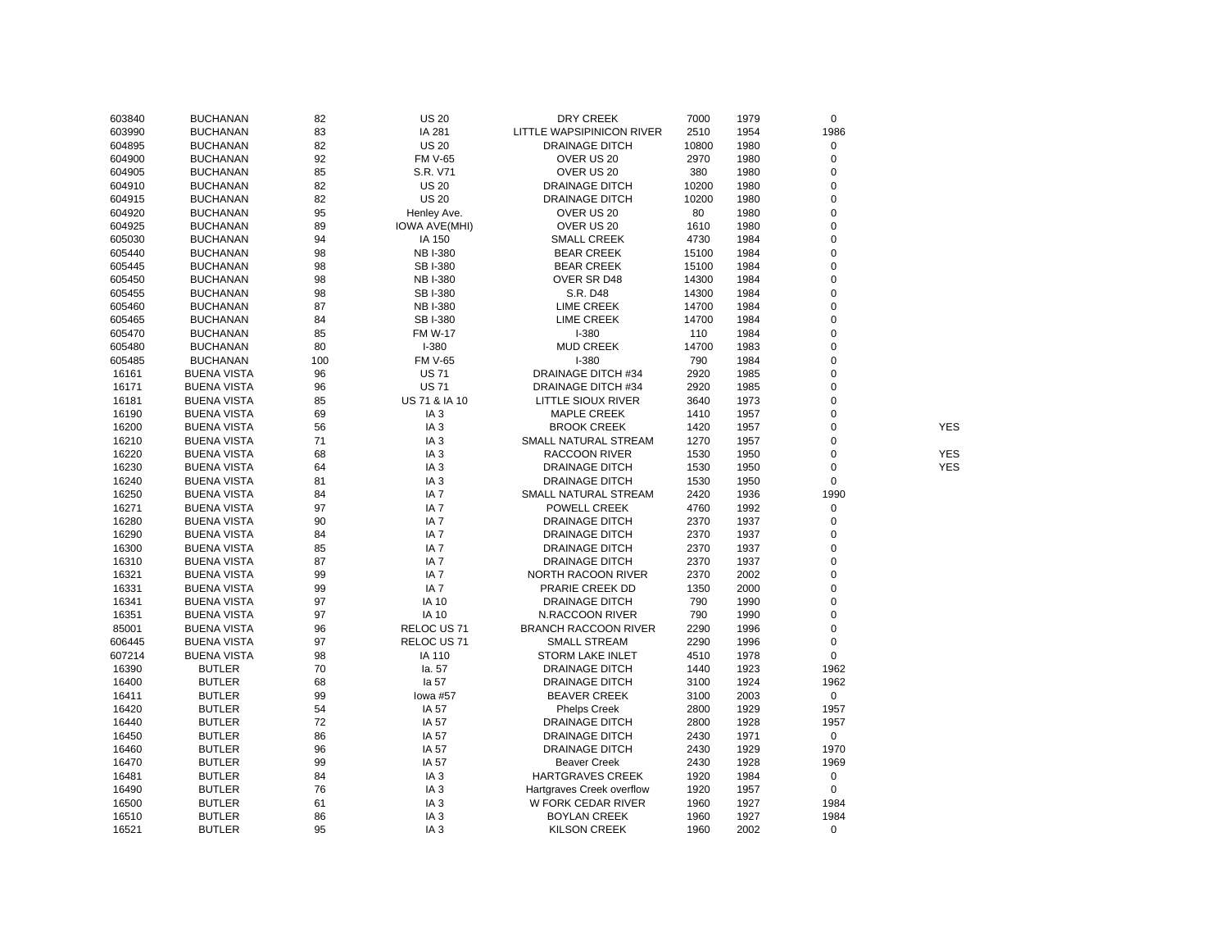| 603840 | <b>BUCHANAN</b>    | 82  | <b>US 20</b>         | <b>DRY CREEK</b>            | 7000  | 1979 | $\mathbf 0$ |            |
|--------|--------------------|-----|----------------------|-----------------------------|-------|------|-------------|------------|
| 603990 | <b>BUCHANAN</b>    | 83  | IA 281               | LITTLE WAPSIPINICON RIVER   | 2510  | 1954 | 1986        |            |
| 604895 | <b>BUCHANAN</b>    | 82  | <b>US 20</b>         | <b>DRAINAGE DITCH</b>       | 10800 | 1980 | 0           |            |
| 604900 | <b>BUCHANAN</b>    | 92  | <b>FM V-65</b>       | OVER US 20                  | 2970  | 1980 | $\pmb{0}$   |            |
| 604905 | <b>BUCHANAN</b>    | 85  | S.R. V71             | OVER US 20                  | 380   | 1980 | 0           |            |
| 604910 | <b>BUCHANAN</b>    | 82  | <b>US 20</b>         | <b>DRAINAGE DITCH</b>       | 10200 | 1980 | 0           |            |
| 604915 | <b>BUCHANAN</b>    | 82  | <b>US 20</b>         | <b>DRAINAGE DITCH</b>       | 10200 | 1980 | 0           |            |
| 604920 | <b>BUCHANAN</b>    | 95  | Henley Ave.          | OVER US 20                  | 80    | 1980 | $\mathbf 0$ |            |
| 604925 | <b>BUCHANAN</b>    | 89  | <b>IOWA AVE(MHI)</b> | OVER US 20                  | 1610  | 1980 | $\mathbf 0$ |            |
| 605030 | <b>BUCHANAN</b>    | 94  | IA 150               | <b>SMALL CREEK</b>          | 4730  | 1984 | $\mathbf 0$ |            |
| 605440 | <b>BUCHANAN</b>    | 98  | <b>NB I-380</b>      | <b>BEAR CREEK</b>           | 15100 | 1984 | $\mathbf 0$ |            |
| 605445 | <b>BUCHANAN</b>    | 98  | SB I-380             | <b>BEAR CREEK</b>           | 15100 | 1984 | $\mathbf 0$ |            |
| 605450 | <b>BUCHANAN</b>    | 98  | <b>NB I-380</b>      | OVER SR D48                 | 14300 | 1984 | $\mathbf 0$ |            |
| 605455 | <b>BUCHANAN</b>    | 98  | SB I-380             | S.R. D48                    | 14300 | 1984 | $\mathbf 0$ |            |
| 605460 | <b>BUCHANAN</b>    | 87  | <b>NB I-380</b>      | <b>LIME CREEK</b>           | 14700 | 1984 | $\mathbf 0$ |            |
| 605465 | <b>BUCHANAN</b>    | 84  | SB I-380             | <b>LIME CREEK</b>           | 14700 | 1984 | $\mathbf 0$ |            |
| 605470 | <b>BUCHANAN</b>    | 85  | <b>FM W-17</b>       | $I - 380$                   | 110   | 1984 | $\mathbf 0$ |            |
| 605480 | <b>BUCHANAN</b>    | 80  | $I-380$              | <b>MUD CREEK</b>            | 14700 | 1983 | $\mathbf 0$ |            |
| 605485 | <b>BUCHANAN</b>    | 100 | <b>FM V-65</b>       | $I - 380$                   | 790   | 1984 | $\mathbf 0$ |            |
| 16161  | <b>BUENA VISTA</b> | 96  | <b>US71</b>          | DRAINAGE DITCH #34          | 2920  | 1985 | 0           |            |
| 16171  | <b>BUENA VISTA</b> | 96  | <b>US71</b>          | DRAINAGE DITCH #34          | 2920  | 1985 | $\mathbf 0$ |            |
| 16181  | <b>BUENA VISTA</b> | 85  | US 71 & IA 10        | LITTLE SIOUX RIVER          | 3640  | 1973 | 0           |            |
| 16190  | <b>BUENA VISTA</b> | 69  | IA <sub>3</sub>      | <b>MAPLE CREEK</b>          | 1410  | 1957 | 0           |            |
| 16200  | <b>BUENA VISTA</b> | 56  | IA <sub>3</sub>      | <b>BROOK CREEK</b>          | 1420  | 1957 | 0           | <b>YES</b> |
| 16210  | <b>BUENA VISTA</b> | 71  | IA <sub>3</sub>      | SMALL NATURAL STREAM        | 1270  | 1957 | $\mathbf 0$ |            |
| 16220  | <b>BUENA VISTA</b> | 68  | IA <sub>3</sub>      | <b>RACCOON RIVER</b>        | 1530  | 1950 | 0           | <b>YES</b> |
| 16230  | <b>BUENA VISTA</b> | 64  | IA <sub>3</sub>      | <b>DRAINAGE DITCH</b>       | 1530  | 1950 | 0           | <b>YES</b> |
| 16240  | <b>BUENA VISTA</b> | 81  | IA <sub>3</sub>      | <b>DRAINAGE DITCH</b>       | 1530  | 1950 | $\mathbf 0$ |            |
| 16250  | <b>BUENA VISTA</b> | 84  | IA 7                 | SMALL NATURAL STREAM        | 2420  | 1936 | 1990        |            |
| 16271  | <b>BUENA VISTA</b> | 97  | IA <sub>7</sub>      | POWELL CREEK                | 4760  | 1992 | 0           |            |
| 16280  | <b>BUENA VISTA</b> | 90  | IA 7                 | <b>DRAINAGE DITCH</b>       | 2370  | 1937 | $\mathbf 0$ |            |
| 16290  | <b>BUENA VISTA</b> | 84  | IA <sub>7</sub>      | <b>DRAINAGE DITCH</b>       | 2370  | 1937 | $\mathbf 0$ |            |
| 16300  | <b>BUENA VISTA</b> | 85  | IA <sub>7</sub>      | <b>DRAINAGE DITCH</b>       | 2370  | 1937 | $\mathbf 0$ |            |
| 16310  | <b>BUENA VISTA</b> | 87  | IA <sub>7</sub>      | <b>DRAINAGE DITCH</b>       | 2370  | 1937 | $\mathbf 0$ |            |
| 16321  | <b>BUENA VISTA</b> | 99  | IA <sub>7</sub>      | NORTH RACOON RIVER          | 2370  | 2002 | $\mathbf 0$ |            |
| 16331  | <b>BUENA VISTA</b> | 99  | IA <sub>7</sub>      | PRARIE CREEK DD             | 1350  | 2000 | $\mathbf 0$ |            |
| 16341  | <b>BUENA VISTA</b> | 97  | <b>IA 10</b>         | <b>DRAINAGE DITCH</b>       | 790   | 1990 | $\mathbf 0$ |            |
| 16351  | <b>BUENA VISTA</b> | 97  | <b>IA 10</b>         | <b>N.RACCOON RIVER</b>      | 790   | 1990 | $\mathbf 0$ |            |
| 85001  | <b>BUENA VISTA</b> | 96  | RELOC US 71          | <b>BRANCH RACCOON RIVER</b> | 2290  | 1996 | 0           |            |
| 606445 | <b>BUENA VISTA</b> | 97  | RELOC US 71          | <b>SMALL STREAM</b>         | 2290  | 1996 | $\pmb{0}$   |            |
| 607214 | <b>BUENA VISTA</b> | 98  | IA 110               | STORM LAKE INLET            | 4510  | 1978 | $\pmb{0}$   |            |
| 16390  | <b>BUTLER</b>      | 70  | la. 57               | <b>DRAINAGE DITCH</b>       | 1440  | 1923 | 1962        |            |
| 16400  | <b>BUTLER</b>      | 68  | la 57                | <b>DRAINAGE DITCH</b>       | 3100  | 1924 | 1962        |            |
| 16411  | <b>BUTLER</b>      | 99  | lowa #57             | <b>BEAVER CREEK</b>         | 3100  | 2003 | 0           |            |
| 16420  | <b>BUTLER</b>      | 54  | IA 57                | <b>Phelps Creek</b>         | 2800  | 1929 | 1957        |            |
| 16440  | <b>BUTLER</b>      | 72  | IA 57                | DRAINAGE DITCH              | 2800  | 1928 | 1957        |            |
| 16450  | <b>BUTLER</b>      | 86  | IA 57                | <b>DRAINAGE DITCH</b>       | 2430  | 1971 | $\mathbf 0$ |            |
|        |                    | 96  |                      |                             |       | 1929 | 1970        |            |
| 16460  | <b>BUTLER</b>      |     | IA 57                | <b>DRAINAGE DITCH</b>       | 2430  |      |             |            |
| 16470  | <b>BUTLER</b>      | 99  | IA 57                | <b>Beaver Creek</b>         | 2430  | 1928 | 1969        |            |
| 16481  | <b>BUTLER</b>      | 84  | IA <sub>3</sub>      | <b>HARTGRAVES CREEK</b>     | 1920  | 1984 | $\mathbf 0$ |            |
| 16490  | <b>BUTLER</b>      | 76  | IA <sub>3</sub>      | Hartgraves Creek overflow   | 1920  | 1957 | $\mathbf 0$ |            |
| 16500  | <b>BUTLER</b>      | 61  | IA <sub>3</sub>      | W FORK CEDAR RIVER          | 1960  | 1927 | 1984        |            |
| 16510  | <b>BUTLER</b>      | 86  | IA <sub>3</sub>      | <b>BOYLAN CREEK</b>         | 1960  | 1927 | 1984        |            |
| 16521  | <b>BUTLER</b>      | 95  | IA <sub>3</sub>      | <b>KILSON CREEK</b>         | 1960  | 2002 | $\mathbf 0$ |            |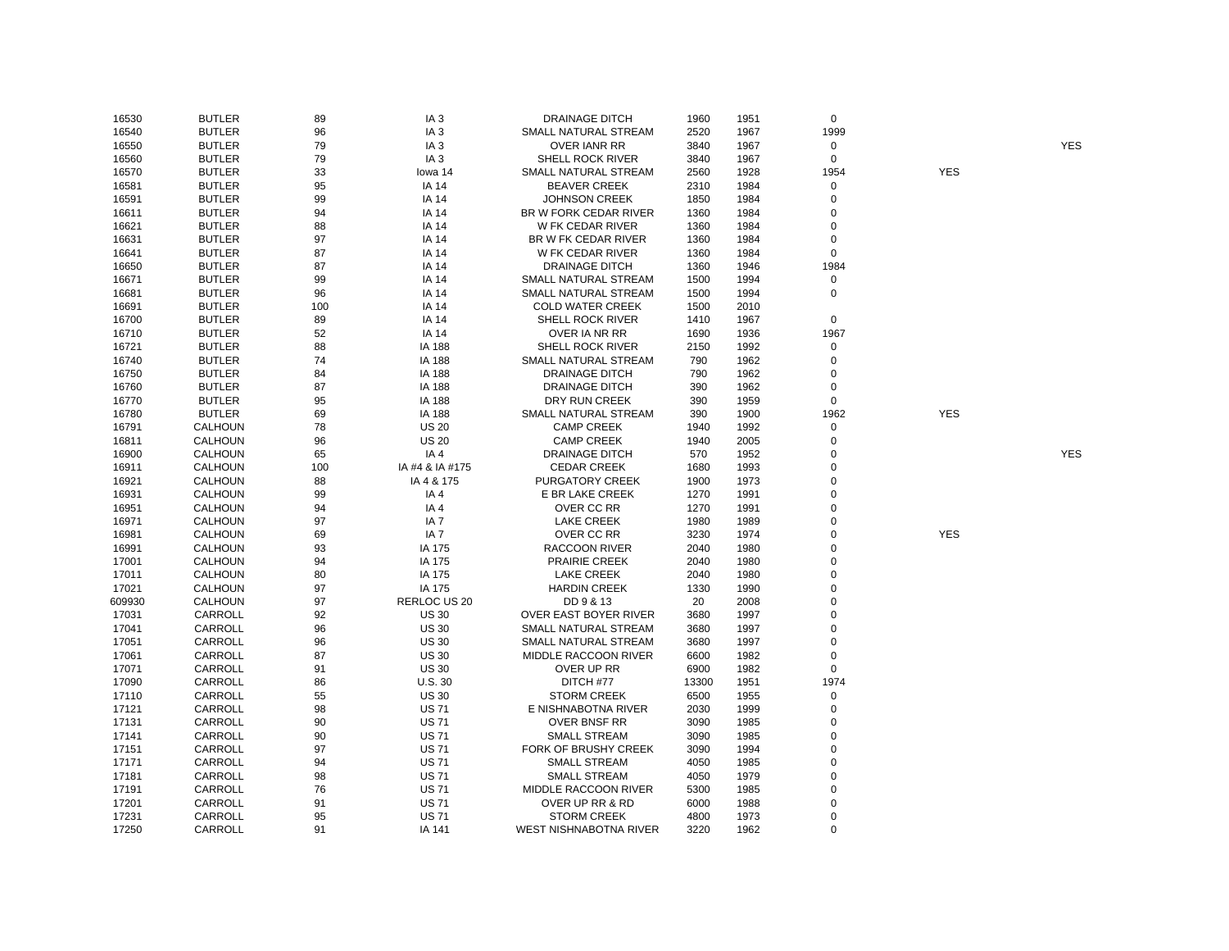| 16530  | <b>BUTLER</b>  | 89  | IA <sub>3</sub>     | DRAINAGE DITCH                | 1960  | 1951 | $\mathbf 0$ |            |            |
|--------|----------------|-----|---------------------|-------------------------------|-------|------|-------------|------------|------------|
| 16540  | <b>BUTLER</b>  | 96  | IA <sub>3</sub>     | SMALL NATURAL STREAM          | 2520  | 1967 | 1999        |            |            |
| 16550  | <b>BUTLER</b>  | 79  | IA <sub>3</sub>     | <b>OVER IANR RR</b>           | 3840  | 1967 | $\mathbf 0$ |            | <b>YES</b> |
| 16560  | <b>BUTLER</b>  | 79  | IA <sub>3</sub>     | SHELL ROCK RIVER              | 3840  | 1967 | $\mathbf 0$ |            |            |
| 16570  | <b>BUTLER</b>  | 33  | lowa 14             | SMALL NATURAL STREAM          | 2560  | 1928 | 1954        | <b>YES</b> |            |
| 16581  | <b>BUTLER</b>  | 95  | <b>IA 14</b>        | <b>BEAVER CREEK</b>           | 2310  | 1984 | $\mathbf 0$ |            |            |
| 16591  | <b>BUTLER</b>  | 99  | <b>IA 14</b>        | <b>JOHNSON CREEK</b>          | 1850  | 1984 | 0           |            |            |
| 16611  | <b>BUTLER</b>  | 94  | <b>IA 14</b>        | BR W FORK CEDAR RIVER         | 1360  | 1984 | $\pmb{0}$   |            |            |
| 16621  | <b>BUTLER</b>  | 88  | <b>IA 14</b>        | W FK CEDAR RIVER              | 1360  | 1984 | 0           |            |            |
| 16631  | <b>BUTLER</b>  | 97  | <b>IA 14</b>        | BR W FK CEDAR RIVER           | 1360  | 1984 | 0           |            |            |
| 16641  | <b>BUTLER</b>  | 87  | <b>IA 14</b>        | W FK CEDAR RIVER              | 1360  | 1984 | 0           |            |            |
| 16650  | <b>BUTLER</b>  | 87  | <b>IA 14</b>        | <b>DRAINAGE DITCH</b>         | 1360  | 1946 | 1984        |            |            |
| 16671  | <b>BUTLER</b>  | 99  | <b>IA 14</b>        | SMALL NATURAL STREAM          | 1500  | 1994 | $\mathbf 0$ |            |            |
| 16681  | <b>BUTLER</b>  | 96  | <b>IA 14</b>        | SMALL NATURAL STREAM          | 1500  | 1994 | $\mathbf 0$ |            |            |
| 16691  | <b>BUTLER</b>  | 100 | <b>IA 14</b>        | <b>COLD WATER CREEK</b>       | 1500  | 2010 |             |            |            |
| 16700  | <b>BUTLER</b>  | 89  | <b>IA 14</b>        | SHELL ROCK RIVER              | 1410  | 1967 | $\mathbf 0$ |            |            |
| 16710  | <b>BUTLER</b>  | 52  | IA 14               | OVER IA NR RR                 | 1690  | 1936 | 1967        |            |            |
| 16721  | <b>BUTLER</b>  | 88  | IA 188              | <b>SHELL ROCK RIVER</b>       | 2150  | 1992 | 0           |            |            |
| 16740  | <b>BUTLER</b>  | 74  | IA 188              | SMALL NATURAL STREAM          | 790   | 1962 | $\mathbf 0$ |            |            |
| 16750  | <b>BUTLER</b>  | 84  | <b>IA 188</b>       | <b>DRAINAGE DITCH</b>         | 790   | 1962 | 0           |            |            |
| 16760  | <b>BUTLER</b>  | 87  | <b>IA 188</b>       | <b>DRAINAGE DITCH</b>         | 390   | 1962 | $\pmb{0}$   |            |            |
| 16770  | <b>BUTLER</b>  | 95  | <b>IA 188</b>       | DRY RUN CREEK                 | 390   | 1959 | 0           |            |            |
| 16780  | <b>BUTLER</b>  | 69  | <b>IA 188</b>       | SMALL NATURAL STREAM          | 390   | 1900 | 1962        | <b>YES</b> |            |
| 16791  | <b>CALHOUN</b> | 78  | <b>US 20</b>        | <b>CAMP CREEK</b>             | 1940  | 1992 | $\mathbf 0$ |            |            |
| 16811  | <b>CALHOUN</b> | 96  | <b>US 20</b>        | <b>CAMP CREEK</b>             | 1940  | 2005 | $\mathbf 0$ |            |            |
|        | <b>CALHOUN</b> | 65  | IA4                 | <b>DRAINAGE DITCH</b>         | 570   | 1952 | $\pmb{0}$   |            | <b>YES</b> |
| 16900  |                |     |                     |                               |       |      | $\mathbf 0$ |            |            |
| 16911  | <b>CALHOUN</b> | 100 | IA #4 & IA #175     | <b>CEDAR CREEK</b>            | 1680  | 1993 |             |            |            |
| 16921  | <b>CALHOUN</b> | 88  | IA 4 & 175          | <b>PURGATORY CREEK</b>        | 1900  | 1973 | 0           |            |            |
| 16931  | <b>CALHOUN</b> | 99  | IA4                 | E BR LAKE CREEK               | 1270  | 1991 | 0           |            |            |
| 16951  | <b>CALHOUN</b> | 94  | IA4                 | OVER CC RR                    | 1270  | 1991 | $\mathbf 0$ |            |            |
| 16971  | <b>CALHOUN</b> | 97  | IA <sub>7</sub>     | <b>LAKE CREEK</b>             | 1980  | 1989 | 0           |            |            |
| 16981  | <b>CALHOUN</b> | 69  | IA <sub>7</sub>     | OVER CC RR                    | 3230  | 1974 | $\mathbf 0$ | <b>YES</b> |            |
| 16991  | <b>CALHOUN</b> | 93  | IA 175              | <b>RACCOON RIVER</b>          | 2040  | 1980 | 0           |            |            |
| 17001  | <b>CALHOUN</b> | 94  | IA 175              | <b>PRAIRIE CREEK</b>          | 2040  | 1980 | $\pmb{0}$   |            |            |
| 17011  | <b>CALHOUN</b> | 80  | IA 175              | <b>LAKE CREEK</b>             | 2040  | 1980 | $\mathbf 0$ |            |            |
| 17021  | <b>CALHOUN</b> | 97  | IA 175              | <b>HARDIN CREEK</b>           | 1330  | 1990 | 0           |            |            |
| 609930 | <b>CALHOUN</b> | 97  | <b>RERLOC US 20</b> | DD 9 & 13                     | 20    | 2008 | $\mathbf 0$ |            |            |
| 17031  | CARROLL        | 92  | <b>US 30</b>        | OVER EAST BOYER RIVER         | 3680  | 1997 | $\mathbf 0$ |            |            |
| 17041  | CARROLL        | 96  | <b>US 30</b>        | SMALL NATURAL STREAM          | 3680  | 1997 | $\pmb{0}$   |            |            |
| 17051  | CARROLL        | 96  | <b>US 30</b>        | SMALL NATURAL STREAM          | 3680  | 1997 | 0           |            |            |
| 17061  | CARROLL        | 87  | <b>US 30</b>        | MIDDLE RACCOON RIVER          | 6600  | 1982 | $\mathbf 0$ |            |            |
| 17071  | CARROLL        | 91  | <b>US 30</b>        | OVER UP RR                    | 6900  | 1982 | $\mathbf 0$ |            |            |
| 17090  | CARROLL        | 86  | U.S.30              | DITCH #77                     | 13300 | 1951 | 1974        |            |            |
| 17110  | CARROLL        | 55  | <b>US 30</b>        | <b>STORM CREEK</b>            | 6500  | 1955 | 0           |            |            |
| 17121  | CARROLL        | 98  | <b>US71</b>         | E NISHNABOTNA RIVER           | 2030  | 1999 | $\pmb{0}$   |            |            |
| 17131  | CARROLL        | 90  | <b>US71</b>         | <b>OVER BNSF RR</b>           | 3090  | 1985 | 0           |            |            |
| 17141  | CARROLL        | 90  | <b>US71</b>         | <b>SMALL STREAM</b>           | 3090  | 1985 | $\mathbf 0$ |            |            |
| 17151  | CARROLL        | 97  | <b>US71</b>         | FORK OF BRUSHY CREEK          | 3090  | 1994 | $\mathbf 0$ |            |            |
| 17171  | CARROLL        | 94  | <b>US71</b>         | <b>SMALL STREAM</b>           | 4050  | 1985 | 0           |            |            |
| 17181  | CARROLL        | 98  | <b>US71</b>         | <b>SMALL STREAM</b>           | 4050  | 1979 | $\mathbf 0$ |            |            |
| 17191  | CARROLL        | 76  | <b>US71</b>         | MIDDLE RACCOON RIVER          | 5300  | 1985 | 0           |            |            |
| 17201  | CARROLL        | 91  | <b>US71</b>         | OVER UP RR & RD               | 6000  | 1988 | $\pmb{0}$   |            |            |
| 17231  | CARROLL        | 95  | <b>US71</b>         | <b>STORM CREEK</b>            | 4800  | 1973 | $\mathbf 0$ |            |            |
| 17250  | CARROLL        | 91  | IA 141              | <b>WEST NISHNABOTNA RIVER</b> | 3220  | 1962 | $\Omega$    |            |            |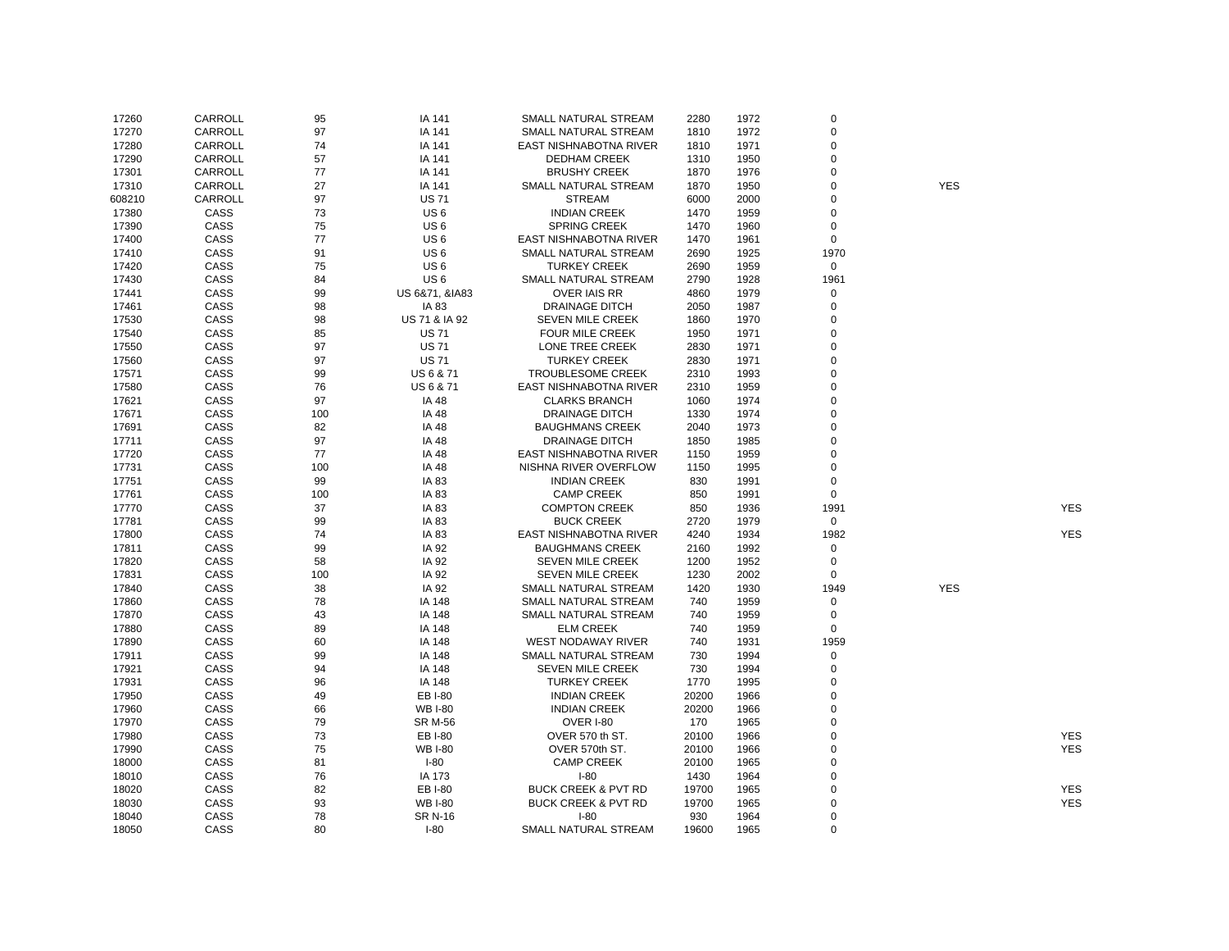| 17260  | CARROLL | 95  | IA 141            | SMALL NATURAL STREAM           | 2280  | 1972 | $\mathbf 0$   |            |            |
|--------|---------|-----|-------------------|--------------------------------|-------|------|---------------|------------|------------|
| 17270  | CARROLL | 97  | IA 141            | SMALL NATURAL STREAM           | 1810  | 1972 | $\pmb{0}$     |            |            |
| 17280  | CARROLL | 74  | IA 141            | EAST NISHNABOTNA RIVER         | 1810  | 1971 | 0             |            |            |
| 17290  | CARROLL | 57  | IA 141            | <b>DEDHAM CREEK</b>            | 1310  | 1950 | 0             |            |            |
| 17301  | CARROLL | 77  | IA 141            | <b>BRUSHY CREEK</b>            | 1870  | 1976 | $\mathbf 0$   |            |            |
| 17310  | CARROLL | 27  | IA 141            | SMALL NATURAL STREAM           | 1870  | 1950 | $\mathbf 0$   | <b>YES</b> |            |
| 608210 | CARROLL | 97  | <b>US71</b>       | <b>STREAM</b>                  | 6000  | 2000 | 0             |            |            |
| 17380  | CASS    | 73  | US <sub>6</sub>   | <b>INDIAN CREEK</b>            | 1470  | 1959 | 0             |            |            |
| 17390  | CASS    | 75  | US <sub>6</sub>   | <b>SPRING CREEK</b>            | 1470  | 1960 | $\mathbf 0$   |            |            |
| 17400  | CASS    | 77  | US <sub>6</sub>   | EAST NISHNABOTNA RIVER         | 1470  | 1961 | $\mathbf 0$   |            |            |
| 17410  | CASS    | 91  | US <sub>6</sub>   | SMALL NATURAL STREAM           | 2690  | 1925 | 1970          |            |            |
| 17420  | CASS    | 75  | US <sub>6</sub>   | <b>TURKEY CREEK</b>            | 2690  | 1959 | 0             |            |            |
| 17430  | CASS    | 84  | US <sub>6</sub>   | SMALL NATURAL STREAM           | 2790  | 1928 | 1961          |            |            |
| 17441  | CASS    | 99  | US 6&71, &IA83    | <b>OVER IAIS RR</b>            | 4860  | 1979 | 0             |            |            |
| 17461  | CASS    | 98  | IA 83             | <b>DRAINAGE DITCH</b>          | 2050  | 1987 | $\mathbf 0$   |            |            |
|        |         |     |                   |                                |       |      | $\mathbf 0$   |            |            |
| 17530  | CASS    | 98  | US 71 & IA 92     | <b>SEVEN MILE CREEK</b>        | 1860  | 1970 |               |            |            |
| 17540  | CASS    | 85  | <b>US71</b>       | FOUR MILE CREEK                | 1950  | 1971 | 0             |            |            |
| 17550  | CASS    | 97  | <b>US71</b>       | LONE TREE CREEK                | 2830  | 1971 | $\mathbf 0$   |            |            |
| 17560  | CASS    | 97  | <b>US71</b>       | <b>TURKEY CREEK</b>            | 2830  | 1971 | $\Omega$      |            |            |
| 17571  | CASS    | 99  | US6&71            | <b>TROUBLESOME CREEK</b>       | 2310  | 1993 | $\mathbf 0$   |            |            |
| 17580  | CASS    | 76  | <b>US6&amp;71</b> | EAST NISHNABOTNA RIVER         | 2310  | 1959 | $\mathbf 0$   |            |            |
| 17621  | CASS    | 97  | IA 48             | <b>CLARKS BRANCH</b>           | 1060  | 1974 | 0             |            |            |
| 17671  | CASS    | 100 | <b>IA 48</b>      | <b>DRAINAGE DITCH</b>          | 1330  | 1974 | $\mathbf 0$   |            |            |
| 17691  | CASS    | 82  | IA 48             | <b>BAUGHMANS CREEK</b>         | 2040  | 1973 | $\mathbf 0$   |            |            |
| 17711  | CASS    | 97  | <b>IA 48</b>      | <b>DRAINAGE DITCH</b>          | 1850  | 1985 | $\mathbf 0$   |            |            |
| 17720  | CASS    | 77  | <b>IA 48</b>      | EAST NISHNABOTNA RIVER         | 1150  | 1959 | $\mathbf 0$   |            |            |
| 17731  | CASS    | 100 | <b>IA 48</b>      | NISHNA RIVER OVERFLOW          | 1150  | 1995 | $\mathbf 0$   |            |            |
| 17751  | CASS    | 99  | IA 83             | <b>INDIAN CREEK</b>            | 830   | 1991 | $\mathbf 0$   |            |            |
| 17761  | CASS    | 100 | IA 83             | <b>CAMP CREEK</b>              | 850   | 1991 | $\mathbf 0$   |            |            |
| 17770  | CASS    | 37  | IA 83             | <b>COMPTON CREEK</b>           | 850   | 1936 | 1991          |            | <b>YES</b> |
| 17781  | CASS    | 99  | IA 83             | <b>BUCK CREEK</b>              | 2720  | 1979 | 0             |            |            |
| 17800  | CASS    | 74  | IA 83             | EAST NISHNABOTNA RIVER         | 4240  | 1934 | 1982          |            | <b>YES</b> |
| 17811  | CASS    | 99  | IA 92             | <b>BAUGHMANS CREEK</b>         | 2160  | 1992 | 0             |            |            |
| 17820  | CASS    | 58  | IA 92             | <b>SEVEN MILE CREEK</b>        | 1200  | 1952 | $\mathbf 0$   |            |            |
| 17831  | CASS    | 100 | IA 92             | SEVEN MILE CREEK               | 1230  | 2002 | $\mathbf 0$   |            |            |
| 17840  | CASS    | 38  | IA 92             | SMALL NATURAL STREAM           | 1420  | 1930 | 1949          | <b>YES</b> |            |
| 17860  | CASS    | 78  | IA 148            | SMALL NATURAL STREAM           | 740   | 1959 | 0             |            |            |
| 17870  | CASS    | 43  | IA 148            | SMALL NATURAL STREAM           | 740   | 1959 | $\mathbf 0$   |            |            |
| 17880  | CASS    | 89  | IA 148            | <b>ELM CREEK</b>               | 740   | 1959 | $\mathbf 0$   |            |            |
| 17890  | CASS    | 60  | IA 148            | WEST NODAWAY RIVER             | 740   | 1931 | 1959          |            |            |
| 17911  | CASS    | 99  | IA 148            | SMALL NATURAL STREAM           | 730   | 1994 | $\mathbf 0$   |            |            |
| 17921  | CASS    | 94  | IA 148            | <b>SEVEN MILE CREEK</b>        | 730   | 1994 | 0             |            |            |
| 17931  | CASS    | 96  | IA 148            | <b>TURKEY CREEK</b>            | 1770  | 1995 | 0             |            |            |
| 17950  | CASS    | 49  | EB I-80           | <b>INDIAN CREEK</b>            | 20200 | 1966 | $\mathbf 0$   |            |            |
| 17960  | CASS    | 66  | <b>WB I-80</b>    | <b>INDIAN CREEK</b>            | 20200 | 1966 | $\mathbf 0$   |            |            |
| 17970  | CASS    | 79  | <b>SR M-56</b>    | <b>OVER I-80</b>               | 170   | 1965 | 0             |            |            |
| 17980  | CASS    | 73  | EB I-80           | OVER 570 th ST.                | 20100 | 1966 | $\mathbf 0$   |            | <b>YES</b> |
| 17990  | CASS    | 75  | <b>WB I-80</b>    | OVER 570th ST.                 | 20100 | 1966 | 0             |            | <b>YES</b> |
| 18000  | CASS    | 81  | $I-80$            | <b>CAMP CREEK</b>              | 20100 | 1965 | 0             |            |            |
| 18010  | CASS    | 76  | IA 173            | $I-80$                         | 1430  | 1964 | $\mathbf 0$   |            |            |
|        |         |     |                   |                                |       |      |               |            |            |
| 18020  | CASS    | 82  | EB I-80           | <b>BUCK CREEK &amp; PVT RD</b> | 19700 | 1965 | 0<br>$\Omega$ |            | <b>YES</b> |
| 18030  | CASS    | 93  | <b>WB I-80</b>    | <b>BUCK CREEK &amp; PVT RD</b> | 19700 | 1965 |               |            | <b>YES</b> |
| 18040  | CASS    | 78  | <b>SR N-16</b>    | $I-80$                         | 930   | 1964 | 0             |            |            |
| 18050  | CASS    | 80  | $I-80$            | <b>SMALL NATURAL STREAM</b>    | 19600 | 1965 | $\Omega$      |            |            |

YES

YES

YES YES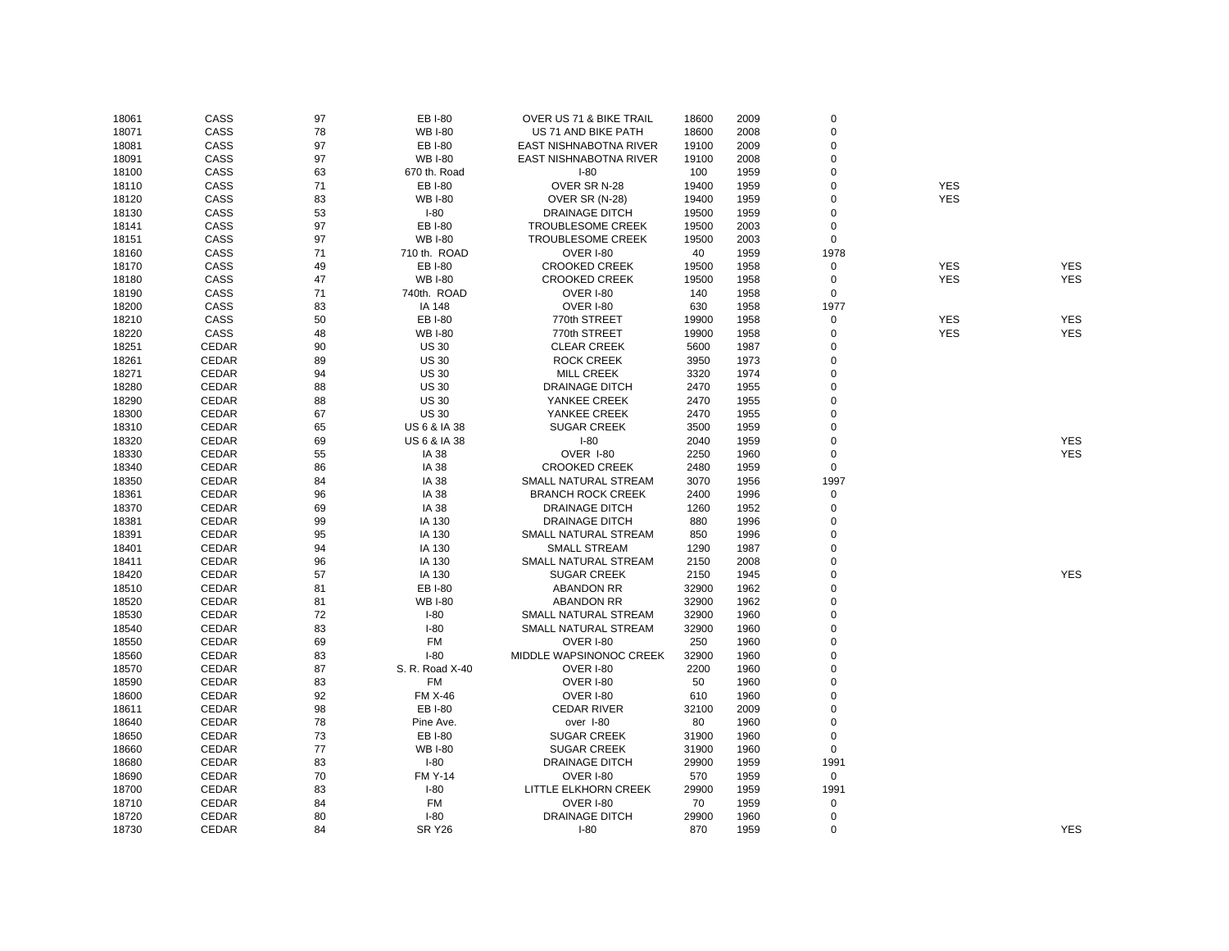| 18061 | CASS  | 97 | EB I-80                 | OVER US 71 & BIKE TRAIL  | 18600 | 2009 | 0           |            |            |
|-------|-------|----|-------------------------|--------------------------|-------|------|-------------|------------|------------|
| 18071 | CASS  | 78 | <b>WB I-80</b>          | US 71 AND BIKE PATH      | 18600 | 2008 | $\mathbf 0$ |            |            |
| 18081 | CASS  | 97 | EB I-80                 | EAST NISHNABOTNA RIVER   | 19100 | 2009 | $\mathbf 0$ |            |            |
| 18091 | CASS  | 97 | <b>WB I-80</b>          | EAST NISHNABOTNA RIVER   | 19100 | 2008 | 0           |            |            |
| 18100 | CASS  | 63 | 670 th. Road            | $I-80$                   | 100   | 1959 | 0           |            |            |
| 18110 | CASS  | 71 | EB I-80                 | OVER SR N-28             | 19400 | 1959 | $\Omega$    | <b>YES</b> |            |
| 18120 | CASS  | 83 | <b>WB I-80</b>          | OVER SR (N-28)           | 19400 | 1959 | $\Omega$    | <b>YES</b> |            |
| 18130 | CASS  | 53 | $I-80$                  | <b>DRAINAGE DITCH</b>    | 19500 | 1959 | 0           |            |            |
| 18141 | CASS  | 97 | EB I-80                 | <b>TROUBLESOME CREEK</b> | 19500 | 2003 | 0           |            |            |
| 18151 | CASS  | 97 | <b>WB I-80</b>          | <b>TROUBLESOME CREEK</b> | 19500 | 2003 | 0           |            |            |
| 18160 | CASS  | 71 | 710 th. ROAD            | OVER I-80                | 40    | 1959 | 1978        |            |            |
| 18170 | CASS  | 49 | EB I-80                 | <b>CROOKED CREEK</b>     | 19500 | 1958 | 0           | <b>YES</b> | <b>YES</b> |
| 18180 | CASS  | 47 | <b>WB I-80</b>          | <b>CROOKED CREEK</b>     | 19500 | 1958 | 0           | <b>YES</b> | <b>YES</b> |
| 18190 | CASS  | 71 | 740th. ROAD             | OVER I-80                | 140   | 1958 | 0           |            |            |
| 18200 | CASS  | 83 | IA 148                  | OVER I-80                | 630   | 1958 | 1977        |            |            |
| 18210 | CASS  | 50 | EB I-80                 | 770th STREET             | 19900 | 1958 | 0           | <b>YES</b> | <b>YES</b> |
| 18220 | CASS  | 48 | <b>WB I-80</b>          | 770th STREET             | 19900 | 1958 | 0           | <b>YES</b> | <b>YES</b> |
| 18251 | CEDAR | 90 | <b>US 30</b>            | <b>CLEAR CREEK</b>       | 5600  | 1987 | $\mathbf 0$ |            |            |
| 18261 | CEDAR | 89 | <b>US 30</b>            | <b>ROCK CREEK</b>        | 3950  | 1973 | $\mathbf 0$ |            |            |
| 18271 | CEDAR | 94 | <b>US 30</b>            | <b>MILL CREEK</b>        | 3320  | 1974 | 0           |            |            |
| 18280 | CEDAR | 88 | <b>US 30</b>            | <b>DRAINAGE DITCH</b>    | 2470  | 1955 | 0           |            |            |
| 18290 | CEDAR | 88 | <b>US 30</b>            | YANKEE CREEK             | 2470  | 1955 | $\mathbf 0$ |            |            |
|       |       | 67 |                         |                          |       |      | 0           |            |            |
| 18300 | CEDAR |    | <b>US 30</b>            | YANKEE CREEK             | 2470  | 1955 | $\Omega$    |            |            |
| 18310 | CEDAR | 65 | <b>US 6 &amp; IA 38</b> | <b>SUGAR CREEK</b>       | 3500  | 1959 |             |            |            |
| 18320 | CEDAR | 69 | <b>US 6 &amp; IA 38</b> | $I-80$                   | 2040  | 1959 | 0           |            | <b>YES</b> |
| 18330 | CEDAR | 55 | <b>IA 38</b>            | OVER I-80                | 2250  | 1960 | 0           |            | <b>YES</b> |
| 18340 | CEDAR | 86 | IA 38                   | <b>CROOKED CREEK</b>     | 2480  | 1959 | 0           |            |            |
| 18350 | CEDAR | 84 | IA 38                   | SMALL NATURAL STREAM     | 3070  | 1956 | 1997        |            |            |
| 18361 | CEDAR | 96 | IA 38                   | <b>BRANCH ROCK CREEK</b> | 2400  | 1996 | 0           |            |            |
| 18370 | CEDAR | 69 | <b>IA 38</b>            | <b>DRAINAGE DITCH</b>    | 1260  | 1952 | $\mathbf 0$ |            |            |
| 18381 | CEDAR | 99 | IA 130                  | <b>DRAINAGE DITCH</b>    | 880   | 1996 | $\mathbf 0$ |            |            |
| 18391 | CEDAR | 95 | IA 130                  | SMALL NATURAL STREAM     | 850   | 1996 | $\Omega$    |            |            |
| 18401 | CEDAR | 94 | IA 130                  | <b>SMALL STREAM</b>      | 1290  | 1987 | $\mathbf 0$ |            |            |
| 18411 | CEDAR | 96 | IA 130                  | SMALL NATURAL STREAM     | 2150  | 2008 | $\Omega$    |            |            |
| 18420 | CEDAR | 57 | IA 130                  | <b>SUGAR CREEK</b>       | 2150  | 1945 | $\mathbf 0$ |            | <b>YES</b> |
| 18510 | CEDAR | 81 | EB I-80                 | <b>ABANDON RR</b>        | 32900 | 1962 | $\Omega$    |            |            |
| 18520 | CEDAR | 81 | <b>WB I-80</b>          | <b>ABANDON RR</b>        | 32900 | 1962 | $\mathbf 0$ |            |            |
| 18530 | CEDAR | 72 | $I-80$                  | SMALL NATURAL STREAM     | 32900 | 1960 | 0           |            |            |
| 18540 | CEDAR | 83 | $I-80$                  | SMALL NATURAL STREAM     | 32900 | 1960 | 0           |            |            |
| 18550 | CEDAR | 69 | FM                      | OVER I-80                | 250   | 1960 | $\mathbf 0$ |            |            |
| 18560 | CEDAR | 83 | $I-80$                  | MIDDLE WAPSINONOC CREEK  | 32900 | 1960 | 0           |            |            |
| 18570 | CEDAR | 87 | S. R. Road X-40         | OVER I-80                | 2200  | 1960 | $\Omega$    |            |            |
| 18590 | CEDAR | 83 | FM                      | OVER I-80                | 50    | 1960 | $\mathbf 0$ |            |            |
| 18600 | CEDAR | 92 | <b>FM X-46</b>          | OVER I-80                | 610   | 1960 | $\Omega$    |            |            |
| 18611 | CEDAR | 98 | EB I-80                 | <b>CEDAR RIVER</b>       | 32100 | 2009 | $\Omega$    |            |            |
| 18640 | CEDAR | 78 | Pine Ave.               | over I-80                | 80    | 1960 | 0           |            |            |
| 18650 | CEDAR | 73 | EB I-80                 | <b>SUGAR CREEK</b>       | 31900 | 1960 | 0           |            |            |
| 18660 | CEDAR | 77 | <b>WB I-80</b>          | <b>SUGAR CREEK</b>       | 31900 | 1960 | $\mathbf 0$ |            |            |
| 18680 | CEDAR | 83 | $I-80$                  | <b>DRAINAGE DITCH</b>    | 29900 | 1959 | 1991        |            |            |
| 18690 | CEDAR | 70 | <b>FM Y-14</b>          | OVER I-80                | 570   | 1959 | $\mathbf 0$ |            |            |
| 18700 | CEDAR | 83 | $I-80$                  | LITTLE ELKHORN CREEK     | 29900 | 1959 | 1991        |            |            |
| 18710 | CEDAR | 84 | <b>FM</b>               | OVER I-80                | 70    | 1959 | 0           |            |            |
| 18720 | CEDAR | 80 | $I-80$                  | <b>DRAINAGE DITCH</b>    | 29900 | 1960 | 0           |            |            |
| 18730 | CEDAR | 84 | <b>SR Y26</b>           | $I-80$                   | 870   | 1959 | $\Omega$    |            | <b>YES</b> |
|       |       |    |                         |                          |       |      |             |            |            |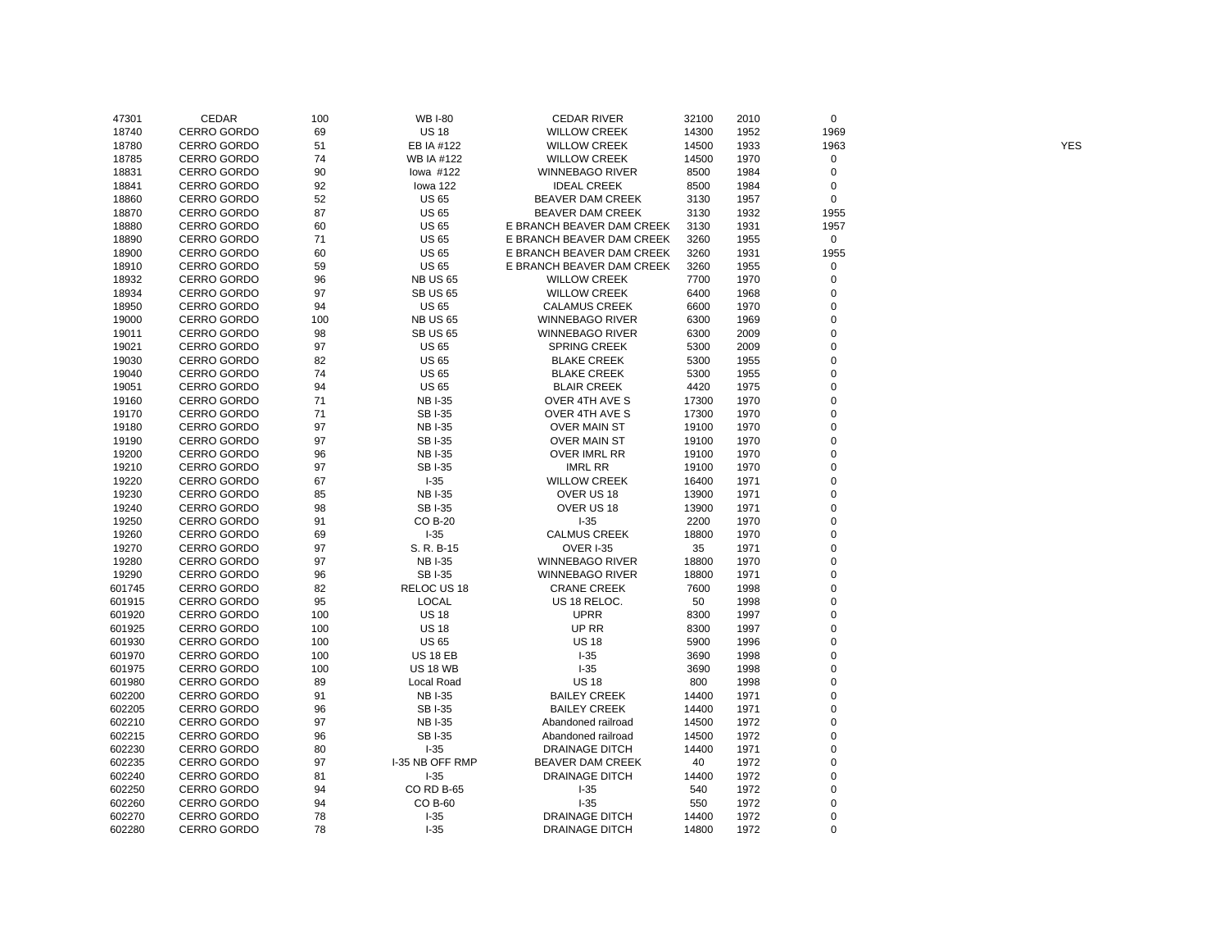| 47301  | CEDAR              | 100 | <b>WB I-80</b>    | <b>CEDAR RIVER</b>        | 32100 | 2010 | 0                   |            |
|--------|--------------------|-----|-------------------|---------------------------|-------|------|---------------------|------------|
| 18740  | CERRO GORDO        | 69  | <b>US 18</b>      | <b>WILLOW CREEK</b>       | 14300 | 1952 | 1969                |            |
| 18780  | <b>CERRO GORDO</b> | 51  | EB IA #122        | <b>WILLOW CREEK</b>       | 14500 | 1933 | 1963                | <b>YES</b> |
| 18785  | <b>CERRO GORDO</b> | 74  | <b>WB IA #122</b> | <b>WILLOW CREEK</b>       | 14500 | 1970 | 0                   |            |
| 18831  | <b>CERRO GORDO</b> | 90  | lowa #122         | <b>WINNEBAGO RIVER</b>    | 8500  | 1984 | 0                   |            |
| 18841  | CERRO GORDO        | 92  | lowa 122          | <b>IDEAL CREEK</b>        | 8500  | 1984 | 0                   |            |
| 18860  | CERRO GORDO        | 52  | <b>US 65</b>      | BEAVER DAM CREEK          | 3130  | 1957 | 0                   |            |
| 18870  | <b>CERRO GORDO</b> | 87  | <b>US 65</b>      | <b>BEAVER DAM CREEK</b>   | 3130  | 1932 | 1955                |            |
| 18880  | <b>CERRO GORDO</b> | 60  | <b>US 65</b>      | E BRANCH BEAVER DAM CREEK | 3130  | 1931 | 1957                |            |
| 18890  | <b>CERRO GORDO</b> | 71  | <b>US 65</b>      | E BRANCH BEAVER DAM CREEK | 3260  | 1955 | $\mathsf{O}\xspace$ |            |
| 18900  | CERRO GORDO        | 60  | <b>US 65</b>      | E BRANCH BEAVER DAM CREEK | 3260  | 1931 | 1955                |            |
| 18910  | <b>CERRO GORDO</b> | 59  | <b>US 65</b>      | E BRANCH BEAVER DAM CREEK | 3260  | 1955 | 0                   |            |
| 18932  | <b>CERRO GORDO</b> | 96  | <b>NB US 65</b>   | <b>WILLOW CREEK</b>       | 7700  | 1970 | 0                   |            |
| 18934  | <b>CERRO GORDO</b> | 97  | <b>SB US 65</b>   | <b>WILLOW CREEK</b>       | 6400  | 1968 | 0                   |            |
| 18950  | CERRO GORDO        | 94  | <b>US 65</b>      | <b>CALAMUS CREEK</b>      | 6600  | 1970 | 0                   |            |
| 19000  | <b>CERRO GORDO</b> | 100 | <b>NB US 65</b>   | <b>WINNEBAGO RIVER</b>    | 6300  | 1969 | $\mathbf 0$         |            |
| 19011  | <b>CERRO GORDO</b> | 98  | <b>SB US 65</b>   | <b>WINNEBAGO RIVER</b>    | 6300  | 2009 | $\mathbf 0$         |            |
| 19021  | <b>CERRO GORDO</b> | 97  | <b>US 65</b>      | <b>SPRING CREEK</b>       | 5300  | 2009 | 0                   |            |
| 19030  | CERRO GORDO        | 82  | <b>US 65</b>      | <b>BLAKE CREEK</b>        | 5300  | 1955 | $\mathbf 0$         |            |
| 19040  | <b>CERRO GORDO</b> | 74  | <b>US 65</b>      | <b>BLAKE CREEK</b>        | 5300  | 1955 | $\mathbf 0$         |            |
| 19051  | <b>CERRO GORDO</b> | 94  | <b>US 65</b>      | <b>BLAIR CREEK</b>        | 4420  | 1975 | $\mathbf 0$         |            |
| 19160  | <b>CERRO GORDO</b> | 71  | <b>NBI-35</b>     | OVER 4TH AVE S            | 17300 | 1970 | $\mathbf 0$         |            |
| 19170  | CERRO GORDO        | 71  | SB I-35           | OVER 4TH AVE S            | 17300 | 1970 | 0                   |            |
| 19180  | CERRO GORDO        | 97  | <b>NBI-35</b>     | <b>OVER MAIN ST</b>       | 19100 | 1970 | $\mathbf 0$         |            |
| 19190  | <b>CERRO GORDO</b> | 97  | <b>SBI-35</b>     | <b>OVER MAIN ST</b>       | 19100 | 1970 | $\mathbf 0$         |            |
| 19200  | <b>CERRO GORDO</b> | 96  | <b>NB I-35</b>    | OVER IMRL RR              | 19100 | 1970 | 0                   |            |
| 19210  | <b>CERRO GORDO</b> | 97  | <b>SBI-35</b>     | <b>IMRL RR</b>            | 19100 | 1970 | $\mathbf 0$         |            |
|        |                    |     |                   |                           |       |      | 0                   |            |
| 19220  | CERRO GORDO        | 67  | $I-35$            | <b>WILLOW CREEK</b>       | 16400 | 1971 | $\mathbf 0$         |            |
| 19230  | <b>CERRO GORDO</b> | 85  | <b>NB I-35</b>    | OVER US 18                | 13900 | 1971 |                     |            |
| 19240  | <b>CERRO GORDO</b> | 98  | SB I-35           | OVER US 18                | 13900 | 1971 | 0                   |            |
| 19250  | <b>CERRO GORDO</b> | 91  | CO B-20           | $I-35$                    | 2200  | 1970 | 0                   |            |
| 19260  | CERRO GORDO        | 69  | $I-35$            | <b>CALMUS CREEK</b>       | 18800 | 1970 | 0<br>$\mathbf 0$    |            |
| 19270  | <b>CERRO GORDO</b> | 97  | S. R. B-15        | <b>OVER I-35</b>          | 35    | 1971 | $\mathbf 0$         |            |
| 19280  | <b>CERRO GORDO</b> | 97  | <b>NBI-35</b>     | <b>WINNEBAGO RIVER</b>    | 18800 | 1970 |                     |            |
| 19290  | <b>CERRO GORDO</b> | 96  | <b>SBI-35</b>     | <b>WINNEBAGO RIVER</b>    | 18800 | 1971 | $\mathbf 0$         |            |
| 601745 | CERRO GORDO        | 82  | RELOC US 18       | <b>CRANE CREEK</b>        | 7600  | 1998 | 0                   |            |
| 601915 | <b>CERRO GORDO</b> | 95  | <b>LOCAL</b>      | US 18 RELOC.              | 50    | 1998 | $\mathbf 0$         |            |
| 601920 | <b>CERRO GORDO</b> | 100 | <b>US 18</b>      | <b>UPRR</b>               | 8300  | 1997 | $\mathbf 0$         |            |
| 601925 | <b>CERRO GORDO</b> | 100 | <b>US 18</b>      | UP RR                     | 8300  | 1997 | 0                   |            |
| 601930 | CERRO GORDO        | 100 | <b>US 65</b>      | <b>US 18</b>              | 5900  | 1996 | $\pmb{0}$           |            |
| 601970 | <b>CERRO GORDO</b> | 100 | <b>US 18 EB</b>   | $I-35$                    | 3690  | 1998 | $\mathbf 0$         |            |
| 601975 | <b>CERRO GORDO</b> | 100 | <b>US 18 WB</b>   | $I-35$                    | 3690  | 1998 | 0                   |            |
| 601980 | <b>CERRO GORDO</b> | 89  | Local Road        | <b>US 18</b>              | 800   | 1998 | $\pmb{0}$           |            |
| 602200 | <b>CERRO GORDO</b> | 91  | <b>NBI-35</b>     | <b>BAILEY CREEK</b>       | 14400 | 1971 | 0                   |            |
| 602205 | <b>CERRO GORDO</b> | 96  | <b>SBI-35</b>     | <b>BAILEY CREEK</b>       | 14400 | 1971 | $\mathbf 0$         |            |
| 602210 | <b>CERRO GORDO</b> | 97  | <b>NB I-35</b>    | Abandoned railroad        | 14500 | 1972 | $\mathbf 0$         |            |
| 602215 | <b>CERRO GORDO</b> | 96  | <b>SBI-35</b>     | Abandoned railroad        | 14500 | 1972 | $\pmb{0}$           |            |
| 602230 | CERRO GORDO        | 80  | $I-35$            | <b>DRAINAGE DITCH</b>     | 14400 | 1971 | 0                   |            |
| 602235 | CERRO GORDO        | 97  | I-35 NB OFF RMP   | BEAVER DAM CREEK          | 40    | 1972 | 0                   |            |
| 602240 | <b>CERRO GORDO</b> | 81  | $I-35$            | <b>DRAINAGE DITCH</b>     | 14400 | 1972 | $\mathbf 0$         |            |
| 602250 | <b>CERRO GORDO</b> | 94  | <b>CO RD B-65</b> | $I-35$                    | 540   | 1972 | 0                   |            |
| 602260 | CERRO GORDO        | 94  | CO B-60           | $I-35$                    | 550   | 1972 | 0                   |            |
| 602270 | <b>CERRO GORDO</b> | 78  | $I-35$            | <b>DRAINAGE DITCH</b>     | 14400 | 1972 | 0                   |            |
| 602280 | <b>CERRO GORDO</b> | 78  | $I-35$            | <b>DRAINAGE DITCH</b>     | 14800 | 1972 | $\Omega$            |            |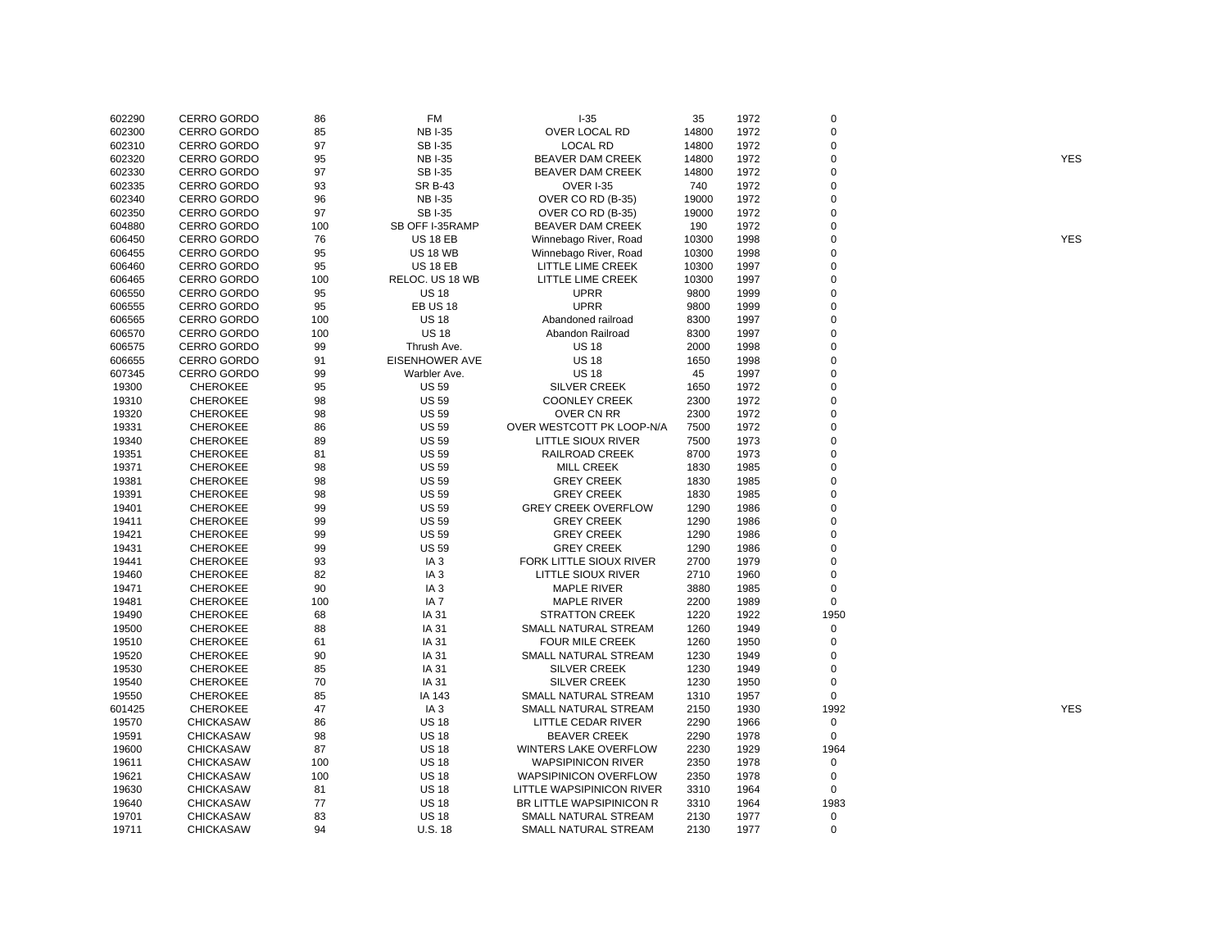| 602290 | <b>CERRO GORDO</b> | 86  | FM                    | $1 - 35$                        | 35    | 1972 | 0           |            |
|--------|--------------------|-----|-----------------------|---------------------------------|-------|------|-------------|------------|
| 602300 | <b>CERRO GORDO</b> | 85  | <b>NBI-35</b>         | OVER LOCAL RD                   | 14800 | 1972 | $\mathbf 0$ |            |
| 602310 | <b>CERRO GORDO</b> | 97  | SB I-35               | <b>LOCAL RD</b>                 | 14800 | 1972 | $\mathbf 0$ |            |
| 602320 | <b>CERRO GORDO</b> | 95  | <b>NBI-35</b>         | <b>BEAVER DAM CREEK</b>         | 14800 | 1972 | $\mathbf 0$ | <b>YES</b> |
| 602330 | <b>CERRO GORDO</b> | 97  | <b>SBI-35</b>         | BEAVER DAM CREEK                | 14800 | 1972 | $\mathbf 0$ |            |
| 602335 | CERRO GORDO        | 93  | <b>SR B-43</b>        | <b>OVER I-35</b>                | 740   | 1972 | $\mathbf 0$ |            |
| 602340 | <b>CERRO GORDO</b> | 96  | <b>NBI-35</b>         | OVER CO RD (B-35)               | 19000 | 1972 | $\Omega$    |            |
| 602350 | <b>CERRO GORDO</b> | 97  | <b>SBI-35</b>         | OVER CO RD (B-35)               | 19000 | 1972 | $\mathbf 0$ |            |
| 604880 | <b>CERRO GORDO</b> | 100 | SB OFF I-35RAMP       | <b>BEAVER DAM CREEK</b>         | 190   | 1972 | $\Omega$    |            |
| 606450 | <b>CERRO GORDO</b> | 76  | <b>US 18 EB</b>       | Winnebago River, Road           | 10300 | 1998 | $\Omega$    | <b>YES</b> |
| 606455 | <b>CERRO GORDO</b> | 95  | <b>US 18 WB</b>       | Winnebago River, Road           | 10300 | 1998 | $\mathbf 0$ |            |
| 606460 | <b>CERRO GORDO</b> | 95  | <b>US 18 EB</b>       | LITTLE LIME CREEK               | 10300 | 1997 | $\mathbf 0$ |            |
| 606465 | CERRO GORDO        | 100 | RELOC. US 18 WB       | LITTLE LIME CREEK               | 10300 | 1997 | $\mathbf 0$ |            |
| 606550 | <b>CERRO GORDO</b> | 95  | <b>US 18</b>          | UPRR                            | 9800  | 1999 | $\Omega$    |            |
| 606555 | <b>CERRO GORDO</b> | 95  | <b>EB US 18</b>       | <b>UPRR</b>                     | 9800  | 1999 | $\mathbf 0$ |            |
| 606565 | <b>CERRO GORDO</b> | 100 | <b>US 18</b>          | Abandoned railroad              | 8300  | 1997 | $\mathbf 0$ |            |
| 606570 | <b>CERRO GORDO</b> | 100 | <b>US 18</b>          | Abandon Railroad                | 8300  | 1997 | $\Omega$    |            |
| 606575 | <b>CERRO GORDO</b> | 99  | Thrush Ave.           | <b>US 18</b>                    | 2000  | 1998 | $\mathbf 0$ |            |
| 606655 | CERRO GORDO        | 91  | <b>EISENHOWER AVE</b> | <b>US 18</b>                    | 1650  | 1998 | $\mathbf 0$ |            |
| 607345 | <b>CERRO GORDO</b> | 99  | Warbler Ave.          | <b>US 18</b>                    | 45    | 1997 | $\mathbf 0$ |            |
| 19300  | <b>CHEROKEE</b>    | 95  | <b>US 59</b>          | <b>SILVER CREEK</b>             | 1650  | 1972 | $\Omega$    |            |
| 19310  | <b>CHEROKEE</b>    | 98  | <b>US 59</b>          | <b>COONLEY CREEK</b>            | 2300  | 1972 | $\Omega$    |            |
| 19320  | <b>CHEROKEE</b>    | 98  | <b>US 59</b>          | OVER CN RR                      | 2300  | 1972 | $\Omega$    |            |
| 19331  | <b>CHEROKEE</b>    | 86  | <b>US 59</b>          | OVER WESTCOTT PK LOOP-N/A       | 7500  | 1972 | 0           |            |
| 19340  | <b>CHEROKEE</b>    | 89  | <b>US 59</b>          | LITTLE SIOUX RIVER              | 7500  | 1973 | $\mathbf 0$ |            |
| 19351  | <b>CHEROKEE</b>    | 81  | <b>US 59</b>          | RAILROAD CREEK                  | 8700  | 1973 | $\mathbf 0$ |            |
|        |                    | 98  | <b>US 59</b>          |                                 |       |      | $\mathbf 0$ |            |
| 19371  | <b>CHEROKEE</b>    |     |                       | <b>MILL CREEK</b>               | 1830  | 1985 | $\mathbf 0$ |            |
| 19381  | <b>CHEROKEE</b>    | 98  | <b>US 59</b>          | <b>GREY CREEK</b>               | 1830  | 1985 | $\Omega$    |            |
| 19391  | <b>CHEROKEE</b>    | 98  | <b>US 59</b>          | <b>GREY CREEK</b>               | 1830  | 1985 | $\Omega$    |            |
| 19401  | <b>CHEROKEE</b>    | 99  | <b>US 59</b>          | <b>GREY CREEK OVERFLOW</b>      | 1290  | 1986 | $\Omega$    |            |
| 19411  | <b>CHEROKEE</b>    | 99  | <b>US 59</b>          | <b>GREY CREEK</b>               | 1290  | 1986 |             |            |
| 19421  | <b>CHEROKEE</b>    | 99  | <b>US 59</b>          | <b>GREY CREEK</b>               | 1290  | 1986 | $\Omega$    |            |
| 19431  | <b>CHEROKEE</b>    | 99  | <b>US 59</b>          | <b>GREY CREEK</b>               | 1290  | 1986 | $\mathbf 0$ |            |
| 19441  | <b>CHEROKEE</b>    | 93  | IA <sub>3</sub>       | FORK LITTLE SIOUX RIVER         | 2700  | 1979 | $\mathbf 0$ |            |
| 19460  | <b>CHEROKEE</b>    | 82  | IA <sub>3</sub>       | LITTLE SIOUX RIVER              | 2710  | 1960 | $\mathbf 0$ |            |
| 19471  | <b>CHEROKEE</b>    | 90  | IA <sub>3</sub>       | MAPLE RIVER                     | 3880  | 1985 | 0           |            |
| 19481  | <b>CHEROKEE</b>    | 100 | IA <sub>7</sub>       | <b>MAPLE RIVER</b>              | 2200  | 1989 | $\mathbf 0$ |            |
| 19490  | <b>CHEROKEE</b>    | 68  | IA 31                 | <b>STRATTON CREEK</b>           | 1220  | 1922 | 1950        |            |
| 19500  | <b>CHEROKEE</b>    | 88  | IA 31                 | SMALL NATURAL STREAM            | 1260  | 1949 | $\mathbf 0$ |            |
| 19510  | <b>CHEROKEE</b>    | 61  | IA 31                 | <b>FOUR MILE CREEK</b>          | 1260  | 1950 | $\mathbf 0$ |            |
| 19520  | <b>CHEROKEE</b>    | 90  | IA 31                 | SMALL NATURAL STREAM            | 1230  | 1949 | $\mathbf 0$ |            |
| 19530  | <b>CHEROKEE</b>    | 85  | IA 31                 | <b>SILVER CREEK</b>             | 1230  | 1949 | 0           |            |
| 19540  | <b>CHEROKEE</b>    | 70  | IA 31                 | <b>SILVER CREEK</b>             | 1230  | 1950 | $\mathbf 0$ |            |
| 19550  | <b>CHEROKEE</b>    | 85  | IA 143                | SMALL NATURAL STREAM            | 1310  | 1957 | $\mathbf 0$ |            |
| 601425 | <b>CHEROKEE</b>    | 47  | IA <sub>3</sub>       | SMALL NATURAL STREAM            | 2150  | 1930 | 1992        | <b>YES</b> |
| 19570  | <b>CHICKASAW</b>   | 86  | <b>US 18</b>          | LITTLE CEDAR RIVER              | 2290  | 1966 | 0           |            |
| 19591  | <b>CHICKASAW</b>   | 98  | <b>US 18</b>          | <b>BEAVER CREEK</b>             | 2290  | 1978 | $\mathbf 0$ |            |
| 19600  | <b>CHICKASAW</b>   | 87  | <b>US 18</b>          | WINTERS LAKE OVERFLOW           | 2230  | 1929 | 1964        |            |
| 19611  | <b>CHICKASAW</b>   | 100 | <b>US 18</b>          | <b>WAPSIPINICON RIVER</b>       | 2350  | 1978 | $\mathsf 0$ |            |
| 19621  | <b>CHICKASAW</b>   | 100 | <b>US 18</b>          | <b>WAPSIPINICON OVERFLOW</b>    | 2350  | 1978 | $\mathbf 0$ |            |
| 19630  | <b>CHICKASAW</b>   | 81  | <b>US 18</b>          | LITTLE WAPSIPINICON RIVER       | 3310  | 1964 | 0           |            |
| 19640  | <b>CHICKASAW</b>   | 77  | <b>US 18</b>          | <b>BR LITTLE WAPSIPINICON R</b> | 3310  | 1964 | 1983        |            |
| 19701  | <b>CHICKASAW</b>   | 83  | <b>US 18</b>          | SMALL NATURAL STREAM            | 2130  | 1977 | $\Omega$    |            |
| 19711  | <b>CHICKASAW</b>   | 94  | U.S. 18               | SMALL NATURAL STREAM            | 2130  | 1977 | $\mathbf 0$ |            |
|        |                    |     |                       |                                 |       |      |             |            |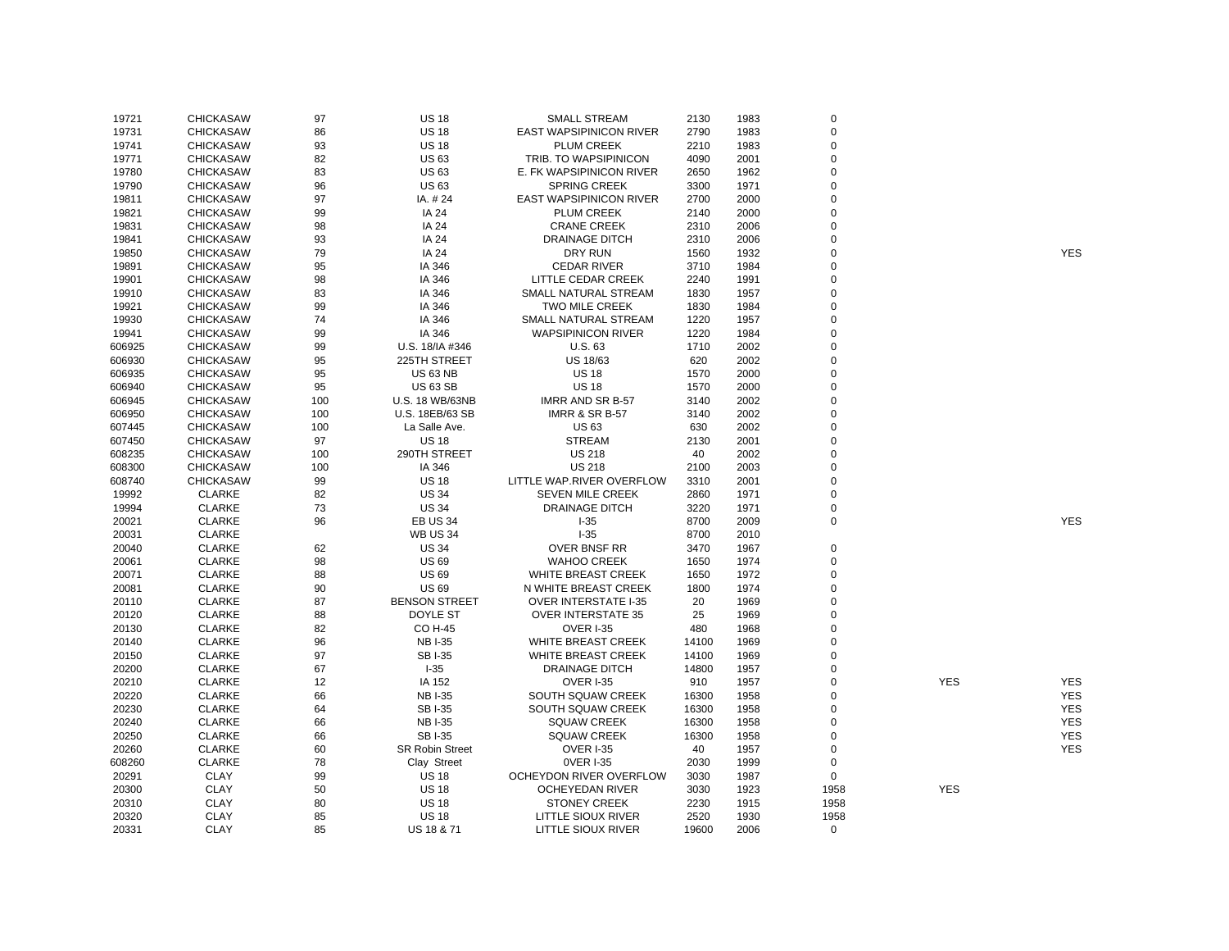| 19721  | <b>CHICKASAW</b> | 97  | <b>US 18</b>           | <b>SMALL STREAM</b>            | 2130  | 1983 | $\mathbf 0$             |            |            |
|--------|------------------|-----|------------------------|--------------------------------|-------|------|-------------------------|------------|------------|
| 19731  | <b>CHICKASAW</b> | 86  | <b>US 18</b>           | EAST WAPSIPINICON RIVER        | 2790  | 1983 | $\mathbf 0$             |            |            |
| 19741  | <b>CHICKASAW</b> | 93  | <b>US 18</b>           | <b>PLUM CREEK</b>              | 2210  | 1983 | $\Omega$                |            |            |
| 19771  | <b>CHICKASAW</b> | 82  | <b>US63</b>            | TRIB. TO WAPSIPINICON          | 4090  | 2001 | $\mathbf 0$             |            |            |
| 19780  | <b>CHICKASAW</b> | 83  | <b>US63</b>            | E. FK WAPSIPINICON RIVER       | 2650  | 1962 | $\mathbf 0$             |            |            |
| 19790  | <b>CHICKASAW</b> | 96  | <b>US63</b>            | <b>SPRING CREEK</b>            | 3300  | 1971 | $\Omega$                |            |            |
| 19811  | <b>CHICKASAW</b> | 97  | IA. #24                | <b>EAST WAPSIPINICON RIVER</b> | 2700  | 2000 | $\mathbf 0$             |            |            |
| 19821  | <b>CHICKASAW</b> | 99  | IA 24                  | PLUM CREEK                     | 2140  | 2000 | $\mathbf 0$             |            |            |
| 19831  | <b>CHICKASAW</b> | 98  | IA 24                  | <b>CRANE CREEK</b>             | 2310  | 2006 | $\Omega$                |            |            |
| 19841  | <b>CHICKASAW</b> | 93  | IA 24                  | <b>DRAINAGE DITCH</b>          | 2310  | 2006 | $\Omega$                |            |            |
| 19850  | <b>CHICKASAW</b> | 79  | <b>IA 24</b>           | <b>DRY RUN</b>                 | 1560  | 1932 | $\mathbf 0$             |            | <b>YES</b> |
| 19891  | <b>CHICKASAW</b> | 95  | IA 346                 | <b>CEDAR RIVER</b>             | 3710  | 1984 | $\Omega$                |            |            |
| 19901  | <b>CHICKASAW</b> | 98  | IA 346                 | LITTLE CEDAR CREEK             | 2240  | 1991 | $\mathbf 0$             |            |            |
| 19910  | <b>CHICKASAW</b> | 83  | IA 346                 | SMALL NATURAL STREAM           | 1830  | 1957 | $\Omega$                |            |            |
| 19921  | <b>CHICKASAW</b> | 99  | IA 346                 | TWO MILE CREEK                 | 1830  | 1984 | $\mathbf 0$             |            |            |
| 19930  | <b>CHICKASAW</b> | 74  | IA 346                 | <b>SMALL NATURAL STREAM</b>    | 1220  | 1957 | $\Omega$                |            |            |
| 19941  | <b>CHICKASAW</b> | 99  | IA 346                 | <b>WAPSIPINICON RIVER</b>      | 1220  | 1984 | $\Omega$                |            |            |
| 606925 | <b>CHICKASAW</b> | 99  | U.S. 18/IA #346        | <b>U.S. 63</b>                 | 1710  | 2002 | $\overline{0}$          |            |            |
| 606930 | <b>CHICKASAW</b> | 95  | 225TH STREET           | US 18/63                       | 620   | 2002 | $\mathbf 0$             |            |            |
| 606935 | <b>CHICKASAW</b> | 95  | <b>US 63 NB</b>        | <b>US 18</b>                   | 1570  | 2000 | $\Omega$                |            |            |
|        |                  | 95  | <b>US 63 SB</b>        | <b>US 18</b>                   |       |      | $\mathbf 0$             |            |            |
| 606940 | <b>CHICKASAW</b> |     |                        |                                | 1570  | 2000 | $\Omega$                |            |            |
| 606945 | <b>CHICKASAW</b> | 100 | U.S. 18 WB/63NB        | <b>IMRR AND SR B-57</b>        | 3140  | 2002 |                         |            |            |
| 606950 | <b>CHICKASAW</b> | 100 | U.S. 18EB/63 SB        | <b>IMRR &amp; SR B-57</b>      | 3140  | 2002 | $\mathbf 0$<br>$\Omega$ |            |            |
| 607445 | <b>CHICKASAW</b> | 100 | La Salle Ave.          | <b>US 63</b>                   | 630   | 2002 |                         |            |            |
| 607450 | <b>CHICKASAW</b> | 97  | <b>US 18</b>           | <b>STREAM</b>                  | 2130  | 2001 | $\Omega$                |            |            |
| 608235 | <b>CHICKASAW</b> | 100 | 290TH STREET           | <b>US 218</b>                  | 40    | 2002 | $\mathbf 0$             |            |            |
| 608300 | <b>CHICKASAW</b> | 100 | IA 346                 | <b>US 218</b>                  | 2100  | 2003 | $\mathbf 0$             |            |            |
| 608740 | <b>CHICKASAW</b> | 99  | <b>US 18</b>           | LITTLE WAP.RIVER OVERFLOW      | 3310  | 2001 | $\Omega$                |            |            |
| 19992  | <b>CLARKE</b>    | 82  | <b>US 34</b>           | <b>SEVEN MILE CREEK</b>        | 2860  | 1971 | $\mathbf 0$             |            |            |
| 19994  | <b>CLARKE</b>    | 73  | <b>US 34</b>           | <b>DRAINAGE DITCH</b>          | 3220  | 1971 | $\mathbf 0$             |            |            |
| 20021  | <b>CLARKE</b>    | 96  | <b>EB US 34</b>        | $I-35$                         | 8700  | 2009 | $\mathbf 0$             |            | <b>YES</b> |
| 20031  | <b>CLARKE</b>    |     | <b>WB US 34</b>        | $-35$                          | 8700  | 2010 |                         |            |            |
| 20040  | <b>CLARKE</b>    | 62  | <b>US 34</b>           | OVER BNSF RR                   | 3470  | 1967 | $\mathbf 0$             |            |            |
| 20061  | <b>CLARKE</b>    | 98  | <b>US 69</b>           | <b>WAHOO CREEK</b>             | 1650  | 1974 | $\mathbf 0$             |            |            |
| 20071  | <b>CLARKE</b>    | 88  | <b>US69</b>            | <b>WHITE BREAST CREEK</b>      | 1650  | 1972 | $\mathbf 0$             |            |            |
| 20081  | <b>CLARKE</b>    | 90  | <b>US69</b>            | N WHITE BREAST CREEK           | 1800  | 1974 | $\mathbf 0$             |            |            |
| 20110  | <b>CLARKE</b>    | 87  | <b>BENSON STREET</b>   | <b>OVER INTERSTATE I-35</b>    | 20    | 1969 | $\mathbf 0$             |            |            |
| 20120  | <b>CLARKE</b>    | 88  | DOYLE ST               | <b>OVER INTERSTATE 35</b>      | 25    | 1969 | $\Omega$                |            |            |
| 20130  | <b>CLARKE</b>    | 82  | <b>CO H-45</b>         | <b>OVER I-35</b>               | 480   | 1968 | $\Omega$                |            |            |
| 20140  | <b>CLARKE</b>    | 96  | <b>NBI-35</b>          | WHITE BREAST CREEK             | 14100 | 1969 | $\Omega$                |            |            |
| 20150  | <b>CLARKE</b>    | 97  | <b>SBI-35</b>          | WHITE BREAST CREEK             | 14100 | 1969 | $\mathbf 0$             |            |            |
| 20200  | <b>CLARKE</b>    | 67  | $I-35$                 | <b>DRAINAGE DITCH</b>          | 14800 | 1957 | $\mathbf 0$             |            |            |
| 20210  | <b>CLARKE</b>    | 12  | IA 152                 | <b>OVER I-35</b>               | 910   | 1957 | $\Omega$                | <b>YES</b> | <b>YES</b> |
| 20220  | <b>CLARKE</b>    | 66  | <b>NBI-35</b>          | SOUTH SQUAW CREEK              | 16300 | 1958 | $\mathbf 0$             |            | <b>YES</b> |
| 20230  | <b>CLARKE</b>    | 64  | <b>SBI-35</b>          | SOUTH SQUAW CREEK              | 16300 | 1958 | $\mathbf 0$             |            | <b>YES</b> |
| 20240  | <b>CLARKE</b>    | 66  | <b>NBI-35</b>          | <b>SQUAW CREEK</b>             | 16300 | 1958 | $\mathbf 0$             |            | <b>YES</b> |
| 20250  | <b>CLARKE</b>    | 66  | <b>SBI-35</b>          | <b>SQUAW CREEK</b>             | 16300 | 1958 | $\mathbf 0$             |            | <b>YES</b> |
| 20260  | <b>CLARKE</b>    | 60  | <b>SR Robin Street</b> | <b>OVER I-35</b>               | 40    | 1957 | $\mathbf 0$             |            | <b>YES</b> |
| 608260 | <b>CLARKE</b>    | 78  | Clay Street            | 0VER I-35                      | 2030  | 1999 | $\mathbf 0$             |            |            |
| 20291  | <b>CLAY</b>      | 99  | <b>US 18</b>           | OCHEYDON RIVER OVERFLOW        | 3030  | 1987 | $\mathbf 0$             |            |            |
| 20300  | <b>CLAY</b>      | 50  | <b>US 18</b>           | <b>OCHEYEDAN RIVER</b>         | 3030  | 1923 | 1958                    | <b>YES</b> |            |
| 20310  | <b>CLAY</b>      | 80  | <b>US 18</b>           | <b>STONEY CREEK</b>            | 2230  | 1915 | 1958                    |            |            |
| 20320  | <b>CLAY</b>      | 85  | <b>US 18</b>           | LITTLE SIOUX RIVER             | 2520  | 1930 | 1958                    |            |            |
| 20331  | <b>CLAY</b>      | 85  | US 18 & 71             | LITTLE SIOUX RIVER             | 19600 | 2006 | 0                       |            |            |
|        |                  |     |                        |                                |       |      |                         |            |            |

YES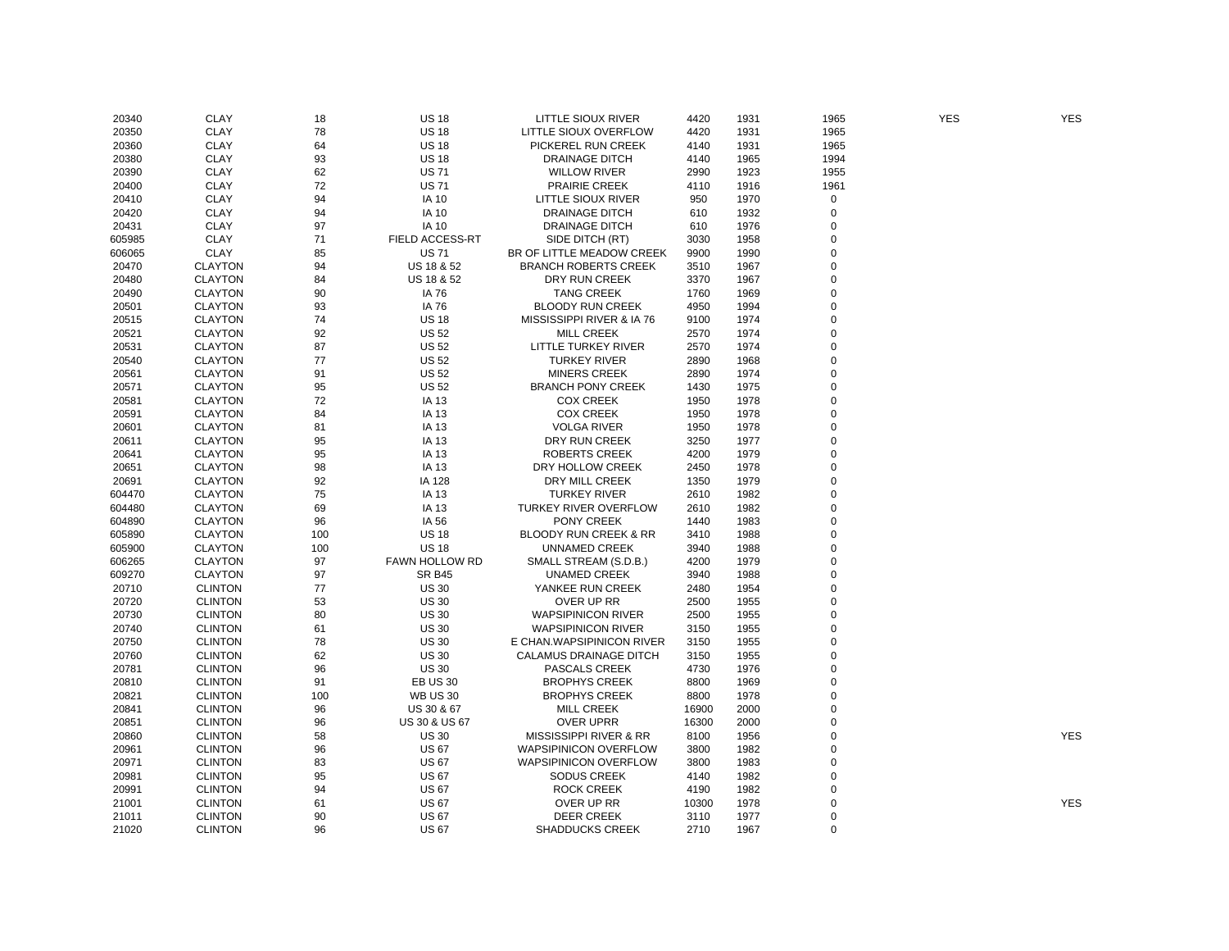| 20340  | <b>CLAY</b>    | 18  | <b>US 18</b>             | LITTLE SIOUX RIVER                | 4420  | 1931 | 1965        | <b>YES</b> | <b>YES</b> |
|--------|----------------|-----|--------------------------|-----------------------------------|-------|------|-------------|------------|------------|
| 20350  | <b>CLAY</b>    | 78  | <b>US 18</b>             | LITTLE SIOUX OVERFLOW             | 4420  | 1931 | 1965        |            |            |
| 20360  | <b>CLAY</b>    | 64  | <b>US 18</b>             | PICKEREL RUN CREEK                | 4140  | 1931 | 1965        |            |            |
| 20380  | <b>CLAY</b>    | 93  | <b>US 18</b>             | <b>DRAINAGE DITCH</b>             | 4140  | 1965 | 1994        |            |            |
| 20390  | <b>CLAY</b>    | 62  | <b>US71</b>              | <b>WILLOW RIVER</b>               | 2990  | 1923 | 1955        |            |            |
| 20400  | <b>CLAY</b>    | 72  | <b>US71</b>              | <b>PRAIRIE CREEK</b>              | 4110  | 1916 | 1961        |            |            |
| 20410  | <b>CLAY</b>    | 94  | <b>IA 10</b>             | LITTLE SIOUX RIVER                | 950   | 1970 | 0           |            |            |
| 20420  | <b>CLAY</b>    | 94  | <b>IA 10</b>             | <b>DRAINAGE DITCH</b>             | 610   | 1932 | $\mathbf 0$ |            |            |
| 20431  | <b>CLAY</b>    | 97  | <b>IA 10</b>             | <b>DRAINAGE DITCH</b>             | 610   | 1976 | $\mathbf 0$ |            |            |
| 605985 | <b>CLAY</b>    | 71  | FIELD ACCESS-RT          | SIDE DITCH (RT)                   | 3030  | 1958 | $\mathbf 0$ |            |            |
| 606065 | <b>CLAY</b>    | 85  | <b>US71</b>              | BR OF LITTLE MEADOW CREEK         | 9900  | 1990 | $\mathbf 0$ |            |            |
| 20470  | <b>CLAYTON</b> | 94  | <b>US 18 &amp; 52</b>    | <b>BRANCH ROBERTS CREEK</b>       | 3510  | 1967 | $\pmb{0}$   |            |            |
| 20480  | <b>CLAYTON</b> | 84  | US 18 & 52               | DRY RUN CREEK                     | 3370  | 1967 | 0           |            |            |
| 20490  | <b>CLAYTON</b> | 90  | IA 76                    | <b>TANG CREEK</b>                 | 1760  | 1969 | $\pmb{0}$   |            |            |
| 20501  | <b>CLAYTON</b> | 93  | IA 76                    | <b>BLOODY RUN CREEK</b>           | 4950  | 1994 | 0           |            |            |
| 20515  | <b>CLAYTON</b> | 74  | <b>US 18</b>             | MISSISSIPPI RIVER & IA 76         | 9100  | 1974 | 0           |            |            |
| 20521  | <b>CLAYTON</b> | 92  | <b>US 52</b>             | <b>MILL CREEK</b>                 | 2570  | 1974 | $\mathbf 0$ |            |            |
|        |                | 87  | <b>US 52</b>             | LITTLE TURKEY RIVER               |       |      | 0           |            |            |
| 20531  | <b>CLAYTON</b> |     |                          |                                   | 2570  | 1974 | $\mathbf 0$ |            |            |
| 20540  | <b>CLAYTON</b> | 77  | <b>US 52</b>             | <b>TURKEY RIVER</b>               | 2890  | 1968 |             |            |            |
| 20561  | <b>CLAYTON</b> | 91  | <b>US 52</b>             | <b>MINERS CREEK</b>               | 2890  | 1974 | 0           |            |            |
| 20571  | <b>CLAYTON</b> | 95  | <b>US 52</b>             | <b>BRANCH PONY CREEK</b>          | 1430  | 1975 | $\pmb{0}$   |            |            |
| 20581  | <b>CLAYTON</b> | 72  | IA 13                    | <b>COX CREEK</b>                  | 1950  | 1978 | 0           |            |            |
| 20591  | <b>CLAYTON</b> | 84  | IA 13                    | <b>COX CREEK</b>                  | 1950  | 1978 | 0           |            |            |
| 20601  | <b>CLAYTON</b> | 81  | IA 13                    | <b>VOLGA RIVER</b>                | 1950  | 1978 | 0           |            |            |
| 20611  | <b>CLAYTON</b> | 95  | IA 13                    | DRY RUN CREEK                     | 3250  | 1977 | $\pmb{0}$   |            |            |
| 20641  | <b>CLAYTON</b> | 95  | IA 13                    | <b>ROBERTS CREEK</b>              | 4200  | 1979 | $\mathbf 0$ |            |            |
| 20651  | <b>CLAYTON</b> | 98  | IA 13                    | DRY HOLLOW CREEK                  | 2450  | 1978 | $\mathbf 0$ |            |            |
| 20691  | <b>CLAYTON</b> | 92  | IA 128                   | DRY MILL CREEK                    | 1350  | 1979 | $\mathbf 0$ |            |            |
| 604470 | <b>CLAYTON</b> | 75  | IA 13                    | <b>TURKEY RIVER</b>               | 2610  | 1982 | $\mathbf 0$ |            |            |
| 604480 | <b>CLAYTON</b> | 69  | IA 13                    | <b>TURKEY RIVER OVERFLOW</b>      | 2610  | 1982 | $\mathbf 0$ |            |            |
| 604890 | <b>CLAYTON</b> | 96  | IA 56                    | PONY CREEK                        | 1440  | 1983 | 0           |            |            |
| 605890 | <b>CLAYTON</b> | 100 | <b>US 18</b>             | <b>BLOODY RUN CREEK &amp; RR</b>  | 3410  | 1988 | $\mathbf 0$ |            |            |
| 605900 | <b>CLAYTON</b> | 100 | <b>US 18</b>             | <b>UNNAMED CREEK</b>              | 3940  | 1988 | 0           |            |            |
| 606265 | <b>CLAYTON</b> | 97  | FAWN HOLLOW RD           | SMALL STREAM (S.D.B.)             | 4200  | 1979 | $\mathbf 0$ |            |            |
| 609270 | <b>CLAYTON</b> | 97  | <b>SR B45</b>            | <b>UNAMED CREEK</b>               | 3940  | 1988 | $\mathbf 0$ |            |            |
| 20710  | <b>CLINTON</b> | 77  | <b>US 30</b>             | YANKEE RUN CREEK                  | 2480  | 1954 | $\mathbf 0$ |            |            |
| 20720  | <b>CLINTON</b> | 53  | <b>US 30</b>             | OVER UP RR                        | 2500  | 1955 | $\mathbf 0$ |            |            |
| 20730  | <b>CLINTON</b> | 80  | <b>US 30</b>             | <b>WAPSIPINICON RIVER</b>         | 2500  | 1955 | $\mathbf 0$ |            |            |
| 20740  | <b>CLINTON</b> | 61  | <b>US 30</b>             | <b>WAPSIPINICON RIVER</b>         | 3150  | 1955 | 0           |            |            |
| 20750  | <b>CLINTON</b> | 78  | <b>US 30</b>             | E CHAN. WAPSIPINICON RIVER        | 3150  | 1955 | $\mathbf 0$ |            |            |
| 20760  | <b>CLINTON</b> | 62  | <b>US 30</b>             | CALAMUS DRAINAGE DITCH            | 3150  | 1955 | 0           |            |            |
| 20781  | <b>CLINTON</b> | 96  | <b>US 30</b>             | PASCALS CREEK                     | 4730  | 1976 | $\mathbf 0$ |            |            |
| 20810  | <b>CLINTON</b> | 91  | <b>EB US 30</b>          | <b>BROPHYS CREEK</b>              | 8800  | 1969 | $\mathbf 0$ |            |            |
| 20821  | <b>CLINTON</b> | 100 | <b>WB US 30</b>          | <b>BROPHYS CREEK</b>              | 8800  | 1978 | 0           |            |            |
| 20841  | <b>CLINTON</b> | 96  | US 30 & 67               | <b>MILL CREEK</b>                 | 16900 | 2000 | $\mathbf 0$ |            |            |
| 20851  | <b>CLINTON</b> | 96  | <b>US 30 &amp; US 67</b> | <b>OVER UPRR</b>                  | 16300 | 2000 | 0           |            |            |
| 20860  | <b>CLINTON</b> | 58  | <b>US 30</b>             | <b>MISSISSIPPI RIVER &amp; RR</b> | 8100  | 1956 | $\mathbf 0$ |            | <b>YES</b> |
| 20961  | <b>CLINTON</b> | 96  | <b>US 67</b>             | <b>WAPSIPINICON OVERFLOW</b>      | 3800  | 1982 | 0           |            |            |
| 20971  | <b>CLINTON</b> | 83  | <b>US 67</b>             | <b>WAPSIPINICON OVERFLOW</b>      | 3800  | 1983 | $\mathbf 0$ |            |            |
| 20981  | <b>CLINTON</b> | 95  | <b>US 67</b>             | <b>SODUS CREEK</b>                | 4140  | 1982 | 0           |            |            |
| 20991  | <b>CLINTON</b> | 94  | <b>US 67</b>             | <b>ROCK CREEK</b>                 | 4190  | 1982 | $\mathbf 0$ |            |            |
| 21001  | <b>CLINTON</b> | 61  | <b>US 67</b>             | OVER UP RR                        | 10300 | 1978 | $\mathbf 0$ |            | <b>YES</b> |
| 21011  | <b>CLINTON</b> | 90  | <b>US 67</b>             | <b>DEER CREEK</b>                 | 3110  | 1977 | $\mathbf 0$ |            |            |
| 21020  | <b>CLINTON</b> | 96  | <b>US 67</b>             | <b>SHADDUCKS CREEK</b>            | 2710  | 1967 | $\mathbf 0$ |            |            |
|        |                |     |                          |                                   |       |      |             |            |            |

**YES**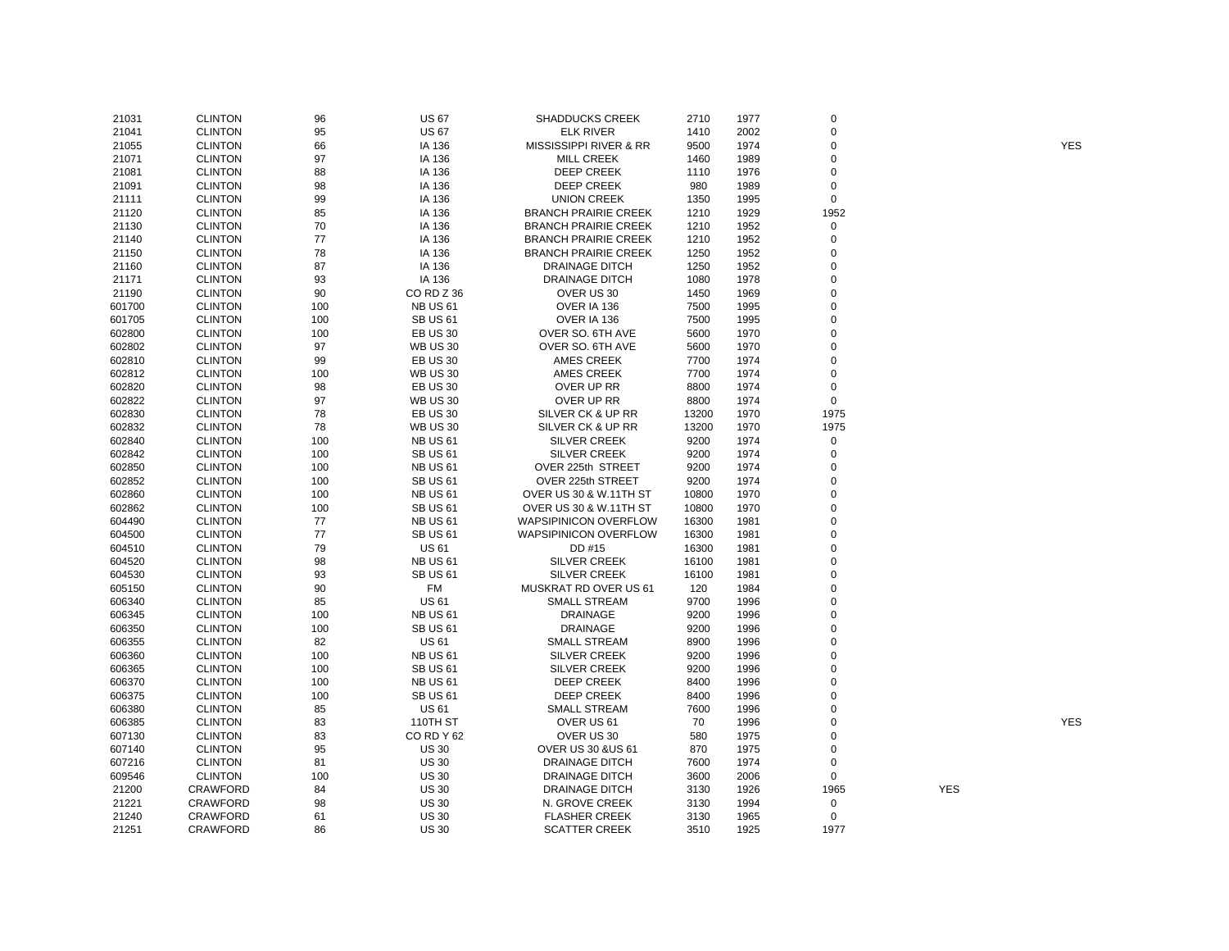| 21031  | <b>CLINTON</b>  | 96  | <b>US 67</b>        | <b>SHADDUCKS CREEK</b>       | 2710  | 1977 | $\mathbf 0$ |            |            |
|--------|-----------------|-----|---------------------|------------------------------|-------|------|-------------|------------|------------|
| 21041  | <b>CLINTON</b>  | 95  | <b>US 67</b>        | <b>ELK RIVER</b>             | 1410  | 2002 | 0           |            |            |
| 21055  | <b>CLINTON</b>  | 66  | IA 136              | MISSISSIPPI RIVER & RR       | 9500  | 1974 | $\mathbf 0$ |            | <b>YES</b> |
| 21071  | <b>CLINTON</b>  | 97  | IA 136              | <b>MILL CREEK</b>            | 1460  | 1989 | $\mathbf 0$ |            |            |
| 21081  | <b>CLINTON</b>  | 88  | IA 136              | <b>DEEP CREEK</b>            | 1110  | 1976 | $\mathbf 0$ |            |            |
| 21091  | <b>CLINTON</b>  | 98  | IA 136              | <b>DEEP CREEK</b>            | 980   | 1989 | $\mathbf 0$ |            |            |
| 21111  | <b>CLINTON</b>  | 99  | IA 136              | <b>UNION CREEK</b>           | 1350  | 1995 | $\pmb{0}$   |            |            |
| 21120  | <b>CLINTON</b>  | 85  | IA 136              | <b>BRANCH PRAIRIE CREEK</b>  | 1210  | 1929 | 1952        |            |            |
| 21130  | <b>CLINTON</b>  | 70  | IA 136              | <b>BRANCH PRAIRIE CREEK</b>  | 1210  | 1952 | 0           |            |            |
| 21140  | <b>CLINTON</b>  | 77  | IA 136              | <b>BRANCH PRAIRIE CREEK</b>  | 1210  | 1952 | 0           |            |            |
| 21150  | <b>CLINTON</b>  | 78  | IA 136              | <b>BRANCH PRAIRIE CREEK</b>  | 1250  | 1952 | $\mathbf 0$ |            |            |
| 21160  | <b>CLINTON</b>  | 87  | IA 136              | <b>DRAINAGE DITCH</b>        | 1250  | 1952 | $\mathbf 0$ |            |            |
| 21171  | <b>CLINTON</b>  | 93  | IA 136              | <b>DRAINAGE DITCH</b>        | 1080  | 1978 | $\mathbf 0$ |            |            |
| 21190  | <b>CLINTON</b>  | 90  | CORDZ36             | OVER US 30                   | 1450  | 1969 | $\mathbf 0$ |            |            |
| 601700 | <b>CLINTON</b>  | 100 | <b>NB US 61</b>     | OVER IA 136                  | 7500  | 1995 | 0           |            |            |
| 601705 | <b>CLINTON</b>  | 100 | <b>SB US 61</b>     | OVER IA 136                  | 7500  | 1995 | $\mathbf 0$ |            |            |
|        |                 |     |                     |                              |       |      | 0           |            |            |
| 602800 | <b>CLINTON</b>  | 100 | <b>EB US 30</b>     | OVER SO. 6TH AVE             | 5600  | 1970 |             |            |            |
| 602802 | <b>CLINTON</b>  | 97  | <b>WB US 30</b>     | OVER SO. 6TH AVE             | 5600  | 1970 | 0           |            |            |
| 602810 | <b>CLINTON</b>  | 99  | <b>EB US 30</b>     | <b>AMES CREEK</b>            | 7700  | 1974 | $\mathbf 0$ |            |            |
| 602812 | <b>CLINTON</b>  | 100 | <b>WB US 30</b>     | <b>AMES CREEK</b>            | 7700  | 1974 | $\mathbf 0$ |            |            |
| 602820 | <b>CLINTON</b>  | 98  | <b>EB US 30</b>     | OVER UP RR                   | 8800  | 1974 | 0           |            |            |
| 602822 | <b>CLINTON</b>  | 97  | <b>WB US 30</b>     | OVER UP RR                   | 8800  | 1974 | $\mathbf 0$ |            |            |
| 602830 | <b>CLINTON</b>  | 78  | <b>EB US 30</b>     | SILVER CK & UP RR            | 13200 | 1970 | 1975        |            |            |
| 602832 | <b>CLINTON</b>  | 78  | <b>WB US 30</b>     | SILVER CK & UP RR            | 13200 | 1970 | 1975        |            |            |
| 602840 | <b>CLINTON</b>  | 100 | <b>NB US 61</b>     | <b>SILVER CREEK</b>          | 9200  | 1974 | $\mathbf 0$ |            |            |
| 602842 | <b>CLINTON</b>  | 100 | <b>SB US 61</b>     | <b>SILVER CREEK</b>          | 9200  | 1974 | 0           |            |            |
| 602850 | <b>CLINTON</b>  | 100 | <b>NB US 61</b>     | OVER 225th STREET            | 9200  | 1974 | $\mathbf 0$ |            |            |
| 602852 | <b>CLINTON</b>  | 100 | <b>SB US 61</b>     | OVER 225th STREET            | 9200  | 1974 | 0           |            |            |
| 602860 | <b>CLINTON</b>  | 100 | <b>NB US 61</b>     | OVER US 30 & W.11TH ST       | 10800 | 1970 | $\mathbf 0$ |            |            |
| 602862 | <b>CLINTON</b>  | 100 | <b>SB US 61</b>     | OVER US 30 & W.11TH ST       | 10800 | 1970 | $\mathbf 0$ |            |            |
| 604490 | <b>CLINTON</b>  | 77  | <b>NB US 61</b>     | WAPSIPINICON OVERFLOW        | 16300 | 1981 | $\mathbf 0$ |            |            |
| 604500 | <b>CLINTON</b>  | 77  | <b>SB US 61</b>     | <b>WAPSIPINICON OVERFLOW</b> | 16300 | 1981 | $\mathbf 0$ |            |            |
| 604510 | <b>CLINTON</b>  | 79  | <b>US61</b>         | DD #15                       | 16300 | 1981 | $\mathbf 0$ |            |            |
| 604520 | <b>CLINTON</b>  | 98  | <b>NB US 61</b>     | <b>SILVER CREEK</b>          | 16100 | 1981 | $\pmb{0}$   |            |            |
| 604530 | <b>CLINTON</b>  | 93  | <b>SB US 61</b>     | <b>SILVER CREEK</b>          | 16100 | 1981 | $\mathbf 0$ |            |            |
| 605150 | <b>CLINTON</b>  | 90  | <b>FM</b>           | MUSKRAT RD OVER US 61        | 120   | 1984 | $\pmb{0}$   |            |            |
| 606340 | <b>CLINTON</b>  | 85  | <b>US 61</b>        | <b>SMALL STREAM</b>          | 9700  | 1996 | $\pmb{0}$   |            |            |
| 606345 | <b>CLINTON</b>  | 100 | <b>NB US 61</b>     | <b>DRAINAGE</b>              | 9200  | 1996 | 0           |            |            |
| 606350 | <b>CLINTON</b>  | 100 | <b>SB US 61</b>     | <b>DRAINAGE</b>              | 9200  | 1996 | $\pmb{0}$   |            |            |
| 606355 | <b>CLINTON</b>  | 82  | <b>US 61</b>        | <b>SMALL STREAM</b>          | 8900  | 1996 | $\mathbf 0$ |            |            |
| 606360 | <b>CLINTON</b>  | 100 | <b>NB US 61</b>     | <b>SILVER CREEK</b>          | 9200  | 1996 | $\mathbf 0$ |            |            |
| 606365 | <b>CLINTON</b>  | 100 | <b>SB US 61</b>     | <b>SILVER CREEK</b>          | 9200  | 1996 | $\mathbf 0$ |            |            |
| 606370 | <b>CLINTON</b>  | 100 | <b>NB US 61</b>     | <b>DEEP CREEK</b>            | 8400  | 1996 | $\mathbf 0$ |            |            |
| 606375 | <b>CLINTON</b>  | 100 | <b>SB US 61</b>     | <b>DEEP CREEK</b>            | 8400  | 1996 | $\pmb{0}$   |            |            |
| 606380 | <b>CLINTON</b>  | 85  | <b>US 61</b>        | <b>SMALL STREAM</b>          | 7600  | 1996 | 0           |            |            |
| 606385 | <b>CLINTON</b>  | 83  | 110TH ST            | OVER US 61                   | 70    | 1996 | $\pmb{0}$   |            | <b>YES</b> |
| 607130 | <b>CLINTON</b>  | 83  | CORDY <sub>62</sub> | OVER US 30                   | 580   | 1975 | 0           |            |            |
| 607140 | <b>CLINTON</b>  | 95  | <b>US 30</b>        | <b>OVER US 30 &amp;US 61</b> | 870   | 1975 | $\pmb{0}$   |            |            |
| 607216 | <b>CLINTON</b>  | 81  | <b>US 30</b>        | <b>DRAINAGE DITCH</b>        | 7600  | 1974 | 0           |            |            |
|        | <b>CLINTON</b>  |     | <b>US 30</b>        | <b>DRAINAGE DITCH</b>        |       |      | $\pmb{0}$   |            |            |
| 609546 |                 | 100 | <b>US 30</b>        |                              | 3600  | 2006 |             | <b>YES</b> |            |
| 21200  | <b>CRAWFORD</b> | 84  |                     | <b>DRAINAGE DITCH</b>        | 3130  | 1926 | 1965        |            |            |
| 21221  | <b>CRAWFORD</b> | 98  | <b>US 30</b>        | N. GROVE CREEK               | 3130  | 1994 | 0           |            |            |
| 21240  | <b>CRAWFORD</b> | 61  | <b>US 30</b>        | <b>FLASHER CREEK</b>         | 3130  | 1965 | $\mathbf 0$ |            |            |
| 21251  | <b>CRAWFORD</b> | 86  | <b>US 30</b>        | <b>SCATTER CREEK</b>         | 3510  | 1925 | 1977        |            |            |

YES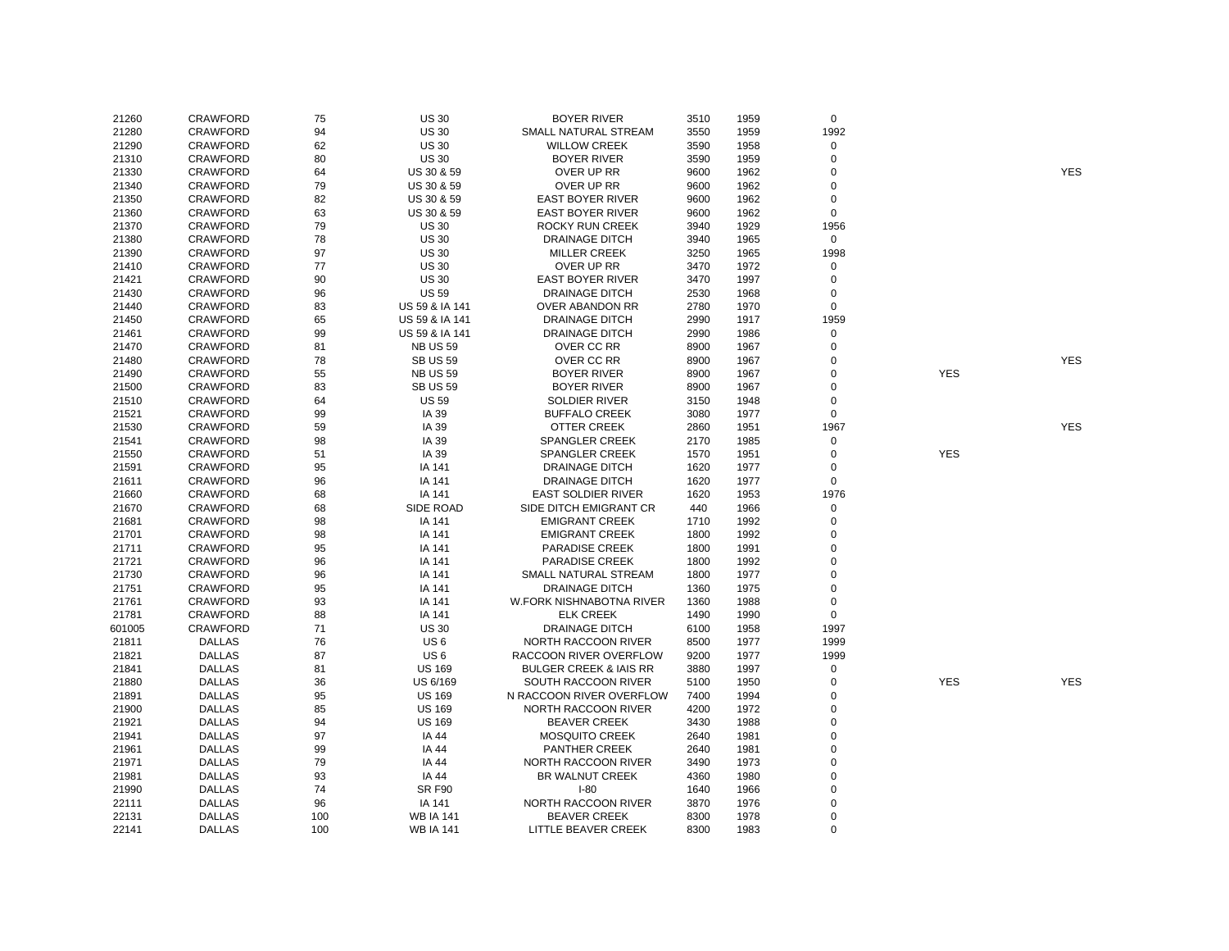| 21260  | <b>CRAWFORD</b> | 75  | <b>US 30</b>     | <b>BOYER RIVER</b>                | 3510 | 1959 | $\mathbf 0$    |            |            |
|--------|-----------------|-----|------------------|-----------------------------------|------|------|----------------|------------|------------|
| 21280  | <b>CRAWFORD</b> | 94  | <b>US 30</b>     | SMALL NATURAL STREAM              | 3550 | 1959 | 1992           |            |            |
| 21290  | CRAWFORD        | 62  | <b>US 30</b>     | <b>WILLOW CREEK</b>               | 3590 | 1958 | $\mathbf 0$    |            |            |
| 21310  | CRAWFORD        | 80  | <b>US 30</b>     | <b>BOYER RIVER</b>                | 3590 | 1959 | $\mathbf 0$    |            |            |
| 21330  | <b>CRAWFORD</b> | 64  | US 30 & 59       | OVER UP RR                        | 9600 | 1962 | 0              |            | <b>YES</b> |
| 21340  | <b>CRAWFORD</b> | 79  | US 30 & 59       | OVER UP RR                        | 9600 | 1962 | $\mathbf 0$    |            |            |
| 21350  | <b>CRAWFORD</b> | 82  | US 30 & 59       | <b>EAST BOYER RIVER</b>           | 9600 | 1962 | $\mathbf 0$    |            |            |
| 21360  | <b>CRAWFORD</b> | 63  | US 30 & 59       | <b>EAST BOYER RIVER</b>           | 9600 | 1962 | $\mathbf 0$    |            |            |
| 21370  | <b>CRAWFORD</b> | 79  | <b>US 30</b>     | <b>ROCKY RUN CREEK</b>            | 3940 | 1929 | 1956           |            |            |
| 21380  | <b>CRAWFORD</b> | 78  | <b>US 30</b>     | <b>DRAINAGE DITCH</b>             | 3940 | 1965 | $\mathbf 0$    |            |            |
| 21390  | CRAWFORD        | 97  | <b>US 30</b>     | <b>MILLER CREEK</b>               | 3250 | 1965 | 1998           |            |            |
| 21410  | CRAWFORD        | 77  | <b>US30</b>      | OVER UP RR                        | 3470 | 1972 | 0              |            |            |
| 21421  | <b>CRAWFORD</b> | 90  | <b>US 30</b>     | <b>EAST BOYER RIVER</b>           | 3470 | 1997 | $\mathbf 0$    |            |            |
| 21430  | <b>CRAWFORD</b> | 96  | <b>US 59</b>     | <b>DRAINAGE DITCH</b>             | 2530 | 1968 | 0              |            |            |
| 21440  | <b>CRAWFORD</b> | 83  | US 59 & IA 141   | OVER ABANDON RR                   | 2780 | 1970 | $\mathsf 0$    |            |            |
| 21450  | CRAWFORD        | 65  | US 59 & IA 141   | <b>DRAINAGE DITCH</b>             | 2990 | 1917 | 1959           |            |            |
| 21461  | <b>CRAWFORD</b> | 99  | US 59 & IA 141   | <b>DRAINAGE DITCH</b>             | 2990 | 1986 | $\mathsf 0$    |            |            |
|        | <b>CRAWFORD</b> | 81  |                  | OVER CC RR                        |      |      | $\mathbf 0$    |            |            |
| 21470  |                 |     | <b>NB US 59</b>  |                                   | 8900 | 1967 | $\mathbf 0$    |            | <b>YES</b> |
| 21480  | <b>CRAWFORD</b> | 78  | <b>SB US 59</b>  | OVER CC RR                        | 8900 | 1967 |                |            |            |
| 21490  | CRAWFORD        | 55  | <b>NB US 59</b>  | <b>BOYER RIVER</b>                | 8900 | 1967 | $\mathbf 0$    | <b>YES</b> |            |
| 21500  | <b>CRAWFORD</b> | 83  | <b>SB US 59</b>  | <b>BOYER RIVER</b>                | 8900 | 1967 | $\mathbf 0$    |            |            |
| 21510  | <b>CRAWFORD</b> | 64  | <b>US 59</b>     | <b>SOLDIER RIVER</b>              | 3150 | 1948 | $\mathbf 0$    |            |            |
| 21521  | <b>CRAWFORD</b> | 99  | IA 39            | <b>BUFFALO CREEK</b>              | 3080 | 1977 | $\mathbf 0$    |            |            |
| 21530  | CRAWFORD        | 59  | IA 39            | OTTER CREEK                       | 2860 | 1951 | 1967           |            | <b>YES</b> |
| 21541  | <b>CRAWFORD</b> | 98  | IA 39            | <b>SPANGLER CREEK</b>             | 2170 | 1985 | 0              |            |            |
| 21550  | <b>CRAWFORD</b> | 51  | IA 39            | <b>SPANGLER CREEK</b>             | 1570 | 1951 | $\mathbf 0$    | <b>YES</b> |            |
| 21591  | <b>CRAWFORD</b> | 95  | IA 141           | <b>DRAINAGE DITCH</b>             | 1620 | 1977 | $\mathbf 0$    |            |            |
| 21611  | <b>CRAWFORD</b> | 96  | IA 141           | <b>DRAINAGE DITCH</b>             | 1620 | 1977 | $\mathbf 0$    |            |            |
| 21660  | <b>CRAWFORD</b> | 68  | IA 141           | <b>EAST SOLDIER RIVER</b>         | 1620 | 1953 | 1976           |            |            |
| 21670  | <b>CRAWFORD</b> | 68  | SIDE ROAD        | SIDE DITCH EMIGRANT CR            | 440  | 1966 | 0              |            |            |
| 21681  | <b>CRAWFORD</b> | 98  | IA 141           | <b>EMIGRANT CREEK</b>             | 1710 | 1992 | $\mathbf 0$    |            |            |
| 21701  | CRAWFORD        | 98  | IA 141           | <b>EMIGRANT CREEK</b>             | 1800 | 1992 | $\mathbf 0$    |            |            |
| 21711  | <b>CRAWFORD</b> | 95  | IA 141           | <b>PARADISE CREEK</b>             | 1800 | 1991 | $\mathbf 0$    |            |            |
| 21721  | <b>CRAWFORD</b> | 96  | IA 141           | <b>PARADISE CREEK</b>             | 1800 | 1992 | $\mathbf 0$    |            |            |
| 21730  | <b>CRAWFORD</b> | 96  | IA 141           | SMALL NATURAL STREAM              | 1800 | 1977 | $\mathbf 0$    |            |            |
| 21751  | CRAWFORD        | 95  | IA 141           | <b>DRAINAGE DITCH</b>             | 1360 | 1975 | $\mathbf 0$    |            |            |
| 21761  | CRAWFORD        | 93  | IA 141           | W.FORK NISHNABOTNA RIVER          | 1360 | 1988 | $\mathbf 0$    |            |            |
| 21781  | <b>CRAWFORD</b> | 88  | IA 141           | <b>ELK CREEK</b>                  | 1490 | 1990 | $\mathbf 0$    |            |            |
| 601005 | <b>CRAWFORD</b> | 71  | <b>US 30</b>     | <b>DRAINAGE DITCH</b>             | 6100 | 1958 | 1997           |            |            |
| 21811  | <b>DALLAS</b>   | 76  | US <sub>6</sub>  | NORTH RACCOON RIVER               | 8500 | 1977 | 1999           |            |            |
| 21821  | <b>DALLAS</b>   | 87  | US <sub>6</sub>  | RACCOON RIVER OVERFLOW            | 9200 | 1977 | 1999           |            |            |
| 21841  | <b>DALLAS</b>   | 81  | <b>US 169</b>    | <b>BULGER CREEK &amp; IAIS RR</b> | 3880 | 1997 | $\mathbf 0$    |            |            |
| 21880  | <b>DALLAS</b>   | 36  | US 6/169         | SOUTH RACCOON RIVER               | 5100 | 1950 | $\mathbf 0$    | <b>YES</b> | <b>YES</b> |
| 21891  | <b>DALLAS</b>   | 95  | <b>US 169</b>    | N RACCOON RIVER OVERFLOW          | 7400 | 1994 | $\mathbf 0$    |            |            |
| 21900  | <b>DALLAS</b>   | 85  | <b>US 169</b>    | NORTH RACCOON RIVER               | 4200 | 1972 | $\mathbf 0$    |            |            |
| 21921  | <b>DALLAS</b>   | 94  | <b>US 169</b>    | <b>BEAVER CREEK</b>               | 3430 | 1988 | $\mathbf 0$    |            |            |
| 21941  | <b>DALLAS</b>   | 97  | IA 44            | <b>MOSQUITO CREEK</b>             | 2640 | 1981 | $\Omega$       |            |            |
| 21961  | <b>DALLAS</b>   | 99  | IA 44            | <b>PANTHER CREEK</b>              | 2640 | 1981 | $\mathbf 0$    |            |            |
| 21971  | <b>DALLAS</b>   | 79  | IA 44            | NORTH RACCOON RIVER               | 3490 | 1973 | $\mathbf 0$    |            |            |
| 21981  | <b>DALLAS</b>   | 93  | IA 44            | BR WALNUT CREEK                   | 4360 | 1980 | $\Omega$       |            |            |
| 21990  | <b>DALLAS</b>   | 74  | <b>SR F90</b>    | $I-80$                            | 1640 | 1966 | 0              |            |            |
| 22111  | <b>DALLAS</b>   | 96  | IA 141           | NORTH RACCOON RIVER               | 3870 | 1976 | $\overline{0}$ |            |            |
| 22131  | <b>DALLAS</b>   | 100 | <b>WB IA 141</b> | <b>BEAVER CREEK</b>               | 8300 | 1978 | $\mathbf 0$    |            |            |
| 22141  | <b>DALLAS</b>   | 100 | <b>WB IA 141</b> | LITTLE BEAVER CREEK               | 8300 | 1983 | $\Omega$       |            |            |
|        |                 |     |                  |                                   |      |      |                |            |            |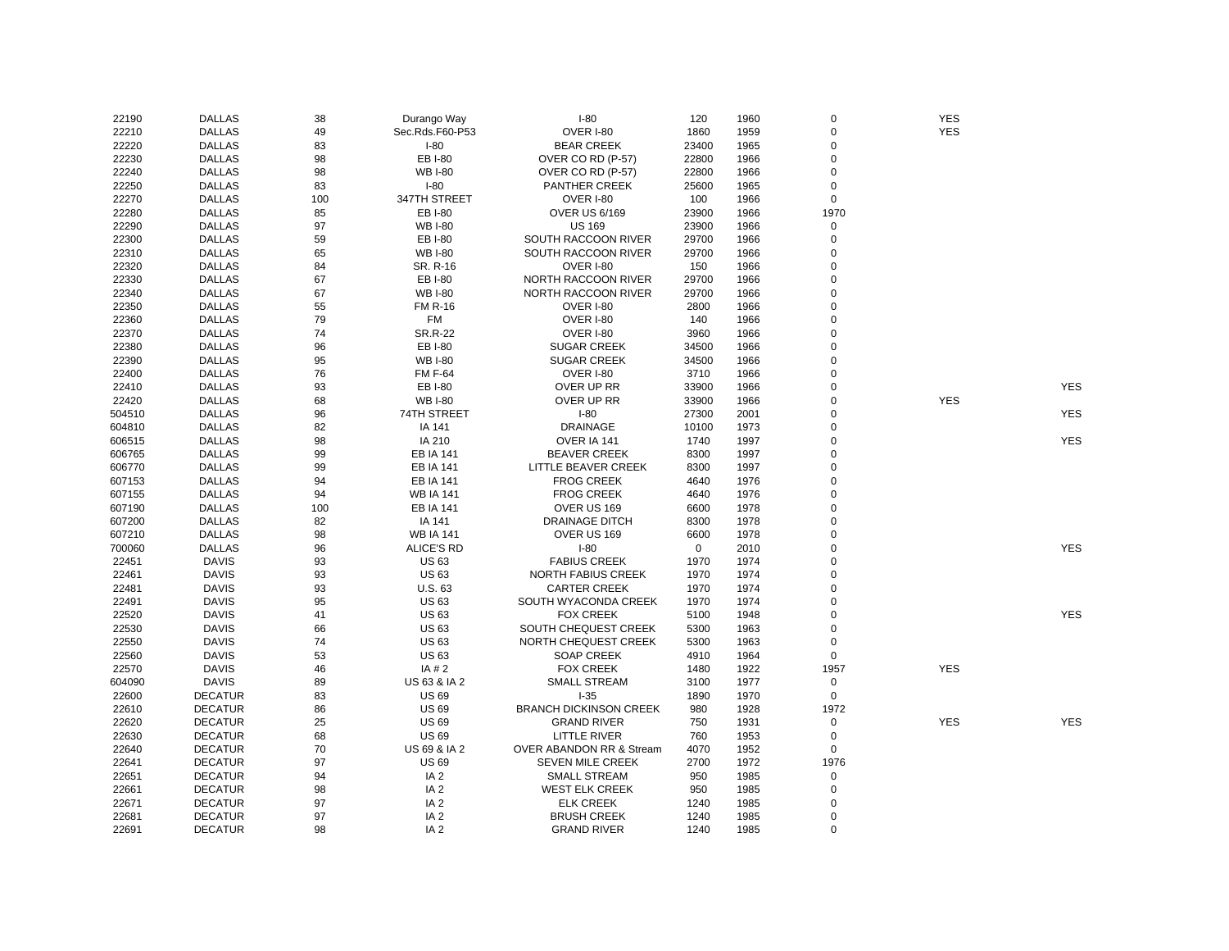| 22190  | <b>DALLAS</b>  | 38  | Durango Way       | $I-80$                        | 120         | 1960 | 0           | <b>YES</b> |            |
|--------|----------------|-----|-------------------|-------------------------------|-------------|------|-------------|------------|------------|
| 22210  | <b>DALLAS</b>  | 49  | Sec.Rds.F60-P53   | OVER I-80                     | 1860        | 1959 | $\mathbf 0$ | <b>YES</b> |            |
| 22220  | <b>DALLAS</b>  | 83  | $I-80$            | <b>BEAR CREEK</b>             | 23400       | 1965 | $\Omega$    |            |            |
| 22230  | <b>DALLAS</b>  | 98  | EB I-80           | OVER CO RD (P-57)             | 22800       | 1966 | $\mathbf 0$ |            |            |
| 22240  | <b>DALLAS</b>  | 98  | <b>WB I-80</b>    | OVER CO RD (P-57)             | 22800       | 1966 | $\mathbf 0$ |            |            |
| 22250  | <b>DALLAS</b>  | 83  | $I-80$            | <b>PANTHER CREEK</b>          | 25600       | 1965 | $\mathbf 0$ |            |            |
| 22270  | <b>DALLAS</b>  | 100 | 347TH STREET      | <b>OVER I-80</b>              | 100         | 1966 | 0           |            |            |
| 22280  | <b>DALLAS</b>  | 85  | EB I-80           | <b>OVER US 6/169</b>          | 23900       | 1966 | 1970        |            |            |
| 22290  | <b>DALLAS</b>  | 97  | <b>WB I-80</b>    | <b>US 169</b>                 | 23900       | 1966 | $\pmb{0}$   |            |            |
| 22300  | <b>DALLAS</b>  | 59  | EB I-80           | SOUTH RACCOON RIVER           | 29700       | 1966 | $\pmb{0}$   |            |            |
| 22310  | <b>DALLAS</b>  | 65  | <b>WB I-80</b>    | SOUTH RACCOON RIVER           | 29700       | 1966 | $\Omega$    |            |            |
| 22320  | <b>DALLAS</b>  | 84  | SR. R-16          | OVER I-80                     | 150         | 1966 | $\mathbf 0$ |            |            |
| 22330  | <b>DALLAS</b>  | 67  | EB I-80           | NORTH RACCOON RIVER           | 29700       | 1966 | $\mathbf 0$ |            |            |
| 22340  | <b>DALLAS</b>  | 67  | <b>WB I-80</b>    | NORTH RACCOON RIVER           | 29700       | 1966 | $\mathbf 0$ |            |            |
| 22350  | <b>DALLAS</b>  | 55  | <b>FM R-16</b>    | OVER I-80                     | 2800        | 1966 | $\mathbf 0$ |            |            |
|        | <b>DALLAS</b>  | 79  | FM                | OVER I-80                     | 140         |      | $\Omega$    |            |            |
| 22360  |                |     |                   |                               |             | 1966 | $\Omega$    |            |            |
| 22370  | <b>DALLAS</b>  | 74  | <b>SR.R-22</b>    | OVER I-80                     | 3960        | 1966 |             |            |            |
| 22380  | <b>DALLAS</b>  | 96  | <b>EB I-80</b>    | <b>SUGAR CREEK</b>            | 34500       | 1966 | 0           |            |            |
| 22390  | <b>DALLAS</b>  | 95  | <b>WB I-80</b>    | <b>SUGAR CREEK</b>            | 34500       | 1966 | $\mathbf 0$ |            |            |
| 22400  | <b>DALLAS</b>  | 76  | <b>FM F-64</b>    | OVER I-80                     | 3710        | 1966 | $\mathbf 0$ |            |            |
| 22410  | <b>DALLAS</b>  | 93  | EB I-80           | OVER UP RR                    | 33900       | 1966 | $\mathbf 0$ |            | <b>YES</b> |
| 22420  | <b>DALLAS</b>  | 68  | <b>WB I-80</b>    | OVER UP RR                    | 33900       | 1966 | $\Omega$    | <b>YES</b> |            |
| 504510 | <b>DALLAS</b>  | 96  | 74TH STREET       | $I-80$                        | 27300       | 2001 | 0           |            | <b>YES</b> |
| 604810 | <b>DALLAS</b>  | 82  | IA 141            | <b>DRAINAGE</b>               | 10100       | 1973 | $\mathbf 0$ |            |            |
| 606515 | <b>DALLAS</b>  | 98  | IA 210            | OVER IA 141                   | 1740        | 1997 | $\mathbf 0$ |            | <b>YES</b> |
| 606765 | <b>DALLAS</b>  | 99  | <b>EB IA 141</b>  | <b>BEAVER CREEK</b>           | 8300        | 1997 | $\mathbf 0$ |            |            |
| 606770 | <b>DALLAS</b>  | 99  | <b>EB IA 141</b>  | LITTLE BEAVER CREEK           | 8300        | 1997 | $\mathbf 0$ |            |            |
| 607153 | <b>DALLAS</b>  | 94  | <b>EB IA 141</b>  | <b>FROG CREEK</b>             | 4640        | 1976 | $\mathbf 0$ |            |            |
| 607155 | <b>DALLAS</b>  | 94  | <b>WB IA 141</b>  | <b>FROG CREEK</b>             | 4640        | 1976 | $\Omega$    |            |            |
| 607190 | <b>DALLAS</b>  | 100 | <b>EB IA 141</b>  | OVER US 169                   | 6600        | 1978 | $\Omega$    |            |            |
| 607200 | <b>DALLAS</b>  | 82  | IA 141            | <b>DRAINAGE DITCH</b>         | 8300        | 1978 | $\mathbf 0$ |            |            |
| 607210 | <b>DALLAS</b>  | 98  | <b>WB IA 141</b>  | OVER US 169                   | 6600        | 1978 | $\Omega$    |            |            |
| 700060 | <b>DALLAS</b>  | 96  | <b>ALICE'S RD</b> | $I-80$                        | $\mathbf 0$ | 2010 | 0           |            | <b>YES</b> |
| 22451  | <b>DAVIS</b>   | 93  | US 63             | <b>FABIUS CREEK</b>           | 1970        | 1974 | $\Omega$    |            |            |
| 22461  | <b>DAVIS</b>   | 93  | <b>US63</b>       | NORTH FABIUS CREEK            | 1970        | 1974 | $\mathbf 0$ |            |            |
| 22481  | <b>DAVIS</b>   | 93  | U.S. 63           | <b>CARTER CREEK</b>           | 1970        | 1974 | 0           |            |            |
| 22491  | <b>DAVIS</b>   | 95  | <b>US63</b>       | SOUTH WYACONDA CREEK          | 1970        | 1974 | $\Omega$    |            |            |
| 22520  | <b>DAVIS</b>   | 41  | <b>US63</b>       | <b>FOX CREEK</b>              | 5100        | 1948 | $\mathbf 0$ |            | <b>YES</b> |
| 22530  | <b>DAVIS</b>   | 66  | US 63             | SOUTH CHEQUEST CREEK          | 5300        | 1963 | $\mathbf 0$ |            |            |
| 22550  | <b>DAVIS</b>   | 74  | <b>US63</b>       | NORTH CHEQUEST CREEK          | 5300        | 1963 | $\mathbf 0$ |            |            |
| 22560  | <b>DAVIS</b>   | 53  | <b>US63</b>       | <b>SOAP CREEK</b>             | 4910        | 1964 | $\mathbf 0$ |            |            |
| 22570  | <b>DAVIS</b>   | 46  | IA # 2            | <b>FOX CREEK</b>              | 1480        | 1922 | 1957        | <b>YES</b> |            |
| 604090 | <b>DAVIS</b>   | 89  | US 63 & IA 2      | <b>SMALL STREAM</b>           | 3100        | 1977 | 0           |            |            |
| 22600  | <b>DECATUR</b> | 83  | <b>US 69</b>      | $I-35$                        | 1890        | 1970 | 0           |            |            |
| 22610  | <b>DECATUR</b> | 86  | <b>US 69</b>      | <b>BRANCH DICKINSON CREEK</b> | 980         | 1928 | 1972        |            |            |
| 22620  | <b>DECATUR</b> | 25  | <b>US 69</b>      | <b>GRAND RIVER</b>            | 750         | 1931 | $\pmb{0}$   | <b>YES</b> | <b>YES</b> |
| 22630  | <b>DECATUR</b> | 68  | <b>US 69</b>      | <b>LITTLE RIVER</b>           | 760         | 1953 | $\mathsf 0$ |            |            |
| 22640  | <b>DECATUR</b> | 70  | US 69 & IA 2      | OVER ABANDON RR & Stream      | 4070        | 1952 | $\mathbf 0$ |            |            |
| 22641  | <b>DECATUR</b> | 97  | <b>US 69</b>      | SEVEN MILE CREEK              | 2700        | 1972 | 1976        |            |            |
| 22651  | <b>DECATUR</b> | 94  | IA <sub>2</sub>   | SMALL STREAM                  | 950         | 1985 | 0           |            |            |
| 22661  | <b>DECATUR</b> | 98  | IA <sub>2</sub>   | <b>WEST ELK CREEK</b>         | 950         | 1985 | $\mathbf 0$ |            |            |
| 22671  | <b>DECATUR</b> | 97  | IA <sub>2</sub>   | <b>ELK CREEK</b>              | 1240        | 1985 | 0           |            |            |
| 22681  | <b>DECATUR</b> | 97  | IA <sub>2</sub>   | <b>BRUSH CREEK</b>            | 1240        | 1985 | $\mathbf 0$ |            |            |
| 22691  | <b>DECATUR</b> | 98  | IA <sub>2</sub>   | <b>GRAND RIVER</b>            | 1240        | 1985 | $\Omega$    |            |            |
|        |                |     |                   |                               |             |      |             |            |            |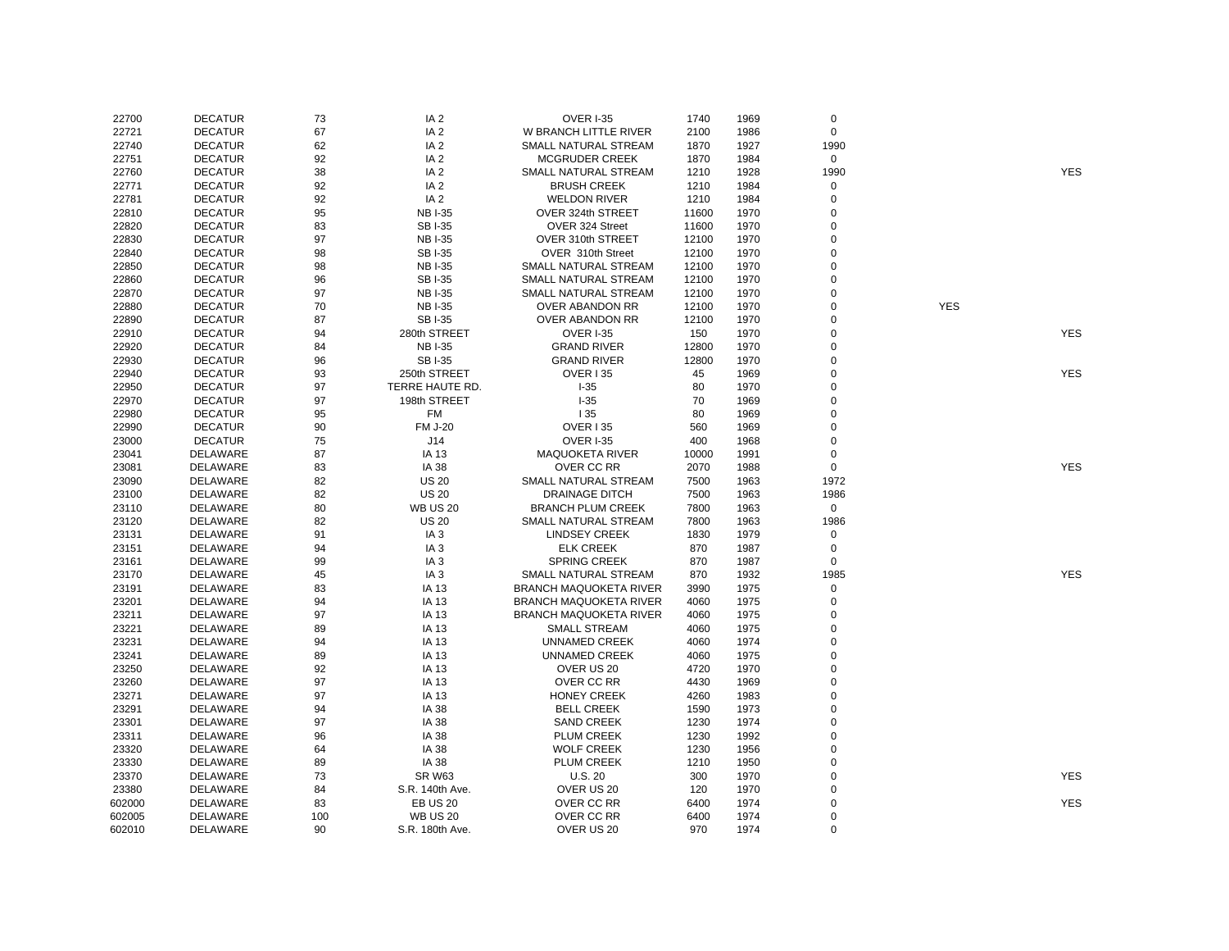| 22700  | <b>DECATUR</b>  | 73  | IA <sub>2</sub> | <b>OVER I-35</b>              | 1740  | 1969 | $\mathsf 0$         |            |            |
|--------|-----------------|-----|-----------------|-------------------------------|-------|------|---------------------|------------|------------|
| 22721  | <b>DECATUR</b>  | 67  | IA <sub>2</sub> | W BRANCH LITTLE RIVER         | 2100  | 1986 | $\mathbf 0$         |            |            |
| 22740  | <b>DECATUR</b>  | 62  | IA <sub>2</sub> | SMALL NATURAL STREAM          | 1870  | 1927 | 1990                |            |            |
| 22751  | <b>DECATUR</b>  | 92  | IA <sub>2</sub> | <b>MCGRUDER CREEK</b>         | 1870  | 1984 | 0                   |            |            |
| 22760  | <b>DECATUR</b>  | 38  | IA <sub>2</sub> | SMALL NATURAL STREAM          | 1210  | 1928 | 1990                |            | <b>YES</b> |
| 22771  | <b>DECATUR</b>  | 92  | IA <sub>2</sub> | <b>BRUSH CREEK</b>            | 1210  | 1984 | $\mathsf{O}\xspace$ |            |            |
| 22781  | <b>DECATUR</b>  | 92  | IA <sub>2</sub> | <b>WELDON RIVER</b>           | 1210  | 1984 | $\pmb{0}$           |            |            |
| 22810  | <b>DECATUR</b>  | 95  | <b>NBI-35</b>   | OVER 324th STREET             | 11600 | 1970 | $\mathbf 0$         |            |            |
| 22820  | <b>DECATUR</b>  | 83  | <b>SBI-35</b>   | OVER 324 Street               | 11600 | 1970 | 0                   |            |            |
| 22830  | <b>DECATUR</b>  | 97  | <b>NBI-35</b>   | OVER 310th STREET             | 12100 | 1970 | $\mathbf 0$         |            |            |
| 22840  | <b>DECATUR</b>  | 98  | <b>SBI-35</b>   | OVER 310th Street             | 12100 | 1970 | 0                   |            |            |
| 22850  | <b>DECATUR</b>  | 98  | <b>NB I-35</b>  | SMALL NATURAL STREAM          | 12100 | 1970 | $\mathbf 0$         |            |            |
|        | <b>DECATUR</b>  |     |                 |                               |       |      | $\Omega$            |            |            |
| 22860  |                 | 96  | <b>SBI-35</b>   | SMALL NATURAL STREAM          | 12100 | 1970 |                     |            |            |
| 22870  | <b>DECATUR</b>  | 97  | <b>NB I-35</b>  | SMALL NATURAL STREAM          | 12100 | 1970 | $\mathbf 0$         |            |            |
| 22880  | <b>DECATUR</b>  | 70  | <b>NB I-35</b>  | <b>OVER ABANDON RR</b>        | 12100 | 1970 | $\mathbf 0$         | <b>YES</b> |            |
| 22890  | <b>DECATUR</b>  | 87  | <b>SBI-35</b>   | OVER ABANDON RR               | 12100 | 1970 | $\mathbf 0$         |            |            |
| 22910  | <b>DECATUR</b>  | 94  | 280th STREET    | <b>OVER I-35</b>              | 150   | 1970 | $\mathbf 0$         |            | <b>YES</b> |
| 22920  | <b>DECATUR</b>  | 84  | <b>NBI-35</b>   | <b>GRAND RIVER</b>            | 12800 | 1970 | $\mathbf 0$         |            |            |
| 22930  | <b>DECATUR</b>  | 96  | <b>SBI-35</b>   | <b>GRAND RIVER</b>            | 12800 | 1970 | $\mathbf 0$         |            |            |
| 22940  | <b>DECATUR</b>  | 93  | 250th STREET    | <b>OVER 135</b>               | 45    | 1969 | $\mathbf 0$         |            | <b>YES</b> |
| 22950  | <b>DECATUR</b>  | 97  | TERRE HAUTE RD. | $I-35$                        | 80    | 1970 | $\Omega$            |            |            |
| 22970  | <b>DECATUR</b>  | 97  | 198th STREET    | $I-35$                        | 70    | 1969 | $\Omega$            |            |            |
| 22980  | <b>DECATUR</b>  | 95  | FM              | 135                           | 80    | 1969 | $\mathbf 0$         |            |            |
| 22990  | <b>DECATUR</b>  | 90  | <b>FM J-20</b>  | <b>OVER 135</b>               | 560   | 1969 | 0                   |            |            |
| 23000  | <b>DECATUR</b>  | 75  | J14             | <b>OVER I-35</b>              | 400   | 1968 | 0                   |            |            |
| 23041  | DELAWARE        | 87  | IA 13           | <b>MAQUOKETA RIVER</b>        | 10000 | 1991 | 0                   |            |            |
| 23081  | DELAWARE        | 83  | <b>IA 38</b>    | OVER CC RR                    | 2070  | 1988 | 0                   |            | <b>YES</b> |
| 23090  | DELAWARE        | 82  | <b>US 20</b>    | SMALL NATURAL STREAM          | 7500  | 1963 | 1972                |            |            |
| 23100  | <b>DELAWARE</b> | 82  | <b>US 20</b>    | <b>DRAINAGE DITCH</b>         | 7500  | 1963 | 1986                |            |            |
| 23110  | DELAWARE        | 80  | <b>WB US 20</b> | <b>BRANCH PLUM CREEK</b>      | 7800  | 1963 | $\mathsf{O}\xspace$ |            |            |
| 23120  | DELAWARE        | 82  | <b>US 20</b>    | SMALL NATURAL STREAM          | 7800  | 1963 | 1986                |            |            |
| 23131  | DELAWARE        | 91  | IA 3            | <b>LINDSEY CREEK</b>          | 1830  | 1979 | 0                   |            |            |
| 23151  | DELAWARE        | 94  | IA <sub>3</sub> | <b>ELK CREEK</b>              | 870   | 1987 | 0                   |            |            |
| 23161  | <b>DELAWARE</b> | 99  | IA <sub>3</sub> | <b>SPRING CREEK</b>           | 870   | 1987 | $\mathbf 0$         |            |            |
| 23170  | DELAWARE        | 45  | IA <sub>3</sub> | SMALL NATURAL STREAM          | 870   | 1932 | 1985                |            | <b>YES</b> |
| 23191  | DELAWARE        | 83  | IA 13           | <b>BRANCH MAQUOKETA RIVER</b> | 3990  | 1975 | $\mathsf{O}\xspace$ |            |            |
| 23201  | DELAWARE        | 94  | IA 13           | <b>BRANCH MAQUOKETA RIVER</b> | 4060  | 1975 | $\mathsf 0$         |            |            |
| 23211  | DELAWARE        | 97  | IA 13           | <b>BRANCH MAQUOKETA RIVER</b> | 4060  | 1975 | $\mathbf 0$         |            |            |
| 23221  | DELAWARE        | 89  | IA 13           | <b>SMALL STREAM</b>           | 4060  | 1975 | 0                   |            |            |
| 23231  | DELAWARE        | 94  | IA 13           | <b>UNNAMED CREEK</b>          | 4060  | 1974 | $\mathbf 0$         |            |            |
| 23241  | DELAWARE        | 89  | IA 13           | <b>UNNAMED CREEK</b>          | 4060  | 1975 | 0                   |            |            |
| 23250  | <b>DELAWARE</b> | 92  | IA 13           | OVER US 20                    | 4720  | 1970 | $\Omega$            |            |            |
| 23260  | DELAWARE        | 97  | IA 13           | OVER CC RR                    | 4430  | 1969 | 0                   |            |            |
| 23271  | DELAWARE        | 97  | IA 13           | <b>HONEY CREEK</b>            | 4260  | 1983 | 0                   |            |            |
|        |                 |     |                 |                               |       |      | 0                   |            |            |
| 23291  | DELAWARE        | 94  | <b>IA 38</b>    | <b>BELL CREEK</b>             | 1590  | 1973 |                     |            |            |
| 23301  | DELAWARE        | 97  | IA 38           | <b>SAND CREEK</b>             | 1230  | 1974 | 0<br>$\overline{0}$ |            |            |
| 23311  | DELAWARE        | 96  | <b>IA 38</b>    | PLUM CREEK                    | 1230  | 1992 |                     |            |            |
| 23320  | DELAWARE        | 64  | IA 38           | <b>WOLF CREEK</b>             | 1230  | 1956 | $\mathbf 0$         |            |            |
| 23330  | DELAWARE        | 89  | <b>IA 38</b>    | PLUM CREEK                    | 1210  | 1950 | $\mathbf 0$         |            |            |
| 23370  | DELAWARE        | 73  | <b>SR W63</b>   | U.S. 20                       | 300   | 1970 | $\mathbf 0$         |            | <b>YES</b> |
| 23380  | DELAWARE        | 84  | S.R. 140th Ave. | OVER US 20                    | 120   | 1970 | 0                   |            |            |
| 602000 | DELAWARE        | 83  | <b>EB US 20</b> | OVER CC RR                    | 6400  | 1974 | $\mathbf 0$         |            | <b>YES</b> |
| 602005 | DELAWARE        | 100 | <b>WB US 20</b> | OVER CC RR                    | 6400  | 1974 | 0                   |            |            |
| 602010 | DELAWARE        | 90  | S.R. 180th Ave. | OVER US 20                    | 970   | 1974 | $\Omega$            |            |            |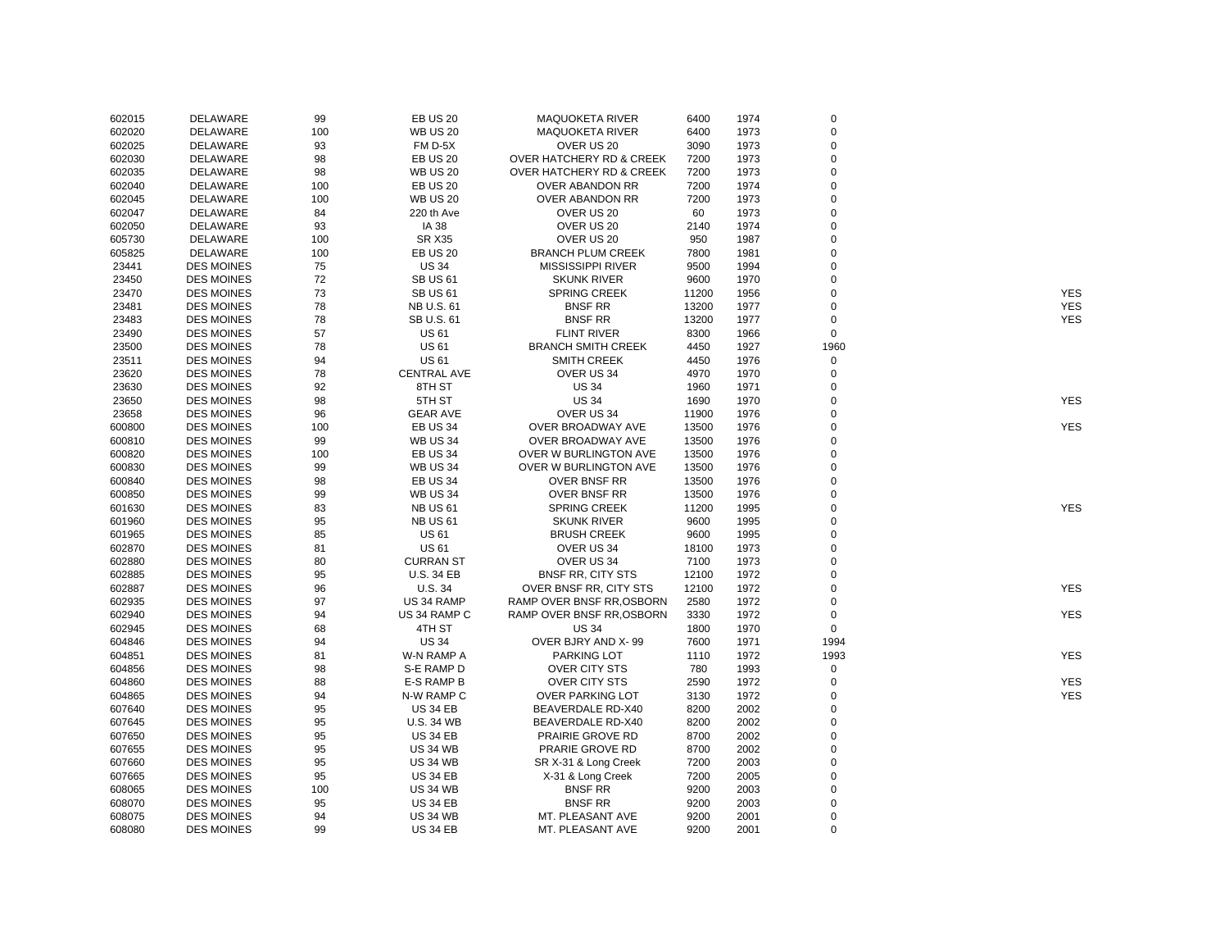| 602015 | DELAWARE          | 99  | <b>EB US 20</b>    | <b>MAQUOKETA RIVER</b>              | 6400  | 1974 | $\mathbf 0$    |            |
|--------|-------------------|-----|--------------------|-------------------------------------|-------|------|----------------|------------|
| 602020 | DELAWARE          | 100 | <b>WB US 20</b>    | <b>MAQUOKETA RIVER</b>              | 6400  | 1973 | $\mathbf 0$    |            |
| 602025 | DELAWARE          | 93  | FM D-5X            | OVER US 20                          | 3090  | 1973 | $\mathbf 0$    |            |
| 602030 | DELAWARE          | 98  | <b>EB US 20</b>    | OVER HATCHERY RD & CREEK            | 7200  | 1973 | $\mathbf 0$    |            |
| 602035 | DELAWARE          | 98  | <b>WB US 20</b>    | <b>OVER HATCHERY RD &amp; CREEK</b> | 7200  | 1973 | $\overline{0}$ |            |
| 602040 | DELAWARE          | 100 | <b>EB US 20</b>    | OVER ABANDON RR                     | 7200  | 1974 | $\mathbf 0$    |            |
| 602045 | DELAWARE          | 100 | <b>WB US 20</b>    | OVER ABANDON RR                     | 7200  | 1973 | $\mathbf 0$    |            |
| 602047 | DELAWARE          | 84  | 220 th Ave         | OVER US 20                          | 60    | 1973 | $\Omega$       |            |
| 602050 | DELAWARE          | 93  | IA 38              | OVER US 20                          | 2140  | 1974 | $\mathbf 0$    |            |
| 605730 | DELAWARE          | 100 | <b>SR X35</b>      | OVER US 20                          | 950   | 1987 | $\Omega$       |            |
| 605825 | DELAWARE          | 100 | <b>EB US 20</b>    | <b>BRANCH PLUM CREEK</b>            | 7800  | 1981 | $\overline{0}$ |            |
| 23441  | <b>DES MOINES</b> | 75  | <b>US 34</b>       | <b>MISSISSIPPI RIVER</b>            | 9500  | 1994 | $\overline{0}$ |            |
| 23450  | <b>DES MOINES</b> | 72  | <b>SB US 61</b>    | <b>SKUNK RIVER</b>                  | 9600  | 1970 | $\mathbf 0$    |            |
| 23470  | <b>DES MOINES</b> | 73  | <b>SB US 61</b>    | <b>SPRING CREEK</b>                 | 11200 | 1956 | $\mathbf 0$    | <b>YES</b> |
| 23481  | <b>DES MOINES</b> | 78  | NB U.S. 61         | <b>BNSF RR</b>                      | 13200 | 1977 | $\mathbf 0$    | <b>YES</b> |
| 23483  | <b>DES MOINES</b> | 78  | SB U.S. 61         | <b>BNSF RR</b>                      | 13200 | 1977 | $\mathbf 0$    | <b>YES</b> |
| 23490  | <b>DES MOINES</b> | 57  | <b>US 61</b>       | <b>FLINT RIVER</b>                  | 8300  | 1966 | $\mathbf 0$    |            |
| 23500  | <b>DES MOINES</b> | 78  | <b>US 61</b>       | <b>BRANCH SMITH CREEK</b>           | 4450  | 1927 | 1960           |            |
| 23511  | <b>DES MOINES</b> | 94  | <b>US 61</b>       | <b>SMITH CREEK</b>                  | 4450  | 1976 | $\mathbf 0$    |            |
| 23620  | <b>DES MOINES</b> | 78  | <b>CENTRAL AVE</b> | OVER US 34                          | 4970  | 1970 | $\overline{0}$ |            |
| 23630  | <b>DES MOINES</b> | 92  | 8TH ST             | <b>US 34</b>                        | 1960  | 1971 | $\mathbf 0$    |            |
| 23650  | <b>DES MOINES</b> | 98  | 5TH ST             | <b>US 34</b>                        | 1690  | 1970 | $\mathbf 0$    | <b>YES</b> |
| 23658  | <b>DES MOINES</b> | 96  | <b>GEAR AVE</b>    | OVER US 34                          | 11900 | 1976 | $\Omega$       |            |
| 600800 | <b>DES MOINES</b> | 100 | <b>EB US 34</b>    | OVER BROADWAY AVE                   | 13500 | 1976 | $\mathbf 0$    | <b>YES</b> |
|        |                   |     | <b>WB US 34</b>    |                                     | 13500 | 1976 | $\mathbf 0$    |            |
| 600810 | <b>DES MOINES</b> | 99  |                    | OVER BROADWAY AVE                   |       |      | $\mathbf 0$    |            |
| 600820 | <b>DES MOINES</b> | 100 | <b>EB US 34</b>    | OVER W BURLINGTON AVE               | 13500 | 1976 | $\overline{0}$ |            |
| 600830 | <b>DES MOINES</b> | 99  | <b>WB US 34</b>    | OVER W BURLINGTON AVE               | 13500 | 1976 |                |            |
| 600840 | <b>DES MOINES</b> | 98  | <b>EB US 34</b>    | OVER BNSF RR                        | 13500 | 1976 | $\mathbf 0$    |            |
| 600850 | <b>DES MOINES</b> | 99  | <b>WB US 34</b>    | OVER BNSF RR                        | 13500 | 1976 | $\overline{0}$ |            |
| 601630 | <b>DES MOINES</b> | 83  | <b>NB US 61</b>    | <b>SPRING CREEK</b>                 | 11200 | 1995 | $\mathbf 0$    | <b>YES</b> |
| 601960 | <b>DES MOINES</b> | 95  | <b>NB US 61</b>    | <b>SKUNK RIVER</b>                  | 9600  | 1995 | $\Omega$       |            |
| 601965 | <b>DES MOINES</b> | 85  | <b>US 61</b>       | <b>BRUSH CREEK</b>                  | 9600  | 1995 | $\Omega$       |            |
| 602870 | <b>DES MOINES</b> | 81  | <b>US 61</b>       | OVER US 34                          | 18100 | 1973 | $\mathbf 0$    |            |
| 602880 | <b>DES MOINES</b> | 80  | <b>CURRAN ST</b>   | OVER US 34                          | 7100  | 1973 | $\Omega$       |            |
| 602885 | <b>DES MOINES</b> | 95  | <b>U.S. 34 EB</b>  | <b>BNSF RR, CITY STS</b>            | 12100 | 1972 | $\mathbf 0$    |            |
| 602887 | <b>DES MOINES</b> | 96  | U.S. 34            | OVER BNSF RR, CITY STS              | 12100 | 1972 | $\mathbf 0$    | <b>YES</b> |
| 602935 | <b>DES MOINES</b> | 97  | US 34 RAMP         | RAMP OVER BNSF RR, OSBORN           | 2580  | 1972 | $\mathbf 0$    |            |
| 602940 | <b>DES MOINES</b> | 94  | US 34 RAMP C       | RAMP OVER BNSF RR, OSBORN           | 3330  | 1972 | $\mathbf 0$    | <b>YES</b> |
| 602945 | <b>DES MOINES</b> | 68  | 4TH ST             | <b>US 34</b>                        | 1800  | 1970 | $\mathbf 0$    |            |
| 604846 | <b>DES MOINES</b> | 94  | <b>US 34</b>       | OVER BJRY AND X-99                  | 7600  | 1971 | 1994           |            |
| 604851 | <b>DES MOINES</b> | 81  | W-N RAMP A         | PARKING LOT                         | 1110  | 1972 | 1993           | <b>YES</b> |
| 604856 | <b>DES MOINES</b> | 98  | S-E RAMP D         | OVER CITY STS                       | 780   | 1993 | $\mathbf 0$    |            |
| 604860 | <b>DES MOINES</b> | 88  | E-S RAMP B         | <b>OVER CITY STS</b>                | 2590  | 1972 | $\mathbf 0$    | <b>YES</b> |
| 604865 | <b>DES MOINES</b> | 94  | N-W RAMP C         | OVER PARKING LOT                    | 3130  | 1972 | $\mathbf 0$    | <b>YES</b> |
| 607640 | <b>DES MOINES</b> | 95  | <b>US 34 EB</b>    | BEAVERDALE RD-X40                   | 8200  | 2002 | $\mathbf 0$    |            |
| 607645 | <b>DES MOINES</b> | 95  | <b>U.S. 34 WB</b>  | BEAVERDALE RD-X40                   | 8200  | 2002 | $\mathbf 0$    |            |
| 607650 | <b>DES MOINES</b> | 95  | <b>US 34 EB</b>    | <b>PRAIRIE GROVE RD</b>             | 8700  | 2002 | $\Omega$       |            |
| 607655 | <b>DES MOINES</b> | 95  | <b>US 34 WB</b>    | PRARIE GROVE RD                     | 8700  | 2002 | $\mathbf 0$    |            |
| 607660 | <b>DES MOINES</b> | 95  | <b>US 34 WB</b>    | SR X-31 & Long Creek                | 7200  | 2003 | $\overline{0}$ |            |
| 607665 | <b>DES MOINES</b> | 95  | <b>US 34 EB</b>    | X-31 & Long Creek                   | 7200  | 2005 | $\mathbf 0$    |            |
| 608065 | <b>DES MOINES</b> | 100 | <b>US 34 WB</b>    | <b>BNSF RR</b>                      | 9200  | 2003 | $\mathbf 0$    |            |
| 608070 | <b>DES MOINES</b> | 95  | <b>US 34 EB</b>    | <b>BNSF RR</b>                      | 9200  | 2003 | $\mathbf 0$    |            |
| 608075 | <b>DES MOINES</b> | 94  | <b>US 34 WB</b>    | MT. PLEASANT AVE                    | 9200  | 2001 | $\mathbf 0$    |            |
| 608080 | <b>DES MOINES</b> | 99  | <b>US 34 EB</b>    | MT. PLEASANT AVE                    | 9200  | 2001 | $\Omega$       |            |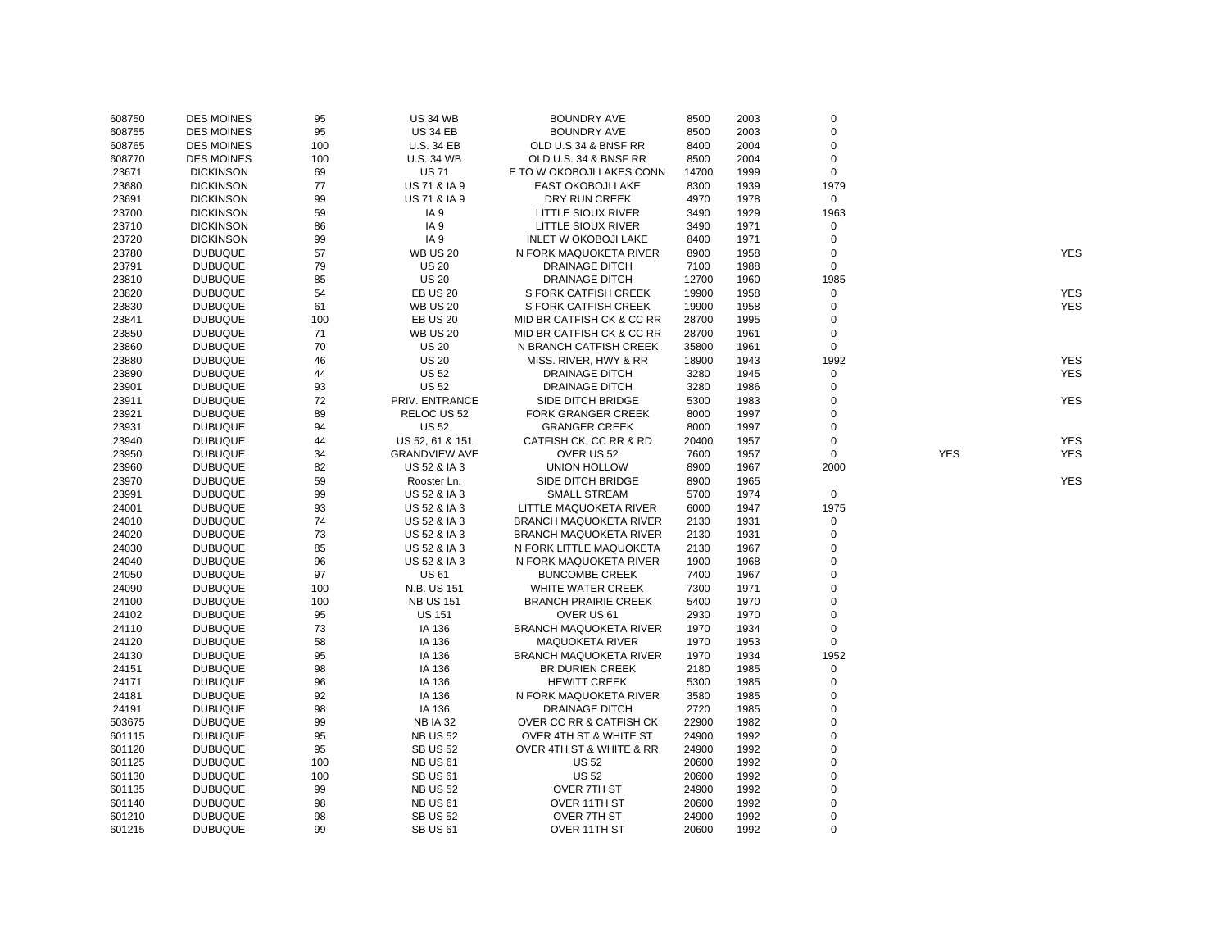| 608750 | <b>DES MOINES</b> | 95  | <b>US 34 WB</b>      | <b>BOUNDRY AVE</b>            | 8500  | 2003 | $\mathbf 0$ |            |            |
|--------|-------------------|-----|----------------------|-------------------------------|-------|------|-------------|------------|------------|
| 608755 | <b>DES MOINES</b> | 95  | <b>US 34 EB</b>      | <b>BOUNDRY AVE</b>            | 8500  | 2003 | $\mathbf 0$ |            |            |
| 608765 | <b>DES MOINES</b> | 100 | <b>U.S. 34 EB</b>    | OLD U.S 34 & BNSF RR          | 8400  | 2004 | $\mathbf 0$ |            |            |
| 608770 | <b>DES MOINES</b> | 100 | <b>U.S. 34 WB</b>    | OLD U.S. 34 & BNSF RR         | 8500  | 2004 | $\mathbf 0$ |            |            |
| 23671  | <b>DICKINSON</b>  | 69  | <b>US71</b>          | E TO W OKOBOJI LAKES CONN     | 14700 | 1999 | $\mathbf 0$ |            |            |
| 23680  | <b>DICKINSON</b>  | 77  | US 71 & IA 9         | EAST OKOBOJI LAKE             | 8300  | 1939 | 1979        |            |            |
| 23691  | <b>DICKINSON</b>  | 99  | US 71 & IA 9         | DRY RUN CREEK                 | 4970  | 1978 | $\mathsf 0$ |            |            |
| 23700  | <b>DICKINSON</b>  | 59  | IA <sub>9</sub>      | LITTLE SIOUX RIVER            | 3490  | 1929 | 1963        |            |            |
| 23710  | <b>DICKINSON</b>  | 86  | IA <sub>9</sub>      | LITTLE SIOUX RIVER            | 3490  | 1971 | $\mathbf 0$ |            |            |
| 23720  | <b>DICKINSON</b>  | 99  | IA <sub>9</sub>      | <b>INLET W OKOBOJI LAKE</b>   | 8400  | 1971 | $\mathbf 0$ |            |            |
| 23780  | <b>DUBUQUE</b>    | 57  | <b>WB US 20</b>      | N FORK MAQUOKETA RIVER        | 8900  | 1958 | $\mathbf 0$ |            | <b>YES</b> |
| 23791  | <b>DUBUQUE</b>    | 79  | <b>US 20</b>         | <b>DRAINAGE DITCH</b>         | 7100  | 1988 | $\mathbf 0$ |            |            |
| 23810  | <b>DUBUQUE</b>    | 85  | <b>US 20</b>         | <b>DRAINAGE DITCH</b>         | 12700 | 1960 | 1985        |            |            |
|        | <b>DUBUQUE</b>    | 54  |                      |                               | 19900 |      | $\mathbf 0$ |            | <b>YES</b> |
| 23820  |                   |     | <b>EB US 20</b>      | S FORK CATFISH CREEK          |       | 1958 | $\mathbf 0$ |            | <b>YES</b> |
| 23830  | <b>DUBUQUE</b>    | 61  | <b>WB US 20</b>      | S FORK CATFISH CREEK          | 19900 | 1958 |             |            |            |
| 23841  | <b>DUBUQUE</b>    | 100 | <b>EB US 20</b>      | MID BR CATFISH CK & CC RR     | 28700 | 1995 | $\mathbf 0$ |            |            |
| 23850  | <b>DUBUQUE</b>    | 71  | <b>WB US 20</b>      | MID BR CATFISH CK & CC RR     | 28700 | 1961 | $\mathbf 0$ |            |            |
| 23860  | <b>DUBUQUE</b>    | 70  | <b>US 20</b>         | N BRANCH CATFISH CREEK        | 35800 | 1961 | $\mathbf 0$ |            |            |
| 23880  | <b>DUBUQUE</b>    | 46  | <b>US 20</b>         | MISS. RIVER, HWY & RR         | 18900 | 1943 | 1992        |            | <b>YES</b> |
| 23890  | <b>DUBUQUE</b>    | 44  | <b>US 52</b>         | DRAINAGE DITCH                | 3280  | 1945 | $\mathbf 0$ |            | <b>YES</b> |
| 23901  | <b>DUBUQUE</b>    | 93  | <b>US 52</b>         | <b>DRAINAGE DITCH</b>         | 3280  | 1986 | $\mathbf 0$ |            |            |
| 23911  | <b>DUBUQUE</b>    | 72  | PRIV. ENTRANCE       | SIDE DITCH BRIDGE             | 5300  | 1983 | $\Omega$    |            | <b>YES</b> |
| 23921  | <b>DUBUQUE</b>    | 89  | RELOC US 52          | <b>FORK GRANGER CREEK</b>     | 8000  | 1997 | $\mathbf 0$ |            |            |
| 23931  | <b>DUBUQUE</b>    | 94  | <b>US 52</b>         | <b>GRANGER CREEK</b>          | 8000  | 1997 | $\mathbf 0$ |            |            |
| 23940  | <b>DUBUQUE</b>    | 44  | US 52, 61 & 151      | CATFISH CK, CC RR & RD        | 20400 | 1957 | $\mathbf 0$ |            | <b>YES</b> |
| 23950  | <b>DUBUQUE</b>    | 34  | <b>GRANDVIEW AVE</b> | OVER US 52                    | 7600  | 1957 | $\mathbf 0$ | <b>YES</b> | <b>YES</b> |
| 23960  | <b>DUBUQUE</b>    | 82  | US 52 & IA 3         | UNION HOLLOW                  | 8900  | 1967 | 2000        |            |            |
| 23970  | <b>DUBUQUE</b>    | 59  | Rooster Ln.          | SIDE DITCH BRIDGE             | 8900  | 1965 |             |            | <b>YES</b> |
| 23991  | <b>DUBUQUE</b>    | 99  | US 52 & IA 3         | <b>SMALL STREAM</b>           | 5700  | 1974 | $\mathbf 0$ |            |            |
| 24001  | <b>DUBUQUE</b>    | 93  | US 52 & IA 3         | LITTLE MAQUOKETA RIVER        | 6000  | 1947 | 1975        |            |            |
| 24010  | <b>DUBUQUE</b>    | 74  | US 52 & IA 3         | <b>BRANCH MAQUOKETA RIVER</b> | 2130  | 1931 | 0           |            |            |
| 24020  | <b>DUBUQUE</b>    | 73  | US 52 & IA 3         | <b>BRANCH MAQUOKETA RIVER</b> | 2130  | 1931 | $\mathbf 0$ |            |            |
| 24030  | <b>DUBUQUE</b>    | 85  | US 52 & IA 3         | N FORK LITTLE MAQUOKETA       | 2130  | 1967 | $\mathbf 0$ |            |            |
| 24040  | <b>DUBUQUE</b>    | 96  | US 52 & IA 3         | N FORK MAQUOKETA RIVER        | 1900  | 1968 | $\Omega$    |            |            |
| 24050  | <b>DUBUQUE</b>    | 97  | <b>US61</b>          | <b>BUNCOMBE CREEK</b>         | 7400  | 1967 | 0           |            |            |
| 24090  | <b>DUBUQUE</b>    | 100 | N.B. US 151          | WHITE WATER CREEK             | 7300  | 1971 | $\mathbf 0$ |            |            |
| 24100  | <b>DUBUQUE</b>    | 100 | <b>NB US 151</b>     | <b>BRANCH PRAIRIE CREEK</b>   | 5400  | 1970 | 0           |            |            |
| 24102  | <b>DUBUQUE</b>    | 95  | <b>US 151</b>        | OVER US 61                    | 2930  | 1970 | $\mathbf 0$ |            |            |
| 24110  | <b>DUBUQUE</b>    | 73  | IA 136               | <b>BRANCH MAQUOKETA RIVER</b> | 1970  | 1934 | $\mathbf 0$ |            |            |
| 24120  | <b>DUBUQUE</b>    | 58  | IA 136               | <b>MAQUOKETA RIVER</b>        | 1970  | 1953 | $\mathbf 0$ |            |            |
|        |                   |     |                      |                               |       |      |             |            |            |
| 24130  | <b>DUBUQUE</b>    | 95  | IA 136               | <b>BRANCH MAQUOKETA RIVER</b> | 1970  | 1934 | 1952        |            |            |
| 24151  | <b>DUBUQUE</b>    | 98  | IA 136               | <b>BR DURIEN CREEK</b>        | 2180  | 1985 | $\mathbf 0$ |            |            |
| 24171  | <b>DUBUQUE</b>    | 96  | IA 136               | <b>HEWITT CREEK</b>           | 5300  | 1985 | $\mathbf 0$ |            |            |
| 24181  | <b>DUBUQUE</b>    | 92  | IA 136               | N FORK MAQUOKETA RIVER        | 3580  | 1985 | $\mathbf 0$ |            |            |
| 24191  | <b>DUBUQUE</b>    | 98  | IA 136               | <b>DRAINAGE DITCH</b>         | 2720  | 1985 | $\mathbf 0$ |            |            |
| 503675 | <b>DUBUQUE</b>    | 99  | <b>NB IA 32</b>      | OVER CC RR & CATFISH CK       | 22900 | 1982 | $\mathbf 0$ |            |            |
| 601115 | <b>DUBUQUE</b>    | 95  | <b>NB US 52</b>      | OVER 4TH ST & WHITE ST        | 24900 | 1992 | 0           |            |            |
| 601120 | <b>DUBUQUE</b>    | 95  | <b>SB US 52</b>      | OVER 4TH ST & WHITE & RR      | 24900 | 1992 | $\mathbf 0$ |            |            |
| 601125 | <b>DUBUQUE</b>    | 100 | <b>NB US 61</b>      | <b>US 52</b>                  | 20600 | 1992 | $\mathbf 0$ |            |            |
| 601130 | <b>DUBUQUE</b>    | 100 | <b>SB US 61</b>      | <b>US 52</b>                  | 20600 | 1992 | $\mathbf 0$ |            |            |
| 601135 | <b>DUBUQUE</b>    | 99  | <b>NB US 52</b>      | OVER 7TH ST                   | 24900 | 1992 | $\mathbf 0$ |            |            |
| 601140 | <b>DUBUQUE</b>    | 98  | <b>NB US 61</b>      | OVER 11TH ST                  | 20600 | 1992 | $\mathbf 0$ |            |            |
| 601210 | <b>DUBUQUE</b>    | 98  | <b>SB US 52</b>      | OVER 7TH ST                   | 24900 | 1992 | $\mathbf 0$ |            |            |
| 601215 | <b>DUBUQUE</b>    | 99  | <b>SB US 61</b>      | OVER 11TH ST                  | 20600 | 1992 | $\Omega$    |            |            |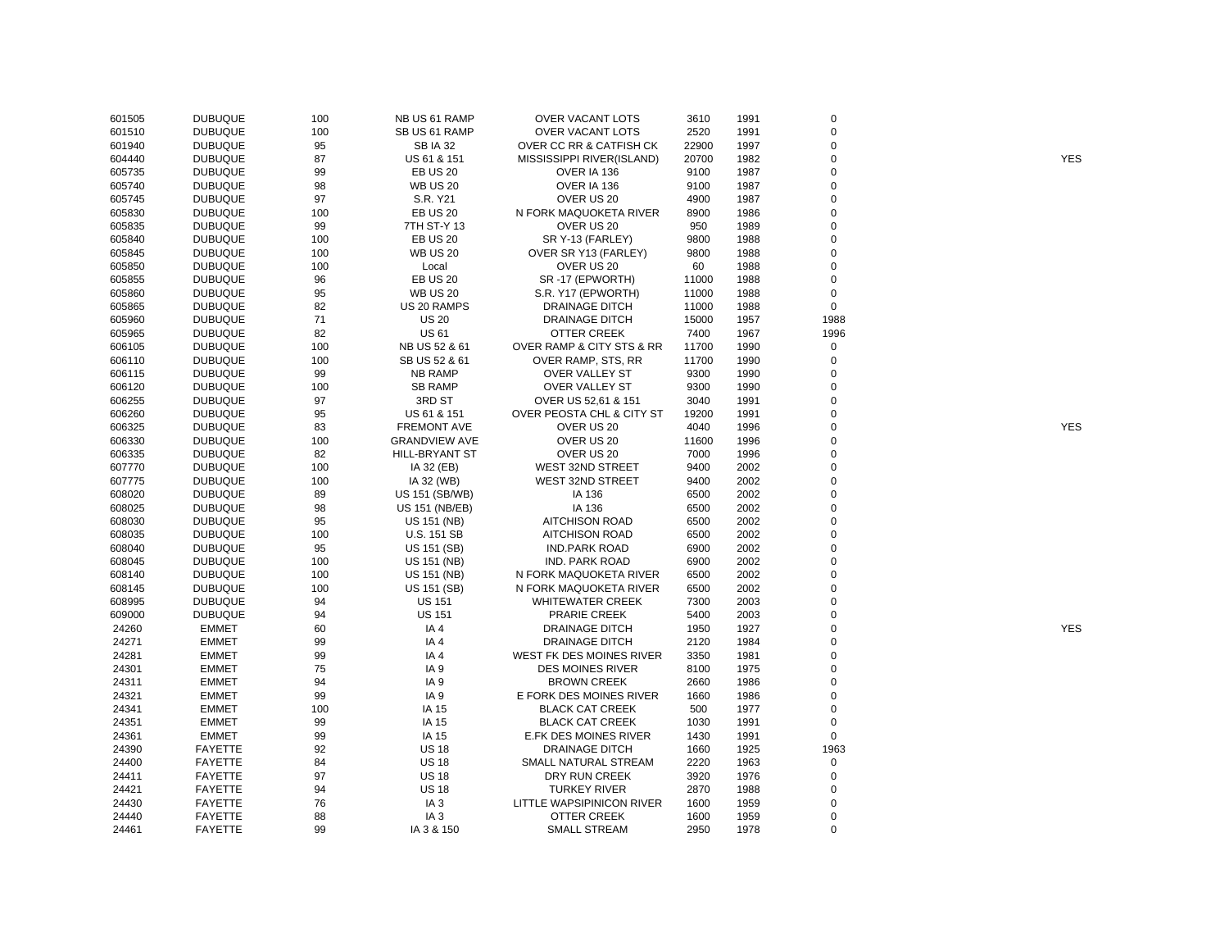| 601505 | <b>DUBUQUE</b> | 100 | NB US 61 RAMP         | <b>OVER VACANT LOTS</b>   | 3610  | 1991 | $\mathbf 0$ |            |
|--------|----------------|-----|-----------------------|---------------------------|-------|------|-------------|------------|
| 601510 | <b>DUBUQUE</b> | 100 | SB US 61 RAMP         | <b>OVER VACANT LOTS</b>   | 2520  | 1991 | $\mathbf 0$ |            |
| 601940 | <b>DUBUQUE</b> | 95  | <b>SB IA 32</b>       | OVER CC RR & CATFISH CK   | 22900 | 1997 | $\mathbf 0$ |            |
| 604440 | <b>DUBUQUE</b> | 87  | US 61 & 151           | MISSISSIPPI RIVER(ISLAND) | 20700 | 1982 | $\mathbf 0$ | <b>YES</b> |
| 605735 | <b>DUBUQUE</b> | 99  | <b>EB US 20</b>       | OVER IA 136               | 9100  | 1987 | $\mathbf 0$ |            |
| 605740 | <b>DUBUQUE</b> | 98  | <b>WB US 20</b>       | OVER IA 136               | 9100  | 1987 | $\Omega$    |            |
| 605745 | <b>DUBUQUE</b> | 97  | S.R. Y21              | OVER US 20                | 4900  | 1987 | $\mathbf 0$ |            |
| 605830 | <b>DUBUQUE</b> | 100 | <b>EB US 20</b>       | N FORK MAQUOKETA RIVER    | 8900  | 1986 | 0           |            |
| 605835 | <b>DUBUQUE</b> | 99  | 7TH ST-Y 13           | OVER US 20                | 950   | 1989 | $\Omega$    |            |
| 605840 | <b>DUBUQUE</b> | 100 | <b>EB US 20</b>       | SR Y-13 (FARLEY)          | 9800  | 1988 | $\Omega$    |            |
| 605845 | <b>DUBUQUE</b> | 100 | <b>WB US 20</b>       | OVER SR Y13 (FARLEY)      | 9800  | 1988 | $\Omega$    |            |
| 605850 | <b>DUBUQUE</b> | 100 | Local                 | OVER US 20                | 60    | 1988 | $\mathbf 0$ |            |
| 605855 | <b>DUBUQUE</b> | 96  | <b>EB US 20</b>       | SR-17 (EPWORTH)           | 11000 | 1988 | 0           |            |
| 605860 | <b>DUBUQUE</b> | 95  | <b>WB US 20</b>       | S.R. Y17 (EPWORTH)        | 11000 | 1988 | $\mathbf 0$ |            |
| 605865 | <b>DUBUQUE</b> | 82  | US 20 RAMPS           | <b>DRAINAGE DITCH</b>     | 11000 | 1988 | $\mathbf 0$ |            |
| 605960 | <b>DUBUQUE</b> | 71  | <b>US 20</b>          | <b>DRAINAGE DITCH</b>     | 15000 | 1957 | 1988        |            |
| 605965 | <b>DUBUQUE</b> | 82  | <b>US 61</b>          | <b>OTTER CREEK</b>        | 7400  | 1967 | 1996        |            |
| 606105 | <b>DUBUQUE</b> | 100 | NB US 52 & 61         | OVER RAMP & CITY STS & RR | 11700 | 1990 | 0           |            |
| 606110 | <b>DUBUQUE</b> | 100 | SB US 52 & 61         | OVER RAMP, STS, RR        | 11700 | 1990 | $\mathbf 0$ |            |
| 606115 | <b>DUBUQUE</b> | 99  | <b>NB RAMP</b>        | <b>OVER VALLEY ST</b>     | 9300  | 1990 | $\mathbf 0$ |            |
| 606120 | <b>DUBUQUE</b> | 100 | <b>SB RAMP</b>        | <b>OVER VALLEY ST</b>     | 9300  | 1990 | $\Omega$    |            |
| 606255 | <b>DUBUQUE</b> | 97  | 3RD ST                | OVER US 52,61 & 151       | 3040  | 1991 | $\Omega$    |            |
|        | <b>DUBUQUE</b> | 95  | US 61 & 151           | OVER PEOSTA CHL & CITY ST | 19200 | 1991 | $\Omega$    |            |
| 606260 |                | 83  | <b>FREMONT AVE</b>    |                           | 4040  | 1996 | $\mathbf 0$ | <b>YES</b> |
| 606325 | <b>DUBUQUE</b> |     |                       | OVER US 20                |       |      | $\Omega$    |            |
| 606330 | <b>DUBUQUE</b> | 100 | <b>GRANDVIEW AVE</b>  | OVER US 20                | 11600 | 1996 |             |            |
| 606335 | <b>DUBUQUE</b> | 82  | HILL-BRYANT ST        | OVER US 20                | 7000  | 1996 | $\mathbf 0$ |            |
| 607770 | <b>DUBUQUE</b> | 100 | IA 32 (EB)            | WEST 32ND STREET          | 9400  | 2002 | $\Omega$    |            |
| 607775 | <b>DUBUQUE</b> | 100 | IA 32 (WB)            | <b>WEST 32ND STREET</b>   | 9400  | 2002 | $\Omega$    |            |
| 608020 | <b>DUBUQUE</b> | 89  | US 151 (SB/WB)        | IA 136                    | 6500  | 2002 | 0           |            |
| 608025 | <b>DUBUQUE</b> | 98  | <b>US 151 (NB/EB)</b> | IA 136                    | 6500  | 2002 | $\Omega$    |            |
| 608030 | <b>DUBUQUE</b> | 95  | US 151 (NB)           | <b>AITCHISON ROAD</b>     | 6500  | 2002 | $\Omega$    |            |
| 608035 | <b>DUBUQUE</b> | 100 | <b>U.S. 151 SB</b>    | <b>AITCHISON ROAD</b>     | 6500  | 2002 | $\mathbf 0$ |            |
| 608040 | <b>DUBUQUE</b> | 95  | US 151 (SB)           | <b>IND.PARK ROAD</b>      | 6900  | 2002 | $\mathbf 0$ |            |
| 608045 | <b>DUBUQUE</b> | 100 | US 151 (NB)           | <b>IND. PARK ROAD</b>     | 6900  | 2002 | 0           |            |
| 608140 | <b>DUBUQUE</b> | 100 | US 151 (NB)           | N FORK MAQUOKETA RIVER    | 6500  | 2002 | $\Omega$    |            |
| 608145 | <b>DUBUQUE</b> | 100 | US 151 (SB)           | N FORK MAQUOKETA RIVER    | 6500  | 2002 | $\mathbf 0$ |            |
| 608995 | <b>DUBUQUE</b> | 94  | <b>US 151</b>         | <b>WHITEWATER CREEK</b>   | 7300  | 2003 | $\mathbf 0$ |            |
| 609000 | <b>DUBUQUE</b> | 94  | <b>US 151</b>         | <b>PRARIE CREEK</b>       | 5400  | 2003 | $\mathbf 0$ |            |
| 24260  | <b>EMMET</b>   | 60  | IA 4                  | <b>DRAINAGE DITCH</b>     | 1950  | 1927 | $\mathbf 0$ | <b>YES</b> |
| 24271  | <b>EMMET</b>   | 99  | IA4                   | <b>DRAINAGE DITCH</b>     | 2120  | 1984 | $\Omega$    |            |
| 24281  | <b>EMMET</b>   | 99  | IA4                   | WEST FK DES MOINES RIVER  | 3350  | 1981 | $\mathbf 0$ |            |
| 24301  | <b>EMMET</b>   | 75  | IA <sub>9</sub>       | <b>DES MOINES RIVER</b>   | 8100  | 1975 | $\mathbf 0$ |            |
| 24311  | <b>EMMET</b>   | 94  | IA <sub>9</sub>       | <b>BROWN CREEK</b>        | 2660  | 1986 | $\Omega$    |            |
| 24321  | <b>EMMET</b>   | 99  | IA <sub>9</sub>       | E FORK DES MOINES RIVER   | 1660  | 1986 | $\mathbf 0$ |            |
| 24341  | <b>EMMET</b>   | 100 | IA 15                 | <b>BLACK CAT CREEK</b>    | 500   | 1977 | 0           |            |
| 24351  | <b>EMMET</b>   | 99  | IA 15                 | <b>BLACK CAT CREEK</b>    | 1030  | 1991 | $\mathbf 0$ |            |
| 24361  | <b>EMMET</b>   | 99  | IA 15                 | E.FK DES MOINES RIVER     | 1430  | 1991 | $\mathbf 0$ |            |
| 24390  | <b>FAYETTE</b> | 92  | <b>US 18</b>          | <b>DRAINAGE DITCH</b>     | 1660  | 1925 | 1963        |            |
| 24400  | <b>FAYETTE</b> | 84  | <b>US 18</b>          | SMALL NATURAL STREAM      | 2220  | 1963 | $\mathbf 0$ |            |
| 24411  | <b>FAYETTE</b> | 97  | <b>US 18</b>          | DRY RUN CREEK             | 3920  | 1976 | 0           |            |
| 24421  | <b>FAYETTE</b> | 94  | <b>US 18</b>          | <b>TURKEY RIVER</b>       | 2870  | 1988 | $\mathbf 0$ |            |
| 24430  | <b>FAYETTE</b> | 76  | IA <sub>3</sub>       | LITTLE WAPSIPINICON RIVER | 1600  | 1959 | $\mathbf 0$ |            |
| 24440  | <b>FAYETTE</b> | 88  | IA <sub>3</sub>       | <b>OTTER CREEK</b>        | 1600  | 1959 | $\Omega$    |            |
| 24461  | <b>FAYETTE</b> | 99  | IA 3 & 150            | SMALL STREAM              | 2950  | 1978 | $\mathbf 0$ |            |
|        |                |     |                       |                           |       |      |             |            |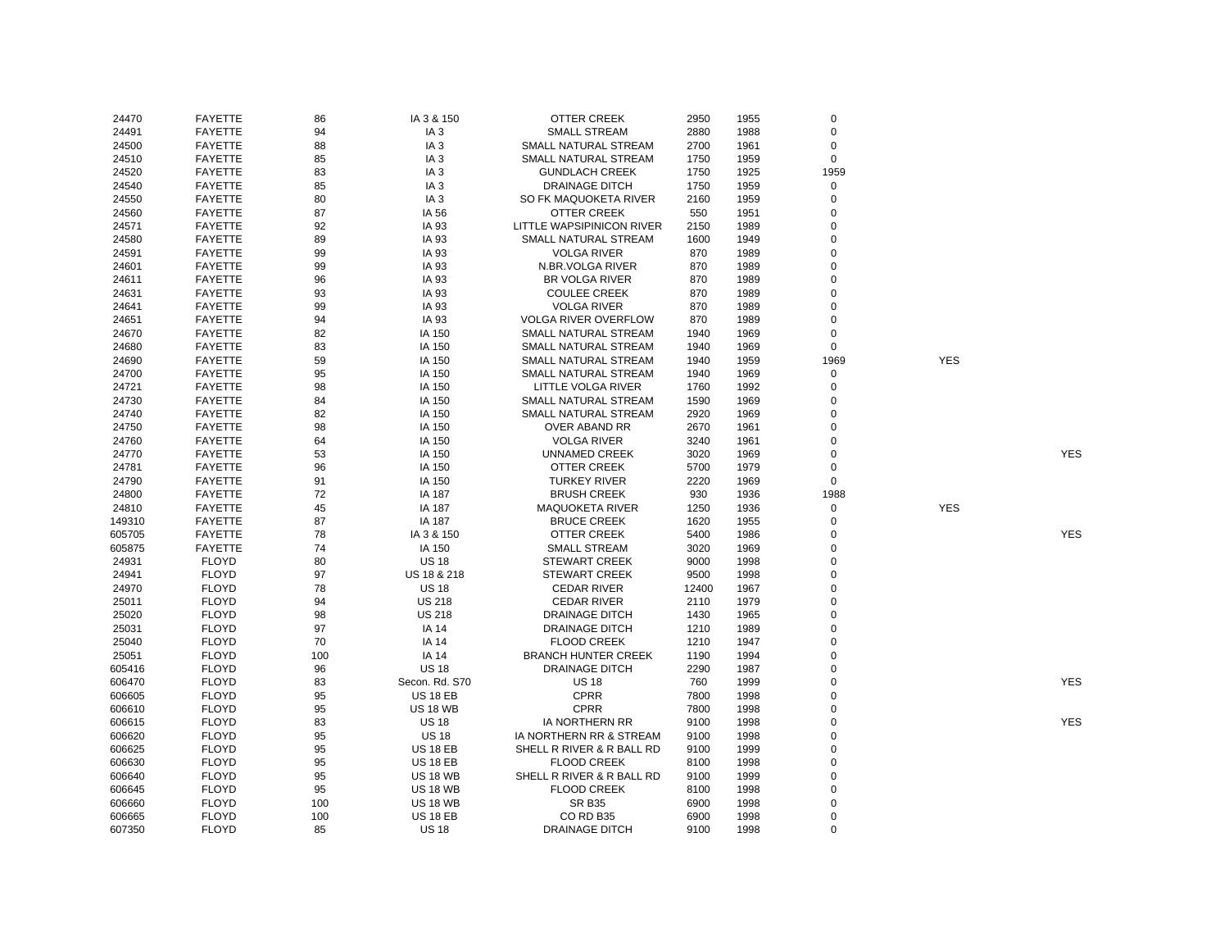| 24470  | <b>FAYETTE</b> | 86  | IA 3 & 150      | OTTER CREEK                 | 2950  | 1955 | 0           |            |            |
|--------|----------------|-----|-----------------|-----------------------------|-------|------|-------------|------------|------------|
| 24491  | <b>FAYETTE</b> | 94  | IA <sub>3</sub> | <b>SMALL STREAM</b>         | 2880  | 1988 | 0           |            |            |
| 24500  | <b>FAYETTE</b> | 88  | IA <sub>3</sub> | SMALL NATURAL STREAM        | 2700  | 1961 | 0           |            |            |
| 24510  | <b>FAYETTE</b> | 85  | IA <sub>3</sub> | SMALL NATURAL STREAM        | 1750  | 1959 | $\pmb{0}$   |            |            |
| 24520  | <b>FAYETTE</b> | 83  | IA <sub>3</sub> | <b>GUNDLACH CREEK</b>       | 1750  | 1925 | 1959        |            |            |
| 24540  | <b>FAYETTE</b> | 85  | IA <sub>3</sub> | <b>DRAINAGE DITCH</b>       | 1750  | 1959 | 0           |            |            |
| 24550  | <b>FAYETTE</b> | 80  | IA <sub>3</sub> | SO FK MAQUOKETA RIVER       | 2160  | 1959 | $\mathsf 0$ |            |            |
| 24560  | <b>FAYETTE</b> | 87  | IA 56           | OTTER CREEK                 | 550   | 1951 | $\mathbf 0$ |            |            |
| 24571  | <b>FAYETTE</b> | 92  | IA 93           | LITTLE WAPSIPINICON RIVER   | 2150  | 1989 | $\mathbf 0$ |            |            |
| 24580  | <b>FAYETTE</b> | 89  | IA 93           | SMALL NATURAL STREAM        | 1600  | 1949 | $\mathbf 0$ |            |            |
| 24591  | <b>FAYETTE</b> | 99  | IA 93           | <b>VOLGA RIVER</b>          | 870   | 1989 | $\Omega$    |            |            |
| 24601  | <b>FAYETTE</b> | 99  | IA 93           | N.BR.VOLGA RIVER            | 870   | 1989 | $\mathbf 0$ |            |            |
| 24611  | <b>FAYETTE</b> | 96  | IA 93           | BR VOLGA RIVER              | 870   | 1989 | $\Omega$    |            |            |
| 24631  | <b>FAYETTE</b> | 93  | IA 93           | <b>COULEE CREEK</b>         | 870   | 1989 | 0           |            |            |
|        |                |     |                 |                             |       |      | $\Omega$    |            |            |
| 24641  | <b>FAYETTE</b> | 99  | IA 93           | <b>VOLGA RIVER</b>          | 870   | 1989 |             |            |            |
| 24651  | <b>FAYETTE</b> | 94  | IA 93           | <b>VOLGA RIVER OVERFLOW</b> | 870   | 1989 | $\mathbf 0$ |            |            |
| 24670  | <b>FAYETTE</b> | 82  | IA 150          | SMALL NATURAL STREAM        | 1940  | 1969 | 0           |            |            |
| 24680  | <b>FAYETTE</b> | 83  | IA 150          | SMALL NATURAL STREAM        | 1940  | 1969 | $\mathbf 0$ |            |            |
| 24690  | <b>FAYETTE</b> | 59  | IA 150          | SMALL NATURAL STREAM        | 1940  | 1959 | 1969        | <b>YES</b> |            |
| 24700  | <b>FAYETTE</b> | 95  | IA 150          | SMALL NATURAL STREAM        | 1940  | 1969 | $\mathbf 0$ |            |            |
| 24721  | <b>FAYETTE</b> | 98  | IA 150          | LITTLE VOLGA RIVER          | 1760  | 1992 | 0           |            |            |
| 24730  | <b>FAYETTE</b> | 84  | IA 150          | SMALL NATURAL STREAM        | 1590  | 1969 | $\mathbf 0$ |            |            |
| 24740  | <b>FAYETTE</b> | 82  | IA 150          | SMALL NATURAL STREAM        | 2920  | 1969 | 0           |            |            |
| 24750  | <b>FAYETTE</b> | 98  | IA 150          | OVER ABAND RR               | 2670  | 1961 | $\Omega$    |            |            |
| 24760  | <b>FAYETTE</b> | 64  | IA 150          | <b>VOLGA RIVER</b>          | 3240  | 1961 | $\Omega$    |            |            |
| 24770  | <b>FAYETTE</b> | 53  | IA 150          | UNNAMED CREEK               | 3020  | 1969 | 0           |            | <b>YES</b> |
| 24781  | <b>FAYETTE</b> | 96  | IA 150          | OTTER CREEK                 | 5700  | 1979 | 0           |            |            |
| 24790  | <b>FAYETTE</b> | 91  | IA 150          | <b>TURKEY RIVER</b>         | 2220  | 1969 | 0           |            |            |
| 24800  | <b>FAYETTE</b> | 72  | <b>IA 187</b>   | <b>BRUSH CREEK</b>          | 930   | 1936 | 1988        |            |            |
| 24810  | <b>FAYETTE</b> | 45  | IA 187          | <b>MAQUOKETA RIVER</b>      | 1250  | 1936 | $\mathbf 0$ | <b>YES</b> |            |
| 149310 | <b>FAYETTE</b> | 87  | IA 187          | <b>BRUCE CREEK</b>          | 1620  | 1955 | $\mathbf 0$ |            |            |
| 605705 | <b>FAYETTE</b> | 78  | IA 3 & 150      | OTTER CREEK                 | 5400  | 1986 | 0           |            | <b>YES</b> |
| 605875 | <b>FAYETTE</b> | 74  | IA 150          | <b>SMALL STREAM</b>         | 3020  | 1969 | $\mathbf 0$ |            |            |
| 24931  | <b>FLOYD</b>   | 80  | <b>US 18</b>    | <b>STEWART CREEK</b>        | 9000  | 1998 | 0           |            |            |
| 24941  | <b>FLOYD</b>   | 97  | US 18 & 218     | <b>STEWART CREEK</b>        | 9500  | 1998 | $\Omega$    |            |            |
| 24970  | <b>FLOYD</b>   | 78  | <b>US 18</b>    | <b>CEDAR RIVER</b>          | 12400 | 1967 | $\Omega$    |            |            |
| 25011  | <b>FLOYD</b>   | 94  | <b>US 218</b>   | <b>CEDAR RIVER</b>          | 2110  | 1979 | 0           |            |            |
| 25020  | <b>FLOYD</b>   | 98  | <b>US 218</b>   | <b>DRAINAGE DITCH</b>       | 1430  | 1965 | $\mathbf 0$ |            |            |
| 25031  | <b>FLOYD</b>   | 97  | IA 14           | <b>DRAINAGE DITCH</b>       | 1210  | 1989 | $\Omega$    |            |            |
| 25040  | <b>FLOYD</b>   | 70  | IA 14           | <b>FLOOD CREEK</b>          | 1210  | 1947 | 0           |            |            |
| 25051  | <b>FLOYD</b>   | 100 | IA 14           | <b>BRANCH HUNTER CREEK</b>  | 1190  | 1994 | $\mathbf 0$ |            |            |
| 605416 | <b>FLOYD</b>   | 96  | <b>US 18</b>    | <b>DRAINAGE DITCH</b>       | 2290  | 1987 | $\Omega$    |            |            |
| 606470 | <b>FLOYD</b>   | 83  | Secon. Rd. S70  | <b>US 18</b>                | 760   | 1999 | $\mathbf 0$ |            | <b>YES</b> |
| 606605 | <b>FLOYD</b>   | 95  | <b>US 18 EB</b> | <b>CPRR</b>                 | 7800  | 1998 | $\Omega$    |            |            |
| 606610 | <b>FLOYD</b>   | 95  | <b>US 18 WB</b> | CPRR                        | 7800  | 1998 | $\Omega$    |            |            |
|        | <b>FLOYD</b>   | 83  | <b>US 18</b>    | <b>IA NORTHERN RR</b>       | 9100  | 1998 | 0           |            | <b>YES</b> |
| 606615 |                | 95  | <b>US 18</b>    | IA NORTHERN RR & STREAM     |       | 1998 | $\Omega$    |            |            |
| 606620 | <b>FLOYD</b>   |     |                 |                             | 9100  |      |             |            |            |
| 606625 | <b>FLOYD</b>   | 95  | <b>US 18 EB</b> | SHELL R RIVER & R BALL RD   | 9100  | 1999 | 0           |            |            |
| 606630 | <b>FLOYD</b>   | 95  | <b>US 18 EB</b> | <b>FLOOD CREEK</b>          | 8100  | 1998 | $\Omega$    |            |            |
| 606640 | <b>FLOYD</b>   | 95  | <b>US 18 WB</b> | SHELL R RIVER & R BALL RD   | 9100  | 1999 | $\Omega$    |            |            |
| 606645 | <b>FLOYD</b>   | 95  | <b>US 18 WB</b> | <b>FLOOD CREEK</b>          | 8100  | 1998 | 0           |            |            |
| 606660 | <b>FLOYD</b>   | 100 | <b>US 18 WB</b> | <b>SR B35</b>               | 6900  | 1998 | $\Omega$    |            |            |
| 606665 | <b>FLOYD</b>   | 100 | <b>US 18 EB</b> | CO RD B35                   | 6900  | 1998 | 0           |            |            |
| 607350 | <b>FLOYD</b>   | 85  | <b>US 18</b>    | <b>DRAINAGE DITCH</b>       | 9100  | 1998 | $\Omega$    |            |            |

YES

YES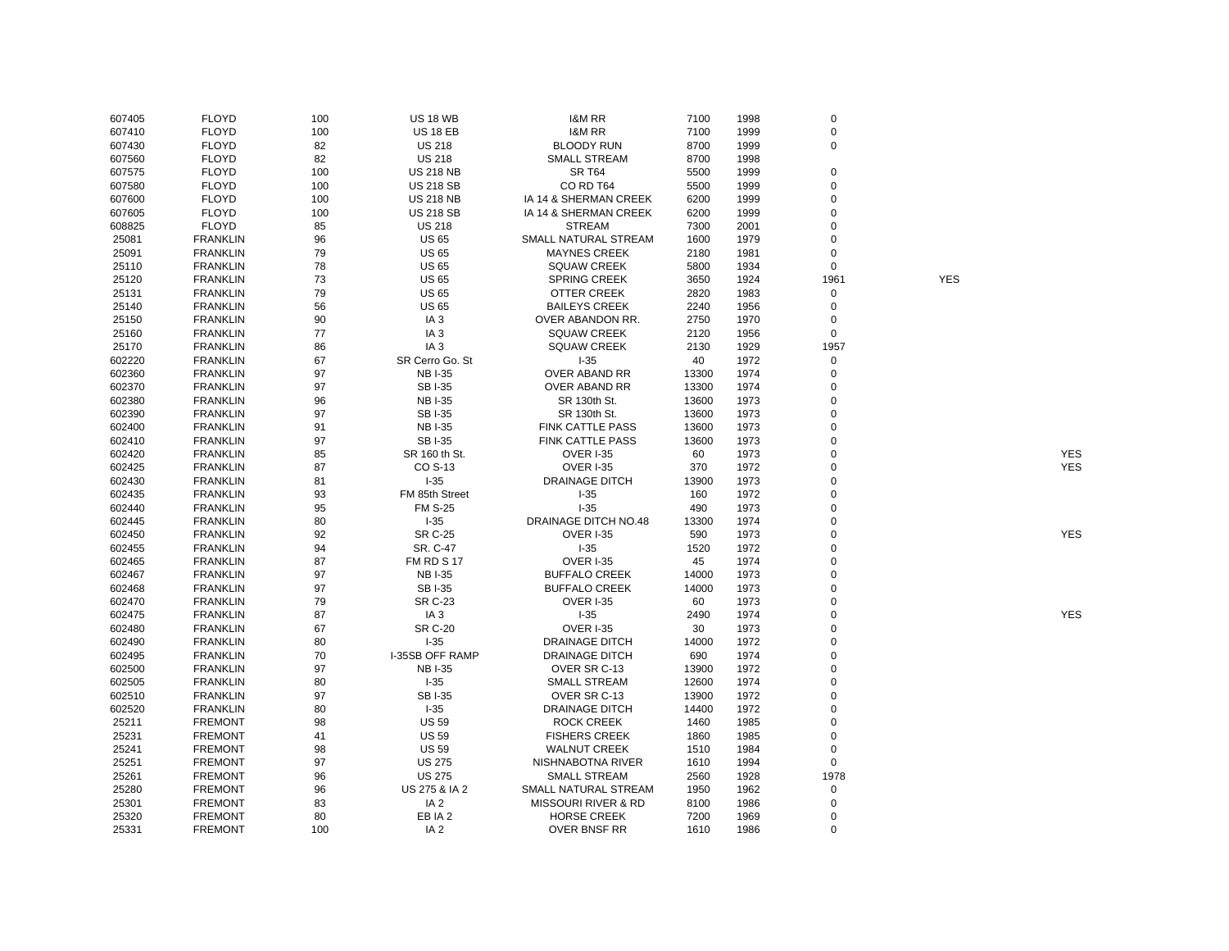|        |                 |     |                   |                                |       |      | $\mathbf 0$ |            |            |
|--------|-----------------|-----|-------------------|--------------------------------|-------|------|-------------|------------|------------|
| 607405 | <b>FLOYD</b>    | 100 | <b>US 18 WB</b>   | <b>I&amp;M RR</b>              | 7100  | 1998 |             |            |            |
| 607410 | <b>FLOYD</b>    | 100 | <b>US 18 EB</b>   | <b>I&amp;M RR</b>              | 7100  | 1999 | $\mathbf 0$ |            |            |
| 607430 | <b>FLOYD</b>    | 82  | <b>US 218</b>     | <b>BLOODY RUN</b>              | 8700  | 1999 | $\mathbf 0$ |            |            |
| 607560 | <b>FLOYD</b>    | 82  | <b>US 218</b>     | <b>SMALL STREAM</b>            | 8700  | 1998 |             |            |            |
| 607575 | <b>FLOYD</b>    | 100 | <b>US 218 NB</b>  | <b>SR T64</b>                  | 5500  | 1999 | $\mathbf 0$ |            |            |
| 607580 | <b>FLOYD</b>    | 100 | <b>US 218 SB</b>  | CO RD T64                      | 5500  | 1999 | $\mathbf 0$ |            |            |
| 607600 | <b>FLOYD</b>    | 100 | <b>US 218 NB</b>  | IA 14 & SHERMAN CREEK          | 6200  | 1999 | $\mathbf 0$ |            |            |
| 607605 | <b>FLOYD</b>    | 100 | <b>US 218 SB</b>  | IA 14 & SHERMAN CREEK          | 6200  | 1999 | $\mathbf 0$ |            |            |
| 608825 | <b>FLOYD</b>    | 85  | <b>US 218</b>     | <b>STREAM</b>                  | 7300  | 2001 | 0           |            |            |
| 25081  | <b>FRANKLIN</b> | 96  | <b>US 65</b>      | SMALL NATURAL STREAM           | 1600  | 1979 | $\mathbf 0$ |            |            |
| 25091  | <b>FRANKLIN</b> | 79  | <b>US 65</b>      | <b>MAYNES CREEK</b>            | 2180  | 1981 | 0           |            |            |
| 25110  | <b>FRANKLIN</b> | 78  | <b>US 65</b>      | <b>SQUAW CREEK</b>             | 5800  | 1934 | $\mathbf 0$ |            |            |
| 25120  | <b>FRANKLIN</b> | 73  | <b>US 65</b>      | <b>SPRING CREEK</b>            | 3650  | 1924 | 1961        | <b>YES</b> |            |
| 25131  | <b>FRANKLIN</b> | 79  | <b>US 65</b>      | OTTER CREEK                    | 2820  | 1983 | 0           |            |            |
| 25140  | <b>FRANKLIN</b> | 56  | <b>US 65</b>      | <b>BAILEYS CREEK</b>           | 2240  | 1956 | $\mathbf 0$ |            |            |
| 25150  | <b>FRANKLIN</b> | 90  | IA <sub>3</sub>   | OVER ABANDON RR.               | 2750  | 1970 | 0           |            |            |
| 25160  | <b>FRANKLIN</b> | 77  | IA <sub>3</sub>   | <b>SQUAW CREEK</b>             | 2120  | 1956 | $\mathsf 0$ |            |            |
| 25170  | <b>FRANKLIN</b> | 86  | IA <sub>3</sub>   | <b>SQUAW CREEK</b>             | 2130  | 1929 | 1957        |            |            |
| 602220 |                 | 67  | SR Cerro Go. St   | $-35$                          | 40    | 1972 | $\mathbf 0$ |            |            |
|        | <b>FRANKLIN</b> |     | <b>NBI-35</b>     |                                |       |      |             |            |            |
| 602360 | <b>FRANKLIN</b> | 97  |                   | OVER ABAND RR                  | 13300 | 1974 | 0           |            |            |
| 602370 | <b>FRANKLIN</b> | 97  | <b>SBI-35</b>     | OVER ABAND RR                  | 13300 | 1974 | $\mathbf 0$ |            |            |
| 602380 | <b>FRANKLIN</b> | 96  | <b>NBI-35</b>     | SR 130th St.                   | 13600 | 1973 | $\Omega$    |            |            |
| 602390 | <b>FRANKLIN</b> | 97  | <b>SBI-35</b>     | SR 130th St.                   | 13600 | 1973 | $\mathbf 0$ |            |            |
| 602400 | <b>FRANKLIN</b> | 91  | <b>NBI-35</b>     | <b>FINK CATTLE PASS</b>        | 13600 | 1973 | $\Omega$    |            |            |
| 602410 | <b>FRANKLIN</b> | 97  | <b>SBI-35</b>     | <b>FINK CATTLE PASS</b>        | 13600 | 1973 | $\mathbf 0$ |            |            |
| 602420 | <b>FRANKLIN</b> | 85  | SR 160 th St.     | <b>OVER I-35</b>               | 60    | 1973 | $\mathbf 0$ |            | <b>YES</b> |
| 602425 | <b>FRANKLIN</b> | 87  | CO S-13           | <b>OVER I-35</b>               | 370   | 1972 | $\Omega$    |            | <b>YES</b> |
| 602430 | <b>FRANKLIN</b> | 81  | $I-35$            | <b>DRAINAGE DITCH</b>          | 13900 | 1973 | $\Omega$    |            |            |
| 602435 | <b>FRANKLIN</b> | 93  | FM 85th Street    | $I-35$                         | 160   | 1972 | $\mathbf 0$ |            |            |
| 602440 | <b>FRANKLIN</b> | 95  | <b>FM S-25</b>    | $-35$                          | 490   | 1973 | $\mathbf 0$ |            |            |
| 602445 | <b>FRANKLIN</b> | 80  | $-35$             | DRAINAGE DITCH NO.48           | 13300 | 1974 | $\mathbf 0$ |            |            |
| 602450 | <b>FRANKLIN</b> | 92  | <b>SR C-25</b>    | OVER I-35                      | 590   | 1973 | $\Omega$    |            | <b>YES</b> |
| 602455 | <b>FRANKLIN</b> | 94  | SR. C-47          | $-35$                          | 1520  | 1972 | $\Omega$    |            |            |
| 602465 | <b>FRANKLIN</b> | 87  | <b>FM RD S 17</b> | OVER I-35                      | 45    | 1974 | $\mathbf 0$ |            |            |
| 602467 | <b>FRANKLIN</b> | 97  | <b>NBI-35</b>     | <b>BUFFALO CREEK</b>           | 14000 | 1973 | $\Omega$    |            |            |
| 602468 | <b>FRANKLIN</b> | 97  | <b>SBI-35</b>     | <b>BUFFALO CREEK</b>           | 14000 | 1973 | $\mathbf 0$ |            |            |
| 602470 | <b>FRANKLIN</b> | 79  | <b>SR C-23</b>    | <b>OVER I-35</b>               | 60    | 1973 | $\Omega$    |            |            |
| 602475 | <b>FRANKLIN</b> | 87  | IA <sub>3</sub>   | $1 - 35$                       | 2490  | 1974 | $\mathbf 0$ |            | <b>YES</b> |
| 602480 | <b>FRANKLIN</b> | 67  | <b>SR C-20</b>    | <b>OVER I-35</b>               | 30    | 1973 | $\Omega$    |            |            |
| 602490 | <b>FRANKLIN</b> | 80  | $1 - 35$          | <b>DRAINAGE DITCH</b>          | 14000 | 1972 | $\Omega$    |            |            |
| 602495 | <b>FRANKLIN</b> | 70  | I-35SB OFF RAMP   | <b>DRAINAGE DITCH</b>          | 690   | 1974 | $\Omega$    |            |            |
| 602500 | <b>FRANKLIN</b> | 97  | <b>NBI-35</b>     | OVER SR C-13                   | 13900 | 1972 | $\mathbf 0$ |            |            |
| 602505 | <b>FRANKLIN</b> | 80  | $-35$             | <b>SMALL STREAM</b>            | 12600 | 1974 | $\Omega$    |            |            |
| 602510 | <b>FRANKLIN</b> | 97  | <b>SBI-35</b>     | OVER SR C-13                   | 13900 | 1972 | $\mathbf 0$ |            |            |
|        |                 |     |                   |                                |       |      | $\mathbf 0$ |            |            |
| 602520 | <b>FRANKLIN</b> | 80  | $-35$             | <b>DRAINAGE DITCH</b>          | 14400 | 1972 |             |            |            |
| 25211  | <b>FREMONT</b>  | 98  | <b>US 59</b>      | <b>ROCK CREEK</b>              | 1460  | 1985 | $\mathbf 0$ |            |            |
| 25231  | <b>FREMONT</b>  | 41  | <b>US 59</b>      | <b>FISHERS CREEK</b>           | 1860  | 1985 | 0           |            |            |
| 25241  | <b>FREMONT</b>  | 98  | <b>US 59</b>      | <b>WALNUT CREEK</b>            | 1510  | 1984 | $\mathbf 0$ |            |            |
| 25251  | <b>FREMONT</b>  | 97  | <b>US 275</b>     | NISHNABOTNA RIVER              | 1610  | 1994 | 0           |            |            |
| 25261  | <b>FREMONT</b>  | 96  | <b>US 275</b>     | <b>SMALL STREAM</b>            | 2560  | 1928 | 1978        |            |            |
| 25280  | <b>FREMONT</b>  | 96  | US 275 & IA 2     | SMALL NATURAL STREAM           | 1950  | 1962 | $\mathbf 0$ |            |            |
| 25301  | <b>FREMONT</b>  | 83  | IA <sub>2</sub>   | <b>MISSOURI RIVER &amp; RD</b> | 8100  | 1986 | 0           |            |            |
| 25320  | <b>FREMONT</b>  | 80  | EB IA 2           | <b>HORSE CREEK</b>             | 7200  | 1969 | $\Omega$    |            |            |
| 25331  | <b>FREMONT</b>  | 100 | IA <sub>2</sub>   | <b>OVER BNSF RR</b>            | 1610  | 1986 | $\Omega$    |            |            |
|        |                 |     |                   |                                |       |      |             |            |            |

YES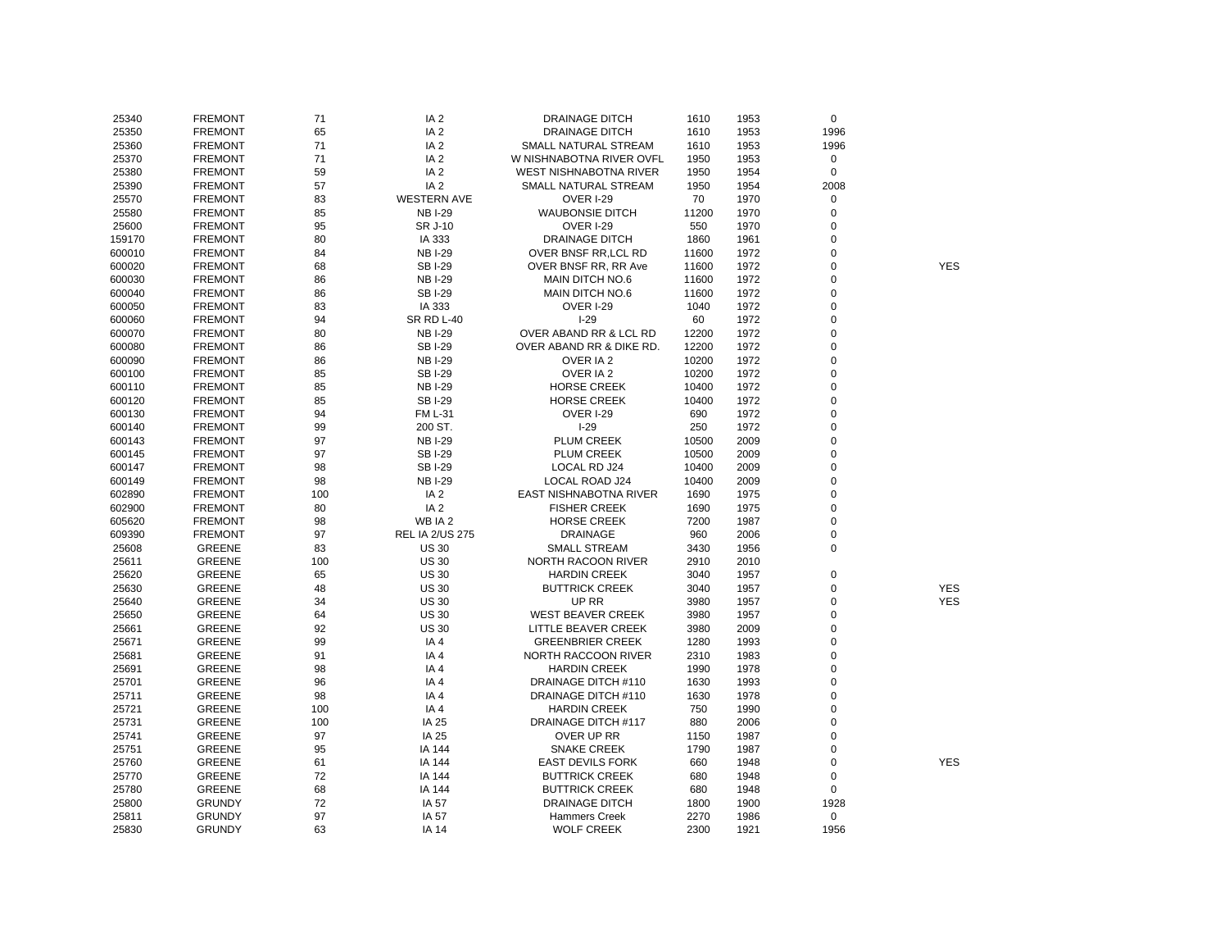| 25340  | <b>FREMONT</b> | 71  | IA <sub>2</sub>        | <b>DRAINAGE DITCH</b>    | 1610  | 1953 | $\mathbf 0$ |            |
|--------|----------------|-----|------------------------|--------------------------|-------|------|-------------|------------|
| 25350  | <b>FREMONT</b> | 65  | IA <sub>2</sub>        | <b>DRAINAGE DITCH</b>    | 1610  | 1953 | 1996        |            |
| 25360  | <b>FREMONT</b> | 71  | IA <sub>2</sub>        | SMALL NATURAL STREAM     | 1610  | 1953 | 1996        |            |
| 25370  | <b>FREMONT</b> | 71  | IA <sub>2</sub>        | W NISHNABOTNA RIVER OVFL | 1950  | 1953 | $\mathbf 0$ |            |
| 25380  | <b>FREMONT</b> | 59  | IA <sub>2</sub>        | WEST NISHNABOTNA RIVER   | 1950  | 1954 | $\Omega$    |            |
| 25390  | <b>FREMONT</b> | 57  | IA <sub>2</sub>        | SMALL NATURAL STREAM     | 1950  | 1954 | 2008        |            |
| 25570  | <b>FREMONT</b> | 83  | <b>WESTERN AVE</b>     | <b>OVER I-29</b>         | 70    | 1970 | 0           |            |
| 25580  | <b>FREMONT</b> | 85  | <b>NBI-29</b>          | <b>WAUBONSIE DITCH</b>   | 11200 | 1970 | $\mathbf 0$ |            |
| 25600  | <b>FREMONT</b> | 95  | SR J-10                | OVER I-29                | 550   | 1970 | 0           |            |
| 159170 | <b>FREMONT</b> | 80  | IA 333                 | <b>DRAINAGE DITCH</b>    | 1860  | 1961 | 0           |            |
| 600010 | <b>FREMONT</b> | 84  | <b>NBI-29</b>          | OVER BNSF RR, LCL RD     | 11600 | 1972 | 0           |            |
| 600020 | <b>FREMONT</b> | 68  | <b>SBI-29</b>          | OVER BNSF RR, RR Ave     | 11600 | 1972 | 0           | <b>YES</b> |
| 600030 | <b>FREMONT</b> | 86  | <b>NBI-29</b>          | MAIN DITCH NO.6          | 11600 | 1972 | 0           |            |
| 600040 | <b>FREMONT</b> | 86  | <b>SBI-29</b>          | MAIN DITCH NO.6          | 11600 | 1972 | $\mathbf 0$ |            |
| 600050 | <b>FREMONT</b> | 83  | IA 333                 | OVER I-29                | 1040  | 1972 | $\mathbf 0$ |            |
| 600060 | <b>FREMONT</b> | 94  | <b>SR RD L-40</b>      | $I-29$                   | 60    | 1972 | $\mathbf 0$ |            |
| 600070 | <b>FREMONT</b> | 80  | <b>NBI-29</b>          | OVER ABAND RR & LCL RD   | 12200 | 1972 | 0           |            |
| 600080 | <b>FREMONT</b> | 86  | <b>SBI-29</b>          | OVER ABAND RR & DIKE RD. | 12200 | 1972 | 0           |            |
|        |                | 86  | <b>NBI-29</b>          | OVER IA 2                | 10200 | 1972 | 0           |            |
| 600090 | <b>FREMONT</b> |     |                        | OVER IA 2                |       |      | $\mathbf 0$ |            |
| 600100 | <b>FREMONT</b> | 85  | <b>SBI-29</b>          |                          | 10200 | 1972 |             |            |
| 600110 | <b>FREMONT</b> | 85  | <b>NBI-29</b>          | <b>HORSE CREEK</b>       | 10400 | 1972 | $\mathbf 0$ |            |
| 600120 | <b>FREMONT</b> | 85  | <b>SBI-29</b>          | <b>HORSE CREEK</b>       | 10400 | 1972 | 0           |            |
| 600130 | <b>FREMONT</b> | 94  | <b>FM L-31</b>         | OVER I-29                | 690   | 1972 | 0           |            |
| 600140 | <b>FREMONT</b> | 99  | 200 ST.                | $I-29$                   | 250   | 1972 | 0           |            |
| 600143 | <b>FREMONT</b> | 97  | <b>NBI-29</b>          | <b>PLUM CREEK</b>        | 10500 | 2009 | $\mathbf 0$ |            |
| 600145 | <b>FREMONT</b> | 97  | <b>SBI-29</b>          | <b>PLUM CREEK</b>        | 10500 | 2009 | $\mathbf 0$ |            |
| 600147 | <b>FREMONT</b> | 98  | <b>SBI-29</b>          | LOCAL RD J24             | 10400 | 2009 | $\mathbf 0$ |            |
| 600149 | <b>FREMONT</b> | 98  | <b>NBI-29</b>          | LOCAL ROAD J24           | 10400 | 2009 | $\mathbf 0$ |            |
| 602890 | <b>FREMONT</b> | 100 | IA <sub>2</sub>        | EAST NISHNABOTNA RIVER   | 1690  | 1975 | 0           |            |
| 602900 | <b>FREMONT</b> | 80  | IA <sub>2</sub>        | <b>FISHER CREEK</b>      | 1690  | 1975 | $\mathbf 0$ |            |
| 605620 | <b>FREMONT</b> | 98  | WB IA 2                | <b>HORSE CREEK</b>       | 7200  | 1987 | 0           |            |
| 609390 | <b>FREMONT</b> | 97  | <b>REL IA 2/US 275</b> | <b>DRAINAGE</b>          | 960   | 2006 | $\mathbf 0$ |            |
| 25608  | <b>GREENE</b>  | 83  | <b>US 30</b>           | <b>SMALL STREAM</b>      | 3430  | 1956 | $\mathbf 0$ |            |
| 25611  | <b>GREENE</b>  | 100 | <b>US 30</b>           | NORTH RACOON RIVER       | 2910  | 2010 |             |            |
| 25620  | <b>GREENE</b>  | 65  | <b>US 30</b>           | <b>HARDIN CREEK</b>      | 3040  | 1957 | $\mathbf 0$ |            |
| 25630  | <b>GREENE</b>  | 48  | <b>US 30</b>           | <b>BUTTRICK CREEK</b>    | 3040  | 1957 | 0           | <b>YES</b> |
| 25640  | <b>GREENE</b>  | 34  | <b>US 30</b>           | UP RR                    | 3980  | 1957 | 0           | <b>YES</b> |
| 25650  | GREENE         | 64  | <b>US 30</b>           | <b>WEST BEAVER CREEK</b> | 3980  | 1957 | $\mathbf 0$ |            |
| 25661  | GREENE         | 92  | <b>US 30</b>           | LITTLE BEAVER CREEK      | 3980  | 2009 | $\mathbf 0$ |            |
| 25671  | GREENE         | 99  | IA4                    | <b>GREENBRIER CREEK</b>  | 1280  | 1993 | 0           |            |
| 25681  | GREENE         | 91  | IA4                    | NORTH RACCOON RIVER      | 2310  | 1983 | 0           |            |
| 25691  | <b>GREENE</b>  | 98  | IA4                    | <b>HARDIN CREEK</b>      | 1990  | 1978 | 0           |            |
| 25701  | <b>GREENE</b>  | 96  | IA4                    | DRAINAGE DITCH #110      | 1630  | 1993 | 0           |            |
| 25711  | GREENE         | 98  | IA4                    | DRAINAGE DITCH #110      | 1630  | 1978 | $\mathbf 0$ |            |
| 25721  | GREENE         | 100 | IA4                    | <b>HARDIN CREEK</b>      | 750   | 1990 | $\mathbf 0$ |            |
| 25731  | GREENE         | 100 | IA 25                  | DRAINAGE DITCH #117      | 880   | 2006 | 0           |            |
| 25741  | <b>GREENE</b>  | 97  | IA 25                  | OVER UP RR               | 1150  | 1987 | $\mathbf 0$ |            |
| 25751  | <b>GREENE</b>  | 95  | IA 144                 | <b>SNAKE CREEK</b>       | 1790  | 1987 | 0           |            |
| 25760  | <b>GREENE</b>  | 61  | IA 144                 | <b>EAST DEVILS FORK</b>  | 660   | 1948 | 0           | <b>YES</b> |
| 25770  | <b>GREENE</b>  | 72  | IA 144                 | <b>BUTTRICK CREEK</b>    | 680   | 1948 | $\mathbf 0$ |            |
| 25780  | <b>GREENE</b>  | 68  | IA 144                 | <b>BUTTRICK CREEK</b>    | 680   | 1948 | $\mathbf 0$ |            |
| 25800  | <b>GRUNDY</b>  | 72  | IA 57                  | <b>DRAINAGE DITCH</b>    | 1800  | 1900 | 1928        |            |
| 25811  | <b>GRUNDY</b>  | 97  | IA 57                  | <b>Hammers Creek</b>     | 2270  | 1986 | $\mathbf 0$ |            |
| 25830  | <b>GRUNDY</b>  | 63  | <b>IA 14</b>           | <b>WOLF CREEK</b>        | 2300  | 1921 | 1956        |            |
|        |                |     |                        |                          |       |      |             |            |

YES<br>YES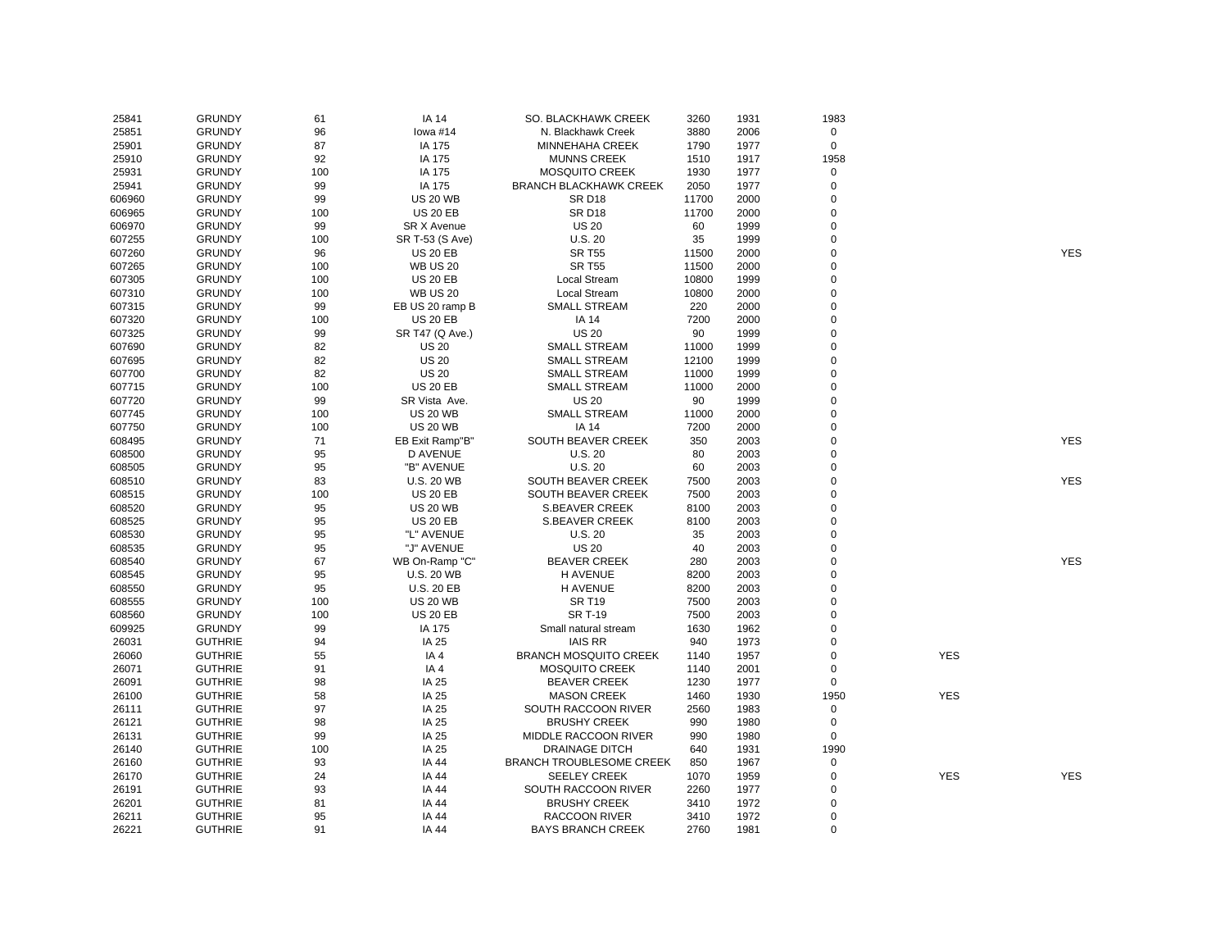| 25841  | <b>GRUNDY</b>  | 61  | <b>IA 14</b>       | SO. BLACKHAWK CREEK             | 3260  | 1931 | 1983           |            |            |
|--------|----------------|-----|--------------------|---------------------------------|-------|------|----------------|------------|------------|
| 25851  | <b>GRUNDY</b>  | 96  | lowa #14           | N. Blackhawk Creek              | 3880  | 2006 | 0              |            |            |
| 25901  | <b>GRUNDY</b>  | 87  | IA 175             | <b>MINNEHAHA CREEK</b>          | 1790  | 1977 | $\mathbf 0$    |            |            |
| 25910  | <b>GRUNDY</b>  | 92  | IA 175             | <b>MUNNS CREEK</b>              | 1510  | 1917 | 1958           |            |            |
| 25931  | <b>GRUNDY</b>  | 100 | IA 175             | <b>MOSQUITO CREEK</b>           | 1930  | 1977 | $\mathbf 0$    |            |            |
| 25941  | <b>GRUNDY</b>  | 99  | IA 175             | <b>BRANCH BLACKHAWK CREEK</b>   | 2050  | 1977 | $\pmb{0}$      |            |            |
| 606960 | <b>GRUNDY</b>  | 99  | <b>US 20 WB</b>    | <b>SR D18</b>                   | 11700 | 2000 | $\pmb{0}$      |            |            |
| 606965 | <b>GRUNDY</b>  | 100 | <b>US 20 EB</b>    | <b>SR D18</b>                   | 11700 | 2000 | $\mathbf 0$    |            |            |
| 606970 | <b>GRUNDY</b>  | 99  | <b>SR X Avenue</b> | <b>US 20</b>                    | 60    | 1999 | $\mathbf 0$    |            |            |
| 607255 | <b>GRUNDY</b>  | 100 | SR T-53 (S Ave)    | U.S.20                          | 35    | 1999 | $\mathbf 0$    |            |            |
| 607260 | <b>GRUNDY</b>  | 96  | <b>US 20 EB</b>    | <b>SR T55</b>                   | 11500 | 2000 | 0              |            | <b>YES</b> |
| 607265 | <b>GRUNDY</b>  | 100 | <b>WB US 20</b>    | <b>SR T55</b>                   | 11500 | 2000 | $\mathbf 0$    |            |            |
| 607305 | <b>GRUNDY</b>  | 100 | <b>US 20 EB</b>    | Local Stream                    | 10800 | 1999 | $\mathsf 0$    |            |            |
|        |                |     |                    |                                 |       |      | $\mathbf 0$    |            |            |
| 607310 | <b>GRUNDY</b>  | 100 | <b>WB US 20</b>    | Local Stream                    | 10800 | 2000 |                |            |            |
| 607315 | <b>GRUNDY</b>  | 99  | EB US 20 ramp B    | <b>SMALL STREAM</b>             | 220   | 2000 | $\pmb{0}$      |            |            |
| 607320 | <b>GRUNDY</b>  | 100 | <b>US 20 EB</b>    | <b>IA 14</b>                    | 7200  | 2000 | $\mathbf 0$    |            |            |
| 607325 | <b>GRUNDY</b>  | 99  | SR T47 (Q Ave.)    | <b>US 20</b>                    | 90    | 1999 | $\mathsf 0$    |            |            |
| 607690 | <b>GRUNDY</b>  | 82  | <b>US 20</b>       | <b>SMALL STREAM</b>             | 11000 | 1999 | $\mathbf 0$    |            |            |
| 607695 | <b>GRUNDY</b>  | 82  | <b>US 20</b>       | <b>SMALL STREAM</b>             | 12100 | 1999 | $\mathsf 0$    |            |            |
| 607700 | <b>GRUNDY</b>  | 82  | <b>US 20</b>       | <b>SMALL STREAM</b>             | 11000 | 1999 | $\mathbf 0$    |            |            |
| 607715 | <b>GRUNDY</b>  | 100 | <b>US 20 EB</b>    | <b>SMALL STREAM</b>             | 11000 | 2000 | $\mathbf 0$    |            |            |
| 607720 | <b>GRUNDY</b>  | 99  | SR Vista Ave.      | <b>US 20</b>                    | 90    | 1999 | $\mathbf 0$    |            |            |
| 607745 | <b>GRUNDY</b>  | 100 | <b>US 20 WB</b>    | <b>SMALL STREAM</b>             | 11000 | 2000 | $\pmb{0}$      |            |            |
| 607750 | <b>GRUNDY</b>  | 100 | <b>US 20 WB</b>    | <b>IA 14</b>                    | 7200  | 2000 | $\overline{0}$ |            |            |
| 608495 | <b>GRUNDY</b>  | 71  | EB Exit Ramp"B"    | SOUTH BEAVER CREEK              | 350   | 2003 | $\pmb{0}$      |            | <b>YES</b> |
| 608500 | <b>GRUNDY</b>  | 95  | <b>D AVENUE</b>    | U.S.20                          | 80    | 2003 | $\mathbf 0$    |            |            |
| 608505 | <b>GRUNDY</b>  | 95  | "B" AVENUE         | U.S.20                          | 60    | 2003 | $\mathbf 0$    |            |            |
| 608510 | <b>GRUNDY</b>  | 83  | <b>U.S. 20 WB</b>  | SOUTH BEAVER CREEK              | 7500  | 2003 | $\mathsf 0$    |            | <b>YES</b> |
| 608515 | <b>GRUNDY</b>  | 100 | <b>US 20 EB</b>    | SOUTH BEAVER CREEK              | 7500  | 2003 | $\mathbf 0$    |            |            |
| 608520 | <b>GRUNDY</b>  | 95  | <b>US 20 WB</b>    | <b>S.BEAVER CREEK</b>           | 8100  | 2003 | $\mathbf 0$    |            |            |
| 608525 | <b>GRUNDY</b>  | 95  | <b>US 20 EB</b>    | <b>S.BEAVER CREEK</b>           | 8100  | 2003 | $\mathbf 0$    |            |            |
| 608530 | <b>GRUNDY</b>  | 95  | "L" AVENUE         | U.S.20                          | 35    | 2003 | $\mathbf 0$    |            |            |
| 608535 | <b>GRUNDY</b>  | 95  | "J" AVENUE         | <b>US 20</b>                    | 40    | 2003 | $\pmb{0}$      |            |            |
| 608540 | <b>GRUNDY</b>  | 67  | WB On-Ramp "C"     | <b>BEAVER CREEK</b>             | 280   | 2003 | $\overline{0}$ |            | <b>YES</b> |
| 608545 | <b>GRUNDY</b>  | 95  | <b>U.S. 20 WB</b>  | <b>H AVENUE</b>                 | 8200  | 2003 | $\mathbf 0$    |            |            |
| 608550 | <b>GRUNDY</b>  | 95  | <b>U.S. 20 EB</b>  | <b>H AVENUE</b>                 | 8200  | 2003 | $\mathbf 0$    |            |            |
| 608555 | <b>GRUNDY</b>  | 100 | <b>US 20 WB</b>    | <b>SR T19</b>                   | 7500  | 2003 | $\overline{0}$ |            |            |
| 608560 | <b>GRUNDY</b>  | 100 | <b>US 20 EB</b>    | <b>SR T-19</b>                  | 7500  | 2003 | $\mathbf 0$    |            |            |
| 609925 | <b>GRUNDY</b>  | 99  | IA 175             | Small natural stream            | 1630  | 1962 | $\mathbf 0$    |            |            |
| 26031  | <b>GUTHRIE</b> | 94  | IA 25              | <b>IAIS RR</b>                  | 940   | 1973 | $\mathbf 0$    |            |            |
| 26060  | <b>GUTHRIE</b> | 55  | IA4                | <b>BRANCH MOSQUITO CREEK</b>    | 1140  | 1957 | $\pmb{0}$      | <b>YES</b> |            |
| 26071  | <b>GUTHRIE</b> | 91  | IA4                | <b>MOSQUITO CREEK</b>           | 1140  | 2001 | $\pmb{0}$      |            |            |
| 26091  | <b>GUTHRIE</b> | 98  | IA 25              | <b>BEAVER CREEK</b>             | 1230  | 1977 | $\mathsf 0$    |            |            |
| 26100  | <b>GUTHRIE</b> | 58  | IA 25              | <b>MASON CREEK</b>              | 1460  | 1930 | 1950           | <b>YES</b> |            |
| 26111  | <b>GUTHRIE</b> | 97  | IA 25              | SOUTH RACCOON RIVER             | 2560  | 1983 | $\mathbf 0$    |            |            |
| 26121  | <b>GUTHRIE</b> | 98  | IA 25              | <b>BRUSHY CREEK</b>             | 990   | 1980 | $\mathbf 0$    |            |            |
| 26131  | <b>GUTHRIE</b> | 99  | IA 25              | MIDDLE RACCOON RIVER            | 990   | 1980 | $\mathbf 0$    |            |            |
| 26140  | <b>GUTHRIE</b> | 100 | IA 25              | <b>DRAINAGE DITCH</b>           | 640   | 1931 | 1990           |            |            |
| 26160  | <b>GUTHRIE</b> | 93  | IA 44              | <b>BRANCH TROUBLESOME CREEK</b> | 850   | 1967 | 0              |            |            |
| 26170  | <b>GUTHRIE</b> | 24  | IA 44              | <b>SEELEY CREEK</b>             | 1070  | 1959 | $\mathsf 0$    | <b>YES</b> | <b>YES</b> |
| 26191  | <b>GUTHRIE</b> | 93  | IA 44              | SOUTH RACCOON RIVER             | 2260  | 1977 | 0              |            |            |
| 26201  | <b>GUTHRIE</b> | 81  | <b>IA 44</b>       | <b>BRUSHY CREEK</b>             | 3410  | 1972 | $\pmb{0}$      |            |            |
| 26211  | <b>GUTHRIE</b> | 95  | IA 44              | <b>RACCOON RIVER</b>            | 3410  | 1972 | $\mathsf 0$    |            |            |
| 26221  | <b>GUTHRIE</b> | 91  | <b>IA 44</b>       | <b>BAYS BRANCH CREEK</b>        | 2760  | 1981 | $\mathbf 0$    |            |            |
|        |                |     |                    |                                 |       |      |                |            |            |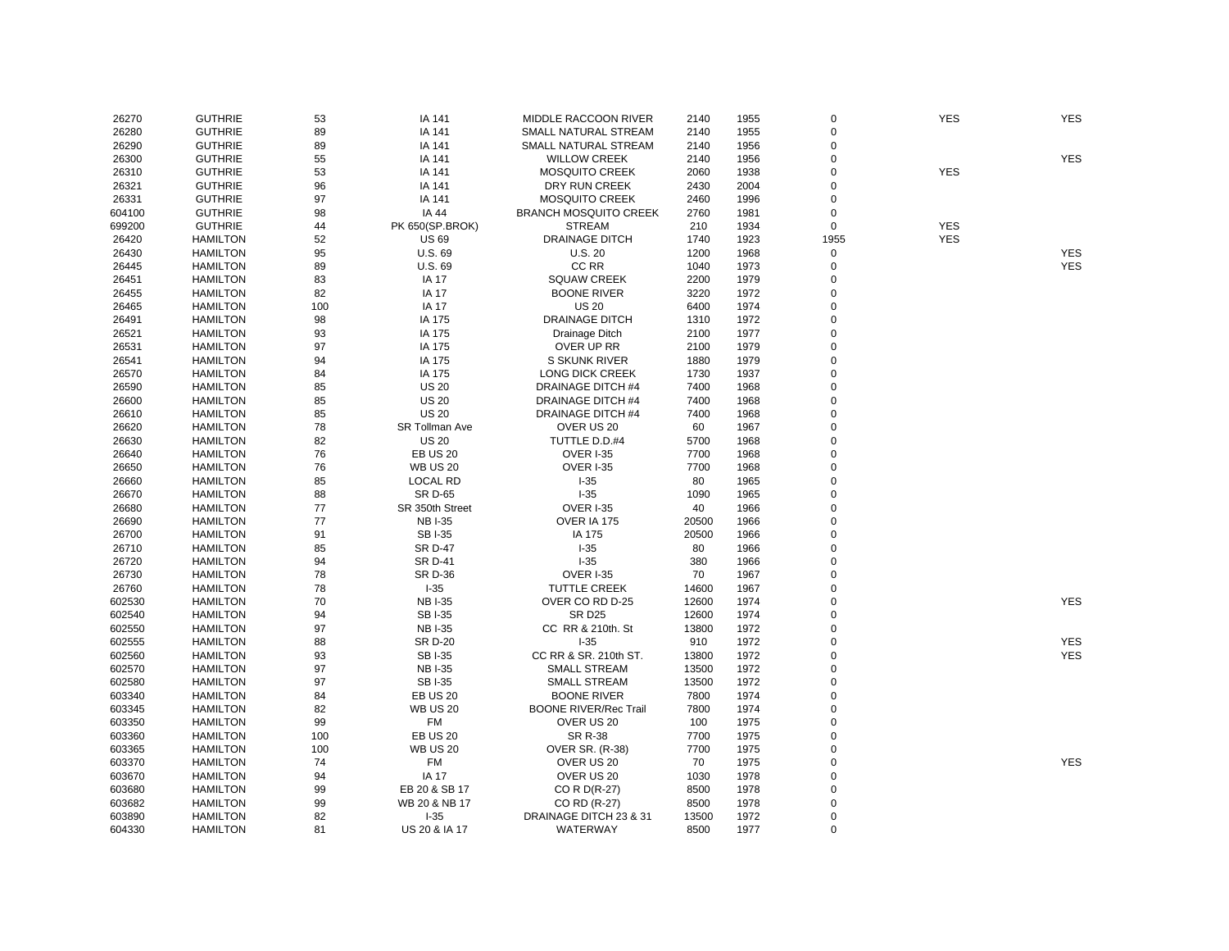| 26270  | <b>GUTHRIE</b>  | 53  | IA 141          | MIDDLE RACCOON RIVER         | 2140  | 1955 | $\mathbf 0$    | <b>YES</b> | <b>YES</b> |
|--------|-----------------|-----|-----------------|------------------------------|-------|------|----------------|------------|------------|
| 26280  | <b>GUTHRIE</b>  | 89  | IA 141          | SMALL NATURAL STREAM         | 2140  | 1955 | $\mathbf 0$    |            |            |
| 26290  | <b>GUTHRIE</b>  | 89  | IA 141          | SMALL NATURAL STREAM         | 2140  | 1956 | 0              |            |            |
| 26300  | <b>GUTHRIE</b>  | 55  | IA 141          | <b>WILLOW CREEK</b>          | 2140  | 1956 | $\mathbf 0$    |            | <b>YES</b> |
| 26310  | <b>GUTHRIE</b>  | 53  | IA 141          | <b>MOSQUITO CREEK</b>        | 2060  | 1938 | $\Omega$       | <b>YES</b> |            |
| 26321  | <b>GUTHRIE</b>  | 96  | IA 141          | DRY RUN CREEK                | 2430  | 2004 | $\Omega$       |            |            |
| 26331  | <b>GUTHRIE</b>  | 97  | IA 141          | <b>MOSQUITO CREEK</b>        | 2460  | 1996 | 0              |            |            |
| 604100 | <b>GUTHRIE</b>  | 98  | IA 44           | <b>BRANCH MOSQUITO CREEK</b> | 2760  | 1981 | 0              |            |            |
| 699200 | <b>GUTHRIE</b>  | 44  | PK 650(SP.BROK) | <b>STREAM</b>                | 210   | 1934 | $\mathbf 0$    | <b>YES</b> |            |
| 26420  | <b>HAMILTON</b> | 52  | <b>US69</b>     | <b>DRAINAGE DITCH</b>        | 1740  | 1923 | 1955           | <b>YES</b> |            |
| 26430  | <b>HAMILTON</b> | 95  | U.S. 69         | <b>U.S. 20</b>               | 1200  | 1968 | 0              |            | <b>YES</b> |
| 26445  | <b>HAMILTON</b> | 89  | U.S. 69         | CC RR                        | 1040  | 1973 | $\mathbf 0$    |            | <b>YES</b> |
| 26451  | <b>HAMILTON</b> | 83  | <b>IA 17</b>    | <b>SQUAW CREEK</b>           | 2200  | 1979 | 0              |            |            |
| 26455  | <b>HAMILTON</b> | 82  | <b>IA 17</b>    | <b>BOONE RIVER</b>           | 3220  | 1972 | $\mathbf 0$    |            |            |
| 26465  | <b>HAMILTON</b> | 100 | <b>IA 17</b>    | <b>US 20</b>                 | 6400  | 1974 | 0              |            |            |
| 26491  | <b>HAMILTON</b> | 98  | IA 175          | <b>DRAINAGE DITCH</b>        | 1310  | 1972 | 0              |            |            |
| 26521  | <b>HAMILTON</b> | 93  | IA 175          | Drainage Ditch               | 2100  | 1977 | $\mathbf 0$    |            |            |
| 26531  | <b>HAMILTON</b> | 97  | IA 175          | OVER UP RR                   | 2100  | 1979 | $\Omega$       |            |            |
| 26541  | <b>HAMILTON</b> | 94  | IA 175          | S SKUNK RIVER                | 1880  | 1979 | $\Omega$       |            |            |
|        |                 |     |                 |                              |       |      | 0              |            |            |
| 26570  | <b>HAMILTON</b> | 84  | IA 175          | LONG DICK CREEK              | 1730  | 1937 |                |            |            |
| 26590  | <b>HAMILTON</b> | 85  | <b>US 20</b>    | DRAINAGE DITCH #4            | 7400  | 1968 | $\Omega$       |            |            |
| 26600  | <b>HAMILTON</b> | 85  | <b>US 20</b>    | <b>DRAINAGE DITCH #4</b>     | 7400  | 1968 | $\Omega$       |            |            |
| 26610  | <b>HAMILTON</b> | 85  | <b>US 20</b>    | DRAINAGE DITCH #4            | 7400  | 1968 | 0              |            |            |
| 26620  | <b>HAMILTON</b> | 78  | SR Tollman Ave  | OVER US 20                   | 60    | 1967 | 0              |            |            |
| 26630  | <b>HAMILTON</b> | 82  | <b>US 20</b>    | TUTTLE D.D.#4                | 5700  | 1968 | $\overline{0}$ |            |            |
| 26640  | <b>HAMILTON</b> | 76  | <b>EB US 20</b> | <b>OVER I-35</b>             | 7700  | 1968 | 0              |            |            |
| 26650  | <b>HAMILTON</b> | 76  | <b>WB US 20</b> | OVER I-35                    | 7700  | 1968 | $\Omega$       |            |            |
| 26660  | <b>HAMILTON</b> | 85  | <b>LOCAL RD</b> | $I-35$                       | 80    | 1965 | $\Omega$       |            |            |
| 26670  | <b>HAMILTON</b> | 88  | <b>SR D-65</b>  | $I-35$                       | 1090  | 1965 | 0              |            |            |
| 26680  | <b>HAMILTON</b> | 77  | SR 350th Street | <b>OVER I-35</b>             | 40    | 1966 | $\Omega$       |            |            |
| 26690  | <b>HAMILTON</b> | 77  | <b>NBI-35</b>   | OVER IA 175                  | 20500 | 1966 | $\Omega$       |            |            |
| 26700  | <b>HAMILTON</b> | 91  | <b>SBI-35</b>   | IA 175                       | 20500 | 1966 | $\Omega$       |            |            |
| 26710  | <b>HAMILTON</b> | 85  | <b>SR D-47</b>  | $1 - 35$                     | 80    | 1966 | 0              |            |            |
| 26720  | <b>HAMILTON</b> | 94  | <b>SR D-41</b>  | $I-35$                       | 380   | 1966 | $\Omega$       |            |            |
| 26730  | <b>HAMILTON</b> | 78  | <b>SR D-36</b>  | <b>OVER I-35</b>             | 70    | 1967 | $\Omega$       |            |            |
| 26760  | <b>HAMILTON</b> | 78  | $I-35$          | <b>TUTTLE CREEK</b>          | 14600 | 1967 | $\Omega$       |            |            |
| 602530 | <b>HAMILTON</b> | 70  | <b>NB I-35</b>  | OVER CO RD D-25              | 12600 | 1974 | 0              |            | <b>YES</b> |
| 602540 | <b>HAMILTON</b> | 94  | <b>SBI-35</b>   | <b>SR D25</b>                | 12600 | 1974 | $\Omega$       |            |            |
| 602550 | <b>HAMILTON</b> | 97  | <b>NBI-35</b>   | CC RR & 210th. St            | 13800 | 1972 | 0              |            |            |
| 602555 | <b>HAMILTON</b> | 88  | <b>SR D-20</b>  | $I-35$                       | 910   | 1972 | $\mathbf 0$    |            | <b>YES</b> |
| 602560 | <b>HAMILTON</b> | 93  | <b>SBI-35</b>   | CC RR & SR. 210th ST.        | 13800 | 1972 | 0              |            | <b>YES</b> |
| 602570 | <b>HAMILTON</b> | 97  | <b>NBI-35</b>   | <b>SMALL STREAM</b>          | 13500 | 1972 | $\Omega$       |            |            |
| 602580 | <b>HAMILTON</b> | 97  | <b>SBI-35</b>   | <b>SMALL STREAM</b>          | 13500 | 1972 | $\mathbf 0$    |            |            |
| 603340 | <b>HAMILTON</b> | 84  | <b>EB US 20</b> | <b>BOONE RIVER</b>           | 7800  | 1974 | $\Omega$       |            |            |
| 603345 | <b>HAMILTON</b> | 82  | <b>WB US 20</b> | <b>BOONE RIVER/Rec Trail</b> | 7800  | 1974 | $\mathbf 0$    |            |            |
| 603350 | <b>HAMILTON</b> | 99  | FM              | OVER US 20                   | 100   | 1975 | 0              |            |            |
| 603360 | <b>HAMILTON</b> | 100 | <b>EB US 20</b> | <b>SR R-38</b>               | 7700  | 1975 | $\Omega$       |            |            |
| 603365 | <b>HAMILTON</b> | 100 | <b>WB US 20</b> | <b>OVER SR. (R-38)</b>       | 7700  | 1975 | 0              |            |            |
| 603370 | <b>HAMILTON</b> | 74  | FM              | OVER US 20                   | 70    | 1975 | 0              |            | <b>YES</b> |
|        |                 | 94  |                 |                              |       |      | 0              |            |            |
| 603670 | <b>HAMILTON</b> |     | <b>IA 17</b>    | OVER US 20                   | 1030  | 1978 |                |            |            |
| 603680 | <b>HAMILTON</b> | 99  | EB 20 & SB 17   | CO R D(R-27)                 | 8500  | 1978 | 0              |            |            |
| 603682 | <b>HAMILTON</b> | 99  | WB 20 & NB 17   | CO RD (R-27)                 | 8500  | 1978 | 0              |            |            |
| 603890 | <b>HAMILTON</b> | 82  | $I-35$          | DRAINAGE DITCH 23 & 31       | 13500 | 1972 | $\mathbf 0$    |            |            |
| 604330 | <b>HAMILTON</b> | 81  | US 20 & IA 17   | WATERWAY                     | 8500  | 1977 | $\Omega$       |            |            |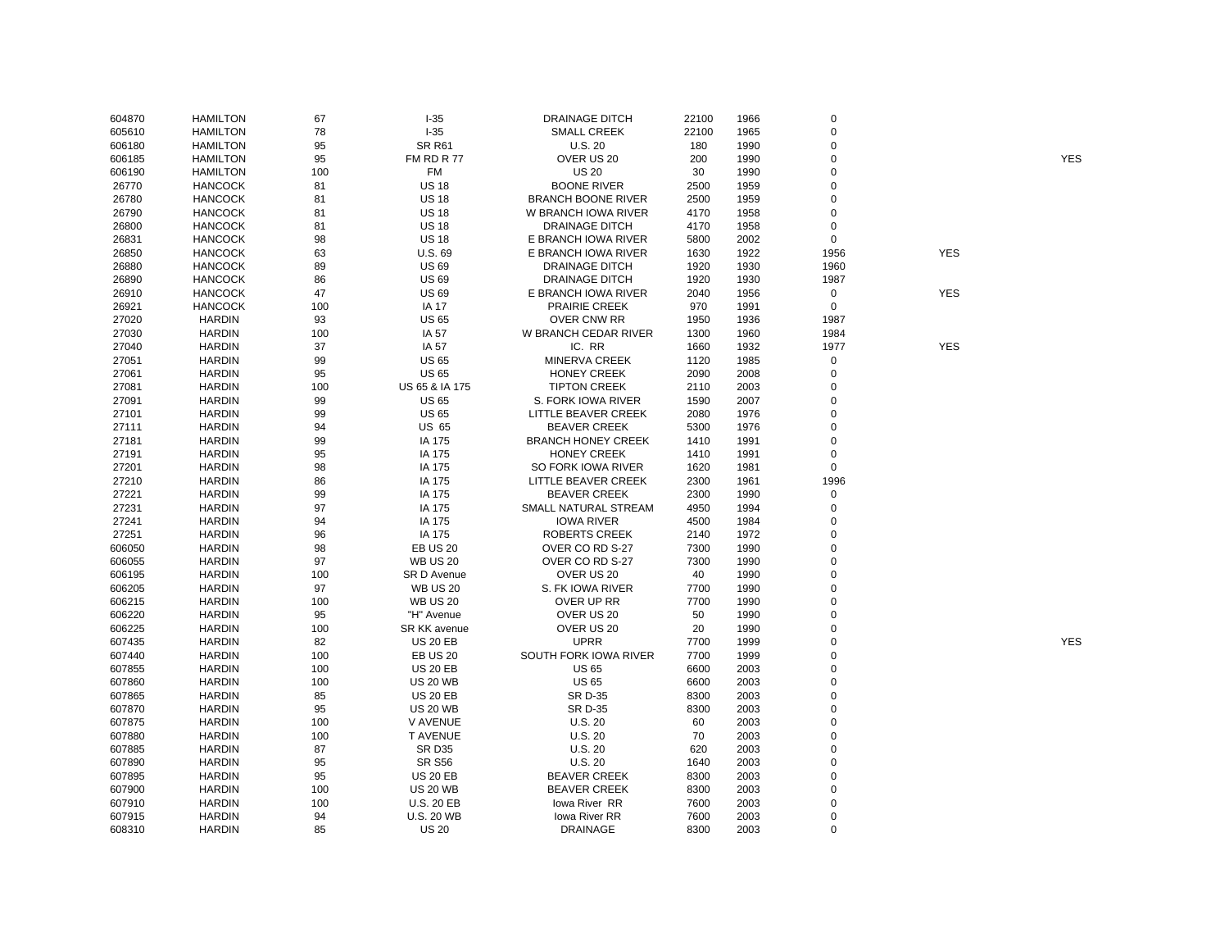| 604870 | <b>HAMILTON</b> | 67  | $-35$             | <b>DRAINAGE DITCH</b>     | 22100 | 1966 | $\mathbf 0$    |            |            |
|--------|-----------------|-----|-------------------|---------------------------|-------|------|----------------|------------|------------|
| 605610 | <b>HAMILTON</b> | 78  | $I-35$            | <b>SMALL CREEK</b>        | 22100 | 1965 | $\Omega$       |            |            |
| 606180 | <b>HAMILTON</b> | 95  | <b>SR R61</b>     | U.S.20                    | 180   | 1990 | $\Omega$       |            |            |
| 606185 | <b>HAMILTON</b> | 95  | FM RD R 77        | OVER US 20                | 200   | 1990 | $\mathbf 0$    |            | <b>YES</b> |
| 606190 | <b>HAMILTON</b> | 100 | <b>FM</b>         | <b>US 20</b>              | 30    | 1990 | $\Omega$       |            |            |
| 26770  | <b>HANCOCK</b>  | 81  | <b>US 18</b>      | <b>BOONE RIVER</b>        | 2500  | 1959 | $\mathbf 0$    |            |            |
| 26780  | <b>HANCOCK</b>  | 81  | <b>US 18</b>      | <b>BRANCH BOONE RIVER</b> | 2500  | 1959 | $\Omega$       |            |            |
| 26790  | <b>HANCOCK</b>  | 81  | <b>US 18</b>      | W BRANCH IOWA RIVER       | 4170  | 1958 | $\mathbf 0$    |            |            |
| 26800  | <b>HANCOCK</b>  | 81  | <b>US 18</b>      | <b>DRAINAGE DITCH</b>     | 4170  | 1958 | $\overline{0}$ |            |            |
| 26831  | <b>HANCOCK</b>  | 98  | <b>US 18</b>      | E BRANCH IOWA RIVER       | 5800  | 2002 | $\mathbf 0$    |            |            |
| 26850  | <b>HANCOCK</b>  | 63  | U.S. 69           | E BRANCH IOWA RIVER       | 1630  | 1922 | 1956           | <b>YES</b> |            |
| 26880  | <b>HANCOCK</b>  | 89  | <b>US69</b>       | <b>DRAINAGE DITCH</b>     | 1920  | 1930 | 1960           |            |            |
| 26890  | <b>HANCOCK</b>  | 86  | <b>US 69</b>      | <b>DRAINAGE DITCH</b>     | 1920  | 1930 | 1987           |            |            |
| 26910  | <b>HANCOCK</b>  | 47  | <b>US 69</b>      | E BRANCH IOWA RIVER       | 2040  | 1956 | $\mathbf 0$    | <b>YES</b> |            |
| 26921  | <b>HANCOCK</b>  | 100 | <b>IA 17</b>      | PRAIRIE CREEK             | 970   | 1991 | $\mathsf 0$    |            |            |
| 27020  | <b>HARDIN</b>   | 93  | <b>US 65</b>      | <b>OVER CNW RR</b>        | 1950  | 1936 | 1987           |            |            |
| 27030  | <b>HARDIN</b>   | 100 | IA 57             | W BRANCH CEDAR RIVER      | 1300  | 1960 | 1984           |            |            |
| 27040  | <b>HARDIN</b>   | 37  | IA 57             | IC. RR                    | 1660  | 1932 | 1977           | <b>YES</b> |            |
|        |                 | 99  | <b>US 65</b>      | MINERVA CREEK             | 1120  |      | $\mathbf 0$    |            |            |
| 27051  | <b>HARDIN</b>   |     | <b>US 65</b>      |                           |       | 1985 | $\overline{0}$ |            |            |
| 27061  | <b>HARDIN</b>   | 95  |                   | <b>HONEY CREEK</b>        | 2090  | 2008 |                |            |            |
| 27081  | <b>HARDIN</b>   | 100 | US 65 & IA 175    | <b>TIPTON CREEK</b>       | 2110  | 2003 | $\Omega$       |            |            |
| 27091  | <b>HARDIN</b>   | 99  | <b>US 65</b>      | S. FORK IOWA RIVER        | 1590  | 2007 | $\Omega$       |            |            |
| 27101  | <b>HARDIN</b>   | 99  | <b>US 65</b>      | LITTLE BEAVER CREEK       | 2080  | 1976 | $\Omega$       |            |            |
| 27111  | <b>HARDIN</b>   | 94  | US 65             | <b>BEAVER CREEK</b>       | 5300  | 1976 | $\Omega$       |            |            |
| 27181  | <b>HARDIN</b>   | 99  | IA 175            | <b>BRANCH HONEY CREEK</b> | 1410  | 1991 | $\Omega$       |            |            |
| 27191  | <b>HARDIN</b>   | 95  | IA 175            | <b>HONEY CREEK</b>        | 1410  | 1991 | $\mathbf 0$    |            |            |
| 27201  | <b>HARDIN</b>   | 98  | IA 175            | SO FORK IOWA RIVER        | 1620  | 1981 | $\mathbf 0$    |            |            |
| 27210  | <b>HARDIN</b>   | 86  | IA 175            | LITTLE BEAVER CREEK       | 2300  | 1961 | 1996           |            |            |
| 27221  | <b>HARDIN</b>   | 99  | IA 175            | <b>BEAVER CREEK</b>       | 2300  | 1990 | $\mathbf 0$    |            |            |
| 27231  | <b>HARDIN</b>   | 97  | IA 175            | SMALL NATURAL STREAM      | 4950  | 1994 | $\mathbf 0$    |            |            |
| 27241  | <b>HARDIN</b>   | 94  | IA 175            | <b>IOWA RIVER</b>         | 4500  | 1984 | $\mathbf 0$    |            |            |
| 27251  | <b>HARDIN</b>   | 96  | IA 175            | <b>ROBERTS CREEK</b>      | 2140  | 1972 | $\Omega$       |            |            |
| 606050 | <b>HARDIN</b>   | 98  | <b>EB US 20</b>   | OVER CO RD S-27           | 7300  | 1990 | $\Omega$       |            |            |
| 606055 | <b>HARDIN</b>   | 97  | <b>WB US 20</b>   | OVER CO RD S-27           | 7300  | 1990 | $\Omega$       |            |            |
| 606195 | <b>HARDIN</b>   | 100 | SR D Avenue       | OVER US 20                | 40    | 1990 | $\Omega$       |            |            |
| 606205 | <b>HARDIN</b>   | 97  | <b>WB US 20</b>   | S. FK IOWA RIVER          | 7700  | 1990 | $\mathbf 0$    |            |            |
| 606215 | <b>HARDIN</b>   | 100 | <b>WB US 20</b>   | OVER UP RR                | 7700  | 1990 | $\Omega$       |            |            |
| 606220 | <b>HARDIN</b>   | 95  | "H" Avenue        | OVER US 20                | 50    | 1990 | $\Omega$       |            |            |
| 606225 | <b>HARDIN</b>   | 100 | SR KK avenue      | OVER US 20                | 20    | 1990 | $\Omega$       |            |            |
| 607435 | <b>HARDIN</b>   | 82  | <b>US 20 EB</b>   | <b>UPRR</b>               | 7700  | 1999 | $\Omega$       |            | <b>YES</b> |
| 607440 | <b>HARDIN</b>   | 100 | <b>EB US 20</b>   | SOUTH FORK IOWA RIVER     | 7700  | 1999 | $\Omega$       |            |            |
| 607855 | <b>HARDIN</b>   | 100 | <b>US 20 EB</b>   | <b>US 65</b>              | 6600  | 2003 | $\Omega$       |            |            |
| 607860 | <b>HARDIN</b>   | 100 | <b>US 20 WB</b>   | <b>US 65</b>              | 6600  | 2003 | $\Omega$       |            |            |
| 607865 | <b>HARDIN</b>   | 85  | <b>US 20 EB</b>   | SR D-35                   | 8300  | 2003 | $\Omega$       |            |            |
| 607870 | <b>HARDIN</b>   | 95  | <b>US 20 WB</b>   | SR D-35                   | 8300  | 2003 | $\Omega$       |            |            |
| 607875 | <b>HARDIN</b>   | 100 | V AVENUE          | U.S. 20                   | 60    | 2003 | $\Omega$       |            |            |
| 607880 | <b>HARDIN</b>   | 100 | <b>T AVENUE</b>   | U.S.20                    | 70    | 2003 | $\Omega$       |            |            |
| 607885 | <b>HARDIN</b>   | 87  | <b>SR D35</b>     | <b>U.S. 20</b>            | 620   | 2003 | $\Omega$       |            |            |
| 607890 | <b>HARDIN</b>   | 95  | <b>SR S56</b>     | U.S.20                    | 1640  | 2003 | $\Omega$       |            |            |
| 607895 | <b>HARDIN</b>   | 95  | <b>US 20 EB</b>   | <b>BEAVER CREEK</b>       | 8300  | 2003 | $\Omega$       |            |            |
| 607900 | <b>HARDIN</b>   | 100 | <b>US 20 WB</b>   | <b>BEAVER CREEK</b>       | 8300  | 2003 | $\Omega$       |            |            |
| 607910 | <b>HARDIN</b>   | 100 | <b>U.S. 20 EB</b> | lowa River RR             | 7600  | 2003 | $\Omega$       |            |            |
| 607915 | <b>HARDIN</b>   | 94  | <b>U.S. 20 WB</b> | lowa River RR             | 7600  | 2003 | $\Omega$       |            |            |
| 608310 | <b>HARDIN</b>   | 85  | <b>US 20</b>      | <b>DRAINAGE</b>           | 8300  | 2003 | $\Omega$       |            |            |
|        |                 |     |                   |                           |       |      |                |            |            |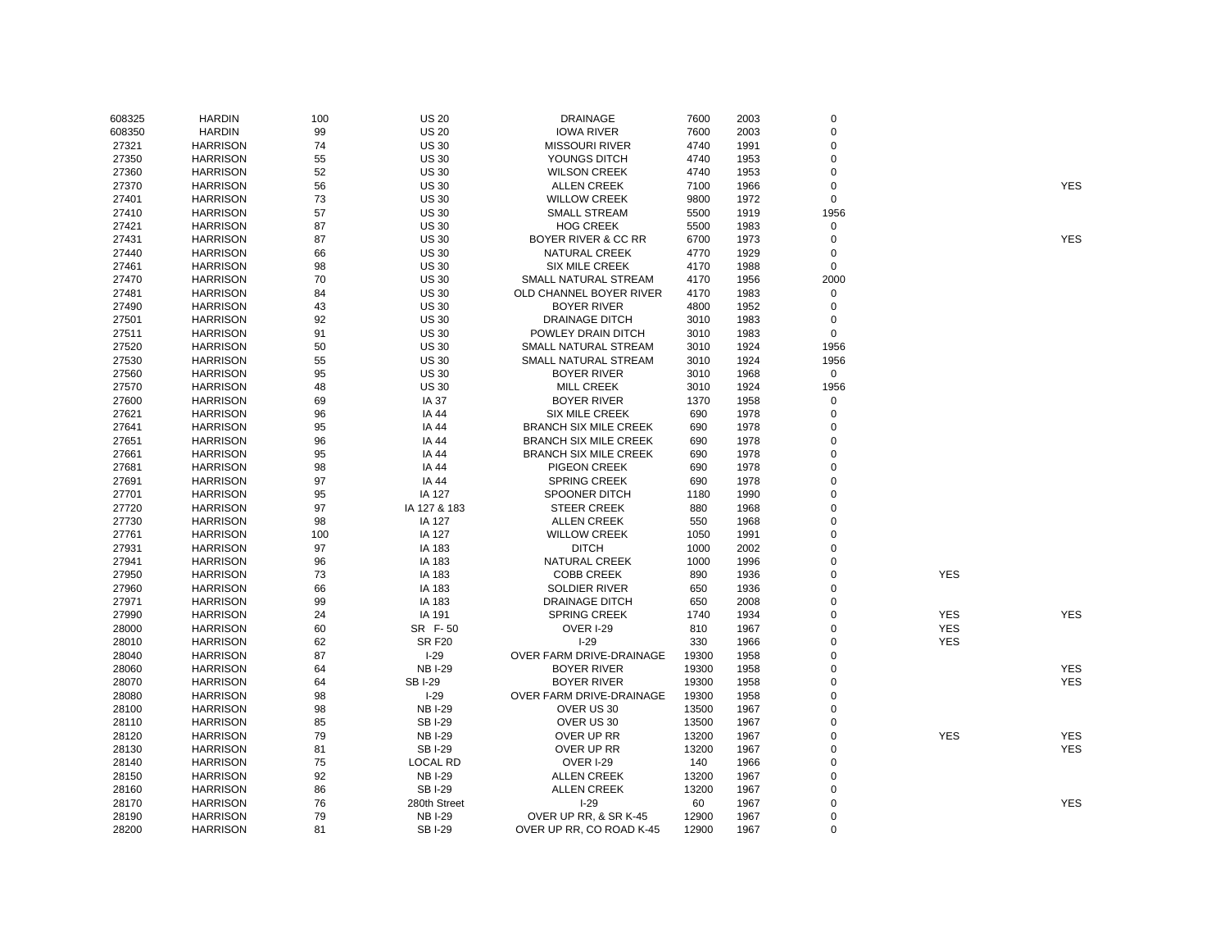| 608325 | <b>HARDIN</b>   | 100 | <b>US 20</b>    | <b>DRAINAGE</b>              | 7600  | 2003 | $\mathbf 0$ |            |            |
|--------|-----------------|-----|-----------------|------------------------------|-------|------|-------------|------------|------------|
| 608350 | <b>HARDIN</b>   | 99  | <b>US 20</b>    | <b>IOWA RIVER</b>            | 7600  | 2003 | $\mathbf 0$ |            |            |
| 27321  | <b>HARRISON</b> | 74  | <b>US 30</b>    | <b>MISSOURI RIVER</b>        | 4740  | 1991 | $\mathbf 0$ |            |            |
| 27350  | <b>HARRISON</b> | 55  | <b>US 30</b>    | YOUNGS DITCH                 | 4740  | 1953 | $\mathbf 0$ |            |            |
| 27360  | <b>HARRISON</b> | 52  | <b>US 30</b>    | <b>WILSON CREEK</b>          | 4740  | 1953 | $\mathbf 0$ |            |            |
| 27370  | <b>HARRISON</b> | 56  | <b>US 30</b>    | <b>ALLEN CREEK</b>           | 7100  | 1966 | $\mathbf 0$ |            | <b>YES</b> |
| 27401  | <b>HARRISON</b> | 73  | <b>US 30</b>    | <b>WILLOW CREEK</b>          | 9800  | 1972 | $\mathbf 0$ |            |            |
| 27410  | <b>HARRISON</b> | 57  | <b>US 30</b>    | <b>SMALL STREAM</b>          | 5500  | 1919 | 1956        |            |            |
| 27421  | <b>HARRISON</b> | 87  | <b>US 30</b>    | <b>HOG CREEK</b>             | 5500  | 1983 | $\mathbf 0$ |            |            |
| 27431  | <b>HARRISON</b> | 87  | <b>US 30</b>    | BOYER RIVER & CC RR          | 6700  | 1973 | $\mathbf 0$ |            | <b>YES</b> |
| 27440  | <b>HARRISON</b> | 66  | <b>US 30</b>    | <b>NATURAL CREEK</b>         | 4770  | 1929 | $\mathbf 0$ |            |            |
| 27461  | <b>HARRISON</b> | 98  | <b>US 30</b>    | <b>SIX MILE CREEK</b>        | 4170  | 1988 | $\mathbf 0$ |            |            |
| 27470  | <b>HARRISON</b> | 70  | <b>US 30</b>    | SMALL NATURAL STREAM         | 4170  | 1956 | 2000        |            |            |
| 27481  | <b>HARRISON</b> | 84  | <b>US 30</b>    | OLD CHANNEL BOYER RIVER      | 4170  | 1983 | $\mathbf 0$ |            |            |
| 27490  | <b>HARRISON</b> | 43  | <b>US 30</b>    | <b>BOYER RIVER</b>           | 4800  | 1952 | $\mathbf 0$ |            |            |
| 27501  | <b>HARRISON</b> | 92  | <b>US 30</b>    | <b>DRAINAGE DITCH</b>        | 3010  | 1983 | $\mathbf 0$ |            |            |
| 27511  | <b>HARRISON</b> | 91  | <b>US 30</b>    | POWLEY DRAIN DITCH           | 3010  | 1983 | $\mathbf 0$ |            |            |
| 27520  | <b>HARRISON</b> | 50  | <b>US 30</b>    | SMALL NATURAL STREAM         | 3010  | 1924 | 1956        |            |            |
| 27530  | <b>HARRISON</b> | 55  | <b>US 30</b>    | SMALL NATURAL STREAM         | 3010  | 1924 | 1956        |            |            |
| 27560  | <b>HARRISON</b> | 95  | <b>US 30</b>    | <b>BOYER RIVER</b>           | 3010  | 1968 | $\mathbf 0$ |            |            |
| 27570  | <b>HARRISON</b> | 48  | <b>US 30</b>    | <b>MILL CREEK</b>            | 3010  | 1924 | 1956        |            |            |
| 27600  | <b>HARRISON</b> | 69  | IA 37           | <b>BOYER RIVER</b>           | 1370  | 1958 | $\mathbf 0$ |            |            |
| 27621  | <b>HARRISON</b> | 96  | IA 44           | <b>SIX MILE CREEK</b>        | 690   | 1978 | $\mathbf 0$ |            |            |
| 27641  | <b>HARRISON</b> | 95  | IA 44           | <b>BRANCH SIX MILE CREEK</b> | 690   | 1978 | $\mathbf 0$ |            |            |
| 27651  | <b>HARRISON</b> | 96  | <b>IA 44</b>    | <b>BRANCH SIX MILE CREEK</b> | 690   | 1978 | $\mathbf 0$ |            |            |
| 27661  | <b>HARRISON</b> | 95  | IA 44           | <b>BRANCH SIX MILE CREEK</b> | 690   | 1978 | $\mathbf 0$ |            |            |
| 27681  | <b>HARRISON</b> | 98  | IA 44           | PIGEON CREEK                 | 690   | 1978 | $\mathbf 0$ |            |            |
| 27691  | <b>HARRISON</b> | 97  | IA 44           | <b>SPRING CREEK</b>          | 690   | 1978 | $\mathbf 0$ |            |            |
| 27701  | <b>HARRISON</b> | 95  | IA 127          | <b>SPOONER DITCH</b>         | 1180  | 1990 | $\mathbf 0$ |            |            |
| 27720  | <b>HARRISON</b> | 97  | IA 127 & 183    | <b>STEER CREEK</b>           | 880   | 1968 | 0           |            |            |
| 27730  | <b>HARRISON</b> | 98  | IA 127          | <b>ALLEN CREEK</b>           | 550   | 1968 | $\mathbf 0$ |            |            |
| 27761  | <b>HARRISON</b> | 100 | IA 127          | <b>WILLOW CREEK</b>          | 1050  | 1991 | $\mathbf 0$ |            |            |
| 27931  | <b>HARRISON</b> | 97  | IA 183          | <b>DITCH</b>                 | 1000  | 2002 | 0           |            |            |
| 27941  | <b>HARRISON</b> | 96  | IA 183          | <b>NATURAL CREEK</b>         | 1000  | 1996 | 0           |            |            |
| 27950  | <b>HARRISON</b> | 73  | IA 183          | <b>COBB CREEK</b>            | 890   | 1936 | 0           | <b>YES</b> |            |
| 27960  | <b>HARRISON</b> | 66  | IA 183          | <b>SOLDIER RIVER</b>         | 650   | 1936 | $\mathbf 0$ |            |            |
| 27971  | <b>HARRISON</b> | 99  | IA 183          | <b>DRAINAGE DITCH</b>        | 650   | 2008 | 0           |            |            |
| 27990  | <b>HARRISON</b> | 24  | IA 191          | <b>SPRING CREEK</b>          | 1740  | 1934 | $\mathbf 0$ | <b>YES</b> | <b>YES</b> |
| 28000  | <b>HARRISON</b> | 60  | SR F-50         | OVER I-29                    | 810   | 1967 | $\mathbf 0$ | <b>YES</b> |            |
| 28010  | <b>HARRISON</b> | 62  | <b>SR F20</b>   | $I-29$                       | 330   | 1966 | $\mathbf 0$ | <b>YES</b> |            |
| 28040  | <b>HARRISON</b> | 87  | $I-29$          | OVER FARM DRIVE-DRAINAGE     | 19300 | 1958 | $\mathbf 0$ |            |            |
| 28060  | <b>HARRISON</b> | 64  | <b>NBI-29</b>   | <b>BOYER RIVER</b>           | 19300 | 1958 | $\mathbf 0$ |            | <b>YES</b> |
| 28070  | <b>HARRISON</b> | 64  | <b>SBI-29</b>   | <b>BOYER RIVER</b>           | 19300 | 1958 | 0           |            | <b>YES</b> |
| 28080  | <b>HARRISON</b> | 98  | $I-29$          | OVER FARM DRIVE-DRAINAGE     | 19300 | 1958 | $\mathbf 0$ |            |            |
| 28100  | <b>HARRISON</b> | 98  | <b>NBI-29</b>   | OVER US 30                   | 13500 | 1967 | $\mathbf 0$ |            |            |
| 28110  | <b>HARRISON</b> | 85  | <b>SBI-29</b>   | OVER US 30                   | 13500 | 1967 | 0           |            |            |
| 28120  | <b>HARRISON</b> | 79  | <b>NBI-29</b>   | OVER UP RR                   | 13200 | 1967 | 0           | <b>YES</b> | <b>YES</b> |
| 28130  | <b>HARRISON</b> | 81  | <b>SBI-29</b>   | OVER UP RR                   | 13200 | 1967 | $\mathbf 0$ |            | <b>YES</b> |
| 28140  | <b>HARRISON</b> | 75  | <b>LOCAL RD</b> | <b>OVER I-29</b>             | 140   | 1966 | 0           |            |            |
| 28150  | <b>HARRISON</b> | 92  | <b>NBI-29</b>   | <b>ALLEN CREEK</b>           | 13200 | 1967 | $\mathbf 0$ |            |            |
| 28160  | <b>HARRISON</b> | 86  | <b>SBI-29</b>   | <b>ALLEN CREEK</b>           | 13200 | 1967 | 0           |            |            |
| 28170  | <b>HARRISON</b> | 76  | 280th Street    | $I-29$                       | 60    | 1967 | $\mathbf 0$ |            | <b>YES</b> |
| 28190  | <b>HARRISON</b> | 79  | <b>NBI-29</b>   | OVER UP RR, & SR K-45        | 12900 | 1967 | $\mathbf 0$ |            |            |
| 28200  | <b>HARRISON</b> | 81  | <b>SBI-29</b>   | OVER UP RR, CO ROAD K-45     | 12900 | 1967 | $\Omega$    |            |            |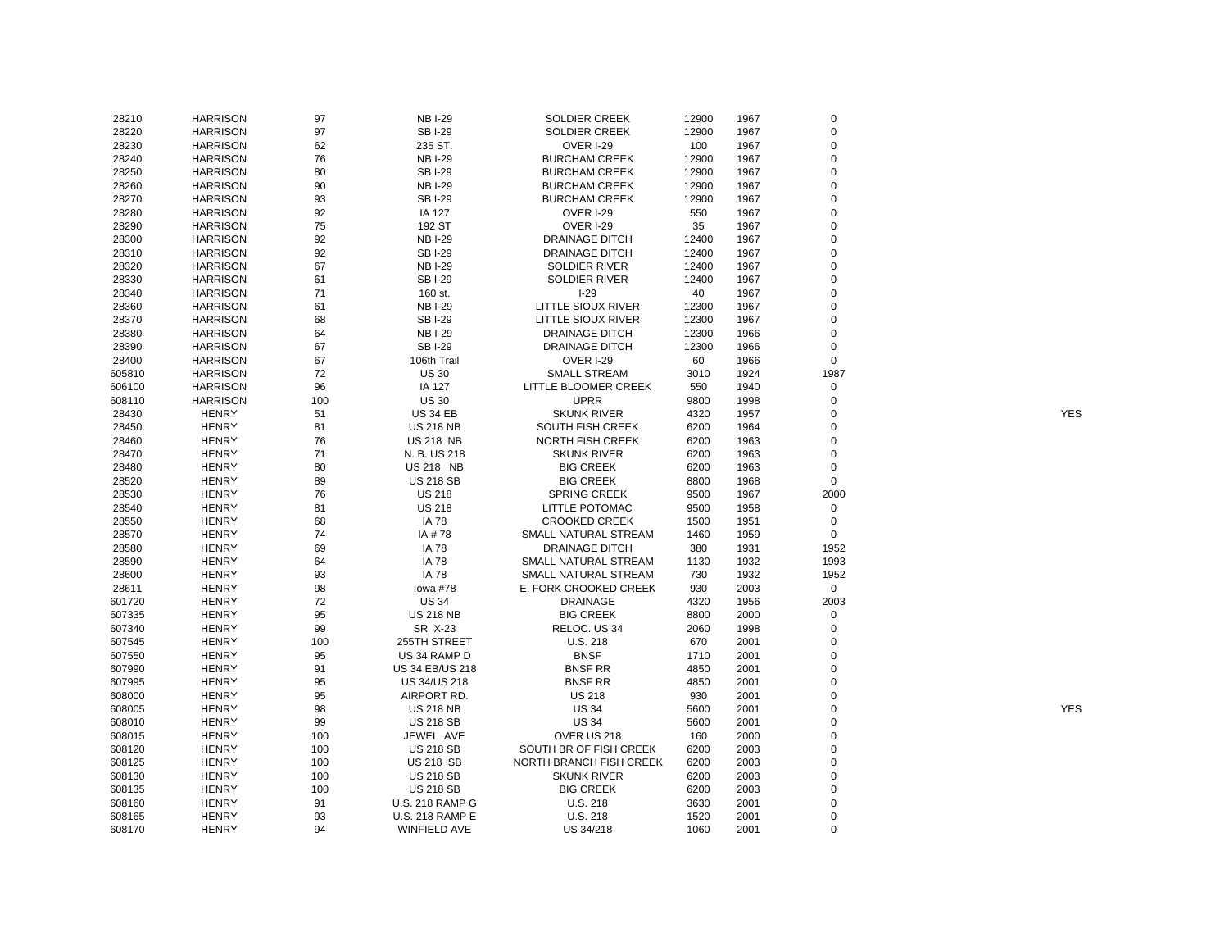| 28210  | <b>HARRISON</b> | 97  | <b>NBI-29</b>          | <b>SOLDIER CREEK</b>           | 12900        | 1967 | 0           |            |
|--------|-----------------|-----|------------------------|--------------------------------|--------------|------|-------------|------------|
| 28220  | <b>HARRISON</b> | 97  | <b>SBI-29</b>          | <b>SOLDIER CREEK</b>           | 12900        | 1967 | $\mathsf 0$ |            |
| 28230  | <b>HARRISON</b> | 62  | 235 ST.                | <b>OVER I-29</b>               | 100          | 1967 | 0           |            |
| 28240  | <b>HARRISON</b> | 76  | <b>NB I-29</b>         | <b>BURCHAM CREEK</b>           | 12900        | 1967 | $\mathbf 0$ |            |
| 28250  | <b>HARRISON</b> | 80  | <b>SBI-29</b>          | <b>BURCHAM CREEK</b>           | 12900        | 1967 | 0           |            |
| 28260  | <b>HARRISON</b> | 90  | <b>NBI-29</b>          | <b>BURCHAM CREEK</b>           | 12900        | 1967 | $\mathbf 0$ |            |
| 28270  | <b>HARRISON</b> | 93  | <b>SBI-29</b>          | <b>BURCHAM CREEK</b>           | 12900        | 1967 | 0           |            |
| 28280  | <b>HARRISON</b> | 92  | IA 127                 | <b>OVER I-29</b>               | 550          | 1967 | 0           |            |
| 28290  | <b>HARRISON</b> | 75  | 192 ST                 | OVER I-29                      | 35           | 1967 | $\mathbf 0$ |            |
| 28300  | <b>HARRISON</b> | 92  | <b>NBI-29</b>          | <b>DRAINAGE DITCH</b>          | 12400        | 1967 | 0           |            |
| 28310  | <b>HARRISON</b> | 92  | <b>SBI-29</b>          | <b>DRAINAGE DITCH</b>          | 12400        | 1967 | 0           |            |
| 28320  | <b>HARRISON</b> | 67  | <b>NBI-29</b>          | <b>SOLDIER RIVER</b>           | 12400        | 1967 | $\mathbf 0$ |            |
| 28330  | <b>HARRISON</b> | 61  | <b>SBI-29</b>          | <b>SOLDIER RIVER</b>           | 12400        | 1967 | 0           |            |
| 28340  | <b>HARRISON</b> | 71  | 160 st.                | $I-29$                         | 40           | 1967 | 0           |            |
| 28360  | <b>HARRISON</b> | 61  | <b>NBI-29</b>          | <b>LITTLE SIOUX RIVER</b>      | 12300        | 1967 | 0           |            |
| 28370  | <b>HARRISON</b> | 68  | <b>SBI-29</b>          | LITTLE SIOUX RIVER             | 12300        | 1967 | 0           |            |
| 28380  | <b>HARRISON</b> | 64  | <b>NBI-29</b>          | <b>DRAINAGE DITCH</b>          | 12300        | 1966 | 0           |            |
| 28390  | <b>HARRISON</b> | 67  | <b>SBI-29</b>          | <b>DRAINAGE DITCH</b>          | 12300        | 1966 | $\mathbf 0$ |            |
| 28400  | <b>HARRISON</b> | 67  | 106th Trail            | <b>OVER I-29</b>               | 60           | 1966 | $\mathbf 0$ |            |
|        |                 |     |                        |                                |              |      |             |            |
| 605810 | <b>HARRISON</b> | 72  | <b>US 30</b>           | <b>SMALL STREAM</b>            | 3010         | 1924 | 1987        |            |
| 606100 | <b>HARRISON</b> | 96  | IA 127                 | <b>LITTLE BLOOMER CREEK</b>    | 550          | 1940 | $\mathbf 0$ |            |
| 608110 | <b>HARRISON</b> | 100 | <b>US 30</b>           | <b>UPRR</b>                    | 9800         | 1998 | $\mathbf 0$ |            |
| 28430  | <b>HENRY</b>    | 51  | <b>US 34 EB</b>        | <b>SKUNK RIVER</b>             | 4320         | 1957 | $\Omega$    | <b>YES</b> |
| 28450  | <b>HENRY</b>    | 81  | <b>US 218 NB</b>       | <b>SOUTH FISH CREEK</b>        | 6200         | 1964 | 0           |            |
| 28460  | <b>HENRY</b>    | 76  | <b>US 218 NB</b>       | <b>NORTH FISH CREEK</b>        | 6200         | 1963 | $\mathbf 0$ |            |
| 28470  | <b>HENRY</b>    | 71  | N. B. US 218           | <b>SKUNK RIVER</b>             | 6200         | 1963 | 0           |            |
| 28480  | <b>HENRY</b>    | 80  | <b>US 218 NB</b>       | <b>BIG CREEK</b>               | 6200         | 1963 | 0           |            |
| 28520  | <b>HENRY</b>    | 89  | <b>US 218 SB</b>       | <b>BIG CREEK</b>               | 8800         | 1968 | $\mathsf 0$ |            |
| 28530  | <b>HENRY</b>    | 76  | <b>US 218</b>          | <b>SPRING CREEK</b>            | 9500         | 1967 | 2000        |            |
| 28540  | <b>HENRY</b>    | 81  | <b>US 218</b>          | LITTLE POTOMAC                 | 9500         | 1958 | 0           |            |
| 28550  | <b>HENRY</b>    | 68  | <b>IA 78</b>           | <b>CROOKED CREEK</b>           | 1500         | 1951 | $\mathsf 0$ |            |
| 28570  | <b>HENRY</b>    | 74  | IA #78                 | SMALL NATURAL STREAM           | 1460         | 1959 | $\mathbf 0$ |            |
| 28580  | <b>HENRY</b>    | 69  | <b>IA 78</b>           | <b>DRAINAGE DITCH</b>          | 380          | 1931 | 1952        |            |
| 28590  | <b>HENRY</b>    | 64  | <b>IA 78</b>           | SMALL NATURAL STREAM           | 1130         | 1932 | 1993        |            |
| 28600  | <b>HENRY</b>    | 93  | <b>IA 78</b>           | SMALL NATURAL STREAM           | 730          | 1932 | 1952        |            |
| 28611  | <b>HENRY</b>    | 98  | lowa #78               | E. FORK CROOKED CREEK          | 930          | 2003 | $\mathbf 0$ |            |
| 601720 | <b>HENRY</b>    | 72  | <b>US 34</b>           | <b>DRAINAGE</b>                | 4320         | 1956 | 2003        |            |
| 607335 | <b>HENRY</b>    | 95  | <b>US 218 NB</b>       | <b>BIG CREEK</b>               | 8800         | 2000 | 0           |            |
| 607340 | <b>HENRY</b>    | 99  | SR X-23                | RELOC. US 34                   | 2060         | 1998 | 0           |            |
| 607545 | <b>HENRY</b>    | 100 | 255TH STREET           | U.S. 218                       | 670          | 2001 | 0           |            |
| 607550 | <b>HENRY</b>    | 95  | US 34 RAMP D           | <b>BNSF</b>                    | 1710         | 2001 | $\mathbf 0$ |            |
| 607990 | <b>HENRY</b>    | 91  | US 34 EB/US 218        | <b>BNSF RR</b>                 | 4850         | 2001 | $\mathbf 0$ |            |
| 607995 | <b>HENRY</b>    | 95  | <b>US 34/US 218</b>    | <b>BNSF RR</b>                 | 4850         | 2001 | $\mathbf 0$ |            |
| 608000 | <b>HENRY</b>    | 95  | AIRPORT RD.            | <b>US 218</b>                  | 930          | 2001 | $\Omega$    |            |
| 608005 | <b>HENRY</b>    | 98  | <b>US 218 NB</b>       | <b>US 34</b>                   | 5600         | 2001 | 0           | <b>YES</b> |
| 608010 | <b>HENRY</b>    | 99  | <b>US 218 SB</b>       | <b>US 34</b>                   | 5600         | 2001 | $\mathbf 0$ |            |
| 608015 | <b>HENRY</b>    | 100 | JEWEL AVE              | OVER US 218                    | 160          | 2000 | $\mathbf 0$ |            |
| 608120 | <b>HENRY</b>    | 100 | <b>US 218 SB</b>       | SOUTH BR OF FISH CREEK         | 6200         | 2003 | $\Omega$    |            |
| 608125 | <b>HENRY</b>    | 100 | <b>US 218 SB</b>       | <b>NORTH BRANCH FISH CREEK</b> | 6200         | 2003 | 0           |            |
| 608130 | <b>HENRY</b>    | 100 | <b>US 218 SB</b>       | <b>SKUNK RIVER</b>             | 6200         | 2003 | 0           |            |
| 608135 | <b>HENRY</b>    | 100 | <b>US 218 SB</b>       | <b>BIG CREEK</b>               | 6200         | 2003 | $\mathbf 0$ |            |
|        | <b>HENRY</b>    | 91  | <b>U.S. 218 RAMP G</b> | U.S. 218                       |              | 2001 | 0           |            |
| 608160 |                 | 93  |                        |                                | 3630<br>1520 | 2001 | $\mathsf 0$ |            |
| 608165 | <b>HENRY</b>    |     | <b>U.S. 218 RAMP E</b> | U.S. 218                       |              |      | $\mathbf 0$ |            |
| 608170 | <b>HENRY</b>    | 94  | WINFIELD AVE           | US 34/218                      | 1060         | 2001 |             |            |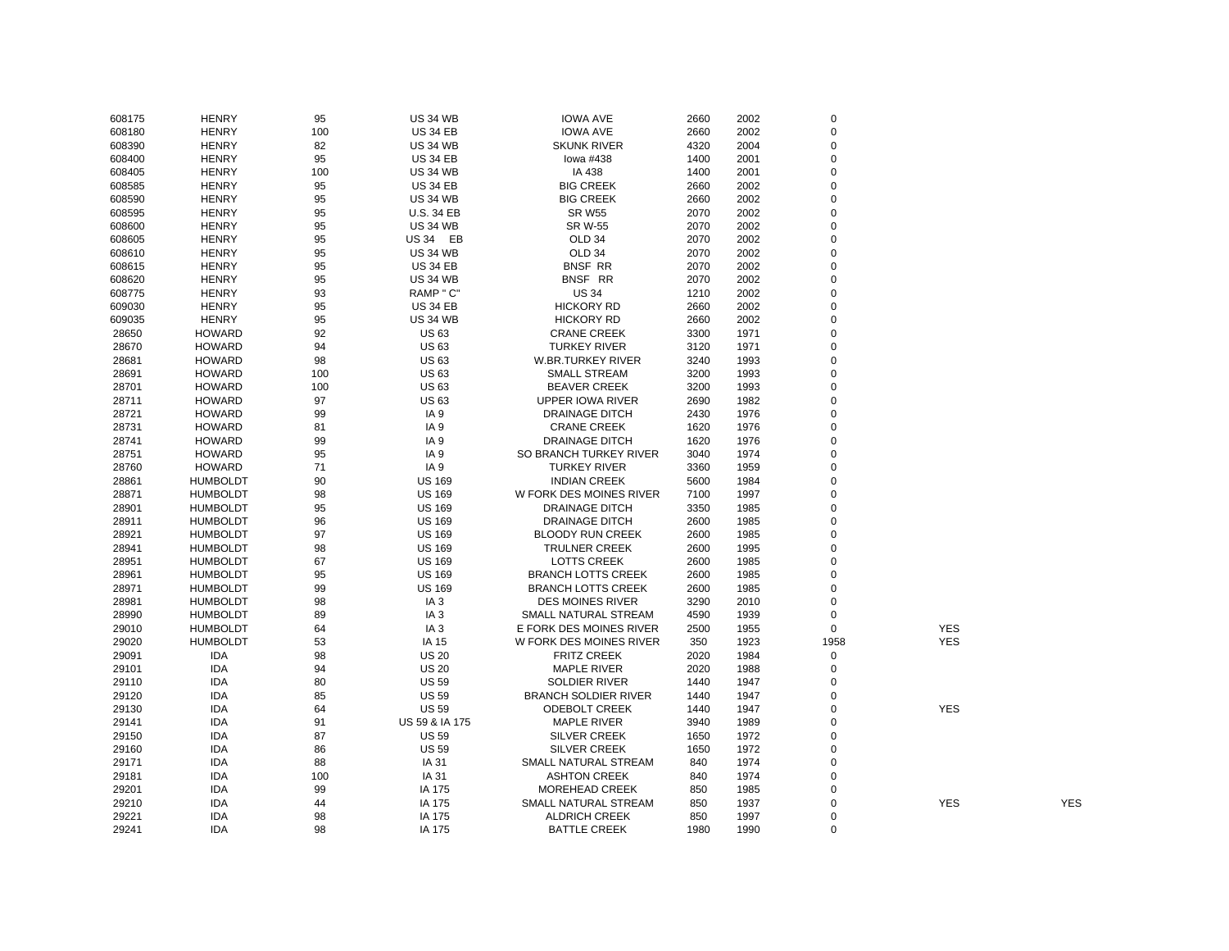| 608175 | <b>HENRY</b>    | 95  | <b>US 34 WB</b>   | <b>IOWA AVE</b>             | 2660 | 2002 | $\mathsf 0$ |            |            |
|--------|-----------------|-----|-------------------|-----------------------------|------|------|-------------|------------|------------|
| 608180 | <b>HENRY</b>    | 100 | <b>US 34 EB</b>   | <b>IOWA AVE</b>             | 2660 | 2002 | $\mathsf 0$ |            |            |
| 608390 | <b>HENRY</b>    | 82  | <b>US 34 WB</b>   | <b>SKUNK RIVER</b>          | 4320 | 2004 | 0           |            |            |
| 608400 | <b>HENRY</b>    | 95  | <b>US 34 EB</b>   | lowa #438                   | 1400 | 2001 | 0           |            |            |
| 608405 | <b>HENRY</b>    | 100 | <b>US 34 WB</b>   | IA 438                      | 1400 | 2001 | 0           |            |            |
| 608585 | <b>HENRY</b>    | 95  | <b>US 34 EB</b>   | <b>BIG CREEK</b>            | 2660 | 2002 | 0           |            |            |
| 608590 | <b>HENRY</b>    | 95  | <b>US 34 WB</b>   | <b>BIG CREEK</b>            | 2660 | 2002 | 0           |            |            |
| 608595 | <b>HENRY</b>    | 95  | <b>U.S. 34 EB</b> | <b>SR W55</b>               | 2070 | 2002 | $\mathbf 0$ |            |            |
| 608600 | <b>HENRY</b>    | 95  | <b>US 34 WB</b>   | <b>SR W-55</b>              | 2070 | 2002 | 0           |            |            |
| 608605 | <b>HENRY</b>    | 95  | US 34 EB          | OLD <sub>34</sub>           | 2070 | 2002 | 0           |            |            |
| 608610 | <b>HENRY</b>    | 95  | <b>US 34 WB</b>   | OLD 34                      | 2070 | 2002 | $\mathbf 0$ |            |            |
| 608615 | <b>HENRY</b>    | 95  | <b>US 34 EB</b>   | <b>BNSF RR</b>              | 2070 | 2002 | $\mathbf 0$ |            |            |
| 608620 | <b>HENRY</b>    | 95  | <b>US 34 WB</b>   | BNSF RR                     | 2070 | 2002 | $\mathbf 0$ |            |            |
| 608775 | <b>HENRY</b>    | 93  | RAMP " C"         | <b>US 34</b>                | 1210 | 2002 | $\mathbf 0$ |            |            |
| 609030 | <b>HENRY</b>    | 95  | <b>US 34 EB</b>   | HICKORY RD                  | 2660 | 2002 | $\mathbf 0$ |            |            |
| 609035 | <b>HENRY</b>    | 95  | <b>US 34 WB</b>   | <b>HICKORY RD</b>           | 2660 | 2002 | 0           |            |            |
|        | <b>HOWARD</b>   |     |                   |                             |      |      | 0           |            |            |
| 28650  |                 | 92  | <b>US63</b>       | <b>CRANE CREEK</b>          | 3300 | 1971 |             |            |            |
| 28670  | <b>HOWARD</b>   | 94  | <b>US63</b>       | <b>TURKEY RIVER</b>         | 3120 | 1971 | 0           |            |            |
| 28681  | <b>HOWARD</b>   | 98  | <b>US63</b>       | <b>W.BR.TURKEY RIVER</b>    | 3240 | 1993 | $\mathbf 0$ |            |            |
| 28691  | <b>HOWARD</b>   | 100 | <b>US 63</b>      | <b>SMALL STREAM</b>         | 3200 | 1993 | 0           |            |            |
| 28701  | <b>HOWARD</b>   | 100 | <b>US63</b>       | <b>BEAVER CREEK</b>         | 3200 | 1993 | $\mathbf 0$ |            |            |
| 28711  | <b>HOWARD</b>   | 97  | <b>US 63</b>      | <b>UPPER IOWA RIVER</b>     | 2690 | 1982 | 0           |            |            |
| 28721  | <b>HOWARD</b>   | 99  | IA <sub>9</sub>   | <b>DRAINAGE DITCH</b>       | 2430 | 1976 | $\mathbf 0$ |            |            |
| 28731  | <b>HOWARD</b>   | 81  | IA <sub>9</sub>   | <b>CRANE CREEK</b>          | 1620 | 1976 | 0           |            |            |
| 28741  | <b>HOWARD</b>   | 99  | IA 9              | <b>DRAINAGE DITCH</b>       | 1620 | 1976 | $\mathsf 0$ |            |            |
| 28751  | <b>HOWARD</b>   | 95  | IA <sub>9</sub>   | SO BRANCH TURKEY RIVER      | 3040 | 1974 | 0           |            |            |
| 28760  | HOWARD          | 71  | IA <sub>9</sub>   | <b>TURKEY RIVER</b>         | 3360 | 1959 | $\mathbf 0$ |            |            |
| 28861  | <b>HUMBOLDT</b> | 90  | <b>US 169</b>     | <b>INDIAN CREEK</b>         | 5600 | 1984 | $\mathbf 0$ |            |            |
| 28871  | <b>HUMBOLDT</b> | 98  | <b>US 169</b>     | W FORK DES MOINES RIVER     | 7100 | 1997 | $\mathbf 0$ |            |            |
| 28901  | <b>HUMBOLDT</b> | 95  | <b>US 169</b>     | <b>DRAINAGE DITCH</b>       | 3350 | 1985 | $\mathbf 0$ |            |            |
| 28911  | <b>HUMBOLDT</b> | 96  | <b>US 169</b>     | DRAINAGE DITCH              | 2600 | 1985 | 0           |            |            |
| 28921  | <b>HUMBOLDT</b> | 97  | <b>US 169</b>     | <b>BLOODY RUN CREEK</b>     | 2600 | 1985 | 0           |            |            |
| 28941  | <b>HUMBOLDT</b> | 98  | <b>US 169</b>     | <b>TRULNER CREEK</b>        | 2600 | 1995 | 0           |            |            |
| 28951  | <b>HUMBOLDT</b> | 67  | <b>US 169</b>     | <b>LOTTS CREEK</b>          | 2600 | 1985 | 0           |            |            |
| 28961  | <b>HUMBOLDT</b> | 95  | <b>US 169</b>     | <b>BRANCH LOTTS CREEK</b>   | 2600 | 1985 | $\mathbf 0$ |            |            |
| 28971  | <b>HUMBOLDT</b> | 99  | <b>US 169</b>     | <b>BRANCH LOTTS CREEK</b>   | 2600 | 1985 | 0           |            |            |
| 28981  | <b>HUMBOLDT</b> | 98  | IA <sub>3</sub>   | <b>DES MOINES RIVER</b>     | 3290 | 2010 | $\mathsf 0$ |            |            |
| 28990  | <b>HUMBOLDT</b> | 89  | IA <sub>3</sub>   | SMALL NATURAL STREAM        | 4590 | 1939 | 0           |            |            |
| 29010  | <b>HUMBOLDT</b> | 64  | IA <sub>3</sub>   | E FORK DES MOINES RIVER     | 2500 | 1955 | $\mathbf 0$ | <b>YES</b> |            |
| 29020  | <b>HUMBOLDT</b> | 53  | IA 15             | W FORK DES MOINES RIVER     | 350  | 1923 | 1958        | <b>YES</b> |            |
| 29091  | <b>IDA</b>      | 98  | <b>US 20</b>      | <b>FRITZ CREEK</b>          | 2020 | 1984 | $\mathsf 0$ |            |            |
| 29101  | <b>IDA</b>      | 94  | <b>US 20</b>      | <b>MAPLE RIVER</b>          | 2020 | 1988 | 0           |            |            |
| 29110  | <b>IDA</b>      | 80  | <b>US 59</b>      | <b>SOLDIER RIVER</b>        | 1440 | 1947 | $\mathbf 0$ |            |            |
| 29120  | <b>IDA</b>      | 85  | <b>US 59</b>      | <b>BRANCH SOLDIER RIVER</b> | 1440 | 1947 | $\mathbf 0$ |            |            |
| 29130  | <b>IDA</b>      | 64  | <b>US 59</b>      | <b>ODEBOLT CREEK</b>        | 1440 | 1947 | $\mathbf 0$ | <b>YES</b> |            |
| 29141  | <b>IDA</b>      | 91  | US 59 & IA 175    | <b>MAPLE RIVER</b>          | 3940 | 1989 | $\mathbf 0$ |            |            |
|        | <b>IDA</b>      | 87  | <b>US 59</b>      | <b>SILVER CREEK</b>         | 1650 | 1972 | $\mathbf 0$ |            |            |
| 29150  |                 |     |                   |                             |      |      |             |            |            |
| 29160  | IDA             | 86  | <b>US 59</b>      | <b>SILVER CREEK</b>         | 1650 | 1972 | 0           |            |            |
| 29171  | <b>IDA</b>      | 88  | IA 31             | SMALL NATURAL STREAM        | 840  | 1974 | 0           |            |            |
| 29181  | <b>IDA</b>      | 100 | IA 31             | <b>ASHTON CREEK</b>         | 840  | 1974 | 0           |            |            |
| 29201  | <b>IDA</b>      | 99  | IA 175            | MOREHEAD CREEK              | 850  | 1985 | $\mathbf 0$ |            |            |
| 29210  | <b>IDA</b>      | 44  | IA 175            | SMALL NATURAL STREAM        | 850  | 1937 | 0           | <b>YES</b> | <b>YES</b> |
| 29221  | <b>IDA</b>      | 98  | IA 175            | <b>ALDRICH CREEK</b>        | 850  | 1997 | $\mathbf 0$ |            |            |
| 29241  | <b>IDA</b>      | 98  | IA 175            | <b>BATTLE CREEK</b>         | 1980 | 1990 | 0           |            |            |
|        |                 |     |                   |                             |      |      |             |            |            |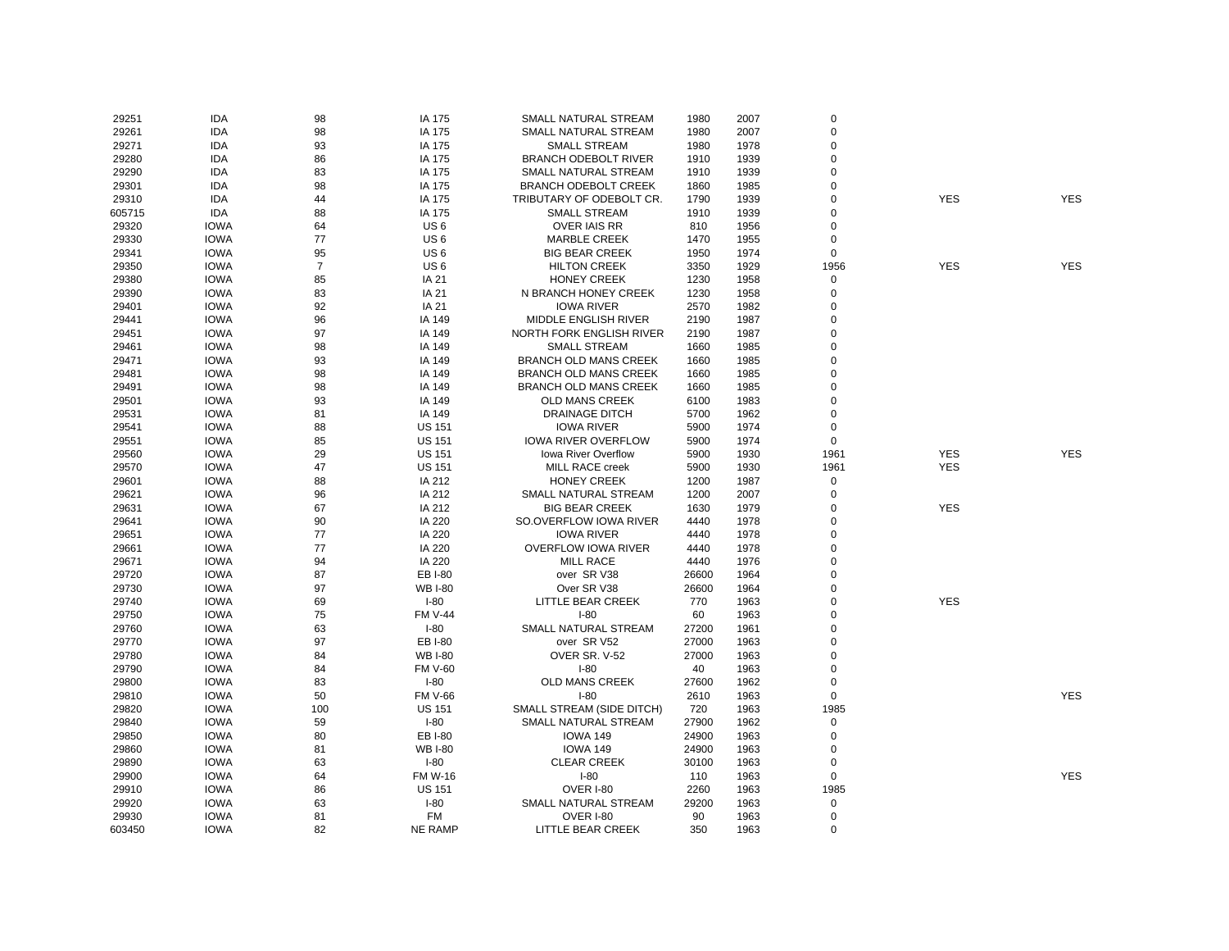| 29251  | <b>IDA</b>  | 98             | IA 175          | SMALL NATURAL STREAM         | 1980  | 2007 | $\mathbf 0$ |            |            |
|--------|-------------|----------------|-----------------|------------------------------|-------|------|-------------|------------|------------|
| 29261  | <b>IDA</b>  | 98             | IA 175          | SMALL NATURAL STREAM         | 1980  | 2007 | $\mathbf 0$ |            |            |
| 29271  | <b>IDA</b>  | 93             | IA 175          | <b>SMALL STREAM</b>          | 1980  | 1978 | $\mathbf 0$ |            |            |
| 29280  | <b>IDA</b>  | 86             | IA 175          | <b>BRANCH ODEBOLT RIVER</b>  | 1910  | 1939 | $\mathbf 0$ |            |            |
| 29290  | IDA         | 83             | IA 175          | SMALL NATURAL STREAM         | 1910  | 1939 | $\mathbf 0$ |            |            |
| 29301  | <b>IDA</b>  | 98             | IA 175          | <b>BRANCH ODEBOLT CREEK</b>  | 1860  | 1985 | $\mathbf 0$ |            |            |
| 29310  | <b>IDA</b>  | 44             | IA 175          | TRIBUTARY OF ODEBOLT CR.     | 1790  | 1939 | $\mathbf 0$ | <b>YES</b> | <b>YES</b> |
| 605715 | <b>IDA</b>  | 88             | IA 175          | <b>SMALL STREAM</b>          | 1910  | 1939 | $\Omega$    |            |            |
| 29320  | <b>IOWA</b> | 64             | US <sub>6</sub> | <b>OVER IAIS RR</b>          | 810   | 1956 | $\Omega$    |            |            |
| 29330  | <b>IOWA</b> | 77             | US <sub>6</sub> | <b>MARBLE CREEK</b>          | 1470  | 1955 | $\mathbf 0$ |            |            |
| 29341  | <b>IOWA</b> | 95             | US <sub>6</sub> | <b>BIG BEAR CREEK</b>        | 1950  | 1974 | 0           |            |            |
| 29350  | <b>IOWA</b> | $\overline{7}$ | US <sub>6</sub> | <b>HILTON CREEK</b>          | 3350  | 1929 | 1956        | <b>YES</b> | <b>YES</b> |
| 29380  | <b>IOWA</b> | 85             | IA 21           | <b>HONEY CREEK</b>           | 1230  | 1958 | $\pmb{0}$   |            |            |
| 29390  | <b>IOWA</b> | 83             | IA 21           | N BRANCH HONEY CREEK         | 1230  | 1958 | $\mathbf 0$ |            |            |
| 29401  | <b>IOWA</b> | 92             | IA 21           | <b>IOWA RIVER</b>            | 2570  | 1982 | $\mathbf 0$ |            |            |
| 29441  | <b>IOWA</b> | 96             | IA 149          | MIDDLE ENGLISH RIVER         | 2190  | 1987 | $\Omega$    |            |            |
| 29451  | <b>IOWA</b> | 97             | IA 149          | NORTH FORK ENGLISH RIVER     | 2190  | 1987 | $\mathbf 0$ |            |            |
| 29461  | <b>IOWA</b> | 98             | IA 149          | <b>SMALL STREAM</b>          | 1660  | 1985 | $\mathbf 0$ |            |            |
| 29471  | <b>IOWA</b> | 93             | IA 149          | <b>BRANCH OLD MANS CREEK</b> | 1660  | 1985 | $\mathbf 0$ |            |            |
|        |             |                |                 | <b>BRANCH OLD MANS CREEK</b> |       |      | $\mathbf 0$ |            |            |
| 29481  | <b>IOWA</b> | 98<br>98       | IA 149          |                              | 1660  | 1985 | $\mathbf 0$ |            |            |
| 29491  | <b>IOWA</b> |                | IA 149          | <b>BRANCH OLD MANS CREEK</b> | 1660  | 1985 |             |            |            |
| 29501  | <b>IOWA</b> | 93             | IA 149          | OLD MANS CREEK               | 6100  | 1983 | $\mathbf 0$ |            |            |
| 29531  | <b>IOWA</b> | 81             | IA 149          | <b>DRAINAGE DITCH</b>        | 5700  | 1962 | $\mathbf 0$ |            |            |
| 29541  | <b>IOWA</b> | 88             | <b>US 151</b>   | <b>IOWA RIVER</b>            | 5900  | 1974 | 0           |            |            |
| 29551  | <b>IOWA</b> | 85             | <b>US 151</b>   | <b>IOWA RIVER OVERFLOW</b>   | 5900  | 1974 | $\mathbf 0$ |            |            |
| 29560  | <b>IOWA</b> | 29             | <b>US 151</b>   | <b>Iowa River Overflow</b>   | 5900  | 1930 | 1961        | <b>YES</b> | <b>YES</b> |
| 29570  | <b>IOWA</b> | 47             | <b>US 151</b>   | MILL RACE creek              | 5900  | 1930 | 1961        | <b>YES</b> |            |
| 29601  | <b>IOWA</b> | 88             | IA 212          | <b>HONEY CREEK</b>           | 1200  | 1987 | $\mathsf 0$ |            |            |
| 29621  | <b>IOWA</b> | 96             | IA 212          | SMALL NATURAL STREAM         | 1200  | 2007 | $\mathbf 0$ |            |            |
| 29631  | <b>IOWA</b> | 67             | IA 212          | <b>BIG BEAR CREEK</b>        | 1630  | 1979 | $\Omega$    | <b>YES</b> |            |
| 29641  | <b>IOWA</b> | 90             | IA 220          | SO.OVERFLOW IOWA RIVER       | 4440  | 1978 | 0           |            |            |
| 29651  | <b>IOWA</b> | 77             | IA 220          | <b>IOWA RIVER</b>            | 4440  | 1978 | $\mathbf 0$ |            |            |
| 29661  | <b>IOWA</b> | 77             | IA 220          | <b>OVERFLOW IOWA RIVER</b>   | 4440  | 1978 | $\mathbf 0$ |            |            |
| 29671  | <b>IOWA</b> | 94             | IA 220          | <b>MILL RACE</b>             | 4440  | 1976 | $\Omega$    |            |            |
| 29720  | <b>IOWA</b> | 87             | EB I-80         | over SR V38                  | 26600 | 1964 | $\Omega$    |            |            |
| 29730  | <b>IOWA</b> | 97             | <b>WB I-80</b>  | Over SR V38                  | 26600 | 1964 | $\mathbf 0$ |            |            |
| 29740  | <b>IOWA</b> | 69             | $I-80$          | LITTLE BEAR CREEK            | 770   | 1963 | $\Omega$    | <b>YES</b> |            |
| 29750  | <b>IOWA</b> | 75             | <b>FM V-44</b>  | $I - 80$                     | 60    | 1963 | $\Omega$    |            |            |
| 29760  | <b>IOWA</b> | 63             | $I-80$          | SMALL NATURAL STREAM         | 27200 | 1961 | $\mathbf 0$ |            |            |
| 29770  | <b>IOWA</b> | 97             | EB I-80         | over SR V52                  | 27000 | 1963 | $\Omega$    |            |            |
| 29780  | <b>IOWA</b> | 84             | <b>WB I-80</b>  | OVER SR. V-52                | 27000 | 1963 | $\mathbf 0$ |            |            |
| 29790  | <b>IOWA</b> | 84             | <b>FM V-60</b>  | $I-80$                       | 40    | 1963 | $\mathbf 0$ |            |            |
| 29800  | <b>IOWA</b> | 83             | $I-80$          | OLD MANS CREEK               | 27600 | 1962 | $\mathbf 0$ |            |            |
| 29810  | <b>IOWA</b> | 50             | <b>FM V-66</b>  | $I-80$                       | 2610  | 1963 | $\mathbf 0$ |            | <b>YES</b> |
| 29820  | <b>IOWA</b> | 100            | <b>US 151</b>   | SMALL STREAM (SIDE DITCH)    | 720   | 1963 | 1985        |            |            |
| 29840  | <b>IOWA</b> | 59             | $I-80$          | SMALL NATURAL STREAM         | 27900 | 1962 | 0           |            |            |
| 29850  | <b>IOWA</b> | 80             | EB I-80         | <b>IOWA 149</b>              | 24900 | 1963 | $\mathbf 0$ |            |            |
| 29860  | <b>IOWA</b> | 81             | <b>WB I-80</b>  | <b>IOWA 149</b>              | 24900 | 1963 | 0           |            |            |
| 29890  | <b>IOWA</b> | 63             | $I-80$          | <b>CLEAR CREEK</b>           | 30100 | 1963 | $\mathbf 0$ |            |            |
| 29900  | <b>IOWA</b> | 64             | <b>FM W-16</b>  | $I-80$                       | 110   | 1963 | $\mathsf 0$ |            | <b>YES</b> |
| 29910  | <b>IOWA</b> | 86             | <b>US 151</b>   | OVER I-80                    | 2260  | 1963 | 1985        |            |            |
| 29920  | <b>IOWA</b> | 63             | $I-80$          | SMALL NATURAL STREAM         | 29200 | 1963 | $\mathbf 0$ |            |            |
| 29930  | <b>IOWA</b> | 81             | FM              | OVER I-80                    | 90    | 1963 | $\mathbf 0$ |            |            |
| 603450 | <b>IOWA</b> | 82             | <b>NE RAMP</b>  | LITTLE BEAR CREEK            | 350   | 1963 | $\Omega$    |            |            |
|        |             |                |                 |                              |       |      |             |            |            |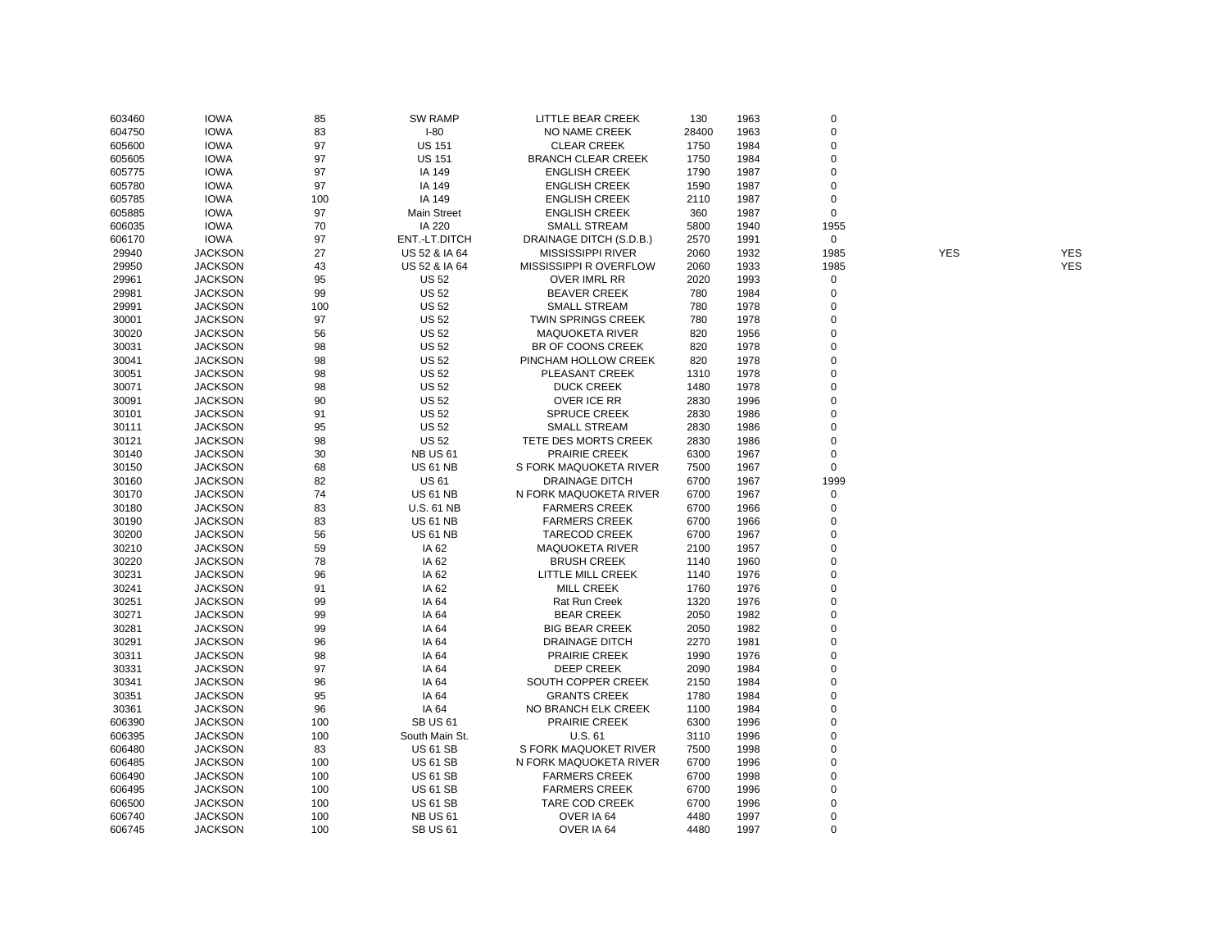| 603460 | <b>IOWA</b>    | 85  | <b>SW RAMP</b>     | LITTLE BEAR CREEK         | 130   | 1963 | $\mathbf 0$ |            |            |
|--------|----------------|-----|--------------------|---------------------------|-------|------|-------------|------------|------------|
| 604750 | <b>IOWA</b>    | 83  | $I-80$             | NO NAME CREEK             | 28400 | 1963 | 0           |            |            |
| 605600 | <b>IOWA</b>    | 97  | <b>US 151</b>      | <b>CLEAR CREEK</b>        | 1750  | 1984 | 0           |            |            |
| 605605 | <b>IOWA</b>    | 97  | <b>US 151</b>      | <b>BRANCH CLEAR CREEK</b> | 1750  | 1984 | $\mathbf 0$ |            |            |
| 605775 | <b>IOWA</b>    | 97  | IA 149             | <b>ENGLISH CREEK</b>      | 1790  | 1987 | 0           |            |            |
| 605780 | <b>IOWA</b>    | 97  | IA 149             | <b>ENGLISH CREEK</b>      | 1590  | 1987 | $\mathbf 0$ |            |            |
| 605785 | <b>IOWA</b>    | 100 | IA 149             | <b>ENGLISH CREEK</b>      | 2110  | 1987 | $\mathbf 0$ |            |            |
| 605885 | <b>IOWA</b>    | 97  | <b>Main Street</b> | <b>ENGLISH CREEK</b>      | 360   | 1987 | $\mathbf 0$ |            |            |
| 606035 | <b>IOWA</b>    | 70  | IA 220             | <b>SMALL STREAM</b>       | 5800  | 1940 | 1955        |            |            |
| 606170 | <b>IOWA</b>    | 97  | ENT.-LT.DITCH      | DRAINAGE DITCH (S.D.B.)   | 2570  | 1991 | $\mathsf 0$ |            |            |
| 29940  | <b>JACKSON</b> | 27  | US 52 & IA 64      | <b>MISSISSIPPI RIVER</b>  | 2060  | 1932 | 1985        | <b>YES</b> | <b>YES</b> |
| 29950  | <b>JACKSON</b> | 43  | US 52 & IA 64      | MISSISSIPPI R OVERFLOW    | 2060  | 1933 | 1985        |            | <b>YES</b> |
| 29961  | <b>JACKSON</b> | 95  | <b>US 52</b>       | <b>OVER IMRL RR</b>       | 2020  | 1993 | $\mathbf 0$ |            |            |
| 29981  | <b>JACKSON</b> | 99  | <b>US 52</b>       | <b>BEAVER CREEK</b>       | 780   | 1984 | 0           |            |            |
| 29991  | <b>JACKSON</b> | 100 | <b>US 52</b>       | <b>SMALL STREAM</b>       | 780   | 1978 | 0           |            |            |
| 30001  | <b>JACKSON</b> | 97  | <b>US 52</b>       | TWIN SPRINGS CREEK        | 780   | 1978 | $\mathbf 0$ |            |            |
| 30020  | <b>JACKSON</b> | 56  | <b>US 52</b>       | <b>MAQUOKETA RIVER</b>    | 820   | 1956 | $\mathbf 0$ |            |            |
| 30031  | <b>JACKSON</b> | 98  | <b>US 52</b>       | BR OF COONS CREEK         | 820   | 1978 | 0           |            |            |
| 30041  | <b>JACKSON</b> | 98  | <b>US 52</b>       | PINCHAM HOLLOW CREEK      | 820   | 1978 | $\pmb{0}$   |            |            |
| 30051  | <b>JACKSON</b> | 98  | <b>US 52</b>       | PLEASANT CREEK            | 1310  | 1978 | $\mathbf 0$ |            |            |
| 30071  | <b>JACKSON</b> | 98  | <b>US 52</b>       | <b>DUCK CREEK</b>         | 1480  | 1978 | $\mathbf 0$ |            |            |
| 30091  | <b>JACKSON</b> | 90  | <b>US 52</b>       | OVER ICE RR               | 2830  | 1996 | 0           |            |            |
| 30101  | <b>JACKSON</b> | 91  | <b>US 52</b>       | <b>SPRUCE CREEK</b>       | 2830  | 1986 | $\pmb{0}$   |            |            |
| 30111  | <b>JACKSON</b> | 95  | <b>US 52</b>       | <b>SMALL STREAM</b>       | 2830  | 1986 | 0           |            |            |
| 30121  | <b>JACKSON</b> | 98  | <b>US 52</b>       | TETE DES MORTS CREEK      | 2830  | 1986 | 0           |            |            |
| 30140  | <b>JACKSON</b> | 30  | <b>NB US 61</b>    | PRAIRIE CREEK             | 6300  | 1967 | 0           |            |            |
| 30150  | <b>JACKSON</b> | 68  | <b>US 61 NB</b>    | S FORK MAQUOKETA RIVER    | 7500  | 1967 | 0           |            |            |
| 30160  | <b>JACKSON</b> | 82  | <b>US 61</b>       | DRAINAGE DITCH            | 6700  | 1967 | 1999        |            |            |
| 30170  | <b>JACKSON</b> | 74  | <b>US 61 NB</b>    | N FORK MAQUOKETA RIVER    | 6700  | 1967 | $\pmb{0}$   |            |            |
| 30180  | <b>JACKSON</b> | 83  | <b>U.S. 61 NB</b>  | <b>FARMERS CREEK</b>      | 6700  | 1966 | $\pmb{0}$   |            |            |
| 30190  | <b>JACKSON</b> | 83  | <b>US 61 NB</b>    | <b>FARMERS CREEK</b>      | 6700  | 1966 | 0           |            |            |
| 30200  | <b>JACKSON</b> | 56  | <b>US 61 NB</b>    | <b>TARECOD CREEK</b>      | 6700  | 1967 | 0           |            |            |
| 30210  | <b>JACKSON</b> | 59  | IA 62              | <b>MAQUOKETA RIVER</b>    | 2100  | 1957 | $\mathbf 0$ |            |            |
| 30220  | <b>JACKSON</b> | 78  | IA 62              | <b>BRUSH CREEK</b>        | 1140  | 1960 | $\mathbf 0$ |            |            |
| 30231  | <b>JACKSON</b> | 96  | IA 62              | LITTLE MILL CREEK         | 1140  | 1976 | $\mathbf 0$ |            |            |
| 30241  | <b>JACKSON</b> | 91  | IA 62              | <b>MILL CREEK</b>         | 1760  | 1976 | 0           |            |            |
| 30251  | <b>JACKSON</b> | 99  | IA 64              | <b>Rat Run Creek</b>      | 1320  | 1976 | $\mathbf 0$ |            |            |
| 30271  | <b>JACKSON</b> | 99  | IA 64              | <b>BEAR CREEK</b>         | 2050  | 1982 | 0           |            |            |
| 30281  | <b>JACKSON</b> | 99  | IA 64              | <b>BIG BEAR CREEK</b>     | 2050  | 1982 | 0           |            |            |
| 30291  | <b>JACKSON</b> | 96  | IA 64              | <b>DRAINAGE DITCH</b>     | 2270  | 1981 | $\mathbf 0$ |            |            |
| 30311  | <b>JACKSON</b> | 98  | IA 64              | <b>PRAIRIE CREEK</b>      | 1990  | 1976 | $\mathbf 0$ |            |            |
| 30331  | <b>JACKSON</b> | 97  | IA 64              | <b>DEEP CREEK</b>         | 2090  | 1984 | $\mathbf 0$ |            |            |
| 30341  | <b>JACKSON</b> | 96  | IA 64              | SOUTH COPPER CREEK        | 2150  | 1984 | $\pmb{0}$   |            |            |
| 30351  | <b>JACKSON</b> | 95  | IA 64              | <b>GRANTS CREEK</b>       | 1780  | 1984 | 0           |            |            |
| 30361  | <b>JACKSON</b> | 96  | IA 64              | NO BRANCH ELK CREEK       | 1100  | 1984 | $\pmb{0}$   |            |            |
| 606390 | <b>JACKSON</b> | 100 | <b>SB US 61</b>    | PRAIRIE CREEK             | 6300  | 1996 | $\mathbf 0$ |            |            |
| 606395 | <b>JACKSON</b> | 100 | South Main St.     | U.S. 61                   | 3110  | 1996 | $\mathbf 0$ |            |            |
| 606480 | <b>JACKSON</b> | 83  | <b>US 61 SB</b>    | S FORK MAQUOKET RIVER     | 7500  | 1998 | $\mathbf 0$ |            |            |
| 606485 | <b>JACKSON</b> | 100 | <b>US 61 SB</b>    | N FORK MAQUOKETA RIVER    | 6700  | 1996 | 0           |            |            |
| 606490 | <b>JACKSON</b> | 100 | <b>US 61 SB</b>    | <b>FARMERS CREEK</b>      | 6700  | 1998 | $\mathbf 0$ |            |            |
| 606495 | <b>JACKSON</b> | 100 | <b>US 61 SB</b>    | <b>FARMERS CREEK</b>      | 6700  | 1996 | 0           |            |            |
| 606500 | <b>JACKSON</b> | 100 | <b>US 61 SB</b>    | TARE COD CREEK            | 6700  | 1996 | $\pmb{0}$   |            |            |
| 606740 | <b>JACKSON</b> | 100 | <b>NB US 61</b>    | OVER IA 64                | 4480  | 1997 | $\mathbf 0$ |            |            |
| 606745 | <b>JACKSON</b> | 100 | <b>SB US 61</b>    | OVER IA 64                | 4480  | 1997 | $\Omega$    |            |            |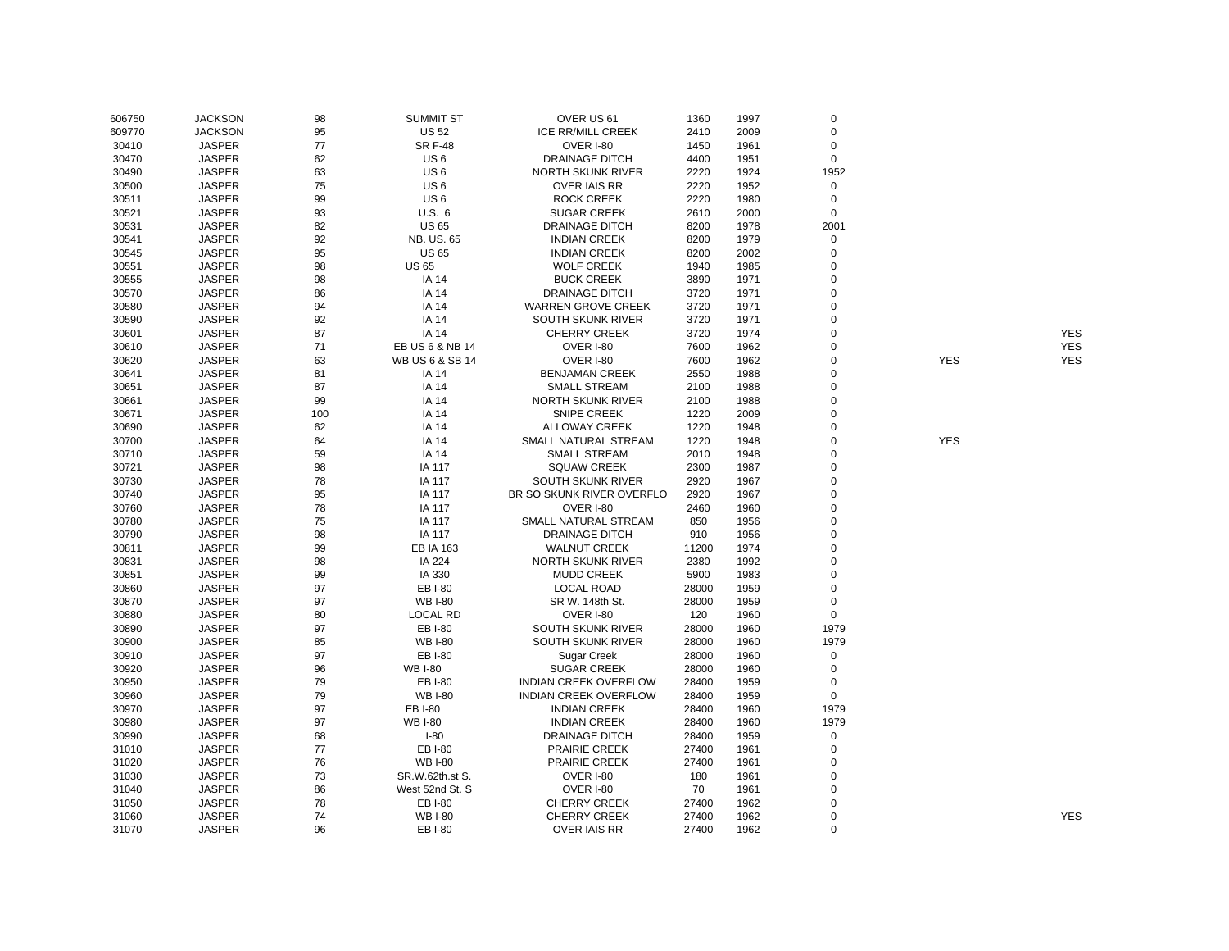| 606750 | <b>JACKSON</b> | 98  | <b>SUMMIT ST</b> | OVER US 61                   | 1360  | 1997 | $\mathbf 0$ |            |            |
|--------|----------------|-----|------------------|------------------------------|-------|------|-------------|------------|------------|
| 609770 | <b>JACKSON</b> | 95  | <b>US 52</b>     | <b>ICE RR/MILL CREEK</b>     | 2410  | 2009 | $\mathbf 0$ |            |            |
| 30410  | <b>JASPER</b>  | 77  | <b>SR F-48</b>   | <b>OVER I-80</b>             | 1450  | 1961 | 0           |            |            |
| 30470  | <b>JASPER</b>  | 62  | US <sub>6</sub>  | <b>DRAINAGE DITCH</b>        | 4400  | 1951 | $\mathbf 0$ |            |            |
| 30490  | <b>JASPER</b>  | 63  | US <sub>6</sub>  | <b>NORTH SKUNK RIVER</b>     | 2220  | 1924 | 1952        |            |            |
| 30500  | <b>JASPER</b>  | 75  | US <sub>6</sub>  | <b>OVER IAIS RR</b>          | 2220  | 1952 | $\mathbf 0$ |            |            |
| 30511  | <b>JASPER</b>  | 99  | US <sub>6</sub>  | <b>ROCK CREEK</b>            | 2220  | 1980 | $\mathbf 0$ |            |            |
| 30521  | <b>JASPER</b>  | 93  | U.S. 6           | <b>SUGAR CREEK</b>           | 2610  | 2000 | $\mathbf 0$ |            |            |
| 30531  | <b>JASPER</b>  | 82  | <b>US 65</b>     | <b>DRAINAGE DITCH</b>        | 8200  | 1978 | 2001        |            |            |
| 30541  | <b>JASPER</b>  | 92  | NB. US. 65       | <b>INDIAN CREEK</b>          | 8200  | 1979 | $\mathbf 0$ |            |            |
| 30545  | <b>JASPER</b>  | 95  | <b>US 65</b>     | <b>INDIAN CREEK</b>          | 8200  | 2002 | $\mathbf 0$ |            |            |
| 30551  | <b>JASPER</b>  | 98  | <b>US 65</b>     | <b>WOLF CREEK</b>            | 1940  | 1985 | $\mathbf 0$ |            |            |
| 30555  | <b>JASPER</b>  | 98  | <b>IA 14</b>     | <b>BUCK CREEK</b>            | 3890  | 1971 | $\mathbf 0$ |            |            |
| 30570  | <b>JASPER</b>  | 86  | <b>IA 14</b>     | <b>DRAINAGE DITCH</b>        | 3720  | 1971 | $\mathbf 0$ |            |            |
| 30580  | <b>JASPER</b>  | 94  | <b>IA 14</b>     | <b>WARREN GROVE CREEK</b>    | 3720  | 1971 | 0           |            |            |
| 30590  | <b>JASPER</b>  | 92  | <b>IA 14</b>     | <b>SOUTH SKUNK RIVER</b>     | 3720  | 1971 | $\mathbf 0$ |            |            |
| 30601  | <b>JASPER</b>  | 87  | <b>IA 14</b>     | <b>CHERRY CREEK</b>          | 3720  | 1974 | $\mathbf 0$ |            | <b>YES</b> |
| 30610  | <b>JASPER</b>  | 71  | EB US 6 & NB 14  | <b>OVER I-80</b>             | 7600  | 1962 | 0           |            | <b>YES</b> |
| 30620  | <b>JASPER</b>  | 63  | WB US 6 & SB 14  | OVER I-80                    | 7600  | 1962 | $\mathbf 0$ | <b>YES</b> | <b>YES</b> |
| 30641  | <b>JASPER</b>  | 81  | <b>IA 14</b>     | <b>BENJAMAN CREEK</b>        | 2550  | 1988 | 0           |            |            |
| 30651  | <b>JASPER</b>  | 87  | <b>IA 14</b>     | <b>SMALL STREAM</b>          | 2100  | 1988 | $\mathbf 0$ |            |            |
| 30661  | <b>JASPER</b>  | 99  | <b>IA 14</b>     | <b>NORTH SKUNK RIVER</b>     | 2100  | 1988 | $\mathbf 0$ |            |            |
| 30671  | <b>JASPER</b>  | 100 | IA 14            | <b>SNIPE CREEK</b>           | 1220  | 2009 | 0           |            |            |
| 30690  | <b>JASPER</b>  | 62  | <b>IA 14</b>     | <b>ALLOWAY CREEK</b>         | 1220  | 1948 | $\mathbf 0$ |            |            |
| 30700  | <b>JASPER</b>  | 64  | <b>IA 14</b>     | SMALL NATURAL STREAM         | 1220  | 1948 | 0           | <b>YES</b> |            |
| 30710  | <b>JASPER</b>  | 59  | <b>IA 14</b>     | <b>SMALL STREAM</b>          | 2010  | 1948 | $\mathbf 0$ |            |            |
| 30721  | <b>JASPER</b>  | 98  | IA 117           | <b>SQUAW CREEK</b>           | 2300  | 1987 | $\mathbf 0$ |            |            |
| 30730  | <b>JASPER</b>  | 78  | IA 117           | <b>SOUTH SKUNK RIVER</b>     | 2920  | 1967 | 0           |            |            |
| 30740  | <b>JASPER</b>  | 95  | IA 117           | BR SO SKUNK RIVER OVERFLO    | 2920  | 1967 | $\mathbf 0$ |            |            |
| 30760  | <b>JASPER</b>  | 78  | IA 117           | <b>OVER I-80</b>             | 2460  | 1960 | 0           |            |            |
| 30780  | <b>JASPER</b>  | 75  | IA 117           | SMALL NATURAL STREAM         | 850   | 1956 | $\mathbf 0$ |            |            |
| 30790  | <b>JASPER</b>  | 98  | IA 117           | <b>DRAINAGE DITCH</b>        | 910   | 1956 | $\mathbf 0$ |            |            |
| 30811  | <b>JASPER</b>  | 99  | <b>EB IA 163</b> | <b>WALNUT CREEK</b>          | 11200 | 1974 | $\mathbf 0$ |            |            |
| 30831  | <b>JASPER</b>  | 98  | IA 224           | NORTH SKUNK RIVER            | 2380  | 1992 | $\mathbf 0$ |            |            |
| 30851  | <b>JASPER</b>  | 99  | IA 330           | <b>MUDD CREEK</b>            | 5900  | 1983 | $\mathbf 0$ |            |            |
| 30860  | <b>JASPER</b>  | 97  | EB I-80          | <b>LOCAL ROAD</b>            | 28000 | 1959 | 0           |            |            |
| 30870  | <b>JASPER</b>  | 97  | <b>WB I-80</b>   | SR W. 148th St.              | 28000 | 1959 | $\mathbf 0$ |            |            |
| 30880  | <b>JASPER</b>  | 80  | <b>LOCAL RD</b>  | <b>OVER I-80</b>             | 120   | 1960 | $\mathbf 0$ |            |            |
| 30890  | <b>JASPER</b>  | 97  | EB I-80          | SOUTH SKUNK RIVER            | 28000 | 1960 | 1979        |            |            |
| 30900  | <b>JASPER</b>  | 85  | <b>WB I-80</b>   | SOUTH SKUNK RIVER            | 28000 | 1960 | 1979        |            |            |
| 30910  | <b>JASPER</b>  | 97  | EB I-80          | Sugar Creek                  | 28000 | 1960 | $\mathbf 0$ |            |            |
| 30920  | <b>JASPER</b>  | 96  | <b>WB I-80</b>   | <b>SUGAR CREEK</b>           | 28000 | 1960 | $\mathbf 0$ |            |            |
| 30950  | <b>JASPER</b>  | 79  | EB I-80          | <b>INDIAN CREEK OVERFLOW</b> | 28400 | 1959 | $\mathbf 0$ |            |            |
| 30960  | <b>JASPER</b>  | 79  | <b>WB I-80</b>   | <b>INDIAN CREEK OVERFLOW</b> | 28400 | 1959 | $\mathbf 0$ |            |            |
| 30970  | <b>JASPER</b>  | 97  | EB I-80          | <b>INDIAN CREEK</b>          | 28400 | 1960 | 1979        |            |            |
| 30980  | <b>JASPER</b>  | 97  | <b>WB I-80</b>   | <b>INDIAN CREEK</b>          | 28400 | 1960 | 1979        |            |            |
| 30990  | <b>JASPER</b>  | 68  | $I-80$           | <b>DRAINAGE DITCH</b>        | 28400 | 1959 | 0           |            |            |
| 31010  | <b>JASPER</b>  | 77  | <b>EBI-80</b>    | PRAIRIE CREEK                | 27400 | 1961 | $\mathbf 0$ |            |            |
| 31020  | <b>JASPER</b>  | 76  | <b>WB I-80</b>   | <b>PRAIRIE CREEK</b>         | 27400 | 1961 | $\mathbf 0$ |            |            |
| 31030  | <b>JASPER</b>  | 73  | SR.W.62th.st S.  | <b>OVER I-80</b>             | 180   | 1961 | 0           |            |            |
| 31040  | <b>JASPER</b>  | 86  | West 52nd St. S  | <b>OVER I-80</b>             | 70    | 1961 | $\mathbf 0$ |            |            |
| 31050  | <b>JASPER</b>  | 78  | EB I-80          | <b>CHERRY CREEK</b>          | 27400 | 1962 | 0           |            |            |
| 31060  | <b>JASPER</b>  | 74  | <b>WB I-80</b>   | <b>CHERRY CREEK</b>          | 27400 | 1962 | $\mathbf 0$ |            | <b>YES</b> |
| 31070  | <b>JASPER</b>  | 96  | EB I-80          | <b>OVER IAIS RR</b>          | 27400 | 1962 | $\Omega$    |            |            |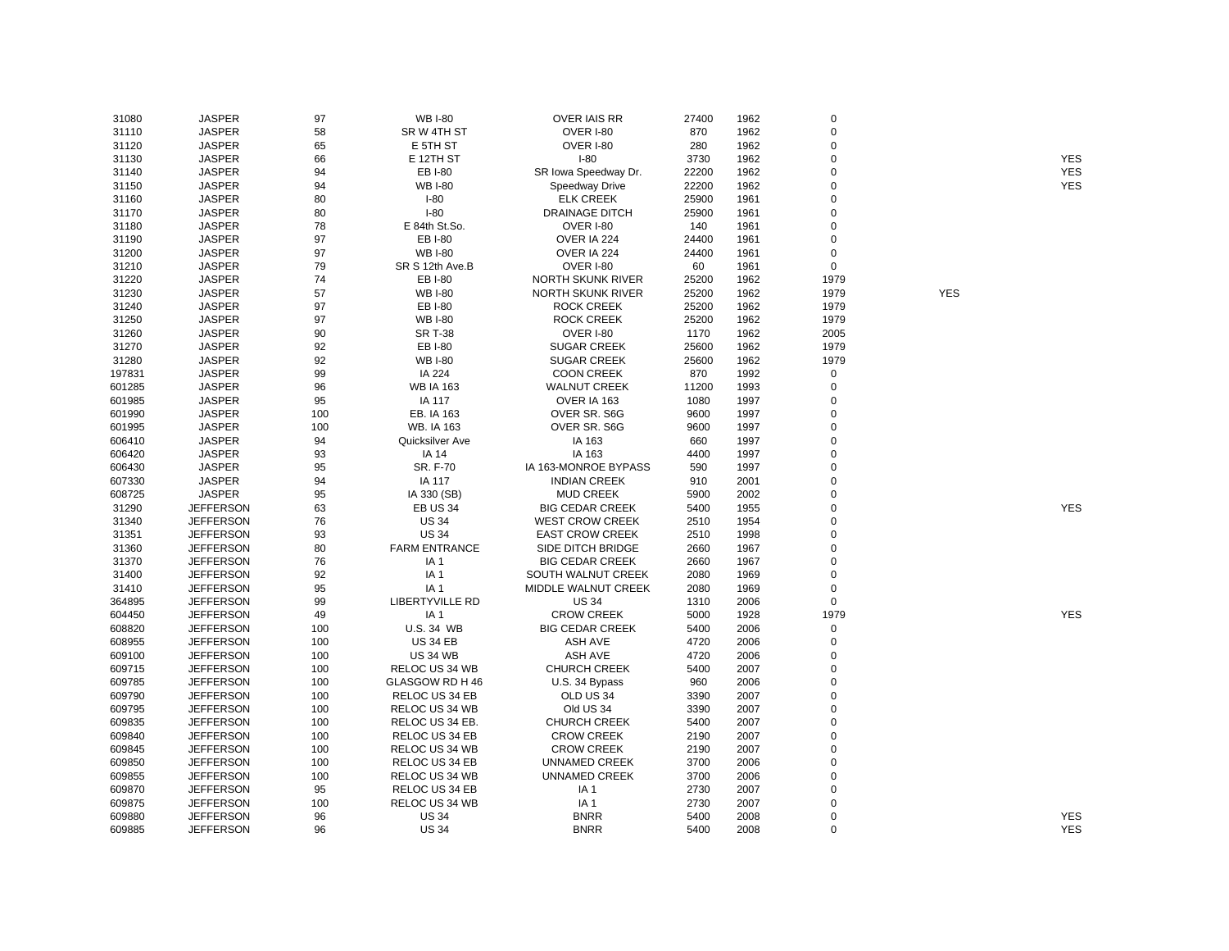| 31080           | <b>JASPER</b>                        | 97         | <b>WB I-80</b>                 | <b>OVER IAIS RR</b>                   | 27400        | 1962 | $\mathbf 0$ |            |                          |
|-----------------|--------------------------------------|------------|--------------------------------|---------------------------------------|--------------|------|-------------|------------|--------------------------|
| 31110           | <b>JASPER</b>                        | 58         | SR W 4TH ST                    | <b>OVER I-80</b>                      | 870          | 1962 | 0           |            |                          |
| 31120           | <b>JASPER</b>                        | 65         | E 5TH ST                       | OVER I-80                             | 280          | 1962 | $\mathbf 0$ |            |                          |
| 31130           | <b>JASPER</b>                        | 66         | E 12TH ST                      | $I-80$                                | 3730         | 1962 | $\mathbf 0$ |            | <b>YES</b>               |
| 31140           | <b>JASPER</b>                        | 94         | EB I-80                        | SR Iowa Speedway Dr.                  | 22200        | 1962 | 0           |            | <b>YES</b>               |
| 31150           | <b>JASPER</b>                        | 94         | <b>WB I-80</b>                 | Speedway Drive                        | 22200        | 1962 | $\mathbf 0$ |            | <b>YES</b>               |
| 31160           | <b>JASPER</b>                        | 80         | $I-80$                         | <b>ELK CREEK</b>                      | 25900        | 1961 | $\mathbf 0$ |            |                          |
| 31170           | <b>JASPER</b>                        | 80         | $I-80$                         | <b>DRAINAGE DITCH</b>                 | 25900        | 1961 | $\mathbf 0$ |            |                          |
| 31180           | <b>JASPER</b>                        | 78         | E 84th St.So.                  | OVER I-80                             | 140          | 1961 | $\mathbf 0$ |            |                          |
| 31190           | <b>JASPER</b>                        | 97         | EB I-80                        | OVER IA 224                           | 24400        | 1961 | $\mathbf 0$ |            |                          |
| 31200           | <b>JASPER</b>                        | 97         | <b>WB I-80</b>                 | OVER IA 224                           | 24400        | 1961 | $\mathbf 0$ |            |                          |
| 31210           | <b>JASPER</b>                        | 79         | SR S 12th Ave.B                | OVER I-80                             | 60           | 1961 | $\mathbf 0$ |            |                          |
| 31220           | <b>JASPER</b>                        | 74         | EB I-80                        | <b>NORTH SKUNK RIVER</b>              | 25200        | 1962 | 1979        |            |                          |
| 31230           | <b>JASPER</b>                        | 57         | <b>WB I-80</b>                 | NORTH SKUNK RIVER                     | 25200        | 1962 | 1979        | <b>YES</b> |                          |
| 31240           | <b>JASPER</b>                        | 97         | EB I-80                        | ROCK CREEK                            | 25200        | 1962 | 1979        |            |                          |
| 31250           | <b>JASPER</b>                        | 97         | <b>WB I-80</b>                 | <b>ROCK CREEK</b>                     | 25200        | 1962 | 1979        |            |                          |
| 31260           | <b>JASPER</b>                        | 90         | <b>SR T-38</b>                 | <b>OVER I-80</b>                      | 1170         | 1962 | 2005        |            |                          |
| 31270           | <b>JASPER</b>                        | 92         | EB I-80                        | <b>SUGAR CREEK</b>                    | 25600        | 1962 | 1979        |            |                          |
| 31280           | <b>JASPER</b>                        | 92         | <b>WB I-80</b>                 | <b>SUGAR CREEK</b>                    | 25600        | 1962 | 1979        |            |                          |
| 197831          | <b>JASPER</b>                        | 99         | IA 224                         | <b>COON CREEK</b>                     | 870          | 1992 | $\mathbf 0$ |            |                          |
| 601285          | <b>JASPER</b>                        | 96         | <b>WB IA 163</b>               | <b>WALNUT CREEK</b>                   | 11200        | 1993 | $\mathbf 0$ |            |                          |
| 601985          | <b>JASPER</b>                        | 95         | IA 117                         | OVER IA 163                           | 1080         | 1997 | 0           |            |                          |
| 601990          | <b>JASPER</b>                        | 100        | EB. IA 163                     | OVER SR. S6G                          | 9600         | 1997 | $\mathbf 0$ |            |                          |
| 601995          | <b>JASPER</b>                        | 100        | <b>WB. IA 163</b>              | OVER SR. S6G                          | 9600         | 1997 | $\mathbf 0$ |            |                          |
| 606410          | <b>JASPER</b>                        | 94         | Quicksilver Ave                | IA 163                                | 660          | 1997 | $\mathbf 0$ |            |                          |
| 606420          | <b>JASPER</b>                        | 93         | IA 14                          | IA 163                                | 4400         | 1997 | $\mathbf 0$ |            |                          |
| 606430          | <b>JASPER</b>                        | 95         | SR. F-70                       | IA 163-MONROE BYPASS                  | 590          | 1997 | $\mathbf 0$ |            |                          |
| 607330          | <b>JASPER</b>                        | 94         | IA 117                         | <b>INDIAN CREEK</b>                   | 910          | 2001 | $\mathbf 0$ |            |                          |
|                 | <b>JASPER</b>                        | 95         |                                | <b>MUD CREEK</b>                      | 5900         | 2002 | $\mathbf 0$ |            |                          |
| 608725<br>31290 | <b>JEFFERSON</b>                     | 63         | IA 330 (SB)<br><b>EB US 34</b> | <b>BIG CEDAR CREEK</b>                | 5400         | 1955 | $\mathbf 0$ |            | <b>YES</b>               |
| 31340           | <b>JEFFERSON</b>                     | 76         | <b>US 34</b>                   | <b>WEST CROW CREEK</b>                | 2510         | 1954 | $\mathbf 0$ |            |                          |
| 31351           | <b>JEFFERSON</b>                     | 93         | <b>US 34</b>                   | <b>EAST CROW CREEK</b>                | 2510         | 1998 | $\mathbf 0$ |            |                          |
| 31360           | <b>JEFFERSON</b>                     | 80         | <b>FARM ENTRANCE</b>           | SIDE DITCH BRIDGE                     | 2660         | 1967 | $\mathbf 0$ |            |                          |
| 31370           | <b>JEFFERSON</b>                     | 76         | IA <sub>1</sub>                | <b>BIG CEDAR CREEK</b>                | 2660         | 1967 | $\mathbf 0$ |            |                          |
| 31400           | <b>JEFFERSON</b>                     | 92         | IA <sub>1</sub>                | SOUTH WALNUT CREEK                    | 2080         | 1969 | $\mathbf 0$ |            |                          |
| 31410           | <b>JEFFERSON</b>                     | 95         | IA <sub>1</sub>                | MIDDLE WALNUT CREEK                   | 2080         | 1969 | $\mathbf 0$ |            |                          |
| 364895          | <b>JEFFERSON</b>                     | 99         | <b>LIBERTYVILLE RD</b>         | <b>US 34</b>                          | 1310         | 2006 | $\mathbf 0$ |            |                          |
| 604450          | <b>JEFFERSON</b>                     | 49         | IA <sub>1</sub>                | <b>CROW CREEK</b>                     | 5000         | 1928 | 1979        |            | <b>YES</b>               |
| 608820          | <b>JEFFERSON</b>                     | 100        | U.S. 34 WB                     | <b>BIG CEDAR CREEK</b>                | 5400         | 2006 | $\mathbf 0$ |            |                          |
| 608955          | <b>JEFFERSON</b>                     | 100        | <b>US 34 EB</b>                | <b>ASH AVE</b>                        | 4720         | 2006 | $\mathbf 0$ |            |                          |
| 609100          | <b>JEFFERSON</b>                     | 100        | <b>US 34 WB</b>                | ASH AVE                               | 4720         | 2006 | $\mathbf 0$ |            |                          |
| 609715          | <b>JEFFERSON</b>                     | 100        | RELOC US 34 WB                 | <b>CHURCH CREEK</b>                   | 5400         | 2007 | $\mathbf 0$ |            |                          |
| 609785          | <b>JEFFERSON</b>                     | 100        | GLASGOW RD H 46                | U.S. 34 Bypass                        | 960          | 2006 | $\mathbf 0$ |            |                          |
| 609790          | <b>JEFFERSON</b>                     | 100        | RELOC US 34 EB                 | OLD US 34                             | 3390         | 2007 | $\mathbf 0$ |            |                          |
| 609795          | <b>JEFFERSON</b>                     | 100        | RELOC US 34 WB                 | Old US 34                             | 3390         | 2007 | $\mathbf 0$ |            |                          |
| 609835          | <b>JEFFERSON</b>                     | 100        | RELOC US 34 EB.                | <b>CHURCH CREEK</b>                   | 5400         | 2007 | $\mathbf 0$ |            |                          |
| 609840          | <b>JEFFERSON</b>                     | 100        | RELOC US 34 EB                 | <b>CROW CREEK</b>                     | 2190         | 2007 | $\mathbf 0$ |            |                          |
| 609845          | <b>JEFFERSON</b>                     | 100        | RELOC US 34 WB                 | <b>CROW CREEK</b>                     | 2190         | 2007 | $\mathbf 0$ |            |                          |
|                 |                                      |            |                                |                                       | 3700         |      | $\mathbf 0$ |            |                          |
| 609850          | <b>JEFFERSON</b><br><b>JEFFERSON</b> | 100<br>100 | RELOC US 34 EB                 | UNNAMED CREEK<br><b>UNNAMED CREEK</b> |              | 2006 | $\mathbf 0$ |            |                          |
| 609855          |                                      |            | RELOC US 34 WB                 |                                       | 3700         | 2006 | $\mathbf 0$ |            |                          |
| 609870          | <b>JEFFERSON</b>                     | 95         | RELOC US 34 EB                 | IA <sub>1</sub>                       | 2730         | 2007 | $\mathbf 0$ |            |                          |
| 609875          | <b>JEFFERSON</b>                     | 100        | RELOC US 34 WB                 | IA <sub>1</sub>                       | 2730<br>5400 | 2007 | $\mathbf 0$ |            |                          |
| 609880          | <b>JEFFERSON</b>                     | 96<br>96   | <b>US 34</b>                   | <b>BNRR</b>                           |              | 2008 | $\Omega$    |            | <b>YES</b><br><b>YES</b> |
| 609885          | <b>JEFFERSON</b>                     |            | <b>US 34</b>                   | <b>BNRR</b>                           | 5400         | 2008 |             |            |                          |

YES<br>YES

YES

YES

YES<br>YES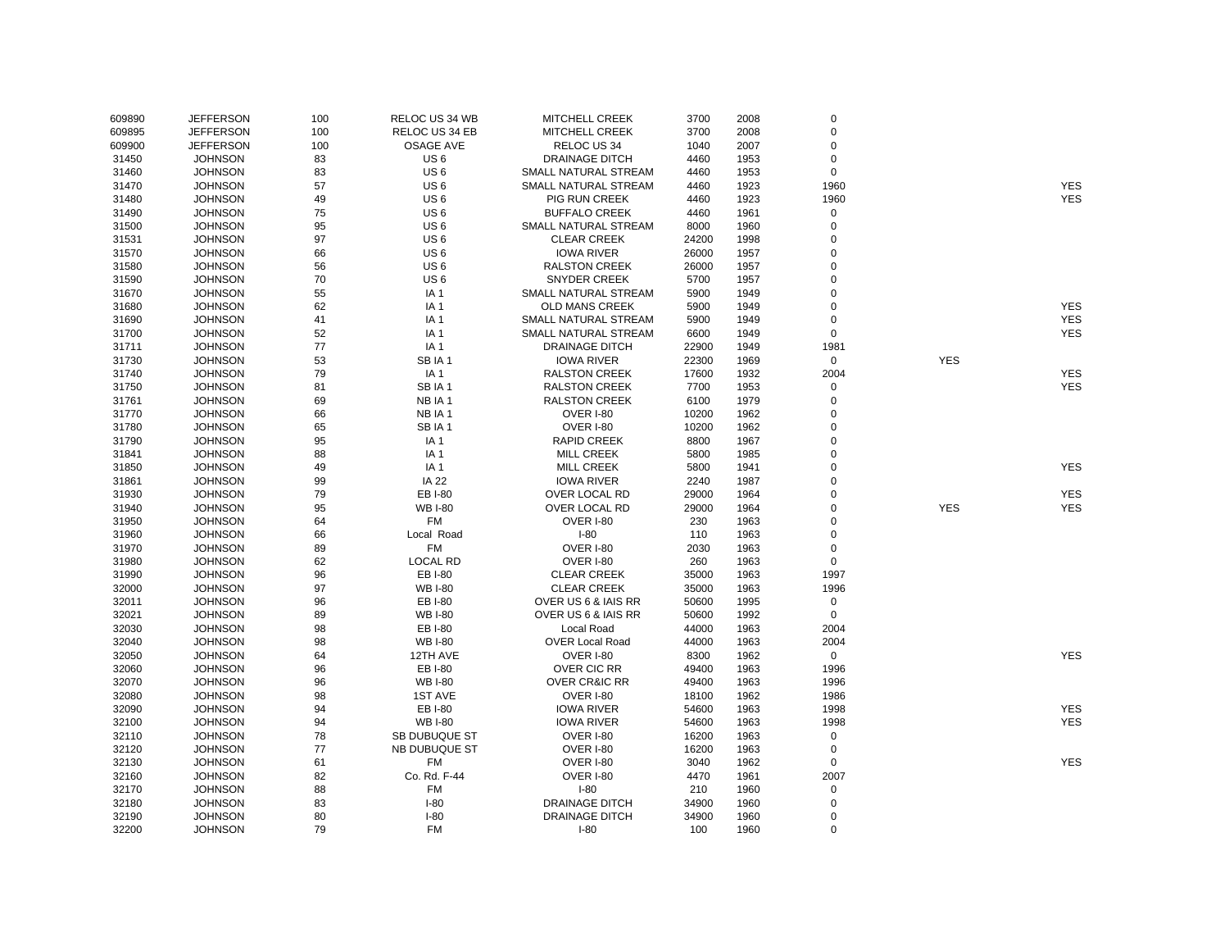| 609890 | <b>JEFFERSON</b> | 100 | RELOC US 34 WB       | <b>MITCHELL CREEK</b>    | 3700  | 2008 | 0           |            |            |
|--------|------------------|-----|----------------------|--------------------------|-------|------|-------------|------------|------------|
| 609895 | <b>JEFFERSON</b> | 100 | RELOC US 34 EB       | <b>MITCHELL CREEK</b>    | 3700  | 2008 | 0           |            |            |
| 609900 | <b>JEFFERSON</b> | 100 | <b>OSAGE AVE</b>     | RELOC US 34              | 1040  | 2007 | 0           |            |            |
| 31450  | <b>JOHNSON</b>   | 83  | US <sub>6</sub>      | <b>DRAINAGE DITCH</b>    | 4460  | 1953 | 0           |            |            |
| 31460  | <b>JOHNSON</b>   | 83  | US <sub>6</sub>      | SMALL NATURAL STREAM     | 4460  | 1953 | $\mathbf 0$ |            |            |
| 31470  | <b>JOHNSON</b>   | 57  | US <sub>6</sub>      | SMALL NATURAL STREAM     | 4460  | 1923 | 1960        |            | <b>YES</b> |
| 31480  | <b>JOHNSON</b>   | 49  | US <sub>6</sub>      | <b>PIG RUN CREEK</b>     | 4460  | 1923 | 1960        |            | <b>YES</b> |
| 31490  | <b>JOHNSON</b>   | 75  | US <sub>6</sub>      | <b>BUFFALO CREEK</b>     | 4460  | 1961 | $\mathsf 0$ |            |            |
| 31500  | <b>JOHNSON</b>   | 95  | US <sub>6</sub>      | SMALL NATURAL STREAM     | 8000  | 1960 | 0           |            |            |
| 31531  | <b>JOHNSON</b>   | 97  | US <sub>6</sub>      | <b>CLEAR CREEK</b>       | 24200 | 1998 | 0           |            |            |
| 31570  | <b>JOHNSON</b>   | 66  | US <sub>6</sub>      | <b>IOWA RIVER</b>        | 26000 | 1957 | 0           |            |            |
| 31580  | <b>JOHNSON</b>   | 56  | US <sub>6</sub>      | <b>RALSTON CREEK</b>     | 26000 | 1957 | 0           |            |            |
| 31590  | <b>JOHNSON</b>   | 70  | US <sub>6</sub>      | <b>SNYDER CREEK</b>      | 5700  | 1957 | 0           |            |            |
| 31670  | <b>JOHNSON</b>   | 55  | IA <sub>1</sub>      | SMALL NATURAL STREAM     | 5900  | 1949 | 0           |            |            |
| 31680  | <b>JOHNSON</b>   | 62  | IA <sub>1</sub>      | OLD MANS CREEK           | 5900  | 1949 | 0           |            | <b>YES</b> |
| 31690  | <b>JOHNSON</b>   | 41  | IA <sub>1</sub>      | SMALL NATURAL STREAM     | 5900  | 1949 | 0           |            | <b>YES</b> |
| 31700  | <b>JOHNSON</b>   | 52  | IA <sub>1</sub>      | SMALL NATURAL STREAM     | 6600  | 1949 | $\mathbf 0$ |            | <b>YES</b> |
| 31711  | <b>JOHNSON</b>   | 77  | IA <sub>1</sub>      | DRAINAGE DITCH           | 22900 | 1949 | 1981        |            |            |
| 31730  | <b>JOHNSON</b>   | 53  | SBIA1                | <b>IOWA RIVER</b>        | 22300 | 1969 | $\mathbf 0$ | <b>YES</b> |            |
| 31740  | <b>JOHNSON</b>   | 79  | IA <sub>1</sub>      | <b>RALSTON CREEK</b>     | 17600 | 1932 | 2004        |            | <b>YES</b> |
| 31750  | <b>JOHNSON</b>   | 81  | SBIA1                | <b>RALSTON CREEK</b>     | 7700  | 1953 | 0           |            | <b>YES</b> |
| 31761  | <b>JOHNSON</b>   | 69  | NB IA 1              | <b>RALSTON CREEK</b>     | 6100  | 1979 | 0           |            |            |
| 31770  | <b>JOHNSON</b>   | 66  | NB IA 1              | <b>OVER I-80</b>         | 10200 | 1962 | 0           |            |            |
| 31780  | <b>JOHNSON</b>   | 65  | SBIA1                | OVER I-80                | 10200 | 1962 | 0           |            |            |
| 31790  | <b>JOHNSON</b>   | 95  | IA <sub>1</sub>      | <b>RAPID CREEK</b>       | 8800  | 1967 | 0           |            |            |
| 31841  | <b>JOHNSON</b>   | 88  | IA <sub>1</sub>      | <b>MILL CREEK</b>        | 5800  | 1985 | 0           |            |            |
| 31850  | <b>JOHNSON</b>   | 49  | IA <sub>1</sub>      | <b>MILL CREEK</b>        | 5800  | 1941 | 0           |            | <b>YES</b> |
| 31861  | <b>JOHNSON</b>   | 99  | <b>IA 22</b>         | <b>IOWA RIVER</b>        | 2240  | 1987 | 0           |            |            |
| 31930  | <b>JOHNSON</b>   | 79  | EB I-80              | OVER LOCAL RD            | 29000 | 1964 | 0           |            | <b>YES</b> |
| 31940  | <b>JOHNSON</b>   | 95  | <b>WB I-80</b>       | OVER LOCAL RD            | 29000 | 1964 | 0           | <b>YES</b> | <b>YES</b> |
| 31950  | <b>JOHNSON</b>   | 64  | FM                   | OVER I-80                | 230   | 1963 | 0           |            |            |
| 31960  | <b>JOHNSON</b>   | 66  | Local Road           | $I-80$                   | 110   | 1963 | 0           |            |            |
| 31970  | <b>JOHNSON</b>   | 89  | <b>FM</b>            | <b>OVER I-80</b>         | 2030  | 1963 | 0           |            |            |
| 31980  | <b>JOHNSON</b>   | 62  | <b>LOCAL RD</b>      | <b>OVER I-80</b>         | 260   | 1963 | $\pmb{0}$   |            |            |
| 31990  | <b>JOHNSON</b>   | 96  | EB I-80              | <b>CLEAR CREEK</b>       | 35000 | 1963 | 1997        |            |            |
| 32000  | <b>JOHNSON</b>   | 97  | <b>WB I-80</b>       | <b>CLEAR CREEK</b>       | 35000 | 1963 | 1996        |            |            |
| 32011  | <b>JOHNSON</b>   | 96  | EB I-80              | OVER US 6 & IAIS RR      | 50600 | 1995 | $\pmb{0}$   |            |            |
| 32021  | <b>JOHNSON</b>   | 89  | <b>WB I-80</b>       | OVER US 6 & IAIS RR      | 50600 | 1992 | $\mathbf 0$ |            |            |
| 32030  | <b>JOHNSON</b>   | 98  | EB I-80              | Local Road               | 44000 | 1963 | 2004        |            |            |
| 32040  | <b>JOHNSON</b>   | 98  | <b>WB I-80</b>       | <b>OVER Local Road</b>   | 44000 | 1963 | 2004        |            |            |
| 32050  | <b>JOHNSON</b>   | 64  | 12TH AVE             | <b>OVER I-80</b>         | 8300  | 1962 | $\mathbf 0$ |            | <b>YES</b> |
| 32060  | <b>JOHNSON</b>   | 96  | EB I-80              | OVER CIC RR              | 49400 | 1963 | 1996        |            |            |
| 32070  | <b>JOHNSON</b>   | 96  | <b>WB I-80</b>       | <b>OVER CR&amp;IC RR</b> | 49400 | 1963 | 1996        |            |            |
| 32080  | <b>JOHNSON</b>   | 98  | <b>1ST AVE</b>       | <b>OVER I-80</b>         | 18100 | 1962 | 1986        |            |            |
| 32090  | <b>JOHNSON</b>   | 94  | EB I-80              | <b>IOWA RIVER</b>        | 54600 | 1963 | 1998        |            | <b>YES</b> |
| 32100  | <b>JOHNSON</b>   | 94  | <b>WB I-80</b>       | <b>IOWA RIVER</b>        | 54600 | 1963 | 1998        |            | <b>YES</b> |
| 32110  | <b>JOHNSON</b>   | 78  | SB DUBUQUE ST        | OVER I-80                | 16200 | 1963 | 0           |            |            |
| 32120  | <b>JOHNSON</b>   | 77  | <b>NB DUBUQUE ST</b> | <b>OVER I-80</b>         | 16200 | 1963 | 0           |            |            |
| 32130  | <b>JOHNSON</b>   | 61  | <b>FM</b>            | <b>OVER I-80</b>         | 3040  | 1962 | 0           |            | <b>YES</b> |
| 32160  | <b>JOHNSON</b>   | 82  | Co. Rd. F-44         | <b>OVER I-80</b>         | 4470  | 1961 | 2007        |            |            |
| 32170  | <b>JOHNSON</b>   | 88  | <b>FM</b>            | $I-80$                   | 210   | 1960 | $\mathsf 0$ |            |            |
| 32180  | <b>JOHNSON</b>   | 83  | $I-80$               | <b>DRAINAGE DITCH</b>    | 34900 | 1960 | 0           |            |            |
| 32190  | <b>JOHNSON</b>   | 80  | $I-80$               | <b>DRAINAGE DITCH</b>    | 34900 | 1960 | 0           |            |            |
| 32200  | <b>JOHNSON</b>   | 79  | <b>FM</b>            | $I-80$                   | 100   | 1960 | $\Omega$    |            |            |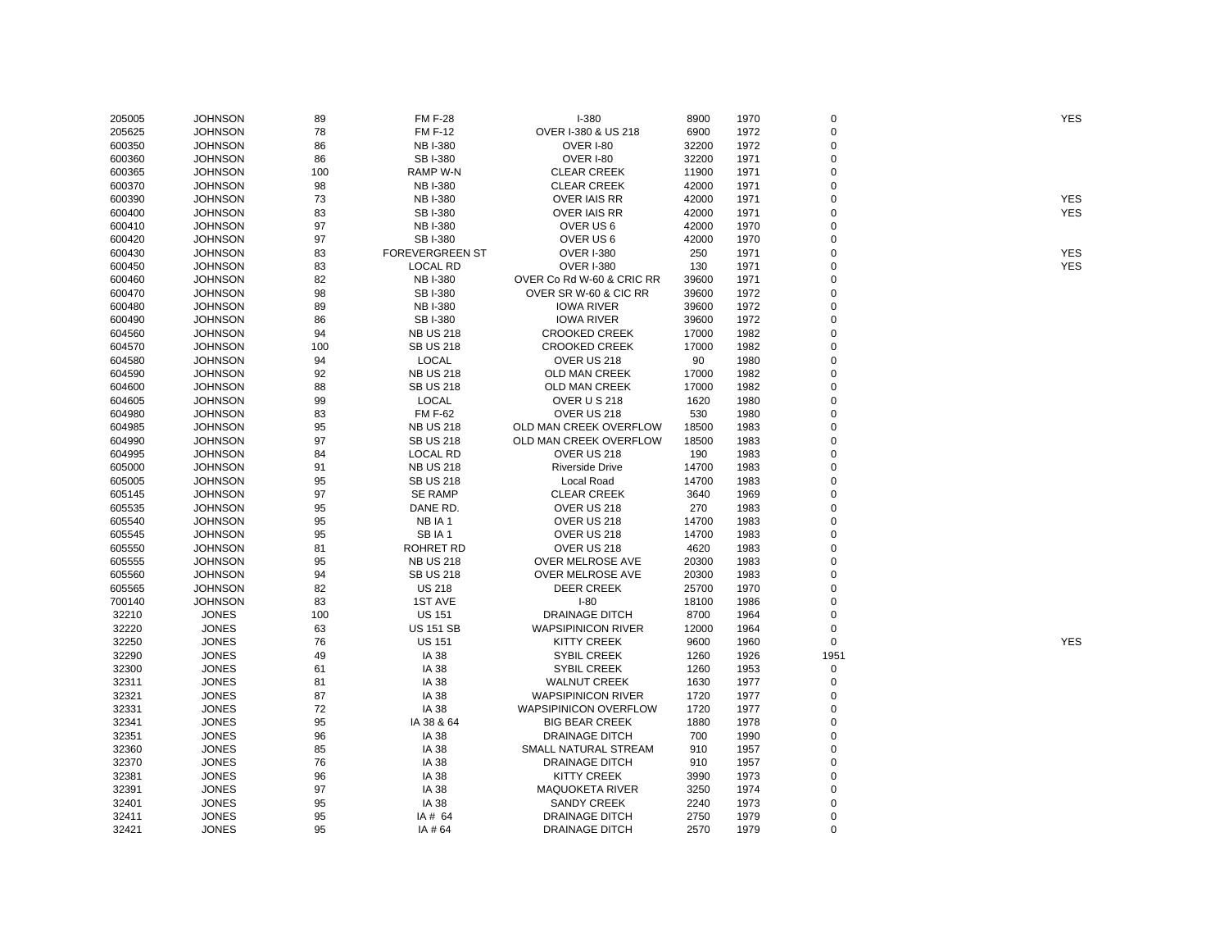| 205005 | <b>JOHNSON</b> | 89       | <b>FM F-28</b>         | <b>I-380</b>                 | 8900  | 1970         | $\mathbf 0$ | <b>YES</b> |
|--------|----------------|----------|------------------------|------------------------------|-------|--------------|-------------|------------|
| 205625 | <b>JOHNSON</b> | 78       | <b>FM F-12</b>         | OVER I-380 & US 218          | 6900  | 1972         | $\mathbf 0$ |            |
| 600350 | <b>JOHNSON</b> | 86       | <b>NB I-380</b>        | <b>OVER I-80</b>             | 32200 | 1972         | $\Omega$    |            |
| 600360 | <b>JOHNSON</b> | 86       | SB I-380               | OVER I-80                    | 32200 | 1971         | $\mathbf 0$ |            |
| 600365 | <b>JOHNSON</b> | 100      | RAMP W-N               | <b>CLEAR CREEK</b>           | 11900 | 1971         | $\mathbf 0$ |            |
| 600370 | <b>JOHNSON</b> | 98       | <b>NB I-380</b>        | <b>CLEAR CREEK</b>           | 42000 | 1971         | $\Omega$    |            |
| 600390 | <b>JOHNSON</b> | 73       | <b>NB I-380</b>        | <b>OVER IAIS RR</b>          | 42000 | 1971         | $\Omega$    | <b>YES</b> |
| 600400 | <b>JOHNSON</b> | 83       | SB I-380               | <b>OVER IAIS RR</b>          | 42000 | 1971         | $\Omega$    | <b>YES</b> |
| 600410 | <b>JOHNSON</b> | 97       | <b>NB I-380</b>        | OVER US 6                    | 42000 | 1970         | $\Omega$    |            |
| 600420 | <b>JOHNSON</b> | 97       | <b>SBI-380</b>         | OVER US 6                    | 42000 | 1970         | $\Omega$    |            |
| 600430 | <b>JOHNSON</b> | 83       | <b>FOREVERGREEN ST</b> | <b>OVER I-380</b>            | 250   | 1971         | $\Omega$    | <b>YES</b> |
| 600450 | <b>JOHNSON</b> | 83       | <b>LOCAL RD</b>        | <b>OVER I-380</b>            | 130   | 1971         | $\Omega$    | <b>YES</b> |
| 600460 | <b>JOHNSON</b> | 82       | <b>NB I-380</b>        | OVER Co Rd W-60 & CRIC RR    | 39600 | 1971         | $\mathbf 0$ |            |
| 600470 | <b>JOHNSON</b> | 98       | SB I-380               | OVER SR W-60 & CIC RR        | 39600 | 1972         | $\Omega$    |            |
| 600480 | <b>JOHNSON</b> | 89       | <b>NB I-380</b>        | <b>IOWA RIVER</b>            | 39600 | 1972         | $\Omega$    |            |
| 600490 | <b>JOHNSON</b> | 86       | <b>SBI-380</b>         | <b>IOWA RIVER</b>            | 39600 | 1972         | $\Omega$    |            |
| 604560 | <b>JOHNSON</b> | 94       | <b>NB US 218</b>       | <b>CROOKED CREEK</b>         | 17000 | 1982         | $\Omega$    |            |
| 604570 | <b>JOHNSON</b> | 100      | <b>SB US 218</b>       | <b>CROOKED CREEK</b>         | 17000 | 1982         | $\Omega$    |            |
| 604580 | <b>JOHNSON</b> | 94       | <b>LOCAL</b>           | OVER US 218                  | 90    | 1980         | $\Omega$    |            |
| 604590 | <b>JOHNSON</b> | 92       | <b>NB US 218</b>       | OLD MAN CREEK                | 17000 | 1982         | $\Omega$    |            |
| 604600 | <b>JOHNSON</b> | 88       | <b>SB US 218</b>       | OLD MAN CREEK                | 17000 | 1982         | $\mathbf 0$ |            |
| 604605 | <b>JOHNSON</b> | 99       | <b>LOCAL</b>           | <b>OVER U S 218</b>          | 1620  | 1980         | $\Omega$    |            |
| 604980 | <b>JOHNSON</b> | 83       | <b>FM F-62</b>         | OVER US 218                  | 530   | 1980         | $\Omega$    |            |
| 604985 | <b>JOHNSON</b> | 95       | <b>NB US 218</b>       | OLD MAN CREEK OVERFLOW       | 18500 | 1983         | $\Omega$    |            |
| 604990 | <b>JOHNSON</b> | 97       | <b>SB US 218</b>       | OLD MAN CREEK OVERFLOW       | 18500 | 1983         | $\Omega$    |            |
| 604995 |                | 84       | LOCAL RD               | OVER US 218                  | 190   | 1983         | $\Omega$    |            |
|        | <b>JOHNSON</b> |          |                        |                              |       |              | $\Omega$    |            |
| 605000 | <b>JOHNSON</b> | 91<br>95 | <b>NB US 218</b>       | <b>Riverside Drive</b>       | 14700 | 1983<br>1983 | $\mathbf 0$ |            |
| 605005 | <b>JOHNSON</b> |          | <b>SB US 218</b>       | Local Road                   | 14700 |              | $\Omega$    |            |
| 605145 | <b>JOHNSON</b> | 97       | <b>SE RAMP</b>         | <b>CLEAR CREEK</b>           | 3640  | 1969         |             |            |
| 605535 | <b>JOHNSON</b> | 95       | DANE RD.               | OVER US 218                  | 270   | 1983         | $\Omega$    |            |
| 605540 | <b>JOHNSON</b> | 95       | NB IA 1                | OVER US 218                  | 14700 | 1983         | $\Omega$    |            |
| 605545 | <b>JOHNSON</b> | 95       | SBIA1                  | OVER US 218                  | 14700 | 1983         | $\Omega$    |            |
| 605550 | <b>JOHNSON</b> | 81       | <b>ROHRET RD</b>       | OVER US 218                  | 4620  | 1983         | $\Omega$    |            |
| 605555 | <b>JOHNSON</b> | 95       | <b>NB US 218</b>       | OVER MELROSE AVE             | 20300 | 1983         | $\Omega$    |            |
| 605560 | <b>JOHNSON</b> | 94       | <b>SB US 218</b>       | OVER MELROSE AVE             | 20300 | 1983         | $\mathbf 0$ |            |
| 605565 | <b>JOHNSON</b> | 82       | <b>US 218</b>          | <b>DEER CREEK</b>            | 25700 | 1970         | $\mathbf 0$ |            |
| 700140 | <b>JOHNSON</b> | 83       | 1ST AVE                | $I-80$                       | 18100 | 1986         | $\Omega$    |            |
| 32210  | <b>JONES</b>   | 100      | <b>US 151</b>          | <b>DRAINAGE DITCH</b>        | 8700  | 1964         | $\Omega$    |            |
| 32220  | <b>JONES</b>   | 63       | <b>US 151 SB</b>       | <b>WAPSIPINICON RIVER</b>    | 12000 | 1964         | $\Omega$    |            |
| 32250  | <b>JONES</b>   | 76       | <b>US 151</b>          | <b>KITTY CREEK</b>           | 9600  | 1960         | 0           | <b>YES</b> |
| 32290  | <b>JONES</b>   | 49       | <b>IA 38</b>           | <b>SYBIL CREEK</b>           | 1260  | 1926         | 1951        |            |
| 32300  | <b>JONES</b>   | 61       | IA 38                  | <b>SYBIL CREEK</b>           | 1260  | 1953         | $\mathbf 0$ |            |
| 32311  | <b>JONES</b>   | 81       | IA 38                  | <b>WALNUT CREEK</b>          | 1630  | 1977         | 0           |            |
| 32321  | <b>JONES</b>   | 87       | IA 38                  | <b>WAPSIPINICON RIVER</b>    | 1720  | 1977         | $\mathbf 0$ |            |
| 32331  | <b>JONES</b>   | 72       | IA 38                  | <b>WAPSIPINICON OVERFLOW</b> | 1720  | 1977         | $\Omega$    |            |
| 32341  | <b>JONES</b>   | 95       | IA 38 & 64             | <b>BIG BEAR CREEK</b>        | 1880  | 1978         | $\Omega$    |            |
| 32351  | <b>JONES</b>   | 96       | IA 38                  | <b>DRAINAGE DITCH</b>        | 700   | 1990         | $\Omega$    |            |
| 32360  | <b>JONES</b>   | 85       | IA 38                  | SMALL NATURAL STREAM         | 910   | 1957         | $\Omega$    |            |
| 32370  | <b>JONES</b>   | 76       | IA 38                  | <b>DRAINAGE DITCH</b>        | 910   | 1957         | $\mathbf 0$ |            |
| 32381  | <b>JONES</b>   | 96       | IA 38                  | <b>KITTY CREEK</b>           | 3990  | 1973         | $\Omega$    |            |
| 32391  | <b>JONES</b>   | 97       | IA 38                  | <b>MAQUOKETA RIVER</b>       | 3250  | 1974         | $\Omega$    |            |
| 32401  | <b>JONES</b>   | 95       | IA 38                  | <b>SANDY CREEK</b>           | 2240  | 1973         | $\mathbf 0$ |            |
| 32411  | <b>JONES</b>   | 95       | IA # 64                | <b>DRAINAGE DITCH</b>        | 2750  | 1979         | $\Omega$    |            |
| 32421  | <b>JONES</b>   | 95       | IA # 64                | <b>DRAINAGE DITCH</b>        | 2570  | 1979         | $\Omega$    |            |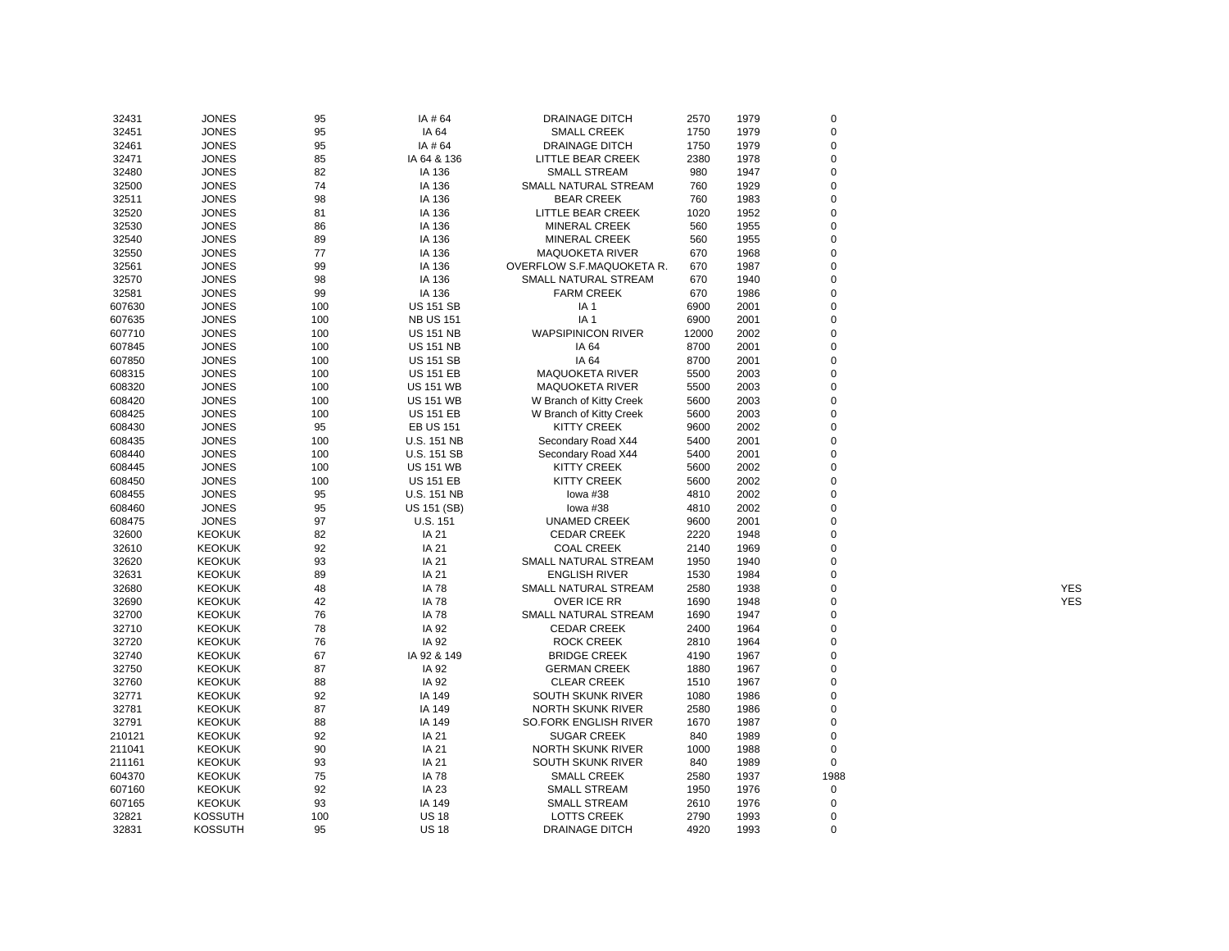| 32431  | <b>JONES</b>   | 95  | IA #64             | <b>DRAINAGE DITCH</b>     | 2570  | 1979 | $\mathbf 0$             |            |
|--------|----------------|-----|--------------------|---------------------------|-------|------|-------------------------|------------|
| 32451  | <b>JONES</b>   | 95  | IA 64              | <b>SMALL CREEK</b>        | 1750  | 1979 | $\mathbf 0$             |            |
| 32461  | <b>JONES</b>   | 95  | IA # 64            | <b>DRAINAGE DITCH</b>     | 1750  | 1979 | $\Omega$                |            |
| 32471  | <b>JONES</b>   | 85  | IA 64 & 136        | LITTLE BEAR CREEK         | 2380  | 1978 | $\mathbf 0$             |            |
| 32480  | <b>JONES</b>   | 82  | IA 136             | <b>SMALL STREAM</b>       | 980   | 1947 | $\mathbf 0$             |            |
| 32500  | <b>JONES</b>   | 74  | IA 136             | SMALL NATURAL STREAM      | 760   | 1929 | $\Omega$                |            |
| 32511  | <b>JONES</b>   | 98  | IA 136             | <b>BEAR CREEK</b>         | 760   | 1983 | $\Omega$                |            |
| 32520  | <b>JONES</b>   | 81  | IA 136             | LITTLE BEAR CREEK         | 1020  | 1952 | $\mathbf 0$             |            |
| 32530  | <b>JONES</b>   | 86  | IA 136             | MINERAL CREEK             | 560   | 1955 | $\Omega$                |            |
| 32540  | <b>JONES</b>   | 89  | IA 136             | <b>MINERAL CREEK</b>      | 560   | 1955 | $\mathbf 0$             |            |
| 32550  | <b>JONES</b>   | 77  | IA 136             | <b>MAQUOKETA RIVER</b>    | 670   | 1968 | $\Omega$                |            |
| 32561  | <b>JONES</b>   | 99  | IA 136             | OVERFLOW S.F.MAQUOKETA R. | 670   | 1987 | $\mathbf 0$             |            |
| 32570  | <b>JONES</b>   | 98  | IA 136             | SMALL NATURAL STREAM      | 670   | 1940 | $\mathbf 0$             |            |
| 32581  | <b>JONES</b>   | 99  | IA 136             | <b>FARM CREEK</b>         | 670   | 1986 | $\Omega$                |            |
| 607630 | <b>JONES</b>   | 100 | <b>US 151 SB</b>   | IA <sub>1</sub>           | 6900  | 2001 | $\Omega$                |            |
| 607635 | <b>JONES</b>   | 100 | <b>NB US 151</b>   | IA <sub>1</sub>           | 6900  | 2001 | $\Omega$                |            |
| 607710 | <b>JONES</b>   | 100 | <b>US 151 NB</b>   | <b>WAPSIPINICON RIVER</b> | 12000 | 2002 | $\Omega$                |            |
| 607845 | <b>JONES</b>   | 100 | <b>US 151 NB</b>   | IA 64                     | 8700  | 2001 | $\Omega$                |            |
| 607850 | <b>JONES</b>   | 100 | <b>US 151 SB</b>   | IA 64                     | 8700  | 2001 | $\Omega$                |            |
| 608315 | <b>JONES</b>   | 100 |                    | <b>MAQUOKETA RIVER</b>    | 5500  | 2003 | $\Omega$                |            |
|        |                |     | <b>US 151 EB</b>   |                           |       |      |                         |            |
| 608320 | <b>JONES</b>   | 100 | <b>US 151 WB</b>   | <b>MAQUOKETA RIVER</b>    | 5500  | 2003 | $\mathbf 0$<br>$\Omega$ |            |
| 608420 | <b>JONES</b>   | 100 | <b>US 151 WB</b>   | W Branch of Kitty Creek   | 5600  | 2003 |                         |            |
| 608425 | <b>JONES</b>   | 100 | <b>US 151 EB</b>   | W Branch of Kitty Creek   | 5600  | 2003 | $\mathbf 0$             |            |
| 608430 | <b>JONES</b>   | 95  | <b>EB US 151</b>   | <b>KITTY CREEK</b>        | 9600  | 2002 | $\mathbf 0$             |            |
| 608435 | <b>JONES</b>   | 100 | <b>U.S. 151 NB</b> | Secondary Road X44        | 5400  | 2001 | $\Omega$                |            |
| 608440 | <b>JONES</b>   | 100 | U.S. 151 SB        | Secondary Road X44        | 5400  | 2001 | $\mathbf 0$             |            |
| 608445 | <b>JONES</b>   | 100 | <b>US 151 WB</b>   | <b>KITTY CREEK</b>        | 5600  | 2002 | $\Omega$                |            |
| 608450 | <b>JONES</b>   | 100 | <b>US 151 EB</b>   | KITTY CREEK               | 5600  | 2002 | $\Omega$                |            |
| 608455 | <b>JONES</b>   | 95  | U.S. 151 NB        | lowa #38                  | 4810  | 2002 | $\mathbf 0$             |            |
| 608460 | <b>JONES</b>   | 95  | US 151 (SB)        | lowa #38                  | 4810  | 2002 | $\Omega$                |            |
| 608475 | <b>JONES</b>   | 97  | U.S. 151           | <b>UNAMED CREEK</b>       | 9600  | 2001 | $\Omega$                |            |
| 32600  | <b>KEOKUK</b>  | 82  | IA 21              | <b>CEDAR CREEK</b>        | 2220  | 1948 | $\Omega$                |            |
| 32610  | <b>KEOKUK</b>  | 92  | IA 21              | <b>COAL CREEK</b>         | 2140  | 1969 | $\Omega$                |            |
| 32620  | <b>KEOKUK</b>  | 93  | IA 21              | SMALL NATURAL STREAM      | 1950  | 1940 | $\Omega$                |            |
| 32631  | <b>KEOKUK</b>  | 89  | IA 21              | <b>ENGLISH RIVER</b>      | 1530  | 1984 | $\Omega$                |            |
| 32680  | <b>KEOKUK</b>  | 48  | <b>IA 78</b>       | SMALL NATURAL STREAM      | 2580  | 1938 | $\Omega$                | <b>YES</b> |
| 32690  | <b>KEOKUK</b>  | 42  | <b>IA 78</b>       | OVER ICE RR               | 1690  | 1948 | $\mathbf 0$             | <b>YES</b> |
| 32700  | <b>KEOKUK</b>  | 76  | <b>IA 78</b>       | SMALL NATURAL STREAM      | 1690  | 1947 | $\Omega$                |            |
| 32710  | <b>KEOKUK</b>  | 78  | IA 92              | <b>CEDAR CREEK</b>        | 2400  | 1964 | $\mathbf 0$             |            |
| 32720  | <b>KEOKUK</b>  | 76  | IA 92              | <b>ROCK CREEK</b>         | 2810  | 1964 | $\Omega$                |            |
| 32740  | <b>KEOKUK</b>  | 67  | IA 92 & 149        | <b>BRIDGE CREEK</b>       | 4190  | 1967 | $\Omega$                |            |
| 32750  | <b>KEOKUK</b>  | 87  | IA 92              | <b>GERMAN CREEK</b>       | 1880  | 1967 | $\mathbf 0$             |            |
| 32760  | <b>KEOKUK</b>  | 88  | IA 92              | <b>CLEAR CREEK</b>        | 1510  | 1967 | $\Omega$                |            |
| 32771  | <b>KEOKUK</b>  | 92  | IA 149             | SOUTH SKUNK RIVER         | 1080  | 1986 | $\mathbf 0$             |            |
| 32781  | <b>KEOKUK</b>  | 87  | IA 149             | NORTH SKUNK RIVER         | 2580  | 1986 | $\mathbf 0$             |            |
| 32791  | <b>KEOKUK</b>  | 88  | IA 149             | SO.FORK ENGLISH RIVER     | 1670  | 1987 | $\mathbf 0$             |            |
| 210121 | <b>KEOKUK</b>  | 92  | IA 21              | <b>SUGAR CREEK</b>        | 840   | 1989 | $\Omega$                |            |
| 211041 | <b>KEOKUK</b>  | 90  | IA 21              | <b>NORTH SKUNK RIVER</b>  | 1000  | 1988 | $\mathbf 0$             |            |
| 211161 | <b>KEOKUK</b>  | 93  | IA 21              | SOUTH SKUNK RIVER         | 840   | 1989 | $\mathbf 0$             |            |
| 604370 | <b>KEOKUK</b>  | 75  | <b>IA 78</b>       | <b>SMALL CREEK</b>        | 2580  | 1937 | 1988                    |            |
| 607160 | <b>KEOKUK</b>  | 92  | IA 23              | <b>SMALL STREAM</b>       | 1950  | 1976 | 0                       |            |
| 607165 | <b>KEOKUK</b>  | 93  | IA 149             | <b>SMALL STREAM</b>       | 2610  | 1976 | 0                       |            |
| 32821  | <b>KOSSUTH</b> | 100 | <b>US 18</b>       | <b>LOTTS CREEK</b>        | 2790  | 1993 | $\mathbf 0$             |            |
| 32831  | <b>KOSSUTH</b> | 95  | <b>US 18</b>       | <b>DRAINAGE DITCH</b>     | 4920  | 1993 | $\mathbf 0$             |            |
|        |                |     |                    |                           |       |      |                         |            |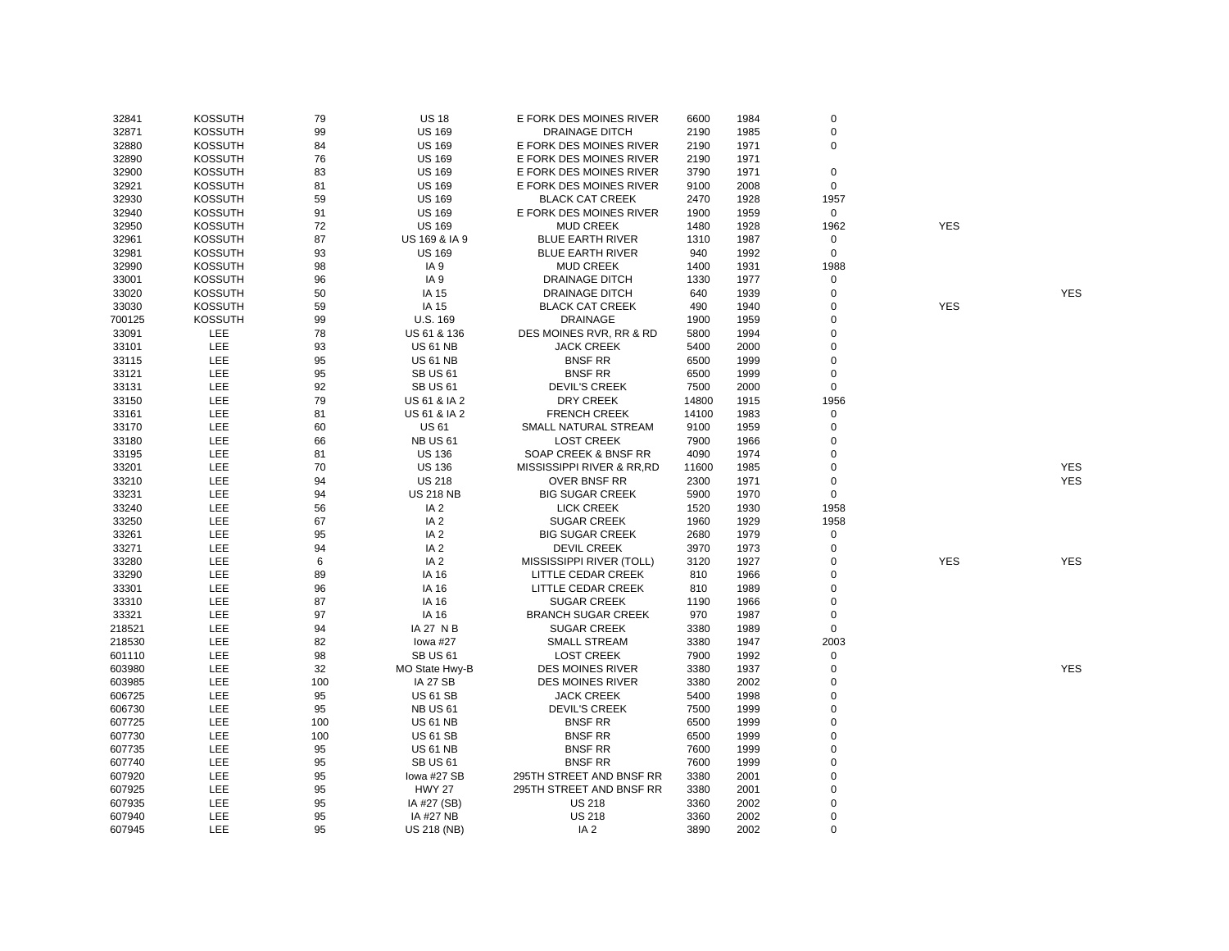| 32841  | <b>KOSSUTH</b> | 79  | <b>US 18</b>            | E FORK DES MOINES RIVER   | 6600  | 1984 | $\pmb{0}$   |            |            |
|--------|----------------|-----|-------------------------|---------------------------|-------|------|-------------|------------|------------|
| 32871  | <b>KOSSUTH</b> | 99  | <b>US 169</b>           | <b>DRAINAGE DITCH</b>     | 2190  | 1985 | $\pmb{0}$   |            |            |
| 32880  | <b>KOSSUTH</b> | 84  | <b>US 169</b>           | E FORK DES MOINES RIVER   | 2190  | 1971 | $\mathsf 0$ |            |            |
| 32890  | <b>KOSSUTH</b> | 76  | <b>US 169</b>           | E FORK DES MOINES RIVER   | 2190  | 1971 |             |            |            |
| 32900  | <b>KOSSUTH</b> | 83  | <b>US 169</b>           | E FORK DES MOINES RIVER   | 3790  | 1971 | $\mathsf 0$ |            |            |
| 32921  | <b>KOSSUTH</b> | 81  | <b>US 169</b>           | E FORK DES MOINES RIVER   | 9100  | 2008 | $\mathsf 0$ |            |            |
| 32930  | <b>KOSSUTH</b> | 59  | <b>US 169</b>           | <b>BLACK CAT CREEK</b>    | 2470  | 1928 | 1957        |            |            |
| 32940  | <b>KOSSUTH</b> | 91  | <b>US 169</b>           | E FORK DES MOINES RIVER   | 1900  | 1959 | $\mathbf 0$ |            |            |
| 32950  | <b>KOSSUTH</b> | 72  | <b>US 169</b>           | <b>MUD CREEK</b>          | 1480  | 1928 | 1962        | <b>YES</b> |            |
| 32961  | <b>KOSSUTH</b> | 87  | US 169 & IA 9           | <b>BLUE EARTH RIVER</b>   | 1310  | 1987 | 0           |            |            |
| 32981  | <b>KOSSUTH</b> | 93  | <b>US 169</b>           | <b>BLUE EARTH RIVER</b>   | 940   | 1992 | $\mathbf 0$ |            |            |
| 32990  | <b>KOSSUTH</b> | 98  | IA <sub>9</sub>         | <b>MUD CREEK</b>          | 1400  | 1931 | 1988        |            |            |
| 33001  | <b>KOSSUTH</b> | 96  | IA <sub>9</sub>         | <b>DRAINAGE DITCH</b>     | 1330  | 1977 | $\mathsf 0$ |            |            |
| 33020  | <b>KOSSUTH</b> | 50  | IA 15                   | <b>DRAINAGE DITCH</b>     | 640   | 1939 | $\mathsf 0$ |            | <b>YES</b> |
| 33030  | <b>KOSSUTH</b> | 59  | IA 15                   | <b>BLACK CAT CREEK</b>    | 490   | 1940 | 0           | <b>YES</b> |            |
| 700125 | <b>KOSSUTH</b> | 99  | U.S. 169                | <b>DRAINAGE</b>           | 1900  | 1959 | 0           |            |            |
| 33091  | LEE            | 78  | US 61 & 136             | DES MOINES RVR, RR & RD   | 5800  | 1994 | 0           |            |            |
| 33101  | LEE            | 93  | <b>US 61 NB</b>         | <b>JACK CREEK</b>         | 5400  | 2000 | 0           |            |            |
| 33115  | LEE            | 95  | <b>US 61 NB</b>         | <b>BNSF RR</b>            | 6500  | 1999 | 0           |            |            |
| 33121  | LEE            | 95  | <b>SB US 61</b>         | <b>BNSF RR</b>            | 6500  | 1999 | $\mathsf 0$ |            |            |
| 33131  | LEE            | 92  | <b>SB US 61</b>         | <b>DEVIL'S CREEK</b>      | 7500  | 2000 | $\mathbf 0$ |            |            |
| 33150  | LEE            | 79  | <b>US 61 &amp; IA 2</b> | <b>DRY CREEK</b>          | 14800 | 1915 | 1956        |            |            |
| 33161  | LEE            | 81  | <b>US 61 &amp; IA 2</b> | <b>FRENCH CREEK</b>       | 14100 | 1983 | $\mathsf 0$ |            |            |
| 33170  | LEE            | 60  | <b>US 61</b>            | SMALL NATURAL STREAM      | 9100  | 1959 | $\mathsf 0$ |            |            |
| 33180  | LEE            | 66  | <b>NB US 61</b>         | <b>LOST CREEK</b>         | 7900  | 1966 | $\mathsf 0$ |            |            |
| 33195  | LEE            | 81  | <b>US 136</b>           | SOAP CREEK & BNSF RR      | 4090  | 1974 | 0           |            |            |
| 33201  | LEE            | 70  | <b>US 136</b>           | MISSISSIPPI RIVER & RR,RD | 11600 | 1985 | 0           |            | <b>YES</b> |
| 33210  | LEE            | 94  | <b>US 218</b>           | OVER BNSF RR              | 2300  | 1971 | 0           |            | <b>YES</b> |
| 33231  | LEE            | 94  | <b>US 218 NB</b>        | <b>BIG SUGAR CREEK</b>    | 5900  | 1970 | $\mathbf 0$ |            |            |
| 33240  | LEE            | 56  | IA <sub>2</sub>         | <b>LICK CREEK</b>         | 1520  | 1930 | 1958        |            |            |
| 33250  | LEE            | 67  | IA <sub>2</sub>         | <b>SUGAR CREEK</b>        | 1960  | 1929 | 1958        |            |            |
| 33261  | LEE            | 95  | IA <sub>2</sub>         | <b>BIG SUGAR CREEK</b>    | 2680  | 1979 | 0           |            |            |
| 33271  | LEE            | 94  | IA <sub>2</sub>         | <b>DEVIL CREEK</b>        | 3970  | 1973 | $\mathsf 0$ |            |            |
| 33280  | LEE            | 6   | IA <sub>2</sub>         | MISSISSIPPI RIVER (TOLL)  | 3120  | 1927 | 0           | <b>YES</b> | <b>YES</b> |
| 33290  | LEE            | 89  | IA 16                   | LITTLE CEDAR CREEK        | 810   | 1966 | 0           |            |            |
| 33301  | LEE            | 96  | IA 16                   | LITTLE CEDAR CREEK        | 810   | 1989 | 0           |            |            |
| 33310  | LEE            | 87  | IA 16                   | <b>SUGAR CREEK</b>        | 1190  | 1966 | $\Omega$    |            |            |
| 33321  | LEE            | 97  | IA 16                   | <b>BRANCH SUGAR CREEK</b> | 970   | 1987 | $\pmb{0}$   |            |            |
| 218521 | LEE            | 94  | IA 27 N B               | <b>SUGAR CREEK</b>        | 3380  | 1989 | $\mathsf 0$ |            |            |
| 218530 | LEE            | 82  | lowa #27                | <b>SMALL STREAM</b>       | 3380  | 1947 | 2003        |            |            |
| 601110 | LEE            | 98  | <b>SB US 61</b>         | <b>LOST CREEK</b>         | 7900  | 1992 | $\mathsf 0$ |            |            |
| 603980 | LEE            | 32  | MO State Hwy-B          | <b>DES MOINES RIVER</b>   | 3380  | 1937 | $\pmb{0}$   |            | <b>YES</b> |
| 603985 | LEE            | 100 | <b>IA 27 SB</b>         | <b>DES MOINES RIVER</b>   | 3380  | 2002 | $\mathsf 0$ |            |            |
| 606725 | LEE            | 95  | <b>US 61 SB</b>         | <b>JACK CREEK</b>         | 5400  | 1998 | 0           |            |            |
| 606730 | LEE            | 95  | <b>NB US 61</b>         | <b>DEVIL'S CREEK</b>      | 7500  | 1999 | 0           |            |            |
| 607725 | LEE            | 100 | <b>US 61 NB</b>         | <b>BNSF RR</b>            | 6500  | 1999 | 0           |            |            |
| 607730 | LEE            | 100 | <b>US 61 SB</b>         | <b>BNSF RR</b>            | 6500  | 1999 | 0           |            |            |
| 607735 | LEE            | 95  | <b>US 61 NB</b>         | <b>BNSF RR</b>            | 7600  | 1999 | 0           |            |            |
| 607740 | LEE            | 95  | <b>SB US 61</b>         | <b>BNSF RR</b>            | 7600  | 1999 | 0           |            |            |
| 607920 | LEE            | 95  | lowa #27 SB             | 295TH STREET AND BNSF RR  | 3380  | 2001 | 0           |            |            |
| 607925 | LEE            | 95  | <b>HWY 27</b>           | 295TH STREET AND BNSF RR  | 3380  | 2001 | 0           |            |            |
| 607935 | LEE            | 95  | IA #27 (SB)             | <b>US 218</b>             | 3360  | 2002 | 0           |            |            |
| 607940 | LEE            | 95  | IA #27 NB               | <b>US 218</b>             | 3360  | 2002 | 0           |            |            |
| 607945 | LEE            | 95  | US 218 (NB)             | IA <sub>2</sub>           | 3890  | 2002 | $\mathsf 0$ |            |            |
|        |                |     |                         |                           |       |      |             |            |            |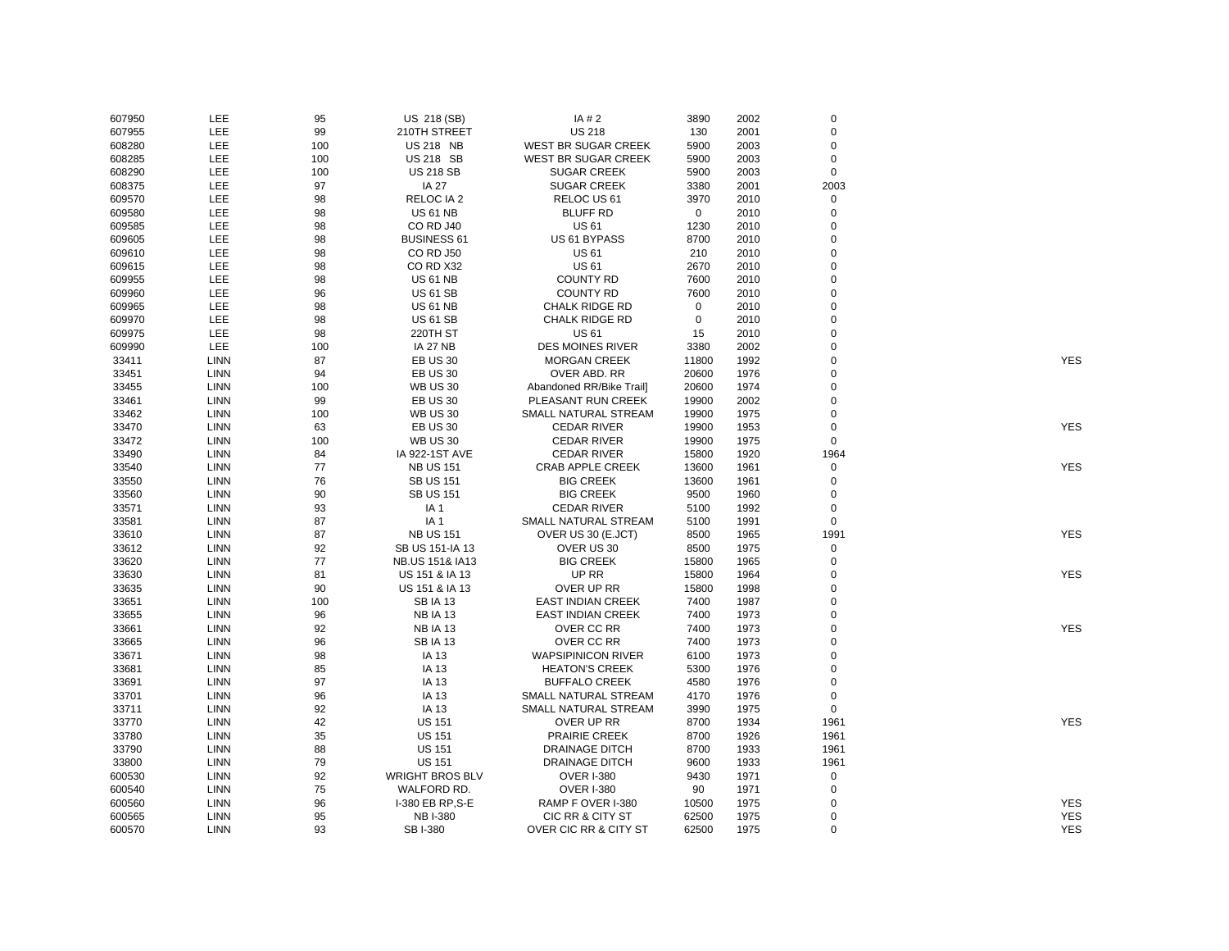| 607950 | LEE         | 95  | US 218 (SB)                | IA # 2                    | 3890        | 2002 | $\mathbf 0$ |            |
|--------|-------------|-----|----------------------------|---------------------------|-------------|------|-------------|------------|
| 607955 | LEE         | 99  | 210TH STREET               | <b>US 218</b>             | 130         | 2001 | $\mathbf 0$ |            |
| 608280 | LEE         | 100 | <b>US 218 NB</b>           | WEST BR SUGAR CREEK       | 5900        | 2003 | $\mathbf 0$ |            |
| 608285 | LEE         | 100 | <b>US 218 SB</b>           | WEST BR SUGAR CREEK       | 5900        | 2003 | $\mathbf 0$ |            |
| 608290 | LEE         | 100 | <b>US 218 SB</b>           | <b>SUGAR CREEK</b>        | 5900        | 2003 | $\mathsf 0$ |            |
| 608375 | LEE         | 97  | <b>IA 27</b>               | <b>SUGAR CREEK</b>        | 3380        | 2001 | 2003        |            |
| 609570 | LEE         | 98  | RELOC IA 2                 | RELOC US 61               | 3970        | 2010 | $\mathbf 0$ |            |
| 609580 | LEE         | 98  | <b>US 61 NB</b>            | <b>BLUFF RD</b>           | $\mathbf 0$ | 2010 | $\mathbf 0$ |            |
| 609585 | LEE         | 98  | CO RD J40                  | <b>US61</b>               | 1230        | 2010 | $\Omega$    |            |
| 609605 | LEE         | 98  | <b>BUSINESS 61</b>         | US 61 BYPASS              | 8700        | 2010 | $\mathbf 0$ |            |
| 609610 | <b>LEE</b>  | 98  | <b>CO RD J50</b>           | <b>US61</b>               | 210         | 2010 | $\Omega$    |            |
| 609615 | <b>LEE</b>  | 98  | CORD X32                   | <b>US61</b>               | 2670        | 2010 | $\mathbf 0$ |            |
| 609955 | <b>LEE</b>  | 98  | <b>US 61 NB</b>            | <b>COUNTY RD</b>          | 7600        | 2010 | $\mathbf 0$ |            |
| 609960 | LEE         | 96  | <b>US 61 SB</b>            | <b>COUNTY RD</b>          | 7600        | 2010 | $\Omega$    |            |
| 609965 | <b>LEE</b>  | 98  | <b>US 61 NB</b>            | <b>CHALK RIDGE RD</b>     | 0           | 2010 | 0           |            |
| 609970 | LEE         | 98  | <b>US 61 SB</b>            | CHALK RIDGE RD            | 0           | 2010 | $\Omega$    |            |
| 609975 | LEE         | 98  | 220TH ST                   | <b>US 61</b>              | 15          | 2010 | $\mathbf 0$ |            |
| 609990 | LEE         | 100 | <b>IA 27 NB</b>            | <b>DES MOINES RIVER</b>   | 3380        | 2002 | $\mathbf 0$ |            |
|        |             |     |                            |                           |             |      | $\mathbf 0$ |            |
| 33411  | LINN        | 87  | <b>EB US 30</b>            | <b>MORGAN CREEK</b>       | 11800       | 1992 | $\Omega$    | <b>YES</b> |
| 33451  | <b>LINN</b> | 94  | <b>EB US 30</b>            | OVER ABD. RR              | 20600       | 1976 |             |            |
| 33455  | LINN        | 100 | <b>WB US 30</b>            | Abandoned RR/Bike Trail]  | 20600       | 1974 | $\mathbf 0$ |            |
| 33461  | LINN        | 99  | <b>EB US 30</b>            | PLEASANT RUN CREEK        | 19900       | 2002 | $\Omega$    |            |
| 33462  | <b>LINN</b> | 100 | <b>WB US 30</b>            | SMALL NATURAL STREAM      | 19900       | 1975 | $\mathbf 0$ |            |
| 33470  | <b>LINN</b> | 63  | <b>EB US 30</b>            | <b>CEDAR RIVER</b>        | 19900       | 1953 | $\mathbf 0$ | <b>YES</b> |
| 33472  | LINN        | 100 | <b>WB US 30</b>            | <b>CEDAR RIVER</b>        | 19900       | 1975 | $\mathbf 0$ |            |
| 33490  | <b>LINN</b> | 84  | <b>IA 922-1ST AVE</b>      | <b>CEDAR RIVER</b>        | 15800       | 1920 | 1964        |            |
| 33540  | LINN        | 77  | <b>NB US 151</b>           | <b>CRAB APPLE CREEK</b>   | 13600       | 1961 | $\mathbf 0$ | <b>YES</b> |
| 33550  | LINN        | 76  | <b>SB US 151</b>           | <b>BIG CREEK</b>          | 13600       | 1961 | $\mathbf 0$ |            |
| 33560  | <b>LINN</b> | 90  | <b>SB US 151</b>           | <b>BIG CREEK</b>          | 9500        | 1960 | $\mathbf 0$ |            |
| 33571  | <b>LINN</b> | 93  | IA <sub>1</sub>            | <b>CEDAR RIVER</b>        | 5100        | 1992 | $\mathbf 0$ |            |
| 33581  | <b>LINN</b> | 87  | IA <sub>1</sub>            | SMALL NATURAL STREAM      | 5100        | 1991 | $\mathbf 0$ |            |
| 33610  | LINN        | 87  | <b>NB US 151</b>           | OVER US 30 (E.JCT)        | 8500        | 1965 | 1991        | <b>YES</b> |
| 33612  | LINN        | 92  | SB US 151-IA 13            | OVER US 30                | 8500        | 1975 | $\mathbf 0$ |            |
| 33620  | <b>LINN</b> | 77  | <b>NB.US 151&amp; IA13</b> | <b>BIG CREEK</b>          | 15800       | 1965 | $\mathbf 0$ |            |
| 33630  | LINN        | 81  | US 151 & IA 13             | UP RR                     | 15800       | 1964 | 0           | <b>YES</b> |
| 33635  | LINN        | 90  | US 151 & IA 13             | OVER UP RR                | 15800       | 1998 | $\mathbf 0$ |            |
| 33651  | <b>LINN</b> | 100 | <b>SBIA13</b>              | <b>EAST INDIAN CREEK</b>  | 7400        | 1987 | $\mathbf 0$ |            |
| 33655  | <b>LINN</b> | 96  | <b>NB IA 13</b>            | <b>EAST INDIAN CREEK</b>  | 7400        | 1973 | $\Omega$    |            |
| 33661  | <b>LINN</b> | 92  | <b>NB IA 13</b>            | OVER CC RR                | 7400        | 1973 | $\Omega$    | <b>YES</b> |
| 33665  | LINN        | 96  | <b>SBIA13</b>              | OVER CC RR                | 7400        | 1973 | $\Omega$    |            |
| 33671  | LINN        | 98  | IA 13                      | <b>WAPSIPINICON RIVER</b> | 6100        | 1973 | $\mathbf 0$ |            |
| 33681  | LINN        | 85  | IA 13                      | <b>HEATON'S CREEK</b>     | 5300        | 1976 | $\mathbf 0$ |            |
| 33691  | <b>LINN</b> | 97  | IA 13                      | <b>BUFFALO CREEK</b>      | 4580        | 1976 | $\mathbf 0$ |            |
| 33701  | <b>LINN</b> | 96  | IA 13                      | SMALL NATURAL STREAM      | 4170        | 1976 | $\mathbf 0$ |            |
| 33711  | <b>LINN</b> | 92  | IA 13                      | SMALL NATURAL STREAM      | 3990        | 1975 | $\mathsf 0$ |            |
| 33770  | LINN        | 42  | <b>US 151</b>              | OVER UP RR                | 8700        | 1934 | 1961        | <b>YES</b> |
| 33780  | <b>LINN</b> | 35  | <b>US 151</b>              | PRAIRIE CREEK             | 8700        | 1926 | 1961        |            |
| 33790  | LINN        | 88  | <b>US 151</b>              | DRAINAGE DITCH            | 8700        | 1933 | 1961        |            |
| 33800  | LINN        | 79  | <b>US 151</b>              | <b>DRAINAGE DITCH</b>     | 9600        | 1933 | 1961        |            |
| 600530 | <b>LINN</b> | 92  | <b>WRIGHT BROS BLV</b>     | <b>OVER I-380</b>         | 9430        | 1971 | $\mathbf 0$ |            |
| 600540 | <b>LINN</b> | 75  | WALFORD RD.                | <b>OVER I-380</b>         | 90          | 1971 | $\mathbf 0$ |            |
| 600560 | <b>LINN</b> | 96  | I-380 EB RP, S-E           | RAMP F OVER I-380         | 10500       | 1975 | $\mathbf 0$ | <b>YES</b> |
| 600565 | <b>LINN</b> | 95  | <b>NB I-380</b>            | CIC RR & CITY ST          | 62500       | 1975 | $\mathbf 0$ | <b>YES</b> |
| 600570 | <b>LINN</b> | 93  | SB I-380                   | OVER CIC RR & CITY ST     | 62500       | 1975 | $\Omega$    | <b>YES</b> |
|        |             |     |                            |                           |             |      |             |            |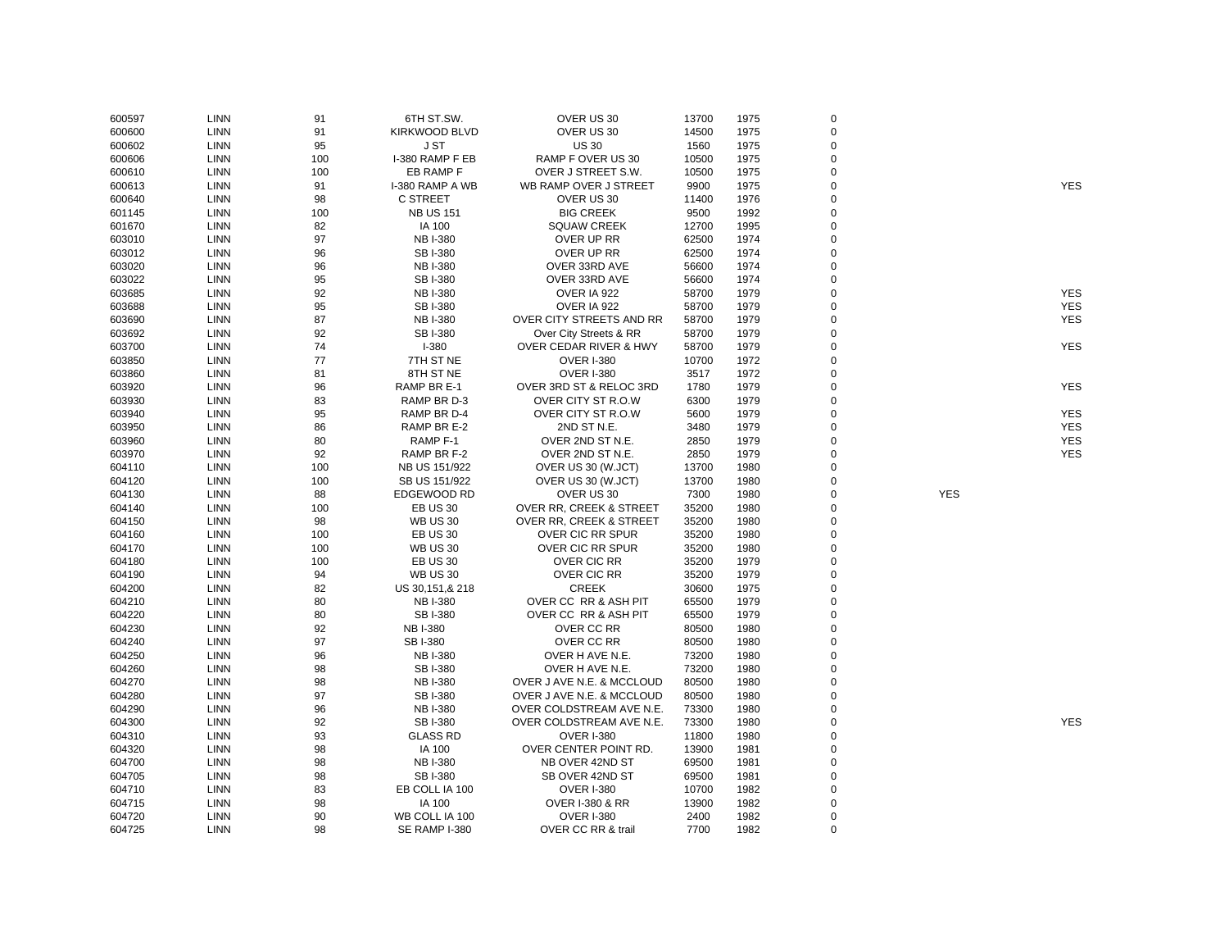| 600597 | LINN        | 91  | 6TH ST.SW.          | OVER US 30                         | 13700 | 1975         | 0           |            |            |
|--------|-------------|-----|---------------------|------------------------------------|-------|--------------|-------------|------------|------------|
| 600600 | <b>LINN</b> | 91  | KIRKWOOD BLVD       | OVER US 30                         | 14500 | 1975         | $\mathbf 0$ |            |            |
| 600602 | <b>LINN</b> | 95  | J ST                | <b>US 30</b>                       | 1560  | 1975         | $\Omega$    |            |            |
| 600606 | LINN        | 100 | I-380 RAMP F EB     | RAMP F OVER US 30                  | 10500 | 1975         | $\Omega$    |            |            |
| 600610 | LINN        | 100 | EB RAMP F           | OVER J STREET S.W.                 | 10500 | 1975         | $\mathbf 0$ |            |            |
| 600613 | <b>LINN</b> | 91  | I-380 RAMP A WB     | WB RAMP OVER J STREET              | 9900  | 1975         | $\Omega$    |            | <b>YES</b> |
| 600640 | <b>LINN</b> | 98  | <b>C STREET</b>     | OVER US 30                         | 11400 | 1976         | $\Omega$    |            |            |
| 601145 | LINN        | 100 | <b>NB US 151</b>    | <b>BIG CREEK</b>                   | 9500  | 1992         | 0           |            |            |
| 601670 | <b>LINN</b> | 82  | IA 100              | <b>SQUAW CREEK</b>                 | 12700 | 1995         | $\mathbf 0$ |            |            |
| 603010 | <b>LINN</b> | 97  | <b>NB I-380</b>     | OVER UP RR                         | 62500 | 1974         | $\mathbf 0$ |            |            |
| 603012 | LINN        | 96  | <b>SBI-380</b>      | OVER UP RR                         | 62500 | 1974         | $\mathbf 0$ |            |            |
| 603020 | LINN        | 96  | <b>NB I-380</b>     | OVER 33RD AVE                      | 56600 | 1974         | $\Omega$    |            |            |
| 603022 | <b>LINN</b> | 95  | SB I-380            | OVER 33RD AVE                      | 56600 | 1974         | $\mathbf 0$ |            |            |
| 603685 | <b>LINN</b> | 92  | <b>NB I-380</b>     | OVER IA 922                        | 58700 | 1979         | $\Omega$    |            | <b>YES</b> |
| 603688 | LINN        | 95  | <b>SBI-380</b>      | OVER IA 922                        | 58700 | 1979         | $\Omega$    |            | <b>YES</b> |
| 603690 | <b>LINN</b> | 87  | <b>NB I-380</b>     | OVER CITY STREETS AND RR           | 58700 | 1979         | $\Omega$    |            | <b>YES</b> |
| 603692 | <b>LINN</b> | 92  | SB I-380            | Over City Streets & RR             | 58700 | 1979         | $\mathbf 0$ |            |            |
| 603700 | <b>LINN</b> | 74  | $I - 380$           | OVER CEDAR RIVER & HWY             | 58700 | 1979         | 0           |            | <b>YES</b> |
| 603850 | <b>LINN</b> | 77  | 7TH ST NE           | <b>OVER I-380</b>                  | 10700 | 1972         | $\Omega$    |            |            |
| 603860 | <b>LINN</b> | 81  | 8TH ST NE           | <b>OVER I-380</b>                  | 3517  | 1972         | $\Omega$    |            |            |
| 603920 | <b>LINN</b> | 96  | RAMP BR E-1         | OVER 3RD ST & RELOC 3RD            | 1780  | 1979         | $\Omega$    |            | <b>YES</b> |
| 603930 | LINN        | 83  | RAMP BR D-3         | OVER CITY ST R.O.W                 | 6300  | 1979         | $\Omega$    |            |            |
| 603940 | LINN        | 95  | RAMP BR D-4         | OVER CITY ST R.O.W                 | 5600  | 1979         | $\mathbf 0$ |            | <b>YES</b> |
| 603950 | <b>LINN</b> | 86  | RAMP BR E-2         | 2ND ST N.E.                        | 3480  | 1979         | $\Omega$    |            | <b>YES</b> |
| 603960 | <b>LINN</b> | 80  | RAMP <sub>F-1</sub> | OVER 2ND ST N.E.                   | 2850  | 1979         | $\Omega$    |            | <b>YES</b> |
|        |             | 92  |                     |                                    |       |              | $\Omega$    |            | <b>YES</b> |
| 603970 | <b>LINN</b> |     | RAMP BR F-2         | OVER 2ND ST N.E.                   | 2850  | 1979<br>1980 | $\mathbf 0$ |            |            |
| 604110 | <b>LINN</b> | 100 | NB US 151/922       | OVER US 30 (W.JCT)                 | 13700 |              |             |            |            |
| 604120 | <b>LINN</b> | 100 | SB US 151/922       | OVER US 30 (W.JCT)                 | 13700 | 1980         | $\mathbf 0$ |            |            |
| 604130 | <b>LINN</b> | 88  | EDGEWOOD RD         | OVER US 30                         | 7300  | 1980         | $\Omega$    | <b>YES</b> |            |
| 604140 | LINN        | 100 | <b>EB US 30</b>     | <b>OVER RR, CREEK &amp; STREET</b> | 35200 | 1980         | 0           |            |            |
| 604150 | <b>LINN</b> | 98  | <b>WB US 30</b>     | OVER RR, CREEK & STREET            | 35200 | 1980         | $\mathbf 0$ |            |            |
| 604160 | <b>LINN</b> | 100 | <b>EB US 30</b>     | OVER CIC RR SPUR                   | 35200 | 1980         | $\Omega$    |            |            |
| 604170 | <b>LINN</b> | 100 | <b>WB US 30</b>     | <b>OVER CIC RR SPUR</b>            | 35200 | 1980         | $\mathbf 0$ |            |            |
| 604180 | LINN        | 100 | <b>EB US 30</b>     | <b>OVER CIC RR</b>                 | 35200 | 1979         | 0           |            |            |
| 604190 | <b>LINN</b> | 94  | <b>WB US 30</b>     | OVER CIC RR                        | 35200 | 1979         | $\mathbf 0$ |            |            |
| 604200 | <b>LINN</b> | 82  | US 30, 151, & 218   | <b>CREEK</b>                       | 30600 | 1975         | $\Omega$    |            |            |
| 604210 | LINN        | 80  | <b>NB I-380</b>     | OVER CC RR & ASH PIT               | 65500 | 1979         | $\Omega$    |            |            |
| 604220 | LINN        | 80  | <b>SBI-380</b>      | OVER CC RR & ASH PIT               | 65500 | 1979         | $\mathbf 0$ |            |            |
| 604230 | <b>LINN</b> | 92  | <b>NB I-380</b>     | OVER CC RR                         | 80500 | 1980         | $\Omega$    |            |            |
| 604240 | <b>LINN</b> | 97  | <b>SB I-380</b>     | OVER CC RR                         | 80500 | 1980         | $\Omega$    |            |            |
| 604250 | LINN        | 96  | <b>NB I-380</b>     | OVER H AVE N.E.                    | 73200 | 1980         | $\Omega$    |            |            |
| 604260 | <b>LINN</b> | 98  | SB I-380            | OVER H AVE N.E.                    | 73200 | 1980         | $\Omega$    |            |            |
| 604270 | <b>LINN</b> | 98  | <b>NB I-380</b>     | OVER J AVE N.E. & MCCLOUD          | 80500 | 1980         | $\Omega$    |            |            |
| 604280 | LINN        | 97  | <b>SBI-380</b>      | OVER J AVE N.E. & MCCLOUD          | 80500 | 1980         | $\Omega$    |            |            |
| 604290 | <b>LINN</b> | 96  | <b>NB I-380</b>     | OVER COLDSTREAM AVE N.E.           | 73300 | 1980         | $\Omega$    |            |            |
| 604300 | <b>LINN</b> | 92  | SB I-380            | OVER COLDSTREAM AVE N.E.           | 73300 | 1980         | $\mathbf 0$ |            | <b>YES</b> |
| 604310 | <b>LINN</b> | 93  | <b>GLASS RD</b>     | <b>OVER I-380</b>                  | 11800 | 1980         | $\Omega$    |            |            |
| 604320 | LINN        | 98  | IA 100              | OVER CENTER POINT RD.              | 13900 | 1981         | $\Omega$    |            |            |
| 604700 | <b>LINN</b> | 98  | <b>NB I-380</b>     | NB OVER 42ND ST                    | 69500 | 1981         | $\Omega$    |            |            |
| 604705 | <b>LINN</b> | 98  | SB I-380            | SB OVER 42ND ST                    | 69500 | 1981         | $\mathbf 0$ |            |            |
| 604710 | LINN        | 83  | EB COLL IA 100      | <b>OVER I-380</b>                  | 10700 | 1982         | $\Omega$    |            |            |
| 604715 | LINN        | 98  | IA 100              | <b>OVER I-380 &amp; RR</b>         | 13900 | 1982         | $\Omega$    |            |            |
| 604720 | <b>LINN</b> | 90  | WB COLL IA 100      | <b>OVER I-380</b>                  | 2400  | 1982         | $\mathbf 0$ |            |            |
| 604725 | <b>LINN</b> | 98  | SE RAMP I-380       | OVER CC RR & trail                 | 7700  | 1982         | $\Omega$    |            |            |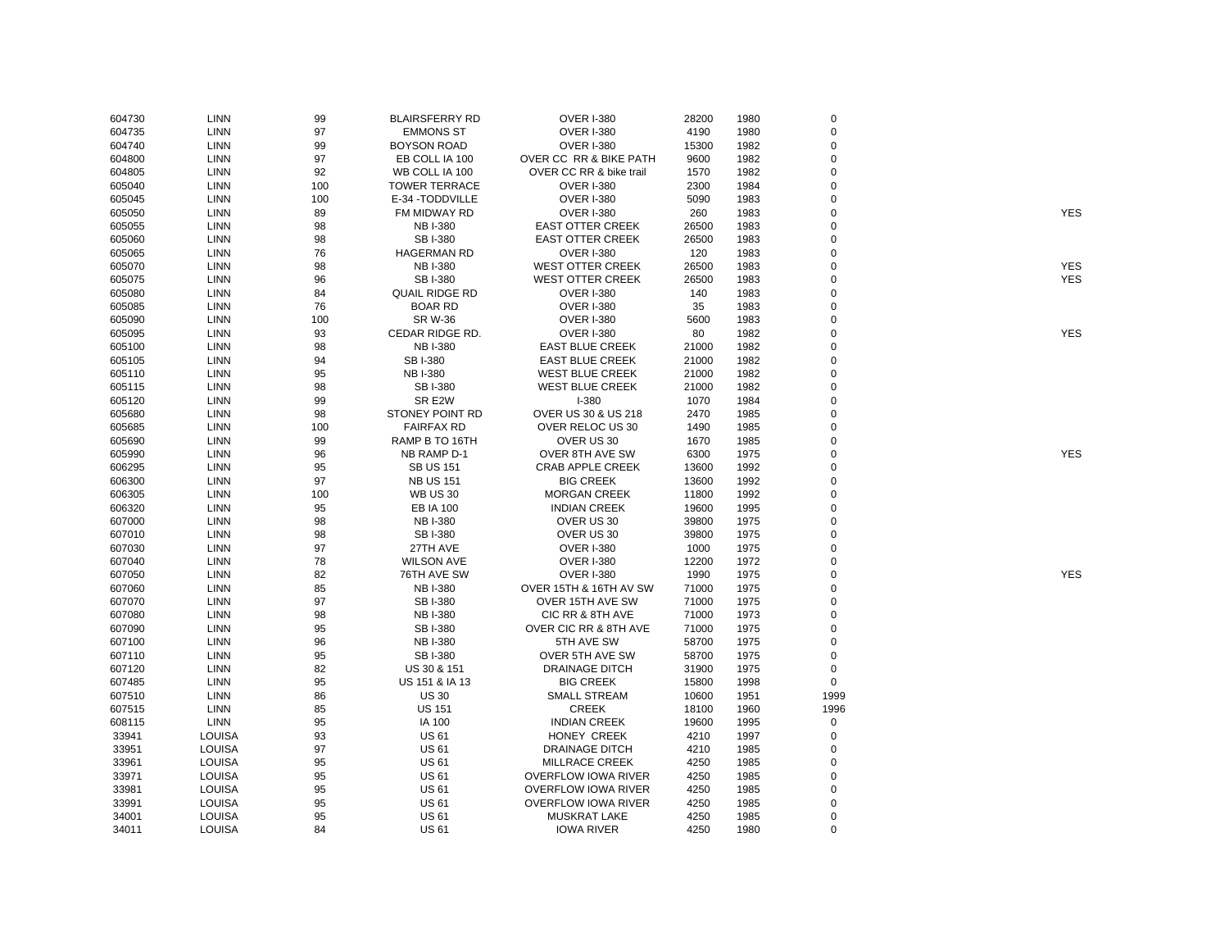| 604730 | LINN          | 99  | <b>BLAIRSFERRY RD</b> | <b>OVER I-380</b>          | 28200 | 1980 | 0           |            |
|--------|---------------|-----|-----------------------|----------------------------|-------|------|-------------|------------|
| 604735 | LINN          | 97  | <b>EMMONS ST</b>      | <b>OVER I-380</b>          | 4190  | 1980 | 0           |            |
| 604740 | <b>LINN</b>   | 99  | <b>BOYSON ROAD</b>    | <b>OVER I-380</b>          | 15300 | 1982 | $\mathbf 0$ |            |
| 604800 | <b>LINN</b>   | 97  | EB COLL IA 100        | OVER CC RR & BIKE PATH     | 9600  | 1982 | 0           |            |
| 604805 | <b>LINN</b>   | 92  | WB COLL IA 100        | OVER CC RR & bike trail    | 1570  | 1982 | $\mathbf 0$ |            |
| 605040 | <b>LINN</b>   | 100 | <b>TOWER TERRACE</b>  | <b>OVER I-380</b>          | 2300  | 1984 | $\mathbf 0$ |            |
| 605045 | LINN          | 100 | E-34 - TODDVILLE      | <b>OVER I-380</b>          | 5090  | 1983 | $\mathbf 0$ |            |
| 605050 | LINN          | 89  | FM MIDWAY RD          | <b>OVER I-380</b>          | 260   | 1983 | 0           | <b>YES</b> |
| 605055 | <b>LINN</b>   | 98  | <b>NB I-380</b>       | <b>EAST OTTER CREEK</b>    | 26500 | 1983 | $\mathbf 0$ |            |
| 605060 | <b>LINN</b>   | 98  | <b>SBI-380</b>        | <b>EAST OTTER CREEK</b>    | 26500 | 1983 | 0           |            |
| 605065 | <b>LINN</b>   | 76  | <b>HAGERMAN RD</b>    | <b>OVER I-380</b>          | 120   | 1983 | 0           |            |
| 605070 | LINN          | 98  | <b>NB I-380</b>       | <b>WEST OTTER CREEK</b>    | 26500 | 1983 | $\Omega$    | <b>YES</b> |
| 605075 | <b>LINN</b>   | 96  | <b>SBI-380</b>        | <b>WEST OTTER CREEK</b>    | 26500 | 1983 | $\mathbf 0$ | <b>YES</b> |
| 605080 | LINN          | 84  | <b>QUAIL RIDGE RD</b> | <b>OVER I-380</b>          | 140   | 1983 | $\mathbf 0$ |            |
| 605085 | LINN          | 76  | <b>BOAR RD</b>        | <b>OVER I-380</b>          | 35    | 1983 | $\mathbf 0$ |            |
| 605090 | <b>LINN</b>   | 100 | <b>SR W-36</b>        | <b>OVER I-380</b>          | 5600  | 1983 | 0           |            |
| 605095 | <b>LINN</b>   | 93  | CEDAR RIDGE RD.       | <b>OVER I-380</b>          | 80    | 1982 | $\mathbf 0$ | <b>YES</b> |
| 605100 | <b>LINN</b>   | 98  | <b>NB I-380</b>       | <b>EAST BLUE CREEK</b>     | 21000 | 1982 | $\Omega$    |            |
| 605105 | <b>LINN</b>   | 94  | SB I-380              | <b>EAST BLUE CREEK</b>     | 21000 | 1982 | $\Omega$    |            |
|        |               | 95  | <b>NBI-380</b>        | <b>WEST BLUE CREEK</b>     |       | 1982 | $\mathbf 0$ |            |
| 605110 | LINN          | 98  |                       |                            | 21000 |      |             |            |
| 605115 | LINN          |     | SB I-380              | <b>WEST BLUE CREEK</b>     | 21000 | 1982 | 0           |            |
| 605120 | <b>LINN</b>   | 99  | SR E2W                | $I - 380$                  | 1070  | 1984 | $\mathbf 0$ |            |
| 605680 | <b>LINN</b>   | 98  | STONEY POINT RD       | OVER US 30 & US 218        | 2470  | 1985 | 0           |            |
| 605685 | <b>LINN</b>   | 100 | <b>FAIRFAX RD</b>     | OVER RELOC US 30           | 1490  | 1985 | 0           |            |
| 605690 | <b>LINN</b>   | 99  | RAMP B TO 16TH        | OVER US 30                 | 1670  | 1985 | $\Omega$    |            |
| 605990 | LINN          | 96  | NB RAMP D-1           | <b>OVER 8TH AVE SW</b>     | 6300  | 1975 | 0           | <b>YES</b> |
| 606295 | LINN          | 95  | <b>SB US 151</b>      | <b>CRAB APPLE CREEK</b>    | 13600 | 1992 | $\mathbf 0$ |            |
| 606300 | LINN          | 97  | <b>NB US 151</b>      | <b>BIG CREEK</b>           | 13600 | 1992 | $\mathbf 0$ |            |
| 606305 | <b>LINN</b>   | 100 | <b>WB US 30</b>       | <b>MORGAN CREEK</b>        | 11800 | 1992 | $\mathbf 0$ |            |
| 606320 | <b>LINN</b>   | 95  | <b>EB IA 100</b>      | <b>INDIAN CREEK</b>        | 19600 | 1995 | 0           |            |
| 607000 | <b>LINN</b>   | 98  | <b>NB I-380</b>       | OVER US 30                 | 39800 | 1975 | $\mathbf 0$ |            |
| 607010 | LINN          | 98  | <b>SBI-380</b>        | OVER US 30                 | 39800 | 1975 | $\Omega$    |            |
| 607030 | <b>LINN</b>   | 97  | 27TH AVE              | <b>OVER I-380</b>          | 1000  | 1975 | $\mathbf 0$ |            |
| 607040 | LINN          | 78  | <b>WILSON AVE</b>     | <b>OVER I-380</b>          | 12200 | 1972 | $\mathbf 0$ |            |
| 607050 | <b>LINN</b>   | 82  | 76TH AVE SW           | <b>OVER I-380</b>          | 1990  | 1975 | $\mathbf 0$ | <b>YES</b> |
| 607060 | <b>LINN</b>   | 85  | <b>NB I-380</b>       | OVER 15TH & 16TH AV SW     | 71000 | 1975 | $\mathbf 0$ |            |
| 607070 | <b>LINN</b>   | 97  | <b>SBI-380</b>        | OVER 15TH AVE SW           | 71000 | 1975 | $\mathbf 0$ |            |
| 607080 | <b>LINN</b>   | 98  | <b>NB I-380</b>       | CIC RR & 8TH AVE           | 71000 | 1973 | $\mathbf 0$ |            |
| 607090 | LINN          | 95  | <b>SB I-380</b>       | OVER CIC RR & 8TH AVE      | 71000 | 1975 | 0           |            |
| 607100 | LINN          | 96  | <b>NB I-380</b>       | 5TH AVE SW                 | 58700 | 1975 | $\mathbf 0$ |            |
| 607110 | LINN          | 95  | <b>SBI-380</b>        | OVER 5TH AVE SW            | 58700 | 1975 | 0           |            |
| 607120 | <b>LINN</b>   | 82  | US 30 & 151           | <b>DRAINAGE DITCH</b>      | 31900 | 1975 | $\mathsf 0$ |            |
| 607485 | LINN          | 95  | US 151 & IA 13        | <b>BIG CREEK</b>           | 15800 | 1998 | $\mathbf 0$ |            |
| 607510 | <b>LINN</b>   | 86  | <b>US 30</b>          | <b>SMALL STREAM</b>        | 10600 | 1951 | 1999        |            |
| 607515 | <b>LINN</b>   | 85  | <b>US 151</b>         | <b>CREEK</b>               | 18100 | 1960 | 1996        |            |
| 608115 | <b>LINN</b>   | 95  | IA 100                | <b>INDIAN CREEK</b>        | 19600 | 1995 | $\mathbf 0$ |            |
| 33941  | LOUISA        | 93  | <b>US61</b>           | HONEY CREEK                | 4210  | 1997 | 0           |            |
| 33951  | LOUISA        | 97  | <b>US 61</b>          | <b>DRAINAGE DITCH</b>      | 4210  | 1985 | 0           |            |
| 33961  | <b>LOUISA</b> | 95  | <b>US 61</b>          | <b>MILLRACE CREEK</b>      | 4250  | 1985 | $\mathbf 0$ |            |
| 33971  | LOUISA        | 95  | <b>US 61</b>          | <b>OVERFLOW IOWA RIVER</b> | 4250  | 1985 | 0           |            |
| 33981  | LOUISA        | 95  | <b>US 61</b>          | <b>OVERFLOW IOWA RIVER</b> | 4250  | 1985 | $\mathbf 0$ |            |
| 33991  | LOUISA        | 95  | <b>US 61</b>          | <b>OVERFLOW IOWA RIVER</b> | 4250  | 1985 | 0           |            |
| 34001  | <b>LOUISA</b> | 95  | <b>US61</b>           | <b>MUSKRAT LAKE</b>        | 4250  | 1985 | $\mathbf 0$ |            |
| 34011  | <b>LOUISA</b> | 84  | <b>US61</b>           | <b>IOWA RIVER</b>          | 4250  | 1980 | $\mathbf 0$ |            |
|        |               |     |                       |                            |       |      |             |            |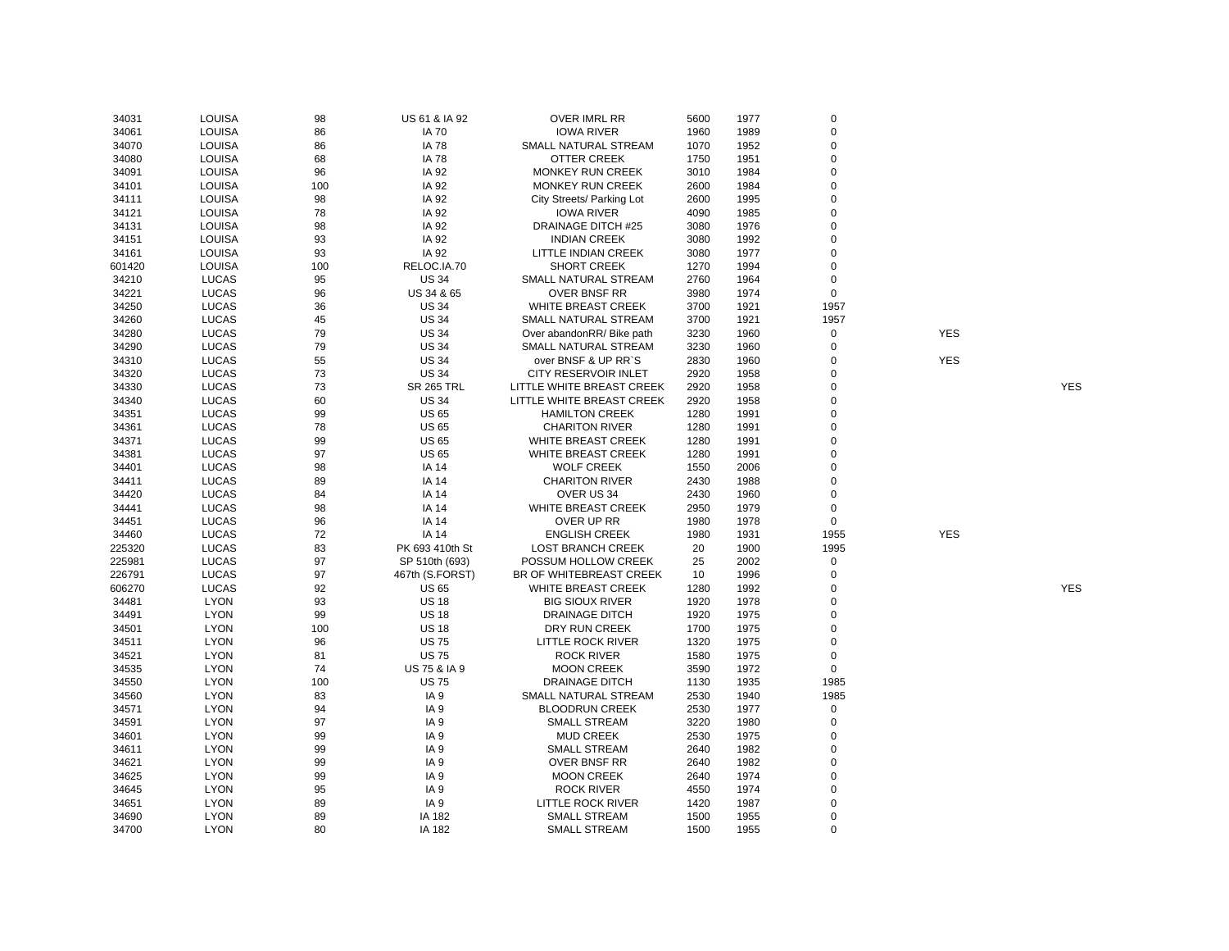| 34031  | LOUISA        | 98  | US 61 & IA 92     | <b>OVER IMRL RR</b>         | 5600 | 1977 | $\mathbf 0$ |            |            |
|--------|---------------|-----|-------------------|-----------------------------|------|------|-------------|------------|------------|
| 34061  | LOUISA        | 86  | <b>IA 70</b>      | <b>IOWA RIVER</b>           | 1960 | 1989 | 0           |            |            |
| 34070  | LOUISA        | 86  | <b>IA 78</b>      | SMALL NATURAL STREAM        | 1070 | 1952 | $\mathbf 0$ |            |            |
| 34080  | <b>LOUISA</b> | 68  | <b>IA 78</b>      | OTTER CREEK                 | 1750 | 1951 | 0           |            |            |
| 34091  | LOUISA        | 96  | IA 92             | <b>MONKEY RUN CREEK</b>     | 3010 | 1984 | $\mathbf 0$ |            |            |
| 34101  | LOUISA        | 100 | IA 92             | MONKEY RUN CREEK            | 2600 | 1984 | 0           |            |            |
| 34111  | LOUISA        | 98  | IA 92             | City Streets/ Parking Lot   | 2600 | 1995 | 0           |            |            |
| 34121  | <b>LOUISA</b> | 78  | IA 92             | <b>IOWA RIVER</b>           | 4090 | 1985 | $\mathbf 0$ |            |            |
| 34131  | LOUISA        | 98  | IA 92             | <b>DRAINAGE DITCH #25</b>   | 3080 | 1976 | $\mathbf 0$ |            |            |
| 34151  | LOUISA        | 93  | IA 92             | <b>INDIAN CREEK</b>         | 3080 | 1992 | $\mathbf 0$ |            |            |
| 34161  | LOUISA        | 93  | IA 92             | LITTLE INDIAN CREEK         | 3080 | 1977 | $\mathbf 0$ |            |            |
| 601420 | LOUISA        | 100 | RELOC.IA.70       | <b>SHORT CREEK</b>          | 1270 | 1994 | $\mathbf 0$ |            |            |
| 34210  | <b>LUCAS</b>  | 95  | <b>US 34</b>      | SMALL NATURAL STREAM        | 2760 | 1964 | 0           |            |            |
| 34221  | <b>LUCAS</b>  | 96  | US 34 & 65        | <b>OVER BNSF RR</b>         | 3980 | 1974 | $\mathbf 0$ |            |            |
| 34250  | <b>LUCAS</b>  | 36  | <b>US 34</b>      | WHITE BREAST CREEK          | 3700 | 1921 | 1957        |            |            |
| 34260  | <b>LUCAS</b>  | 45  | <b>US 34</b>      | SMALL NATURAL STREAM        | 3700 | 1921 | 1957        |            |            |
|        |               |     |                   |                             |      |      |             |            |            |
| 34280  | <b>LUCAS</b>  | 79  | <b>US 34</b>      | Over abandonRR/ Bike path   | 3230 | 1960 | 0           | <b>YES</b> |            |
| 34290  | <b>LUCAS</b>  | 79  | <b>US 34</b>      | SMALL NATURAL STREAM        | 3230 | 1960 | $\mathbf 0$ |            |            |
| 34310  | <b>LUCAS</b>  | 55  | <b>US 34</b>      | over BNSF & UP RR`S         | 2830 | 1960 | 0           | <b>YES</b> |            |
| 34320  | <b>LUCAS</b>  | 73  | <b>US 34</b>      | <b>CITY RESERVOIR INLET</b> | 2920 | 1958 | $\mathbf 0$ |            |            |
| 34330  | <b>LUCAS</b>  | 73  | <b>SR 265 TRL</b> | LITTLE WHITE BREAST CREEK   | 2920 | 1958 | 0           |            | <b>YES</b> |
| 34340  | <b>LUCAS</b>  | 60  | <b>US 34</b>      | LITTLE WHITE BREAST CREEK   | 2920 | 1958 | $\mathbf 0$ |            |            |
| 34351  | <b>LUCAS</b>  | 99  | <b>US 65</b>      | <b>HAMILTON CREEK</b>       | 1280 | 1991 | 0           |            |            |
| 34361  | <b>LUCAS</b>  | 78  | <b>US 65</b>      | <b>CHARITON RIVER</b>       | 1280 | 1991 | 0           |            |            |
| 34371  | <b>LUCAS</b>  | 99  | <b>US 65</b>      | <b>WHITE BREAST CREEK</b>   | 1280 | 1991 | $\mathbf 0$ |            |            |
| 34381  | <b>LUCAS</b>  | 97  | <b>US 65</b>      | <b>WHITE BREAST CREEK</b>   | 1280 | 1991 | $\mathbf 0$ |            |            |
| 34401  | <b>LUCAS</b>  | 98  | IA 14             | <b>WOLF CREEK</b>           | 1550 | 2006 | $\mathbf 0$ |            |            |
| 34411  | <b>LUCAS</b>  | 89  | <b>IA 14</b>      | <b>CHARITON RIVER</b>       | 2430 | 1988 | $\mathbf 0$ |            |            |
| 34420  | <b>LUCAS</b>  | 84  | IA 14             | OVER US 34                  | 2430 | 1960 | $\mathbf 0$ |            |            |
| 34441  | <b>LUCAS</b>  | 98  | <b>IA 14</b>      | WHITE BREAST CREEK          | 2950 | 1979 | 0           |            |            |
| 34451  | <b>LUCAS</b>  | 96  | <b>IA 14</b>      | OVER UP RR                  | 1980 | 1978 | $\mathbf 0$ |            |            |
| 34460  | <b>LUCAS</b>  | 72  | <b>IA 14</b>      | <b>ENGLISH CREEK</b>        | 1980 | 1931 | 1955        | <b>YES</b> |            |
| 225320 | <b>LUCAS</b>  | 83  | PK 693 410th St   | <b>LOST BRANCH CREEK</b>    | 20   | 1900 | 1995        |            |            |
| 225981 | <b>LUCAS</b>  | 97  | SP 510th (693)    | POSSUM HOLLOW CREEK         | 25   | 2002 | $\mathbf 0$ |            |            |
| 226791 | <b>LUCAS</b>  | 97  | 467th (S.FORST)   | BR OF WHITEBREAST CREEK     | 10   | 1996 | $\mathbf 0$ |            |            |
| 606270 | <b>LUCAS</b>  | 92  | <b>US 65</b>      | <b>WHITE BREAST CREEK</b>   | 1280 | 1992 | 0           |            | <b>YES</b> |
| 34481  | <b>LYON</b>   | 93  | <b>US 18</b>      | <b>BIG SIOUX RIVER</b>      | 1920 | 1978 | 0           |            |            |
| 34491  | <b>LYON</b>   | 99  | <b>US 18</b>      | <b>DRAINAGE DITCH</b>       | 1920 | 1975 | $\mathbf 0$ |            |            |
| 34501  | <b>LYON</b>   | 100 | <b>US 18</b>      | DRY RUN CREEK               | 1700 | 1975 | 0           |            |            |
| 34511  | <b>LYON</b>   | 96  | <b>US75</b>       | LITTLE ROCK RIVER           | 1320 | 1975 | $\mathbf 0$ |            |            |
| 34521  | <b>LYON</b>   | 81  | <b>US75</b>       | <b>ROCK RIVER</b>           | 1580 | 1975 | 0           |            |            |
| 34535  | <b>LYON</b>   | 74  | US 75 & IA 9      | <b>MOON CREEK</b>           | 3590 | 1972 | $\mathbf 0$ |            |            |
| 34550  | <b>LYON</b>   | 100 | <b>US75</b>       | <b>DRAINAGE DITCH</b>       | 1130 | 1935 | 1985        |            |            |
| 34560  | <b>LYON</b>   | 83  | IA <sub>9</sub>   | SMALL NATURAL STREAM        | 2530 | 1940 | 1985        |            |            |
|        | <b>LYON</b>   | 94  | IA <sub>9</sub>   | <b>BLOODRUN CREEK</b>       | 2530 | 1977 | $\mathbf 0$ |            |            |
| 34571  |               | 97  |                   |                             | 3220 |      | 0           |            |            |
| 34591  | <b>LYON</b>   |     | IA 9              | <b>SMALL STREAM</b>         |      | 1980 |             |            |            |
| 34601  | <b>LYON</b>   | 99  | IA <sub>9</sub>   | <b>MUD CREEK</b>            | 2530 | 1975 | 0           |            |            |
| 34611  | <b>LYON</b>   | 99  | IA <sub>9</sub>   | <b>SMALL STREAM</b>         | 2640 | 1982 | $\mathbf 0$ |            |            |
| 34621  | <b>LYON</b>   | 99  | IA <sub>9</sub>   | <b>OVER BNSF RR</b>         | 2640 | 1982 | 0           |            |            |
| 34625  | <b>LYON</b>   | 99  | IA <sub>9</sub>   | <b>MOON CREEK</b>           | 2640 | 1974 | 0           |            |            |
| 34645  | <b>LYON</b>   | 95  | IA <sub>9</sub>   | <b>ROCK RIVER</b>           | 4550 | 1974 | 0           |            |            |
| 34651  | <b>LYON</b>   | 89  | IA <sub>9</sub>   | LITTLE ROCK RIVER           | 1420 | 1987 | $\mathbf 0$ |            |            |
| 34690  | <b>LYON</b>   | 89  | IA 182            | <b>SMALL STREAM</b>         | 1500 | 1955 | $\mathbf 0$ |            |            |
| 34700  | <b>LYON</b>   | 80  | IA 182            | <b>SMALL STREAM</b>         | 1500 | 1955 | $\mathbf 0$ |            |            |

YES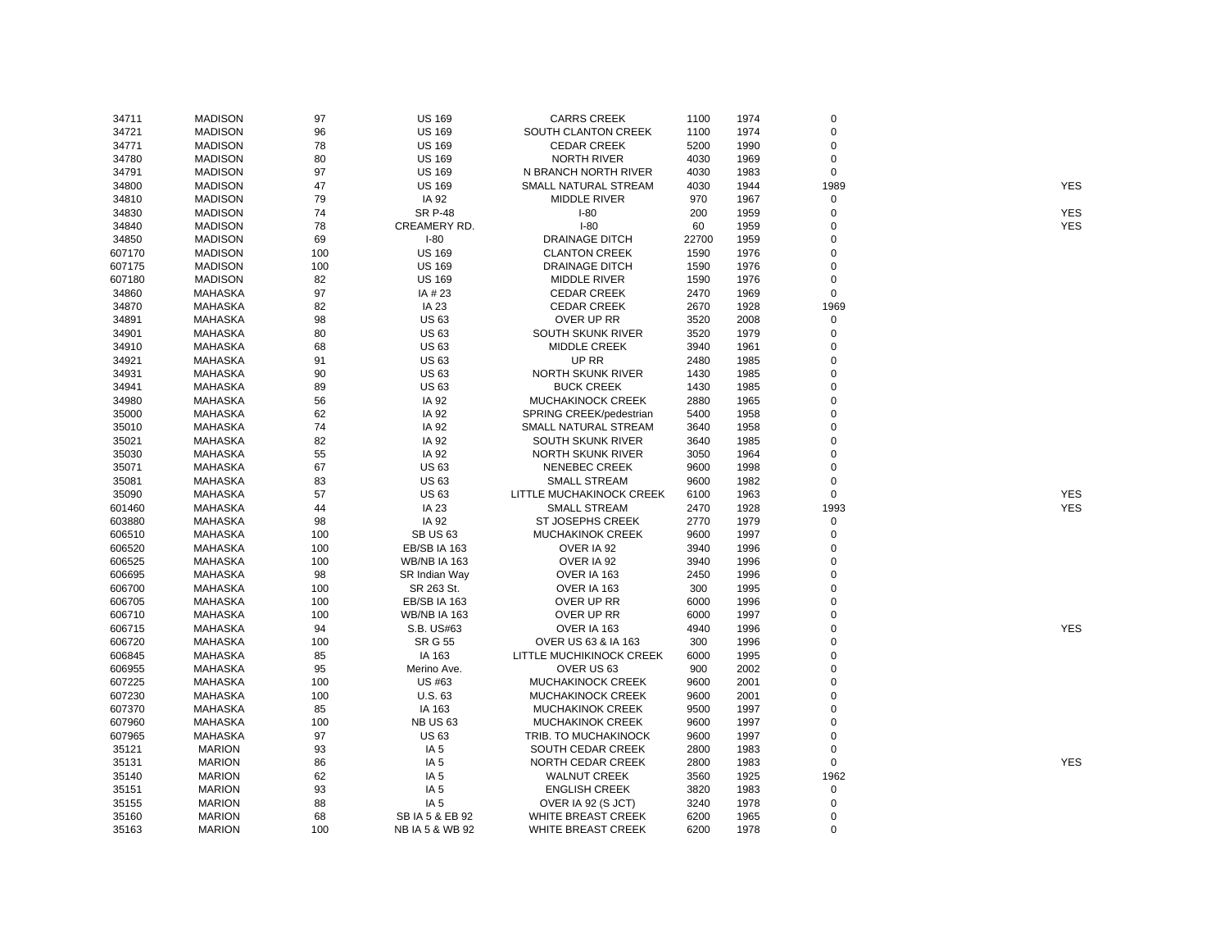| 34711  | <b>MADISON</b> | 97  | <b>US 169</b>       | <b>CARRS CREEK</b>         | 1100  | 1974 | $\mathbf 0$ |            |
|--------|----------------|-----|---------------------|----------------------------|-------|------|-------------|------------|
| 34721  | <b>MADISON</b> | 96  | <b>US 169</b>       | <b>SOUTH CLANTON CREEK</b> | 1100  | 1974 | $\mathbf 0$ |            |
| 34771  | <b>MADISON</b> | 78  | <b>US 169</b>       | <b>CEDAR CREEK</b>         | 5200  | 1990 | $\mathbf 0$ |            |
| 34780  | <b>MADISON</b> | 80  | <b>US 169</b>       | <b>NORTH RIVER</b>         | 4030  | 1969 | 0           |            |
| 34791  | <b>MADISON</b> | 97  | <b>US 169</b>       | N BRANCH NORTH RIVER       | 4030  | 1983 | $\mathbf 0$ |            |
| 34800  | <b>MADISON</b> | 47  | <b>US 169</b>       | SMALL NATURAL STREAM       | 4030  | 1944 | 1989        | <b>YES</b> |
| 34810  | <b>MADISON</b> | 79  | IA 92               | <b>MIDDLE RIVER</b>        | 970   | 1967 | $\mathbf 0$ |            |
| 34830  | <b>MADISON</b> | 74  | <b>SR P-48</b>      | $I-80$                     | 200   | 1959 | $\mathbf 0$ | <b>YES</b> |
| 34840  | <b>MADISON</b> | 78  | CREAMERY RD.        | $I-80$                     | 60    | 1959 | $\Omega$    | <b>YES</b> |
| 34850  | <b>MADISON</b> | 69  | $I-80$              | <b>DRAINAGE DITCH</b>      | 22700 | 1959 | 0           |            |
| 607170 | <b>MADISON</b> | 100 | <b>US 169</b>       | <b>CLANTON CREEK</b>       | 1590  | 1976 | $\mathbf 0$ |            |
| 607175 | <b>MADISON</b> | 100 | <b>US 169</b>       | <b>DRAINAGE DITCH</b>      | 1590  | 1976 | $\pmb{0}$   |            |
| 607180 | <b>MADISON</b> | 82  | <b>US 169</b>       | <b>MIDDLE RIVER</b>        | 1590  | 1976 | $\mathbf 0$ |            |
| 34860  | <b>MAHASKA</b> | 97  | IA # 23             | <b>CEDAR CREEK</b>         | 2470  | 1969 | $\mathbf 0$ |            |
| 34870  | <b>MAHASKA</b> | 82  | IA 23               | <b>CEDAR CREEK</b>         | 2670  | 1928 | 1969        |            |
| 34891  | <b>MAHASKA</b> | 98  | <b>US63</b>         | OVER UP RR                 | 3520  | 2008 | $\mathbf 0$ |            |
| 34901  | MAHASKA        | 80  | <b>US63</b>         | SOUTH SKUNK RIVER          | 3520  | 1979 | 0           |            |
|        | <b>MAHASKA</b> | 68  | <b>US63</b>         | <b>MIDDLE CREEK</b>        | 3940  | 1961 | $\pmb{0}$   |            |
| 34910  |                | 91  |                     | UP RR                      |       |      | $\mathbf 0$ |            |
| 34921  | <b>MAHASKA</b> |     | <b>US63</b>         |                            | 2480  | 1985 |             |            |
| 34931  | <b>MAHASKA</b> | 90  | <b>US63</b>         | <b>NORTH SKUNK RIVER</b>   | 1430  | 1985 | $\mathbf 0$ |            |
| 34941  | <b>MAHASKA</b> | 89  | <b>US63</b>         | <b>BUCK CREEK</b>          | 1430  | 1985 | $\mathbf 0$ |            |
| 34980  | <b>MAHASKA</b> | 56  | IA 92               | <b>MUCHAKINOCK CREEK</b>   | 2880  | 1965 | $\Omega$    |            |
| 35000  | <b>MAHASKA</b> | 62  | IA 92               | SPRING CREEK/pedestrian    | 5400  | 1958 | 0           |            |
| 35010  | <b>MAHASKA</b> | 74  | IA 92               | SMALL NATURAL STREAM       | 3640  | 1958 | $\mathbf 0$ |            |
| 35021  | <b>MAHASKA</b> | 82  | IA 92               | SOUTH SKUNK RIVER          | 3640  | 1985 | $\pmb{0}$   |            |
| 35030  | MAHASKA        | 55  | IA 92               | NORTH SKUNK RIVER          | 3050  | 1964 | $\mathbf 0$ |            |
| 35071  | <b>MAHASKA</b> | 67  | <b>US 63</b>        | <b>NENEBEC CREEK</b>       | 9600  | 1998 | $\mathbf 0$ |            |
| 35081  | <b>MAHASKA</b> | 83  | <b>US63</b>         | <b>SMALL STREAM</b>        | 9600  | 1982 | $\mathbf 0$ |            |
| 35090  | <b>MAHASKA</b> | 57  | <b>US63</b>         | LITTLE MUCHAKINOCK CREEK   | 6100  | 1963 | $\mathbf 0$ | <b>YES</b> |
| 601460 | <b>MAHASKA</b> | 44  | IA 23               | <b>SMALL STREAM</b>        | 2470  | 1928 | 1993        | <b>YES</b> |
| 603880 | <b>MAHASKA</b> | 98  | IA 92               | <b>ST JOSEPHS CREEK</b>    | 2770  | 1979 | 0           |            |
| 606510 | <b>MAHASKA</b> | 100 | <b>SB US 63</b>     | <b>MUCHAKINOK CREEK</b>    | 9600  | 1997 | $\pmb{0}$   |            |
| 606520 | <b>MAHASKA</b> | 100 | EB/SB IA 163        | OVER IA 92                 | 3940  | 1996 | $\mathbf 0$ |            |
| 606525 | <b>MAHASKA</b> | 100 | <b>WB/NB IA 163</b> | OVER IA 92                 | 3940  | 1996 | $\mathbf 0$ |            |
| 606695 | <b>MAHASKA</b> | 98  | SR Indian Way       | OVER IA 163                | 2450  | 1996 | $\mathbf 0$ |            |
| 606700 | <b>MAHASKA</b> | 100 | SR 263 St.          | OVER IA 163                | 300   | 1995 | $\pmb{0}$   |            |
| 606705 | <b>MAHASKA</b> | 100 | EB/SB IA 163        | OVER UP RR                 | 6000  | 1996 | $\mathbf 0$ |            |
| 606710 | <b>MAHASKA</b> | 100 | <b>WB/NB IA 163</b> | OVER UP RR                 | 6000  | 1997 | $\pmb{0}$   |            |
| 606715 | MAHASKA        | 94  | S.B. US#63          | OVER IA 163                | 4940  | 1996 | 0           | <b>YES</b> |
| 606720 | <b>MAHASKA</b> | 100 | <b>SR G 55</b>      | OVER US 63 & IA 163        | 300   | 1996 | $\Omega$    |            |
| 606845 | <b>MAHASKA</b> | 85  | IA 163              | LITTLE MUCHIKINOCK CREEK   | 6000  | 1995 | $\mathbf 0$ |            |
| 606955 | <b>MAHASKA</b> | 95  | Merino Ave.         | OVER US 63                 | 900   | 2002 | 0           |            |
| 607225 | <b>MAHASKA</b> | 100 | US #63              | MUCHAKINOCK CREEK          | 9600  | 2001 | $\mathbf 0$ |            |
| 607230 | <b>MAHASKA</b> | 100 | U.S. 63             | MUCHAKINOCK CREEK          | 9600  | 2001 | 0           |            |
| 607370 | <b>MAHASKA</b> | 85  | IA 163              | <b>MUCHAKINOK CREEK</b>    | 9500  | 1997 | $\mathbf 0$ |            |
| 607960 | <b>MAHASKA</b> | 100 | <b>NB US 63</b>     | <b>MUCHAKINOK CREEK</b>    | 9600  | 1997 | $\mathbf 0$ |            |
| 607965 | <b>MAHASKA</b> | 97  | <b>US63</b>         | TRIB. TO MUCHAKINOCK       | 9600  | 1997 | $\mathbf 0$ |            |
| 35121  | <b>MARION</b>  | 93  | IA <sub>5</sub>     | SOUTH CEDAR CREEK          | 2800  | 1983 | 0           |            |
| 35131  | <b>MARION</b>  | 86  | IA <sub>5</sub>     | NORTH CEDAR CREEK          | 2800  | 1983 | $\mathbf 0$ | <b>YES</b> |
| 35140  | <b>MARION</b>  | 62  | IA <sub>5</sub>     | <b>WALNUT CREEK</b>        | 3560  | 1925 | 1962        |            |
| 35151  | <b>MARION</b>  | 93  | IA <sub>5</sub>     | <b>ENGLISH CREEK</b>       | 3820  | 1983 | 0           |            |
| 35155  | <b>MARION</b>  | 88  | IA <sub>5</sub>     | OVER IA 92 (S JCT)         | 3240  | 1978 | 0           |            |
| 35160  | <b>MARION</b>  | 68  | SB IA 5 & EB 92     | WHITE BREAST CREEK         | 6200  | 1965 | $\mathbf 0$ |            |
| 35163  | <b>MARION</b>  | 100 | NB IA 5 & WB 92     | <b>WHITE BREAST CREEK</b>  | 6200  | 1978 | $\Omega$    |            |
|        |                |     |                     |                            |       |      |             |            |

**YES**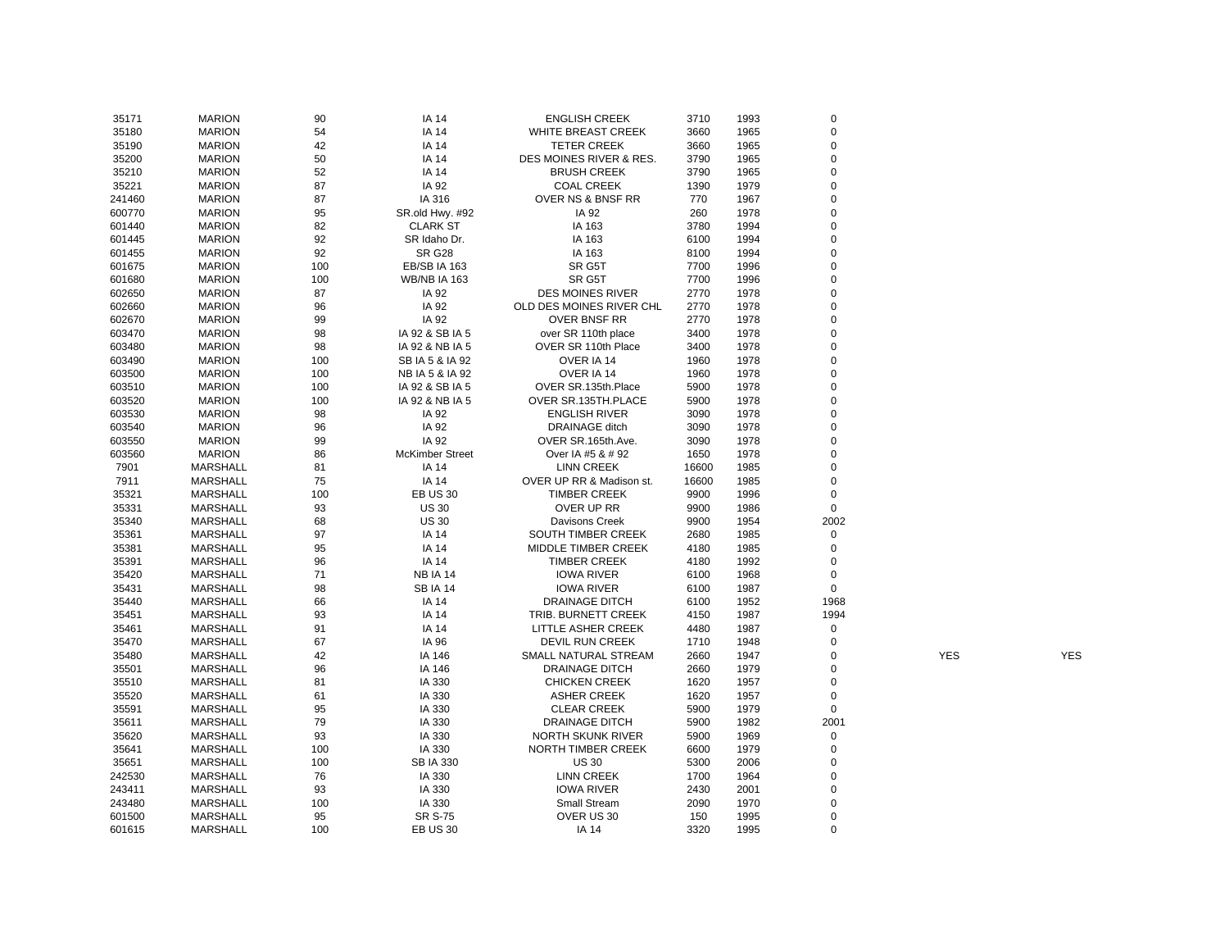| 35171  | <b>MARION</b>   | 90       | <b>IA 14</b>           | <b>ENGLISH CREEK</b>     | 3710  | 1993 | 0                          |            |            |
|--------|-----------------|----------|------------------------|--------------------------|-------|------|----------------------------|------------|------------|
| 35180  | <b>MARION</b>   | 54       | <b>IA 14</b>           | WHITE BREAST CREEK       | 3660  | 1965 | $\mathbf 0$                |            |            |
| 35190  | <b>MARION</b>   | 42       | <b>IA 14</b>           | <b>TETER CREEK</b>       | 3660  | 1965 | $\mathbf 0$                |            |            |
| 35200  | <b>MARION</b>   | 50       | <b>IA 14</b>           | DES MOINES RIVER & RES.  | 3790  | 1965 | $\mathbf 0$                |            |            |
| 35210  | <b>MARION</b>   | 52       | <b>IA 14</b>           | <b>BRUSH CREEK</b>       | 3790  | 1965 | $\mathbf 0$                |            |            |
| 35221  | <b>MARION</b>   | 87       | IA 92                  | <b>COAL CREEK</b>        | 1390  | 1979 | $\mathbf 0$                |            |            |
| 241460 | <b>MARION</b>   | 87       | IA 316                 | OVER NS & BNSF RR        | 770   | 1967 | $\mathbf 0$                |            |            |
| 600770 | <b>MARION</b>   | 95       | SR.old Hwy. #92        | IA 92                    | 260   | 1978 | $\mathbf 0$                |            |            |
| 601440 | <b>MARION</b>   | 82       | <b>CLARK ST</b>        | IA 163                   | 3780  | 1994 | $\mathbf 0$                |            |            |
| 601445 | <b>MARION</b>   | 92       | SR Idaho Dr.           | IA 163                   | 6100  | 1994 | $\mathbf 0$                |            |            |
| 601455 | <b>MARION</b>   | 92       | <b>SR G28</b>          | IA 163                   | 8100  | 1994 | $\mathbf 0$                |            |            |
| 601675 | <b>MARION</b>   | 100      | <b>EB/SB IA 163</b>    | SR G5T                   | 7700  | 1996 | 0                          |            |            |
| 601680 | <b>MARION</b>   | 100      | <b>WB/NB IA 163</b>    | SR G5T                   | 7700  | 1996 | $\mathbf 0$                |            |            |
| 602650 | <b>MARION</b>   | 87       | IA 92                  | <b>DES MOINES RIVER</b>  | 2770  | 1978 | $\mathbf 0$                |            |            |
| 602660 | <b>MARION</b>   | 96       | IA 92                  | OLD DES MOINES RIVER CHL | 2770  | 1978 | $\mathbf 0$                |            |            |
| 602670 | <b>MARION</b>   | 99       | IA 92                  | <b>OVER BNSF RR</b>      | 2770  | 1978 | $\mathbf 0$                |            |            |
| 603470 | <b>MARION</b>   | 98       | IA 92 & SB IA 5        | over SR 110th place      | 3400  | 1978 | $\mathbf 0$                |            |            |
| 603480 | <b>MARION</b>   | 98       | IA 92 & NB IA 5        | OVER SR 110th Place      | 3400  | 1978 | $\mathbf 0$                |            |            |
| 603490 | <b>MARION</b>   | 100      | SB IA 5 & IA 92        | OVER IA 14               | 1960  | 1978 | $\mathbf 0$                |            |            |
| 603500 | <b>MARION</b>   | 100      | NB IA 5 & IA 92        | OVER IA 14               | 1960  | 1978 | $\mathbf 0$                |            |            |
| 603510 | <b>MARION</b>   | 100      | IA 92 & SB IA 5        | OVER SR.135th.Place      | 5900  | 1978 | $\mathbf 0$                |            |            |
| 603520 | <b>MARION</b>   | 100      | IA 92 & NB IA 5        | OVER SR.135TH.PLACE      | 5900  | 1978 | $\mathbf 0$                |            |            |
| 603530 | <b>MARION</b>   | 98       | IA 92                  | <b>ENGLISH RIVER</b>     | 3090  | 1978 | $\mathbf 0$                |            |            |
| 603540 | <b>MARION</b>   | 96       | IA 92                  | <b>DRAINAGE</b> ditch    | 3090  | 1978 | $\mathbf 0$                |            |            |
| 603550 | <b>MARION</b>   | 99       | IA 92                  | OVER SR.165th.Ave.       | 3090  | 1978 | $\mathbf 0$                |            |            |
| 603560 | <b>MARION</b>   |          |                        | Over IA #5 & # 92        | 1650  | 1978 | $\mathbf 0$                |            |            |
|        |                 | 86       | <b>McKimber Street</b> |                          |       |      | $\mathbf 0$                |            |            |
| 7901   | <b>MARSHALL</b> | 81       | IA 14                  | <b>LINN CREEK</b>        | 16600 | 1985 | $\mathbf 0$                |            |            |
| 7911   | <b>MARSHALL</b> | 75       | <b>IA 14</b>           | OVER UP RR & Madison st. | 16600 | 1985 |                            |            |            |
| 35321  | <b>MARSHALL</b> | 100      | <b>EB US 30</b>        | <b>TIMBER CREEK</b>      | 9900  | 1996 | $\mathbf 0$<br>$\mathbf 0$ |            |            |
| 35331  | <b>MARSHALL</b> | 93       | <b>US 30</b>           | OVER UP RR               | 9900  | 1986 | 2002                       |            |            |
| 35340  | <b>MARSHALL</b> | 68<br>97 | <b>US 30</b>           | <b>Davisons Creek</b>    | 9900  | 1954 | $\mathbf 0$                |            |            |
| 35361  | <b>MARSHALL</b> |          | <b>IA 14</b>           | SOUTH TIMBER CREEK       | 2680  | 1985 |                            |            |            |
| 35381  | <b>MARSHALL</b> | 95       | <b>IA 14</b>           | MIDDLE TIMBER CREEK      | 4180  | 1985 | $\mathbf 0$                |            |            |
| 35391  | <b>MARSHALL</b> | 96       | <b>IA 14</b>           | <b>TIMBER CREEK</b>      | 4180  | 1992 | $\mathbf 0$                |            |            |
| 35420  | <b>MARSHALL</b> | 71       | <b>NB IA 14</b>        | <b>IOWA RIVER</b>        | 6100  | 1968 | $\mathbf 0$<br>$\mathbf 0$ |            |            |
| 35431  | <b>MARSHALL</b> | 98       | <b>SBIA 14</b>         | <b>IOWA RIVER</b>        | 6100  | 1987 |                            |            |            |
| 35440  | <b>MARSHALL</b> | 66       | <b>IA 14</b>           | <b>DRAINAGE DITCH</b>    | 6100  | 1952 | 1968                       |            |            |
| 35451  | <b>MARSHALL</b> | 93       | <b>IA 14</b>           | TRIB. BURNETT CREEK      | 4150  | 1987 | 1994                       |            |            |
| 35461  | <b>MARSHALL</b> | 91       | <b>IA 14</b>           | LITTLE ASHER CREEK       | 4480  | 1987 | $\mathsf 0$                |            |            |
| 35470  | <b>MARSHALL</b> | 67       | IA 96                  | <b>DEVIL RUN CREEK</b>   | 1710  | 1948 | $\mathbf 0$                |            |            |
| 35480  | <b>MARSHALL</b> | 42       | IA 146                 | SMALL NATURAL STREAM     | 2660  | 1947 | $\mathbf 0$                | <b>YES</b> | <b>YES</b> |
| 35501  | <b>MARSHALL</b> | 96       | IA 146                 | <b>DRAINAGE DITCH</b>    | 2660  | 1979 | $\mathbf 0$                |            |            |
| 35510  | <b>MARSHALL</b> | 81       | IA 330                 | <b>CHICKEN CREEK</b>     | 1620  | 1957 | $\mathbf 0$                |            |            |
| 35520  | <b>MARSHALL</b> | 61       | IA 330                 | <b>ASHER CREEK</b>       | 1620  | 1957 | $\mathbf 0$                |            |            |
| 35591  | <b>MARSHALL</b> | 95       | IA 330                 | <b>CLEAR CREEK</b>       | 5900  | 1979 | $\mathbf 0$                |            |            |
| 35611  | <b>MARSHALL</b> | 79       | IA 330                 | <b>DRAINAGE DITCH</b>    | 5900  | 1982 | 2001                       |            |            |
| 35620  | <b>MARSHALL</b> | 93       | IA 330                 | <b>NORTH SKUNK RIVER</b> | 5900  | 1969 | $\mathbf 0$                |            |            |
| 35641  | <b>MARSHALL</b> | 100      | IA 330                 | NORTH TIMBER CREEK       | 6600  | 1979 | $\mathbf 0$                |            |            |
| 35651  | <b>MARSHALL</b> | 100      | <b>SB IA 330</b>       | <b>US 30</b>             | 5300  | 2006 | $\mathbf 0$                |            |            |
| 242530 | <b>MARSHALL</b> | 76       | IA 330                 | <b>LINN CREEK</b>        | 1700  | 1964 | $\mathbf 0$                |            |            |
| 243411 | <b>MARSHALL</b> | 93       | IA 330                 | <b>IOWA RIVER</b>        | 2430  | 2001 | $\mathbf 0$                |            |            |
| 243480 | <b>MARSHALL</b> | 100      | IA 330                 | <b>Small Stream</b>      | 2090  | 1970 | $\mathbf 0$                |            |            |
| 601500 | <b>MARSHALL</b> | 95       | <b>SR S-75</b>         | OVER US 30               | 150   | 1995 | $\mathbf 0$                |            |            |
| 601615 | <b>MARSHALL</b> | 100      | <b>EB US 30</b>        | IA 14                    | 3320  | 1995 | $\mathbf 0$                |            |            |
|        |                 |          |                        |                          |       |      |                            |            |            |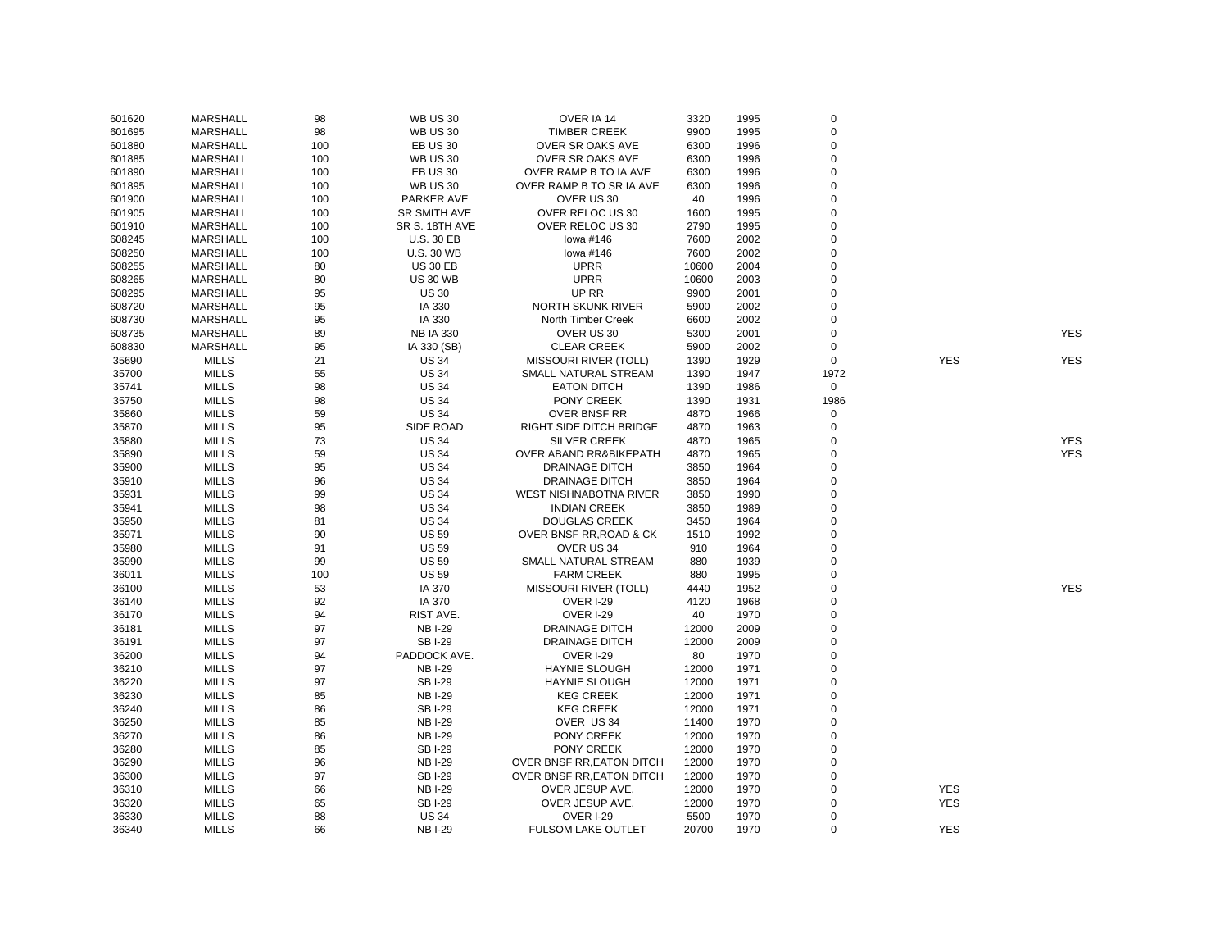| 601620 | <b>MARSHALL</b> | 98  | <b>WB US 30</b>   | OVER IA 14                    | 3320  | 1995 | $\pmb{0}$   |            |            |
|--------|-----------------|-----|-------------------|-------------------------------|-------|------|-------------|------------|------------|
| 601695 | <b>MARSHALL</b> | 98  | <b>WB US 30</b>   | <b>TIMBER CREEK</b>           | 9900  | 1995 | $\pmb{0}$   |            |            |
| 601880 | <b>MARSHALL</b> | 100 | <b>EB US 30</b>   | OVER SR OAKS AVE              | 6300  | 1996 | $\pmb{0}$   |            |            |
| 601885 | <b>MARSHALL</b> | 100 | <b>WB US 30</b>   | OVER SR OAKS AVE              | 6300  | 1996 | $\pmb{0}$   |            |            |
| 601890 | <b>MARSHALL</b> | 100 | <b>EB US 30</b>   | OVER RAMP B TO IA AVE         | 6300  | 1996 | $\mathbf 0$ |            |            |
| 601895 | <b>MARSHALL</b> | 100 | <b>WB US 30</b>   | OVER RAMP B TO SR IA AVE      | 6300  | 1996 | $\mathbf 0$ |            |            |
| 601900 | <b>MARSHALL</b> | 100 | PARKER AVE        | OVER US 30                    | 40    | 1996 | $\pmb{0}$   |            |            |
| 601905 | <b>MARSHALL</b> | 100 | SR SMITH AVE      | OVER RELOC US 30              | 1600  | 1995 | $\mathbf 0$ |            |            |
| 601910 | <b>MARSHALL</b> | 100 | SR S. 18TH AVE    | OVER RELOC US 30              | 2790  | 1995 | $\mathbf 0$ |            |            |
| 608245 | <b>MARSHALL</b> | 100 | <b>U.S. 30 EB</b> | lowa #146                     | 7600  | 2002 | $\mathbf 0$ |            |            |
| 608250 | <b>MARSHALL</b> | 100 | <b>U.S. 30 WB</b> | lowa #146                     | 7600  | 2002 | $\pmb{0}$   |            |            |
| 608255 | <b>MARSHALL</b> | 80  | <b>US 30 EB</b>   | <b>UPRR</b>                   | 10600 | 2004 | $\pmb{0}$   |            |            |
|        | <b>MARSHALL</b> | 80  | <b>US 30 WB</b>   | <b>UPRR</b>                   | 10600 | 2003 | $\mathbf 0$ |            |            |
| 608265 |                 |     |                   | UP RR                         | 9900  |      | $\mathbf 0$ |            |            |
| 608295 | <b>MARSHALL</b> | 95  | <b>US 30</b>      |                               |       | 2001 |             |            |            |
| 608720 | <b>MARSHALL</b> | 95  | IA 330            | <b>NORTH SKUNK RIVER</b>      | 5900  | 2002 | $\mathbf 0$ |            |            |
| 608730 | <b>MARSHALL</b> | 95  | IA 330            | North Timber Creek            | 6600  | 2002 | $\Omega$    |            |            |
| 608735 | <b>MARSHALL</b> | 89  | <b>NB IA 330</b>  | OVER US 30                    | 5300  | 2001 | $\mathbf 0$ |            | <b>YES</b> |
| 608830 | <b>MARSHALL</b> | 95  | IA 330 (SB)       | <b>CLEAR CREEK</b>            | 5900  | 2002 | $\mathbf 0$ |            |            |
| 35690  | <b>MILLS</b>    | 21  | <b>US 34</b>      | <b>MISSOURI RIVER (TOLL)</b>  | 1390  | 1929 | $\mathbf 0$ | <b>YES</b> | <b>YES</b> |
| 35700  | <b>MILLS</b>    | 55  | <b>US 34</b>      | SMALL NATURAL STREAM          | 1390  | 1947 | 1972        |            |            |
| 35741  | <b>MILLS</b>    | 98  | <b>US 34</b>      | <b>EATON DITCH</b>            | 1390  | 1986 | $\mathbf 0$ |            |            |
| 35750  | <b>MILLS</b>    | 98  | <b>US 34</b>      | PONY CREEK                    | 1390  | 1931 | 1986        |            |            |
| 35860  | <b>MILLS</b>    | 59  | <b>US 34</b>      | <b>OVER BNSF RR</b>           | 4870  | 1966 | $\mathbf 0$ |            |            |
| 35870  | <b>MILLS</b>    | 95  | SIDE ROAD         | RIGHT SIDE DITCH BRIDGE       | 4870  | 1963 | 0           |            |            |
| 35880  | <b>MILLS</b>    | 73  | <b>US 34</b>      | <b>SILVER CREEK</b>           | 4870  | 1965 | 0           |            | <b>YES</b> |
| 35890  | <b>MILLS</b>    | 59  | <b>US 34</b>      | OVER ABAND RR&BIKEPATH        | 4870  | 1965 | $\mathbf 0$ |            | <b>YES</b> |
| 35900  | <b>MILLS</b>    | 95  | <b>US 34</b>      | <b>DRAINAGE DITCH</b>         | 3850  | 1964 | $\mathbf 0$ |            |            |
| 35910  | <b>MILLS</b>    | 96  | <b>US 34</b>      | <b>DRAINAGE DITCH</b>         | 3850  | 1964 | 0           |            |            |
| 35931  | <b>MILLS</b>    | 99  | <b>US 34</b>      | <b>WEST NISHNABOTNA RIVER</b> | 3850  | 1990 | $\mathbf 0$ |            |            |
| 35941  | <b>MILLS</b>    | 98  | <b>US 34</b>      | <b>INDIAN CREEK</b>           | 3850  | 1989 | $\mathbf 0$ |            |            |
| 35950  | <b>MILLS</b>    | 81  | <b>US 34</b>      | <b>DOUGLAS CREEK</b>          | 3450  | 1964 | $\mathbf 0$ |            |            |
| 35971  | <b>MILLS</b>    | 90  | <b>US 59</b>      | OVER BNSF RR, ROAD & CK       | 1510  | 1992 | $\mathbf 0$ |            |            |
| 35980  | <b>MILLS</b>    | 91  | <b>US 59</b>      | OVER US 34                    | 910   | 1964 | $\mathbf 0$ |            |            |
| 35990  | <b>MILLS</b>    | 99  | <b>US 59</b>      | SMALL NATURAL STREAM          | 880   | 1939 | $\mathbf 0$ |            |            |
| 36011  | <b>MILLS</b>    | 100 | <b>US 59</b>      | <b>FARM CREEK</b>             | 880   | 1995 | $\mathbf 0$ |            |            |
| 36100  | <b>MILLS</b>    | 53  | IA 370            | <b>MISSOURI RIVER (TOLL)</b>  | 4440  | 1952 | $\mathbf 0$ |            | <b>YES</b> |
| 36140  | <b>MILLS</b>    | 92  | IA 370            | <b>OVER I-29</b>              | 4120  | 1968 | $\mathbf 0$ |            |            |
| 36170  | <b>MILLS</b>    | 94  | RIST AVE.         | <b>OVER I-29</b>              | 40    | 1970 | $\mathbf 0$ |            |            |
| 36181  | <b>MILLS</b>    | 97  | <b>NB I-29</b>    | <b>DRAINAGE DITCH</b>         | 12000 | 2009 | $\mathbf 0$ |            |            |
| 36191  | <b>MILLS</b>    | 97  | <b>SBI-29</b>     | <b>DRAINAGE DITCH</b>         | 12000 | 2009 | $\mathbf 0$ |            |            |
| 36200  | <b>MILLS</b>    | 94  | PADDOCK AVE.      | <b>OVER I-29</b>              | 80    | 1970 | $\mathbf 0$ |            |            |
| 36210  | <b>MILLS</b>    | 97  | <b>NBI-29</b>     | <b>HAYNIE SLOUGH</b>          | 12000 | 1971 | $\mathbf 0$ |            |            |
| 36220  | <b>MILLS</b>    | 97  | <b>SBI-29</b>     | <b>HAYNIE SLOUGH</b>          | 12000 | 1971 | $\mathbf 0$ |            |            |
| 36230  | <b>MILLS</b>    | 85  | <b>NB I-29</b>    | <b>KEG CREEK</b>              | 12000 | 1971 | 0           |            |            |
| 36240  | <b>MILLS</b>    | 86  | <b>SBI-29</b>     | <b>KEG CREEK</b>              | 12000 | 1971 | $\mathbf 0$ |            |            |
|        | <b>MILLS</b>    | 85  | <b>NBI-29</b>     | OVER US 34                    |       | 1970 | $\mathbf 0$ |            |            |
| 36250  |                 |     |                   |                               | 11400 |      |             |            |            |
| 36270  | <b>MILLS</b>    | 86  | <b>NB I-29</b>    | PONY CREEK                    | 12000 | 1970 | $\mathbf 0$ |            |            |
| 36280  | <b>MILLS</b>    | 85  | <b>SBI-29</b>     | PONY CREEK                    | 12000 | 1970 | $\mathbf 0$ |            |            |
| 36290  | <b>MILLS</b>    | 96  | <b>NBI-29</b>     | OVER BNSF RR, EATON DITCH     | 12000 | 1970 | $\mathbf 0$ |            |            |
| 36300  | <b>MILLS</b>    | 97  | <b>SBI-29</b>     | OVER BNSF RR, EATON DITCH     | 12000 | 1970 | $\mathbf 0$ |            |            |
| 36310  | <b>MILLS</b>    | 66  | <b>NBI-29</b>     | OVER JESUP AVE.               | 12000 | 1970 | $\mathbf 0$ | <b>YES</b> |            |
| 36320  | MILLS           | 65  | <b>SBI-29</b>     | OVER JESUP AVE.               | 12000 | 1970 | 0           | <b>YES</b> |            |
| 36330  | MILLS           | 88  | <b>US 34</b>      | <b>OVER I-29</b>              | 5500  | 1970 | $\mathbf 0$ |            |            |
| 36340  | <b>MILLS</b>    | 66  | <b>NBI-29</b>     | <b>FULSOM LAKE OUTLET</b>     | 20700 | 1970 | $\mathbf 0$ | <b>YES</b> |            |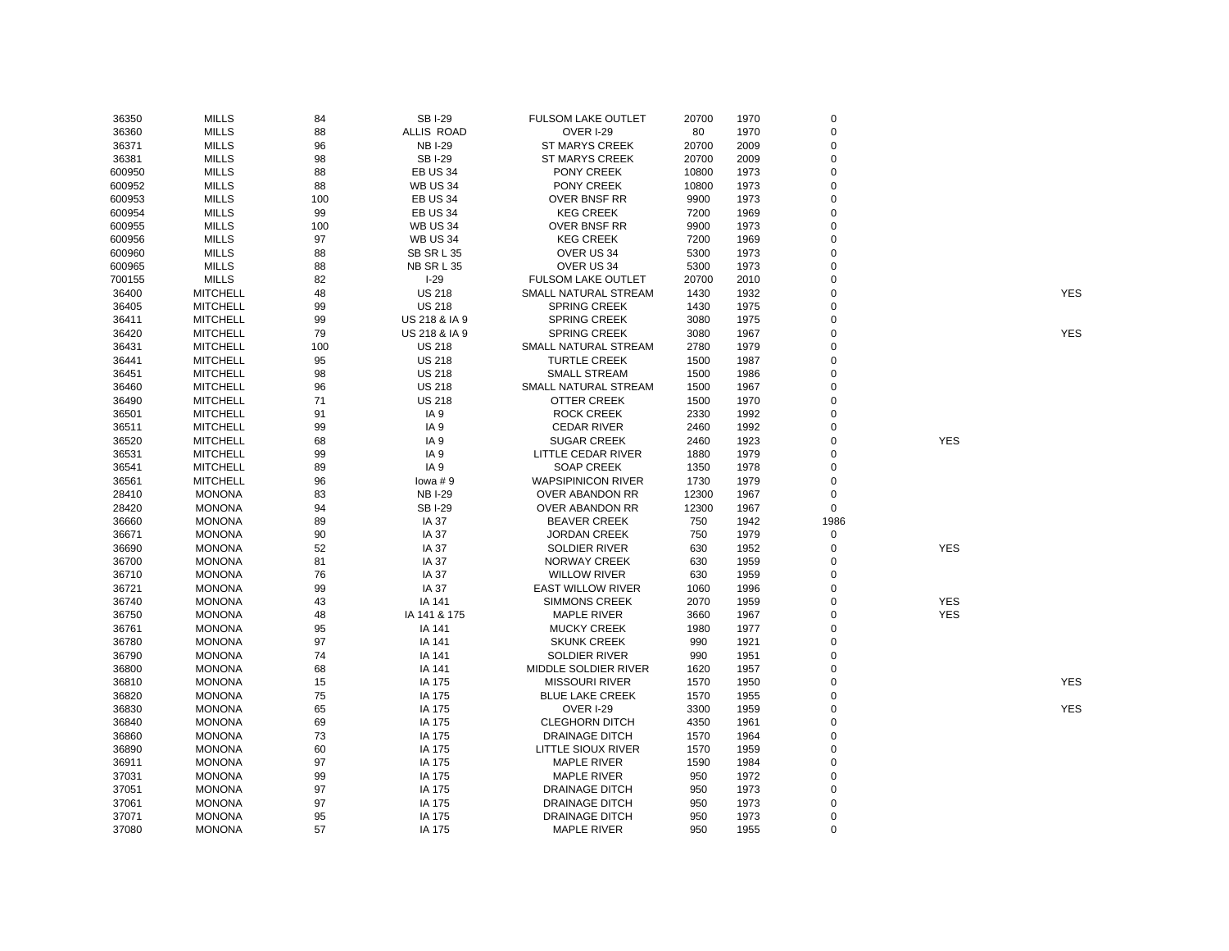| 36350  | <b>MILLS</b>    | 84  | <b>SBI-29</b>     | <b>FULSOM LAKE OUTLET</b> | 20700 | 1970 | $\mathsf 0$ |            |            |
|--------|-----------------|-----|-------------------|---------------------------|-------|------|-------------|------------|------------|
| 36360  | <b>MILLS</b>    | 88  | <b>ALLIS ROAD</b> | <b>OVER I-29</b>          | 80    | 1970 | $\mathbf 0$ |            |            |
| 36371  | <b>MILLS</b>    | 96  | <b>NB I-29</b>    | <b>ST MARYS CREEK</b>     | 20700 | 2009 | $\mathbf 0$ |            |            |
| 36381  | <b>MILLS</b>    | 98  | <b>SBI-29</b>     | <b>ST MARYS CREEK</b>     | 20700 | 2009 | $\mathbf 0$ |            |            |
| 600950 | <b>MILLS</b>    | 88  | <b>EB US 34</b>   | PONY CREEK                | 10800 | 1973 | $\mathsf 0$ |            |            |
| 600952 | <b>MILLS</b>    | 88  | <b>WB US 34</b>   | PONY CREEK                | 10800 | 1973 | $\mathbf 0$ |            |            |
| 600953 | <b>MILLS</b>    | 100 | <b>EB US 34</b>   | OVER BNSF RR              | 9900  | 1973 | $\mathbf 0$ |            |            |
| 600954 | <b>MILLS</b>    | 99  | <b>EB US 34</b>   | <b>KEG CREEK</b>          | 7200  | 1969 | $\mathbf 0$ |            |            |
| 600955 | <b>MILLS</b>    | 100 | <b>WB US 34</b>   | OVER BNSF RR              | 9900  | 1973 | $\mathbf 0$ |            |            |
| 600956 | <b>MILLS</b>    | 97  | <b>WB US 34</b>   | <b>KEG CREEK</b>          | 7200  | 1969 | $\mathbf 0$ |            |            |
| 600960 | <b>MILLS</b>    | 88  | SB SR L 35        | OVER US 34                | 5300  | 1973 | $\Omega$    |            |            |
| 600965 | <b>MILLS</b>    | 88  | NB SR L 35        | OVER US 34                | 5300  | 1973 | $\mathbf 0$ |            |            |
| 700155 | <b>MILLS</b>    | 82  | $I-29$            | <b>FULSOM LAKE OUTLET</b> | 20700 | 2010 | $\mathbf 0$ |            |            |
| 36400  | <b>MITCHELL</b> | 48  | <b>US 218</b>     | SMALL NATURAL STREAM      | 1430  | 1932 | $\mathbf 0$ |            | <b>YES</b> |
| 36405  | <b>MITCHELL</b> | 99  | <b>US 218</b>     | <b>SPRING CREEK</b>       | 1430  | 1975 | $\mathbf 0$ |            |            |
| 36411  | <b>MITCHELL</b> | 99  | US 218 & IA 9     | <b>SPRING CREEK</b>       | 3080  | 1975 | 0           |            |            |
| 36420  | <b>MITCHELL</b> | 79  | US 218 & IA 9     | <b>SPRING CREEK</b>       | 3080  | 1967 | $\mathbf 0$ |            | <b>YES</b> |
| 36431  | <b>MITCHELL</b> | 100 | <b>US 218</b>     | SMALL NATURAL STREAM      | 2780  | 1979 | $\mathbf 0$ |            |            |
| 36441  | <b>MITCHELL</b> | 95  | <b>US 218</b>     | <b>TURTLE CREEK</b>       | 1500  | 1987 | $\mathbf 0$ |            |            |
| 36451  | <b>MITCHELL</b> | 98  | <b>US 218</b>     | <b>SMALL STREAM</b>       | 1500  | 1986 | $\mathbf 0$ |            |            |
| 36460  | <b>MITCHELL</b> | 96  | <b>US 218</b>     | SMALL NATURAL STREAM      | 1500  | 1967 | $\mathbf 0$ |            |            |
| 36490  | <b>MITCHELL</b> | 71  | <b>US 218</b>     | <b>OTTER CREEK</b>        | 1500  | 1970 | $\mathbf 0$ |            |            |
| 36501  | <b>MITCHELL</b> | 91  | IA <sub>9</sub>   | <b>ROCK CREEK</b>         | 2330  | 1992 | $\mathbf 0$ |            |            |
| 36511  | <b>MITCHELL</b> | 99  | IA <sub>9</sub>   | <b>CEDAR RIVER</b>        | 2460  | 1992 | $\mathbf 0$ |            |            |
| 36520  | <b>MITCHELL</b> | 68  | IA 9              | <b>SUGAR CREEK</b>        | 2460  | 1923 | $\mathbf 0$ | <b>YES</b> |            |
| 36531  | <b>MITCHELL</b> | 99  | IA <sub>9</sub>   | LITTLE CEDAR RIVER        | 1880  | 1979 | $\mathbf 0$ |            |            |
| 36541  | <b>MITCHELL</b> | 89  | IA <sub>9</sub>   | <b>SOAP CREEK</b>         | 1350  | 1978 | $\mathbf 0$ |            |            |
| 36561  | <b>MITCHELL</b> | 96  | lowa $# 9$        | <b>WAPSIPINICON RIVER</b> | 1730  | 1979 | 0           |            |            |
| 28410  | <b>MONONA</b>   | 83  | <b>NB I-29</b>    | OVER ABANDON RR           | 12300 | 1967 | 0           |            |            |
| 28420  | <b>MONONA</b>   | 94  | <b>SBI-29</b>     | <b>OVER ABANDON RR</b>    | 12300 | 1967 | $\mathbf 0$ |            |            |
| 36660  | <b>MONONA</b>   | 89  | <b>IA 37</b>      | <b>BEAVER CREEK</b>       | 750   | 1942 | 1986        |            |            |
| 36671  | <b>MONONA</b>   | 90  | <b>IA 37</b>      | <b>JORDAN CREEK</b>       | 750   | 1979 | $\mathsf 0$ |            |            |
| 36690  | <b>MONONA</b>   | 52  | <b>IA 37</b>      | <b>SOLDIER RIVER</b>      | 630   | 1952 | 0           | <b>YES</b> |            |
| 36700  | <b>MONONA</b>   | 81  | <b>IA 37</b>      | <b>NORWAY CREEK</b>       | 630   | 1959 | $\mathbf 0$ |            |            |
| 36710  | <b>MONONA</b>   | 76  | <b>IA 37</b>      | <b>WILLOW RIVER</b>       | 630   | 1959 | $\mathbf 0$ |            |            |
| 36721  | <b>MONONA</b>   | 99  | <b>IA 37</b>      | <b>EAST WILLOW RIVER</b>  | 1060  | 1996 | $\mathbf 0$ |            |            |
| 36740  | <b>MONONA</b>   | 43  | IA 141            | <b>SIMMONS CREEK</b>      | 2070  | 1959 | $\mathbf 0$ | <b>YES</b> |            |
| 36750  | <b>MONONA</b>   | 48  | IA 141 & 175      | <b>MAPLE RIVER</b>        | 3660  | 1967 | $\pmb{0}$   | <b>YES</b> |            |
| 36761  | <b>MONONA</b>   | 95  | IA 141            | <b>MUCKY CREEK</b>        | 1980  | 1977 | $\mathbf 0$ |            |            |
| 36780  | <b>MONONA</b>   | 97  | IA 141            | <b>SKUNK CREEK</b>        | 990   | 1921 | $\mathbf 0$ |            |            |
| 36790  | <b>MONONA</b>   | 74  | IA 141            | <b>SOLDIER RIVER</b>      | 990   | 1951 | 0           |            |            |
| 36800  | <b>MONONA</b>   | 68  | IA 141            | MIDDLE SOLDIER RIVER      | 1620  | 1957 | $\mathbf 0$ |            |            |
| 36810  | <b>MONONA</b>   | 15  | IA 175            | <b>MISSOURI RIVER</b>     | 1570  | 1950 | $\mathbf 0$ |            | <b>YES</b> |
| 36820  | <b>MONONA</b>   | 75  | IA 175            | <b>BLUE LAKE CREEK</b>    | 1570  | 1955 | $\mathbf 0$ |            |            |
| 36830  | <b>MONONA</b>   | 65  | IA 175            | OVER I-29                 | 3300  | 1959 | $\Omega$    |            | <b>YES</b> |
| 36840  | <b>MONONA</b>   | 69  | IA 175            | <b>CLEGHORN DITCH</b>     | 4350  | 1961 | $\mathbf 0$ |            |            |
| 36860  | <b>MONONA</b>   | 73  | IA 175            | <b>DRAINAGE DITCH</b>     | 1570  | 1964 | $\mathsf 0$ |            |            |
| 36890  | <b>MONONA</b>   | 60  | IA 175            | LITTLE SIOUX RIVER        | 1570  | 1959 | $\mathbf 0$ |            |            |
| 36911  | <b>MONONA</b>   | 97  | IA 175            | <b>MAPLE RIVER</b>        | 1590  | 1984 | 0           |            |            |
| 37031  | <b>MONONA</b>   | 99  | IA 175            | <b>MAPLE RIVER</b>        | 950   | 1972 | $\mathbf 0$ |            |            |
| 37051  | <b>MONONA</b>   | 97  | IA 175            | <b>DRAINAGE DITCH</b>     | 950   | 1973 | $\mathbf 0$ |            |            |
| 37061  | <b>MONONA</b>   | 97  | IA 175            | <b>DRAINAGE DITCH</b>     | 950   | 1973 | $\mathbf 0$ |            |            |
| 37071  | <b>MONONA</b>   | 95  | IA 175            | <b>DRAINAGE DITCH</b>     | 950   | 1973 | $\mathbf 0$ |            |            |
| 37080  | <b>MONONA</b>   | 57  | IA 175            | <b>MAPLE RIVER</b>        | 950   | 1955 | $\mathbf 0$ |            |            |
|        |                 |     |                   |                           |       |      |             |            |            |

YES

YES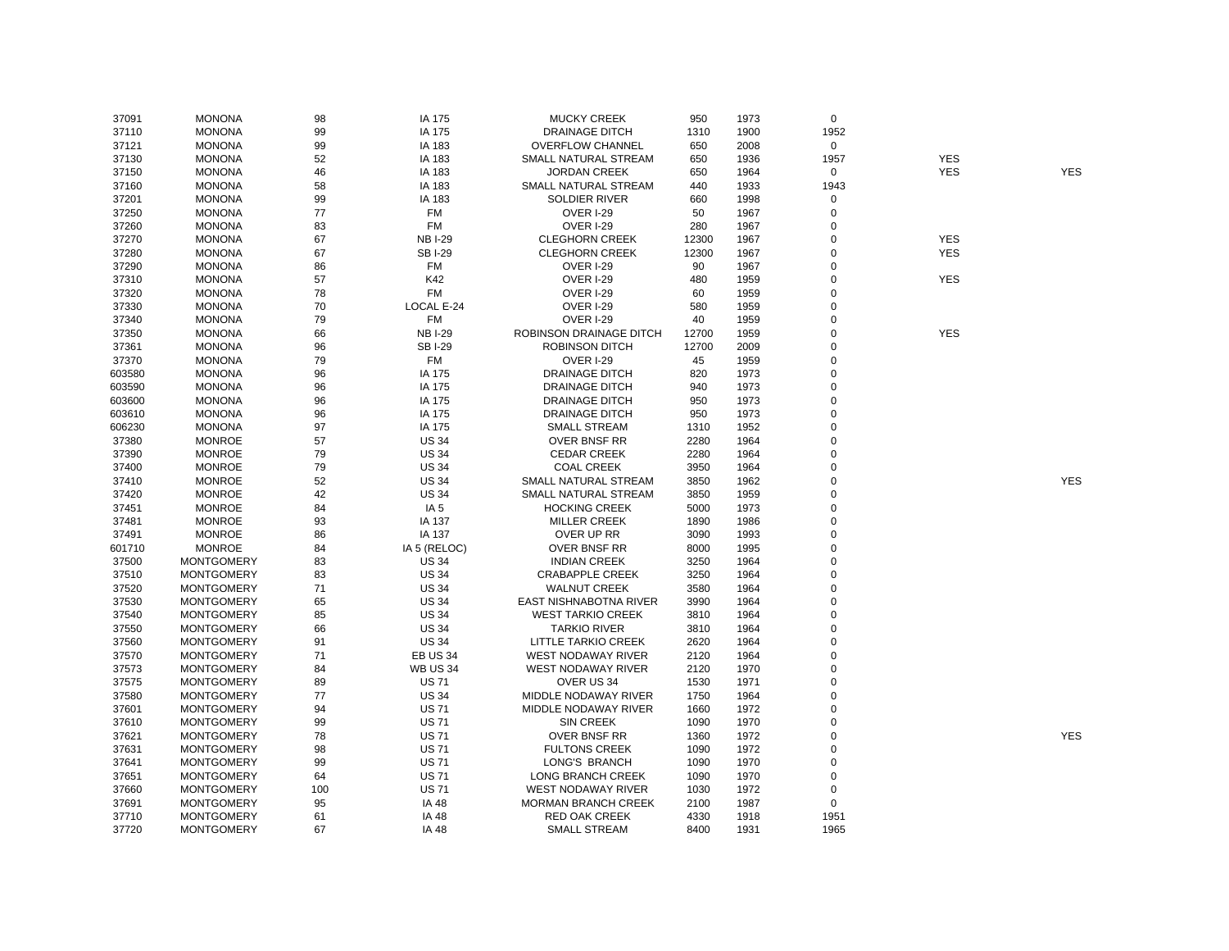| 37091  | <b>MONONA</b>     | 98  | IA 175          | <b>MUCKY CREEK</b>         | 950   | 1973 | $\mathbf 0$ |            |            |
|--------|-------------------|-----|-----------------|----------------------------|-------|------|-------------|------------|------------|
| 37110  | <b>MONONA</b>     | 99  | IA 175          | <b>DRAINAGE DITCH</b>      | 1310  | 1900 | 1952        |            |            |
| 37121  | <b>MONONA</b>     | 99  | IA 183          | <b>OVERFLOW CHANNEL</b>    | 650   | 2008 | 0           |            |            |
| 37130  | <b>MONONA</b>     | 52  | IA 183          | SMALL NATURAL STREAM       | 650   | 1936 | 1957        | <b>YES</b> |            |
| 37150  | <b>MONONA</b>     | 46  | IA 183          | <b>JORDAN CREEK</b>        | 650   | 1964 | 0           | <b>YES</b> | <b>YES</b> |
| 37160  | <b>MONONA</b>     | 58  | IA 183          | SMALL NATURAL STREAM       | 440   | 1933 | 1943        |            |            |
| 37201  | <b>MONONA</b>     | 99  | IA 183          | <b>SOLDIER RIVER</b>       | 660   | 1998 | $\mathbf 0$ |            |            |
| 37250  | <b>MONONA</b>     | 77  | <b>FM</b>       | OVER I-29                  | 50    | 1967 | 0           |            |            |
| 37260  | <b>MONONA</b>     | 83  | <b>FM</b>       | OVER I-29                  | 280   | 1967 | $\mathbf 0$ |            |            |
| 37270  | <b>MONONA</b>     | 67  | <b>NBI-29</b>   | <b>CLEGHORN CREEK</b>      | 12300 | 1967 | 0           | <b>YES</b> |            |
| 37280  | <b>MONONA</b>     | 67  | <b>SBI-29</b>   | <b>CLEGHORN CREEK</b>      | 12300 | 1967 | 0           | <b>YES</b> |            |
| 37290  | <b>MONONA</b>     | 86  | FM              | <b>OVER I-29</b>           | 90    | 1967 | 0           |            |            |
| 37310  | <b>MONONA</b>     | 57  | K42             | <b>OVER I-29</b>           | 480   | 1959 | $\mathbf 0$ | <b>YES</b> |            |
| 37320  | <b>MONONA</b>     | 78  | <b>FM</b>       | <b>OVER I-29</b>           | 60    | 1959 | $\mathbf 0$ |            |            |
| 37330  | <b>MONONA</b>     | 70  | LOCAL E-24      | <b>OVER I-29</b>           | 580   | 1959 | $\mathbf 0$ |            |            |
| 37340  | <b>MONONA</b>     | 79  | FM              | <b>OVER I-29</b>           | 40    | 1959 | $\mathbf 0$ |            |            |
| 37350  | <b>MONONA</b>     | 66  | <b>NBI-29</b>   | ROBINSON DRAINAGE DITCH    | 12700 | 1959 | $\mathbf 0$ | <b>YES</b> |            |
| 37361  | <b>MONONA</b>     | 96  | <b>SBI-29</b>   | <b>ROBINSON DITCH</b>      | 12700 | 2009 | $\mathbf 0$ |            |            |
| 37370  | <b>MONONA</b>     | 79  | FM              | <b>OVER I-29</b>           | 45    | 1959 | $\mathbf 0$ |            |            |
| 603580 | <b>MONONA</b>     | 96  | IA 175          | <b>DRAINAGE DITCH</b>      | 820   | 1973 | $\mathbf 0$ |            |            |
| 603590 | <b>MONONA</b>     | 96  | IA 175          | <b>DRAINAGE DITCH</b>      | 940   | 1973 | $\mathbf 0$ |            |            |
| 603600 | <b>MONONA</b>     | 96  | IA 175          | <b>DRAINAGE DITCH</b>      | 950   | 1973 | $\mathbf 0$ |            |            |
| 603610 | <b>MONONA</b>     | 96  | IA 175          | <b>DRAINAGE DITCH</b>      | 950   | 1973 | 0           |            |            |
| 606230 | <b>MONONA</b>     | 97  | IA 175          | <b>SMALL STREAM</b>        | 1310  | 1952 | $\mathbf 0$ |            |            |
| 37380  | <b>MONROE</b>     | 57  | <b>US 34</b>    | <b>OVER BNSF RR</b>        | 2280  | 1964 | 0           |            |            |
| 37390  | <b>MONROE</b>     | 79  | <b>US 34</b>    | <b>CEDAR CREEK</b>         | 2280  | 1964 | $\mathbf 0$ |            |            |
| 37400  | <b>MONROE</b>     | 79  | <b>US 34</b>    | <b>COAL CREEK</b>          | 3950  | 1964 | $\mathbf 0$ |            |            |
| 37410  | <b>MONROE</b>     | 52  | <b>US 34</b>    | SMALL NATURAL STREAM       | 3850  | 1962 | $\mathbf 0$ |            | <b>YES</b> |
| 37420  | <b>MONROE</b>     | 42  | <b>US 34</b>    | SMALL NATURAL STREAM       | 3850  | 1959 | $\mathbf 0$ |            |            |
| 37451  | <b>MONROE</b>     | 84  | IA <sub>5</sub> | <b>HOCKING CREEK</b>       | 5000  | 1973 | $\mathbf 0$ |            |            |
| 37481  | <b>MONROE</b>     | 93  | IA 137          | <b>MILLER CREEK</b>        | 1890  | 1986 | $\mathbf 0$ |            |            |
| 37491  | <b>MONROE</b>     | 86  | IA 137          | OVER UP RR                 | 3090  | 1993 | $\Omega$    |            |            |
| 601710 | <b>MONROE</b>     | 84  | IA 5 (RELOC)    | <b>OVER BNSF RR</b>        | 8000  | 1995 | $\mathbf 0$ |            |            |
| 37500  | <b>MONTGOMERY</b> | 83  | <b>US 34</b>    | <b>INDIAN CREEK</b>        | 3250  | 1964 | $\mathbf 0$ |            |            |
| 37510  | <b>MONTGOMERY</b> | 83  | <b>US 34</b>    | <b>CRABAPPLE CREEK</b>     | 3250  | 1964 | $\mathbf 0$ |            |            |
| 37520  | <b>MONTGOMERY</b> | 71  | <b>US 34</b>    | <b>WALNUT CREEK</b>        | 3580  | 1964 | 0           |            |            |
| 37530  | <b>MONTGOMERY</b> | 65  | <b>US 34</b>    | EAST NISHNABOTNA RIVER     | 3990  | 1964 | $\mathbf 0$ |            |            |
| 37540  | <b>MONTGOMERY</b> | 85  | <b>US 34</b>    | <b>WEST TARKIO CREEK</b>   | 3810  | 1964 | 0           |            |            |
| 37550  | <b>MONTGOMERY</b> | 66  | <b>US 34</b>    | <b>TARKIO RIVER</b>        | 3810  | 1964 | $\mathbf 0$ |            |            |
| 37560  | <b>MONTGOMERY</b> | 91  | <b>US 34</b>    | LITTLE TARKIO CREEK        | 2620  | 1964 | $\mathbf 0$ |            |            |
| 37570  | <b>MONTGOMERY</b> | 71  | <b>EB US 34</b> | WEST NODAWAY RIVER         | 2120  | 1964 | $\mathbf 0$ |            |            |
| 37573  | <b>MONTGOMERY</b> | 84  | <b>WB US 34</b> | <b>WEST NODAWAY RIVER</b>  | 2120  | 1970 | $\mathbf 0$ |            |            |
| 37575  | <b>MONTGOMERY</b> | 89  | <b>US71</b>     | OVER US 34                 | 1530  | 1971 | $\mathbf 0$ |            |            |
| 37580  | <b>MONTGOMERY</b> | 77  | <b>US 34</b>    | MIDDLE NODAWAY RIVER       | 1750  | 1964 | $\mathbf 0$ |            |            |
| 37601  | <b>MONTGOMERY</b> | 94  | <b>US71</b>     | MIDDLE NODAWAY RIVER       | 1660  | 1972 | $\mathbf 0$ |            |            |
| 37610  | <b>MONTGOMERY</b> | 99  | <b>US71</b>     | <b>SIN CREEK</b>           | 1090  | 1970 | 0           |            |            |
| 37621  | <b>MONTGOMERY</b> | 78  | <b>US71</b>     | <b>OVER BNSF RR</b>        | 1360  | 1972 | $\mathbf 0$ |            | <b>YES</b> |
| 37631  | <b>MONTGOMERY</b> | 98  | <b>US71</b>     | <b>FULTONS CREEK</b>       | 1090  | 1972 | 0           |            |            |
| 37641  | <b>MONTGOMERY</b> | 99  | <b>US71</b>     | LONG'S BRANCH              | 1090  | 1970 | 0           |            |            |
| 37651  | <b>MONTGOMERY</b> | 64  | <b>US71</b>     | LONG BRANCH CREEK          | 1090  | 1970 | $\mathbf 0$ |            |            |
| 37660  | <b>MONTGOMERY</b> | 100 | <b>US71</b>     | WEST NODAWAY RIVER         | 1030  | 1972 | 0           |            |            |
| 37691  | <b>MONTGOMERY</b> | 95  | IA 48           | <b>MORMAN BRANCH CREEK</b> | 2100  | 1987 | $\mathbf 0$ |            |            |
| 37710  | <b>MONTGOMERY</b> | 61  | IA 48           | <b>RED OAK CREEK</b>       | 4330  | 1918 | 1951        |            |            |
| 37720  | <b>MONTGOMERY</b> | 67  | <b>IA 48</b>    | <b>SMALL STREAM</b>        | 8400  | 1931 | 1965        |            |            |
|        |                   |     |                 |                            |       |      |             |            |            |

YES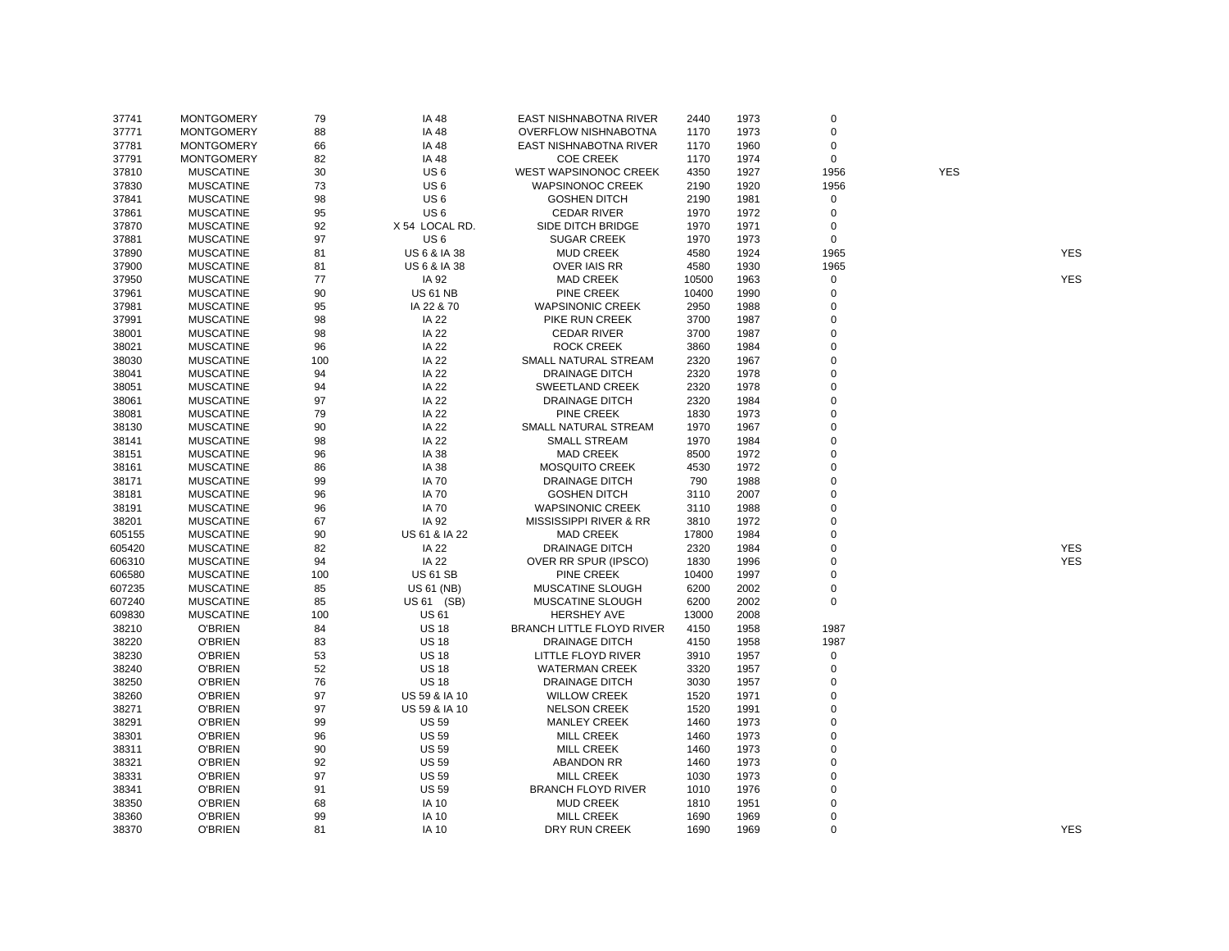| 37741  | <b>MONTGOMERY</b> | 79  | IA 48                   | EAST NISHNABOTNA RIVER           | 2440  | 1973 | 0           |            |            |
|--------|-------------------|-----|-------------------------|----------------------------------|-------|------|-------------|------------|------------|
| 37771  | <b>MONTGOMERY</b> | 88  | IA 48                   | <b>OVERFLOW NISHNABOTNA</b>      | 1170  | 1973 | $\mathbf 0$ |            |            |
| 37781  | <b>MONTGOMERY</b> | 66  | IA 48                   | EAST NISHNABOTNA RIVER           | 1170  | 1960 | 0           |            |            |
| 37791  | <b>MONTGOMERY</b> | 82  | IA 48                   | <b>COE CREEK</b>                 | 1170  | 1974 | 0           |            |            |
| 37810  | <b>MUSCATINE</b>  | 30  | US <sub>6</sub>         | <b>WEST WAPSINONOC CREEK</b>     | 4350  | 1927 | 1956        | <b>YES</b> |            |
| 37830  | <b>MUSCATINE</b>  | 73  | US <sub>6</sub>         | <b>WAPSINONOC CREEK</b>          | 2190  | 1920 | 1956        |            |            |
| 37841  | <b>MUSCATINE</b>  | 98  | US <sub>6</sub>         | <b>GOSHEN DITCH</b>              | 2190  | 1981 | $\mathsf 0$ |            |            |
| 37861  | <b>MUSCATINE</b>  | 95  | US <sub>6</sub>         | <b>CEDAR RIVER</b>               | 1970  | 1972 | 0           |            |            |
| 37870  | <b>MUSCATINE</b>  | 92  | X 54 LOCAL RD.          | SIDE DITCH BRIDGE                | 1970  | 1971 | $\mathbf 0$ |            |            |
| 37881  | <b>MUSCATINE</b>  | 97  | US <sub>6</sub>         | <b>SUGAR CREEK</b>               | 1970  | 1973 | $\mathbf 0$ |            |            |
| 37890  | <b>MUSCATINE</b>  | 81  | <b>US 6 &amp; IA 38</b> | <b>MUD CREEK</b>                 | 4580  | 1924 | 1965        |            | <b>YES</b> |
| 37900  | <b>MUSCATINE</b>  | 81  | US 6 & IA 38            | <b>OVER IAIS RR</b>              | 4580  | 1930 | 1965        |            |            |
| 37950  | <b>MUSCATINE</b>  | 77  | IA 92                   | <b>MAD CREEK</b>                 | 10500 | 1963 | $\mathbf 0$ |            | <b>YES</b> |
| 37961  | <b>MUSCATINE</b>  | 90  | <b>US 61 NB</b>         | <b>PINE CREEK</b>                | 10400 | 1990 | 0           |            |            |
| 37981  | <b>MUSCATINE</b>  | 95  | IA 22 & 70              | <b>WAPSINONIC CREEK</b>          | 2950  | 1988 | $\mathbf 0$ |            |            |
| 37991  | <b>MUSCATINE</b>  | 98  | <b>IA 22</b>            | PIKE RUN CREEK                   | 3700  | 1987 | $\Omega$    |            |            |
| 38001  | <b>MUSCATINE</b>  | 98  | IA 22                   | <b>CEDAR RIVER</b>               | 3700  | 1987 | $\Omega$    |            |            |
| 38021  | <b>MUSCATINE</b>  | 96  | <b>IA 22</b>            | <b>ROCK CREEK</b>                | 3860  | 1984 | $\mathbf 0$ |            |            |
| 38030  | <b>MUSCATINE</b>  | 100 | <b>IA 22</b>            | SMALL NATURAL STREAM             | 2320  | 1967 | $\mathbf 0$ |            |            |
| 38041  | <b>MUSCATINE</b>  | 94  | <b>IA 22</b>            | <b>DRAINAGE DITCH</b>            | 2320  | 1978 | $\mathbf 0$ |            |            |
|        |                   |     |                         |                                  |       |      | $\Omega$    |            |            |
| 38051  | <b>MUSCATINE</b>  | 94  | <b>IA 22</b>            | <b>SWEETLAND CREEK</b>           | 2320  | 1978 |             |            |            |
| 38061  | <b>MUSCATINE</b>  | 97  | <b>IA 22</b>            | <b>DRAINAGE DITCH</b>            | 2320  | 1984 | $\Omega$    |            |            |
| 38081  | <b>MUSCATINE</b>  | 79  | <b>IA 22</b>            | PINE CREEK                       | 1830  | 1973 | $\mathbf 0$ |            |            |
| 38130  | <b>MUSCATINE</b>  | 90  | <b>IA 22</b>            | SMALL NATURAL STREAM             | 1970  | 1967 | $\mathbf 0$ |            |            |
| 38141  | <b>MUSCATINE</b>  | 98  | <b>IA 22</b>            | <b>SMALL STREAM</b>              | 1970  | 1984 | $\mathbf 0$ |            |            |
| 38151  | <b>MUSCATINE</b>  | 96  | IA 38                   | <b>MAD CREEK</b>                 | 8500  | 1972 | $\Omega$    |            |            |
| 38161  | <b>MUSCATINE</b>  | 86  | IA 38                   | <b>MOSQUITO CREEK</b>            | 4530  | 1972 | $\Omega$    |            |            |
| 38171  | <b>MUSCATINE</b>  | 99  | <b>IA 70</b>            | DRAINAGE DITCH                   | 790   | 1988 | $\Omega$    |            |            |
| 38181  | <b>MUSCATINE</b>  | 96  | <b>IA 70</b>            | <b>GOSHEN DITCH</b>              | 3110  | 2007 | $\mathbf 0$ |            |            |
| 38191  | <b>MUSCATINE</b>  | 96  | <b>IA 70</b>            | <b>WAPSINONIC CREEK</b>          | 3110  | 1988 | $\mathbf 0$ |            |            |
| 38201  | <b>MUSCATINE</b>  | 67  | IA 92                   | MISSISSIPPI RIVER & RR           | 3810  | 1972 | $\mathbf 0$ |            |            |
| 605155 | <b>MUSCATINE</b>  | 90  | US 61 & IA 22           | <b>MAD CREEK</b>                 | 17800 | 1984 | $\Omega$    |            |            |
| 605420 | <b>MUSCATINE</b>  | 82  | <b>IA 22</b>            | <b>DRAINAGE DITCH</b>            | 2320  | 1984 | $\mathbf 0$ |            | <b>YES</b> |
| 606310 | <b>MUSCATINE</b>  | 94  | <b>IA 22</b>            | OVER RR SPUR (IPSCO)             | 1830  | 1996 | $\mathbf 0$ |            | <b>YES</b> |
| 606580 | <b>MUSCATINE</b>  | 100 | <b>US 61 SB</b>         | PINE CREEK                       | 10400 | 1997 | $\mathbf 0$ |            |            |
| 607235 | <b>MUSCATINE</b>  | 85  | <b>US 61 (NB)</b>       | MUSCATINE SLOUGH                 | 6200  | 2002 | $\mathbf 0$ |            |            |
| 607240 | <b>MUSCATINE</b>  | 85  | US 61 (SB)              | MUSCATINE SLOUGH                 | 6200  | 2002 | $\mathbf 0$ |            |            |
| 609830 | <b>MUSCATINE</b>  | 100 | <b>US 61</b>            | <b>HERSHEY AVE</b>               | 13000 | 2008 |             |            |            |
| 38210  | <b>O'BRIEN</b>    | 84  | <b>US 18</b>            | <b>BRANCH LITTLE FLOYD RIVER</b> | 4150  | 1958 | 1987        |            |            |
| 38220  | <b>O'BRIEN</b>    | 83  | <b>US 18</b>            | <b>DRAINAGE DITCH</b>            | 4150  | 1958 | 1987        |            |            |
| 38230  | <b>O'BRIEN</b>    | 53  | <b>US 18</b>            | LITTLE FLOYD RIVER               | 3910  | 1957 | 0           |            |            |
| 38240  | <b>O'BRIEN</b>    | 52  | <b>US 18</b>            | <b>WATERMAN CREEK</b>            | 3320  | 1957 | $\mathbf 0$ |            |            |
| 38250  | <b>O'BRIEN</b>    | 76  | <b>US 18</b>            | <b>DRAINAGE DITCH</b>            | 3030  | 1957 | $\mathbf 0$ |            |            |
| 38260  | O'BRIEN           | 97  | US 59 & IA 10           | <b>WILLOW CREEK</b>              | 1520  | 1971 | $\mathbf 0$ |            |            |
| 38271  | <b>O'BRIEN</b>    | 97  | US 59 & IA 10           | <b>NELSON CREEK</b>              | 1520  | 1991 | $\Omega$    |            |            |
| 38291  | <b>O'BRIEN</b>    | 99  | <b>US 59</b>            | <b>MANLEY CREEK</b>              | 1460  | 1973 | $\mathbf 0$ |            |            |
| 38301  | <b>O'BRIEN</b>    | 96  | <b>US 59</b>            | <b>MILL CREEK</b>                | 1460  | 1973 | $\mathbf 0$ |            |            |
| 38311  | <b>O'BRIEN</b>    | 90  | <b>US 59</b>            | <b>MILL CREEK</b>                | 1460  | 1973 | $\Omega$    |            |            |
| 38321  | O'BRIEN           | 92  | <b>US 59</b>            | <b>ABANDON RR</b>                | 1460  | 1973 | $\mathbf 0$ |            |            |
| 38331  | <b>O'BRIEN</b>    | 97  | <b>US 59</b>            | <b>MILL CREEK</b>                | 1030  | 1973 | $\Omega$    |            |            |
| 38341  | <b>O'BRIEN</b>    | 91  | <b>US 59</b>            | <b>BRANCH FLOYD RIVER</b>        | 1010  | 1976 | $\mathbf 0$ |            |            |
| 38350  | <b>O'BRIEN</b>    | 68  | <b>IA 10</b>            | <b>MUD CREEK</b>                 | 1810  | 1951 | $\mathbf 0$ |            |            |
| 38360  | <b>O'BRIEN</b>    | 99  | <b>IA 10</b>            | <b>MILL CREEK</b>                | 1690  | 1969 | $\Omega$    |            |            |
| 38370  | <b>O'BRIEN</b>    | 81  | <b>IA 10</b>            | DRY RUN CREEK                    | 1690  | 1969 | $\Omega$    |            | <b>YES</b> |
|        |                   |     |                         |                                  |       |      |             |            |            |

YES

YES<br>YES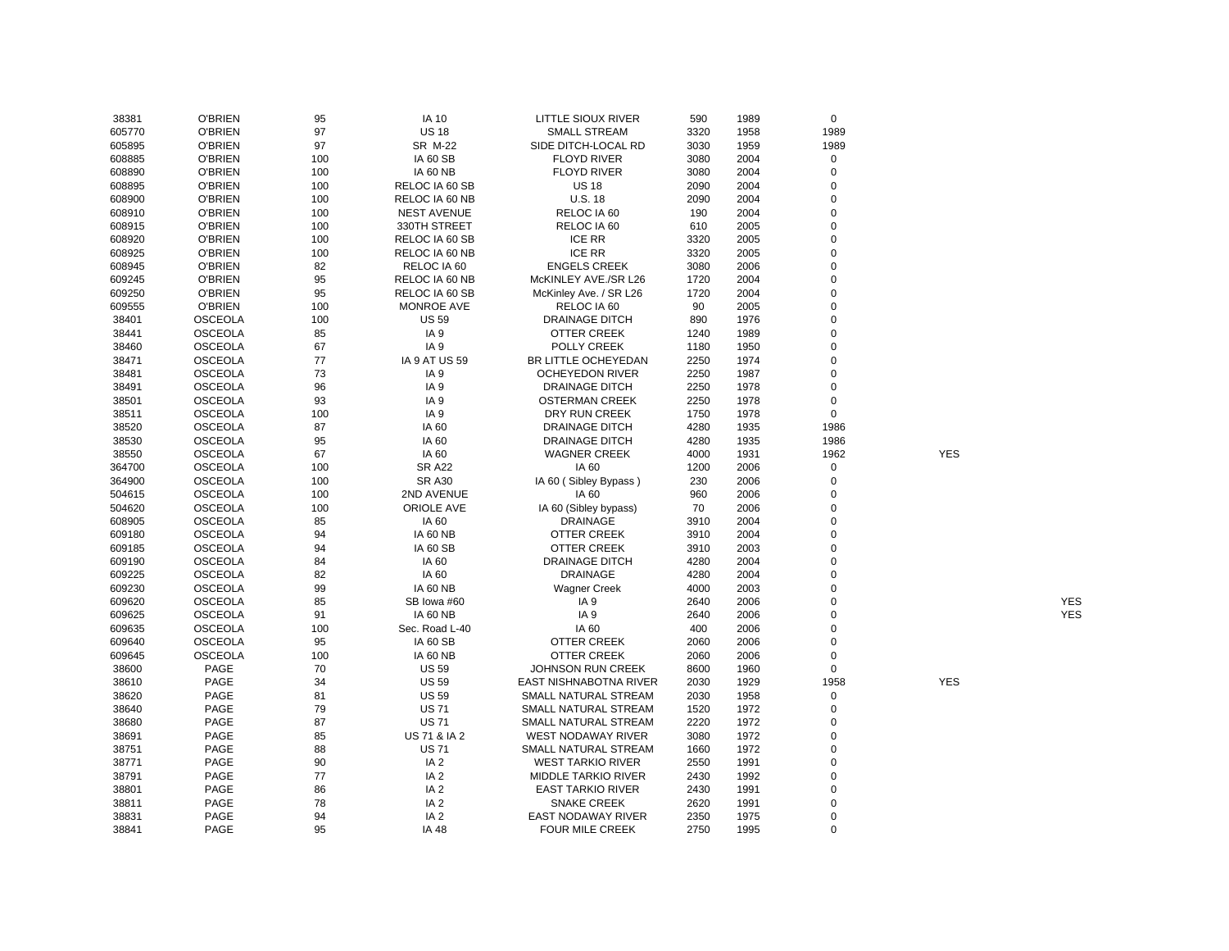| 38381          | <b>O'BRIEN</b> | 95  | <b>IA 10</b>                       | LITTLE SIOUX RIVER         | 590  | 1989 | $\mathbf 0$ |            |            |
|----------------|----------------|-----|------------------------------------|----------------------------|------|------|-------------|------------|------------|
| 605770         | <b>O'BRIEN</b> | 97  | <b>US 18</b>                       | <b>SMALL STREAM</b>        | 3320 | 1958 | 1989        |            |            |
| 605895         | <b>O'BRIEN</b> | 97  | <b>SR M-22</b>                     | SIDE DITCH-LOCAL RD        | 3030 | 1959 | 1989        |            |            |
| 608885         | <b>O'BRIEN</b> | 100 | <b>IA 60 SB</b>                    | <b>FLOYD RIVER</b>         | 3080 | 2004 | $\mathbf 0$ |            |            |
| 608890         | <b>O'BRIEN</b> | 100 | <b>IA 60 NB</b>                    | <b>FLOYD RIVER</b>         | 3080 | 2004 | 0           |            |            |
| 608895         | <b>O'BRIEN</b> | 100 | RELOC IA 60 SB                     | <b>US 18</b>               | 2090 | 2004 | $\mathbf 0$ |            |            |
| 608900         | <b>O'BRIEN</b> | 100 | RELOC IA 60 NB                     | <b>U.S. 18</b>             | 2090 | 2004 | $\mathbf 0$ |            |            |
| 608910         | <b>O'BRIEN</b> | 100 | <b>NEST AVENUE</b>                 | RELOC IA 60                | 190  | 2004 | $\mathbf 0$ |            |            |
| 608915         | <b>O'BRIEN</b> | 100 | 330TH STREET                       | RELOC IA 60                | 610  | 2005 | $\mathbf 0$ |            |            |
| 608920         | <b>O'BRIEN</b> | 100 | RELOC IA 60 SB                     | <b>ICE RR</b>              | 3320 | 2005 | 0           |            |            |
| 608925         | <b>O'BRIEN</b> | 100 | RELOC IA 60 NB                     | <b>ICE RR</b>              | 3320 | 2005 | $\mathbf 0$ |            |            |
| 608945         | <b>O'BRIEN</b> | 82  | RELOC IA 60                        | <b>ENGELS CREEK</b>        | 3080 | 2006 | $\mathbf 0$ |            |            |
| 609245         | <b>O'BRIEN</b> | 95  | RELOC IA 60 NB                     | McKINLEY AVE./SR L26       | 1720 | 2004 | 0           |            |            |
| 609250         | <b>O'BRIEN</b> | 95  | RELOC IA 60 SB                     | McKinley Ave. / SR L26     | 1720 | 2004 | $\mathbf 0$ |            |            |
| 609555         | <b>O'BRIEN</b> | 100 | <b>MONROE AVE</b>                  | RELOC IA 60                | 90   | 2005 | 0           |            |            |
| 38401          | <b>OSCEOLA</b> | 100 | <b>US 59</b>                       | <b>DRAINAGE DITCH</b>      | 890  | 1976 | $\mathbf 0$ |            |            |
| 38441          | <b>OSCEOLA</b> | 85  | IA <sub>9</sub>                    | OTTER CREEK                | 1240 | 1989 | 0           |            |            |
| 38460          | <b>OSCEOLA</b> | 67  | IA <sub>9</sub>                    | POLLY CREEK                | 1180 | 1950 | $\mathbf 0$ |            |            |
| 38471          | <b>OSCEOLA</b> | 77  | <b>IA 9 AT US 59</b>               | BR LITTLE OCHEYEDAN        | 2250 | 1974 | $\mathbf 0$ |            |            |
| 38481          | <b>OSCEOLA</b> | 73  | IA <sub>9</sub>                    | <b>OCHEYEDON RIVER</b>     | 2250 | 1987 | $\mathbf 0$ |            |            |
| 38491          | <b>OSCEOLA</b> | 96  | IA <sub>9</sub>                    | <b>DRAINAGE DITCH</b>      | 2250 | 1978 | 0           |            |            |
| 38501          | <b>OSCEOLA</b> | 93  | IA <sub>9</sub>                    | <b>OSTERMAN CREEK</b>      | 2250 | 1978 | $\mathbf 0$ |            |            |
| 38511          | <b>OSCEOLA</b> | 100 | IA <sub>9</sub>                    | DRY RUN CREEK              | 1750 | 1978 | $\mathbf 0$ |            |            |
| 38520          | <b>OSCEOLA</b> | 87  | IA 60                              | <b>DRAINAGE DITCH</b>      | 4280 | 1935 | 1986        |            |            |
| 38530          | <b>OSCEOLA</b> | 95  | IA 60                              | <b>DRAINAGE DITCH</b>      | 4280 | 1935 | 1986        |            |            |
| 38550          | <b>OSCEOLA</b> | 67  | IA 60                              | <b>WAGNER CREEK</b>        | 4000 | 1931 | 1962        | <b>YES</b> |            |
| 364700         | <b>OSCEOLA</b> | 100 | <b>SR A22</b>                      | IA 60                      | 1200 | 2006 | 0           |            |            |
| 364900         | <b>OSCEOLA</b> | 100 | <b>SR A30</b>                      | IA 60 (Sibley Bypass)      | 230  | 2006 | 0           |            |            |
| 504615         | <b>OSCEOLA</b> | 100 | 2ND AVENUE                         | IA 60                      | 960  | 2006 | 0           |            |            |
| 504620         | <b>OSCEOLA</b> | 100 | ORIOLE AVE                         | IA 60 (Sibley bypass)      | 70   | 2006 | 0           |            |            |
| 608905         | <b>OSCEOLA</b> | 85  | IA 60                              | <b>DRAINAGE</b>            | 3910 | 2004 | 0           |            |            |
| 609180         | <b>OSCEOLA</b> | 94  | <b>IA 60 NB</b>                    | OTTER CREEK                | 3910 | 2004 | 0           |            |            |
| 609185         | <b>OSCEOLA</b> | 94  | <b>IA 60 SB</b>                    | <b>OTTER CREEK</b>         | 3910 | 2003 | 0           |            |            |
| 609190         | <b>OSCEOLA</b> | 84  | IA 60                              | <b>DRAINAGE DITCH</b>      | 4280 | 2004 | 0           |            |            |
| 609225         | <b>OSCEOLA</b> | 82  | IA 60                              | <b>DRAINAGE</b>            | 4280 | 2004 | $\mathbf 0$ |            |            |
| 609230         | <b>OSCEOLA</b> | 99  | <b>IA 60 NB</b>                    | <b>Wagner Creek</b>        | 4000 | 2003 | $\mathbf 0$ |            |            |
| 609620         | <b>OSCEOLA</b> | 85  | SB lowa #60                        | IA <sub>9</sub>            | 2640 | 2006 | $\mathbf 0$ |            | <b>YES</b> |
| 609625         | <b>OSCEOLA</b> | 91  | <b>IA 60 NB</b>                    | IA <sub>9</sub>            | 2640 | 2006 | $\mathbf 0$ |            | YES        |
| 609635         | <b>OSCEOLA</b> | 100 | Sec. Road L-40                     | IA 60                      | 400  | 2006 | $\mathbf 0$ |            |            |
| 609640         | <b>OSCEOLA</b> | 95  | <b>IA 60 SB</b>                    | OTTER CREEK                | 2060 | 2006 | $\mathbf 0$ |            |            |
| 609645         | <b>OSCEOLA</b> | 100 | <b>IA 60 NB</b>                    | OTTER CREEK                | 2060 | 2006 | $\mathbf 0$ |            |            |
| 38600          | PAGE           | 70  | <b>US 59</b>                       | <b>JOHNSON RUN CREEK</b>   | 8600 | 1960 | $\mathbf 0$ |            |            |
| 38610          | <b>PAGE</b>    | 34  | <b>US 59</b>                       | EAST NISHNABOTNA RIVER     | 2030 | 1929 | 1958        | <b>YES</b> |            |
| 38620          | PAGE           | 81  | <b>US 59</b>                       | SMALL NATURAL STREAM       | 2030 | 1958 | 0           |            |            |
| 38640          | <b>PAGE</b>    | 79  | <b>US71</b>                        | SMALL NATURAL STREAM       | 1520 | 1972 | $\mathbf 0$ |            |            |
| 38680          | PAGE           | 87  | <b>US71</b>                        | SMALL NATURAL STREAM       | 2220 | 1972 | 0           |            |            |
| 38691          | <b>PAGE</b>    | 85  | US 71 & IA 2                       | <b>WEST NODAWAY RIVER</b>  | 3080 | 1972 | 0           |            |            |
| 38751          | PAGE           | 88  | <b>US71</b>                        | SMALL NATURAL STREAM       | 1660 | 1972 | $\mathbf 0$ |            |            |
| 38771          | PAGE           | 90  | IA <sub>2</sub>                    | <b>WEST TARKIO RIVER</b>   | 2550 | 1991 | $\mathbf 0$ |            |            |
| 38791          | PAGE           | 77  | IA <sub>2</sub>                    | <b>MIDDLE TARKIO RIVER</b> | 2430 | 1992 | 0           |            |            |
|                | PAGE           | 86  |                                    | <b>EAST TARKIO RIVER</b>   | 2430 | 1991 | 0           |            |            |
| 38801<br>38811 | PAGE           | 78  | IA <sub>2</sub><br>IA <sub>2</sub> | <b>SNAKE CREEK</b>         | 2620 | 1991 | $\pmb{0}$   |            |            |
|                | PAGE           | 94  | IA <sub>2</sub>                    | <b>EAST NODAWAY RIVER</b>  | 2350 | 1975 | $\pmb{0}$   |            |            |
| 38831          | PAGE           | 95  | IA 48                              |                            | 2750 | 1995 | $\mathbf 0$ |            |            |
| 38841          |                |     |                                    | <b>FOUR MILE CREEK</b>     |      |      |             |            |            |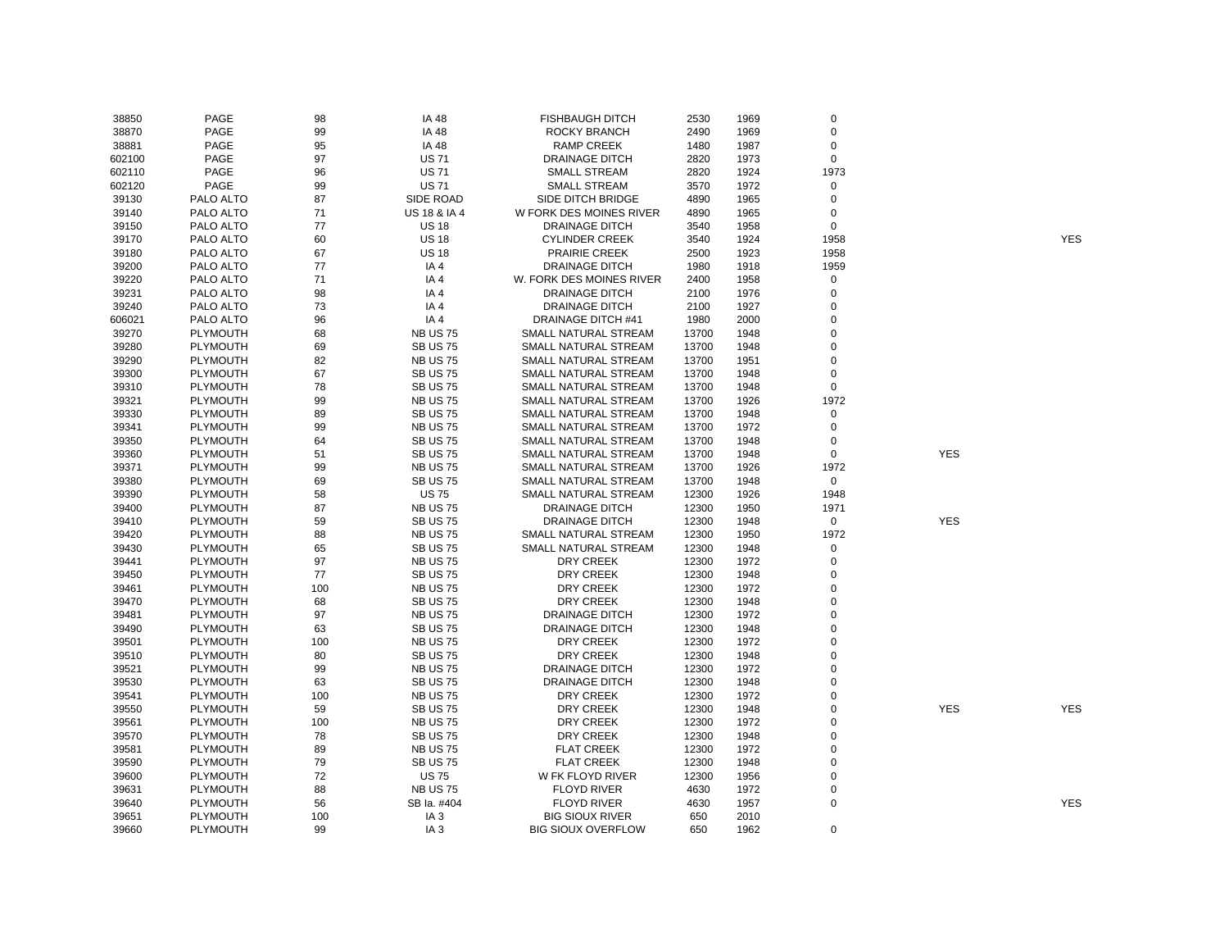| 38850  | PAGE            | 98  | IA 48                   | <b>FISHBAUGH DITCH</b>    | 2530  | 1969 | $\mathbf 0$ |            |            |
|--------|-----------------|-----|-------------------------|---------------------------|-------|------|-------------|------------|------------|
| 38870  | PAGE            | 99  | IA 48                   | ROCKY BRANCH              | 2490  | 1969 | 0           |            |            |
| 38881  | PAGE            | 95  | IA 48                   | <b>RAMP CREEK</b>         | 1480  | 1987 | 0           |            |            |
| 602100 | PAGE            | 97  | <b>US71</b>             | <b>DRAINAGE DITCH</b>     | 2820  | 1973 | $\mathsf 0$ |            |            |
| 602110 | PAGE            | 96  | <b>US71</b>             | <b>SMALL STREAM</b>       | 2820  | 1924 | 1973        |            |            |
| 602120 | <b>PAGE</b>     | 99  | <b>US71</b>             | <b>SMALL STREAM</b>       | 3570  | 1972 | $\mathbf 0$ |            |            |
| 39130  | PALO ALTO       | 87  | SIDE ROAD               | SIDE DITCH BRIDGE         | 4890  | 1965 | $\mathbf 0$ |            |            |
| 39140  | PALO ALTO       | 71  | <b>US 18 &amp; IA 4</b> | W FORK DES MOINES RIVER   | 4890  | 1965 | $\mathbf 0$ |            |            |
| 39150  | PALO ALTO       | 77  | <b>US 18</b>            | <b>DRAINAGE DITCH</b>     | 3540  | 1958 | $\mathsf 0$ |            |            |
| 39170  | PALO ALTO       | 60  | <b>US 18</b>            | <b>CYLINDER CREEK</b>     | 3540  | 1924 | 1958        |            | <b>YES</b> |
| 39180  | PALO ALTO       | 67  | <b>US 18</b>            | <b>PRAIRIE CREEK</b>      | 2500  | 1923 | 1958        |            |            |
| 39200  | PALO ALTO       | 77  | IA4                     | <b>DRAINAGE DITCH</b>     | 1980  | 1918 | 1959        |            |            |
| 39220  | PALO ALTO       | 71  | IA4                     | W. FORK DES MOINES RIVER  | 2400  | 1958 | $\mathbf 0$ |            |            |
| 39231  | PALO ALTO       | 98  | IA4                     | <b>DRAINAGE DITCH</b>     | 2100  | 1976 | $\mathbf 0$ |            |            |
| 39240  | PALO ALTO       | 73  | IA4                     | <b>DRAINAGE DITCH</b>     | 2100  | 1927 | $\mathbf 0$ |            |            |
| 606021 | PALO ALTO       | 96  | IA4                     | DRAINAGE DITCH #41        | 1980  | 2000 | $\Omega$    |            |            |
| 39270  | PLYMOUTH        | 68  | <b>NB US 75</b>         | SMALL NATURAL STREAM      | 13700 | 1948 | 0           |            |            |
| 39280  | PLYMOUTH        | 69  | <b>SB US 75</b>         | SMALL NATURAL STREAM      | 13700 | 1948 | 0           |            |            |
| 39290  | PLYMOUTH        | 82  | <b>NB US 75</b>         | SMALL NATURAL STREAM      | 13700 | 1951 | 0           |            |            |
| 39300  | PLYMOUTH        | 67  | <b>SB US 75</b>         | SMALL NATURAL STREAM      | 13700 | 1948 | $\mathbf 0$ |            |            |
| 39310  | PLYMOUTH        | 78  | <b>SB US 75</b>         | SMALL NATURAL STREAM      | 13700 | 1948 | $\mathbf 0$ |            |            |
| 39321  | <b>PLYMOUTH</b> | 99  | <b>NB US 75</b>         | SMALL NATURAL STREAM      | 13700 | 1926 | 1972        |            |            |
| 39330  | PLYMOUTH        | 89  | <b>SB US 75</b>         | SMALL NATURAL STREAM      | 13700 | 1948 | $\mathbf 0$ |            |            |
| 39341  | PLYMOUTH        | 99  | <b>NB US 75</b>         | SMALL NATURAL STREAM      | 13700 | 1972 | 0           |            |            |
|        |                 |     |                         |                           |       |      | 0           |            |            |
| 39350  | PLYMOUTH        | 64  | <b>SB US 75</b>         | SMALL NATURAL STREAM      | 13700 | 1948 |             |            |            |
| 39360  | PLYMOUTH        | 51  | <b>SB US 75</b>         | SMALL NATURAL STREAM      | 13700 | 1948 | 0           | <b>YES</b> |            |
| 39371  | <b>PLYMOUTH</b> | 99  | <b>NB US 75</b>         | SMALL NATURAL STREAM      | 13700 | 1926 | 1972        |            |            |
| 39380  | <b>PLYMOUTH</b> | 69  | <b>SB US 75</b>         | SMALL NATURAL STREAM      | 13700 | 1948 | $\mathbf 0$ |            |            |
| 39390  | PLYMOUTH        | 58  | <b>US75</b>             | SMALL NATURAL STREAM      | 12300 | 1926 | 1948        |            |            |
| 39400  | PLYMOUTH        | 87  | <b>NB US 75</b>         | <b>DRAINAGE DITCH</b>     | 12300 | 1950 | 1971        |            |            |
| 39410  | PLYMOUTH        | 59  | <b>SB US 75</b>         | <b>DRAINAGE DITCH</b>     | 12300 | 1948 | $\mathbf 0$ | <b>YES</b> |            |
| 39420  | PLYMOUTH        | 88  | <b>NB US 75</b>         | SMALL NATURAL STREAM      | 12300 | 1950 | 1972        |            |            |
| 39430  | PLYMOUTH        | 65  | <b>SB US 75</b>         | SMALL NATURAL STREAM      | 12300 | 1948 | $\mathbf 0$ |            |            |
| 39441  | PLYMOUTH        | 97  | <b>NB US 75</b>         | DRY CREEK                 | 12300 | 1972 | $\mathbf 0$ |            |            |
| 39450  | <b>PLYMOUTH</b> | 77  | <b>SB US 75</b>         | DRY CREEK                 | 12300 | 1948 | $\mathbf 0$ |            |            |
| 39461  | PLYMOUTH        | 100 | <b>NB US 75</b>         | DRY CREEK                 | 12300 | 1972 | 0           |            |            |
| 39470  | PLYMOUTH        | 68  | <b>SB US 75</b>         | <b>DRY CREEK</b>          | 12300 | 1948 | $\mathbf 0$ |            |            |
| 39481  | PLYMOUTH        | 97  | <b>NB US 75</b>         | <b>DRAINAGE DITCH</b>     | 12300 | 1972 | $\mathbf 0$ |            |            |
| 39490  | PLYMOUTH        | 63  | <b>SB US 75</b>         | <b>DRAINAGE DITCH</b>     | 12300 | 1948 | $\mathbf 0$ |            |            |
| 39501  | <b>PLYMOUTH</b> | 100 | <b>NB US 75</b>         | DRY CREEK                 | 12300 | 1972 | $\mathbf 0$ |            |            |
| 39510  | <b>PLYMOUTH</b> | 80  | <b>SB US 75</b>         | <b>DRY CREEK</b>          | 12300 | 1948 | $\Omega$    |            |            |
| 39521  | PLYMOUTH        | 99  | <b>NB US 75</b>         | <b>DRAINAGE DITCH</b>     | 12300 | 1972 | 0           |            |            |
| 39530  | PLYMOUTH        | 63  | <b>SB US 75</b>         | <b>DRAINAGE DITCH</b>     | 12300 | 1948 | $\mathbf 0$ |            |            |
| 39541  | PLYMOUTH        | 100 | <b>NB US 75</b>         | DRY CREEK                 | 12300 | 1972 | 0           |            |            |
| 39550  | PLYMOUTH        | 59  | <b>SB US 75</b>         | DRY CREEK                 | 12300 | 1948 | $\mathbf 0$ | <b>YES</b> | YES        |
| 39561  | PLYMOUTH        | 100 | <b>NB US 75</b>         | DRY CREEK                 | 12300 | 1972 | $\mathbf 0$ |            |            |
| 39570  | <b>PLYMOUTH</b> | 78  | <b>SB US 75</b>         | DRY CREEK                 | 12300 | 1948 | $\mathbf 0$ |            |            |
| 39581  | <b>PLYMOUTH</b> | 89  | <b>NB US 75</b>         | <b>FLAT CREEK</b>         | 12300 | 1972 | $\mathbf 0$ |            |            |
| 39590  | PLYMOUTH        | 79  | <b>SB US 75</b>         | <b>FLAT CREEK</b>         | 12300 | 1948 | $\mathsf 0$ |            |            |
| 39600  | PLYMOUTH        | 72  | <b>US75</b>             | W FK FLOYD RIVER          | 12300 | 1956 | 0           |            |            |
| 39631  | PLYMOUTH        | 88  | <b>NB US 75</b>         | <b>FLOYD RIVER</b>        | 4630  | 1972 | 0           |            |            |
| 39640  | PLYMOUTH        | 56  | SB Ia. #404             | <b>FLOYD RIVER</b>        | 4630  | 1957 | $\mathsf 0$ |            | <b>YES</b> |
| 39651  | PLYMOUTH        | 100 | IA <sub>3</sub>         | <b>BIG SIOUX RIVER</b>    | 650   | 2010 |             |            |            |
| 39660  | <b>PLYMOUTH</b> | 99  | IA <sub>3</sub>         | <b>BIG SIOUX OVERFLOW</b> | 650   | 1962 | $\mathbf 0$ |            |            |

YES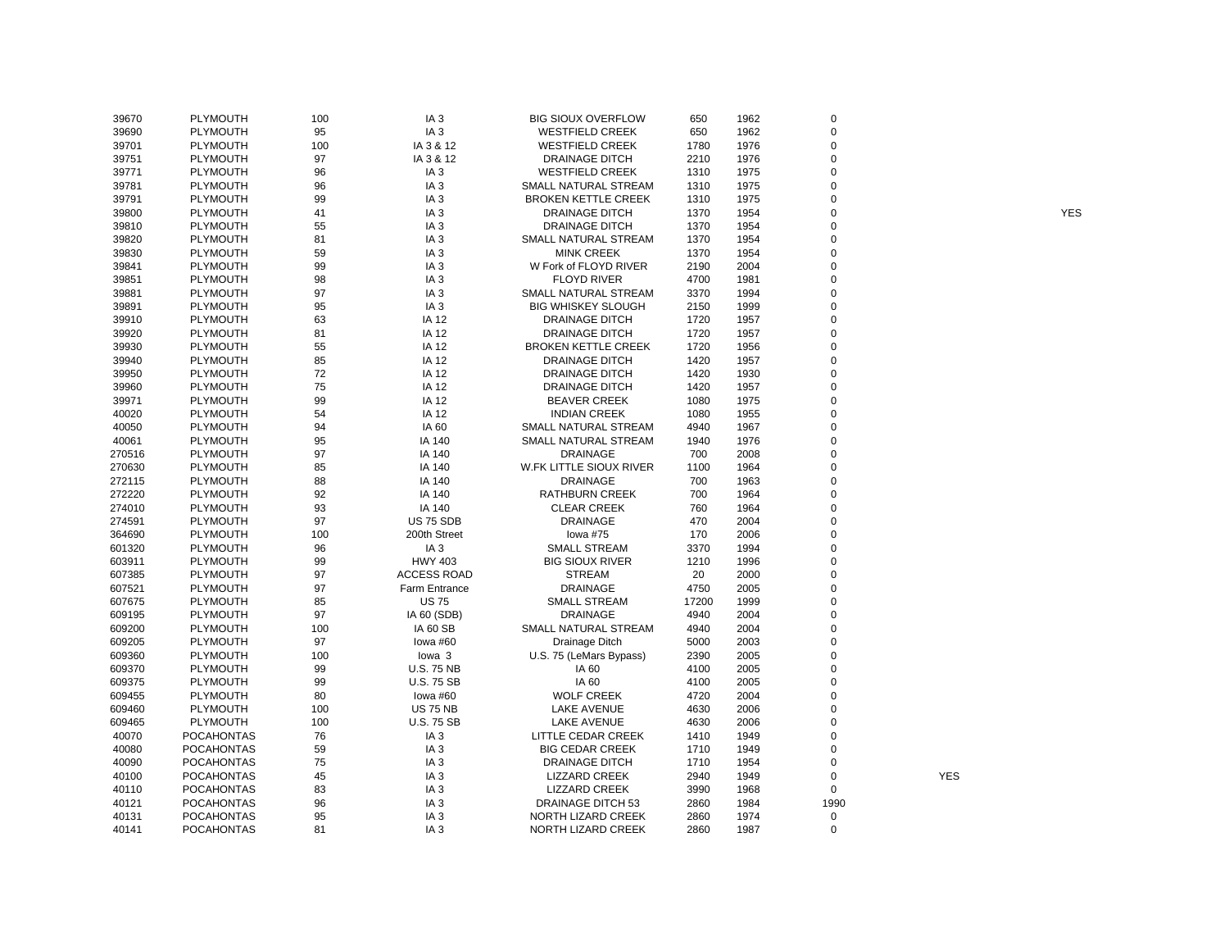| 39670  | PLYMOUTH             | 100      | IA <sub>3</sub>    | <b>BIG SIOUX OVERFLOW</b>               | 650         | 1962         | 0           |            |            |
|--------|----------------------|----------|--------------------|-----------------------------------------|-------------|--------------|-------------|------------|------------|
| 39690  | PLYMOUTH             | 95       | IA <sub>3</sub>    | <b>WESTFIELD CREEK</b>                  | 650         | 1962         | 0           |            |            |
| 39701  | PLYMOUTH             | 100      | IA 3 & 12          | <b>WESTFIELD CREEK</b>                  | 1780        | 1976         | $\mathbf 0$ |            |            |
| 39751  | PLYMOUTH             | 97       | IA 3 & 12          | <b>DRAINAGE DITCH</b>                   | 2210        | 1976         | 0           |            |            |
| 39771  | PLYMOUTH             | 96       | IA <sub>3</sub>    | <b>WESTFIELD CREEK</b>                  | 1310        | 1975         | $\mathbf 0$ |            |            |
| 39781  | PLYMOUTH             | 96       | IA <sub>3</sub>    | SMALL NATURAL STREAM                    | 1310        | 1975         | $\mathbf 0$ |            |            |
| 39791  | <b>PLYMOUTH</b>      | 99       | IA <sub>3</sub>    | <b>BROKEN KETTLE CREEK</b>              | 1310        | 1975         | 0           |            |            |
| 39800  | <b>PLYMOUTH</b>      | 41       | IA <sub>3</sub>    | <b>DRAINAGE DITCH</b>                   | 1370        | 1954         | $\mathbf 0$ |            | <b>YES</b> |
| 39810  | PLYMOUTH             | 55       | IA <sub>3</sub>    | <b>DRAINAGE DITCH</b>                   | 1370        | 1954         | 0           |            |            |
| 39820  | PLYMOUTH             | 81       | IA <sub>3</sub>    | SMALL NATURAL STREAM                    | 1370        | 1954         | $\mathbf 0$ |            |            |
| 39830  | PLYMOUTH             | 59       | IA <sub>3</sub>    | <b>MINK CREEK</b>                       | 1370        | 1954         | 0           |            |            |
| 39841  | <b>PLYMOUTH</b>      | 99       | IA <sub>3</sub>    | W Fork of FLOYD RIVER                   | 2190        | 2004         | $\Omega$    |            |            |
| 39851  | PLYMOUTH             | 98       | IA <sub>3</sub>    | <b>FLOYD RIVER</b>                      | 4700        | 1981         | $\mathbf 0$ |            |            |
| 39881  | <b>PLYMOUTH</b>      | 97       | IA <sub>3</sub>    | SMALL NATURAL STREAM                    | 3370        | 1994         | $\Omega$    |            |            |
| 39891  | PLYMOUTH             | 95       | IA <sub>3</sub>    | <b>BIG WHISKEY SLOUGH</b>               | 2150        | 1999         | 0           |            |            |
| 39910  | PLYMOUTH             | 63       | IA 12              | <b>DRAINAGE DITCH</b>                   | 1720        | 1957         | $\mathbf 0$ |            |            |
| 39920  | PLYMOUTH             | 81       | IA 12              | <b>DRAINAGE DITCH</b>                   | 1720        | 1957         | 0           |            |            |
| 39930  | PLYMOUTH             | 55       | IA 12              | <b>BROKEN KETTLE CREEK</b>              | 1720        | 1956         | 0           |            |            |
| 39940  | PLYMOUTH             | 85       | IA 12              | <b>DRAINAGE DITCH</b>                   | 1420        | 1957         | $\Omega$    |            |            |
| 39950  | <b>PLYMOUTH</b>      | 72       | IA 12              | <b>DRAINAGE DITCH</b>                   | 1420        | 1930         | $\mathbf 0$ |            |            |
| 39960  | <b>PLYMOUTH</b>      | 75       | IA 12              | <b>DRAINAGE DITCH</b>                   | 1420        | 1957         | $\mathbf 0$ |            |            |
| 39971  | PLYMOUTH             | 99       | IA 12              | <b>BEAVER CREEK</b>                     | 1080        | 1975         | $\mathbf 0$ |            |            |
| 40020  | PLYMOUTH             | 54       | IA 12              | <b>INDIAN CREEK</b>                     | 1080        | 1955         | $\mathbf 0$ |            |            |
| 40050  | PLYMOUTH             | 94       | IA 60              | SMALL NATURAL STREAM                    | 4940        | 1967         | 0           |            |            |
|        |                      |          |                    |                                         |             |              | 0           |            |            |
| 40061  | PLYMOUTH<br>PLYMOUTH | 95<br>97 | IA 140<br>IA 140   | SMALL NATURAL STREAM<br><b>DRAINAGE</b> | 1940<br>700 | 1976<br>2008 | $\Omega$    |            |            |
| 270516 |                      |          |                    |                                         |             |              | $\mathbf 0$ |            |            |
| 270630 | PLYMOUTH             | 85       | IA 140             | W.FK LITTLE SIOUX RIVER                 | 1100        | 1964         |             |            |            |
| 272115 | <b>PLYMOUTH</b>      | 88       | IA 140             | <b>DRAINAGE</b>                         | 700         | 1963         | $\mathbf 0$ |            |            |
| 272220 | PLYMOUTH             | 92       | IA 140             | <b>RATHBURN CREEK</b>                   | 700         | 1964         | 0           |            |            |
| 274010 | PLYMOUTH             | 93       | IA 140             | <b>CLEAR CREEK</b>                      | 760         | 1964         | $\Omega$    |            |            |
| 274591 | PLYMOUTH             | 97       | <b>US 75 SDB</b>   | <b>DRAINAGE</b>                         | 470         | 2004         | 0           |            |            |
| 364690 | PLYMOUTH             | 100      | 200th Street       | lowa #75                                | 170         | 2006         | $\mathbf 0$ |            |            |
| 601320 | <b>PLYMOUTH</b>      | 96       | IA <sub>3</sub>    | <b>SMALL STREAM</b>                     | 3370        | 1994         | $\mathbf 0$ |            |            |
| 603911 | <b>PLYMOUTH</b>      | 99       | <b>HWY 403</b>     | <b>BIG SIOUX RIVER</b>                  | 1210        | 1996         | 0           |            |            |
| 607385 | PLYMOUTH             | 97       | <b>ACCESS ROAD</b> | <b>STREAM</b>                           | 20          | 2000         | $\mathbf 0$ |            |            |
| 607521 | PLYMOUTH             | 97       | Farm Entrance      | <b>DRAINAGE</b>                         | 4750        | 2005         | $\mathbf 0$ |            |            |
| 607675 | PLYMOUTH             | 85       | <b>US75</b>        | <b>SMALL STREAM</b>                     | 17200       | 1999         | 0           |            |            |
| 609195 | PLYMOUTH             | 97       | IA 60 (SDB)        | DRAINAGE                                | 4940        | 2004         | $\mathbf 0$ |            |            |
| 609200 | PLYMOUTH             | 100      | <b>IA 60 SB</b>    | SMALL NATURAL STREAM                    | 4940        | 2004         | $\mathbf 0$ |            |            |
| 609205 | PLYMOUTH             | 97       | lowa #60           | Drainage Ditch                          | 5000        | 2003         | $\mathbf 0$ |            |            |
| 609360 | <b>PLYMOUTH</b>      | 100      | lowa 3             | U.S. 75 (LeMars Bypass)                 | 2390        | 2005         | $\Omega$    |            |            |
| 609370 | PLYMOUTH             | 99       | <b>U.S. 75 NB</b>  | IA 60                                   | 4100        | 2005         | 0           |            |            |
| 609375 | PLYMOUTH             | 99       | U.S. 75 SB         | IA 60                                   | 4100        | 2005         | $\mathbf 0$ |            |            |
| 609455 | PLYMOUTH             | 80       | lowa #60           | <b>WOLF CREEK</b>                       | 4720        | 2004         | 0           |            |            |
| 609460 | PLYMOUTH             | 100      | <b>US 75 NB</b>    | LAKE AVENUE                             | 4630        | 2006         | $\mathbf 0$ |            |            |
| 609465 | <b>PLYMOUTH</b>      | 100      | <b>U.S. 75 SB</b>  | <b>LAKE AVENUE</b>                      | 4630        | 2006         | $\mathbf 0$ |            |            |
| 40070  | <b>POCAHONTAS</b>    | 76       | IA <sub>3</sub>    | LITTLE CEDAR CREEK                      | 1410        | 1949         | 0           |            |            |
| 40080  | <b>POCAHONTAS</b>    | 59       | IA <sub>3</sub>    | <b>BIG CEDAR CREEK</b>                  | 1710        | 1949         | $\mathbf 0$ |            |            |
| 40090  | <b>POCAHONTAS</b>    | 75       | IA <sub>3</sub>    | <b>DRAINAGE DITCH</b>                   | 1710        | 1954         | 0           |            |            |
| 40100  | <b>POCAHONTAS</b>    | 45       | IA <sub>3</sub>    | LIZZARD CREEK                           | 2940        | 1949         | $\mathsf 0$ | <b>YES</b> |            |
| 40110  | <b>POCAHONTAS</b>    | 83       | IA <sub>3</sub>    | LIZZARD CREEK                           | 3990        | 1968         | 0           |            |            |
| 40121  | <b>POCAHONTAS</b>    | 96       | IA <sub>3</sub>    | DRAINAGE DITCH 53                       | 2860        | 1984         | 1990        |            |            |
| 40131  | <b>POCAHONTAS</b>    | 95       | IA <sub>3</sub>    | NORTH LIZARD CREEK                      | 2860        | 1974         | $\mathbf 0$ |            |            |
| 40141  | <b>POCAHONTAS</b>    | 81       | IA <sub>3</sub>    | NORTH LIZARD CREEK                      | 2860        | 1987         | $\mathbf 0$ |            |            |
|        |                      |          |                    |                                         |             |              |             |            |            |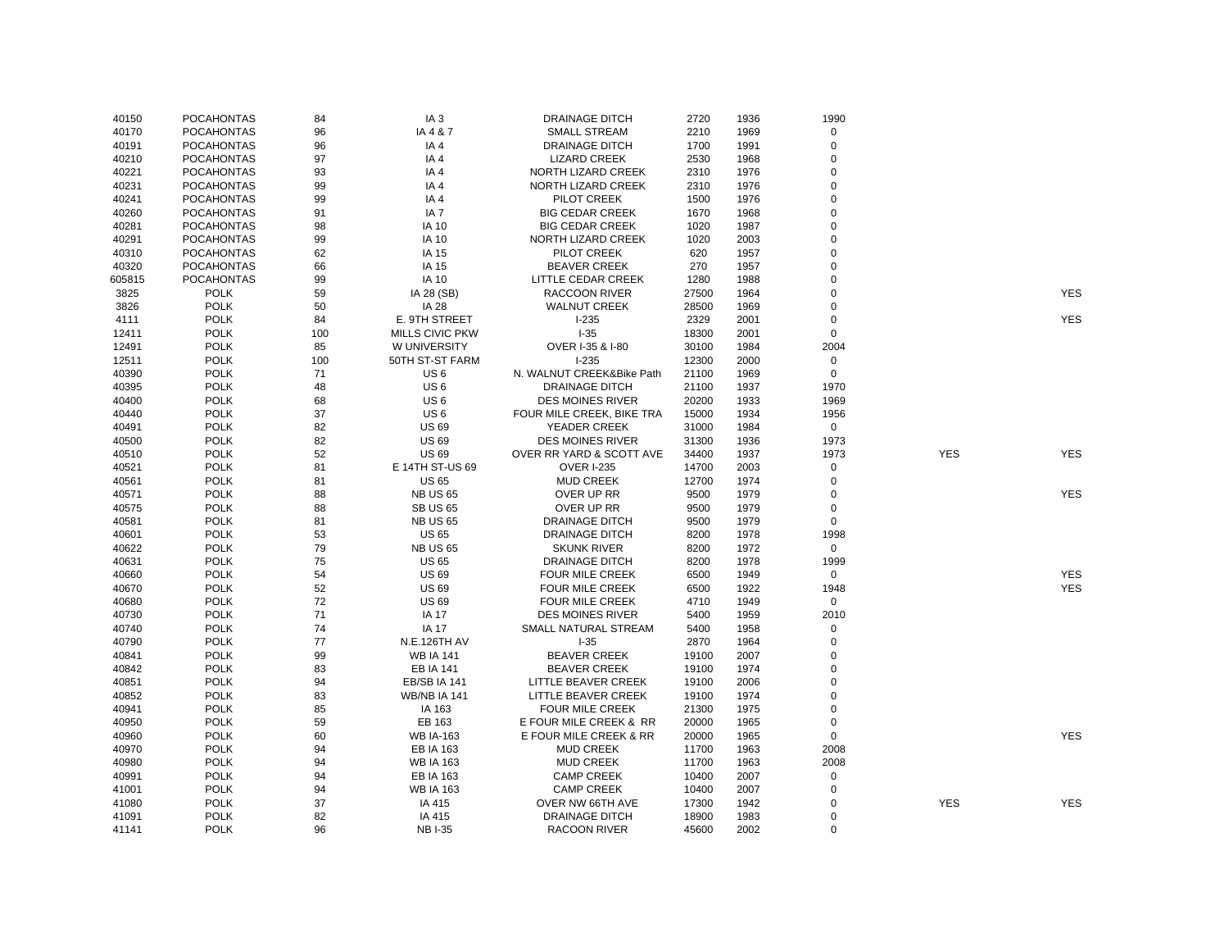| 40150  | <b>POCAHONTAS</b> | 84  | IA <sub>3</sub>        | <b>DRAINAGE DITCH</b>     | 2720  | 1936 | 1990           |            |            |
|--------|-------------------|-----|------------------------|---------------------------|-------|------|----------------|------------|------------|
| 40170  | <b>POCAHONTAS</b> | 96  | IA 4 & 7               | <b>SMALL STREAM</b>       | 2210  | 1969 | $\mathsf 0$    |            |            |
| 40191  | <b>POCAHONTAS</b> | 96  | IA4                    | <b>DRAINAGE DITCH</b>     | 1700  | 1991 | $\mathbf 0$    |            |            |
| 40210  | <b>POCAHONTAS</b> | 97  | IA4                    | <b>LIZARD CREEK</b>       | 2530  | 1968 | 0              |            |            |
| 40221  | <b>POCAHONTAS</b> | 93  | IA4                    | NORTH LIZARD CREEK        | 2310  | 1976 | 0              |            |            |
| 40231  | <b>POCAHONTAS</b> | 99  | IA <sub>4</sub>        | NORTH LIZARD CREEK        | 2310  | 1976 | 0              |            |            |
| 40241  | <b>POCAHONTAS</b> | 99  | IA4                    | PILOT CREEK               | 1500  | 1976 | 0              |            |            |
| 40260  | <b>POCAHONTAS</b> | 91  | IA <sub>7</sub>        | <b>BIG CEDAR CREEK</b>    | 1670  | 1968 | $\overline{0}$ |            |            |
| 40281  | <b>POCAHONTAS</b> | 98  | <b>IA 10</b>           | <b>BIG CEDAR CREEK</b>    | 1020  | 1987 | 0              |            |            |
| 40291  | <b>POCAHONTAS</b> | 99  | <b>IA 10</b>           | NORTH LIZARD CREEK        | 1020  | 2003 | 0              |            |            |
| 40310  | <b>POCAHONTAS</b> | 62  | IA 15                  | PILOT CREEK               | 620   | 1957 | $\Omega$       |            |            |
| 40320  | <b>POCAHONTAS</b> | 66  | IA 15                  | <b>BEAVER CREEK</b>       | 270   | 1957 | $\Omega$       |            |            |
| 605815 | <b>POCAHONTAS</b> | 99  | <b>IA 10</b>           | LITTLE CEDAR CREEK        | 1280  | 1988 | 0              |            |            |
| 3825   | <b>POLK</b>       | 59  | IA 28 (SB)             | <b>RACCOON RIVER</b>      | 27500 | 1964 | 0              |            | <b>YES</b> |
| 3826   | <b>POLK</b>       | 50  | <b>IA 28</b>           | <b>WALNUT CREEK</b>       | 28500 | 1969 | 0              |            |            |
| 4111   | <b>POLK</b>       | 84  | E. 9TH STREET          | $1-235$                   | 2329  | 2001 | $\Omega$       |            | <b>YES</b> |
| 12411  | <b>POLK</b>       | 100 | <b>MILLS CIVIC PKW</b> | $1 - 35$                  | 18300 | 2001 | $\mathbf 0$    |            |            |
| 12491  | <b>POLK</b>       | 85  | W UNIVERSITY           | OVER I-35 & I-80          | 30100 | 1984 | 2004           |            |            |
| 12511  | <b>POLK</b>       | 100 | 50TH ST-ST FARM        | $I - 235$                 | 12300 | 2000 | 0              |            |            |
| 40390  | <b>POLK</b>       | 71  | US <sub>6</sub>        | N. WALNUT CREEK&Bike Path | 21100 | 1969 | 0              |            |            |
| 40395  | <b>POLK</b>       | 48  | US <sub>6</sub>        | <b>DRAINAGE DITCH</b>     | 21100 | 1937 | 1970           |            |            |
| 40400  | <b>POLK</b>       | 68  | US <sub>6</sub>        | <b>DES MOINES RIVER</b>   | 20200 | 1933 | 1969           |            |            |
| 40440  | <b>POLK</b>       | 37  | US <sub>6</sub>        | FOUR MILE CREEK, BIKE TRA | 15000 | 1934 | 1956           |            |            |
| 40491  | <b>POLK</b>       | 82  | <b>US69</b>            | YEADER CREEK              | 31000 | 1984 | $\mathbf 0$    |            |            |
| 40500  | <b>POLK</b>       | 82  | <b>US 69</b>           | <b>DES MOINES RIVER</b>   | 31300 | 1936 | 1973           |            |            |
| 40510  | <b>POLK</b>       | 52  | <b>US69</b>            | OVER RR YARD & SCOTT AVE  | 34400 | 1937 | 1973           | <b>YES</b> | <b>YES</b> |
| 40521  | <b>POLK</b>       | 81  | E 14TH ST-US 69        | <b>OVER I-235</b>         | 14700 | 2003 | 0              |            |            |
| 40561  | <b>POLK</b>       | 81  | <b>US 65</b>           | <b>MUD CREEK</b>          | 12700 | 1974 | 0              |            |            |
| 40571  | <b>POLK</b>       | 88  | <b>NB US 65</b>        | OVER UP RR                | 9500  | 1979 | 0              |            | <b>YES</b> |
| 40575  | <b>POLK</b>       | 88  | <b>SB US 65</b>        | OVER UP RR                | 9500  | 1979 | $\pmb{0}$      |            |            |
| 40581  | <b>POLK</b>       | 81  | <b>NB US 65</b>        | <b>DRAINAGE DITCH</b>     | 9500  | 1979 | 0              |            |            |
| 40601  | <b>POLK</b>       | 53  | <b>US 65</b>           | <b>DRAINAGE DITCH</b>     | 8200  | 1978 | 1998           |            |            |
| 40622  | <b>POLK</b>       | 79  | <b>NB US 65</b>        | <b>SKUNK RIVER</b>        | 8200  | 1972 | $\mathbf 0$    |            |            |
| 40631  | <b>POLK</b>       | 75  | <b>US 65</b>           | <b>DRAINAGE DITCH</b>     | 8200  | 1978 | 1999           |            |            |
| 40660  | <b>POLK</b>       | 54  | <b>US 69</b>           | <b>FOUR MILE CREEK</b>    | 6500  | 1949 | $\mathsf 0$    |            | <b>YES</b> |
| 40670  | <b>POLK</b>       | 52  | <b>US 69</b>           | FOUR MILE CREEK           | 6500  | 1922 | 1948           |            | YES        |
| 40680  | <b>POLK</b>       | 72  | <b>US 69</b>           | <b>FOUR MILE CREEK</b>    | 4710  | 1949 | $\mathbf 0$    |            |            |
| 40730  | <b>POLK</b>       | 71  | <b>IA 17</b>           | <b>DES MOINES RIVER</b>   | 5400  | 1959 | 2010           |            |            |
| 40740  | <b>POLK</b>       | 74  | IA 17                  | SMALL NATURAL STREAM      | 5400  | 1958 | 0              |            |            |
| 40790  | <b>POLK</b>       | 77  | N.E.126TH AV           | $I-35$                    | 2870  | 1964 | 0              |            |            |
| 40841  | <b>POLK</b>       | 99  | <b>WB IA 141</b>       | <b>BEAVER CREEK</b>       | 19100 | 2007 | $\pmb{0}$      |            |            |
| 40842  | <b>POLK</b>       | 83  | <b>EB IA 141</b>       | <b>BEAVER CREEK</b>       | 19100 | 1974 | 0              |            |            |
| 40851  | <b>POLK</b>       | 94  | EB/SB IA 141           | LITTLE BEAVER CREEK       | 19100 | 2006 | $\Omega$       |            |            |
| 40852  | <b>POLK</b>       | 83  | <b>WB/NB IA 141</b>    | LITTLE BEAVER CREEK       | 19100 | 1974 | $\Omega$       |            |            |
| 40941  | <b>POLK</b>       | 85  | IA 163                 | <b>FOUR MILE CREEK</b>    | 21300 | 1975 | 0              |            |            |
| 40950  | <b>POLK</b>       | 59  | EB 163                 | E FOUR MILE CREEK & RR    | 20000 | 1965 | 0              |            |            |
| 40960  | <b>POLK</b>       | 60  | <b>WB IA-163</b>       | E FOUR MILE CREEK & RR    | 20000 | 1965 | 0              |            | <b>YES</b> |
| 40970  | <b>POLK</b>       | 94  | EB IA 163              | <b>MUD CREEK</b>          | 11700 | 1963 | 2008           |            |            |
| 40980  | <b>POLK</b>       | 94  | <b>WB IA 163</b>       | <b>MUD CREEK</b>          | 11700 | 1963 | 2008           |            |            |
| 40991  | <b>POLK</b>       | 94  | EB IA 163              | <b>CAMP CREEK</b>         | 10400 | 2007 | 0              |            |            |
| 41001  | <b>POLK</b>       | 94  | <b>WB IA 163</b>       | <b>CAMP CREEK</b>         | 10400 | 2007 | 0              |            |            |
| 41080  | <b>POLK</b>       | 37  | IA 415                 | OVER NW 66TH AVE          | 17300 | 1942 | 0              | <b>YES</b> | <b>YES</b> |
| 41091  | <b>POLK</b>       | 82  | IA 415                 | <b>DRAINAGE DITCH</b>     | 18900 | 1983 | 0              |            |            |
| 41141  | <b>POLK</b>       | 96  | <b>NB I-35</b>         | RACOON RIVER              | 45600 | 2002 | $\Omega$       |            |            |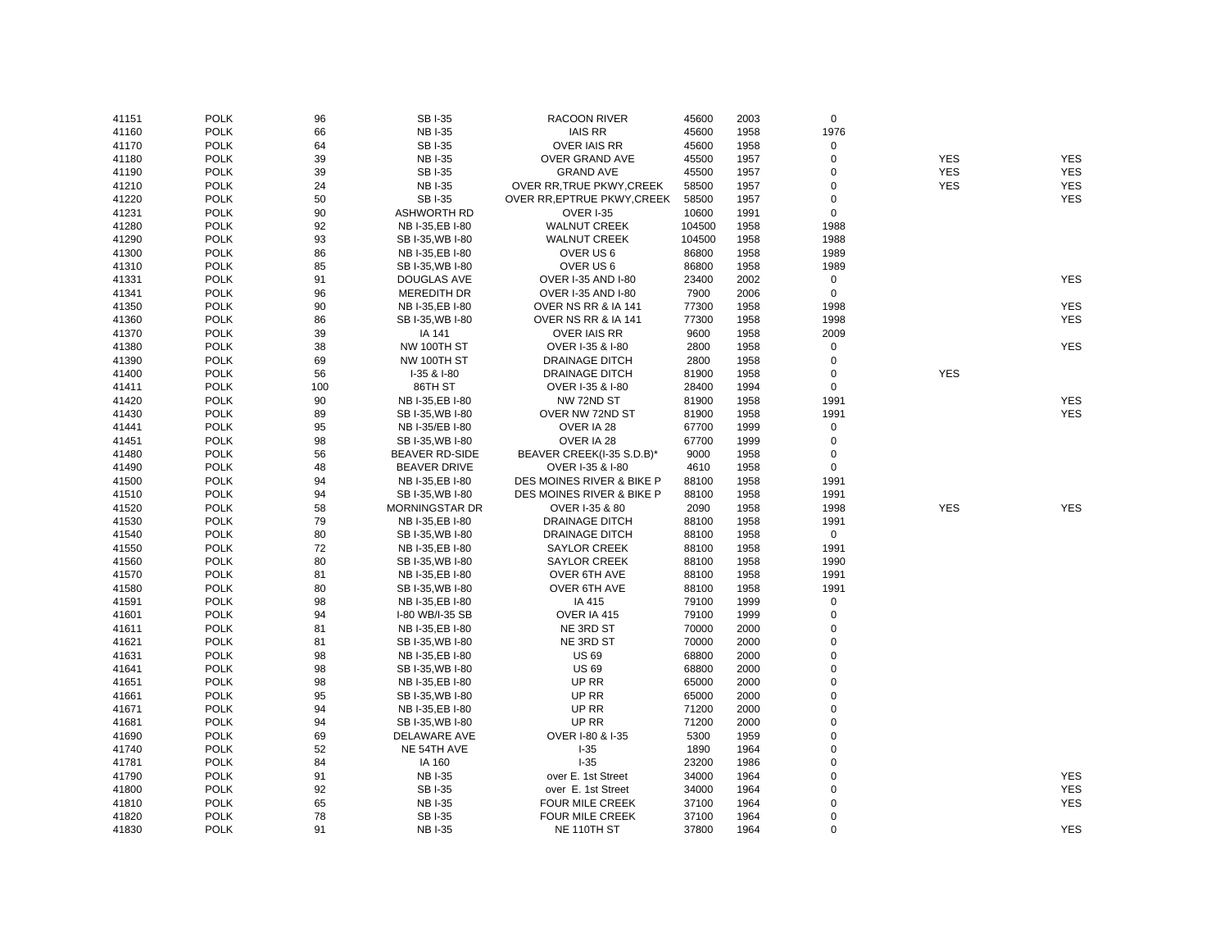| 41151 | <b>POLK</b> | 96  | <b>SBI-35</b>         | <b>RACOON RIVER</b>                  | 45600  | 2003 | $\mathbf 0$ |            |                          |
|-------|-------------|-----|-----------------------|--------------------------------------|--------|------|-------------|------------|--------------------------|
| 41160 | <b>POLK</b> | 66  | <b>NBI-35</b>         | <b>IAIS RR</b>                       | 45600  | 1958 | 1976        |            |                          |
| 41170 | <b>POLK</b> | 64  | SB I-35               | <b>OVER IAIS RR</b>                  | 45600  | 1958 | $\mathsf 0$ |            |                          |
| 41180 | <b>POLK</b> | 39  | <b>NBI-35</b>         | <b>OVER GRAND AVE</b>                | 45500  | 1957 | $\pmb{0}$   | <b>YES</b> | <b>YES</b>               |
| 41190 | <b>POLK</b> | 39  | SB I-35               | <b>GRAND AVE</b>                     | 45500  | 1957 | $\mathbf 0$ | <b>YES</b> | <b>YES</b>               |
| 41210 | <b>POLK</b> | 24  | <b>NBI-35</b>         | OVER RR, TRUE PKWY, CREEK            | 58500  | 1957 | $\pmb{0}$   | <b>YES</b> | <b>YES</b>               |
| 41220 | <b>POLK</b> | 50  | <b>SBI-35</b>         | OVER RR, EPTRUE PKWY, CREEK          | 58500  | 1957 | $\mathbf 0$ |            | <b>YES</b>               |
| 41231 | <b>POLK</b> | 90  | <b>ASHWORTH RD</b>    | <b>OVER I-35</b>                     | 10600  | 1991 | $\mathbf 0$ |            |                          |
| 41280 | <b>POLK</b> | 92  | NB I-35, EB I-80      | <b>WALNUT CREEK</b>                  | 104500 | 1958 | 1988        |            |                          |
| 41290 | <b>POLK</b> | 93  | SB I-35, WB I-80      | <b>WALNUT CREEK</b>                  | 104500 | 1958 | 1988        |            |                          |
| 41300 | <b>POLK</b> | 86  | NB I-35, EB I-80      | OVER US 6                            | 86800  | 1958 | 1989        |            |                          |
| 41310 | <b>POLK</b> | 85  | SB I-35, WB I-80      | OVER US 6                            | 86800  | 1958 | 1989        |            |                          |
| 41331 | <b>POLK</b> | 91  | DOUGLAS AVE           | OVER I-35 AND I-80                   | 23400  | 2002 | $\mathbf 0$ |            | <b>YES</b>               |
| 41341 | <b>POLK</b> | 96  | <b>MEREDITH DR</b>    | <b>OVER I-35 AND I-80</b>            | 7900   | 2006 | $\mathbf 0$ |            |                          |
| 41350 | <b>POLK</b> | 90  | NB I-35, EB I-80      | OVER NS RR & IA 141                  | 77300  | 1958 | 1998        |            | <b>YES</b>               |
| 41360 | <b>POLK</b> | 86  | SB I-35, WB I-80      | OVER NS RR & IA 141                  | 77300  | 1958 | 1998        |            | <b>YES</b>               |
| 41370 | <b>POLK</b> | 39  | IA 141                | <b>OVER IAIS RR</b>                  | 9600   | 1958 | 2009        |            |                          |
| 41380 | <b>POLK</b> | 38  | NW 100TH ST           | OVER I-35 & I-80                     | 2800   | 1958 | $\mathbf 0$ |            | <b>YES</b>               |
| 41390 | <b>POLK</b> | 69  | NW 100TH ST           | <b>DRAINAGE DITCH</b>                | 2800   | 1958 | $\pmb{0}$   |            |                          |
| 41400 | <b>POLK</b> | 56  | I-35 & I-80           | <b>DRAINAGE DITCH</b>                | 81900  | 1958 | $\mathbf 0$ | <b>YES</b> |                          |
|       | <b>POLK</b> | 100 | 86TH ST               |                                      |        |      | $\mathbf 0$ |            |                          |
| 41411 |             |     |                       | OVER I-35 & I-80                     | 28400  | 1994 |             |            |                          |
| 41420 | <b>POLK</b> | 90  | NB I-35, EB I-80      | NW 72ND ST                           | 81900  | 1958 | 1991        |            | <b>YES</b><br><b>YES</b> |
| 41430 | <b>POLK</b> | 89  | SB I-35, WB I-80      | OVER NW 72ND ST                      | 81900  | 1958 | 1991        |            |                          |
| 41441 | <b>POLK</b> | 95  | NB I-35/EB I-80       | OVER IA 28                           | 67700  | 1999 | $\mathbf 0$ |            |                          |
| 41451 | <b>POLK</b> | 98  | SB I-35, WB I-80      | OVER IA 28                           | 67700  | 1999 | $\mathsf 0$ |            |                          |
| 41480 | <b>POLK</b> | 56  | <b>BEAVER RD-SIDE</b> | BEAVER CREEK(I-35 S.D.B)*            | 9000   | 1958 | $\pmb{0}$   |            |                          |
| 41490 | <b>POLK</b> | 48  | <b>BEAVER DRIVE</b>   | OVER I-35 & I-80                     | 4610   | 1958 | $\mathsf 0$ |            |                          |
| 41500 | <b>POLK</b> | 94  | NB I-35, EB I-80      | <b>DES MOINES RIVER &amp; BIKE P</b> | 88100  | 1958 | 1991        |            |                          |
| 41510 | <b>POLK</b> | 94  | SB I-35, WB I-80      | <b>DES MOINES RIVER &amp; BIKE P</b> | 88100  | 1958 | 1991        |            |                          |
| 41520 | <b>POLK</b> | 58  | MORNINGSTAR DR        | OVER I-35 & 80                       | 2090   | 1958 | 1998        | <b>YES</b> | <b>YES</b>               |
| 41530 | <b>POLK</b> | 79  | NB I-35, EB I-80      | <b>DRAINAGE DITCH</b>                | 88100  | 1958 | 1991        |            |                          |
| 41540 | <b>POLK</b> | 80  | SB I-35, WB I-80      | DRAINAGE DITCH                       | 88100  | 1958 | $\mathbf 0$ |            |                          |
| 41550 | <b>POLK</b> | 72  | NB I-35, EB I-80      | <b>SAYLOR CREEK</b>                  | 88100  | 1958 | 1991        |            |                          |
| 41560 | <b>POLK</b> | 80  | SB I-35, WB I-80      | <b>SAYLOR CREEK</b>                  | 88100  | 1958 | 1990        |            |                          |
| 41570 | <b>POLK</b> | 81  | NB I-35, EB I-80      | OVER 6TH AVE                         | 88100  | 1958 | 1991        |            |                          |
| 41580 | <b>POLK</b> | 80  | SB I-35, WB I-80      | OVER 6TH AVE                         | 88100  | 1958 | 1991        |            |                          |
| 41591 | <b>POLK</b> | 98  | NB I-35, EB I-80      | IA 415                               | 79100  | 1999 | $\mathbf 0$ |            |                          |
| 41601 | <b>POLK</b> | 94  | I-80 WB/I-35 SB       | OVER IA 415                          | 79100  | 1999 | $\mathsf 0$ |            |                          |
| 41611 | <b>POLK</b> | 81  | NB I-35, EB I-80      | NE 3RD ST                            | 70000  | 2000 | 0           |            |                          |
| 41621 | <b>POLK</b> | 81  | SB I-35, WB I-80      | NE 3RD ST                            | 70000  | 2000 | $\pmb{0}$   |            |                          |
| 41631 | <b>POLK</b> | 98  | NB I-35, EB I-80      | <b>US 69</b>                         | 68800  | 2000 | 0           |            |                          |
| 41641 | <b>POLK</b> | 98  | SB I-35, WB I-80      | <b>US69</b>                          | 68800  | 2000 | 0           |            |                          |
| 41651 | <b>POLK</b> | 98  | NB I-35, EB I-80      | UP RR                                | 65000  | 2000 | $\pmb{0}$   |            |                          |
| 41661 | <b>POLK</b> | 95  | SB I-35, WB I-80      | UP RR                                | 65000  | 2000 | $\pmb{0}$   |            |                          |
| 41671 | <b>POLK</b> | 94  | NB I-35, EB I-80      | UP RR                                | 71200  | 2000 | $\pmb{0}$   |            |                          |
| 41681 | <b>POLK</b> | 94  | SB I-35, WB I-80      | UP RR                                | 71200  | 2000 | $\pmb{0}$   |            |                          |
| 41690 | <b>POLK</b> | 69  | DELAWARE AVE          | OVER I-80 & I-35                     | 5300   | 1959 | $\mathbf 0$ |            |                          |
| 41740 | <b>POLK</b> | 52  | NE 54TH AVE           | $I-35$                               | 1890   | 1964 | $\mathbf 0$ |            |                          |
| 41781 | <b>POLK</b> | 84  | IA 160                | $I-35$                               | 23200  | 1986 | 0           |            |                          |
| 41790 | <b>POLK</b> | 91  | <b>NBI-35</b>         | over E. 1st Street                   | 34000  | 1964 | $\mathbf 0$ |            | <b>YES</b>               |
| 41800 | <b>POLK</b> | 92  | SB I-35               | over E. 1st Street                   | 34000  | 1964 | $\pmb{0}$   |            | <b>YES</b>               |
| 41810 | <b>POLK</b> | 65  | <b>NBI-35</b>         | FOUR MILE CREEK                      | 37100  | 1964 | $\mathbf 0$ |            | <b>YES</b>               |
| 41820 | <b>POLK</b> | 78  | SB I-35               | FOUR MILE CREEK                      | 37100  | 1964 | $\mathbf 0$ |            |                          |
| 41830 | <b>POLK</b> | 91  | <b>NB I-35</b>        | NE 110TH ST                          | 37800  | 1964 | $\Omega$    |            | <b>YES</b>               |
|       |             |     |                       |                                      |        |      |             |            |                          |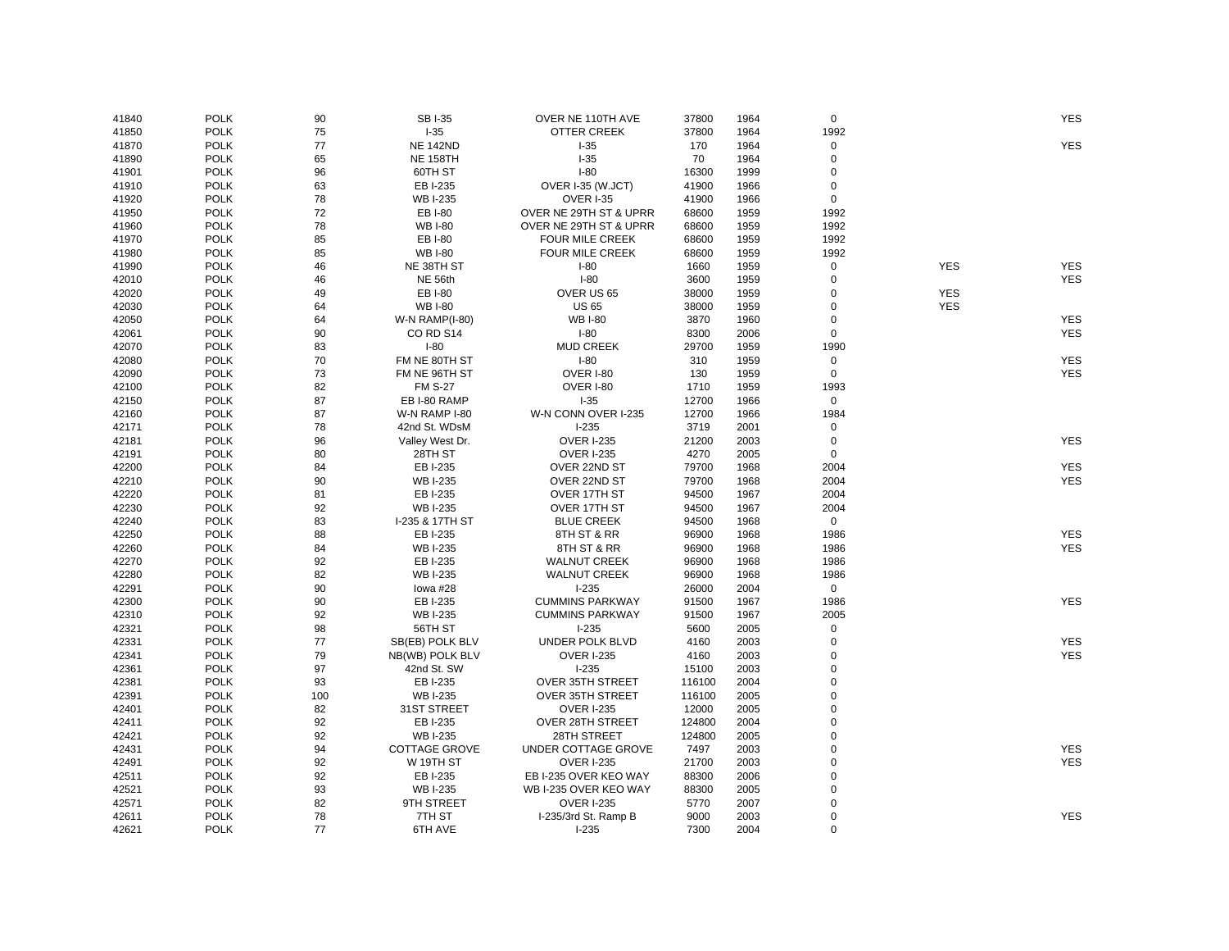| 41840 | <b>POLK</b> | 90  | SB I-35               | OVER NE 110TH AVE      | 37800  | 1964 | $\mathbf 0$ |            | <b>YES</b>               |
|-------|-------------|-----|-----------------------|------------------------|--------|------|-------------|------------|--------------------------|
| 41850 | <b>POLK</b> | 75  | $1-35$                | <b>OTTER CREEK</b>     | 37800  | 1964 | 1992        |            |                          |
| 41870 | <b>POLK</b> | 77  | <b>NE 142ND</b>       | $I-35$                 | 170    | 1964 | 0           |            | <b>YES</b>               |
| 41890 | <b>POLK</b> | 65  | <b>NE 158TH</b>       | $I-35$                 | 70     | 1964 | $\mathbf 0$ |            |                          |
|       | <b>POLK</b> | 96  | 60TH ST               | $I-80$                 | 16300  | 1999 | $\mathbf 0$ |            |                          |
| 41901 | <b>POLK</b> | 63  |                       |                        | 41900  | 1966 | $\mathbf 0$ |            |                          |
| 41910 |             |     | EB I-235              | OVER I-35 (W.JCT)      |        |      |             |            |                          |
| 41920 | <b>POLK</b> | 78  | <b>WB I-235</b>       | OVER I-35              | 41900  | 1966 | 0           |            |                          |
| 41950 | <b>POLK</b> | 72  | EB I-80               | OVER NE 29TH ST & UPRR | 68600  | 1959 | 1992        |            |                          |
| 41960 | <b>POLK</b> | 78  | <b>WB I-80</b>        | OVER NE 29TH ST & UPRR | 68600  | 1959 | 1992        |            |                          |
| 41970 | <b>POLK</b> | 85  | EB I-80               | <b>FOUR MILE CREEK</b> | 68600  | 1959 | 1992        |            |                          |
| 41980 | <b>POLK</b> | 85  | <b>WB I-80</b>        | FOUR MILE CREEK        | 68600  | 1959 | 1992        |            |                          |
| 41990 | <b>POLK</b> | 46  | NE 38TH ST            | $I-80$                 | 1660   | 1959 | 0           | <b>YES</b> | <b>YES</b>               |
| 42010 | <b>POLK</b> | 46  | NE 56th               | $I-80$                 | 3600   | 1959 | $\mathbf 0$ |            | <b>YES</b>               |
| 42020 | <b>POLK</b> | 49  | EB I-80               | OVER US 65             | 38000  | 1959 | 0           | <b>YES</b> |                          |
| 42030 | <b>POLK</b> | 64  | <b>WB I-80</b>        | <b>US 65</b>           | 38000  | 1959 | $\mathbf 0$ | <b>YES</b> |                          |
| 42050 | <b>POLK</b> | 64  | <b>W-N RAMP(I-80)</b> | <b>WB I-80</b>         | 3870   | 1960 | $\mathbf 0$ |            | <b>YES</b>               |
| 42061 | <b>POLK</b> | 90  | CORD S14              | $I-80$                 | 8300   | 2006 | $\mathbf 0$ |            | <b>YES</b>               |
| 42070 | <b>POLK</b> | 83  | $I-80$                | <b>MUD CREEK</b>       | 29700  | 1959 | 1990        |            |                          |
| 42080 | <b>POLK</b> | 70  | FM NE 80TH ST         | $I-80$                 | 310    | 1959 | 0           |            | <b>YES</b>               |
| 42090 | <b>POLK</b> | 73  | FM NE 96TH ST         | OVER I-80              | 130    | 1959 | 0           |            | <b>YES</b>               |
| 42100 | <b>POLK</b> | 82  | <b>FM S-27</b>        | OVER I-80              | 1710   | 1959 | 1993        |            |                          |
| 42150 | <b>POLK</b> | 87  | EB I-80 RAMP          | $I-35$                 | 12700  | 1966 | $\mathbf 0$ |            |                          |
| 42160 | <b>POLK</b> | 87  | W-N RAMP I-80         | W-N CONN OVER I-235    | 12700  | 1966 | 1984        |            |                          |
| 42171 | <b>POLK</b> | 78  | 42nd St. WDsM         | $I-235$                | 3719   | 2001 | 0           |            |                          |
| 42181 | <b>POLK</b> | 96  | Valley West Dr.       | <b>OVER I-235</b>      | 21200  | 2003 | $\mathbf 0$ |            | <b>YES</b>               |
| 42191 | <b>POLK</b> | 80  | 28TH ST               | <b>OVER I-235</b>      | 4270   | 2005 | $\mathbf 0$ |            |                          |
| 42200 | <b>POLK</b> | 84  | EB I-235              | OVER 22ND ST           | 79700  | 1968 | 2004        |            | <b>YES</b>               |
| 42210 | <b>POLK</b> | 90  | <b>WB I-235</b>       | OVER 22ND ST           | 79700  | 1968 | 2004        |            | <b>YES</b>               |
| 42220 | <b>POLK</b> | 81  | EB I-235              | OVER 17TH ST           | 94500  | 1967 | 2004        |            |                          |
| 42230 | <b>POLK</b> | 92  | <b>WB I-235</b>       | OVER 17TH ST           | 94500  | 1967 | 2004        |            |                          |
| 42240 | <b>POLK</b> | 83  | I-235 & 17TH ST       | <b>BLUE CREEK</b>      | 94500  | 1968 | 0           |            |                          |
| 42250 | <b>POLK</b> | 88  | EB I-235              | 8TH ST & RR            | 96900  | 1968 | 1986        |            | <b>YES</b>               |
| 42260 | <b>POLK</b> | 84  | <b>WB I-235</b>       | 8TH ST & RR            | 96900  | 1968 | 1986        |            | <b>YES</b>               |
| 42270 | <b>POLK</b> | 92  | EB I-235              | <b>WALNUT CREEK</b>    | 96900  | 1968 | 1986        |            |                          |
| 42280 | <b>POLK</b> | 82  | <b>WB I-235</b>       | <b>WALNUT CREEK</b>    | 96900  | 1968 | 1986        |            |                          |
| 42291 | <b>POLK</b> | 90  | lowa #28              | $1-235$                | 26000  | 2004 | $\mathsf 0$ |            |                          |
| 42300 | <b>POLK</b> | 90  | EB I-235              | <b>CUMMINS PARKWAY</b> | 91500  | 1967 | 1986        |            | <b>YES</b>               |
| 42310 | <b>POLK</b> | 92  | <b>WB I-235</b>       | <b>CUMMINS PARKWAY</b> | 91500  | 1967 | 2005        |            |                          |
| 42321 | <b>POLK</b> | 98  | 56TH ST               | $I-235$                | 5600   | 2005 | 0           |            |                          |
| 42331 | <b>POLK</b> | 77  | SB(EB) POLK BLV       | UNDER POLK BLVD        | 4160   | 2003 | $\mathbf 0$ |            | <b>YES</b>               |
| 42341 | <b>POLK</b> | 79  | NB(WB) POLK BLV       | <b>OVER I-235</b>      | 4160   | 2003 | 0           |            | <b>YES</b>               |
| 42361 | <b>POLK</b> | 97  | 42nd St. SW           | $I-235$                | 15100  | 2003 | $\Omega$    |            |                          |
| 42381 | <b>POLK</b> | 93  | EB I-235              | OVER 35TH STREET       | 116100 | 2004 | $\mathbf 0$ |            |                          |
| 42391 | <b>POLK</b> | 100 | <b>WB I-235</b>       | OVER 35TH STREET       | 116100 | 2005 | $\Omega$    |            |                          |
| 42401 | <b>POLK</b> | 82  | 31ST STREET           | <b>OVER I-235</b>      | 12000  | 2005 | $\mathbf 0$ |            |                          |
| 42411 | <b>POLK</b> | 92  | EB I-235              | OVER 28TH STREET       | 124800 | 2004 | $\mathbf 0$ |            |                          |
| 42421 | <b>POLK</b> | 92  | <b>WB I-235</b>       | 28TH STREET            | 124800 | 2005 | $\Omega$    |            |                          |
|       |             |     |                       |                        |        |      | $\Omega$    |            |                          |
| 42431 | <b>POLK</b> | 94  | <b>COTTAGE GROVE</b>  | UNDER COTTAGE GROVE    | 7497   | 2003 | $\mathbf 0$ |            | <b>YES</b><br><b>YES</b> |
| 42491 | <b>POLK</b> | 92  | W 19TH ST             | <b>OVER I-235</b>      | 21700  | 2003 |             |            |                          |
| 42511 | <b>POLK</b> | 92  | EB I-235              | EB I-235 OVER KEO WAY  | 88300  | 2006 | $\mathbf 0$ |            |                          |
| 42521 | <b>POLK</b> | 93  | <b>WB I-235</b>       | WB I-235 OVER KEO WAY  | 88300  | 2005 | $\mathbf 0$ |            |                          |
| 42571 | <b>POLK</b> | 82  | 9TH STREET            | <b>OVER I-235</b>      | 5770   | 2007 | $\mathbf 0$ |            |                          |
| 42611 | <b>POLK</b> | 78  | 7TH ST                | I-235/3rd St. Ramp B   | 9000   | 2003 | $\mathbf 0$ |            | <b>YES</b>               |
| 42621 | <b>POLK</b> | 77  | 6TH AVE               | $I-235$                | 7300   | 2004 | $\Omega$    |            |                          |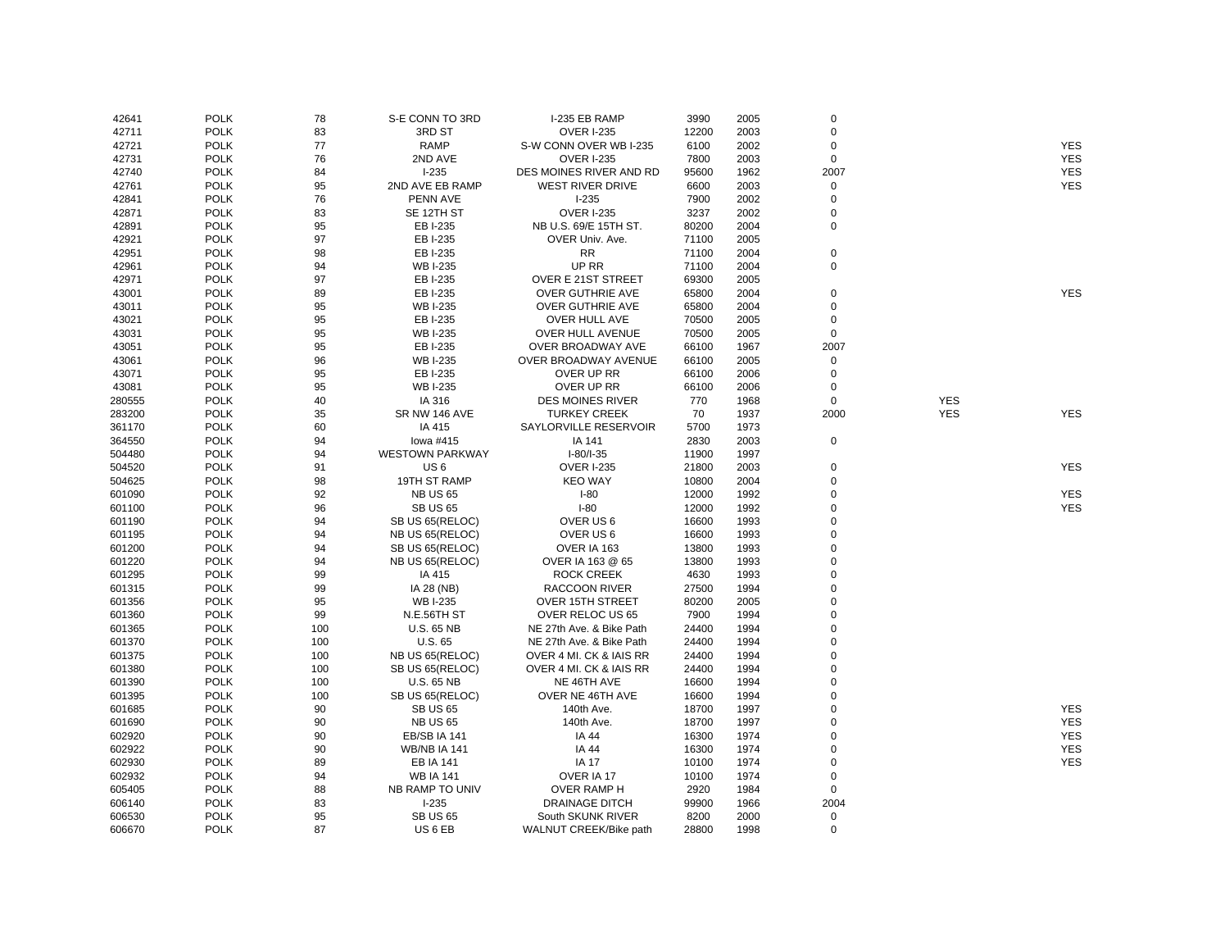| 42641  | <b>POLK</b>                | 78       | S-E CONN TO 3RD         | I-235 EB RAMP            | 3990       | 2005         | $\mathbf 0$    |            |            |
|--------|----------------------------|----------|-------------------------|--------------------------|------------|--------------|----------------|------------|------------|
| 42711  | <b>POLK</b>                | 83       | 3RD ST                  | <b>OVER I-235</b>        | 12200      | 2003         | $\mathbf 0$    |            |            |
| 42721  | <b>POLK</b>                | 77       | <b>RAMP</b>             | S-W CONN OVER WB I-235   | 6100       | 2002         | $\mathbf 0$    |            | <b>YES</b> |
| 42731  | <b>POLK</b>                | 76       | 2ND AVE                 | <b>OVER I-235</b>        | 7800       | 2003         | $\mathsf 0$    |            | <b>YES</b> |
| 42740  | <b>POLK</b>                | 84       | $1-235$                 | DES MOINES RIVER AND RD  | 95600      | 1962         | 2007           |            | <b>YES</b> |
| 42761  | <b>POLK</b>                | 95       | 2ND AVE EB RAMP         | <b>WEST RIVER DRIVE</b>  | 6600       | 2003         | $\mathbf 0$    |            | <b>YES</b> |
| 42841  | <b>POLK</b>                | 76       | PENN AVE                | $1-235$                  | 7900       | 2002         | $\mathbf 0$    |            |            |
| 42871  | <b>POLK</b>                | 83       | SE 12TH ST              | <b>OVER I-235</b>        | 3237       | 2002         | $\mathbf 0$    |            |            |
| 42891  | <b>POLK</b>                | 95       | EB I-235                | NB U.S. 69/E 15TH ST.    | 80200      | 2004         | $\mathbf 0$    |            |            |
| 42921  | <b>POLK</b>                | 97       | EB I-235                | OVER Univ. Ave.          | 71100      | 2005         |                |            |            |
| 42951  | <b>POLK</b>                | 98       | EB I-235                | <b>RR</b>                | 71100      | 2004         | $\mathbf 0$    |            |            |
| 42961  | <b>POLK</b>                | 94       | <b>WB I-235</b>         | UP RR                    | 71100      | 2004         | $\mathbf 0$    |            |            |
| 42971  | <b>POLK</b>                | 97       | EB I-235                | OVER E 21ST STREET       | 69300      | 2005         |                |            |            |
| 43001  | <b>POLK</b>                | 89       | EB I-235                | OVER GUTHRIE AVE         | 65800      | 2004         | $\mathbf 0$    |            | <b>YES</b> |
| 43011  | <b>POLK</b>                | 95       | <b>WB I-235</b>         | OVER GUTHRIE AVE         | 65800      | 2004         | $\mathbf 0$    |            |            |
| 43021  | <b>POLK</b>                | 95       | EB I-235                | OVER HULL AVE            | 70500      | 2005         | $\mathbf 0$    |            |            |
| 43031  | <b>POLK</b>                | 95       | <b>WB I-235</b>         | OVER HULL AVENUE         | 70500      | 2005         | $\mathbf 0$    |            |            |
| 43051  | <b>POLK</b>                | 95       | EB I-235                | OVER BROADWAY AVE        | 66100      | 1967         | 2007           |            |            |
| 43061  | <b>POLK</b>                | 96       | <b>WB I-235</b>         | OVER BROADWAY AVENUE     | 66100      | 2005         | $\mathbf 0$    |            |            |
| 43071  | <b>POLK</b>                | 95       | EB I-235                | OVER UP RR               | 66100      | 2006         | $\mathbf 0$    |            |            |
| 43081  | <b>POLK</b>                | 95       | <b>WB I-235</b>         | OVER UP RR               | 66100      | 2006         | $\mathbf 0$    |            |            |
| 280555 | <b>POLK</b>                | 40       | IA 316                  | <b>DES MOINES RIVER</b>  | 770        | 1968         | $\mathbf 0$    | <b>YES</b> |            |
|        |                            |          |                         |                          |            |              |                |            |            |
| 283200 | <b>POLK</b><br><b>POLK</b> | 35<br>60 | SR NW 146 AVE<br>IA 415 | <b>TURKEY CREEK</b>      | 70<br>5700 | 1937<br>1973 | 2000           | <b>YES</b> | <b>YES</b> |
| 361170 |                            |          |                         | SAYLORVILLE RESERVOIR    |            |              |                |            |            |
| 364550 | <b>POLK</b>                | 94       | lowa #415               | IA 141                   | 2830       | 2003         | $\mathbf 0$    |            |            |
| 504480 | <b>POLK</b>                | 94       | <b>WESTOWN PARKWAY</b>  | $I-80/I-35$              | 11900      | 1997         |                |            |            |
| 504520 | <b>POLK</b>                | 91       | US <sub>6</sub>         | <b>OVER I-235</b>        | 21800      | 2003         | $\mathbf 0$    |            | <b>YES</b> |
| 504625 | <b>POLK</b>                | 98       | 19TH ST RAMP            | <b>KEO WAY</b>           | 10800      | 2004         | $\mathbf 0$    |            |            |
| 601090 | <b>POLK</b>                | 92       | <b>NB US 65</b>         | $I-80$                   | 12000      | 1992         | $\mathbf 0$    |            | <b>YES</b> |
| 601100 | <b>POLK</b>                | 96       | <b>SB US 65</b>         | $I-80$                   | 12000      | 1992         | $\Omega$       |            | <b>YES</b> |
| 601190 | <b>POLK</b>                | 94       | SB US 65(RELOC)         | OVER US 6                | 16600      | 1993         | $\mathbf 0$    |            |            |
| 601195 | <b>POLK</b>                | 94       | NB US 65(RELOC)         | OVER US 6                | 16600      | 1993         | $\Omega$       |            |            |
| 601200 | <b>POLK</b>                | 94       | SB US 65(RELOC)         | OVER IA 163              | 13800      | 1993         | $\mathbf 0$    |            |            |
| 601220 | <b>POLK</b>                | 94       | NB US 65(RELOC)         | OVER IA 163 @ 65         | 13800      | 1993         | $\mathbf 0$    |            |            |
| 601295 | <b>POLK</b>                | 99       | IA 415                  | <b>ROCK CREEK</b>        | 4630       | 1993         | $\Omega$       |            |            |
| 601315 | <b>POLK</b>                | 99       | IA 28 (NB)              | RACCOON RIVER            | 27500      | 1994         | $\mathbf 0$    |            |            |
| 601356 | <b>POLK</b>                | 95       | <b>WB I-235</b>         | <b>OVER 15TH STREET</b>  | 80200      | 2005         | $\Omega$       |            |            |
| 601360 | <b>POLK</b>                | 99       | N.E.56TH ST             | OVER RELOC US 65         | 7900       | 1994         | $\mathbf 0$    |            |            |
| 601365 | <b>POLK</b>                | 100      | <b>U.S. 65 NB</b>       | NE 27th Ave. & Bike Path | 24400      | 1994         | $\Omega$       |            |            |
| 601370 | <b>POLK</b>                | 100      | U.S. 65                 | NE 27th Ave. & Bike Path | 24400      | 1994         | $\Omega$       |            |            |
| 601375 | <b>POLK</b>                | 100      | NB US 65(RELOC)         | OVER 4 MI. CK & IAIS RR  | 24400      | 1994         | $\mathbf 0$    |            |            |
| 601380 | <b>POLK</b>                | 100      | SB US 65(RELOC)         | OVER 4 MI. CK & IAIS RR  | 24400      | 1994         | $\mathbf 0$    |            |            |
| 601390 | <b>POLK</b>                | 100      | <b>U.S. 65 NB</b>       | NE 46TH AVE              | 16600      | 1994         | $\mathbf 0$    |            |            |
| 601395 | <b>POLK</b>                | 100      | SB US 65(RELOC)         | OVER NE 46TH AVE         | 16600      | 1994         | $\Omega$       |            |            |
| 601685 | <b>POLK</b>                | 90       | <b>SB US 65</b>         | 140th Ave.               | 18700      | 1997         | $\Omega$       |            | <b>YES</b> |
| 601690 | <b>POLK</b>                | 90       | <b>NB US 65</b>         | 140th Ave.               | 18700      | 1997         | $\overline{0}$ |            | <b>YES</b> |
| 602920 | <b>POLK</b>                | 90       | EB/SB IA 141            | IA 44                    | 16300      | 1974         | $\mathbf 0$    |            | <b>YES</b> |
| 602922 | <b>POLK</b>                | 90       | <b>WB/NB IA 141</b>     | <b>IA 44</b>             | 16300      | 1974         | $\Omega$       |            | <b>YES</b> |
| 602930 | <b>POLK</b>                | 89       | <b>EB IA 141</b>        | <b>IA 17</b>             | 10100      | 1974         | $\mathbf 0$    |            | <b>YES</b> |
| 602932 | <b>POLK</b>                | 94       | <b>WB IA 141</b>        | OVER IA 17               | 10100      | 1974         | $\mathbf 0$    |            |            |
| 605405 | <b>POLK</b>                | 88       | NB RAMP TO UNIV         | <b>OVER RAMP H</b>       | 2920       | 1984         | $\mathsf 0$    |            |            |
| 606140 | <b>POLK</b>                | 83       | $I-235$                 | <b>DRAINAGE DITCH</b>    | 99900      | 1966         | 2004           |            |            |
| 606530 | <b>POLK</b>                | 95       | <b>SB US 65</b>         | South SKUNK RIVER        | 8200       | 2000         | $\mathbf 0$    |            |            |
| 606670 | <b>POLK</b>                | 87       | US <sub>6</sub> EB      | WALNUT CREEK/Bike path   | 28800      | 1998         | $\Omega$       |            |            |
|        |                            |          |                         |                          |            |              |                |            |            |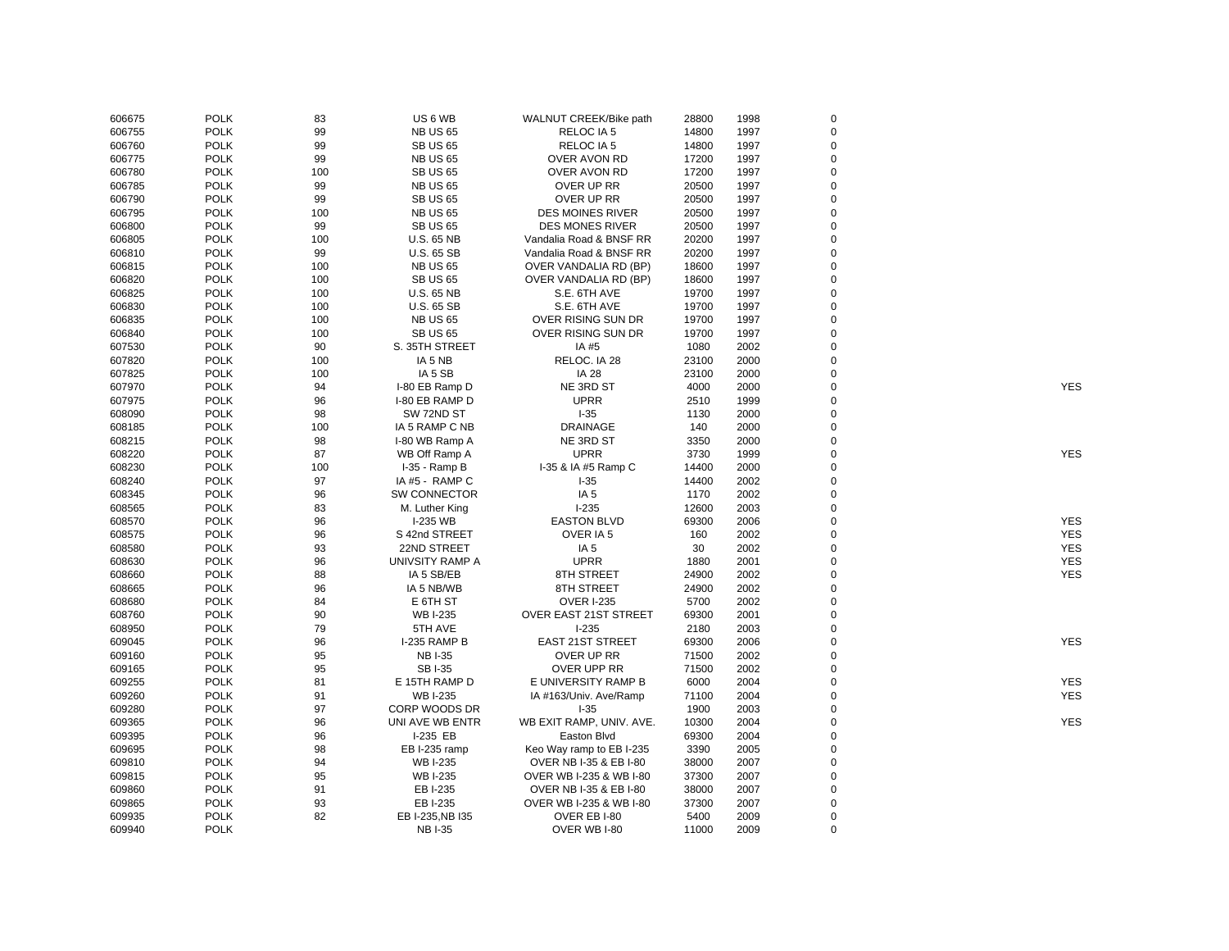| 606675 | <b>POLK</b> | 83       | US <sub>6</sub> WB  | WALNUT CREEK/Bike path   | 28800 | 1998 | $\mathbf 0$ |            |
|--------|-------------|----------|---------------------|--------------------------|-------|------|-------------|------------|
| 606755 | <b>POLK</b> | 99       | <b>NB US 65</b>     | RELOC IA 5               | 14800 | 1997 | $\mathbf 0$ |            |
| 606760 | <b>POLK</b> | 99       | <b>SB US 65</b>     | RELOC IA 5               | 14800 | 1997 | $\mathbf 0$ |            |
| 606775 | <b>POLK</b> | 99       | <b>NB US 65</b>     | OVER AVON RD             | 17200 | 1997 | $\mathbf 0$ |            |
| 606780 | <b>POLK</b> | 100      | <b>SB US 65</b>     | OVER AVON RD             | 17200 | 1997 | $\mathbf 0$ |            |
| 606785 | <b>POLK</b> | 99       | <b>NB US 65</b>     | OVER UP RR               | 20500 | 1997 | $\mathbf 0$ |            |
| 606790 | <b>POLK</b> | 99       | <b>SB US 65</b>     | OVER UP RR               | 20500 | 1997 | $\mathbf 0$ |            |
| 606795 | <b>POLK</b> | 100      | <b>NB US 65</b>     | <b>DES MOINES RIVER</b>  | 20500 | 1997 | $\mathbf 0$ |            |
| 606800 | <b>POLK</b> | 99       | <b>SB US 65</b>     | <b>DES MONES RIVER</b>   | 20500 | 1997 | $\mathbf 0$ |            |
| 606805 | <b>POLK</b> | 100      | <b>U.S. 65 NB</b>   | Vandalia Road & BNSF RR  | 20200 | 1997 | $\mathbf 0$ |            |
| 606810 | <b>POLK</b> | 99       | <b>U.S. 65 SB</b>   | Vandalia Road & BNSF RR  | 20200 | 1997 | $\Omega$    |            |
| 606815 | <b>POLK</b> | 100      | <b>NB US 65</b>     | OVER VANDALIA RD (BP)    | 18600 | 1997 | 0           |            |
| 606820 | <b>POLK</b> | 100      | <b>SB US 65</b>     | OVER VANDALIA RD (BP)    | 18600 | 1997 | $\Omega$    |            |
| 606825 | <b>POLK</b> | 100      | <b>U.S. 65 NB</b>   | S.E. 6TH AVE             | 19700 | 1997 | $\Omega$    |            |
| 606830 | <b>POLK</b> | 100      | <b>U.S. 65 SB</b>   | S.E. 6TH AVE             | 19700 | 1997 | $\Omega$    |            |
| 606835 | <b>POLK</b> | 100      | <b>NB US 65</b>     | OVER RISING SUN DR       | 19700 | 1997 | $\Omega$    |            |
| 606840 | <b>POLK</b> | 100      | <b>SB US 65</b>     | OVER RISING SUN DR       | 19700 | 1997 | $\Omega$    |            |
| 607530 | <b>POLK</b> | 90       | S. 35TH STREET      | IA #5                    | 1080  | 2002 | $\Omega$    |            |
| 607820 | <b>POLK</b> | 100      | IA 5 NB             | RELOC. IA 28             | 23100 | 2000 | $\Omega$    |            |
| 607825 | <b>POLK</b> | 100      | IA 5 SB             | <b>IA 28</b>             | 23100 | 2000 | $\mathbf 0$ |            |
| 607970 | <b>POLK</b> | 94       | I-80 EB Ramp D      | NE 3RD ST                | 4000  | 2000 | $\Omega$    | <b>YES</b> |
| 607975 | <b>POLK</b> | 96       | I-80 EB RAMP D      | <b>UPRR</b>              | 2510  | 1999 | $\Omega$    |            |
| 608090 | <b>POLK</b> | 98       | SW 72ND ST          | $I-35$                   | 1130  | 2000 | $\mathbf 0$ |            |
| 608185 | <b>POLK</b> | 100      | IA 5 RAMP C NB      | <b>DRAINAGE</b>          | 140   | 2000 | $\Omega$    |            |
|        | <b>POLK</b> |          |                     | NE 3RD ST                |       | 2000 | $\mathbf 0$ |            |
| 608215 |             | 98<br>87 | I-80 WB Ramp A      |                          | 3350  |      | $\Omega$    |            |
| 608220 | <b>POLK</b> |          | WB Off Ramp A       | <b>UPRR</b>              | 3730  | 1999 | $\Omega$    | <b>YES</b> |
| 608230 | <b>POLK</b> | 100      | I-35 - Ramp B       | I-35 & IA #5 Ramp C      | 14400 | 2000 |             |            |
| 608240 | <b>POLK</b> | 97       | IA #5 - RAMP C      | $1-35$                   | 14400 | 2002 | $\Omega$    |            |
| 608345 | <b>POLK</b> | 96       | <b>SW CONNECTOR</b> | IA <sub>5</sub>          | 1170  | 2002 | $\Omega$    |            |
| 608565 | <b>POLK</b> | 83       | M. Luther King      | $1 - 235$                | 12600 | 2003 | $\Omega$    |            |
| 608570 | <b>POLK</b> | 96       | I-235 WB            | <b>EASTON BLVD</b>       | 69300 | 2006 | $\Omega$    | <b>YES</b> |
| 608575 | <b>POLK</b> | 96       | S 42nd STREET       | OVER IA 5                | 160   | 2002 | $\Omega$    | <b>YES</b> |
| 608580 | <b>POLK</b> | 93       | 22ND STREET         | IA <sub>5</sub>          | 30    | 2002 | $\mathbf 0$ | <b>YES</b> |
| 608630 | <b>POLK</b> | 96       | UNIVSITY RAMP A     | <b>UPRR</b>              | 1880  | 2001 | $\Omega$    | <b>YES</b> |
| 608660 | <b>POLK</b> | 88       | IA 5 SB/EB          | 8TH STREET               | 24900 | 2002 | $\Omega$    | <b>YES</b> |
| 608665 | <b>POLK</b> | 96       | IA 5 NB/WB          | 8TH STREET               | 24900 | 2002 | $\mathbf 0$ |            |
| 608680 | <b>POLK</b> | 84       | E 6TH ST            | <b>OVER I-235</b>        | 5700  | 2002 | $\Omega$    |            |
| 608760 | <b>POLK</b> | 90       | <b>WBI-235</b>      | OVER EAST 21ST STREET    | 69300 | 2001 | $\Omega$    |            |
| 608950 | <b>POLK</b> | 79       | 5TH AVE             | $I-235$                  | 2180  | 2003 | $\Omega$    |            |
| 609045 | <b>POLK</b> | 96       | I-235 RAMP B        | <b>EAST 21ST STREET</b>  | 69300 | 2006 | $\Omega$    | <b>YES</b> |
| 609160 | <b>POLK</b> | 95       | <b>NBI-35</b>       | OVER UP RR               | 71500 | 2002 | $\Omega$    |            |
| 609165 | <b>POLK</b> | 95       | <b>SBI-35</b>       | OVER UPP RR              | 71500 | 2002 | $\Omega$    |            |
| 609255 | <b>POLK</b> | 81       | E 15TH RAMP D       | E UNIVERSITY RAMP B      | 6000  | 2004 | $\Omega$    | <b>YES</b> |
| 609260 | <b>POLK</b> | 91       | <b>WB I-235</b>     | IA #163/Univ. Ave/Ramp   | 71100 | 2004 | $\mathbf 0$ | <b>YES</b> |
| 609280 | <b>POLK</b> | 97       | CORP WOODS DR       | $I-35$                   | 1900  | 2003 | $\Omega$    |            |
| 609365 | <b>POLK</b> | 96       | UNI AVE WB ENTR     | WB EXIT RAMP, UNIV. AVE. | 10300 | 2004 | 0           | <b>YES</b> |
| 609395 | <b>POLK</b> | 96       | I-235 EB            | Easton Blvd              | 69300 | 2004 | $\mathbf 0$ |            |
| 609695 | <b>POLK</b> | 98       | EB I-235 ramp       | Keo Way ramp to EB I-235 | 3390  | 2005 | $\mathbf 0$ |            |
| 609810 | <b>POLK</b> | 94       | <b>WB I-235</b>     | OVER NB I-35 & EB I-80   | 38000 | 2007 | $\mathbf 0$ |            |
| 609815 | <b>POLK</b> | 95       | <b>WBI-235</b>      | OVER WB I-235 & WB I-80  | 37300 | 2007 | $\Omega$    |            |
| 609860 | <b>POLK</b> | 91       | EB I-235            | OVER NB I-35 & EB I-80   | 38000 | 2007 | $\Omega$    |            |
| 609865 | <b>POLK</b> | 93       | EB I-235            | OVER WB I-235 & WB I-80  | 37300 | 2007 | $\Omega$    |            |
| 609935 | <b>POLK</b> | 82       | EB I-235, NB I35    | OVER EB I-80             | 5400  | 2009 | $\mathbf 0$ |            |
| 609940 | <b>POLK</b> |          | <b>NBI-35</b>       | OVER WB I-80             | 11000 | 2009 | $\Omega$    |            |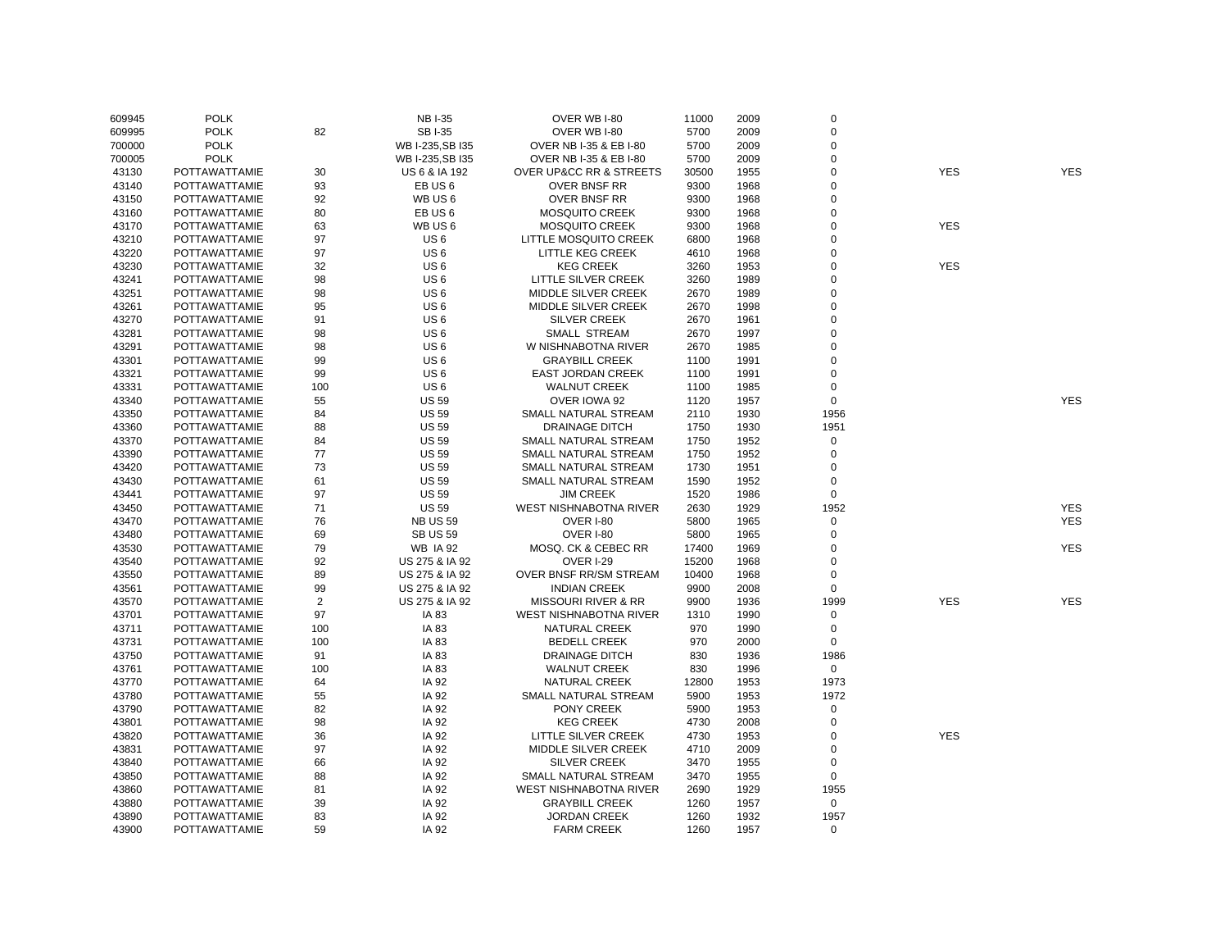| 609945 | <b>POLK</b>          |     | <b>NB I-35</b>     | OVER WB I-80                           | 11000 | 2009 | $\mathbf 0$ |            |            |
|--------|----------------------|-----|--------------------|----------------------------------------|-------|------|-------------|------------|------------|
| 609995 | <b>POLK</b>          | 82  | <b>SBI-35</b>      | OVER WB I-80                           | 5700  | 2009 | $\mathsf 0$ |            |            |
| 700000 | <b>POLK</b>          |     | WB I-235, SB I35   | OVER NB I-35 & EB I-80                 | 5700  | 2009 | 0           |            |            |
| 700005 | <b>POLK</b>          |     | WB I-235, SB I35   | OVER NB I-35 & EB I-80                 | 5700  | 2009 | 0           |            |            |
| 43130  | POTTAWATTAMIE        | 30  | US 6 & IA 192      | <b>OVER UP&amp;CC RR &amp; STREETS</b> | 30500 | 1955 | $\pmb{0}$   | <b>YES</b> | <b>YES</b> |
| 43140  | <b>POTTAWATTAMIE</b> | 93  | EB US <sub>6</sub> | <b>OVER BNSF RR</b>                    | 9300  | 1968 | 0           |            |            |
| 43150  | POTTAWATTAMIE        | 92  | WB US6             | OVER BNSF RR                           | 9300  | 1968 | $\mathsf 0$ |            |            |
| 43160  | POTTAWATTAMIE        | 80  | EB US <sub>6</sub> | <b>MOSQUITO CREEK</b>                  | 9300  | 1968 | $\mathsf 0$ |            |            |
| 43170  | <b>POTTAWATTAMIE</b> | 63  | WB US 6            | <b>MOSQUITO CREEK</b>                  | 9300  | 1968 | $\mathsf 0$ | <b>YES</b> |            |
| 43210  | POTTAWATTAMIE        | 97  | US <sub>6</sub>    | LITTLE MOSQUITO CREEK                  | 6800  | 1968 | 0           |            |            |
| 43220  | <b>POTTAWATTAMIE</b> | 97  | US <sub>6</sub>    | LITTLE KEG CREEK                       | 4610  | 1968 | 0           |            |            |
| 43230  | POTTAWATTAMIE        | 32  | US <sub>6</sub>    | <b>KEG CREEK</b>                       | 3260  | 1953 | 0           | <b>YES</b> |            |
| 43241  | POTTAWATTAMIE        | 98  | US <sub>6</sub>    | LITTLE SILVER CREEK                    | 3260  | 1989 | 0           |            |            |
| 43251  | <b>POTTAWATTAMIE</b> | 98  | US <sub>6</sub>    | <b>MIDDLE SILVER CREEK</b>             | 2670  | 1989 | 0           |            |            |
| 43261  | <b>POTTAWATTAMIE</b> | 95  | US <sub>6</sub>    | <b>MIDDLE SILVER CREEK</b>             | 2670  | 1998 | 0           |            |            |
| 43270  | POTTAWATTAMIE        | 91  | US <sub>6</sub>    | <b>SILVER CREEK</b>                    | 2670  | 1961 | $\mathsf 0$ |            |            |
| 43281  | <b>POTTAWATTAMIE</b> | 98  | US <sub>6</sub>    | <b>SMALL STREAM</b>                    | 2670  | 1997 | 0           |            |            |
| 43291  | POTTAWATTAMIE        | 98  | US <sub>6</sub>    | W NISHNABOTNA RIVER                    | 2670  | 1985 | $\mathsf 0$ |            |            |
| 43301  | POTTAWATTAMIE        | 99  | US <sub>6</sub>    | <b>GRAYBILL CREEK</b>                  | 1100  | 1991 | 0           |            |            |
| 43321  | <b>POTTAWATTAMIE</b> | 99  | US <sub>6</sub>    | <b>EAST JORDAN CREEK</b>               | 1100  | 1991 | $\mathsf 0$ |            |            |
| 43331  | <b>POTTAWATTAMIE</b> | 100 | US <sub>6</sub>    | <b>WALNUT CREEK</b>                    | 1100  | 1985 | $\mathsf 0$ |            |            |
| 43340  | <b>POTTAWATTAMIE</b> | 55  | <b>US 59</b>       | OVER IOWA 92                           | 1120  | 1957 | $\mathbf 0$ |            | <b>YES</b> |
| 43350  | POTTAWATTAMIE        | 84  | <b>US 59</b>       | SMALL NATURAL STREAM                   | 2110  | 1930 | 1956        |            |            |
| 43360  | POTTAWATTAMIE        | 88  | <b>US 59</b>       | <b>DRAINAGE DITCH</b>                  | 1750  | 1930 | 1951        |            |            |
|        |                      |     |                    |                                        |       |      | $\mathsf 0$ |            |            |
| 43370  | POTTAWATTAMIE        | 84  | <b>US 59</b>       | SMALL NATURAL STREAM                   | 1750  | 1952 |             |            |            |
| 43390  | POTTAWATTAMIE        | 77  | <b>US 59</b>       | SMALL NATURAL STREAM                   | 1750  | 1952 | $\mathsf 0$ |            |            |
| 43420  | <b>POTTAWATTAMIE</b> | 73  | <b>US 59</b>       | SMALL NATURAL STREAM                   | 1730  | 1951 | 0           |            |            |
| 43430  | POTTAWATTAMIE        | 61  | <b>US 59</b>       | SMALL NATURAL STREAM                   | 1590  | 1952 | $\mathsf 0$ |            |            |
| 43441  | <b>POTTAWATTAMIE</b> | 97  | <b>US 59</b>       | <b>JIM CREEK</b>                       | 1520  | 1986 | $\mathsf 0$ |            |            |
| 43450  | POTTAWATTAMIE        | 71  | <b>US 59</b>       | <b>WEST NISHNABOTNA RIVER</b>          | 2630  | 1929 | 1952        |            | <b>YES</b> |
| 43470  | POTTAWATTAMIE        | 76  | <b>NB US 59</b>    | <b>OVER I-80</b>                       | 5800  | 1965 | $\mathbf 0$ |            | <b>YES</b> |
| 43480  | <b>POTTAWATTAMIE</b> | 69  | <b>SB US 59</b>    | OVER I-80                              | 5800  | 1965 | $\mathsf 0$ |            |            |
| 43530  | <b>POTTAWATTAMIE</b> | 79  | <b>WB IA 92</b>    | MOSQ. CK & CEBEC RR                    | 17400 | 1969 | 0           |            | <b>YES</b> |
| 43540  | POTTAWATTAMIE        | 92  | US 275 & IA 92     | <b>OVER I-29</b>                       | 15200 | 1968 | 0           |            |            |
| 43550  | <b>POTTAWATTAMIE</b> | 89  | US 275 & IA 92     | OVER BNSF RR/SM STREAM                 | 10400 | 1968 | 0           |            |            |
| 43561  | POTTAWATTAMIE        | 99  | US 275 & IA 92     | <b>INDIAN CREEK</b>                    | 9900  | 2008 | $\mathbf 0$ |            |            |
| 43570  | POTTAWATTAMIE        | 2   | US 275 & IA 92     | <b>MISSOURI RIVER &amp; RR</b>         | 9900  | 1936 | 1999        | <b>YES</b> | <b>YES</b> |
| 43701  | <b>POTTAWATTAMIE</b> | 97  | IA 83              | WEST NISHNABOTNA RIVER                 | 1310  | 1990 | $\mathbf 0$ |            |            |
| 43711  | <b>POTTAWATTAMIE</b> | 100 | IA 83              | NATURAL CREEK                          | 970   | 1990 | $\mathsf 0$ |            |            |
| 43731  | <b>POTTAWATTAMIE</b> | 100 | IA 83              | <b>BEDELL CREEK</b>                    | 970   | 2000 | $\mathbf 0$ |            |            |
| 43750  | <b>POTTAWATTAMIE</b> | 91  | IA 83              | DRAINAGE DITCH                         | 830   | 1936 | 1986        |            |            |
| 43761  | POTTAWATTAMIE        | 100 | IA 83              | <b>WALNUT CREEK</b>                    | 830   | 1996 | $\mathbf 0$ |            |            |
| 43770  | POTTAWATTAMIE        | 64  | IA 92              | <b>NATURAL CREEK</b>                   | 12800 | 1953 | 1973        |            |            |
| 43780  | <b>POTTAWATTAMIE</b> | 55  | IA 92              | SMALL NATURAL STREAM                   | 5900  | 1953 | 1972        |            |            |
| 43790  | POTTAWATTAMIE        | 82  | IA 92              | PONY CREEK                             | 5900  | 1953 | 0           |            |            |
| 43801  | <b>POTTAWATTAMIE</b> | 98  | IA 92              | <b>KEG CREEK</b>                       | 4730  | 2008 | 0           |            |            |
| 43820  | POTTAWATTAMIE        | 36  | IA 92              | LITTLE SILVER CREEK                    | 4730  | 1953 | $\mathbf 0$ | <b>YES</b> |            |
| 43831  | POTTAWATTAMIE        | 97  | IA 92              | MIDDLE SILVER CREEK                    | 4710  | 2009 | 0           |            |            |
| 43840  | POTTAWATTAMIE        | 66  | IA 92              | <b>SILVER CREEK</b>                    | 3470  | 1955 | $\mathbf 0$ |            |            |
| 43850  | <b>POTTAWATTAMIE</b> | 88  | IA 92              | SMALL NATURAL STREAM                   | 3470  | 1955 | $\mathbf 0$ |            |            |
| 43860  | <b>POTTAWATTAMIE</b> | 81  | IA 92              | WEST NISHNABOTNA RIVER                 | 2690  | 1929 | 1955        |            |            |
| 43880  | POTTAWATTAMIE        | 39  | IA 92              | <b>GRAYBILL CREEK</b>                  | 1260  | 1957 | $\mathbf 0$ |            |            |
| 43890  | POTTAWATTAMIE        | 83  | IA 92              | <b>JORDAN CREEK</b>                    | 1260  | 1932 | 1957        |            |            |
| 43900  | POTTAWATTAMIE        | 59  | IA 92              | <b>FARM CREEK</b>                      | 1260  | 1957 | $\mathbf 0$ |            |            |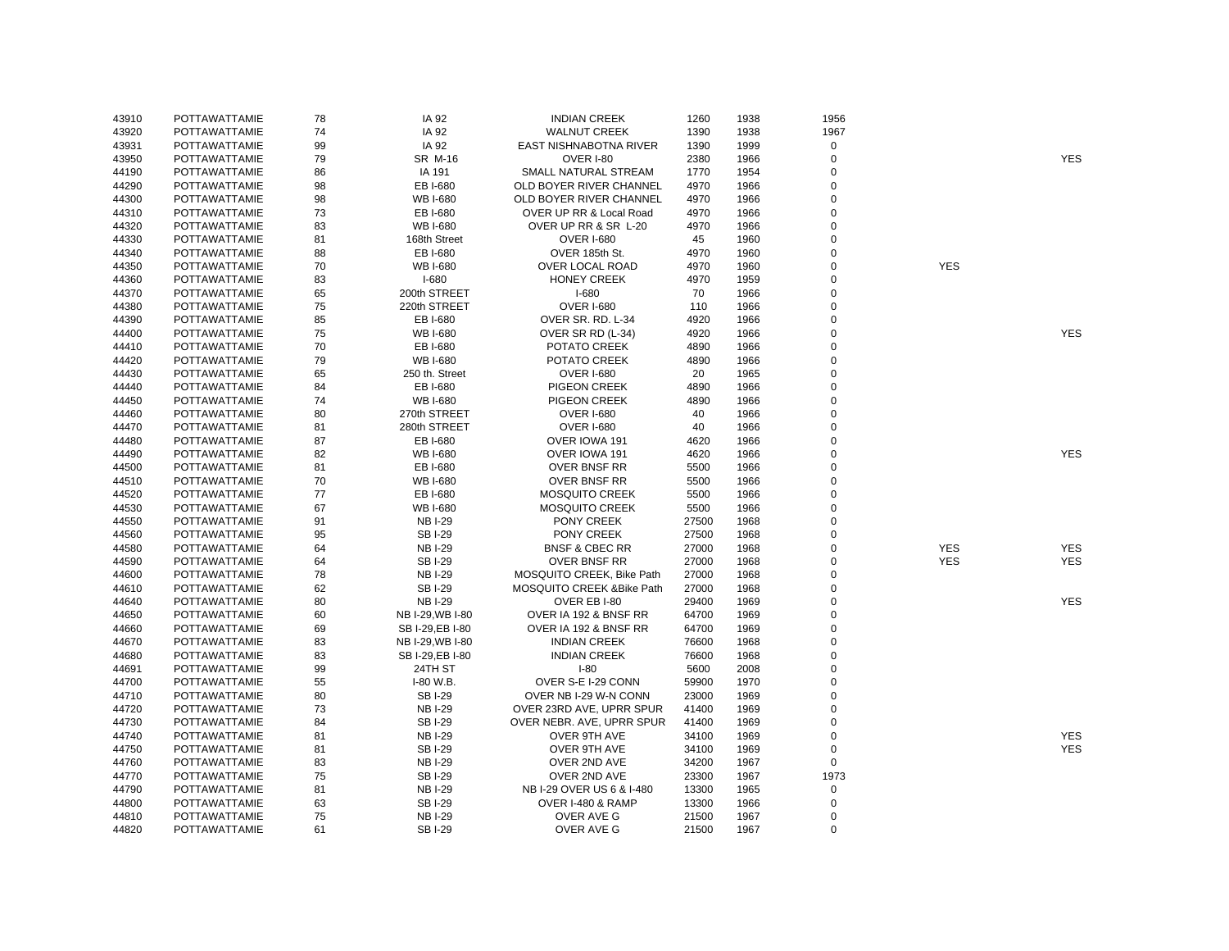| 43910 | <b>POTTAWATTAMIE</b> | 78 | IA 92            | <b>INDIAN CREEK</b>        | 1260  | 1938 | 1956        |            |            |
|-------|----------------------|----|------------------|----------------------------|-------|------|-------------|------------|------------|
| 43920 | <b>POTTAWATTAMIE</b> | 74 | IA 92            | <b>WALNUT CREEK</b>        | 1390  | 1938 | 1967        |            |            |
| 43931 | <b>POTTAWATTAMIE</b> | 99 | IA 92            | EAST NISHNABOTNA RIVER     | 1390  | 1999 | $\mathbf 0$ |            |            |
| 43950 | POTTAWATTAMIE        | 79 | SR M-16          | <b>OVER I-80</b>           | 2380  | 1966 | $\mathbf 0$ |            | <b>YES</b> |
| 44190 | <b>POTTAWATTAMIE</b> | 86 | IA 191           | SMALL NATURAL STREAM       | 1770  | 1954 | $\mathbf 0$ |            |            |
| 44290 | <b>POTTAWATTAMIE</b> | 98 | EB I-680         | OLD BOYER RIVER CHANNEL    | 4970  | 1966 | $\mathbf 0$ |            |            |
| 44300 | <b>POTTAWATTAMIE</b> | 98 | <b>WB I-680</b>  | OLD BOYER RIVER CHANNEL    | 4970  | 1966 | $\mathbf 0$ |            |            |
| 44310 | <b>POTTAWATTAMIE</b> | 73 | EB I-680         | OVER UP RR & Local Road    | 4970  | 1966 | $\mathbf 0$ |            |            |
| 44320 | <b>POTTAWATTAMIE</b> | 83 | <b>WB I-680</b>  | OVER UP RR & SR L-20       | 4970  | 1966 | $\mathbf 0$ |            |            |
| 44330 | POTTAWATTAMIE        | 81 | 168th Street     | <b>OVER I-680</b>          | 45    | 1960 | $\pmb{0}$   |            |            |
| 44340 | <b>POTTAWATTAMIE</b> | 88 | EB I-680         | OVER 185th St.             | 4970  | 1960 | $\mathbf 0$ |            |            |
| 44350 | <b>POTTAWATTAMIE</b> | 70 | <b>WB I-680</b>  | OVER LOCAL ROAD            | 4970  | 1960 | $\mathbf 0$ | <b>YES</b> |            |
| 44360 | <b>POTTAWATTAMIE</b> | 83 | $I-680$          | <b>HONEY CREEK</b>         | 4970  | 1959 | $\mathbf 0$ |            |            |
| 44370 | POTTAWATTAMIE        | 65 | 200th STREET     | $I-680$                    | 70    | 1966 | $\mathbf 0$ |            |            |
| 44380 | <b>POTTAWATTAMIE</b> | 75 | 220th STREET     | <b>OVER I-680</b>          | 110   | 1966 | $\mathbf 0$ |            |            |
| 44390 | <b>POTTAWATTAMIE</b> | 85 | EB I-680         | OVER SR. RD. L-34          | 4920  | 1966 | $\mathbf 0$ |            |            |
| 44400 | <b>POTTAWATTAMIE</b> | 75 | <b>WB I-680</b>  | OVER SR RD (L-34)          | 4920  | 1966 | $\mathbf 0$ |            | <b>YES</b> |
| 44410 | POTTAWATTAMIE        | 70 | EB I-680         | POTATO CREEK               | 4890  | 1966 | $\mathbf 0$ |            |            |
| 44420 | POTTAWATTAMIE        | 79 | <b>WB I-680</b>  | POTATO CREEK               | 4890  | 1966 | $\mathbf 0$ |            |            |
| 44430 | POTTAWATTAMIE        | 65 | 250 th. Street   | <b>OVER I-680</b>          | 20    | 1965 | $\mathbf 0$ |            |            |
| 44440 | POTTAWATTAMIE        | 84 | EB I-680         | PIGEON CREEK               | 4890  | 1966 | $\mathbf 0$ |            |            |
| 44450 | POTTAWATTAMIE        | 74 | <b>WB I-680</b>  | PIGEON CREEK               | 4890  | 1966 | $\mathbf 0$ |            |            |
| 44460 | POTTAWATTAMIE        | 80 | 270th STREET     | <b>OVER I-680</b>          | 40    | 1966 | $\mathbf 0$ |            |            |
| 44470 | <b>POTTAWATTAMIE</b> | 81 | 280th STREET     | <b>OVER I-680</b>          | 40    | 1966 | $\mathbf 0$ |            |            |
| 44480 | <b>POTTAWATTAMIE</b> | 87 | EB I-680         | OVER IOWA 191              | 4620  | 1966 | $\mathbf 0$ |            |            |
| 44490 | POTTAWATTAMIE        | 82 | <b>WB I-680</b>  | OVER IOWA 191              | 4620  | 1966 | $\mathbf 0$ |            | <b>YES</b> |
| 44500 | <b>POTTAWATTAMIE</b> | 81 | EB I-680         | <b>OVER BNSF RR</b>        | 5500  | 1966 | $\mathbf 0$ |            |            |
| 44510 | POTTAWATTAMIE        | 70 | <b>WB I-680</b>  | <b>OVER BNSF RR</b>        | 5500  | 1966 | $\mathbf 0$ |            |            |
| 44520 | POTTAWATTAMIE        | 77 | EB I-680         | <b>MOSQUITO CREEK</b>      | 5500  | 1966 | $\mathbf 0$ |            |            |
| 44530 | <b>POTTAWATTAMIE</b> | 67 | <b>WB I-680</b>  | <b>MOSQUITO CREEK</b>      | 5500  | 1966 | $\mathbf 0$ |            |            |
| 44550 | POTTAWATTAMIE        | 91 | <b>NB I-29</b>   | PONY CREEK                 | 27500 | 1968 | $\mathbf 0$ |            |            |
| 44560 | POTTAWATTAMIE        | 95 | <b>SBI-29</b>    | PONY CREEK                 | 27500 | 1968 | $\mathbf 0$ |            |            |
| 44580 | POTTAWATTAMIE        | 64 | <b>NB I-29</b>   | <b>BNSF &amp; CBEC RR</b>  | 27000 | 1968 | $\mathbf 0$ | <b>YES</b> | <b>YES</b> |
| 44590 | POTTAWATTAMIE        | 64 | <b>SBI-29</b>    | <b>OVER BNSF RR</b>        | 27000 | 1968 | $\mathbf 0$ | <b>YES</b> | <b>YES</b> |
| 44600 | <b>POTTAWATTAMIE</b> | 78 | <b>NB I-29</b>   | MOSQUITO CREEK, Bike Path  | 27000 | 1968 | $\mathbf 0$ |            |            |
| 44610 | POTTAWATTAMIE        | 62 | <b>SBI-29</b>    | MOSQUITO CREEK & Bike Path | 27000 | 1968 | $\mathbf 0$ |            |            |
| 44640 | POTTAWATTAMIE        | 80 | <b>NBI-29</b>    | OVER EB I-80               | 29400 | 1969 | $\mathbf 0$ |            | <b>YES</b> |
| 44650 | POTTAWATTAMIE        | 60 | NB I-29, WB I-80 | OVER IA 192 & BNSF RR      | 64700 | 1969 | $\mathbf 0$ |            |            |
| 44660 | POTTAWATTAMIE        | 69 | SB I-29, EB I-80 | OVER IA 192 & BNSF RR      | 64700 | 1969 | $\mathbf 0$ |            |            |
| 44670 | <b>POTTAWATTAMIE</b> | 83 | NB I-29, WB I-80 | <b>INDIAN CREEK</b>        | 76600 | 1968 | $\mathbf 0$ |            |            |
| 44680 | <b>POTTAWATTAMIE</b> | 83 | SB I-29, EB I-80 | <b>INDIAN CREEK</b>        | 76600 | 1968 | $\mathbf 0$ |            |            |
| 44691 | POTTAWATTAMIE        | 99 | 24TH ST          | $I-80$                     | 5600  | 2008 | $\mathbf 0$ |            |            |
| 44700 | <b>POTTAWATTAMIE</b> | 55 | I-80 W.B.        | OVER S-E I-29 CONN         | 59900 | 1970 | $\mathbf 0$ |            |            |
| 44710 | <b>POTTAWATTAMIE</b> | 80 | <b>SBI-29</b>    | OVER NB I-29 W-N CONN      | 23000 | 1969 | $\mathbf 0$ |            |            |
| 44720 | <b>POTTAWATTAMIE</b> | 73 | <b>NB I-29</b>   | OVER 23RD AVE, UPRR SPUR   | 41400 | 1969 | $\mathbf 0$ |            |            |
| 44730 | <b>POTTAWATTAMIE</b> | 84 | <b>SBI-29</b>    | OVER NEBR. AVE, UPRR SPUR  | 41400 | 1969 | $\mathbf 0$ |            |            |
| 44740 | POTTAWATTAMIE        | 81 | <b>NB I-29</b>   | OVER 9TH AVE               | 34100 | 1969 | $\mathbf 0$ |            | <b>YES</b> |
| 44750 | POTTAWATTAMIE        | 81 | <b>SBI-29</b>    | OVER 9TH AVE               | 34100 | 1969 | $\mathbf 0$ |            | <b>YES</b> |
| 44760 | <b>POTTAWATTAMIE</b> | 83 | <b>NB I-29</b>   | OVER 2ND AVE               | 34200 | 1967 | $\mathbf 0$ |            |            |
| 44770 | <b>POTTAWATTAMIE</b> | 75 | <b>SBI-29</b>    | OVER 2ND AVE               | 23300 | 1967 | 1973        |            |            |
| 44790 | <b>POTTAWATTAMIE</b> | 81 | <b>NB I-29</b>   | NB I-29 OVER US 6 & I-480  | 13300 | 1965 | $\mathsf 0$ |            |            |
| 44800 | POTTAWATTAMIE        | 63 | <b>SBI-29</b>    | OVER I-480 & RAMP          | 13300 | 1966 | $\mathbf 0$ |            |            |
| 44810 | <b>POTTAWATTAMIE</b> | 75 | <b>NB I-29</b>   | OVER AVE G                 | 21500 | 1967 | $\mathbf 0$ |            |            |
| 44820 | <b>POTTAWATTAMIE</b> | 61 | <b>SBI-29</b>    | OVER AVE G                 | 21500 | 1967 | $\Omega$    |            |            |
|       |                      |    |                  |                            |       |      |             |            |            |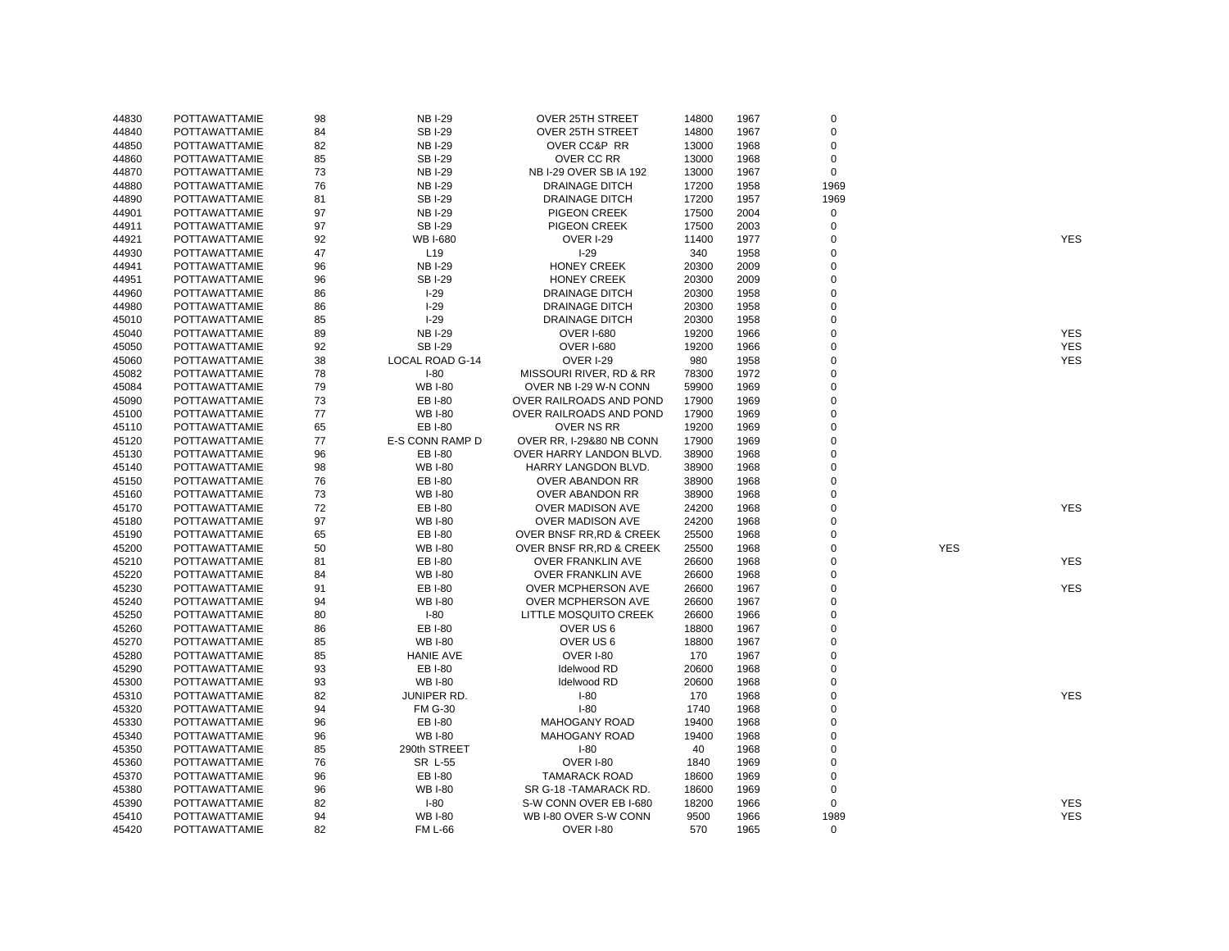| 44830          | POTTAWATTAMIE                         | 98 | <b>NB I-29</b>   | OVER 25TH STREET             | 14800 | 1967         | $\mathbf 0$      |            |            |
|----------------|---------------------------------------|----|------------------|------------------------------|-------|--------------|------------------|------------|------------|
| 44840          | POTTAWATTAMIE                         | 84 | <b>SBI-29</b>    | <b>OVER 25TH STREET</b>      | 14800 | 1967         | $\mathbf 0$      |            |            |
| 44850          | POTTAWATTAMIE                         | 82 | <b>NB I-29</b>   | <b>OVER CC&amp;P RR</b>      | 13000 | 1968         | 0                |            |            |
| 44860          | POTTAWATTAMIE                         | 85 | <b>SBI-29</b>    | OVER CC RR                   | 13000 | 1968         | $\mathbf 0$      |            |            |
| 44870          | POTTAWATTAMIE                         | 73 | <b>NB I-29</b>   | NB I-29 OVER SB IA 192       | 13000 | 1967         | $\mathbf 0$      |            |            |
| 44880          | POTTAWATTAMIE                         | 76 | <b>NB I-29</b>   | <b>DRAINAGE DITCH</b>        | 17200 | 1958         | 1969             |            |            |
| 44890          | POTTAWATTAMIE                         | 81 | <b>SBI-29</b>    | DRAINAGE DITCH               | 17200 | 1957         | 1969             |            |            |
| 44901          | POTTAWATTAMIE                         | 97 | <b>NB I-29</b>   | PIGEON CREEK                 | 17500 | 2004         | 0                |            |            |
| 44911          | POTTAWATTAMIE                         | 97 | <b>SBI-29</b>    | PIGEON CREEK                 | 17500 | 2003         | $\mathbf 0$      |            |            |
| 44921          | POTTAWATTAMIE                         | 92 | WB I-680         | <b>OVER I-29</b>             | 11400 | 1977         | $\mathbf 0$      |            | <b>YES</b> |
| 44930          | POTTAWATTAMIE                         | 47 | L <sub>19</sub>  | $I-29$                       | 340   | 1958         | $\mathbf 0$      |            |            |
| 44941          | POTTAWATTAMIE                         | 96 | <b>NB I-29</b>   | <b>HONEY CREEK</b>           | 20300 | 2009         | 0                |            |            |
| 44951          | POTTAWATTAMIE                         | 96 | <b>SBI-29</b>    | <b>HONEY CREEK</b>           | 20300 | 2009         | $\mathbf 0$      |            |            |
| 44960          | POTTAWATTAMIE                         | 86 | $I-29$           | <b>DRAINAGE DITCH</b>        | 20300 | 1958         | $\mathbf 0$      |            |            |
| 44980          | POTTAWATTAMIE                         | 86 | $I-29$           | DRAINAGE DITCH               | 20300 | 1958         | $\mathbf 0$      |            |            |
| 45010          | POTTAWATTAMIE                         | 85 | $I-29$           | <b>DRAINAGE DITCH</b>        | 20300 | 1958         | $\mathbf 0$      |            |            |
| 45040          | POTTAWATTAMIE                         | 89 | <b>NB I-29</b>   | <b>OVER I-680</b>            | 19200 | 1966         | $\mathbf 0$      |            | <b>YES</b> |
| 45050          | POTTAWATTAMIE                         | 92 | <b>SBI-29</b>    | <b>OVER I-680</b>            | 19200 | 1966         | $\mathbf 0$      |            | <b>YES</b> |
| 45060          | POTTAWATTAMIE                         | 38 | LOCAL ROAD G-14  | <b>OVER I-29</b>             | 980   | 1958         | $\mathbf 0$      |            | <b>YES</b> |
| 45082          | POTTAWATTAMIE                         | 78 | $I-80$           | MISSOURI RIVER, RD & RR      | 78300 | 1972         | 0                |            |            |
| 45084          | POTTAWATTAMIE                         | 79 | <b>WB I-80</b>   | OVER NB I-29 W-N CONN        | 59900 | 1969         | $\mathbf 0$      |            |            |
| 45090          | POTTAWATTAMIE                         | 73 | EB I-80          | OVER RAILROADS AND POND      | 17900 | 1969         | $\mathbf 0$      |            |            |
| 45100          | POTTAWATTAMIE                         | 77 | <b>WB I-80</b>   | OVER RAILROADS AND POND      | 17900 | 1969         | $\mathbf 0$      |            |            |
| 45110          | POTTAWATTAMIE                         | 65 | <b>EBI-80</b>    | OVER NS RR                   | 19200 | 1969         | $\mathbf 0$      |            |            |
| 45120          | POTTAWATTAMIE                         | 77 | E-S CONN RAMP D  | OVER RR, I-29&80 NB CONN     | 17900 | 1969         | $\mathbf 0$      |            |            |
| 45130          | POTTAWATTAMIE                         | 96 | EB I-80          | OVER HARRY LANDON BLVD.      | 38900 | 1968         | $\mathbf 0$      |            |            |
| 45140          | POTTAWATTAMIE                         | 98 | <b>WB I-80</b>   | HARRY LANGDON BLVD.          | 38900 | 1968         | $\mathbf 0$      |            |            |
| 45150          | POTTAWATTAMIE                         | 76 | EB I-80          | OVER ABANDON RR              | 38900 | 1968         | $\Omega$         |            |            |
| 45160          | POTTAWATTAMIE                         | 73 | <b>WB I-80</b>   | OVER ABANDON RR              | 38900 | 1968         | 0                |            |            |
| 45170          | POTTAWATTAMIE                         | 72 | EB I-80          | OVER MADISON AVE             | 24200 | 1968         | $\mathbf 0$      |            | <b>YES</b> |
| 45180          | <b>POTTAWATTAMIE</b>                  | 97 | <b>WB I-80</b>   | OVER MADISON AVE             | 24200 | 1968         | $\mathbf 0$      |            |            |
| 45190          | <b>POTTAWATTAMIE</b>                  | 65 | EB I-80          | OVER BNSF RR, RD & CREEK     | 25500 | 1968         | $\mathbf 0$      |            |            |
| 45200          | POTTAWATTAMIE                         | 50 | <b>WB I-80</b>   | OVER BNSF RR, RD & CREEK     | 25500 | 1968         | $\mathbf 0$      | <b>YES</b> |            |
| 45210          | POTTAWATTAMIE                         | 81 | EB I-80          | OVER FRANKLIN AVE            | 26600 | 1968         | $\mathbf 0$      |            | <b>YES</b> |
| 45220          | POTTAWATTAMIE                         | 84 | <b>WB I-80</b>   | OVER FRANKLIN AVE            | 26600 | 1968         | $\mathbf 0$      |            |            |
| 45230          | POTTAWATTAMIE                         | 91 | EB I-80          | <b>OVER MCPHERSON AVE</b>    | 26600 | 1967         | $\mathbf 0$      |            | <b>YES</b> |
| 45240          | POTTAWATTAMIE                         | 94 | <b>WB I-80</b>   | <b>OVER MCPHERSON AVE</b>    | 26600 | 1967         | $\mathbf 0$      |            |            |
| 45250          | POTTAWATTAMIE                         | 80 | $I-80$           | <b>LITTLE MOSQUITO CREEK</b> | 26600 | 1966         | $\mathbf 0$      |            |            |
| 45260          | <b>POTTAWATTAMIE</b>                  | 86 | <b>EBI-80</b>    | OVER US6                     | 18800 | 1967         | $\mathbf 0$      |            |            |
| 45270          | <b>POTTAWATTAMIE</b>                  | 85 | <b>WB I-80</b>   | OVER US 6                    | 18800 | 1967         | $\mathbf 0$      |            |            |
| 45280          | POTTAWATTAMIE                         | 85 | <b>HANIE AVE</b> | <b>OVER I-80</b>             | 170   | 1967         | $\mathbf 0$      |            |            |
| 45290          | POTTAWATTAMIE                         | 93 | EB I-80          | Idelwood RD                  | 20600 | 1968         | $\mathbf 0$      |            |            |
|                |                                       | 93 | <b>WB I-80</b>   | Idelwood RD                  | 20600 |              | $\mathbf 0$      |            |            |
| 45300<br>45310 | POTTAWATTAMIE<br><b>POTTAWATTAMIE</b> | 82 | JUNIPER RD.      | $I-80$                       | 170   | 1968<br>1968 | $\mathbf 0$      |            | <b>YES</b> |
|                |                                       |    |                  | $I-80$                       |       |              | $\mathbf 0$      |            |            |
| 45320          | POTTAWATTAMIE                         | 94 | <b>FM G-30</b>   |                              | 1740  | 1968         |                  |            |            |
| 45330          | POTTAWATTAMIE                         | 96 | EB I-80          | <b>MAHOGANY ROAD</b>         | 19400 | 1968         | 0<br>$\mathbf 0$ |            |            |
| 45340          | POTTAWATTAMIE                         | 96 | <b>WB I-80</b>   | <b>MAHOGANY ROAD</b>         | 19400 | 1968         |                  |            |            |
| 45350          | <b>POTTAWATTAMIE</b>                  | 85 | 290th STREET     | $I-80$                       | 40    | 1968         | $\mathbf 0$      |            |            |
| 45360          | POTTAWATTAMIE                         | 76 | SR L-55          | OVER I-80                    | 1840  | 1969         | $\mathbf 0$      |            |            |
| 45370          | POTTAWATTAMIE                         | 96 | EB I-80          | <b>TAMARACK ROAD</b>         | 18600 | 1969         | $\mathbf 0$      |            |            |
| 45380          | POTTAWATTAMIE                         | 96 | <b>WB I-80</b>   | SR G-18 - TAMARACK RD.       | 18600 | 1969         | $\mathbf 0$      |            |            |
| 45390          | POTTAWATTAMIE                         | 82 | $I-80$           | S-W CONN OVER EB I-680       | 18200 | 1966         | $\mathbf 0$      |            | <b>YES</b> |
| 45410          | <b>POTTAWATTAMIE</b>                  | 94 | <b>WB I-80</b>   | WB I-80 OVER S-W CONN        | 9500  | 1966         | 1989             |            | <b>YES</b> |
| 45420          | POTTAWATTAMIE                         | 82 | <b>FM L-66</b>   | <b>OVER I-80</b>             | 570   | 1965         | $\Omega$         |            |            |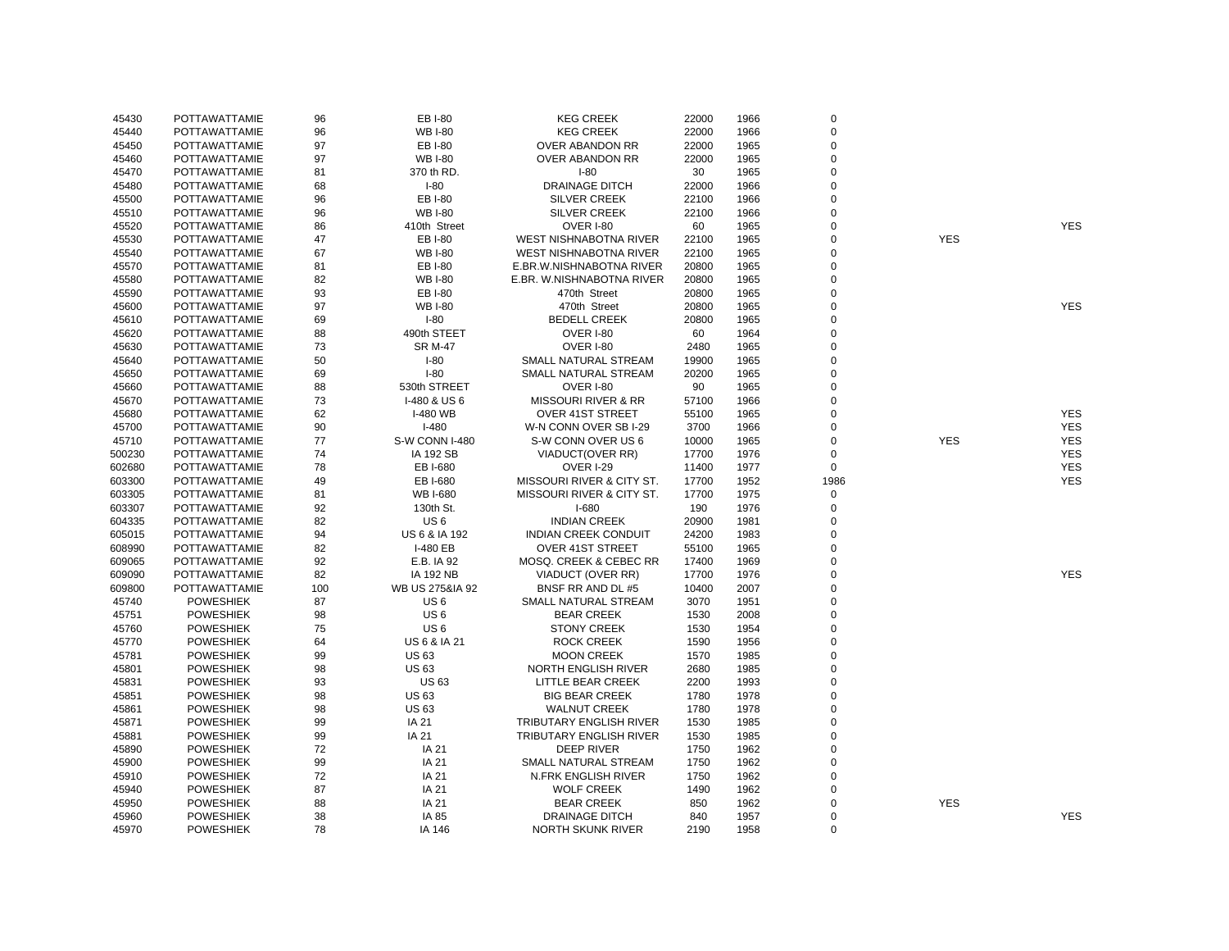| 45430  | <b>POTTAWATTAMIE</b> | 96  | <b>EB I-80</b>   | <b>KEG CREEK</b>               | 22000 | 1966 | 0              |            |            |
|--------|----------------------|-----|------------------|--------------------------------|-------|------|----------------|------------|------------|
| 45440  | <b>POTTAWATTAMIE</b> | 96  | <b>WB I-80</b>   | <b>KEG CREEK</b>               | 22000 | 1966 | 0              |            |            |
| 45450  | <b>POTTAWATTAMIE</b> | 97  | <b>EB I-80</b>   | OVER ABANDON RR                | 22000 | 1965 | $\overline{0}$ |            |            |
| 45460  | POTTAWATTAMIE        | 97  | <b>WB I-80</b>   | OVER ABANDON RR                | 22000 | 1965 | $\overline{0}$ |            |            |
| 45470  | POTTAWATTAMIE        | 81  | 370 th RD.       | $I-80$                         | 30    | 1965 | $\pmb{0}$      |            |            |
| 45480  | POTTAWATTAMIE        | 68  | $I-80$           | <b>DRAINAGE DITCH</b>          | 22000 | 1966 | $\Omega$       |            |            |
| 45500  | POTTAWATTAMIE        | 96  | <b>EB I-80</b>   | <b>SILVER CREEK</b>            | 22100 | 1966 | 0              |            |            |
| 45510  | POTTAWATTAMIE        | 96  | <b>WB I-80</b>   | <b>SILVER CREEK</b>            | 22100 | 1966 | $\Omega$       |            |            |
| 45520  | POTTAWATTAMIE        | 86  | 410th Street     | <b>OVER I-80</b>               | 60    | 1965 | 0              |            | <b>YES</b> |
| 45530  | POTTAWATTAMIE        | 47  | EB I-80          | WEST NISHNABOTNA RIVER         | 22100 | 1965 | 0              | <b>YES</b> |            |
| 45540  | POTTAWATTAMIE        | 67  | <b>WB I-80</b>   | WEST NISHNABOTNA RIVER         | 22100 | 1965 | 0              |            |            |
| 45570  | POTTAWATTAMIE        | 81  | EB I-80          | E.BR.W.NISHNABOTNA RIVER       | 20800 | 1965 | $\Omega$       |            |            |
| 45580  | POTTAWATTAMIE        | 82  | <b>WB I-80</b>   | E.BR. W.NISHNABOTNA RIVER      | 20800 | 1965 | 0              |            |            |
|        |                      | 93  |                  |                                |       |      | $\overline{0}$ |            |            |
| 45590  | POTTAWATTAMIE        | 97  | EB I-80          | 470th Street                   | 20800 | 1965 | 0              |            | <b>YES</b> |
| 45600  | POTTAWATTAMIE        |     | <b>WB I-80</b>   | 470th Street                   | 20800 | 1965 | 0              |            |            |
| 45610  | POTTAWATTAMIE        | 69  | $I-80$           | <b>BEDELL CREEK</b>            | 20800 | 1965 |                |            |            |
| 45620  | POTTAWATTAMIE        | 88  | 490th STEET      | OVER I-80                      | 60    | 1964 | 0              |            |            |
| 45630  | POTTAWATTAMIE        | 73  | <b>SR M-47</b>   | <b>OVER I-80</b>               | 2480  | 1965 | 0              |            |            |
| 45640  | POTTAWATTAMIE        | 50  | $I-80$           | SMALL NATURAL STREAM           | 19900 | 1965 | 0              |            |            |
| 45650  | POTTAWATTAMIE        | 69  | $I-80$           | SMALL NATURAL STREAM           | 20200 | 1965 | 0              |            |            |
| 45660  | POTTAWATTAMIE        | 88  | 530th STREET     | <b>OVER I-80</b>               | 90    | 1965 | $\overline{0}$ |            |            |
| 45670  | POTTAWATTAMIE        | 73  | I-480 & US6      | <b>MISSOURI RIVER &amp; RR</b> | 57100 | 1966 | 0              |            |            |
| 45680  | POTTAWATTAMIE        | 62  | I-480 WB         | <b>OVER 41ST STREET</b>        | 55100 | 1965 | 0              |            | <b>YES</b> |
| 45700  | POTTAWATTAMIE        | 90  | $I-480$          | W-N CONN OVER SB I-29          | 3700  | 1966 | 0              |            | <b>YES</b> |
| 45710  | POTTAWATTAMIE        | 77  | S-W CONN I-480   | S-W CONN OVER US 6             | 10000 | 1965 | $\mathbf 0$    | <b>YES</b> | <b>YES</b> |
| 500230 | POTTAWATTAMIE        | 74  | <b>IA 192 SB</b> | VIADUCT(OVER RR)               | 17700 | 1976 | 0              |            | <b>YES</b> |
| 602680 | POTTAWATTAMIE        | 78  | EB I-680         | <b>OVER I-29</b>               | 11400 | 1977 | 0              |            | <b>YES</b> |
| 603300 | POTTAWATTAMIE        | 49  | EB I-680         | MISSOURI RIVER & CITY ST.      | 17700 | 1952 | 1986           |            | <b>YES</b> |
| 603305 | POTTAWATTAMIE        | 81  | <b>WB I-680</b>  | MISSOURI RIVER & CITY ST.      | 17700 | 1975 | 0              |            |            |
| 603307 | <b>POTTAWATTAMIE</b> | 92  | 130th St.        | $I-680$                        | 190   | 1976 | 0              |            |            |
| 604335 | <b>POTTAWATTAMIE</b> | 82  | US <sub>6</sub>  | <b>INDIAN CREEK</b>            | 20900 | 1981 | $\Omega$       |            |            |
| 605015 | <b>POTTAWATTAMIE</b> | 94  | US 6 & IA 192    | <b>INDIAN CREEK CONDUIT</b>    | 24200 | 1983 | 0              |            |            |
| 608990 | <b>POTTAWATTAMIE</b> | 82  | I-480 EB         | <b>OVER 41ST STREET</b>        | 55100 | 1965 | 0              |            |            |
| 609065 | POTTAWATTAMIE        | 92  | E.B. IA 92       | MOSQ. CREEK & CEBEC RR         | 17400 | 1969 | 0              |            |            |
| 609090 | POTTAWATTAMIE        | 82  | <b>IA 192 NB</b> | VIADUCT (OVER RR)              | 17700 | 1976 | 0              |            | <b>YES</b> |
| 609800 | <b>POTTAWATTAMIE</b> | 100 | WB US 275&IA 92  | BNSF RR AND DL #5              | 10400 | 2007 | 0              |            |            |
| 45740  | <b>POWESHIEK</b>     | 87  | US <sub>6</sub>  | SMALL NATURAL STREAM           | 3070  | 1951 | 0              |            |            |
| 45751  | <b>POWESHIEK</b>     | 98  | US <sub>6</sub>  | <b>BEAR CREEK</b>              | 1530  | 2008 | 0              |            |            |
| 45760  | <b>POWESHIEK</b>     | 75  | US <sub>6</sub>  | <b>STONY CREEK</b>             | 1530  | 1954 | $\overline{0}$ |            |            |
| 45770  | <b>POWESHIEK</b>     | 64  | US 6 & IA 21     | <b>ROCK CREEK</b>              | 1590  | 1956 | 0              |            |            |
| 45781  | <b>POWESHIEK</b>     | 99  | <b>US63</b>      | <b>MOON CREEK</b>              | 1570  | 1985 | 0              |            |            |
| 45801  | <b>POWESHIEK</b>     | 98  | <b>US63</b>      | NORTH ENGLISH RIVER            | 2680  | 1985 | 0              |            |            |
| 45831  | <b>POWESHIEK</b>     | 93  | <b>US63</b>      | LITTLE BEAR CREEK              | 2200  | 1993 | 0              |            |            |
| 45851  | <b>POWESHIEK</b>     | 98  | <b>US63</b>      | <b>BIG BEAR CREEK</b>          | 1780  | 1978 | $\overline{0}$ |            |            |
| 45861  | <b>POWESHIEK</b>     | 98  | <b>US63</b>      | <b>WALNUT CREEK</b>            | 1780  | 1978 | 0              |            |            |
| 45871  | <b>POWESHIEK</b>     | 99  | IA 21            | TRIBUTARY ENGLISH RIVER        | 1530  | 1985 | 0              |            |            |
| 45881  | <b>POWESHIEK</b>     | 99  | IA 21            | TRIBUTARY ENGLISH RIVER        | 1530  | 1985 | 0              |            |            |
| 45890  | <b>POWESHIEK</b>     | 72  | IA 21            | <b>DEEP RIVER</b>              | 1750  | 1962 | $\Omega$       |            |            |
| 45900  | <b>POWESHIEK</b>     | 99  | IA 21            | SMALL NATURAL STREAM           | 1750  | 1962 | 0              |            |            |
| 45910  | <b>POWESHIEK</b>     | 72  | IA 21            | <b>N.FRK ENGLISH RIVER</b>     | 1750  | 1962 | $\overline{0}$ |            |            |
| 45940  | <b>POWESHIEK</b>     | 87  | IA 21            | <b>WOLF CREEK</b>              | 1490  | 1962 | 0              |            |            |
| 45950  | <b>POWESHIEK</b>     | 88  | IA 21            | <b>BEAR CREEK</b>              | 850   | 1962 | 0              | <b>YES</b> |            |
|        | <b>POWESHIEK</b>     | 38  | IA 85            | DRAINAGE DITCH                 | 840   | 1957 | 0              |            | <b>YES</b> |
| 45960  |                      | 78  |                  |                                | 2190  | 1958 | $\Omega$       |            |            |
| 45970  | <b>POWESHIEK</b>     |     | IA 146           | <b>NORTH SKUNK RIVER</b>       |       |      |                |            |            |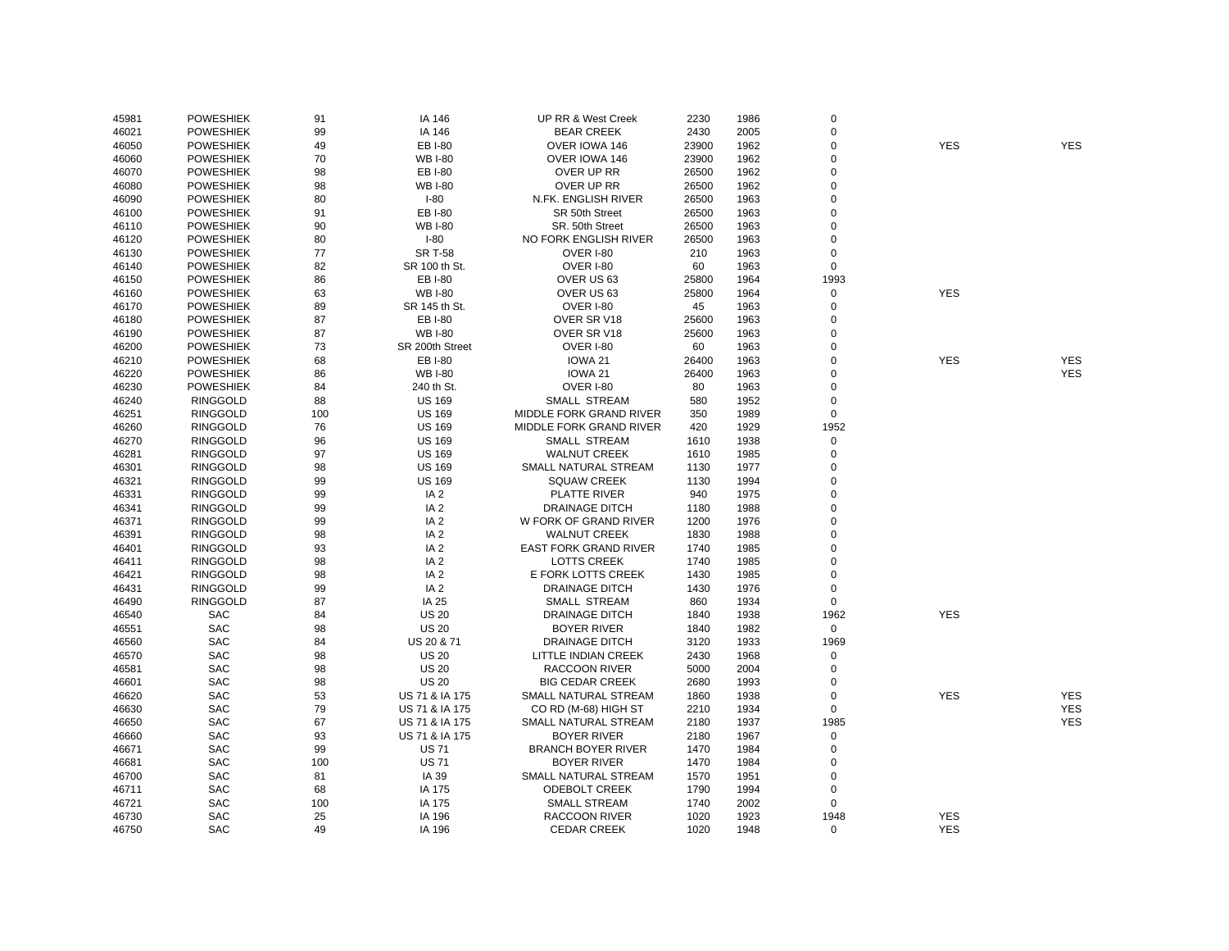| 45981 | <b>POWESHIEK</b> | 91  | IA 146          | UP RR & West Creek             | 2230  | 1986 | $\mathbf 0$          |            |            |
|-------|------------------|-----|-----------------|--------------------------------|-------|------|----------------------|------------|------------|
| 46021 | <b>POWESHIEK</b> | 99  | IA 146          | <b>BEAR CREEK</b>              | 2430  | 2005 | $\overline{0}$       |            |            |
| 46050 | <b>POWESHIEK</b> | 49  | EB I-80         | OVER IOWA 146                  | 23900 | 1962 | $\overline{0}$       | <b>YES</b> | <b>YES</b> |
| 46060 | <b>POWESHIEK</b> | 70  | <b>WB I-80</b>  | OVER IOWA 146                  | 23900 | 1962 | $\mathbf 0$          |            |            |
| 46070 | <b>POWESHIEK</b> | 98  | EB I-80         | OVER UP RR                     | 26500 | 1962 | $\Omega$             |            |            |
| 46080 | <b>POWESHIEK</b> | 98  | <b>WB I-80</b>  | OVER UP RR                     | 26500 | 1962 | $\Omega$             |            |            |
| 46090 | <b>POWESHIEK</b> | 80  | $I-80$          | N.FK. ENGLISH RIVER            | 26500 | 1963 | $\Omega$             |            |            |
| 46100 | <b>POWESHIEK</b> | 91  | EB I-80         | SR 50th Street                 | 26500 | 1963 | $\Omega$             |            |            |
| 46110 | <b>POWESHIEK</b> | 90  | <b>WB I-80</b>  | SR. 50th Street                | 26500 | 1963 | $\Omega$             |            |            |
| 46120 | <b>POWESHIEK</b> | 80  | $I-80$          | NO FORK ENGLISH RIVER          | 26500 | 1963 | $\overline{0}$       |            |            |
| 46130 | <b>POWESHIEK</b> | 77  | <b>SR T-58</b>  | OVER I-80                      | 210   | 1963 | $\Omega$             |            |            |
| 46140 | <b>POWESHIEK</b> | 82  | SR 100 th St.   | OVER I-80                      | 60    | 1963 | $\mathbf 0$          |            |            |
| 46150 | <b>POWESHIEK</b> | 86  | EB I-80         | OVER US 63                     | 25800 | 1964 | 1993                 |            |            |
| 46160 | <b>POWESHIEK</b> | 63  | <b>WB I-80</b>  | OVER US 63                     | 25800 | 1964 | $\mathsf 0$          | <b>YES</b> |            |
| 46170 | <b>POWESHIEK</b> | 89  | SR 145 th St.   | OVER I-80                      | 45    | 1963 | $\overline{0}$       |            |            |
| 46180 | <b>POWESHIEK</b> | 87  | EB I-80         | OVER SR V18                    | 25600 | 1963 | $\overline{0}$       |            |            |
| 46190 | <b>POWESHIEK</b> | 87  | <b>WB I-80</b>  | OVER SR V18                    | 25600 | 1963 | $\Omega$             |            |            |
| 46200 | <b>POWESHIEK</b> | 73  | SR 200th Street | OVER I-80                      | 60    | 1963 | $\Omega$             |            |            |
| 46210 | <b>POWESHIEK</b> | 68  | EB I-80         | IOWA 21                        | 26400 | 1963 | $\Omega$             | <b>YES</b> | <b>YES</b> |
| 46220 | <b>POWESHIEK</b> | 86  | <b>WB I-80</b>  | IOWA <sub>21</sub>             | 26400 | 1963 | $\Omega$             |            | <b>YES</b> |
| 46230 | <b>POWESHIEK</b> | 84  | 240 th St.      | OVER I-80                      | 80    | 1963 | $\overline{0}$       |            |            |
| 46240 | <b>RINGGOLD</b>  | 88  | <b>US 169</b>   | <b>SMALL STREAM</b>            | 580   | 1952 | $\mathbf 0$          |            |            |
| 46251 | <b>RINGGOLD</b>  | 100 | <b>US 169</b>   | <b>MIDDLE FORK GRAND RIVER</b> | 350   | 1989 | $\mathbf 0$          |            |            |
| 46260 | <b>RINGGOLD</b>  | 76  | <b>US 169</b>   | MIDDLE FORK GRAND RIVER        | 420   | 1929 | 1952                 |            |            |
| 46270 | <b>RINGGOLD</b>  | 96  | <b>US 169</b>   | SMALL STREAM                   | 1610  | 1938 | $\mathsf 0$          |            |            |
| 46281 | <b>RINGGOLD</b>  | 97  | <b>US 169</b>   | <b>WALNUT CREEK</b>            | 1610  | 1985 | $\mathbf 0$          |            |            |
| 46301 | <b>RINGGOLD</b>  | 98  | <b>US 169</b>   | SMALL NATURAL STREAM           | 1130  |      | $\overline{0}$       |            |            |
|       |                  |     |                 | <b>SQUAW CREEK</b>             |       | 1977 | $\overline{0}$       |            |            |
| 46321 | <b>RINGGOLD</b>  | 99  | <b>US 169</b>   |                                | 1130  | 1994 | $\Omega$             |            |            |
| 46331 | <b>RINGGOLD</b>  | 99  | IA <sub>2</sub> | PLATTE RIVER                   | 940   | 1975 | $\Omega$             |            |            |
| 46341 | <b>RINGGOLD</b>  | 99  | IA <sub>2</sub> | <b>DRAINAGE DITCH</b>          | 1180  | 1988 |                      |            |            |
| 46371 | <b>RINGGOLD</b>  | 99  | IA <sub>2</sub> | W FORK OF GRAND RIVER          | 1200  | 1976 | $\Omega$<br>$\Omega$ |            |            |
| 46391 | <b>RINGGOLD</b>  | 98  | IA <sub>2</sub> | <b>WALNUT CREEK</b>            | 1830  | 1988 | $\Omega$             |            |            |
| 46401 | <b>RINGGOLD</b>  | 93  | IA <sub>2</sub> | <b>EAST FORK GRAND RIVER</b>   | 1740  | 1985 |                      |            |            |
| 46411 | <b>RINGGOLD</b>  | 98  | IA <sub>2</sub> | <b>LOTTS CREEK</b>             | 1740  | 1985 | $\Omega$             |            |            |
| 46421 | <b>RINGGOLD</b>  | 98  | IA <sub>2</sub> | E FORK LOTTS CREEK             | 1430  | 1985 | $\Omega$             |            |            |
| 46431 | <b>RINGGOLD</b>  | 99  | IA <sub>2</sub> | <b>DRAINAGE DITCH</b>          | 1430  | 1976 | $\overline{0}$       |            |            |
| 46490 | <b>RINGGOLD</b>  | 87  | IA 25           | SMALL STREAM                   | 860   | 1934 | 0                    |            |            |
| 46540 | <b>SAC</b>       | 84  | <b>US 20</b>    | <b>DRAINAGE DITCH</b>          | 1840  | 1938 | 1962                 | <b>YES</b> |            |
| 46551 | <b>SAC</b>       | 98  | <b>US 20</b>    | <b>BOYER RIVER</b>             | 1840  | 1982 | $\mathsf 0$          |            |            |
| 46560 | <b>SAC</b>       | 84  | US 20 & 71      | <b>DRAINAGE DITCH</b>          | 3120  | 1933 | 1969                 |            |            |
| 46570 | <b>SAC</b>       | 98  | <b>US 20</b>    | LITTLE INDIAN CREEK            | 2430  | 1968 | $\mathsf 0$          |            |            |
| 46581 | <b>SAC</b>       | 98  | <b>US 20</b>    | <b>RACCOON RIVER</b>           | 5000  | 2004 | $\Omega$             |            |            |
| 46601 | <b>SAC</b>       | 98  | <b>US 20</b>    | <b>BIG CEDAR CREEK</b>         | 2680  | 1993 | $\Omega$             |            |            |
| 46620 | <b>SAC</b>       | 53  | US 71 & IA 175  | SMALL NATURAL STREAM           | 1860  | 1938 | $\overline{0}$       | <b>YES</b> | <b>YES</b> |
| 46630 | <b>SAC</b>       | 79  | US 71 & IA 175  | CO RD (M-68) HIGH ST           | 2210  | 1934 | $\mathsf 0$          |            | <b>YES</b> |
| 46650 | <b>SAC</b>       | 67  | US 71 & IA 175  | SMALL NATURAL STREAM           | 2180  | 1937 | 1985                 |            | <b>YES</b> |
| 46660 | <b>SAC</b>       | 93  | US 71 & IA 175  | <b>BOYER RIVER</b>             | 2180  | 1967 | $\pmb{0}$            |            |            |
| 46671 | <b>SAC</b>       | 99  | <b>US71</b>     | <b>BRANCH BOYER RIVER</b>      | 1470  | 1984 | $\Omega$             |            |            |
| 46681 | <b>SAC</b>       | 100 | <b>US71</b>     | <b>BOYER RIVER</b>             | 1470  | 1984 | $\Omega$             |            |            |
| 46700 | <b>SAC</b>       | 81  | IA 39           | SMALL NATURAL STREAM           | 1570  | 1951 | $\Omega$             |            |            |
| 46711 | <b>SAC</b>       | 68  | IA 175          | <b>ODEBOLT CREEK</b>           | 1790  | 1994 | $\overline{0}$       |            |            |
| 46721 | <b>SAC</b>       | 100 | IA 175          | <b>SMALL STREAM</b>            | 1740  | 2002 | $\mathbf 0$          |            |            |
| 46730 | <b>SAC</b>       | 25  | IA 196          | RACCOON RIVER                  | 1020  | 1923 | 1948                 | <b>YES</b> |            |
| 46750 | <b>SAC</b>       | 49  | IA 196          | <b>CEDAR CREEK</b>             | 1020  | 1948 | $\Omega$             | <b>YES</b> |            |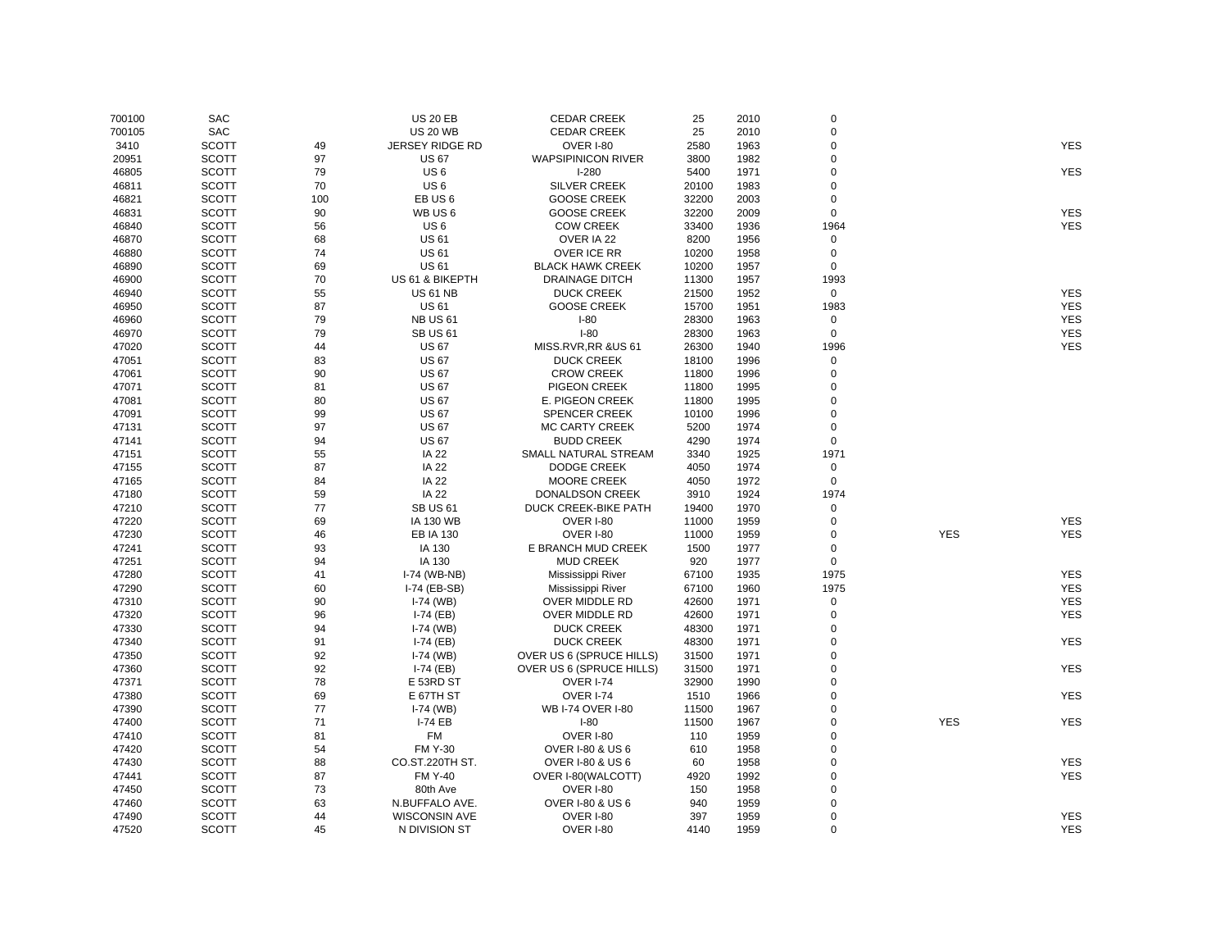| 700100 | <b>SAC</b>   |     | <b>US 20 EB</b>        | <b>CEDAR CREEK</b>              | 25    | 2010 | $\mathbf 0$    |            |            |
|--------|--------------|-----|------------------------|---------------------------------|-------|------|----------------|------------|------------|
| 700105 | <b>SAC</b>   |     | <b>US 20 WB</b>        | <b>CEDAR CREEK</b>              | 25    | 2010 | $\mathbf 0$    |            |            |
| 3410   | <b>SCOTT</b> | 49  | <b>JERSEY RIDGE RD</b> | OVER I-80                       | 2580  | 1963 | $\Omega$       |            | <b>YES</b> |
| 20951  | <b>SCOTT</b> | 97  | <b>US 67</b>           | <b>WAPSIPINICON RIVER</b>       | 3800  | 1982 | $\mathbf 0$    |            |            |
| 46805  | <b>SCOTT</b> | 79  | US <sub>6</sub>        | $I-280$                         | 5400  | 1971 | $\mathbf 0$    |            | <b>YES</b> |
| 46811  | <b>SCOTT</b> | 70  | US <sub>6</sub>        | <b>SILVER CREEK</b>             | 20100 | 1983 | $\mathbf 0$    |            |            |
| 46821  | <b>SCOTT</b> | 100 | EB US <sub>6</sub>     | <b>GOOSE CREEK</b>              | 32200 | 2003 | $\mathbf 0$    |            |            |
| 46831  | <b>SCOTT</b> | 90  | WB US6                 | <b>GOOSE CREEK</b>              | 32200 | 2009 | $\mathbf 0$    |            | <b>YES</b> |
| 46840  | <b>SCOTT</b> | 56  | US <sub>6</sub>        | <b>COW CREEK</b>                | 33400 | 1936 | 1964           |            | <b>YES</b> |
| 46870  | <b>SCOTT</b> | 68  | <b>US61</b>            | OVER IA 22                      | 8200  | 1956 | $\mathbf 0$    |            |            |
| 46880  | <b>SCOTT</b> | 74  | <b>US61</b>            | OVER ICE RR                     | 10200 | 1958 | 0              |            |            |
| 46890  | <b>SCOTT</b> | 69  | <b>US61</b>            | <b>BLACK HAWK CREEK</b>         | 10200 | 1957 | $\mathbf 0$    |            |            |
| 46900  | <b>SCOTT</b> | 70  | US 61 & BIKEPTH        | <b>DRAINAGE DITCH</b>           | 11300 | 1957 | 1993           |            |            |
| 46940  | <b>SCOTT</b> | 55  | <b>US 61 NB</b>        | <b>DUCK CREEK</b>               | 21500 | 1952 | $\mathbf 0$    |            | <b>YES</b> |
| 46950  | <b>SCOTT</b> | 87  | <b>US 61</b>           | <b>GOOSE CREEK</b>              | 15700 | 1951 | 1983           |            | <b>YES</b> |
| 46960  | <b>SCOTT</b> | 79  | <b>NB US 61</b>        | $I-80$                          | 28300 | 1963 | 0              |            | <b>YES</b> |
| 46970  | <b>SCOTT</b> | 79  | <b>SB US 61</b>        | $I-80$                          | 28300 | 1963 | 0              |            | <b>YES</b> |
| 47020  | <b>SCOTT</b> | 44  | <b>US 67</b>           | MISS.RVR,RR &US 61              | 26300 | 1940 | 1996           |            | <b>YES</b> |
| 47051  | <b>SCOTT</b> | 83  | <b>US 67</b>           | <b>DUCK CREEK</b>               | 18100 | 1996 | 0              |            |            |
|        | <b>SCOTT</b> | 90  | <b>US 67</b>           |                                 |       |      | $\mathbf 0$    |            |            |
| 47061  |              |     |                        | <b>CROW CREEK</b>               | 11800 | 1996 | $\mathbf 0$    |            |            |
| 47071  | <b>SCOTT</b> | 81  | <b>US 67</b>           | PIGEON CREEK                    | 11800 | 1995 |                |            |            |
| 47081  | <b>SCOTT</b> | 80  | <b>US 67</b>           | E. PIGEON CREEK                 | 11800 | 1995 | $\Omega$       |            |            |
| 47091  | <b>SCOTT</b> | 99  | <b>US 67</b>           | <b>SPENCER CREEK</b>            | 10100 | 1996 | $\mathbf 0$    |            |            |
| 47131  | <b>SCOTT</b> | 97  | <b>US 67</b>           | <b>MC CARTY CREEK</b>           | 5200  | 1974 | $\mathbf 0$    |            |            |
| 47141  | <b>SCOTT</b> | 94  | <b>US 67</b>           | <b>BUDD CREEK</b>               | 4290  | 1974 | $\mathsf 0$    |            |            |
| 47151  | <b>SCOTT</b> | 55  | <b>IA 22</b>           | SMALL NATURAL STREAM            | 3340  | 1925 | 1971           |            |            |
| 47155  | <b>SCOTT</b> | 87  | <b>IA 22</b>           | <b>DODGE CREEK</b>              | 4050  | 1974 | 0              |            |            |
| 47165  | <b>SCOTT</b> | 84  | <b>IA 22</b>           | <b>MOORE CREEK</b>              | 4050  | 1972 | $\mathbf 0$    |            |            |
| 47180  | <b>SCOTT</b> | 59  | <b>IA 22</b>           | <b>DONALDSON CREEK</b>          | 3910  | 1924 | 1974           |            |            |
| 47210  | <b>SCOTT</b> | 77  | <b>SB US 61</b>        | DUCK CREEK-BIKE PATH            | 19400 | 1970 | 0              |            |            |
| 47220  | <b>SCOTT</b> | 69  | <b>IA 130 WB</b>       | OVER I-80                       | 11000 | 1959 | $\mathbf 0$    |            | <b>YES</b> |
| 47230  | <b>SCOTT</b> | 46  | <b>EB IA 130</b>       | OVER I-80                       | 11000 | 1959 | $\mathbf 0$    | <b>YES</b> | <b>YES</b> |
| 47241  | <b>SCOTT</b> | 93  | IA 130                 | E BRANCH MUD CREEK              | 1500  | 1977 | $\mathbf 0$    |            |            |
| 47251  | <b>SCOTT</b> | 94  | IA 130                 | <b>MUD CREEK</b>                | 920   | 1977 | $\mathbf 0$    |            |            |
| 47280  | <b>SCOTT</b> | 41  | I-74 (WB-NB)           | Mississippi River               | 67100 | 1935 | 1975           |            | <b>YES</b> |
| 47290  | <b>SCOTT</b> | 60  | I-74 (EB-SB)           | Mississippi River               | 67100 | 1960 | 1975           |            | <b>YES</b> |
| 47310  | <b>SCOTT</b> | 90  | $I-74$ (WB)            | OVER MIDDLE RD                  | 42600 | 1971 | 0              |            | <b>YES</b> |
| 47320  | <b>SCOTT</b> | 96  | $I-74$ (EB)            | OVER MIDDLE RD                  | 42600 | 1971 | $\mathbf 0$    |            | <b>YES</b> |
| 47330  | <b>SCOTT</b> | 94  | $I-74$ (WB)            | <b>DUCK CREEK</b>               | 48300 | 1971 | $\mathbf 0$    |            |            |
| 47340  | <b>SCOTT</b> | 91  | $I-74$ (EB)            | <b>DUCK CREEK</b>               | 48300 | 1971 | $\Omega$       |            | <b>YES</b> |
| 47350  | <b>SCOTT</b> | 92  | $I-74$ (WB)            | <b>OVER US 6 (SPRUCE HILLS)</b> | 31500 | 1971 | $\pmb{0}$      |            |            |
| 47360  | <b>SCOTT</b> | 92  | $I-74$ (EB)            | OVER US 6 (SPRUCE HILLS)        | 31500 | 1971 | $\mathbf 0$    |            | <b>YES</b> |
| 47371  | <b>SCOTT</b> | 78  | E 53RD ST              | <b>OVER I-74</b>                | 32900 | 1990 | $\mathbf 0$    |            |            |
| 47380  | <b>SCOTT</b> | 69  | E 67TH ST              | OVER I-74                       | 1510  | 1966 | $\mathbf 0$    |            | <b>YES</b> |
| 47390  | <b>SCOTT</b> | 77  | $I-74$ (WB)            | WB I-74 OVER I-80               | 11500 | 1967 | $\mathbf 0$    |            |            |
| 47400  | <b>SCOTT</b> | 71  | <b>I-74 EB</b>         | $I-80$                          | 11500 | 1967 | $\Omega$       | <b>YES</b> | <b>YES</b> |
| 47410  | <b>SCOTT</b> | 81  | <b>FM</b>              | <b>OVER I-80</b>                | 110   | 1959 | $\Omega$       |            |            |
| 47420  | <b>SCOTT</b> | 54  | <b>FM Y-30</b>         | <b>OVER I-80 &amp; US 6</b>     | 610   | 1958 | $\mathbf 0$    |            |            |
| 47430  | <b>SCOTT</b> | 88  | CO.ST.220TH ST.        | <b>OVER I-80 &amp; US 6</b>     | 60    | 1958 | $\mathbf 0$    |            | <b>YES</b> |
| 47441  | <b>SCOTT</b> | 87  | <b>FM Y-40</b>         | OVER I-80(WALCOTT)              | 4920  | 1992 | $\overline{0}$ |            | <b>YES</b> |
| 47450  | <b>SCOTT</b> | 73  | 80th Ave               | <b>OVER I-80</b>                | 150   | 1958 | $\mathbf 0$    |            |            |
| 47460  | <b>SCOTT</b> | 63  | N.BUFFALO AVE.         | OVER I-80 & US 6                | 940   | 1959 | $\mathbf 0$    |            |            |
| 47490  | <b>SCOTT</b> | 44  | <b>WISCONSIN AVE</b>   | OVER I-80                       | 397   | 1959 | $\pmb{0}$      |            | <b>YES</b> |
| 47520  | <b>SCOTT</b> | 45  | N DIVISION ST          | <b>OVER I-80</b>                | 4140  | 1959 | $\Omega$       |            | <b>YES</b> |
|        |              |     |                        |                                 |       |      |                |            |            |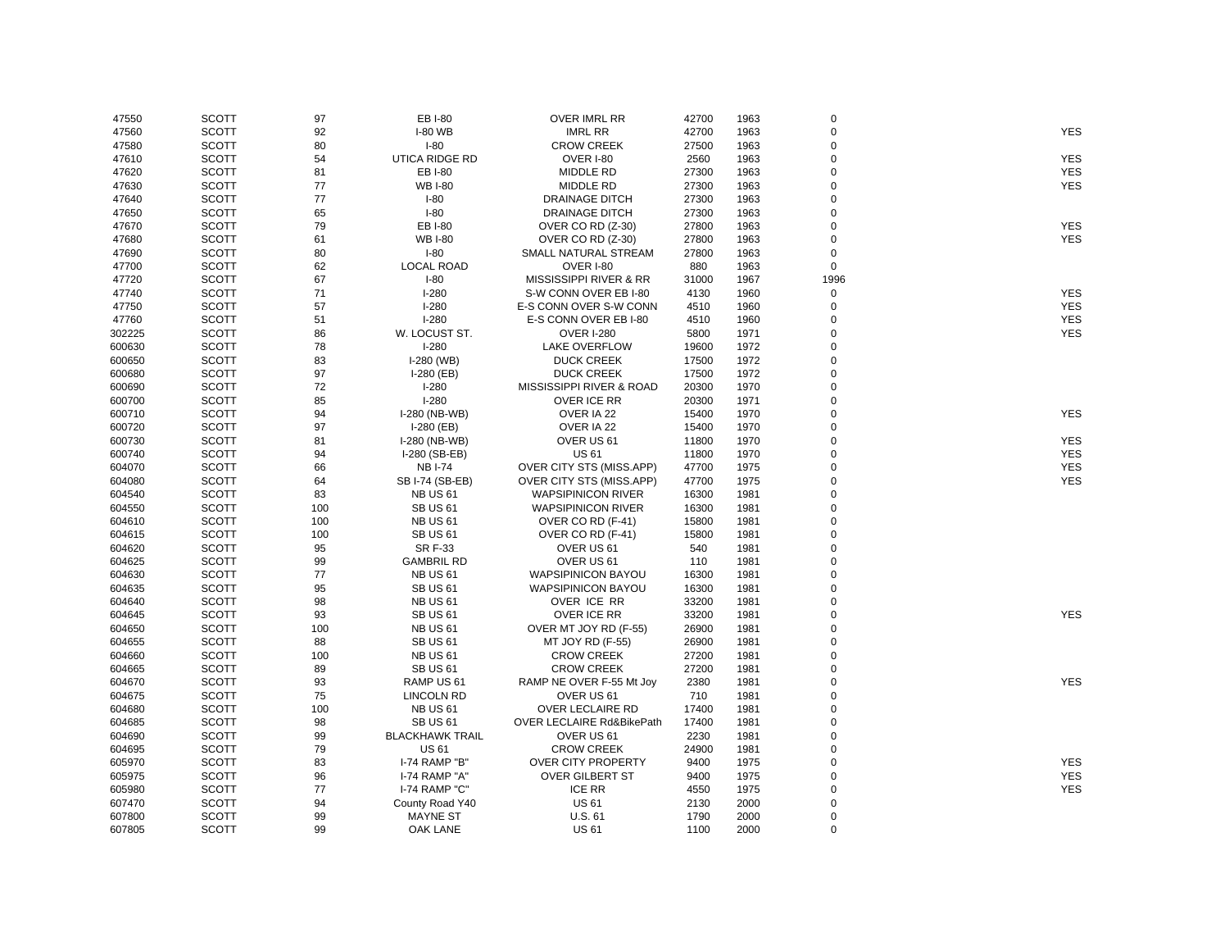| 47550  | <b>SCOTT</b> | 97  | EB I-80                | <b>OVER IMRL RR</b>             | 42700 | 1963 | $\mathsf 0$ |            |
|--------|--------------|-----|------------------------|---------------------------------|-------|------|-------------|------------|
| 47560  | <b>SCOTT</b> | 92  | <b>I-80 WB</b>         | <b>IMRL RR</b>                  | 42700 | 1963 | $\pmb{0}$   | <b>YES</b> |
| 47580  | <b>SCOTT</b> | 80  | $I-80$                 | <b>CROW CREEK</b>               | 27500 | 1963 | 0           |            |
| 47610  | <b>SCOTT</b> | 54  | UTICA RIDGE RD         | OVER I-80                       | 2560  | 1963 | 0           | <b>YES</b> |
| 47620  | <b>SCOTT</b> | 81  | EB I-80                | <b>MIDDLE RD</b>                | 27300 | 1963 | 0           | <b>YES</b> |
| 47630  | <b>SCOTT</b> | 77  | <b>WB I-80</b>         | <b>MIDDLE RD</b>                | 27300 | 1963 | 0           | <b>YES</b> |
| 47640  | <b>SCOTT</b> | 77  | $I-80$                 | <b>DRAINAGE DITCH</b>           | 27300 | 1963 | 0           |            |
| 47650  | <b>SCOTT</b> | 65  | $I-80$                 | <b>DRAINAGE DITCH</b>           | 27300 | 1963 | 0           |            |
| 47670  | <b>SCOTT</b> | 79  | EB I-80                | OVER CO RD (Z-30)               | 27800 | 1963 | 0           | <b>YES</b> |
| 47680  | <b>SCOTT</b> | 61  | <b>WB I-80</b>         | OVER CO RD (Z-30)               | 27800 | 1963 | 0           | <b>YES</b> |
| 47690  | <b>SCOTT</b> | 80  | $I-80$                 | SMALL NATURAL STREAM            | 27800 | 1963 | 0           |            |
| 47700  | <b>SCOTT</b> | 62  | <b>LOCAL ROAD</b>      | <b>OVER I-80</b>                | 880   | 1963 | $\mathbf 0$ |            |
| 47720  | <b>SCOTT</b> | 67  | $I-80$                 | MISSISSIPPI RIVER & RR          | 31000 | 1967 | 1996        |            |
| 47740  | <b>SCOTT</b> | 71  | $I-280$                | S-W CONN OVER EB I-80           | 4130  | 1960 | $\pmb{0}$   | <b>YES</b> |
| 47750  | <b>SCOTT</b> | 57  | $I-280$                | E-S CONN OVER S-W CONN          | 4510  | 1960 | $\mathsf 0$ | <b>YES</b> |
| 47760  | <b>SCOTT</b> | 51  | $I-280$                | E-S CONN OVER EB I-80           | 4510  | 1960 | 0           | <b>YES</b> |
| 302225 | <b>SCOTT</b> | 86  | W. LOCUST ST.          | <b>OVER I-280</b>               | 5800  | 1971 | 0           | <b>YES</b> |
| 600630 | <b>SCOTT</b> | 78  | $I-280$                | <b>LAKE OVERFLOW</b>            | 19600 | 1972 | 0           |            |
| 600650 | <b>SCOTT</b> | 83  | I-280 (WB)             | <b>DUCK CREEK</b>               | 17500 | 1972 | 0           |            |
| 600680 | <b>SCOTT</b> | 97  | $I-280$ (EB)           | <b>DUCK CREEK</b>               | 17500 | 1972 | 0           |            |
| 600690 | <b>SCOTT</b> | 72  | $I-280$                | MISSISSIPPI RIVER & ROAD        | 20300 | 1970 | 0           |            |
| 600700 | <b>SCOTT</b> | 85  | $I-280$                | OVER ICE RR                     | 20300 | 1971 | 0           |            |
| 600710 | <b>SCOTT</b> | 94  | I-280 (NB-WB)          | OVER IA 22                      | 15400 | 1970 | 0           | <b>YES</b> |
| 600720 | <b>SCOTT</b> | 97  | $I-280$ (EB)           | OVER IA 22                      | 15400 | 1970 | 0           |            |
|        |              |     |                        |                                 |       |      |             |            |
| 600730 | <b>SCOTT</b> | 81  | I-280 (NB-WB)          | OVER US 61                      | 11800 | 1970 | 0           | <b>YES</b> |
| 600740 | <b>SCOTT</b> | 94  | I-280 (SB-EB)          | <b>US61</b>                     | 11800 | 1970 | 0           | <b>YES</b> |
| 604070 | <b>SCOTT</b> | 66  | <b>NBI-74</b>          | <b>OVER CITY STS (MISS.APP)</b> | 47700 | 1975 | 0           | <b>YES</b> |
| 604080 | <b>SCOTT</b> | 64  | SB I-74 (SB-EB)        | OVER CITY STS (MISS.APP)        | 47700 | 1975 | 0           | <b>YES</b> |
| 604540 | <b>SCOTT</b> | 83  | <b>NB US 61</b>        | <b>WAPSIPINICON RIVER</b>       | 16300 | 1981 | 0           |            |
| 604550 | <b>SCOTT</b> | 100 | <b>SB US 61</b>        | <b>WAPSIPINICON RIVER</b>       | 16300 | 1981 | 0           |            |
| 604610 | <b>SCOTT</b> | 100 | <b>NB US 61</b>        | OVER CO RD (F-41)               | 15800 | 1981 | 0           |            |
| 604615 | <b>SCOTT</b> | 100 | <b>SB US 61</b>        | OVER CO RD (F-41)               | 15800 | 1981 | 0           |            |
| 604620 | <b>SCOTT</b> | 95  | <b>SR F-33</b>         | OVER US 61                      | 540   | 1981 | 0           |            |
| 604625 | <b>SCOTT</b> | 99  | <b>GAMBRIL RD</b>      | OVER US 61                      | 110   | 1981 | 0           |            |
| 604630 | <b>SCOTT</b> | 77  | <b>NB US 61</b>        | <b>WAPSIPINICON BAYOU</b>       | 16300 | 1981 | 0           |            |
| 604635 | <b>SCOTT</b> | 95  | <b>SB US 61</b>        | <b>WAPSIPINICON BAYOU</b>       | 16300 | 1981 | 0           |            |
| 604640 | <b>SCOTT</b> | 98  | <b>NB US 61</b>        | OVER ICE RR                     | 33200 | 1981 | 0           |            |
| 604645 | <b>SCOTT</b> | 93  | <b>SB US 61</b>        | OVER ICE RR                     | 33200 | 1981 | 0           | <b>YES</b> |
| 604650 | <b>SCOTT</b> | 100 | <b>NB US 61</b>        | OVER MT JOY RD (F-55)           | 26900 | 1981 | 0           |            |
| 604655 | <b>SCOTT</b> | 88  | <b>SB US 61</b>        | MT JOY RD (F-55)                | 26900 | 1981 | 0           |            |
| 604660 | <b>SCOTT</b> | 100 | <b>NB US 61</b>        | <b>CROW CREEK</b>               | 27200 | 1981 | 0           |            |
| 604665 | <b>SCOTT</b> | 89  | <b>SB US 61</b>        | <b>CROW CREEK</b>               | 27200 | 1981 | 0           |            |
| 604670 | <b>SCOTT</b> | 93  | RAMP US 61             | RAMP NE OVER F-55 Mt Joy        | 2380  | 1981 | 0           | <b>YES</b> |
| 604675 | <b>SCOTT</b> | 75  | <b>LINCOLN RD</b>      | OVER US 61                      | 710   | 1981 | 0           |            |
| 604680 | <b>SCOTT</b> | 100 | <b>NB US 61</b>        | <b>OVER LECLAIRE RD</b>         | 17400 | 1981 | 0           |            |
| 604685 | <b>SCOTT</b> | 98  | <b>SB US 61</b>        | OVER LECLAIRE Rd&BikePath       | 17400 | 1981 | 0           |            |
| 604690 | <b>SCOTT</b> | 99  | <b>BLACKHAWK TRAIL</b> | OVER US 61                      | 2230  | 1981 | 0           |            |
| 604695 | <b>SCOTT</b> | 79  | <b>US61</b>            | <b>CROW CREEK</b>               | 24900 | 1981 | 0           |            |
| 605970 | <b>SCOTT</b> | 83  | I-74 RAMP "B"          | <b>OVER CITY PROPERTY</b>       | 9400  | 1975 | 0           | <b>YES</b> |
| 605975 | <b>SCOTT</b> | 96  | I-74 RAMP "A"          | <b>OVER GILBERT ST</b>          | 9400  | 1975 | 0           | <b>YES</b> |
| 605980 | <b>SCOTT</b> | 77  | <b>I-74 RAMP "C"</b>   | <b>ICE RR</b>                   | 4550  | 1975 | 0           | <b>YES</b> |
| 607470 | <b>SCOTT</b> | 94  | County Road Y40        | <b>US 61</b>                    | 2130  | 2000 | 0           |            |
| 607800 | <b>SCOTT</b> | 99  | <b>MAYNE ST</b>        | U.S.61                          | 1790  | 2000 | 0           |            |
| 607805 | <b>SCOTT</b> | 99  | OAK LANE               | <b>US61</b>                     | 1100  | 2000 | $\Omega$    |            |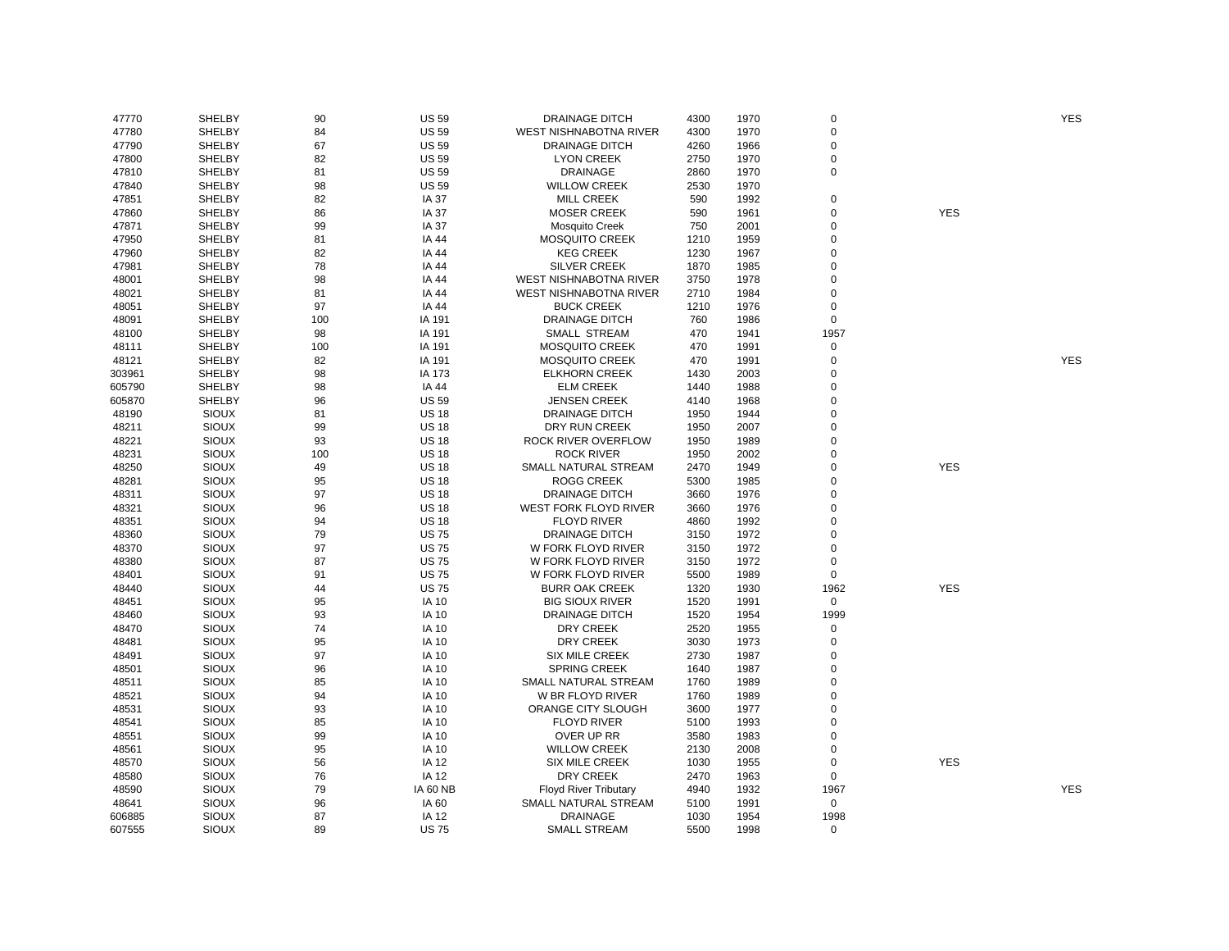| 47770  | SHELBY        | 90        | <b>US 59</b> | <b>DRAINAGE DITCH</b>        | 4300 | 1970 | $\mathbf 0$ |            | <b>YES</b> |
|--------|---------------|-----------|--------------|------------------------------|------|------|-------------|------------|------------|
| 47780  | <b>SHELBY</b> | 84        | <b>US 59</b> | WEST NISHNABOTNA RIVER       | 4300 | 1970 | 0           |            |            |
| 47790  | SHELBY        | 67        | <b>US 59</b> | <b>DRAINAGE DITCH</b>        | 4260 | 1966 | $\mathbf 0$ |            |            |
| 47800  | SHELBY        | 82        | <b>US 59</b> | <b>LYON CREEK</b>            | 2750 | 1970 | $\mathbf 0$ |            |            |
| 47810  | SHELBY        | 81        | <b>US 59</b> | <b>DRAINAGE</b>              | 2860 | 1970 | $\mathbf 0$ |            |            |
| 47840  | SHELBY        | 98        | <b>US 59</b> | <b>WILLOW CREEK</b>          | 2530 | 1970 |             |            |            |
| 47851  | <b>SHELBY</b> | 82        | IA 37        | <b>MILL CREEK</b>            | 590  | 1992 | 0           |            |            |
| 47860  | <b>SHELBY</b> | 86        | IA 37        | <b>MOSER CREEK</b>           | 590  | 1961 | $\mathbf 0$ | <b>YES</b> |            |
| 47871  | <b>SHELBY</b> | 99        | <b>IA 37</b> | <b>Mosquito Creek</b>        | 750  | 2001 | 0           |            |            |
| 47950  | SHELBY        | 81        | IA 44        | <b>MOSQUITO CREEK</b>        | 1210 | 1959 | 0           |            |            |
| 47960  | SHELBY        | 82        | IA 44        | <b>KEG CREEK</b>             | 1230 | 1967 | $\mathbf 0$ |            |            |
| 47981  | <b>SHELBY</b> | 78        | IA 44        | <b>SILVER CREEK</b>          | 1870 | 1985 | 0           |            |            |
| 48001  | SHELBY        | 98        | IA 44        | WEST NISHNABOTNA RIVER       | 3750 | 1978 | 0           |            |            |
| 48021  | <b>SHELBY</b> | 81        | IA 44        | WEST NISHNABOTNA RIVER       | 2710 | 1984 | $\mathbf 0$ |            |            |
| 48051  | <b>SHELBY</b> | 97        | IA 44        | <b>BUCK CREEK</b>            | 1210 | 1976 | 0           |            |            |
| 48091  | <b>SHELBY</b> | 100       | IA 191       | <b>DRAINAGE DITCH</b>        | 760  | 1986 | $\mathbf 0$ |            |            |
| 48100  | SHELBY        | 98        | IA 191       | SMALL STREAM                 | 470  | 1941 | 1957        |            |            |
| 48111  | SHELBY        | 100       | IA 191       | <b>MOSQUITO CREEK</b>        | 470  | 1991 | $\mathbf 0$ |            |            |
| 48121  | SHELBY        | 82        | IA 191       | <b>MOSQUITO CREEK</b>        | 470  | 1991 | 0           |            | <b>YES</b> |
| 303961 | SHELBY        | 98        | IA 173       | <b>ELKHORN CREEK</b>         | 1430 | 2003 | $\mathbf 0$ |            |            |
| 605790 | <b>SHELBY</b> | 98        | IA 44        | <b>ELM CREEK</b>             | 1440 | 1988 | $\mathbf 0$ |            |            |
| 605870 | <b>SHELBY</b> | 96        | <b>US 59</b> | <b>JENSEN CREEK</b>          | 4140 | 1968 | $\mathbf 0$ |            |            |
| 48190  | <b>SIOUX</b>  | 81        | <b>US 18</b> | <b>DRAINAGE DITCH</b>        | 1950 | 1944 | $\mathbf 0$ |            |            |
| 48211  | <b>SIOUX</b>  | 99        | <b>US 18</b> | DRY RUN CREEK                | 1950 | 2007 | 0           |            |            |
| 48221  | <b>SIOUX</b>  | 93        | <b>US 18</b> | ROCK RIVER OVERFLOW          | 1950 | 1989 | $\mathbf 0$ |            |            |
|        | <b>SIOUX</b>  |           | <b>US 18</b> | <b>ROCK RIVER</b>            |      |      | 0           |            |            |
| 48231  |               | 100<br>49 | <b>US 18</b> |                              | 1950 | 2002 | $\mathbf 0$ | <b>YES</b> |            |
| 48250  | <b>SIOUX</b>  |           |              | SMALL NATURAL STREAM         | 2470 | 1949 | $\mathbf 0$ |            |            |
| 48281  | <b>SIOUX</b>  | 95        | <b>US 18</b> | <b>ROGG CREEK</b>            | 5300 | 1985 |             |            |            |
| 48311  | <b>SIOUX</b>  | 97        | <b>US 18</b> | DRAINAGE DITCH               | 3660 | 1976 | $\mathbf 0$ |            |            |
| 48321  | <b>SIOUX</b>  | 96        | <b>US 18</b> | <b>WEST FORK FLOYD RIVER</b> | 3660 | 1976 | $\mathbf 0$ |            |            |
| 48351  | <b>SIOUX</b>  | 94        | <b>US 18</b> | <b>FLOYD RIVER</b>           | 4860 | 1992 | $\mathbf 0$ |            |            |
| 48360  | <b>SIOUX</b>  | 79        | <b>US75</b>  | <b>DRAINAGE DITCH</b>        | 3150 | 1972 | $\mathbf 0$ |            |            |
| 48370  | <b>SIOUX</b>  | 97        | <b>US75</b>  | W FORK FLOYD RIVER           | 3150 | 1972 | 0           |            |            |
| 48380  | <b>SIOUX</b>  | 87        | <b>US75</b>  | W FORK FLOYD RIVER           | 3150 | 1972 | $\mathbf 0$ |            |            |
| 48401  | <b>SIOUX</b>  | 91        | <b>US75</b>  | W FORK FLOYD RIVER           | 5500 | 1989 | $\mathbf 0$ |            |            |
| 48440  | <b>SIOUX</b>  | 44        | <b>US75</b>  | <b>BURR OAK CREEK</b>        | 1320 | 1930 | 1962        | <b>YES</b> |            |
| 48451  | <b>SIOUX</b>  | 95        | <b>IA 10</b> | <b>BIG SIOUX RIVER</b>       | 1520 | 1991 | $\mathbf 0$ |            |            |
| 48460  | <b>SIOUX</b>  | 93        | <b>IA 10</b> | <b>DRAINAGE DITCH</b>        | 1520 | 1954 | 1999        |            |            |
| 48470  | <b>SIOUX</b>  | 74        | <b>IA 10</b> | DRY CREEK                    | 2520 | 1955 | 0           |            |            |
| 48481  | <b>SIOUX</b>  | 95        | <b>IA 10</b> | DRY CREEK                    | 3030 | 1973 | 0           |            |            |
| 48491  | <b>SIOUX</b>  | 97        | <b>IA 10</b> | <b>SIX MILE CREEK</b>        | 2730 | 1987 | $\mathbf 0$ |            |            |
| 48501  | <b>SIOUX</b>  | 96        | IA 10        | <b>SPRING CREEK</b>          | 1640 | 1987 | $\mathbf 0$ |            |            |
| 48511  | SIOUX         | 85        | <b>IA 10</b> | SMALL NATURAL STREAM         | 1760 | 1989 | $\mathbf 0$ |            |            |
| 48521  | <b>SIOUX</b>  | 94        | <b>IA 10</b> | W BR FLOYD RIVER             | 1760 | 1989 | $\mathbf 0$ |            |            |
| 48531  | SIOUX         | 93        | <b>IA 10</b> | ORANGE CITY SLOUGH           | 3600 | 1977 | $\mathbf 0$ |            |            |
| 48541  | <b>SIOUX</b>  | 85        | <b>IA 10</b> | <b>FLOYD RIVER</b>           | 5100 | 1993 | 0           |            |            |
| 48551  | <b>SIOUX</b>  | 99        | <b>IA 10</b> | OVER UP RR                   | 3580 | 1983 | $\mathbf 0$ |            |            |
| 48561  | <b>SIOUX</b>  | 95        | <b>IA 10</b> | <b>WILLOW CREEK</b>          | 2130 | 2008 | $\mathbf 0$ |            |            |
| 48570  | <b>SIOUX</b>  | 56        | <b>IA 12</b> | <b>SIX MILE CREEK</b>        | 1030 | 1955 | $\mathbf 0$ | <b>YES</b> |            |
| 48580  | SIOUX         | 76        | IA 12        | <b>DRY CREEK</b>             | 2470 | 1963 | 0           |            |            |
| 48590  | <b>SIOUX</b>  | 79        | IA 60 NB     | <b>Floyd River Tributary</b> | 4940 | 1932 | 1967        |            | <b>YES</b> |
| 48641  | SIOUX         | 96        | IA 60        | SMALL NATURAL STREAM         | 5100 | 1991 | 0           |            |            |
| 606885 | <b>SIOUX</b>  | 87        | IA 12        | <b>DRAINAGE</b>              | 1030 | 1954 | 1998        |            |            |
| 607555 | <b>SIOUX</b>  | 89        | <b>US75</b>  | <b>SMALL STREAM</b>          | 5500 | 1998 | $\Omega$    |            |            |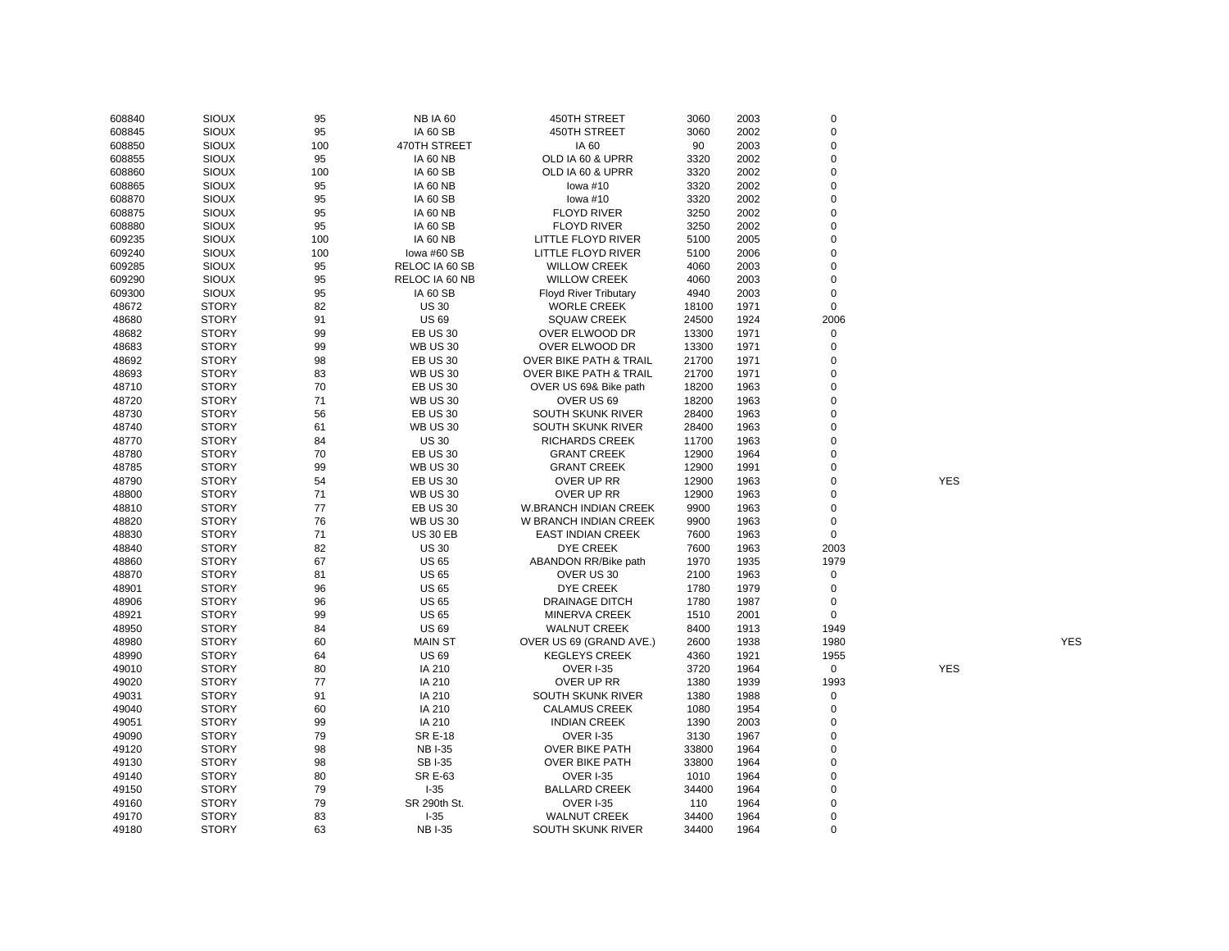| 608840 | <b>SIOUX</b> | 95  | <b>NB IA 60</b> | 450TH STREET                      | 3060  | 2003 | $\mathbf 0$ |            |            |
|--------|--------------|-----|-----------------|-----------------------------------|-------|------|-------------|------------|------------|
| 608845 | <b>SIOUX</b> | 95  | <b>IA 60 SB</b> | 450TH STREET                      | 3060  | 2002 | $\mathbf 0$ |            |            |
| 608850 | <b>SIOUX</b> | 100 | 470TH STREET    | IA 60                             | 90    | 2003 | $\mathbf 0$ |            |            |
| 608855 | <b>SIOUX</b> | 95  | <b>IA 60 NB</b> | OLD IA 60 & UPRR                  | 3320  | 2002 | $\mathbf 0$ |            |            |
| 608860 | <b>SIOUX</b> | 100 | <b>IA 60 SB</b> | OLD IA 60 & UPRR                  | 3320  | 2002 | $\mathbf 0$ |            |            |
| 608865 | SIOUX        | 95  | <b>IA 60 NB</b> | lowa $#10$                        | 3320  | 2002 | $\mathbf 0$ |            |            |
| 608870 | <b>SIOUX</b> | 95  | <b>IA 60 SB</b> | lowa #10                          | 3320  | 2002 | $\mathbf 0$ |            |            |
| 608875 | SIOUX        | 95  | <b>IA 60 NB</b> | <b>FLOYD RIVER</b>                | 3250  | 2002 | $\mathbf 0$ |            |            |
| 608880 | <b>SIOUX</b> | 95  | <b>IA 60 SB</b> | <b>FLOYD RIVER</b>                | 3250  | 2002 | $\mathbf 0$ |            |            |
| 609235 | SIOUX        | 100 | <b>IA 60 NB</b> | LITTLE FLOYD RIVER                | 5100  | 2005 | $\mathbf 0$ |            |            |
| 609240 | <b>SIOUX</b> | 100 | lowa #60 SB     | LITTLE FLOYD RIVER                | 5100  | 2006 | $\mathbf 0$ |            |            |
| 609285 | SIOUX        | 95  | RELOC IA 60 SB  | <b>WILLOW CREEK</b>               | 4060  | 2003 | $\mathbf 0$ |            |            |
| 609290 | <b>SIOUX</b> | 95  | RELOC IA 60 NB  | <b>WILLOW CREEK</b>               | 4060  | 2003 | $\mathbf 0$ |            |            |
| 609300 | <b>SIOUX</b> | 95  | <b>IA 60 SB</b> | <b>Floyd River Tributary</b>      | 4940  | 2003 | $\mathbf 0$ |            |            |
| 48672  | <b>STORY</b> | 82  | <b>US 30</b>    | <b>WORLE CREEK</b>                | 18100 | 1971 | $\mathbf 0$ |            |            |
| 48680  | <b>STORY</b> | 91  | <b>US69</b>     | <b>SQUAW CREEK</b>                | 24500 | 1924 | 2006        |            |            |
|        |              |     |                 |                                   |       |      |             |            |            |
| 48682  | <b>STORY</b> | 99  | <b>EB US 30</b> | OVER ELWOOD DR                    | 13300 | 1971 | $\mathbf 0$ |            |            |
| 48683  | <b>STORY</b> | 99  | <b>WB US 30</b> | OVER ELWOOD DR                    | 13300 | 1971 | $\mathbf 0$ |            |            |
| 48692  | <b>STORY</b> | 98  | <b>EB US 30</b> | OVER BIKE PATH & TRAIL            | 21700 | 1971 | $\mathbf 0$ |            |            |
| 48693  | <b>STORY</b> | 83  | <b>WB US 30</b> | <b>OVER BIKE PATH &amp; TRAIL</b> | 21700 | 1971 | $\mathbf 0$ |            |            |
| 48710  | <b>STORY</b> | 70  | <b>EB US 30</b> | OVER US 69& Bike path             | 18200 | 1963 | $\mathbf 0$ |            |            |
| 48720  | <b>STORY</b> | 71  | <b>WB US 30</b> | OVER US 69                        | 18200 | 1963 | $\mathbf 0$ |            |            |
| 48730  | <b>STORY</b> | 56  | <b>EB US 30</b> | SOUTH SKUNK RIVER                 | 28400 | 1963 | $\mathbf 0$ |            |            |
| 48740  | <b>STORY</b> | 61  | <b>WB US 30</b> | SOUTH SKUNK RIVER                 | 28400 | 1963 | $\mathbf 0$ |            |            |
| 48770  | <b>STORY</b> | 84  | <b>US 30</b>    | <b>RICHARDS CREEK</b>             | 11700 | 1963 | $\mathbf 0$ |            |            |
| 48780  | <b>STORY</b> | 70  | <b>EB US 30</b> | <b>GRANT CREEK</b>                | 12900 | 1964 | $\mathbf 0$ |            |            |
| 48785  | <b>STORY</b> | 99  | <b>WB US 30</b> | <b>GRANT CREEK</b>                | 12900 | 1991 | $\mathbf 0$ |            |            |
| 48790  | <b>STORY</b> | 54  | <b>EB US 30</b> | OVER UP RR                        | 12900 | 1963 | $\mathbf 0$ | <b>YES</b> |            |
| 48800  | <b>STORY</b> | 71  | <b>WB US 30</b> | OVER UP RR                        | 12900 | 1963 | $\mathbf 0$ |            |            |
| 48810  | <b>STORY</b> | 77  | <b>EB US 30</b> | <b>W.BRANCH INDIAN CREEK</b>      | 9900  | 1963 | $\mathbf 0$ |            |            |
| 48820  | <b>STORY</b> | 76  | <b>WB US 30</b> | W BRANCH INDIAN CREEK             | 9900  | 1963 | $\mathbf 0$ |            |            |
| 48830  | <b>STORY</b> | 71  | <b>US 30 EB</b> | <b>EAST INDIAN CREEK</b>          | 7600  | 1963 | $\mathbf 0$ |            |            |
| 48840  | <b>STORY</b> | 82  | <b>US 30</b>    | DYE CREEK                         | 7600  | 1963 | 2003        |            |            |
| 48860  | <b>STORY</b> | 67  | <b>US 65</b>    | ABANDON RR/Bike path              | 1970  | 1935 | 1979        |            |            |
| 48870  | <b>STORY</b> | 81  | <b>US 65</b>    | OVER US 30                        | 2100  | 1963 | $\mathbf 0$ |            |            |
| 48901  | <b>STORY</b> | 96  | <b>US 65</b>    | <b>DYE CREEK</b>                  | 1780  | 1979 | $\mathbf 0$ |            |            |
| 48906  | <b>STORY</b> | 96  | <b>US 65</b>    | <b>DRAINAGE DITCH</b>             | 1780  | 1987 | $\mathbf 0$ |            |            |
| 48921  | <b>STORY</b> | 99  | <b>US 65</b>    | <b>MINERVA CREEK</b>              | 1510  | 2001 | $\mathbf 0$ |            |            |
| 48950  | <b>STORY</b> | 84  | <b>US 69</b>    | <b>WALNUT CREEK</b>               | 8400  | 1913 | 1949        |            |            |
| 48980  | <b>STORY</b> | 60  | <b>MAIN ST</b>  | OVER US 69 (GRAND AVE.)           | 2600  | 1938 | 1980        |            | <b>YES</b> |
| 48990  | <b>STORY</b> | 64  | <b>US 69</b>    | <b>KEGLEYS CREEK</b>              | 4360  | 1921 | 1955        |            |            |
| 49010  | <b>STORY</b> | 80  | IA 210          | <b>OVER I-35</b>                  | 3720  | 1964 | $\mathbf 0$ | <b>YES</b> |            |
| 49020  | <b>STORY</b> | 77  | IA 210          | OVER UP RR                        | 1380  | 1939 | 1993        |            |            |
| 49031  | <b>STORY</b> | 91  | IA 210          | SOUTH SKUNK RIVER                 | 1380  | 1988 | $\mathbf 0$ |            |            |
| 49040  | <b>STORY</b> | 60  | IA 210          | <b>CALAMUS CREEK</b>              | 1080  | 1954 | $\mathbf 0$ |            |            |
| 49051  | <b>STORY</b> | 99  | IA 210          | <b>INDIAN CREEK</b>               | 1390  | 2003 | $\mathbf 0$ |            |            |
| 49090  | <b>STORY</b> | 79  | <b>SR E-18</b>  | <b>OVER I-35</b>                  | 3130  | 1967 | $\mathbf 0$ |            |            |
| 49120  | <b>STORY</b> | 98  | <b>NB I-35</b>  | <b>OVER BIKE PATH</b>             | 33800 | 1964 | $\mathbf 0$ |            |            |
| 49130  | <b>STORY</b> | 98  | <b>SBI-35</b>   | <b>OVER BIKE PATH</b>             | 33800 | 1964 | $\mathbf 0$ |            |            |
|        |              |     |                 |                                   |       |      |             |            |            |
| 49140  | <b>STORY</b> | 80  | <b>SR E-63</b>  | <b>OVER I-35</b>                  | 1010  | 1964 | $\mathbf 0$ |            |            |
| 49150  | <b>STORY</b> | 79  | $I-35$          | <b>BALLARD CREEK</b>              | 34400 | 1964 | $\mathbf 0$ |            |            |
| 49160  | <b>STORY</b> | 79  | SR 290th St.    | <b>OVER I-35</b>                  | 110   | 1964 | $\mathbf 0$ |            |            |
| 49170  | <b>STORY</b> | 83  | $I-35$          | <b>WALNUT CREEK</b>               | 34400 | 1964 | $\mathbf 0$ |            |            |
| 49180  | <b>STORY</b> | 63  | <b>NBI-35</b>   | SOUTH SKUNK RIVER                 | 34400 | 1964 | $\mathbf 0$ |            |            |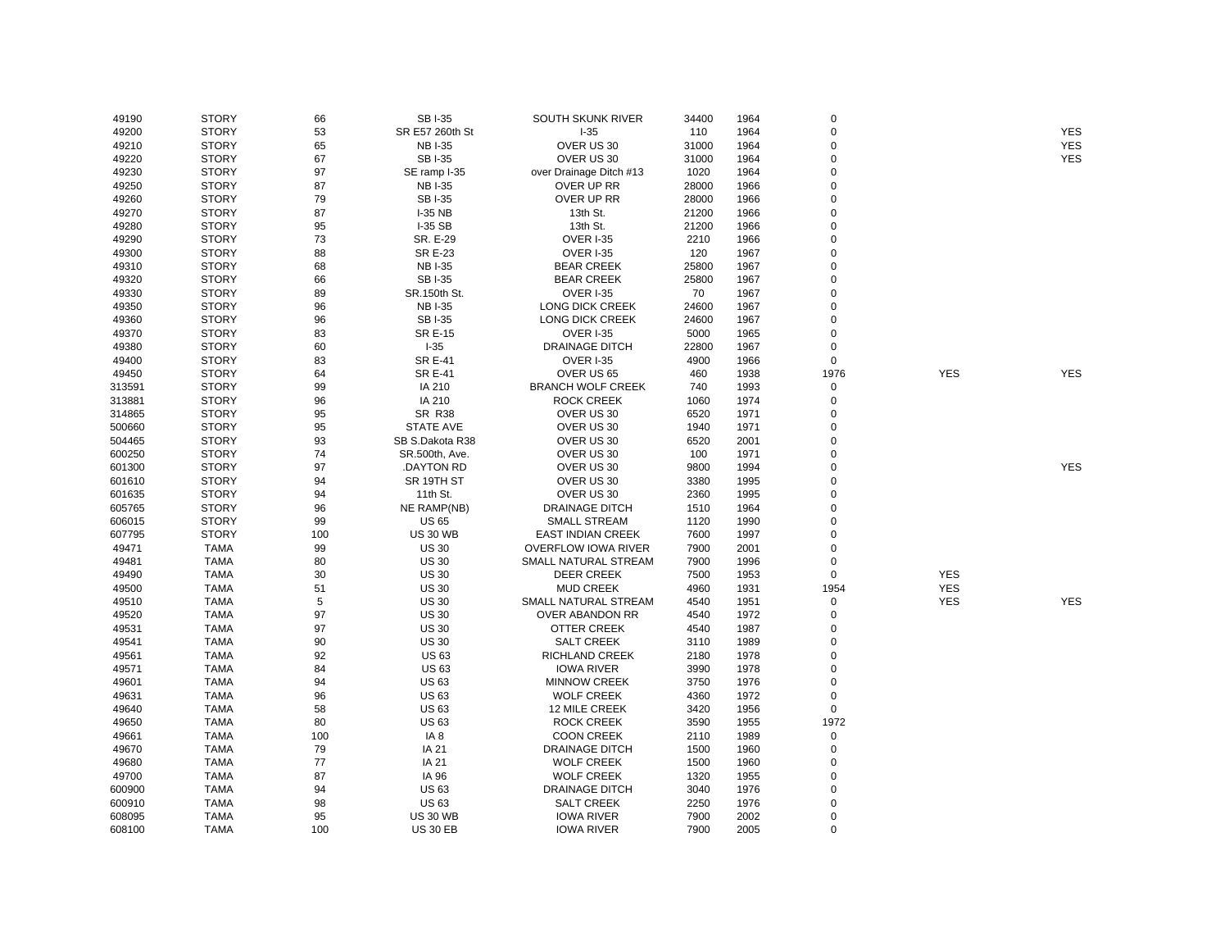| 49190  | <b>STORY</b> | 66  | <b>SBI-35</b>      | SOUTH SKUNK RIVER          | 34400 | 1964 | $\Omega$       |            |            |
|--------|--------------|-----|--------------------|----------------------------|-------|------|----------------|------------|------------|
| 49200  | <b>STORY</b> | 53  | SR E57 260th St    | $I-35$                     | 110   | 1964 | $\mathbf 0$    |            | <b>YES</b> |
| 49210  | <b>STORY</b> | 65  | <b>NB I-35</b>     | OVER US 30                 | 31000 | 1964 | $\overline{0}$ |            | <b>YES</b> |
| 49220  | <b>STORY</b> | 67  | <b>SBI-35</b>      | OVER US 30                 | 31000 | 1964 | $\mathbf 0$    |            | <b>YES</b> |
| 49230  | <b>STORY</b> | 97  | SE ramp I-35       | over Drainage Ditch #13    | 1020  | 1964 | $\Omega$       |            |            |
| 49250  | <b>STORY</b> | 87  | <b>NBI-35</b>      | OVER UP RR                 | 28000 | 1966 | $\Omega$       |            |            |
| 49260  | <b>STORY</b> | 79  | <b>SBI-35</b>      | OVER UP RR                 | 28000 | 1966 | $\mathbf 0$    |            |            |
| 49270  | <b>STORY</b> | 87  | <b>I-35 NB</b>     | 13th St.                   | 21200 | 1966 | $\Omega$       |            |            |
| 49280  | <b>STORY</b> | 95  | <b>I-35 SB</b>     | 13th St.                   | 21200 | 1966 | $\overline{0}$ |            |            |
| 49290  | <b>STORY</b> | 73  | SR. E-29           | OVER I-35                  | 2210  | 1966 | $\mathbf 0$    |            |            |
| 49300  | <b>STORY</b> | 88  | <b>SR E-23</b>     | <b>OVER I-35</b>           | 120   | 1967 | $\mathbf 0$    |            |            |
| 49310  | <b>STORY</b> | 68  | <b>NBI-35</b>      | <b>BEAR CREEK</b>          | 25800 | 1967 | $\Omega$       |            |            |
| 49320  | <b>STORY</b> | 66  | <b>SBI-35</b>      | <b>BEAR CREEK</b>          | 25800 | 1967 | $\Omega$       |            |            |
| 49330  | <b>STORY</b> | 89  | SR.150th St.       | <b>OVER I-35</b>           | 70    | 1967 | $\Omega$       |            |            |
| 49350  | <b>STORY</b> | 96  | <b>NB I-35</b>     | <b>LONG DICK CREEK</b>     | 24600 | 1967 | $\Omega$       |            |            |
| 49360  | <b>STORY</b> | 96  | <b>SBI-35</b>      | LONG DICK CREEK            | 24600 | 1967 | $\Omega$       |            |            |
| 49370  | <b>STORY</b> | 83  | <b>SR E-15</b>     | OVER I-35                  | 5000  | 1965 | $\mathbf 0$    |            |            |
| 49380  | <b>STORY</b> | 60  | $I-35$             | <b>DRAINAGE DITCH</b>      | 22800 | 1967 | $\Omega$       |            |            |
| 49400  | <b>STORY</b> | 83  | <b>SR E-41</b>     | <b>OVER I-35</b>           | 4900  | 1966 | $\mathbf 0$    |            |            |
| 49450  | <b>STORY</b> | 64  | <b>SR E-41</b>     | OVER US 65                 | 460   | 1938 | 1976           | <b>YES</b> | <b>YES</b> |
| 313591 | <b>STORY</b> | 99  | IA 210             | <b>BRANCH WOLF CREEK</b>   | 740   | 1993 | 0              |            |            |
| 313881 | <b>STORY</b> | 96  | IA 210             | <b>ROCK CREEK</b>          | 1060  | 1974 | $\overline{0}$ |            |            |
| 314865 | <b>STORY</b> | 95  | <b>SR R38</b>      | OVER US 30                 | 6520  | 1971 | $\mathbf 0$    |            |            |
| 500660 | <b>STORY</b> | 95  | <b>STATE AVE</b>   | OVER US 30                 | 1940  | 1971 | $\Omega$       |            |            |
| 504465 | <b>STORY</b> | 93  | SB S.Dakota R38    | OVER US 30                 | 6520  | 2001 | $\mathbf 0$    |            |            |
| 600250 | <b>STORY</b> | 74  | SR.500th, Ave.     | OVER US 30                 | 100   | 1971 | $\Omega$       |            |            |
| 601300 | <b>STORY</b> | 97  | <b>DAYTON RD</b>   | OVER US 30                 | 9800  | 1994 | $\Omega$       |            | <b>YES</b> |
|        | <b>STORY</b> | 94  | SR 19TH ST         | OVER US 30                 | 3380  | 1995 | $\Omega$       |            |            |
| 601610 |              |     |                    |                            |       |      | $\mathbf 0$    |            |            |
| 601635 | <b>STORY</b> | 94  | 11th St.           | OVER US 30                 | 2360  | 1995 | $\Omega$       |            |            |
| 605765 | <b>STORY</b> | 96  | <b>NE RAMP(NB)</b> | <b>DRAINAGE DITCH</b>      | 1510  | 1964 | $\Omega$       |            |            |
| 606015 | <b>STORY</b> | 99  | <b>US 65</b>       | <b>SMALL STREAM</b>        | 1120  | 1990 |                |            |            |
| 607795 | <b>STORY</b> | 100 | <b>US 30 WB</b>    | <b>EAST INDIAN CREEK</b>   | 7600  | 1997 | $\Omega$       |            |            |
| 49471  | <b>TAMA</b>  | 99  | <b>US 30</b>       | <b>OVERFLOW IOWA RIVER</b> | 7900  | 2001 | $\mathbf 0$    |            |            |
| 49481  | <b>TAMA</b>  | 80  | <b>US 30</b>       | SMALL NATURAL STREAM       | 7900  | 1996 | $\mathbf 0$    |            |            |
| 49490  | <b>TAMA</b>  | 30  | <b>US 30</b>       | <b>DEER CREEK</b>          | 7500  | 1953 | 0              | <b>YES</b> |            |
| 49500  | <b>TAMA</b>  | 51  | <b>US 30</b>       | <b>MUD CREEK</b>           | 4960  | 1931 | 1954           | <b>YES</b> |            |
| 49510  | <b>TAMA</b>  | 5   | <b>US30</b>        | SMALL NATURAL STREAM       | 4540  | 1951 | 0              | <b>YES</b> | <b>YES</b> |
| 49520  | <b>TAMA</b>  | 97  | <b>US 30</b>       | OVER ABANDON RR            | 4540  | 1972 | $\mathbf 0$    |            |            |
| 49531  | <b>TAMA</b>  | 97  | <b>US30</b>        | <b>OTTER CREEK</b>         | 4540  | 1987 | $\mathbf 0$    |            |            |
| 49541  | <b>TAMA</b>  | 90  | <b>US 30</b>       | <b>SALT CREEK</b>          | 3110  | 1989 | $\mathbf 0$    |            |            |
| 49561  | <b>TAMA</b>  | 92  | <b>US63</b>        | RICHLAND CREEK             | 2180  | 1978 | $\mathbf 0$    |            |            |
| 49571  | <b>TAMA</b>  | 84  | <b>US63</b>        | <b>IOWA RIVER</b>          | 3990  | 1978 | $\Omega$       |            |            |
| 49601  | <b>TAMA</b>  | 94  | <b>US63</b>        | <b>MINNOW CREEK</b>        | 3750  | 1976 | $\mathbf 0$    |            |            |
| 49631  | <b>TAMA</b>  | 96  | <b>US63</b>        | <b>WOLF CREEK</b>          | 4360  | 1972 | $\Omega$       |            |            |
| 49640  | <b>TAMA</b>  | 58  | <b>US63</b>        | 12 MILE CREEK              | 3420  | 1956 | 0              |            |            |
| 49650  | <b>TAMA</b>  | 80  | <b>US63</b>        | <b>ROCK CREEK</b>          | 3590  | 1955 | 1972           |            |            |
| 49661  | <b>TAMA</b>  | 100 | IA <sub>8</sub>    | <b>COON CREEK</b>          | 2110  | 1989 | 0              |            |            |
| 49670  | <b>TAMA</b>  | 79  | IA 21              | <b>DRAINAGE DITCH</b>      | 1500  | 1960 | $\Omega$       |            |            |
| 49680  | <b>TAMA</b>  | 77  | IA 21              | <b>WOLF CREEK</b>          | 1500  | 1960 | $\Omega$       |            |            |
| 49700  | <b>TAMA</b>  | 87  | IA 96              | <b>WOLF CREEK</b>          | 1320  | 1955 | $\Omega$       |            |            |
| 600900 | <b>TAMA</b>  | 94  | <b>US63</b>        | <b>DRAINAGE DITCH</b>      | 3040  | 1976 | $\Omega$       |            |            |
| 600910 | <b>TAMA</b>  | 98  | <b>US63</b>        | <b>SALT CREEK</b>          | 2250  | 1976 | $\mathbf 0$    |            |            |
| 608095 | <b>TAMA</b>  | 95  | <b>US 30 WB</b>    | <b>IOWA RIVER</b>          | 7900  | 2002 | $\Omega$       |            |            |
| 608100 | <b>TAMA</b>  | 100 | <b>US 30 EB</b>    | <b>IOWA RIVER</b>          | 7900  | 2005 | $\Omega$       |            |            |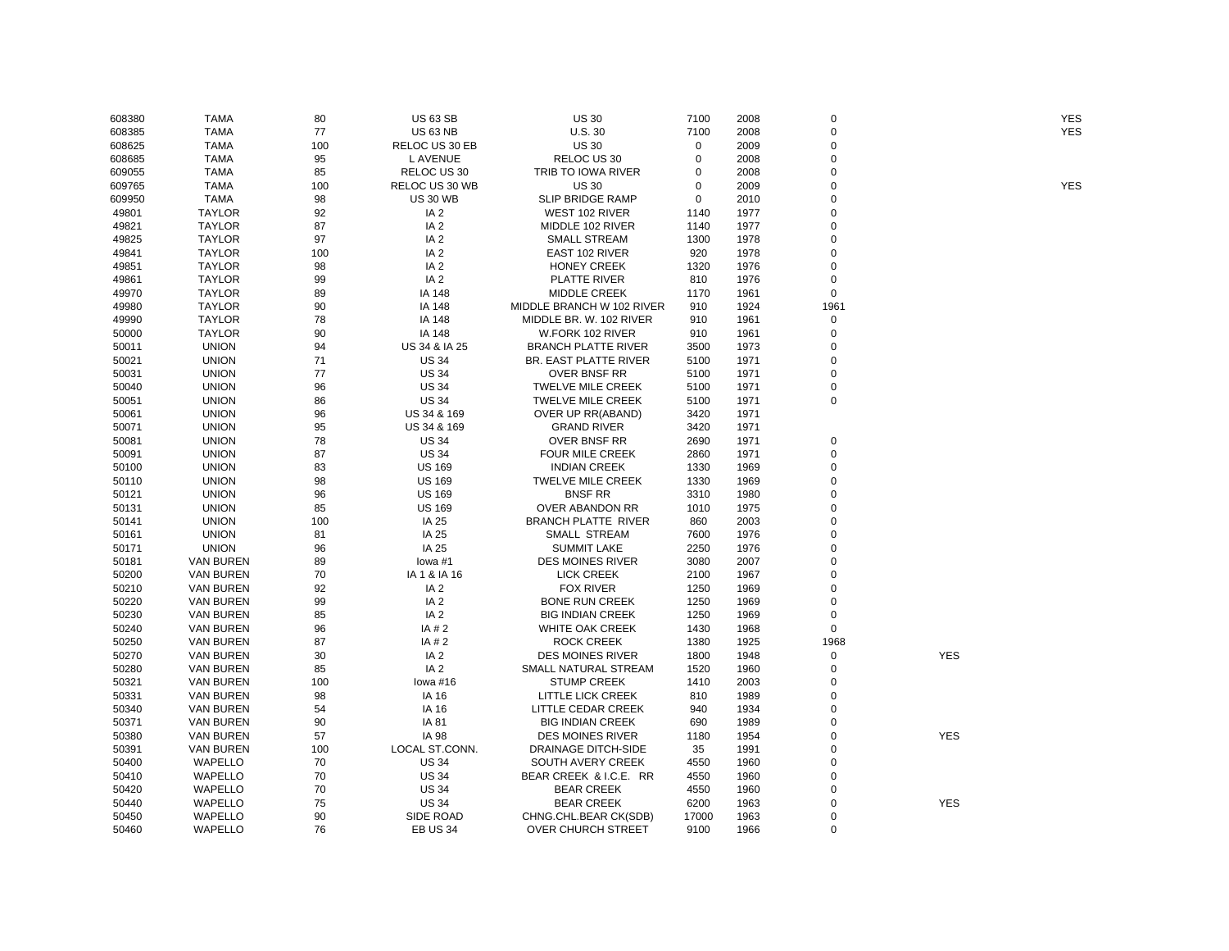| 608380 | <b>TAMA</b>      | 80  | <b>US 63 SB</b> | <b>US 30</b>               | 7100        | 2008 | $\mathbf 0$ |            | YES        |
|--------|------------------|-----|-----------------|----------------------------|-------------|------|-------------|------------|------------|
| 608385 | <b>TAMA</b>      | 77  | <b>US 63 NB</b> | U.S. 30                    | 7100        | 2008 | $\Omega$    |            | <b>YES</b> |
| 608625 | <b>TAMA</b>      | 100 | RELOC US 30 EB  | <b>US 30</b>               | 0           | 2009 | $\mathbf 0$ |            |            |
| 608685 | <b>TAMA</b>      | 95  | L AVENUE        | RELOC US 30                | 0           | 2008 | $\mathbf 0$ |            |            |
| 609055 | <b>TAMA</b>      | 85  | RELOC US 30     | TRIB TO IOWA RIVER         | 0           | 2008 | 0           |            |            |
| 609765 | TAMA             | 100 | RELOC US 30 WB  | <b>US 30</b>               | $\mathbf 0$ | 2009 | $\Omega$    |            | <b>YES</b> |
| 609950 | <b>TAMA</b>      | 98  | <b>US 30 WB</b> | <b>SLIP BRIDGE RAMP</b>    | $\mathbf 0$ | 2010 | $\Omega$    |            |            |
| 49801  | <b>TAYLOR</b>    | 92  | IA <sub>2</sub> | WEST 102 RIVER             | 1140        | 1977 | $\mathbf 0$ |            |            |
| 49821  | <b>TAYLOR</b>    | 87  | IA <sub>2</sub> | MIDDLE 102 RIVER           | 1140        | 1977 | $\Omega$    |            |            |
| 49825  | <b>TAYLOR</b>    | 97  | IA <sub>2</sub> | <b>SMALL STREAM</b>        | 1300        | 1978 | $\Omega$    |            |            |
| 49841  | <b>TAYLOR</b>    | 100 | IA <sub>2</sub> | EAST 102 RIVER             | 920         | 1978 | $\mathbf 0$ |            |            |
| 49851  | <b>TAYLOR</b>    | 98  | IA <sub>2</sub> | <b>HONEY CREEK</b>         | 1320        | 1976 | $\Omega$    |            |            |
| 49861  | <b>TAYLOR</b>    | 99  | IA <sub>2</sub> | <b>PLATTE RIVER</b>        | 810         | 1976 | $\mathbf 0$ |            |            |
| 49970  | <b>TAYLOR</b>    | 89  | IA 148          | <b>MIDDLE CREEK</b>        | 1170        | 1961 | $\mathbf 0$ |            |            |
| 49980  | <b>TAYLOR</b>    | 90  | IA 148          | MIDDLE BRANCH W 102 RIVER  | 910         | 1924 | 1961        |            |            |
| 49990  | <b>TAYLOR</b>    | 78  | IA 148          | MIDDLE BR. W. 102 RIVER    | 910         | 1961 | 0           |            |            |
| 50000  | <b>TAYLOR</b>    | 90  | IA 148          | W.FORK 102 RIVER           | 910         | 1961 | $\mathbf 0$ |            |            |
|        |                  | 94  | US 34 & IA 25   |                            |             |      | 0           |            |            |
| 50011  | <b>UNION</b>     |     |                 | <b>BRANCH PLATTE RIVER</b> | 3500        | 1973 | $\Omega$    |            |            |
| 50021  | <b>UNION</b>     | 71  | <b>US 34</b>    | BR. EAST PLATTE RIVER      | 5100        | 1971 |             |            |            |
| 50031  | <b>UNION</b>     | 77  | <b>US 34</b>    | <b>OVER BNSF RR</b>        | 5100        | 1971 | $\Omega$    |            |            |
| 50040  | <b>UNION</b>     | 96  | <b>US 34</b>    | <b>TWELVE MILE CREEK</b>   | 5100        | 1971 | 0           |            |            |
| 50051  | <b>UNION</b>     | 86  | <b>US 34</b>    | <b>TWELVE MILE CREEK</b>   | 5100        | 1971 | $\mathbf 0$ |            |            |
| 50061  | <b>UNION</b>     | 96  | US 34 & 169     | OVER UP RR(ABAND)          | 3420        | 1971 |             |            |            |
| 50071  | <b>UNION</b>     | 95  | US 34 & 169     | <b>GRAND RIVER</b>         | 3420        | 1971 |             |            |            |
| 50081  | <b>UNION</b>     | 78  | <b>US 34</b>    | OVER BNSF RR               | 2690        | 1971 | 0           |            |            |
| 50091  | <b>UNION</b>     | 87  | <b>US 34</b>    | <b>FOUR MILE CREEK</b>     | 2860        | 1971 | $\Omega$    |            |            |
| 50100  | <b>UNION</b>     | 83  | <b>US 169</b>   | <b>INDIAN CREEK</b>        | 1330        | 1969 | $\Omega$    |            |            |
| 50110  | <b>UNION</b>     | 98  | <b>US 169</b>   | <b>TWELVE MILE CREEK</b>   | 1330        | 1969 | $\Omega$    |            |            |
| 50121  | <b>UNION</b>     | 96  | <b>US 169</b>   | <b>BNSF RR</b>             | 3310        | 1980 | $\Omega$    |            |            |
| 50131  | <b>UNION</b>     | 85  | <b>US 169</b>   | OVER ABANDON RR            | 1010        | 1975 | $\mathbf 0$ |            |            |
| 50141  | <b>UNION</b>     | 100 | IA 25           | <b>BRANCH PLATTE RIVER</b> | 860         | 2003 | $\mathbf 0$ |            |            |
| 50161  | <b>UNION</b>     | 81  | IA 25           | <b>SMALL STREAM</b>        | 7600        | 1976 | $\Omega$    |            |            |
| 50171  | <b>UNION</b>     | 96  | IA 25           | <b>SUMMIT LAKE</b>         | 2250        | 1976 | $\Omega$    |            |            |
| 50181  | <b>VAN BUREN</b> | 89  | lowa #1         | <b>DES MOINES RIVER</b>    | 3080        | 2007 | $\Omega$    |            |            |
| 50200  | <b>VAN BUREN</b> | 70  | IA 1 & IA 16    | <b>LICK CREEK</b>          | 2100        | 1967 | $\Omega$    |            |            |
| 50210  | <b>VAN BUREN</b> | 92  | IA <sub>2</sub> | <b>FOX RIVER</b>           | 1250        | 1969 | $\mathbf 0$ |            |            |
| 50220  | <b>VAN BUREN</b> | 99  | IA <sub>2</sub> | <b>BONE RUN CREEK</b>      | 1250        | 1969 | $\Omega$    |            |            |
| 50230  | <b>VAN BUREN</b> | 85  | IA <sub>2</sub> | <b>BIG INDIAN CREEK</b>    | 1250        | 1969 | 0           |            |            |
| 50240  | <b>VAN BUREN</b> | 96  | IA #2           | <b>WHITE OAK CREEK</b>     | 1430        | 1968 | $\mathbf 0$ |            |            |
| 50250  | <b>VAN BUREN</b> | 87  | IA # 2          | <b>ROCK CREEK</b>          | 1380        | 1925 | 1968        |            |            |
| 50270  | <b>VAN BUREN</b> | 30  | IA <sub>2</sub> | <b>DES MOINES RIVER</b>    | 1800        | 1948 | 0           | <b>YES</b> |            |
| 50280  | <b>VAN BUREN</b> | 85  | IA <sub>2</sub> | SMALL NATURAL STREAM       | 1520        | 1960 | $\mathbf 0$ |            |            |
| 50321  | <b>VAN BUREN</b> | 100 | lowa #16        | <b>STUMP CREEK</b>         | 1410        | 2003 | $\mathbf 0$ |            |            |
| 50331  | <b>VAN BUREN</b> | 98  | IA 16           | <b>LITTLE LICK CREEK</b>   | 810         | 1989 | $\mathbf 0$ |            |            |
| 50340  | <b>VAN BUREN</b> | 54  | IA 16           | LITTLE CEDAR CREEK         | 940         | 1934 | $\Omega$    |            |            |
| 50371  | <b>VAN BUREN</b> | 90  | IA 81           | <b>BIG INDIAN CREEK</b>    | 690         | 1989 | $\Omega$    |            |            |
| 50380  | <b>VAN BUREN</b> | 57  | IA 98           | <b>DES MOINES RIVER</b>    | 1180        | 1954 | $\Omega$    | <b>YES</b> |            |
| 50391  | <b>VAN BUREN</b> | 100 | LOCAL ST.CONN.  | DRAINAGE DITCH-SIDE        | 35          | 1991 | $\Omega$    |            |            |
| 50400  | WAPELLO          | 70  | <b>US 34</b>    | SOUTH AVERY CREEK          | 4550        | 1960 | $\mathbf 0$ |            |            |
|        |                  |     |                 |                            |             |      | $\Omega$    |            |            |
| 50410  | WAPELLO          | 70  | <b>US 34</b>    | BEAR CREEK & I.C.E. RR     | 4550        | 1960 |             |            |            |
| 50420  | WAPELLO          | 70  | <b>US 34</b>    | <b>BEAR CREEK</b>          | 4550        | 1960 | $\mathbf 0$ |            |            |
| 50440  | WAPELLO          | 75  | <b>US 34</b>    | <b>BEAR CREEK</b>          | 6200        | 1963 | $\Omega$    | <b>YES</b> |            |
| 50450  | WAPELLO          | 90  | SIDE ROAD       | CHNG.CHL.BEAR CK(SDB)      | 17000       | 1963 | $\Omega$    |            |            |
| 50460  | WAPELLO          | 76  | <b>EB US 34</b> | <b>OVER CHURCH STREET</b>  | 9100        | 1966 | $\Omega$    |            |            |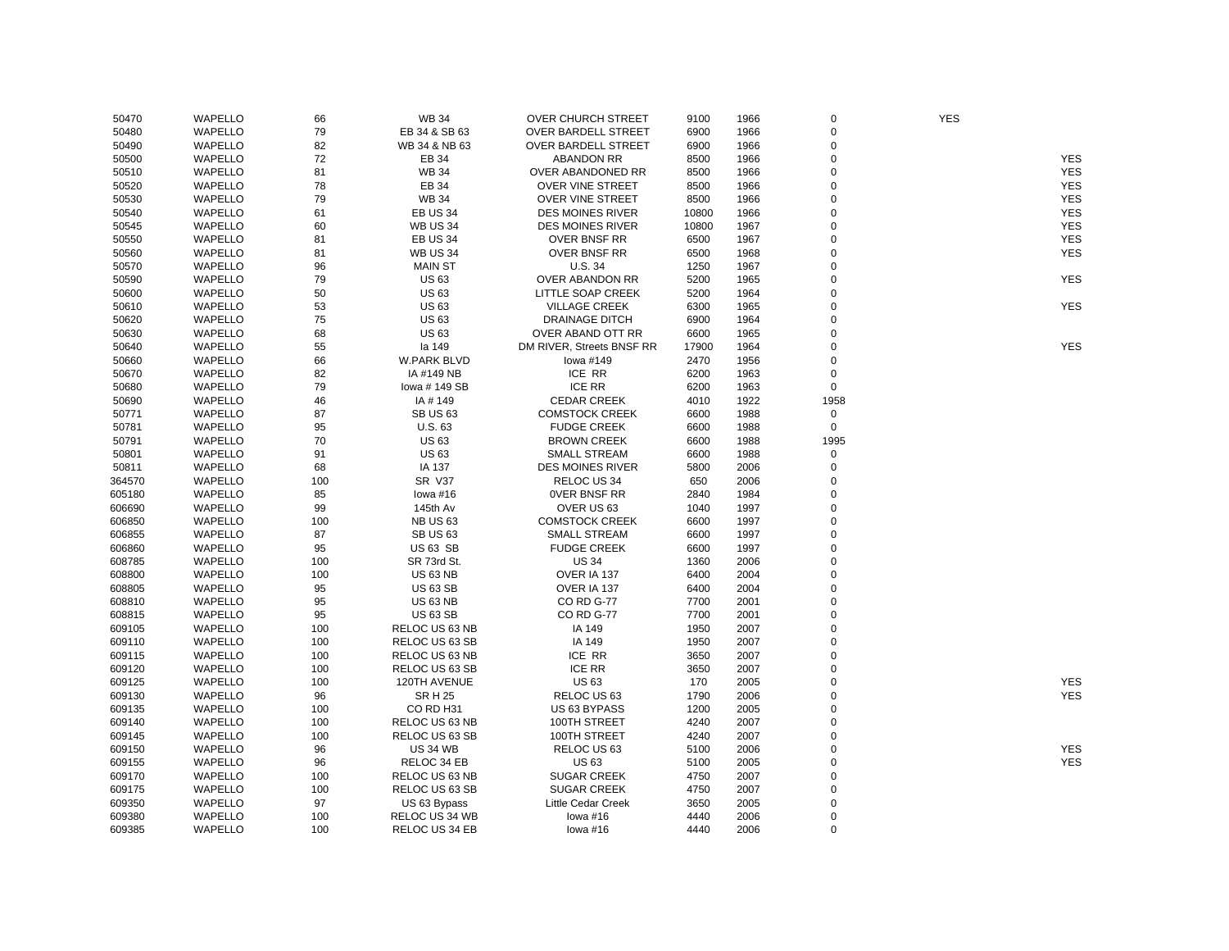| 50470  | WAPELLO        | 66  | <b>WB 34</b>          | <b>OVER CHURCH STREET</b>  | 9100  | 1966 | $\mathbf 0$    | <b>YES</b> |            |
|--------|----------------|-----|-----------------------|----------------------------|-------|------|----------------|------------|------------|
| 50480  | WAPELLO        | 79  | EB 34 & SB 63         | <b>OVER BARDELL STREET</b> | 6900  | 1966 | $\mathbf 0$    |            |            |
| 50490  | <b>WAPELLO</b> | 82  | WB 34 & NB 63         | <b>OVER BARDELL STREET</b> | 6900  | 1966 | $\Omega$       |            |            |
| 50500  | WAPELLO        | 72  | EB 34                 | <b>ABANDON RR</b>          | 8500  | 1966 | $\overline{0}$ |            | <b>YES</b> |
| 50510  | WAPELLO        | 81  | <b>WB 34</b>          | OVER ABANDONED RR          | 8500  | 1966 | $\mathbf 0$    |            | <b>YES</b> |
| 50520  | WAPELLO        | 78  | EB 34                 | <b>OVER VINE STREET</b>    | 8500  | 1966 | $\mathbf 0$    |            | <b>YES</b> |
| 50530  | WAPELLO        | 79  | <b>WB 34</b>          | <b>OVER VINE STREET</b>    | 8500  | 1966 | $\mathbf 0$    |            | <b>YES</b> |
| 50540  | WAPELLO        | 61  | EB US 34              | <b>DES MOINES RIVER</b>    | 10800 | 1966 | $\Omega$       |            | <b>YES</b> |
| 50545  | WAPELLO        | 60  | <b>WB US 34</b>       | <b>DES MOINES RIVER</b>    | 10800 | 1967 | $\Omega$       |            | <b>YES</b> |
| 50550  | WAPELLO        | 81  | <b>EB US 34</b>       | <b>OVER BNSF RR</b>        | 6500  | 1967 | $\mathbf 0$    |            | <b>YES</b> |
| 50560  | WAPELLO        | 81  | <b>WB US 34</b>       | <b>OVER BNSF RR</b>        | 6500  | 1968 | $\Omega$       |            | <b>YES</b> |
| 50570  | <b>WAPELLO</b> | 96  | <b>MAIN ST</b>        | U.S.34                     | 1250  | 1967 | $\overline{0}$ |            |            |
| 50590  | WAPELLO        | 79  | <b>US63</b>           | <b>OVER ABANDON RR</b>     | 5200  | 1965 | $\mathbf 0$    |            | <b>YES</b> |
| 50600  | WAPELLO        | 50  | <b>US63</b>           | LITTLE SOAP CREEK          | 5200  | 1964 | $\mathbf 0$    |            |            |
| 50610  | WAPELLO        | 53  | <b>US63</b>           | <b>VILLAGE CREEK</b>       | 6300  | 1965 | $\mathbf 0$    |            | <b>YES</b> |
| 50620  | WAPELLO        | 75  | <b>US63</b>           | <b>DRAINAGE DITCH</b>      | 6900  | 1964 | $\Omega$       |            |            |
|        | WAPELLO        | 68  | <b>US63</b>           |                            | 6600  |      | $\Omega$       |            |            |
| 50630  |                |     |                       | OVER ABAND OTT RR          |       | 1965 | $\mathbf 0$    |            | <b>YES</b> |
| 50640  | WAPELLO        | 55  | la 149                | DM RIVER, Streets BNSF RR  | 17900 | 1964 | $\Omega$       |            |            |
| 50660  | WAPELLO        | 66  | <b>W.PARK BLVD</b>    | lowa #149                  | 2470  | 1956 |                |            |            |
| 50670  | WAPELLO        | 82  | IA #149 NB            | ICE RR                     | 6200  | 1963 | $\mathbf 0$    |            |            |
| 50680  | <b>WAPELLO</b> | 79  | lowa #149 SB          | <b>ICE RR</b>              | 6200  | 1963 | $\mathbf 0$    |            |            |
| 50690  | WAPELLO        | 46  | IA #149               | <b>CEDAR CREEK</b>         | 4010  | 1922 | 1958           |            |            |
| 50771  | WAPELLO        | 87  | SB US 63              | <b>COMSTOCK CREEK</b>      | 6600  | 1988 | $\pmb{0}$      |            |            |
| 50781  | WAPELLO        | 95  | U.S. 63               | <b>FUDGE CREEK</b>         | 6600  | 1988 | $\mathsf 0$    |            |            |
| 50791  | WAPELLO        | 70  | <b>US63</b>           | <b>BROWN CREEK</b>         | 6600  | 1988 | 1995           |            |            |
| 50801  | WAPELLO        | 91  | <b>US63</b>           | <b>SMALL STREAM</b>        | 6600  | 1988 | $\Omega$       |            |            |
| 50811  | WAPELLO        | 68  | IA 137                | <b>DES MOINES RIVER</b>    | 5800  | 2006 | $\mathbf 0$    |            |            |
| 364570 | WAPELLO        | 100 | <b>SR V37</b>         | RELOC US 34                | 650   | 2006 | $\mathbf 0$    |            |            |
| 605180 | WAPELLO        | 85  | lowa $#16$            | <b>OVER BNSF RR</b>        | 2840  | 1984 | $\Omega$       |            |            |
| 606690 | <b>WAPELLO</b> | 99  | 145th Av              | OVER US 63                 | 1040  | 1997 | $\overline{0}$ |            |            |
| 606850 | WAPELLO        | 100 | <b>NB US 63</b>       | <b>COMSTOCK CREEK</b>      | 6600  | 1997 | $\mathbf 0$    |            |            |
| 606855 | WAPELLO        | 87  | <b>SB US 63</b>       | <b>SMALL STREAM</b>        | 6600  | 1997 | $\overline{0}$ |            |            |
| 606860 | WAPELLO        | 95  | <b>US 63 SB</b>       | <b>FUDGE CREEK</b>         | 6600  | 1997 | $\mathbf 0$    |            |            |
| 608785 | WAPELLO        | 100 | SR 73rd St.           | <b>US 34</b>               | 1360  | 2006 | $\mathbf 0$    |            |            |
| 608800 | WAPELLO        | 100 | <b>US 63 NB</b>       | OVER IA 137                | 6400  | 2004 | $\Omega$       |            |            |
| 608805 | WAPELLO        | 95  | <b>US 63 SB</b>       | OVER IA 137                | 6400  | 2004 | $\mathbf 0$    |            |            |
| 608810 | WAPELLO        | 95  | <b>US 63 NB</b>       | CO RD G-77                 | 7700  | 2001 | $\Omega$       |            |            |
| 608815 | <b>WAPELLO</b> | 95  | <b>US 63 SB</b>       | <b>CO RD G-77</b>          | 7700  | 2001 | $\overline{0}$ |            |            |
| 609105 | WAPELLO        | 100 | RELOC US 63 NB        | IA 149                     | 1950  | 2007 | $\mathbf 0$    |            |            |
| 609110 | WAPELLO        | 100 | RELOC US 63 SB        | IA 149                     | 1950  | 2007 | $\mathbf 0$    |            |            |
| 609115 | WAPELLO        | 100 | RELOC US 63 NB        | ICE RR                     | 3650  | 2007 | $\mathbf 0$    |            |            |
| 609120 | WAPELLO        | 100 | RELOC US 63 SB        | <b>ICE RR</b>              | 3650  | 2007 | $\Omega$       |            |            |
| 609125 | WAPELLO        | 100 | 120TH AVENUE          | <b>US63</b>                | 170   | 2005 | $\Omega$       |            | <b>YES</b> |
| 609130 | WAPELLO        | 96  | <b>SR H 25</b>        | RELOC US 63                | 1790  | 2006 | $\mathbf 0$    |            | <b>YES</b> |
| 609135 | WAPELLO        | 100 | CO RD H31             | US 63 BYPASS               | 1200  | 2005 | $\Omega$       |            |            |
| 609140 | WAPELLO        | 100 | RELOC US 63 NB        | 100TH STREET               | 4240  | 2007 | $\Omega$       |            |            |
| 609145 | WAPELLO        | 100 | RELOC US 63 SB        | 100TH STREET               | 4240  | 2007 | $\Omega$       |            |            |
| 609150 | WAPELLO        | 96  | <b>US 34 WB</b>       | RELOC US 63                | 5100  | 2006 | $\mathbf 0$    |            | <b>YES</b> |
| 609155 | WAPELLO        | 96  | RELOC 34 EB           | <b>US63</b>                | 5100  | 2005 | $\overline{0}$ |            | <b>YES</b> |
| 609170 | WAPELLO        | 100 | RELOC US 63 NB        | <b>SUGAR CREEK</b>         | 4750  | 2007 | $\mathbf 0$    |            |            |
| 609175 | WAPELLO        | 100 | RELOC US 63 SB        | <b>SUGAR CREEK</b>         | 4750  | 2007 | $\mathbf 0$    |            |            |
| 609350 | WAPELLO        | 97  | US 63 Bypass          | Little Cedar Creek         | 3650  | 2005 | $\Omega$       |            |            |
| 609380 | WAPELLO        | 100 | RELOC US 34 WB        | lowa #16                   | 4440  | 2006 | $\Omega$       |            |            |
| 609385 | WAPELLO        | 100 | <b>RELOC US 34 EB</b> | lowa $#16$                 | 4440  | 2006 | $\Omega$       |            |            |
|        |                |     |                       |                            |       |      |                |            |            |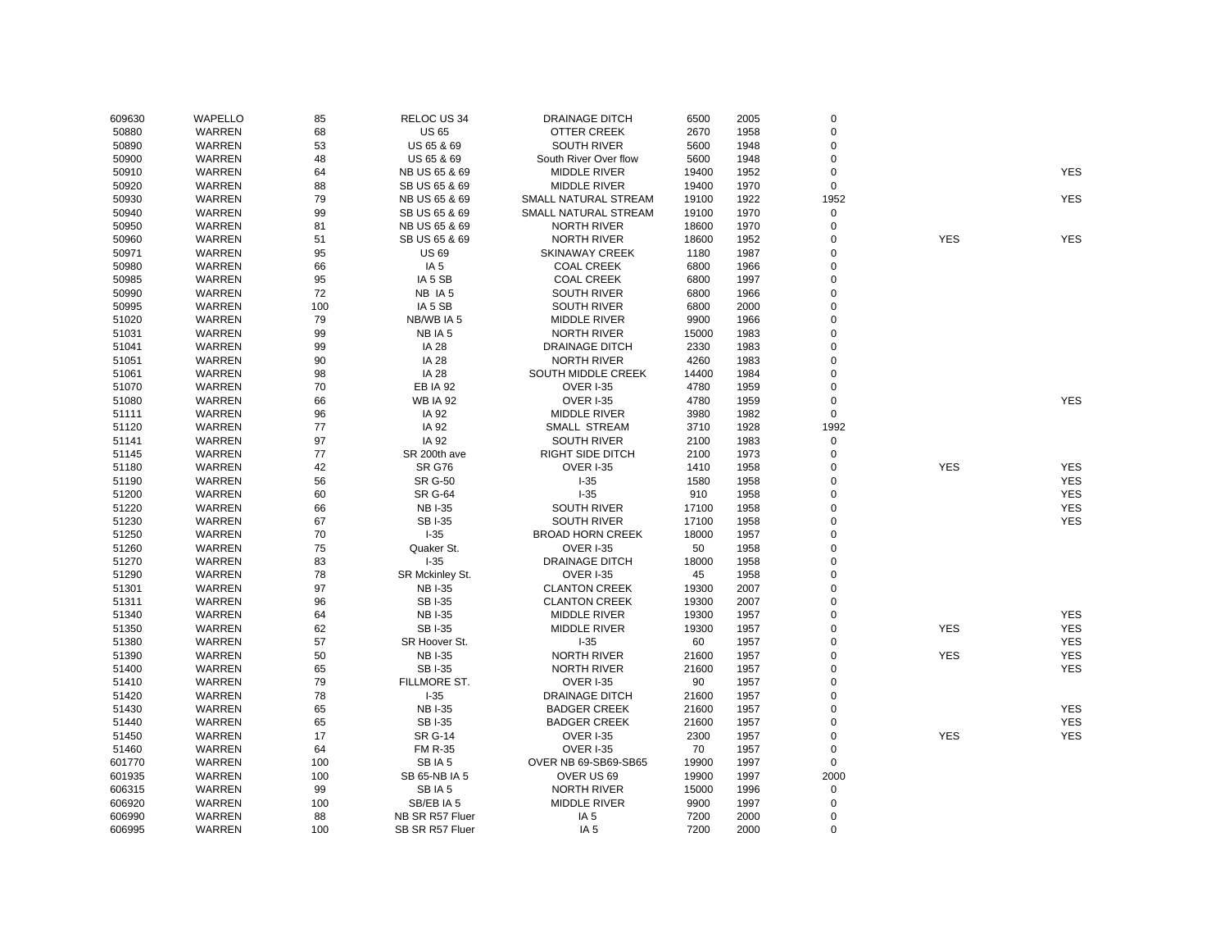| 609630 | <b>WAPELLO</b> | 85  | RELOC US 34     | <b>DRAINAGE DITCH</b>   | 6500  | 2005 | $\mathsf 0$ |            |            |
|--------|----------------|-----|-----------------|-------------------------|-------|------|-------------|------------|------------|
| 50880  | WARREN         | 68  | <b>US 65</b>    | OTTER CREEK             | 2670  | 1958 | 0           |            |            |
| 50890  | WARREN         | 53  | US 65 & 69      | <b>SOUTH RIVER</b>      | 5600  | 1948 | 0           |            |            |
| 50900  | <b>WARREN</b>  | 48  | US 65 & 69      | South River Over flow   | 5600  | 1948 | 0           |            |            |
| 50910  | <b>WARREN</b>  | 64  | NB US 65 & 69   | <b>MIDDLE RIVER</b>     | 19400 | 1952 | 0           |            | <b>YES</b> |
| 50920  | WARREN         | 88  | SB US 65 & 69   | <b>MIDDLE RIVER</b>     | 19400 | 1970 | $\mathbf 0$ |            |            |
| 50930  | <b>WARREN</b>  | 79  | NB US 65 & 69   | SMALL NATURAL STREAM    | 19100 | 1922 | 1952        |            | <b>YES</b> |
| 50940  | WARREN         | 99  | SB US 65 & 69   | SMALL NATURAL STREAM    | 19100 | 1970 | $\pmb{0}$   |            |            |
| 50950  | WARREN         | 81  | NB US 65 & 69   | <b>NORTH RIVER</b>      | 18600 | 1970 | 0           |            |            |
| 50960  | WARREN         | 51  | SB US 65 & 69   | <b>NORTH RIVER</b>      | 18600 | 1952 | 0           | <b>YES</b> | <b>YES</b> |
| 50971  | WARREN         | 95  | <b>US 69</b>    | <b>SKINAWAY CREEK</b>   | 1180  | 1987 | $\Omega$    |            |            |
| 50980  | WARREN         | 66  | IA <sub>5</sub> | <b>COAL CREEK</b>       | 6800  | 1966 | $\Omega$    |            |            |
| 50985  | WARREN         | 95  | IA 5 SB         | <b>COAL CREEK</b>       | 6800  | 1997 | $\mathbf 0$ |            |            |
| 50990  | WARREN         | 72  | NB IA 5         | <b>SOUTH RIVER</b>      | 6800  | 1966 | 0           |            |            |
| 50995  | WARREN         | 100 | IA 5 SB         | <b>SOUTH RIVER</b>      | 6800  | 2000 | 0           |            |            |
| 51020  | WARREN         | 79  | NB/WB IA 5      | <b>MIDDLE RIVER</b>     | 9900  | 1966 | $\Omega$    |            |            |
| 51031  | WARREN         | 99  | NB IA 5         | <b>NORTH RIVER</b>      | 15000 | 1983 | 0           |            |            |
| 51041  | WARREN         | 99  | <b>IA 28</b>    | <b>DRAINAGE DITCH</b>   | 2330  | 1983 | 0           |            |            |
| 51051  | WARREN         | 90  | <b>IA 28</b>    | <b>NORTH RIVER</b>      | 4260  | 1983 | 0           |            |            |
| 51061  | WARREN         | 98  | IA 28           | SOUTH MIDDLE CREEK      | 14400 | 1984 | 0           |            |            |
| 51070  | WARREN         | 70  | <b>EB IA 92</b> | <b>OVER I-35</b>        | 4780  | 1959 | $\Omega$    |            |            |
| 51080  | WARREN         | 66  | <b>WB IA 92</b> | <b>OVER I-35</b>        | 4780  | 1959 | 0           |            | <b>YES</b> |
| 51111  | WARREN         | 96  | IA 92           | <b>MIDDLE RIVER</b>     | 3980  | 1982 | $\mathbf 0$ |            |            |
| 51120  | WARREN         | 77  | IA 92           | SMALL STREAM            | 3710  | 1928 | 1992        |            |            |
| 51141  | <b>WARREN</b>  | 97  | IA 92           | <b>SOUTH RIVER</b>      | 2100  | 1983 | 0           |            |            |
| 51145  | <b>WARREN</b>  | 77  | SR 200th ave    | RIGHT SIDE DITCH        | 2100  | 1973 | 0           |            |            |
| 51180  | WARREN         | 42  | <b>SR G76</b>   | OVER I-35               | 1410  | 1958 | 0           | <b>YES</b> | <b>YES</b> |
| 51190  | WARREN         | 56  | <b>SR G-50</b>  | $I-35$                  | 1580  | 1958 | 0           |            | <b>YES</b> |
| 51200  | WARREN         | 60  | <b>SR G-64</b>  | $-35$                   | 910   | 1958 | 0           |            | <b>YES</b> |
| 51220  | WARREN         | 66  | <b>NBI-35</b>   | <b>SOUTH RIVER</b>      | 17100 | 1958 | 0           |            | <b>YES</b> |
| 51230  | WARREN         | 67  | <b>SBI-35</b>   | <b>SOUTH RIVER</b>      | 17100 | 1958 | 0           |            | <b>YES</b> |
| 51250  | WARREN         | 70  | $I-35$          | <b>BROAD HORN CREEK</b> | 18000 | 1957 | $\Omega$    |            |            |
| 51260  | WARREN         | 75  | Quaker St.      | <b>OVER I-35</b>        | 50    | 1958 | 0           |            |            |
| 51270  | WARREN         | 83  | $I-35$          | <b>DRAINAGE DITCH</b>   | 18000 | 1958 | $\mathbf 0$ |            |            |
| 51290  | <b>WARREN</b>  | 78  | SR Mckinley St. | OVER I-35               | 45    | 1958 | 0           |            |            |
| 51301  | WARREN         | 97  | <b>NBI-35</b>   | <b>CLANTON CREEK</b>    | 19300 | 2007 | 0           |            |            |
| 51311  | <b>WARREN</b>  | 96  | <b>SBI-35</b>   | <b>CLANTON CREEK</b>    | 19300 | 2007 | 0           |            |            |
| 51340  | WARREN         | 64  | <b>NBI-35</b>   | <b>MIDDLE RIVER</b>     | 19300 | 1957 | 0           |            | <b>YES</b> |
| 51350  | WARREN         | 62  | <b>SBI-35</b>   | MIDDLE RIVER            | 19300 | 1957 | 0           | <b>YES</b> | <b>YES</b> |
| 51380  | WARREN         | 57  | SR Hoover St.   | $-35$                   | 60    | 1957 | 0           |            | <b>YES</b> |
| 51390  | <b>WARREN</b>  | 50  | <b>NBI-35</b>   | <b>NORTH RIVER</b>      | 21600 | 1957 | $\Omega$    | <b>YES</b> | <b>YES</b> |
| 51400  | WARREN         | 65  | <b>SBI-35</b>   | <b>NORTH RIVER</b>      | 21600 | 1957 | $\Omega$    |            | <b>YES</b> |
| 51410  | WARREN         | 79  | FILLMORE ST.    | <b>OVER I-35</b>        | 90    | 1957 | $\mathbf 0$ |            |            |
| 51420  | WARREN         | 78  | $I-35$          | <b>DRAINAGE DITCH</b>   | 21600 | 1957 | 0           |            |            |
| 51430  | WARREN         | 65  | <b>NBI-35</b>   | <b>BADGER CREEK</b>     | 21600 | 1957 | $\Omega$    |            | <b>YES</b> |
| 51440  | <b>WARREN</b>  | 65  | <b>SBI-35</b>   | <b>BADGER CREEK</b>     | 21600 | 1957 | 0           |            | <b>YES</b> |
| 51450  | <b>WARREN</b>  | 17  | <b>SR G-14</b>  | OVER I-35               | 2300  | 1957 | 0           | <b>YES</b> | <b>YES</b> |
|        |                | 64  |                 | OVER I-35               | 70    | 1957 | 0           |            |            |
| 51460  | WARREN         |     | <b>FM R-35</b>  |                         |       |      |             |            |            |
| 601770 | WARREN         | 100 | SBIA5           | OVER NB 69-SB69-SB65    | 19900 | 1997 | 0           |            |            |
| 601935 | <b>WARREN</b>  | 100 | SB 65-NB IA 5   | OVER US 69              | 19900 | 1997 | 2000        |            |            |
| 606315 | WARREN         | 99  | SBIA5           | <b>NORTH RIVER</b>      | 15000 | 1996 | $\mathsf 0$ |            |            |
| 606920 | WARREN         | 100 | SB/EB IA 5      | <b>MIDDLE RIVER</b>     | 9900  | 1997 | $\mathsf 0$ |            |            |
| 606990 | WARREN         | 88  | NB SR R57 Fluer | IA <sub>5</sub>         | 7200  | 2000 | 0           |            |            |
| 606995 | <b>WARREN</b>  | 100 | SB SR R57 Fluer | IA <sub>5</sub>         | 7200  | 2000 | $\mathbf 0$ |            |            |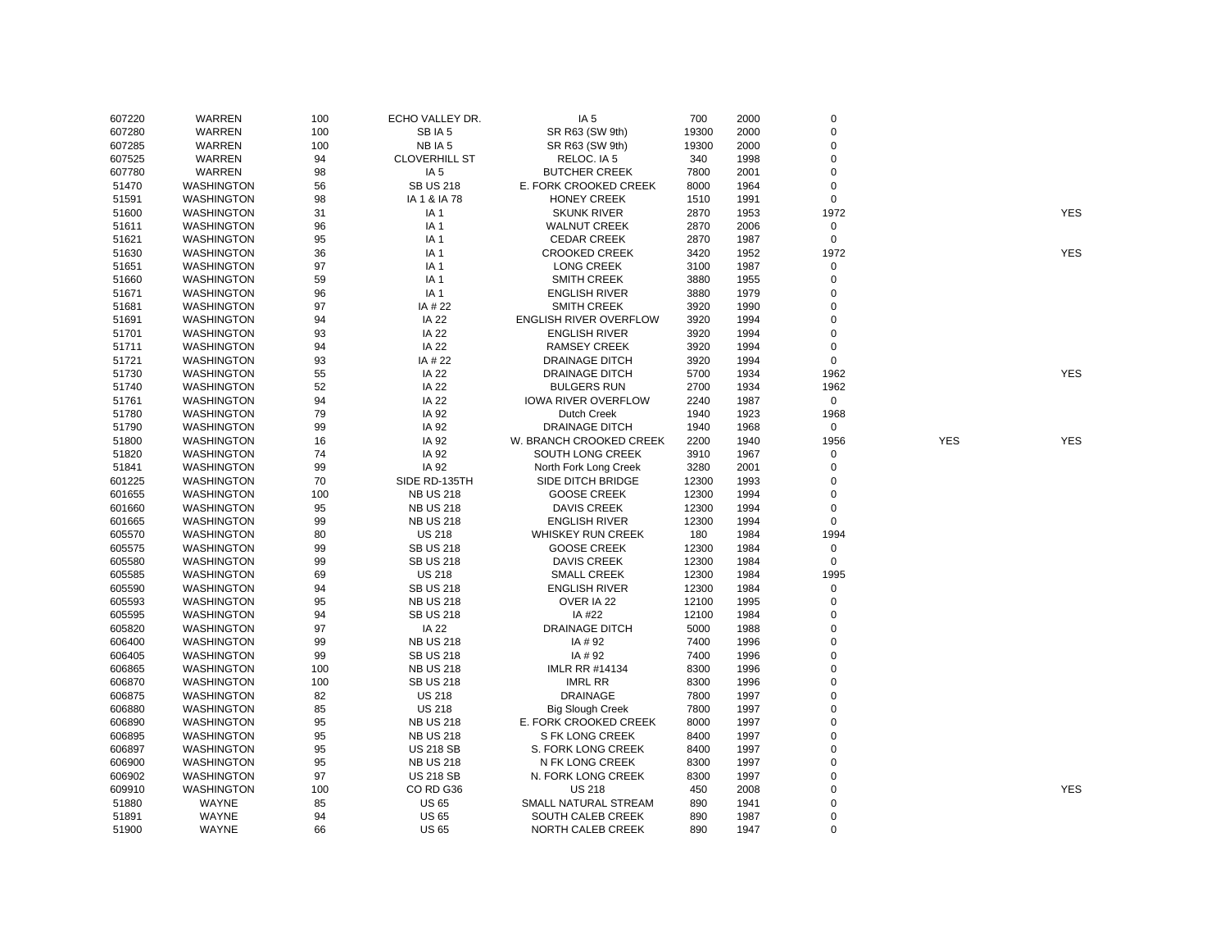| 607220 | WARREN            | 100 | ECHO VALLEY DR.      | IA <sub>5</sub>            | 700   | 2000 | 0           |            |            |
|--------|-------------------|-----|----------------------|----------------------------|-------|------|-------------|------------|------------|
| 607280 | <b>WARREN</b>     | 100 | SBIA 5               | SR R63 (SW 9th)            | 19300 | 2000 | 0           |            |            |
| 607285 | WARREN            | 100 | NB IA 5              | SR R63 (SW 9th)            | 19300 | 2000 | $\mathbf 0$ |            |            |
| 607525 | WARREN            | 94  | <b>CLOVERHILL ST</b> | RELOC. IA 5                | 340   | 1998 | 0           |            |            |
| 607780 | WARREN            | 98  | IA <sub>5</sub>      | <b>BUTCHER CREEK</b>       | 7800  | 2001 | 0           |            |            |
| 51470  | <b>WASHINGTON</b> | 56  | <b>SB US 218</b>     | E. FORK CROOKED CREEK      | 8000  | 1964 | 0           |            |            |
| 51591  | <b>WASHINGTON</b> | 98  | IA 1 & IA 78         | <b>HONEY CREEK</b>         | 1510  | 1991 | $\mathbf 0$ |            |            |
| 51600  | <b>WASHINGTON</b> | 31  | IA 1                 | <b>SKUNK RIVER</b>         | 2870  | 1953 | 1972        |            | <b>YES</b> |
| 51611  | <b>WASHINGTON</b> | 96  | IA <sub>1</sub>      | <b>WALNUT CREEK</b>        | 2870  | 2006 | 0           |            |            |
| 51621  | <b>WASHINGTON</b> | 95  | IA <sub>1</sub>      | <b>CEDAR CREEK</b>         | 2870  | 1987 | $\mathbf 0$ |            |            |
| 51630  | <b>WASHINGTON</b> | 36  | IA <sub>1</sub>      | <b>CROOKED CREEK</b>       | 3420  | 1952 | 1972        |            | <b>YES</b> |
| 51651  | <b>WASHINGTON</b> | 97  | IA <sub>1</sub>      | <b>LONG CREEK</b>          | 3100  | 1987 | 0           |            |            |
| 51660  | <b>WASHINGTON</b> | 59  | IA <sub>1</sub>      | <b>SMITH CREEK</b>         | 3880  | 1955 | 0           |            |            |
| 51671  | <b>WASHINGTON</b> | 96  | IA <sub>1</sub>      | <b>ENGLISH RIVER</b>       | 3880  | 1979 | 0           |            |            |
| 51681  | <b>WASHINGTON</b> | 97  | IA # 22              | <b>SMITH CREEK</b>         | 3920  | 1990 | 0           |            |            |
| 51691  | <b>WASHINGTON</b> | 94  | IA 22                | ENGLISH RIVER OVERFLOW     | 3920  | 1994 | 0           |            |            |
|        |                   | 93  | <b>IA 22</b>         |                            |       |      | 0           |            |            |
| 51701  | <b>WASHINGTON</b> |     |                      | <b>ENGLISH RIVER</b>       | 3920  | 1994 |             |            |            |
| 51711  | <b>WASHINGTON</b> | 94  | IA 22                | <b>RAMSEY CREEK</b>        | 3920  | 1994 | 0           |            |            |
| 51721  | <b>WASHINGTON</b> | 93  | IA # 22              | <b>DRAINAGE DITCH</b>      | 3920  | 1994 | $\mathbf 0$ |            |            |
| 51730  | <b>WASHINGTON</b> | 55  | <b>IA 22</b>         | <b>DRAINAGE DITCH</b>      | 5700  | 1934 | 1962        |            | <b>YES</b> |
| 51740  | <b>WASHINGTON</b> | 52  | IA 22                | <b>BULGERS RUN</b>         | 2700  | 1934 | 1962        |            |            |
| 51761  | <b>WASHINGTON</b> | 94  | <b>IA 22</b>         | <b>IOWA RIVER OVERFLOW</b> | 2240  | 1987 | 0           |            |            |
| 51780  | <b>WASHINGTON</b> | 79  | IA 92                | Dutch Creek                | 1940  | 1923 | 1968        |            |            |
| 51790  | <b>WASHINGTON</b> | 99  | IA 92                | <b>DRAINAGE DITCH</b>      | 1940  | 1968 | $\mathbf 0$ |            |            |
| 51800  | <b>WASHINGTON</b> | 16  | IA 92                | W. BRANCH CROOKED CREEK    | 2200  | 1940 | 1956        | <b>YES</b> | <b>YES</b> |
| 51820  | <b>WASHINGTON</b> | 74  | IA 92                | SOUTH LONG CREEK           | 3910  | 1967 | 0           |            |            |
| 51841  | <b>WASHINGTON</b> | 99  | IA 92                | North Fork Long Creek      | 3280  | 2001 | 0           |            |            |
| 601225 | <b>WASHINGTON</b> | 70  | SIDE RD-135TH        | SIDE DITCH BRIDGE          | 12300 | 1993 | 0           |            |            |
| 601655 | <b>WASHINGTON</b> | 100 | <b>NB US 218</b>     | <b>GOOSE CREEK</b>         | 12300 | 1994 | 0           |            |            |
| 601660 | <b>WASHINGTON</b> | 95  | <b>NB US 218</b>     | <b>DAVIS CREEK</b>         | 12300 | 1994 | 0           |            |            |
| 601665 | <b>WASHINGTON</b> | 99  | <b>NB US 218</b>     | <b>ENGLISH RIVER</b>       | 12300 | 1994 | $\mathbf 0$ |            |            |
| 605570 | <b>WASHINGTON</b> | 80  | <b>US 218</b>        | <b>WHISKEY RUN CREEK</b>   | 180   | 1984 | 1994        |            |            |
| 605575 | <b>WASHINGTON</b> | 99  | <b>SB US 218</b>     | <b>GOOSE CREEK</b>         | 12300 | 1984 | 0           |            |            |
| 605580 | <b>WASHINGTON</b> | 99  | <b>SB US 218</b>     | <b>DAVIS CREEK</b>         | 12300 | 1984 | $\mathbf 0$ |            |            |
| 605585 | <b>WASHINGTON</b> | 69  | <b>US 218</b>        | <b>SMALL CREEK</b>         | 12300 | 1984 | 1995        |            |            |
| 605590 | <b>WASHINGTON</b> | 94  | <b>SB US 218</b>     | <b>ENGLISH RIVER</b>       | 12300 | 1984 | 0           |            |            |
| 605593 | <b>WASHINGTON</b> | 95  | <b>NB US 218</b>     | OVER IA 22                 | 12100 | 1995 | 0           |            |            |
| 605595 | <b>WASHINGTON</b> | 94  | <b>SB US 218</b>     | IA #22                     | 12100 | 1984 | 0           |            |            |
| 605820 | <b>WASHINGTON</b> | 97  | <b>IA 22</b>         | <b>DRAINAGE DITCH</b>      | 5000  | 1988 | 0           |            |            |
| 606400 | <b>WASHINGTON</b> | 99  | <b>NB US 218</b>     | IA # 92                    | 7400  | 1996 | 0           |            |            |
| 606405 | <b>WASHINGTON</b> | 99  | <b>SB US 218</b>     | IA #92                     | 7400  | 1996 | $\mathbf 0$ |            |            |
| 606865 | <b>WASHINGTON</b> | 100 | <b>NB US 218</b>     | <b>IMLR RR #14134</b>      | 8300  | 1996 | 0           |            |            |
| 606870 | <b>WASHINGTON</b> | 100 | <b>SB US 218</b>     | <b>IMRL RR</b>             | 8300  | 1996 | 0           |            |            |
| 606875 | <b>WASHINGTON</b> | 82  | <b>US 218</b>        | <b>DRAINAGE</b>            | 7800  | 1997 | $\mathbf 0$ |            |            |
| 606880 | <b>WASHINGTON</b> | 85  | <b>US 218</b>        | <b>Big Slough Creek</b>    | 7800  | 1997 | 0           |            |            |
| 606890 | <b>WASHINGTON</b> | 95  | <b>NB US 218</b>     | E. FORK CROOKED CREEK      | 8000  | 1997 | 0           |            |            |
| 606895 | <b>WASHINGTON</b> | 95  | <b>NB US 218</b>     | S FK LONG CREEK            | 8400  | 1997 | 0           |            |            |
| 606897 |                   | 95  |                      |                            | 8400  | 1997 | 0           |            |            |
|        | <b>WASHINGTON</b> |     | <b>US 218 SB</b>     | S. FORK LONG CREEK         |       |      | 0           |            |            |
| 606900 | <b>WASHINGTON</b> | 95  | <b>NB US 218</b>     | N FK LONG CREEK            | 8300  | 1997 |             |            |            |
| 606902 | <b>WASHINGTON</b> | 97  | <b>US 218 SB</b>     | N. FORK LONG CREEK         | 8300  | 1997 | 0           |            |            |
| 609910 | <b>WASHINGTON</b> | 100 | CORD G36             | <b>US 218</b>              | 450   | 2008 | $\Omega$    |            | <b>YES</b> |
| 51880  | <b>WAYNE</b>      | 85  | <b>US 65</b>         | SMALL NATURAL STREAM       | 890   | 1941 | 0           |            |            |
| 51891  | <b>WAYNE</b>      | 94  | <b>US 65</b>         | SOUTH CALEB CREEK          | 890   | 1987 | 0           |            |            |
| 51900  | <b>WAYNF</b>      | 66  | <b>US 65</b>         | NORTH CALEB CREEK          | 890   | 1947 | $\Omega$    |            |            |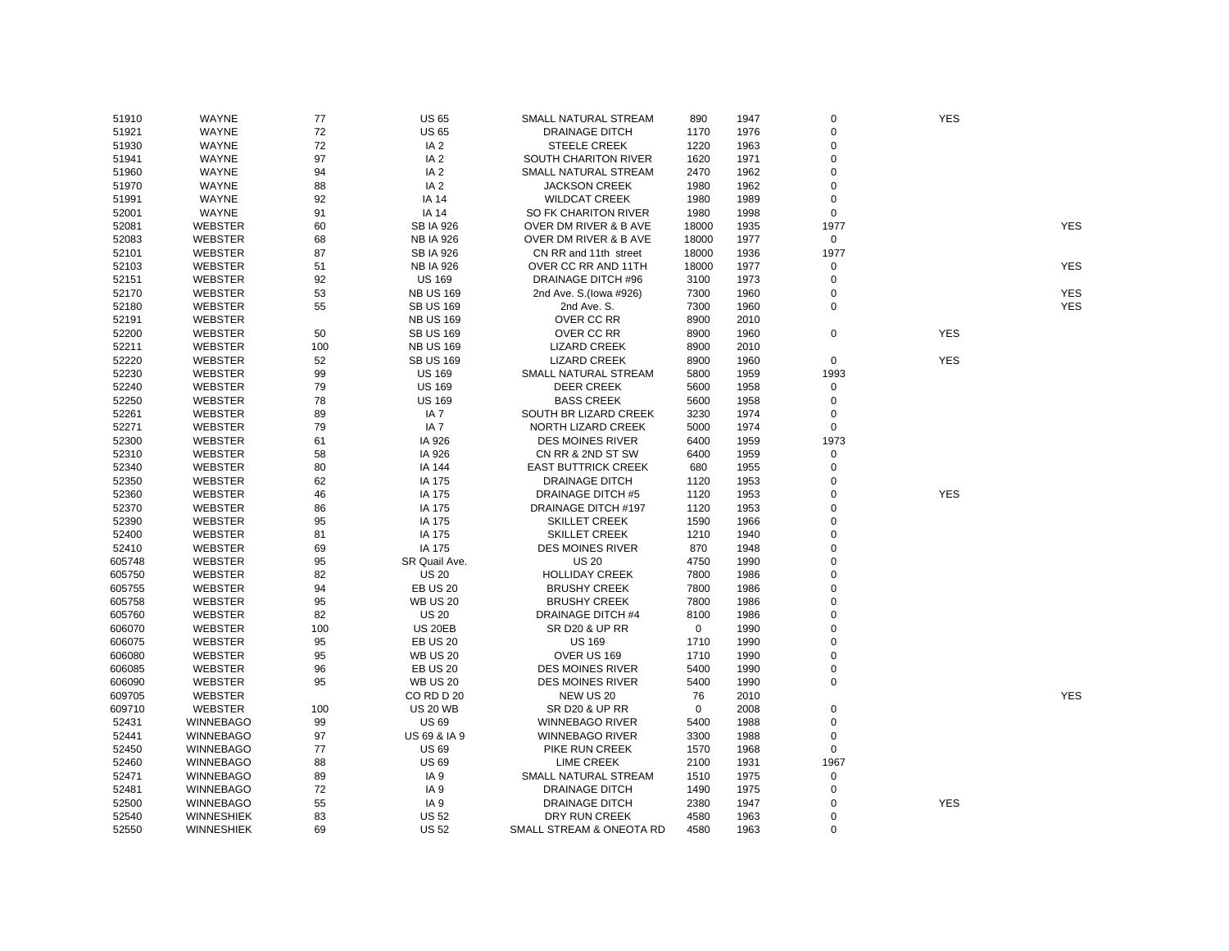| 51910  | WAYNE             | 77  | <b>US 65</b>            | SMALL NATURAL STREAM       | 890   | 1947 | 0                   | <b>YES</b> |            |
|--------|-------------------|-----|-------------------------|----------------------------|-------|------|---------------------|------------|------------|
| 51921  | WAYNE             | 72  | <b>US 65</b>            | <b>DRAINAGE DITCH</b>      | 1170  | 1976 | 0                   |            |            |
| 51930  | WAYNE             | 72  | IA <sub>2</sub>         | <b>STEELE CREEK</b>        | 1220  | 1963 | $\mathbf 0$         |            |            |
| 51941  | WAYNE             | 97  | IA <sub>2</sub>         | SOUTH CHARITON RIVER       | 1620  | 1971 | $\mathsf 0$         |            |            |
| 51960  | WAYNE             | 94  | IA <sub>2</sub>         | SMALL NATURAL STREAM       | 2470  | 1962 | $\mathsf 0$         |            |            |
| 51970  | WAYNE             | 88  | IA <sub>2</sub>         | <b>JACKSON CREEK</b>       | 1980  | 1962 | $\mathbf 0$         |            |            |
| 51991  | WAYNE             | 92  | <b>IA 14</b>            | <b>WILDCAT CREEK</b>       | 1980  | 1989 | 0                   |            |            |
| 52001  | WAYNE             | 91  | <b>IA 14</b>            | SO FK CHARITON RIVER       | 1980  | 1998 | $\mathbf 0$         |            |            |
| 52081  | <b>WEBSTER</b>    | 60  | <b>SB IA 926</b>        | OVER DM RIVER & B AVE      | 18000 | 1935 | 1977                |            | <b>YES</b> |
| 52083  | WEBSTER           | 68  | <b>NB IA 926</b>        | OVER DM RIVER & B AVE      | 18000 | 1977 | $\mathbf 0$         |            |            |
| 52101  | WEBSTER           | 87  | <b>SB IA 926</b>        | CN RR and 11th street      | 18000 | 1936 | 1977                |            |            |
| 52103  | WEBSTER           | 51  | <b>NB IA 926</b>        | OVER CC RR AND 11TH        | 18000 | 1977 | 0                   |            | <b>YES</b> |
| 52151  | WEBSTER           | 92  | <b>US 169</b>           | <b>DRAINAGE DITCH #96</b>  | 3100  | 1973 | $\mathsf 0$         |            |            |
| 52170  | WEBSTER           | 53  | <b>NB US 169</b>        | 2nd Ave. S.(lowa #926)     | 7300  | 1960 | 0                   |            | <b>YES</b> |
| 52180  | <b>WEBSTER</b>    | 55  | <b>SB US 169</b>        | 2nd Ave. S.                | 7300  | 1960 | 0                   |            | <b>YES</b> |
| 52191  | WEBSTER           |     | <b>NB US 169</b>        | OVER CC RR                 | 8900  | 2010 |                     |            |            |
| 52200  | <b>WEBSTER</b>    | 50  | <b>SB US 169</b>        | OVER CC RR                 | 8900  | 1960 | $\mathsf 0$         | <b>YES</b> |            |
| 52211  | WEBSTER           | 100 | <b>NB US 169</b>        | <b>LIZARD CREEK</b>        | 8900  | 2010 |                     |            |            |
| 52220  | WEBSTER           | 52  | <b>SB US 169</b>        | <b>LIZARD CREEK</b>        | 8900  | 1960 | $\mathbf 0$         | <b>YES</b> |            |
| 52230  | <b>WEBSTER</b>    | 99  | <b>US 169</b>           | SMALL NATURAL STREAM       | 5800  | 1959 | 1993                |            |            |
| 52240  | <b>WEBSTER</b>    | 79  | <b>US 169</b>           | <b>DEER CREEK</b>          | 5600  | 1958 | 0                   |            |            |
| 52250  | WEBSTER           | 78  | <b>US 169</b>           | <b>BASS CREEK</b>          | 5600  | 1958 | 0                   |            |            |
| 52261  | WEBSTER           | 89  | IA <sub>7</sub>         | SOUTH BR LIZARD CREEK      | 3230  | 1974 | 0                   |            |            |
| 52271  | WEBSTER           | 79  | IA <sub>7</sub>         | NORTH LIZARD CREEK         | 5000  | 1974 | $\mathbf 0$         |            |            |
|        |                   |     |                         |                            |       |      | 1973                |            |            |
| 52300  | WEBSTER           | 61  | IA 926                  | <b>DES MOINES RIVER</b>    | 6400  | 1959 |                     |            |            |
| 52310  | WEBSTER           | 58  | IA 926                  | CN RR & 2ND ST SW          | 6400  | 1959 | $\mathsf{O}\xspace$ |            |            |
| 52340  | <b>WEBSTER</b>    | 80  | IA 144                  | <b>EAST BUTTRICK CREEK</b> | 680   | 1955 | 0                   |            |            |
| 52350  | WEBSTER           | 62  | IA 175                  | DRAINAGE DITCH             | 1120  | 1953 | 0<br>$\Omega$       |            |            |
| 52360  | <b>WEBSTER</b>    | 46  | IA 175                  | <b>DRAINAGE DITCH #5</b>   | 1120  | 1953 |                     | <b>YES</b> |            |
| 52370  | <b>WEBSTER</b>    | 86  | IA 175                  | DRAINAGE DITCH #197        | 1120  | 1953 | 0                   |            |            |
| 52390  | WEBSTER           | 95  | IA 175                  | <b>SKILLET CREEK</b>       | 1590  | 1966 | $\mathbf 0$         |            |            |
| 52400  | WEBSTER           | 81  | IA 175                  | <b>SKILLET CREEK</b>       | 1210  | 1940 | 0                   |            |            |
| 52410  | <b>WEBSTER</b>    | 69  | IA 175                  | <b>DES MOINES RIVER</b>    | 870   | 1948 | 0                   |            |            |
| 605748 | WEBSTER           | 95  | SR Quail Ave.           | <b>US 20</b>               | 4750  | 1990 | $\Omega$            |            |            |
| 605750 | <b>WEBSTER</b>    | 82  | <b>US 20</b>            | <b>HOLLIDAY CREEK</b>      | 7800  | 1986 | $\mathbf 0$         |            |            |
| 605755 | WEBSTER           | 94  | <b>EB US 20</b>         | <b>BRUSHY CREEK</b>        | 7800  | 1986 | $\mathsf 0$         |            |            |
| 605758 | WEBSTER           | 95  | <b>WB US 20</b>         | <b>BRUSHY CREEK</b>        | 7800  | 1986 | $\mathbf 0$         |            |            |
| 605760 | WEBSTER           | 82  | <b>US 20</b>            | DRAINAGE DITCH #4          | 8100  | 1986 | $\mathbf 0$         |            |            |
| 606070 | WEBSTER           | 100 | <b>US 20EB</b>          | <b>SR D20 &amp; UP RR</b>  | 0     | 1990 | $\mathbf 0$         |            |            |
| 606075 | <b>WEBSTER</b>    | 95  | <b>EB US 20</b>         | <b>US 169</b>              | 1710  | 1990 | $\mathbf 0$         |            |            |
| 606080 | WEBSTER           | 95  | <b>WB US 20</b>         | OVER US 169                | 1710  | 1990 | 0                   |            |            |
| 606085 | <b>WEBSTER</b>    | 96  | <b>EB US 20</b>         | <b>DES MOINES RIVER</b>    | 5400  | 1990 | 0                   |            |            |
| 606090 | <b>WEBSTER</b>    | 95  | <b>WB US 20</b>         | <b>DES MOINES RIVER</b>    | 5400  | 1990 | $\mathsf 0$         |            |            |
| 609705 | WEBSTER           |     | CORD D 20               | NEW US 20                  | 76    | 2010 |                     |            | <b>YES</b> |
| 609710 | <b>WEBSTER</b>    | 100 | <b>US 20 WB</b>         | <b>SR D20 &amp; UP RR</b>  | 0     | 2008 | $\pmb{0}$           |            |            |
| 52431  | <b>WINNEBAGO</b>  | 99  | <b>US 69</b>            | <b>WINNEBAGO RIVER</b>     | 5400  | 1988 | 0                   |            |            |
| 52441  | <b>WINNEBAGO</b>  | 97  | <b>US 69 &amp; IA 9</b> | <b>WINNEBAGO RIVER</b>     | 3300  | 1988 | $\mathsf 0$         |            |            |
| 52450  | <b>WINNEBAGO</b>  | 77  | <b>US69</b>             | PIKE RUN CREEK             | 1570  | 1968 | 0                   |            |            |
| 52460  | <b>WINNEBAGO</b>  | 88  | US 69                   | <b>LIME CREEK</b>          | 2100  | 1931 | 1967                |            |            |
| 52471  | <b>WINNEBAGO</b>  | 89  | IA <sub>9</sub>         | SMALL NATURAL STREAM       | 1510  | 1975 | 0                   |            |            |
| 52481  | <b>WINNEBAGO</b>  | 72  | IA <sub>9</sub>         | <b>DRAINAGE DITCH</b>      | 1490  | 1975 | $\mathsf 0$         |            |            |
| 52500  | <b>WINNEBAGO</b>  | 55  | IA <sub>9</sub>         | <b>DRAINAGE DITCH</b>      | 2380  | 1947 | 0                   | <b>YES</b> |            |
| 52540  | <b>WINNESHIEK</b> | 83  | <b>US 52</b>            | DRY RUN CREEK              | 4580  | 1963 | $\mathbf 0$         |            |            |
| 52550  | <b>WINNESHIEK</b> | 69  | <b>US 52</b>            | SMALL STREAM & ONEOTA RD   | 4580  | 1963 | $\Omega$            |            |            |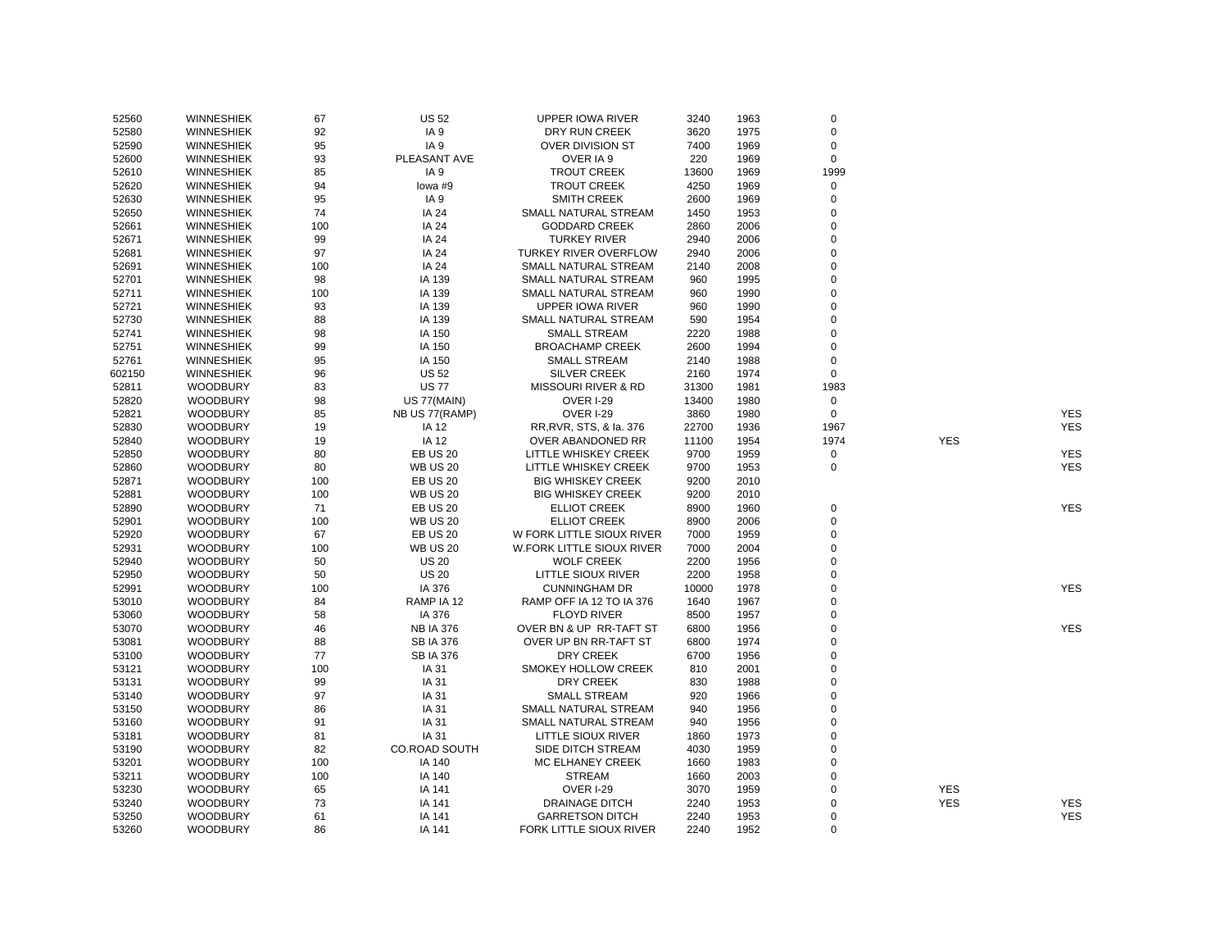| 52560  | <b>WINNESHIEK</b> | 67  | <b>US 52</b>            | UPPER IOWA RIVER             | 3240  | 1963 | 0           |            |                          |
|--------|-------------------|-----|-------------------------|------------------------------|-------|------|-------------|------------|--------------------------|
| 52580  | <b>WINNESHIEK</b> | 92  | IA <sub>9</sub>         | DRY RUN CREEK                | 3620  | 1975 | 0           |            |                          |
| 52590  | <b>WINNESHIEK</b> | 95  | IA <sub>9</sub>         | OVER DIVISION ST             | 7400  | 1969 | 0           |            |                          |
| 52600  | <b>WINNESHIEK</b> | 93  | PLEASANT AVE            | OVER IA 9                    | 220   | 1969 | $\mathsf 0$ |            |                          |
| 52610  | <b>WINNESHIEK</b> | 85  | IA <sub>9</sub>         | <b>TROUT CREEK</b>           | 13600 | 1969 | 1999        |            |                          |
| 52620  | <b>WINNESHIEK</b> | 94  | lowa #9                 | <b>TROUT CREEK</b>           | 4250  | 1969 | 0           |            |                          |
| 52630  | <b>WINNESHIEK</b> | 95  | IA <sub>9</sub>         | <b>SMITH CREEK</b>           | 2600  | 1969 | 0           |            |                          |
| 52650  | <b>WINNESHIEK</b> | 74  | IA 24                   | SMALL NATURAL STREAM         | 1450  | 1953 | $\Omega$    |            |                          |
| 52661  | <b>WINNESHIEK</b> | 100 | IA 24                   | <b>GODDARD CREEK</b>         | 2860  | 2006 | $\mathbf 0$ |            |                          |
| 52671  | <b>WINNESHIEK</b> | 99  | IA 24                   | <b>TURKEY RIVER</b>          | 2940  | 2006 | $\Omega$    |            |                          |
| 52681  | <b>WINNESHIEK</b> | 97  | IA 24                   | <b>TURKEY RIVER OVERFLOW</b> | 2940  | 2006 | $\Omega$    |            |                          |
| 52691  | <b>WINNESHIEK</b> | 100 | IA 24                   | SMALL NATURAL STREAM         | 2140  | 2008 | $\Omega$    |            |                          |
| 52701  | <b>WINNESHIEK</b> | 98  | IA 139                  | SMALL NATURAL STREAM         | 960   | 1995 | $\mathbf 0$ |            |                          |
| 52711  | <b>WINNESHIEK</b> | 100 | IA 139                  | SMALL NATURAL STREAM         | 960   | 1990 | $\Omega$    |            |                          |
| 52721  | <b>WINNESHIEK</b> | 93  | IA 139                  | <b>UPPER IOWA RIVER</b>      | 960   | 1990 | 0           |            |                          |
| 52730  | <b>WINNESHIEK</b> | 88  | IA 139                  | SMALL NATURAL STREAM         | 590   | 1954 | $\Omega$    |            |                          |
| 52741  | <b>WINNESHIEK</b> | 98  | IA 150                  | <b>SMALL STREAM</b>          | 2220  | 1988 | $\Omega$    |            |                          |
| 52751  | <b>WINNESHIEK</b> | 99  | IA 150                  | <b>BROACHAMP CREEK</b>       | 2600  | 1994 | 0           |            |                          |
| 52761  | <b>WINNESHIEK</b> | 95  | IA 150                  | <b>SMALL STREAM</b>          | 2140  | 1988 | 0           |            |                          |
| 602150 | <b>WINNESHIEK</b> | 96  | <b>US 52</b>            | <b>SILVER CREEK</b>          | 2160  | 1974 | $\mathsf 0$ |            |                          |
| 52811  | <b>WOODBURY</b>   | 83  | <b>US77</b>             | MISSOURI RIVER & RD          | 31300 | 1981 | 1983        |            |                          |
| 52820  | <b>WOODBURY</b>   | 98  | US 77(MAIN)             | <b>OVER I-29</b>             | 13400 | 1980 | $\mathbf 0$ |            |                          |
|        |                   |     |                         |                              |       |      | $\mathbf 0$ |            |                          |
| 52821  | <b>WOODBURY</b>   | 85  | NB US 77(RAMP)<br>IA 12 | <b>OVER I-29</b>             | 3860  | 1980 | 1967        |            | <b>YES</b><br><b>YES</b> |
| 52830  | <b>WOODBURY</b>   | 19  |                         | RR, RVR, STS, & la. 376      | 22700 | 1936 |             |            |                          |
| 52840  | <b>WOODBURY</b>   | 19  | IA 12                   | OVER ABANDONED RR            | 11100 | 1954 | 1974        | <b>YES</b> |                          |
| 52850  | <b>WOODBURY</b>   | 80  | <b>EB US 20</b>         | LITTLE WHISKEY CREEK         | 9700  | 1959 | $\pmb{0}$   |            | <b>YES</b>               |
| 52860  | <b>WOODBURY</b>   | 80  | <b>WB US 20</b>         | LITTLE WHISKEY CREEK         | 9700  | 1953 | $\mathbf 0$ |            | <b>YES</b>               |
| 52871  | <b>WOODBURY</b>   | 100 | <b>EB US 20</b>         | <b>BIG WHISKEY CREEK</b>     | 9200  | 2010 |             |            |                          |
| 52881  | <b>WOODBURY</b>   | 100 | <b>WB US 20</b>         | <b>BIG WHISKEY CREEK</b>     | 9200  | 2010 |             |            |                          |
| 52890  | <b>WOODBURY</b>   | 71  | <b>EB US 20</b>         | <b>ELLIOT CREEK</b>          | 8900  | 1960 | 0           |            | <b>YES</b>               |
| 52901  | <b>WOODBURY</b>   | 100 | <b>WB US 20</b>         | <b>ELLIOT CREEK</b>          | 8900  | 2006 | 0           |            |                          |
| 52920  | <b>WOODBURY</b>   | 67  | <b>EB US 20</b>         | W FORK LITTLE SIOUX RIVER    | 7000  | 1959 | $\mathbf 0$ |            |                          |
| 52931  | <b>WOODBURY</b>   | 100 | <b>WB US 20</b>         | W.FORK LITTLE SIOUX RIVER    | 7000  | 2004 | $\mathbf 0$ |            |                          |
| 52940  | <b>WOODBURY</b>   | 50  | <b>US 20</b>            | <b>WOLF CREEK</b>            | 2200  | 1956 | $\Omega$    |            |                          |
| 52950  | <b>WOODBURY</b>   | 50  | <b>US 20</b>            | LITTLE SIOUX RIVER           | 2200  | 1958 | $\mathbf 0$ |            |                          |
| 52991  | <b>WOODBURY</b>   | 100 | IA 376                  | <b>CUNNINGHAM DR</b>         | 10000 | 1978 | 0           |            | <b>YES</b>               |
| 53010  | <b>WOODBURY</b>   | 84  | RAMP IA 12              | RAMP OFF IA 12 TO IA 376     | 1640  | 1967 | $\Omega$    |            |                          |
| 53060  | <b>WOODBURY</b>   | 58  | IA 376                  | <b>FLOYD RIVER</b>           | 8500  | 1957 | $\mathbf 0$ |            |                          |
| 53070  | <b>WOODBURY</b>   | 46  | <b>NB IA 376</b>        | OVER BN & UP RR-TAFT ST      | 6800  | 1956 | $\Omega$    |            | <b>YES</b>               |
| 53081  | <b>WOODBURY</b>   | 88  | <b>SB IA 376</b>        | OVER UP BN RR-TAFT ST        | 6800  | 1974 | $\Omega$    |            |                          |
| 53100  | <b>WOODBURY</b>   | 77  | <b>SB IA 376</b>        | <b>DRY CREEK</b>             | 6700  | 1956 | $\Omega$    |            |                          |
| 53121  | <b>WOODBURY</b>   | 100 | IA 31                   | SMOKEY HOLLOW CREEK          | 810   | 2001 | $\Omega$    |            |                          |
| 53131  | <b>WOODBURY</b>   | 99  | IA 31                   | DRY CREEK                    | 830   | 1988 | $\mathbf 0$ |            |                          |
| 53140  | <b>WOODBURY</b>   | 97  | IA 31                   | <b>SMALL STREAM</b>          | 920   | 1966 | $\Omega$    |            |                          |
| 53150  | <b>WOODBURY</b>   | 86  | IA 31                   | SMALL NATURAL STREAM         | 940   | 1956 | $\Omega$    |            |                          |
| 53160  | <b>WOODBURY</b>   | 91  | IA 31                   | SMALL NATURAL STREAM         | 940   | 1956 | $\mathbf 0$ |            |                          |
| 53181  | <b>WOODBURY</b>   | 81  | IA 31                   | LITTLE SIOUX RIVER           | 1860  | 1973 | $\mathbf 0$ |            |                          |
| 53190  | <b>WOODBURY</b>   | 82  | CO.ROAD SOUTH           | SIDE DITCH STREAM            | 4030  | 1959 | $\Omega$    |            |                          |
| 53201  | <b>WOODBURY</b>   | 100 | IA 140                  | MC ELHANEY CREEK             | 1660  | 1983 | $\mathbf 0$ |            |                          |
| 53211  | <b>WOODBURY</b>   | 100 | IA 140                  | <b>STREAM</b>                | 1660  | 2003 | $\Omega$    |            |                          |
| 53230  | <b>WOODBURY</b>   | 65  | IA 141                  | <b>OVER I-29</b>             | 3070  | 1959 | $\Omega$    | <b>YES</b> |                          |
| 53240  | <b>WOODBURY</b>   | 73  | IA 141                  | <b>DRAINAGE DITCH</b>        | 2240  | 1953 | $\Omega$    | <b>YES</b> | <b>YES</b>               |
| 53250  | <b>WOODBURY</b>   | 61  | IA 141                  | <b>GARRETSON DITCH</b>       | 2240  | 1953 | $\Omega$    |            | <b>YES</b>               |
| 53260  | <b>WOODBURY</b>   | 86  | IA 141                  | FORK LITTLE SIOUX RIVER      | 2240  | 1952 | $\Omega$    |            |                          |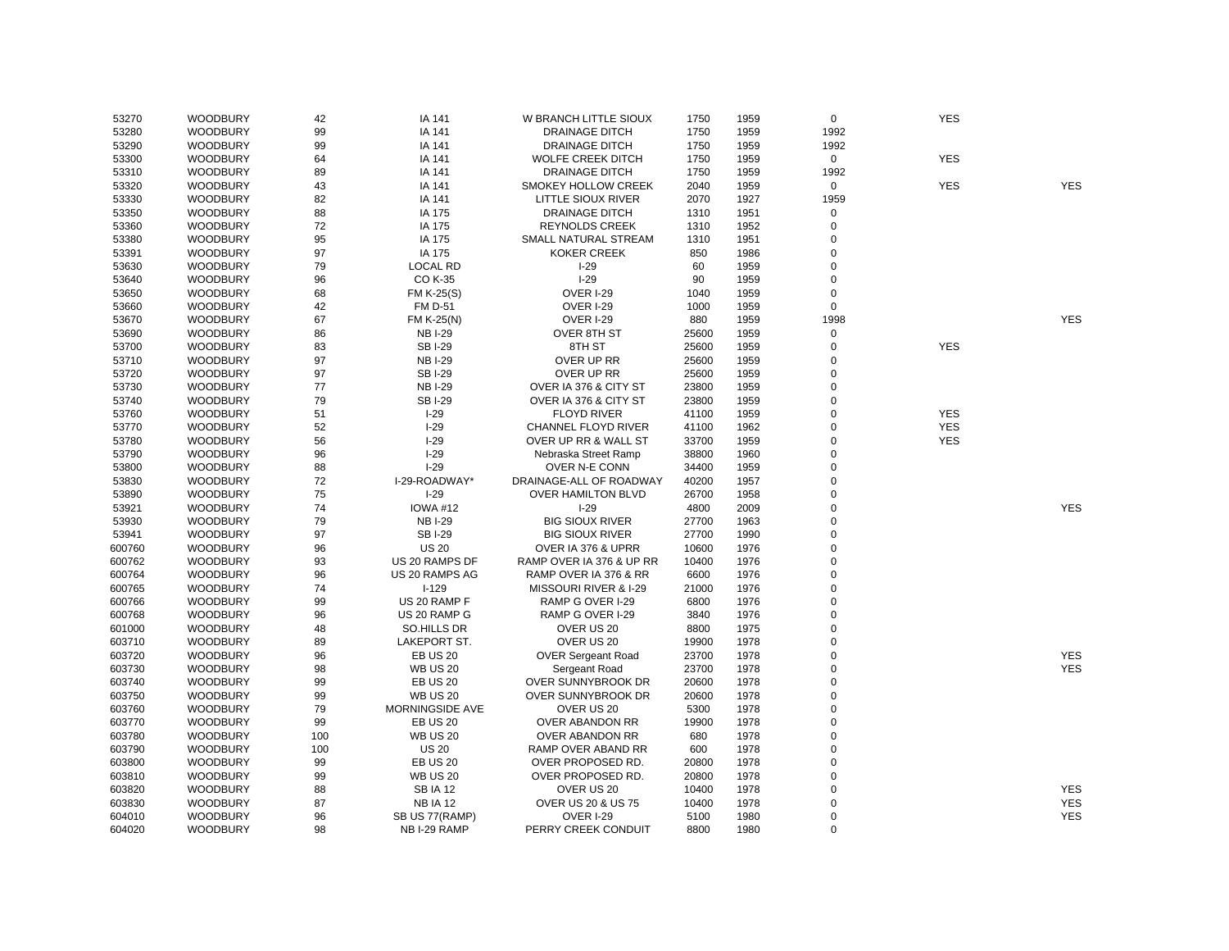| 53270  | <b>WOODBURY</b> | 42  | IA 141          | W BRANCH LITTLE SIOUX          | 1750  | 1959         | $\mathbf 0$ | <b>YES</b> |            |
|--------|-----------------|-----|-----------------|--------------------------------|-------|--------------|-------------|------------|------------|
| 53280  | <b>WOODBURY</b> | 99  | IA 141          | <b>DRAINAGE DITCH</b>          | 1750  | 1959         | 1992        |            |            |
| 53290  | <b>WOODBURY</b> | 99  | IA 141          | <b>DRAINAGE DITCH</b>          | 1750  | 1959         | 1992        |            |            |
| 53300  | <b>WOODBURY</b> | 64  | IA 141          | <b>WOLFE CREEK DITCH</b>       | 1750  | 1959         | $\mathbf 0$ | <b>YES</b> |            |
| 53310  | <b>WOODBURY</b> | 89  | IA 141          | <b>DRAINAGE DITCH</b>          | 1750  | 1959         | 1992        |            |            |
| 53320  | <b>WOODBURY</b> | 43  | IA 141          | SMOKEY HOLLOW CREEK            | 2040  | 1959         | $\mathbf 0$ | <b>YES</b> | <b>YES</b> |
| 53330  | <b>WOODBURY</b> | 82  | IA 141          | LITTLE SIOUX RIVER             | 2070  | 1927         | 1959        |            |            |
| 53350  | <b>WOODBURY</b> | 88  | IA 175          | <b>DRAINAGE DITCH</b>          | 1310  | 1951         | 0           |            |            |
| 53360  | <b>WOODBURY</b> | 72  | IA 175          | <b>REYNOLDS CREEK</b>          | 1310  | 1952         | $\mathbf 0$ |            |            |
| 53380  | <b>WOODBURY</b> | 95  | IA 175          | SMALL NATURAL STREAM           | 1310  | 1951         | 0           |            |            |
| 53391  | <b>WOODBURY</b> | 97  | IA 175          | KOKER CREEK                    | 850   | 1986         | 0           |            |            |
| 53630  | <b>WOODBURY</b> | 79  | <b>LOCAL RD</b> | $I-29$                         | 60    | 1959         | 0           |            |            |
| 53640  | <b>WOODBURY</b> | 96  | CO K-35         | $I-29$                         | 90    | 1959         | 0           |            |            |
| 53650  | <b>WOODBURY</b> | 68  | FM K-25(S)      | OVER I-29                      | 1040  | 1959         | 0           |            |            |
| 53660  | <b>WOODBURY</b> | 42  | <b>FM D-51</b>  | <b>OVER I-29</b>               | 1000  | 1959         | $\mathsf 0$ |            |            |
| 53670  | <b>WOODBURY</b> | 67  | FM K-25(N)      | <b>OVER I-29</b>               | 880   | 1959         | 1998        |            | <b>YES</b> |
| 53690  | <b>WOODBURY</b> | 86  | <b>NBI-29</b>   | OVER 8TH ST                    | 25600 | 1959         | $\pmb{0}$   |            |            |
| 53700  | <b>WOODBURY</b> | 83  | <b>SBI-29</b>   | 8TH ST                         | 25600 | 1959         | $\mathsf 0$ | <b>YES</b> |            |
| 53710  | <b>WOODBURY</b> | 97  | <b>NB I-29</b>  | OVER UP RR                     | 25600 | 1959         | 0           |            |            |
| 53720  | <b>WOODBURY</b> | 97  | <b>SBI-29</b>   | OVER UP RR                     | 25600 | 1959         | 0           |            |            |
| 53730  | <b>WOODBURY</b> | 77  | <b>NBI-29</b>   | OVER IA 376 & CITY ST          | 23800 | 1959         | 0           |            |            |
| 53740  | <b>WOODBURY</b> | 79  | <b>SBI-29</b>   | OVER IA 376 & CITY ST          | 23800 | 1959         | 0           |            |            |
| 53760  | <b>WOODBURY</b> | 51  | $I-29$          | <b>FLOYD RIVER</b>             | 41100 | 1959         | 0           | <b>YES</b> |            |
| 53770  | <b>WOODBURY</b> | 52  | $I-29$          | CHANNEL FLOYD RIVER            | 41100 | 1962         | 0           | <b>YES</b> |            |
| 53780  | <b>WOODBURY</b> | 56  | $I-29$          | OVER UP RR & WALL ST           | 33700 | 1959         | 0           | <b>YES</b> |            |
| 53790  | <b>WOODBURY</b> | 96  | $I-29$          | Nebraska Street Ramp           | 38800 | 1960         | 0           |            |            |
| 53800  | <b>WOODBURY</b> | 88  | $I-29$          | OVER N-E CONN                  | 34400 | 1959         | 0           |            |            |
| 53830  | <b>WOODBURY</b> | 72  | I-29-ROADWAY*   | DRAINAGE-ALL OF ROADWAY        | 40200 | 1957         | $\mathsf 0$ |            |            |
| 53890  | <b>WOODBURY</b> | 75  | $I-29$          | <b>OVER HAMILTON BLVD</b>      | 26700 | 1958         | 0           |            |            |
| 53921  | <b>WOODBURY</b> | 74  | <b>IOWA #12</b> | $I-29$                         | 4800  | 2009         | 0           |            | <b>YES</b> |
| 53930  | <b>WOODBURY</b> | 79  | <b>NBI-29</b>   | <b>BIG SIOUX RIVER</b>         | 27700 | 1963         | 0           |            |            |
| 53941  | <b>WOODBURY</b> | 97  | <b>SBI-29</b>   | <b>BIG SIOUX RIVER</b>         | 27700 | 1990         | 0           |            |            |
| 600760 | <b>WOODBURY</b> | 96  | <b>US 20</b>    | OVER IA 376 & UPRR             | 10600 | 1976         | 0           |            |            |
| 600762 | <b>WOODBURY</b> | 93  | US 20 RAMPS DF  | RAMP OVER IA 376 & UP RR       | 10400 | 1976         | 0           |            |            |
| 600764 | <b>WOODBURY</b> | 96  | US 20 RAMPS AG  | RAMP OVER IA 376 & RR          | 6600  | 1976         | 0           |            |            |
|        | <b>WOODBURY</b> | 74  | $I-129$         | MISSOURI RIVER & I-29          | 21000 | 1976         | 0           |            |            |
| 600765 | <b>WOODBURY</b> | 99  | US 20 RAMP F    |                                | 6800  | 1976         | 0           |            |            |
| 600766 |                 |     |                 | RAMP G OVER I-29               |       |              |             |            |            |
| 600768 | <b>WOODBURY</b> | 96  | US 20 RAMP G    | RAMP G OVER I-29<br>OVER US 20 | 3840  | 1976<br>1975 | 0<br>0      |            |            |
| 601000 | <b>WOODBURY</b> | 48  | SO.HILLS DR     |                                | 8800  |              |             |            |            |
| 603710 | WOODBURY        | 89  | LAKEPORT ST.    | OVER US 20                     | 19900 | 1978         | 0           |            |            |
| 603720 | <b>WOODBURY</b> | 96  | <b>EB US 20</b> | <b>OVER Sergeant Road</b>      | 23700 | 1978         | $\pmb{0}$   |            | <b>YES</b> |
| 603730 | <b>WOODBURY</b> | 98  | <b>WB US 20</b> | Sergeant Road                  | 23700 | 1978         | 0           |            | <b>YES</b> |
| 603740 | <b>WOODBURY</b> | 99  | <b>EB US 20</b> | OVER SUNNYBROOK DR             | 20600 | 1978         | 0           |            |            |
| 603750 | <b>WOODBURY</b> | 99  | <b>WB US 20</b> | OVER SUNNYBROOK DR             | 20600 | 1978         | 0           |            |            |
| 603760 | <b>WOODBURY</b> | 79  | MORNINGSIDE AVE | OVER US 20                     | 5300  | 1978         | 0           |            |            |
| 603770 | <b>WOODBURY</b> | 99  | <b>EB US 20</b> | OVER ABANDON RR                | 19900 | 1978         | 0           |            |            |
| 603780 | <b>WOODBURY</b> | 100 | <b>WB US 20</b> | OVER ABANDON RR                | 680   | 1978         | 0           |            |            |
| 603790 | <b>WOODBURY</b> | 100 | <b>US 20</b>    | RAMP OVER ABAND RR             | 600   | 1978         | 0           |            |            |
| 603800 | <b>WOODBURY</b> | 99  | <b>EB US 20</b> | OVER PROPOSED RD.              | 20800 | 1978         | $\pmb{0}$   |            |            |
| 603810 | <b>WOODBURY</b> | 99  | <b>WB US 20</b> | OVER PROPOSED RD.              | 20800 | 1978         | 0           |            |            |
| 603820 | <b>WOODBURY</b> | 88  | <b>SBIA 12</b>  | OVER US 20                     | 10400 | 1978         | 0           |            | <b>YES</b> |
| 603830 | <b>WOODBURY</b> | 87  | <b>NB IA 12</b> | <b>OVER US 20 &amp; US 75</b>  | 10400 | 1978         | 0           |            | <b>YES</b> |
| 604010 | <b>WOODBURY</b> | 96  | SB US 77(RAMP)  | <b>OVER I-29</b>               | 5100  | 1980         | 0           |            | <b>YES</b> |
| 604020 | <b>WOODBURY</b> | 98  | NB I-29 RAMP    | PERRY CREEK CONDUIT            | 8800  | 1980         | $\mathbf 0$ |            |            |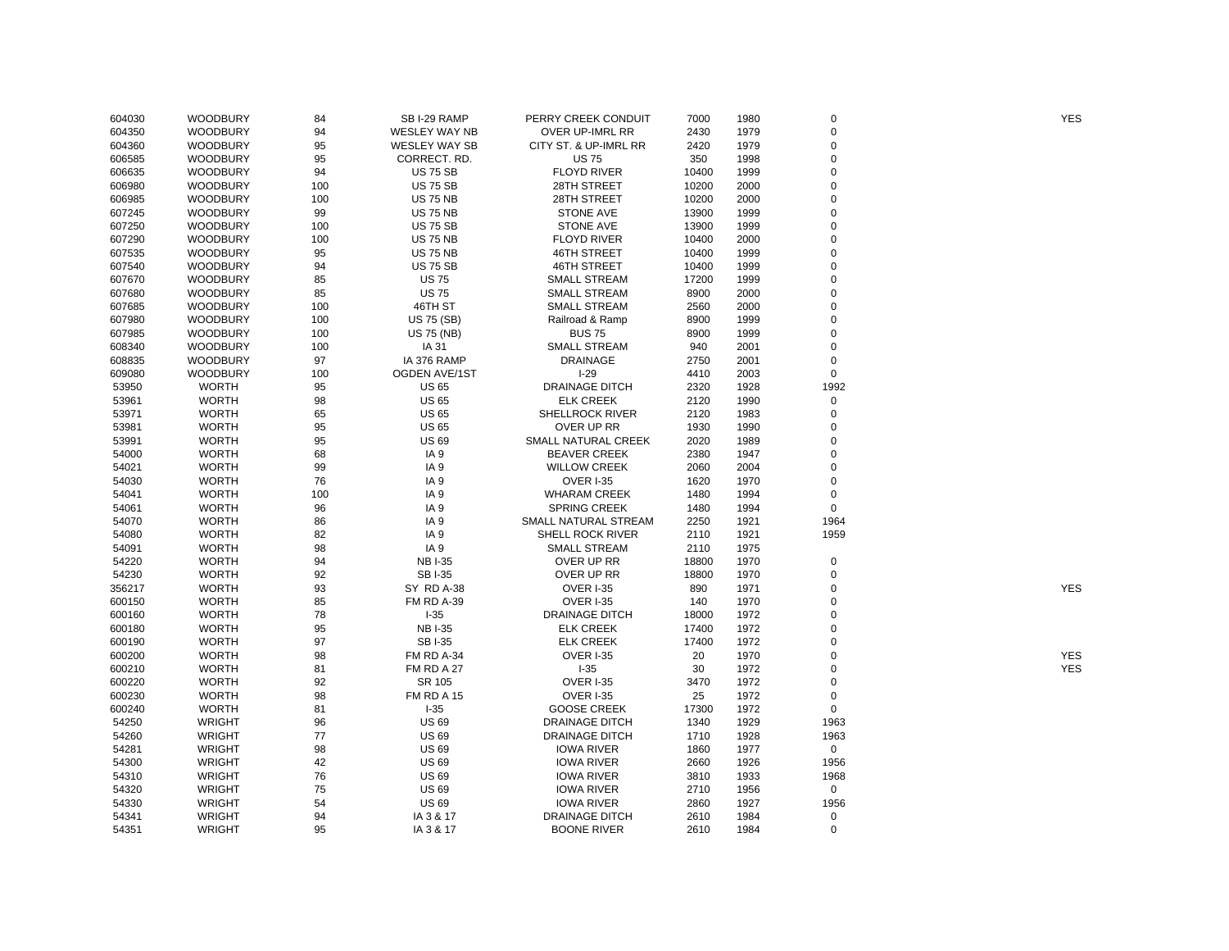| 604030 | <b>WOODBURY</b> | 84  | SB I-29 RAMP         | PERRY CREEK CONDUIT    | 7000  | 1980 | 0           | <b>YES</b> |
|--------|-----------------|-----|----------------------|------------------------|-------|------|-------------|------------|
| 604350 | <b>WOODBURY</b> | 94  | WESLEY WAY NB        | OVER UP-IMRL RR        | 2430  | 1979 | $\mathbf 0$ |            |
| 604360 | <b>WOODBURY</b> | 95  | <b>WESLEY WAY SB</b> | CITY ST. & UP-IMRL RR  | 2420  | 1979 | $\mathbf 0$ |            |
| 606585 | <b>WOODBURY</b> | 95  | CORRECT. RD.         | <b>US75</b>            | 350   | 1998 | $\mathbf 0$ |            |
| 606635 | <b>WOODBURY</b> | 94  | <b>US 75 SB</b>      | <b>FLOYD RIVER</b>     | 10400 | 1999 | 0           |            |
| 606980 | <b>WOODBURY</b> | 100 | <b>US 75 SB</b>      | 28TH STREET            | 10200 | 2000 | $\mathbf 0$ |            |
| 606985 | <b>WOODBURY</b> | 100 | <b>US 75 NB</b>      | 28TH STREET            | 10200 | 2000 | $\Omega$    |            |
| 607245 | <b>WOODBURY</b> | 99  | <b>US 75 NB</b>      | <b>STONE AVE</b>       | 13900 | 1999 | $\Omega$    |            |
| 607250 | <b>WOODBURY</b> | 100 | <b>US 75 SB</b>      | <b>STONE AVE</b>       | 13900 | 1999 | $\Omega$    |            |
| 607290 | <b>WOODBURY</b> | 100 | <b>US 75 NB</b>      | <b>FLOYD RIVER</b>     | 10400 | 2000 | $\Omega$    |            |
| 607535 | <b>WOODBURY</b> | 95  | <b>US 75 NB</b>      | <b>46TH STREET</b>     | 10400 | 1999 | $\mathbf 0$ |            |
| 607540 | <b>WOODBURY</b> | 94  | <b>US 75 SB</b>      | <b>46TH STREET</b>     | 10400 | 1999 | $\Omega$    |            |
| 607670 | <b>WOODBURY</b> | 85  | <b>US75</b>          | <b>SMALL STREAM</b>    | 17200 | 1999 | $\mathbf 0$ |            |
| 607680 | <b>WOODBURY</b> | 85  | <b>US75</b>          | <b>SMALL STREAM</b>    | 8900  | 2000 | $\Omega$    |            |
| 607685 | <b>WOODBURY</b> | 100 | 46TH ST              | <b>SMALL STREAM</b>    | 2560  | 2000 | $\mathbf 0$ |            |
| 607980 | <b>WOODBURY</b> | 100 | <b>US 75 (SB)</b>    | Railroad & Ramp        | 8900  | 1999 | $\Omega$    |            |
| 607985 | <b>WOODBURY</b> | 100 | <b>US 75 (NB)</b>    | <b>BUS75</b>           | 8900  | 1999 | $\Omega$    |            |
| 608340 | <b>WOODBURY</b> | 100 | IA 31                | <b>SMALL STREAM</b>    | 940   | 2001 | $\mathbf 0$ |            |
| 608835 | <b>WOODBURY</b> | 97  | IA 376 RAMP          | <b>DRAINAGE</b>        | 2750  | 2001 | $\mathbf 0$ |            |
| 609080 | <b>WOODBURY</b> | 100 | <b>OGDEN AVE/1ST</b> | $I-29$                 | 4410  | 2003 | $\mathsf 0$ |            |
| 53950  | <b>WORTH</b>    | 95  | <b>US 65</b>         | <b>DRAINAGE DITCH</b>  | 2320  | 1928 | 1992        |            |
| 53961  | <b>WORTH</b>    | 98  | <b>US 65</b>         | <b>ELK CREEK</b>       | 2120  | 1990 | 0           |            |
| 53971  | <b>WORTH</b>    | 65  | <b>US 65</b>         | <b>SHELLROCK RIVER</b> | 2120  | 1983 | $\mathbf 0$ |            |
| 53981  | <b>WORTH</b>    | 95  | <b>US 65</b>         | OVER UP RR             | 1930  | 1990 | 0           |            |
| 53991  | <b>WORTH</b>    | 95  | <b>US69</b>          | SMALL NATURAL CREEK    | 2020  | 1989 | $\Omega$    |            |
| 54000  | <b>WORTH</b>    | 68  | IA <sub>9</sub>      | <b>BEAVER CREEK</b>    | 2380  | 1947 | $\Omega$    |            |
|        |                 |     |                      |                        |       |      | $\mathbf 0$ |            |
| 54021  | <b>WORTH</b>    | 99  | IA <sub>9</sub>      | <b>WILLOW CREEK</b>    | 2060  | 2004 |             |            |
| 54030  | <b>WORTH</b>    | 76  | IA <sub>9</sub>      | <b>OVER I-35</b>       | 1620  | 1970 | $\mathbf 0$ |            |
| 54041  | <b>WORTH</b>    | 100 | IA <sub>9</sub>      | <b>WHARAM CREEK</b>    | 1480  | 1994 | $\mathbf 0$ |            |
| 54061  | <b>WORTH</b>    | 96  | IA <sub>9</sub>      | <b>SPRING CREEK</b>    | 1480  | 1994 | $\mathsf 0$ |            |
| 54070  | <b>WORTH</b>    | 86  | IA <sub>9</sub>      | SMALL NATURAL STREAM   | 2250  | 1921 | 1964        |            |
| 54080  | <b>WORTH</b>    | 82  | IA <sub>9</sub>      | SHELL ROCK RIVER       | 2110  | 1921 | 1959        |            |
| 54091  | <b>WORTH</b>    | 98  | IA <sub>9</sub>      | <b>SMALL STREAM</b>    | 2110  | 1975 |             |            |
| 54220  | <b>WORTH</b>    | 94  | <b>NBI-35</b>        | OVER UP RR             | 18800 | 1970 | 0           |            |
| 54230  | <b>WORTH</b>    | 92  | <b>SBI-35</b>        | OVER UP RR             | 18800 | 1970 | $\mathbf 0$ |            |
| 356217 | <b>WORTH</b>    | 93  | SY RD A-38           | <b>OVER I-35</b>       | 890   | 1971 | 0           | <b>YES</b> |
| 600150 | <b>WORTH</b>    | 85  | FM RD A-39           | OVER I-35              | 140   | 1970 | $\mathbf 0$ |            |
| 600160 | <b>WORTH</b>    | 78  | $-35$                | <b>DRAINAGE DITCH</b>  | 18000 | 1972 | $\mathbf 0$ |            |
| 600180 | <b>WORTH</b>    | 95  | <b>NBI-35</b>        | <b>ELK CREEK</b>       | 17400 | 1972 | $\mathbf 0$ |            |
| 600190 | <b>WORTH</b>    | 97  | <b>SBI-35</b>        | <b>ELK CREEK</b>       | 17400 | 1972 | $\mathbf 0$ |            |
| 600200 | <b>WORTH</b>    | 98  | FM RD A-34           | OVER I-35              | 20    | 1970 | 0           | <b>YES</b> |
| 600210 | <b>WORTH</b>    | 81  | FM RD A 27           | $-35$                  | 30    | 1972 | $\Omega$    | <b>YES</b> |
| 600220 | <b>WORTH</b>    | 92  | SR 105               | <b>OVER I-35</b>       | 3470  | 1972 | $\mathbf 0$ |            |
| 600230 | <b>WORTH</b>    | 98  | <b>FM RD A 15</b>    | <b>OVER I-35</b>       | 25    | 1972 | $\mathbf 0$ |            |
| 600240 | <b>WORTH</b>    | 81  | $I-35$               | <b>GOOSE CREEK</b>     | 17300 | 1972 | $\mathbf 0$ |            |
| 54250  | <b>WRIGHT</b>   | 96  | <b>US 69</b>         | <b>DRAINAGE DITCH</b>  | 1340  | 1929 | 1963        |            |
| 54260  | <b>WRIGHT</b>   | 77  | <b>US 69</b>         | <b>DRAINAGE DITCH</b>  | 1710  | 1928 | 1963        |            |
| 54281  | <b>WRIGHT</b>   | 98  | <b>US 69</b>         | <b>IOWA RIVER</b>      | 1860  | 1977 | 0           |            |
| 54300  | <b>WRIGHT</b>   | 42  | <b>US 69</b>         | <b>IOWA RIVER</b>      | 2660  | 1926 | 1956        |            |
| 54310  | <b>WRIGHT</b>   | 76  | <b>US 69</b>         | <b>IOWA RIVER</b>      | 3810  | 1933 | 1968        |            |
| 54320  | <b>WRIGHT</b>   | 75  | <b>US 69</b>         | <b>IOWA RIVER</b>      | 2710  | 1956 | $\mathbf 0$ |            |
| 54330  | <b>WRIGHT</b>   | 54  | <b>US69</b>          | <b>IOWA RIVER</b>      | 2860  | 1927 | 1956        |            |
| 54341  | <b>WRIGHT</b>   | 94  | IA 3 & 17            | <b>DRAINAGE DITCH</b>  | 2610  | 1984 | $\Omega$    |            |
| 54351  | <b>WRIGHT</b>   | 95  | IA 3 & 17            | <b>BOONE RIVER</b>     | 2610  | 1984 | $\mathbf 0$ |            |
|        |                 |     |                      |                        |       |      |             |            |

YES